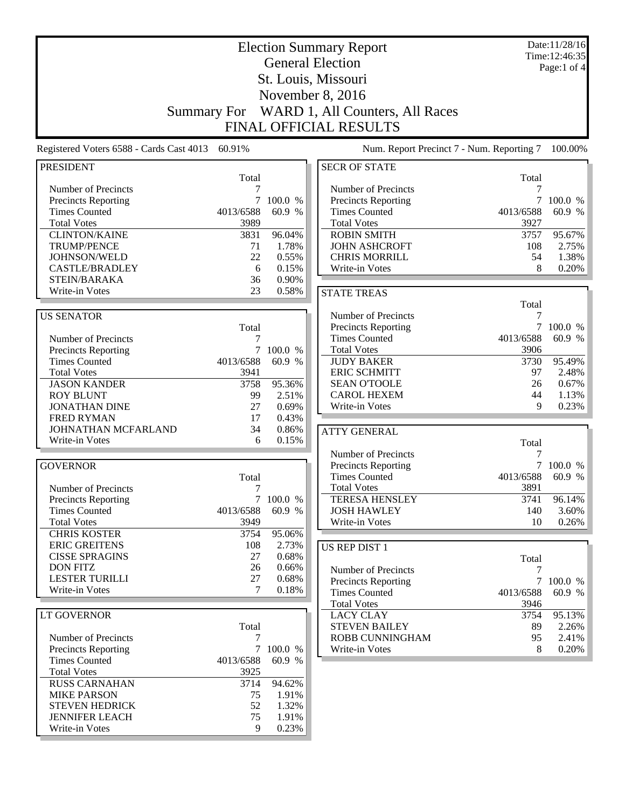|                                                 | <b>Election Summary Report</b><br><b>General Election</b> |                                 |                                            |                   |           |
|-------------------------------------------------|-----------------------------------------------------------|---------------------------------|--------------------------------------------|-------------------|-----------|
|                                                 |                                                           | Time: 12:46:35<br>Page:1 of $4$ |                                            |                   |           |
|                                                 |                                                           |                                 |                                            |                   |           |
|                                                 |                                                           |                                 | November 8, 2016                           |                   |           |
| <b>Summary For</b>                              |                                                           |                                 | WARD 1, All Counters, All Races            |                   |           |
|                                                 |                                                           |                                 | <b>FINAL OFFICIAL RESULTS</b>              |                   |           |
| Registered Voters 6588 - Cards Cast 4013 60.91% |                                                           |                                 | Num. Report Precinct 7 - Num. Reporting 7  |                   | 100.00%   |
| <b>PRESIDENT</b>                                |                                                           |                                 | <b>SECR OF STATE</b>                       |                   |           |
|                                                 | Total                                                     |                                 |                                            | Total             |           |
| Number of Precincts<br>Precincts Reporting      | 7<br>7                                                    | 100.0 %                         | Number of Precincts<br>Precincts Reporting | 7<br>7            | 100.0 %   |
| <b>Times Counted</b>                            | 4013/6588                                                 | 60.9 %                          | <b>Times Counted</b>                       | 4013/6588         | 60.9 %    |
| <b>Total Votes</b>                              | 3989                                                      |                                 | <b>Total Votes</b>                         | 3927              |           |
| <b>CLINTON/KAINE</b>                            | 3831                                                      | 96.04%                          | <b>ROBIN SMITH</b>                         | 3757              | 95.67%    |
| <b>TRUMP/PENCE</b>                              | 71                                                        | 1.78%                           | <b>JOHN ASHCROFT</b>                       | 108               | 2.75%     |
| JOHNSON/WELD                                    | 22                                                        | 0.55%                           | <b>CHRIS MORRILL</b>                       | 54                | 1.38%     |
| <b>CASTLE/BRADLEY</b>                           | 6                                                         | 0.15%                           | Write-in Votes                             | 8                 | 0.20%     |
| STEIN/BARAKA                                    | 36                                                        | 0.90%                           |                                            |                   |           |
| Write-in Votes                                  | 23                                                        | 0.58%                           | <b>STATE TREAS</b>                         |                   |           |
|                                                 |                                                           |                                 |                                            | Total             |           |
| <b>US SENATOR</b>                               |                                                           |                                 | Number of Precincts                        | 7                 |           |
|                                                 | Total                                                     |                                 | <b>Precincts Reporting</b>                 | 7                 | 100.0 %   |
| Number of Precincts                             | 7                                                         |                                 | <b>Times Counted</b><br><b>Total Votes</b> | 4013/6588<br>3906 | 60.9 %    |
| Precincts Reporting<br><b>Times Counted</b>     | 4013/6588                                                 | 7 100.0 %<br>60.9 %             | <b>JUDY BAKER</b>                          | 3730              | 95.49%    |
| <b>Total Votes</b>                              | 3941                                                      |                                 | <b>ERIC SCHMITT</b>                        | 97                | 2.48%     |
| <b>JASON KANDER</b>                             | 3758                                                      | 95.36%                          | <b>SEAN O'TOOLE</b>                        | 26                | 0.67%     |
| <b>ROY BLUNT</b>                                | 99                                                        | 2.51%                           | <b>CAROL HEXEM</b>                         | 44                | 1.13%     |
| <b>JONATHAN DINE</b>                            | 27                                                        | 0.69%                           | Write-in Votes                             | 9                 | 0.23%     |
| <b>FRED RYMAN</b>                               | 17                                                        | 0.43%                           |                                            |                   |           |
| JOHNATHAN MCFARLAND                             | 34                                                        | 0.86%                           | <b>ATTY GENERAL</b>                        |                   |           |
| Write-in Votes                                  | 6                                                         | 0.15%                           |                                            | Total             |           |
|                                                 |                                                           |                                 | Number of Precincts                        | 7                 |           |
| <b>GOVERNOR</b>                                 |                                                           |                                 | Precincts Reporting                        | 7                 | 100.0 %   |
|                                                 | Total                                                     |                                 | <b>Times Counted</b>                       | 4013/6588         | 60.9 %    |
| Number of Precincts                             | 7                                                         |                                 | <b>Total Votes</b>                         | 3891              |           |
| <b>Precincts Reporting</b>                      |                                                           | 7 100.0 %                       | <b>TERESA HENSLEY</b>                      | 3741              | 96.14%    |
| <b>Times Counted</b>                            | 4013/6588                                                 | 60.9 %                          | <b>JOSH HAWLEY</b>                         | 140               | 3.60%     |
| <b>Total Votes</b>                              | 3949                                                      |                                 | Write-in Votes                             | 10                | 0.26%     |
| <b>CHRIS KOSTER</b>                             | 3754                                                      | 95.06%                          |                                            |                   |           |
| <b>ERIC GREITENS</b>                            | 108                                                       | 2.73%                           | <b>US REP DIST 1</b>                       |                   |           |
| <b>CISSE SPRAGINS</b>                           | 27<br>26                                                  | 0.68%                           |                                            | Total             |           |
| <b>DON FITZ</b><br><b>LESTER TURILLI</b>        | 27                                                        | 0.66%<br>0.68%                  | Number of Precincts                        | 7                 |           |
| Write-in Votes                                  | 7                                                         | 0.18%                           | Precincts Reporting                        |                   | 7 100.0 % |
|                                                 |                                                           |                                 | <b>Times Counted</b><br><b>Total Votes</b> | 4013/6588<br>3946 | 60.9 %    |
| LT GOVERNOR                                     |                                                           |                                 | <b>LACY CLAY</b>                           | 3754              | 95.13%    |
|                                                 | Total                                                     |                                 | <b>STEVEN BAILEY</b>                       | 89                | 2.26%     |
| Number of Precincts                             | 7                                                         |                                 | ROBB CUNNINGHAM                            | 95                | 2.41%     |
| <b>Precincts Reporting</b>                      | $\tau$                                                    | 100.0 %                         | Write-in Votes                             | 8                 | 0.20%     |
| <b>Times Counted</b>                            | 4013/6588                                                 | 60.9 %                          |                                            |                   |           |
| <b>Total Votes</b>                              | 3925                                                      |                                 |                                            |                   |           |
| <b>RUSS CARNAHAN</b>                            | 3714                                                      | 94.62%                          |                                            |                   |           |
| <b>MIKE PARSON</b>                              | 75                                                        | 1.91%                           |                                            |                   |           |
| <b>STEVEN HEDRICK</b>                           | 52                                                        | 1.32%                           |                                            |                   |           |
| <b>JENNIFER LEACH</b>                           | 75                                                        | 1.91%                           |                                            |                   |           |
| Write-in Votes                                  | 9                                                         | 0.23%                           |                                            |                   |           |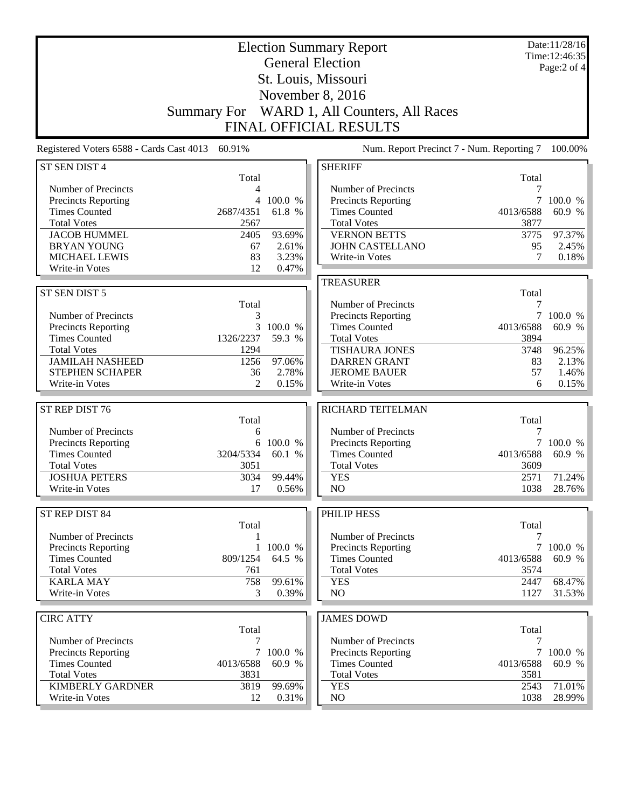|                                                    |                     | Date:11/28/16<br>Time: 12:46:35<br>Page:2 of 4 |                                                   |                     |                   |
|----------------------------------------------------|---------------------|------------------------------------------------|---------------------------------------------------|---------------------|-------------------|
| Registered Voters 6588 - Cards Cast 4013           | 60.91%              |                                                | Num. Report Precinct 7 - Num. Reporting 7         |                     | 100.00%           |
| ST SEN DIST 4                                      |                     |                                                | <b>SHERIFF</b>                                    |                     |                   |
| Number of Precincts                                | Total<br>4          |                                                | Number of Precincts                               | Total<br>7          |                   |
| Precincts Reporting                                | 4                   | 100.0 %                                        | Precincts Reporting                               | 7                   | 100.0 %           |
| <b>Times Counted</b>                               | 2687/4351           | 61.8 %                                         | <b>Times Counted</b>                              | 4013/6588           | 60.9 %            |
| <b>Total Votes</b>                                 | 2567                |                                                | <b>Total Votes</b>                                | 3877                |                   |
| <b>JACOB HUMMEL</b>                                | 2405                | 93.69%                                         | <b>VERNON BETTS</b>                               | 3775                | 97.37%            |
| <b>BRYAN YOUNG</b><br><b>MICHAEL LEWIS</b>         | 67<br>83            | 2.61%<br>3.23%                                 | <b>JOHN CASTELLANO</b>                            | 95<br>7             | 2.45%<br>0.18%    |
| Write-in Votes                                     | 12                  | 0.47%                                          | Write-in Votes                                    |                     |                   |
|                                                    |                     |                                                | <b>TREASURER</b>                                  |                     |                   |
| ST SEN DIST 5                                      |                     |                                                |                                                   | Total               |                   |
|                                                    | Total               |                                                | Number of Precincts                               | 7                   |                   |
| Number of Precincts                                | 3                   |                                                | Precincts Reporting                               | 7                   | 100.0 %           |
| <b>Precincts Reporting</b>                         |                     | 3 100.0 %                                      | <b>Times Counted</b>                              | 4013/6588           | 60.9 %            |
| <b>Times Counted</b><br><b>Total Votes</b>         | 1326/2237<br>1294   | 59.3 %                                         | <b>Total Votes</b>                                | 3894                |                   |
| <b>JAMILAH NASHEED</b>                             | 1256                | 97.06%                                         | <b>TISHAURA JONES</b><br><b>DARREN GRANT</b>      | 3748<br>83          | 96.25%<br>2.13%   |
| STEPHEN SCHAPER                                    | 36                  | 2.78%                                          | <b>JEROME BAUER</b>                               | 57                  | 1.46%             |
| Write-in Votes                                     | $\overline{2}$      | 0.15%                                          | Write-in Votes                                    | 6                   | 0.15%             |
|                                                    |                     |                                                |                                                   |                     |                   |
| ST REP DIST 76                                     |                     |                                                | RICHARD TEITELMAN                                 |                     |                   |
|                                                    | Total               |                                                |                                                   | Total               |                   |
| Number of Precincts                                | 6                   |                                                | Number of Precincts                               | 7                   |                   |
| <b>Precincts Reporting</b><br><b>Times Counted</b> | 6<br>3204/5334      | 100.0 %<br>60.1 %                              | Precincts Reporting<br><b>Times Counted</b>       | $\tau$<br>4013/6588 | 100.0 %<br>60.9 % |
| <b>Total Votes</b>                                 | 3051                |                                                | <b>Total Votes</b>                                | 3609                |                   |
| <b>JOSHUA PETERS</b>                               | 3034                | 99.44%                                         | <b>YES</b>                                        | 2571                | 71.24%            |
| Write-in Votes                                     | 17                  | 0.56%                                          | NO                                                | 1038                | 28.76%            |
|                                                    |                     |                                                |                                                   |                     |                   |
| ST REP DIST 84                                     |                     |                                                | PHILIP HESS                                       |                     |                   |
|                                                    | Total               |                                                |                                                   | Total               |                   |
| Number of Precincts                                | 1<br>$\mathbf{1}$   |                                                | Number of Precincts                               | 7                   | 7 100.0 %         |
| Precincts Reporting<br><b>Times Counted</b>        | 809/1254            | 100.0 %<br>64.5 %                              | Precincts Reporting<br><b>Times Counted</b>       | 4013/6588           | 60.9 %            |
| <b>Total Votes</b>                                 | 761                 |                                                | <b>Total Votes</b>                                | 3574                |                   |
| <b>KARLA MAY</b>                                   | 758                 | 99.61%                                         | <b>YES</b>                                        | 2447                | 68.47%            |
| Write-in Votes                                     | 3                   | 0.39%                                          | NO                                                | 1127                | 31.53%            |
|                                                    |                     |                                                |                                                   |                     |                   |
| <b>CIRC ATTY</b>                                   |                     |                                                | <b>JAMES DOWD</b>                                 |                     |                   |
|                                                    | Total               |                                                |                                                   | Total               |                   |
| Number of Precincts<br><b>Precincts Reporting</b>  | 7<br>$\overline{7}$ | 100.0 %                                        | Number of Precincts<br><b>Precincts Reporting</b> | 7<br>$\overline{7}$ | 100.0 %           |
| <b>Times Counted</b>                               | 4013/6588           | 60.9 %                                         | <b>Times Counted</b>                              | 4013/6588           | 60.9 %            |
| <b>Total Votes</b>                                 | 3831                |                                                | <b>Total Votes</b>                                | 3581                |                   |
| <b>KIMBERLY GARDNER</b>                            | 3819                | 99.69%                                         | <b>YES</b>                                        | 2543                | 71.01%            |
| Write-in Votes                                     | 12                  | 0.31%                                          | NO                                                | 1038                | 28.99%            |
|                                                    |                     |                                                |                                                   |                     |                   |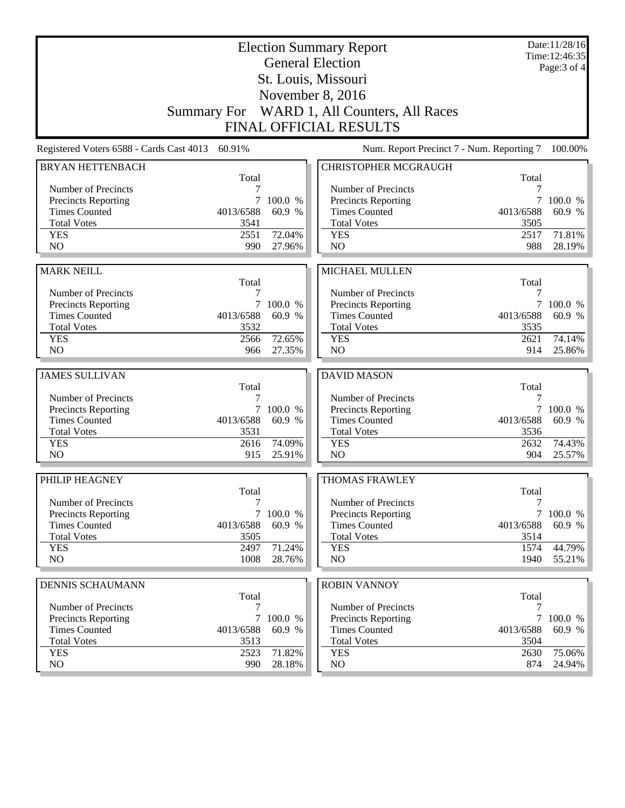| <b>General Election</b><br>Page: $3$ of $4$<br>St. Louis, Missouri<br>November 8, 2016<br>Summary For WARD 1, All Counters, All Races<br><b>FINAL OFFICIAL RESULTS</b><br>Num. Report Precinct 7 - Num. Reporting 7<br>Registered Voters 6588 - Cards Cast 4013<br>60.91%<br>100.00%<br><b>BRYAN HETTENBACH</b><br><b>CHRISTOPHER MCGRAUGH</b><br>Total<br>Total<br>Number of Precincts<br>Number of Precincts<br>7<br>7<br>7 100.0 %<br>Precincts Reporting<br>7 100.0 %<br><b>Precincts Reporting</b><br><b>Times Counted</b><br><b>Times Counted</b><br>60.9 %<br>4013/6588<br>60.9 %<br>4013/6588<br><b>Total Votes</b><br>3541<br><b>Total Votes</b><br>3505<br>71.81%<br>72.04%<br><b>YES</b><br>2551<br><b>YES</b><br>2517<br>NO<br>NO<br>988<br>990<br>27.96%<br><b>MARK NEILL</b><br><b>MICHAEL MULLEN</b><br>Total<br>Total<br>Number of Precincts<br>7<br>Number of Precincts<br>7<br><b>Precincts Reporting</b><br>$\tau$<br>100.0 %<br><b>Precincts Reporting</b><br>7 100.0 %<br><b>Times Counted</b><br><b>Times Counted</b><br>60.9 %<br>4013/6588<br>60.9 %<br>4013/6588<br><b>Total Votes</b><br>3532<br><b>Total Votes</b><br>3535<br>72.65%<br><b>YES</b><br>2566<br><b>YES</b><br>2621<br>74.14%<br>NO<br>NO<br>914<br>966<br>27.35%<br><b>JAMES SULLIVAN</b><br><b>DAVID MASON</b><br>Total<br>Total<br>Number of Precincts<br>7<br>Number of Precincts<br>7<br><b>Precincts Reporting</b><br>7 100.0 %<br>Precincts Reporting<br>7 100.0 %<br><b>Times Counted</b><br><b>Times Counted</b><br>4013/6588<br>60.9 %<br>4013/6588<br>60.9 %<br><b>Total Votes</b><br><b>Total Votes</b><br>3531<br>3536<br>74.09%<br>74.43%<br><b>YES</b><br>2616<br><b>YES</b><br>2632<br>N <sub>O</sub><br>N <sub>O</sub><br>904<br>25.57%<br>915<br>25.91%<br>PHILIP HEAGNEY<br><b>THOMAS FRAWLEY</b><br>Total<br>Total<br>Number of Precincts<br>Number of Precincts<br>7<br>7<br><b>Precincts Reporting</b><br>$\tau$<br>100.0 %<br>$7\overline{ }$<br><b>Precincts Reporting</b><br>100.0 %<br>60.9 %<br><b>Times Counted</b><br>60.9 %<br><b>Times Counted</b><br>4013/6588<br>4013/6588<br><b>Total Votes</b><br><b>Total Votes</b><br>3505<br>3514<br>44.79%<br><b>YES</b><br>2497<br>71.24%<br><b>YES</b><br>1574<br>NO.<br>1008<br>28.76%<br>NO<br>1940<br><b>ROBIN VANNOY</b><br><b>DENNIS SCHAUMANN</b><br>Total<br>Total<br>Number of Precincts<br>Number of Precincts<br>7<br>7<br>7<br>100.0 %<br>7<br><b>Precincts Reporting</b><br><b>Precincts Reporting</b><br>100.0 %<br><b>Times Counted</b><br><b>Times Counted</b><br>60.9 %<br>4013/6588<br>60.9 %<br>4013/6588<br><b>Total Votes</b><br><b>Total Votes</b><br>3513<br>3504<br>71.82%<br><b>YES</b><br>2523<br><b>YES</b><br>75.06%<br>2630<br>NO<br>28.18%<br>NO<br>990<br>874 |  | Date:11/28/16<br>Time: 12:46:35 |  |  |
|--------------------------------------------------------------------------------------------------------------------------------------------------------------------------------------------------------------------------------------------------------------------------------------------------------------------------------------------------------------------------------------------------------------------------------------------------------------------------------------------------------------------------------------------------------------------------------------------------------------------------------------------------------------------------------------------------------------------------------------------------------------------------------------------------------------------------------------------------------------------------------------------------------------------------------------------------------------------------------------------------------------------------------------------------------------------------------------------------------------------------------------------------------------------------------------------------------------------------------------------------------------------------------------------------------------------------------------------------------------------------------------------------------------------------------------------------------------------------------------------------------------------------------------------------------------------------------------------------------------------------------------------------------------------------------------------------------------------------------------------------------------------------------------------------------------------------------------------------------------------------------------------------------------------------------------------------------------------------------------------------------------------------------------------------------------------------------------------------------------------------------------------------------------------------------------------------------------------------------------------------------------------------------------------------------------------------------------------------------------------------------------------------------------------------------------------------------------------------------------------------------------------------------------------------------------------------------------------------------------------------------------------------------------------------------------------------------------------------------------------------------------|--|---------------------------------|--|--|
|                                                                                                                                                                                                                                                                                                                                                                                                                                                                                                                                                                                                                                                                                                                                                                                                                                                                                                                                                                                                                                                                                                                                                                                                                                                                                                                                                                                                                                                                                                                                                                                                                                                                                                                                                                                                                                                                                                                                                                                                                                                                                                                                                                                                                                                                                                                                                                                                                                                                                                                                                                                                                                                                                                                                                              |  |                                 |  |  |
|                                                                                                                                                                                                                                                                                                                                                                                                                                                                                                                                                                                                                                                                                                                                                                                                                                                                                                                                                                                                                                                                                                                                                                                                                                                                                                                                                                                                                                                                                                                                                                                                                                                                                                                                                                                                                                                                                                                                                                                                                                                                                                                                                                                                                                                                                                                                                                                                                                                                                                                                                                                                                                                                                                                                                              |  |                                 |  |  |
|                                                                                                                                                                                                                                                                                                                                                                                                                                                                                                                                                                                                                                                                                                                                                                                                                                                                                                                                                                                                                                                                                                                                                                                                                                                                                                                                                                                                                                                                                                                                                                                                                                                                                                                                                                                                                                                                                                                                                                                                                                                                                                                                                                                                                                                                                                                                                                                                                                                                                                                                                                                                                                                                                                                                                              |  |                                 |  |  |
|                                                                                                                                                                                                                                                                                                                                                                                                                                                                                                                                                                                                                                                                                                                                                                                                                                                                                                                                                                                                                                                                                                                                                                                                                                                                                                                                                                                                                                                                                                                                                                                                                                                                                                                                                                                                                                                                                                                                                                                                                                                                                                                                                                                                                                                                                                                                                                                                                                                                                                                                                                                                                                                                                                                                                              |  |                                 |  |  |
|                                                                                                                                                                                                                                                                                                                                                                                                                                                                                                                                                                                                                                                                                                                                                                                                                                                                                                                                                                                                                                                                                                                                                                                                                                                                                                                                                                                                                                                                                                                                                                                                                                                                                                                                                                                                                                                                                                                                                                                                                                                                                                                                                                                                                                                                                                                                                                                                                                                                                                                                                                                                                                                                                                                                                              |  |                                 |  |  |
|                                                                                                                                                                                                                                                                                                                                                                                                                                                                                                                                                                                                                                                                                                                                                                                                                                                                                                                                                                                                                                                                                                                                                                                                                                                                                                                                                                                                                                                                                                                                                                                                                                                                                                                                                                                                                                                                                                                                                                                                                                                                                                                                                                                                                                                                                                                                                                                                                                                                                                                                                                                                                                                                                                                                                              |  |                                 |  |  |
|                                                                                                                                                                                                                                                                                                                                                                                                                                                                                                                                                                                                                                                                                                                                                                                                                                                                                                                                                                                                                                                                                                                                                                                                                                                                                                                                                                                                                                                                                                                                                                                                                                                                                                                                                                                                                                                                                                                                                                                                                                                                                                                                                                                                                                                                                                                                                                                                                                                                                                                                                                                                                                                                                                                                                              |  |                                 |  |  |
|                                                                                                                                                                                                                                                                                                                                                                                                                                                                                                                                                                                                                                                                                                                                                                                                                                                                                                                                                                                                                                                                                                                                                                                                                                                                                                                                                                                                                                                                                                                                                                                                                                                                                                                                                                                                                                                                                                                                                                                                                                                                                                                                                                                                                                                                                                                                                                                                                                                                                                                                                                                                                                                                                                                                                              |  |                                 |  |  |
|                                                                                                                                                                                                                                                                                                                                                                                                                                                                                                                                                                                                                                                                                                                                                                                                                                                                                                                                                                                                                                                                                                                                                                                                                                                                                                                                                                                                                                                                                                                                                                                                                                                                                                                                                                                                                                                                                                                                                                                                                                                                                                                                                                                                                                                                                                                                                                                                                                                                                                                                                                                                                                                                                                                                                              |  |                                 |  |  |
|                                                                                                                                                                                                                                                                                                                                                                                                                                                                                                                                                                                                                                                                                                                                                                                                                                                                                                                                                                                                                                                                                                                                                                                                                                                                                                                                                                                                                                                                                                                                                                                                                                                                                                                                                                                                                                                                                                                                                                                                                                                                                                                                                                                                                                                                                                                                                                                                                                                                                                                                                                                                                                                                                                                                                              |  |                                 |  |  |
|                                                                                                                                                                                                                                                                                                                                                                                                                                                                                                                                                                                                                                                                                                                                                                                                                                                                                                                                                                                                                                                                                                                                                                                                                                                                                                                                                                                                                                                                                                                                                                                                                                                                                                                                                                                                                                                                                                                                                                                                                                                                                                                                                                                                                                                                                                                                                                                                                                                                                                                                                                                                                                                                                                                                                              |  |                                 |  |  |
| 28.19%<br>25.86%<br>24.94%                                                                                                                                                                                                                                                                                                                                                                                                                                                                                                                                                                                                                                                                                                                                                                                                                                                                                                                                                                                                                                                                                                                                                                                                                                                                                                                                                                                                                                                                                                                                                                                                                                                                                                                                                                                                                                                                                                                                                                                                                                                                                                                                                                                                                                                                                                                                                                                                                                                                                                                                                                                                                                                                                                                                   |  |                                 |  |  |
|                                                                                                                                                                                                                                                                                                                                                                                                                                                                                                                                                                                                                                                                                                                                                                                                                                                                                                                                                                                                                                                                                                                                                                                                                                                                                                                                                                                                                                                                                                                                                                                                                                                                                                                                                                                                                                                                                                                                                                                                                                                                                                                                                                                                                                                                                                                                                                                                                                                                                                                                                                                                                                                                                                                                                              |  |                                 |  |  |
|                                                                                                                                                                                                                                                                                                                                                                                                                                                                                                                                                                                                                                                                                                                                                                                                                                                                                                                                                                                                                                                                                                                                                                                                                                                                                                                                                                                                                                                                                                                                                                                                                                                                                                                                                                                                                                                                                                                                                                                                                                                                                                                                                                                                                                                                                                                                                                                                                                                                                                                                                                                                                                                                                                                                                              |  |                                 |  |  |
|                                                                                                                                                                                                                                                                                                                                                                                                                                                                                                                                                                                                                                                                                                                                                                                                                                                                                                                                                                                                                                                                                                                                                                                                                                                                                                                                                                                                                                                                                                                                                                                                                                                                                                                                                                                                                                                                                                                                                                                                                                                                                                                                                                                                                                                                                                                                                                                                                                                                                                                                                                                                                                                                                                                                                              |  |                                 |  |  |
|                                                                                                                                                                                                                                                                                                                                                                                                                                                                                                                                                                                                                                                                                                                                                                                                                                                                                                                                                                                                                                                                                                                                                                                                                                                                                                                                                                                                                                                                                                                                                                                                                                                                                                                                                                                                                                                                                                                                                                                                                                                                                                                                                                                                                                                                                                                                                                                                                                                                                                                                                                                                                                                                                                                                                              |  |                                 |  |  |
|                                                                                                                                                                                                                                                                                                                                                                                                                                                                                                                                                                                                                                                                                                                                                                                                                                                                                                                                                                                                                                                                                                                                                                                                                                                                                                                                                                                                                                                                                                                                                                                                                                                                                                                                                                                                                                                                                                                                                                                                                                                                                                                                                                                                                                                                                                                                                                                                                                                                                                                                                                                                                                                                                                                                                              |  |                                 |  |  |
|                                                                                                                                                                                                                                                                                                                                                                                                                                                                                                                                                                                                                                                                                                                                                                                                                                                                                                                                                                                                                                                                                                                                                                                                                                                                                                                                                                                                                                                                                                                                                                                                                                                                                                                                                                                                                                                                                                                                                                                                                                                                                                                                                                                                                                                                                                                                                                                                                                                                                                                                                                                                                                                                                                                                                              |  |                                 |  |  |
|                                                                                                                                                                                                                                                                                                                                                                                                                                                                                                                                                                                                                                                                                                                                                                                                                                                                                                                                                                                                                                                                                                                                                                                                                                                                                                                                                                                                                                                                                                                                                                                                                                                                                                                                                                                                                                                                                                                                                                                                                                                                                                                                                                                                                                                                                                                                                                                                                                                                                                                                                                                                                                                                                                                                                              |  |                                 |  |  |
|                                                                                                                                                                                                                                                                                                                                                                                                                                                                                                                                                                                                                                                                                                                                                                                                                                                                                                                                                                                                                                                                                                                                                                                                                                                                                                                                                                                                                                                                                                                                                                                                                                                                                                                                                                                                                                                                                                                                                                                                                                                                                                                                                                                                                                                                                                                                                                                                                                                                                                                                                                                                                                                                                                                                                              |  |                                 |  |  |
|                                                                                                                                                                                                                                                                                                                                                                                                                                                                                                                                                                                                                                                                                                                                                                                                                                                                                                                                                                                                                                                                                                                                                                                                                                                                                                                                                                                                                                                                                                                                                                                                                                                                                                                                                                                                                                                                                                                                                                                                                                                                                                                                                                                                                                                                                                                                                                                                                                                                                                                                                                                                                                                                                                                                                              |  |                                 |  |  |
|                                                                                                                                                                                                                                                                                                                                                                                                                                                                                                                                                                                                                                                                                                                                                                                                                                                                                                                                                                                                                                                                                                                                                                                                                                                                                                                                                                                                                                                                                                                                                                                                                                                                                                                                                                                                                                                                                                                                                                                                                                                                                                                                                                                                                                                                                                                                                                                                                                                                                                                                                                                                                                                                                                                                                              |  |                                 |  |  |
|                                                                                                                                                                                                                                                                                                                                                                                                                                                                                                                                                                                                                                                                                                                                                                                                                                                                                                                                                                                                                                                                                                                                                                                                                                                                                                                                                                                                                                                                                                                                                                                                                                                                                                                                                                                                                                                                                                                                                                                                                                                                                                                                                                                                                                                                                                                                                                                                                                                                                                                                                                                                                                                                                                                                                              |  |                                 |  |  |
| 55.21%                                                                                                                                                                                                                                                                                                                                                                                                                                                                                                                                                                                                                                                                                                                                                                                                                                                                                                                                                                                                                                                                                                                                                                                                                                                                                                                                                                                                                                                                                                                                                                                                                                                                                                                                                                                                                                                                                                                                                                                                                                                                                                                                                                                                                                                                                                                                                                                                                                                                                                                                                                                                                                                                                                                                                       |  |                                 |  |  |
|                                                                                                                                                                                                                                                                                                                                                                                                                                                                                                                                                                                                                                                                                                                                                                                                                                                                                                                                                                                                                                                                                                                                                                                                                                                                                                                                                                                                                                                                                                                                                                                                                                                                                                                                                                                                                                                                                                                                                                                                                                                                                                                                                                                                                                                                                                                                                                                                                                                                                                                                                                                                                                                                                                                                                              |  |                                 |  |  |
|                                                                                                                                                                                                                                                                                                                                                                                                                                                                                                                                                                                                                                                                                                                                                                                                                                                                                                                                                                                                                                                                                                                                                                                                                                                                                                                                                                                                                                                                                                                                                                                                                                                                                                                                                                                                                                                                                                                                                                                                                                                                                                                                                                                                                                                                                                                                                                                                                                                                                                                                                                                                                                                                                                                                                              |  |                                 |  |  |
|                                                                                                                                                                                                                                                                                                                                                                                                                                                                                                                                                                                                                                                                                                                                                                                                                                                                                                                                                                                                                                                                                                                                                                                                                                                                                                                                                                                                                                                                                                                                                                                                                                                                                                                                                                                                                                                                                                                                                                                                                                                                                                                                                                                                                                                                                                                                                                                                                                                                                                                                                                                                                                                                                                                                                              |  |                                 |  |  |
|                                                                                                                                                                                                                                                                                                                                                                                                                                                                                                                                                                                                                                                                                                                                                                                                                                                                                                                                                                                                                                                                                                                                                                                                                                                                                                                                                                                                                                                                                                                                                                                                                                                                                                                                                                                                                                                                                                                                                                                                                                                                                                                                                                                                                                                                                                                                                                                                                                                                                                                                                                                                                                                                                                                                                              |  |                                 |  |  |
|                                                                                                                                                                                                                                                                                                                                                                                                                                                                                                                                                                                                                                                                                                                                                                                                                                                                                                                                                                                                                                                                                                                                                                                                                                                                                                                                                                                                                                                                                                                                                                                                                                                                                                                                                                                                                                                                                                                                                                                                                                                                                                                                                                                                                                                                                                                                                                                                                                                                                                                                                                                                                                                                                                                                                              |  |                                 |  |  |
|                                                                                                                                                                                                                                                                                                                                                                                                                                                                                                                                                                                                                                                                                                                                                                                                                                                                                                                                                                                                                                                                                                                                                                                                                                                                                                                                                                                                                                                                                                                                                                                                                                                                                                                                                                                                                                                                                                                                                                                                                                                                                                                                                                                                                                                                                                                                                                                                                                                                                                                                                                                                                                                                                                                                                              |  |                                 |  |  |
|                                                                                                                                                                                                                                                                                                                                                                                                                                                                                                                                                                                                                                                                                                                                                                                                                                                                                                                                                                                                                                                                                                                                                                                                                                                                                                                                                                                                                                                                                                                                                                                                                                                                                                                                                                                                                                                                                                                                                                                                                                                                                                                                                                                                                                                                                                                                                                                                                                                                                                                                                                                                                                                                                                                                                              |  |                                 |  |  |
|                                                                                                                                                                                                                                                                                                                                                                                                                                                                                                                                                                                                                                                                                                                                                                                                                                                                                                                                                                                                                                                                                                                                                                                                                                                                                                                                                                                                                                                                                                                                                                                                                                                                                                                                                                                                                                                                                                                                                                                                                                                                                                                                                                                                                                                                                                                                                                                                                                                                                                                                                                                                                                                                                                                                                              |  |                                 |  |  |
|                                                                                                                                                                                                                                                                                                                                                                                                                                                                                                                                                                                                                                                                                                                                                                                                                                                                                                                                                                                                                                                                                                                                                                                                                                                                                                                                                                                                                                                                                                                                                                                                                                                                                                                                                                                                                                                                                                                                                                                                                                                                                                                                                                                                                                                                                                                                                                                                                                                                                                                                                                                                                                                                                                                                                              |  |                                 |  |  |
|                                                                                                                                                                                                                                                                                                                                                                                                                                                                                                                                                                                                                                                                                                                                                                                                                                                                                                                                                                                                                                                                                                                                                                                                                                                                                                                                                                                                                                                                                                                                                                                                                                                                                                                                                                                                                                                                                                                                                                                                                                                                                                                                                                                                                                                                                                                                                                                                                                                                                                                                                                                                                                                                                                                                                              |  |                                 |  |  |
|                                                                                                                                                                                                                                                                                                                                                                                                                                                                                                                                                                                                                                                                                                                                                                                                                                                                                                                                                                                                                                                                                                                                                                                                                                                                                                                                                                                                                                                                                                                                                                                                                                                                                                                                                                                                                                                                                                                                                                                                                                                                                                                                                                                                                                                                                                                                                                                                                                                                                                                                                                                                                                                                                                                                                              |  |                                 |  |  |
|                                                                                                                                                                                                                                                                                                                                                                                                                                                                                                                                                                                                                                                                                                                                                                                                                                                                                                                                                                                                                                                                                                                                                                                                                                                                                                                                                                                                                                                                                                                                                                                                                                                                                                                                                                                                                                                                                                                                                                                                                                                                                                                                                                                                                                                                                                                                                                                                                                                                                                                                                                                                                                                                                                                                                              |  |                                 |  |  |
|                                                                                                                                                                                                                                                                                                                                                                                                                                                                                                                                                                                                                                                                                                                                                                                                                                                                                                                                                                                                                                                                                                                                                                                                                                                                                                                                                                                                                                                                                                                                                                                                                                                                                                                                                                                                                                                                                                                                                                                                                                                                                                                                                                                                                                                                                                                                                                                                                                                                                                                                                                                                                                                                                                                                                              |  |                                 |  |  |
|                                                                                                                                                                                                                                                                                                                                                                                                                                                                                                                                                                                                                                                                                                                                                                                                                                                                                                                                                                                                                                                                                                                                                                                                                                                                                                                                                                                                                                                                                                                                                                                                                                                                                                                                                                                                                                                                                                                                                                                                                                                                                                                                                                                                                                                                                                                                                                                                                                                                                                                                                                                                                                                                                                                                                              |  |                                 |  |  |
|                                                                                                                                                                                                                                                                                                                                                                                                                                                                                                                                                                                                                                                                                                                                                                                                                                                                                                                                                                                                                                                                                                                                                                                                                                                                                                                                                                                                                                                                                                                                                                                                                                                                                                                                                                                                                                                                                                                                                                                                                                                                                                                                                                                                                                                                                                                                                                                                                                                                                                                                                                                                                                                                                                                                                              |  |                                 |  |  |
|                                                                                                                                                                                                                                                                                                                                                                                                                                                                                                                                                                                                                                                                                                                                                                                                                                                                                                                                                                                                                                                                                                                                                                                                                                                                                                                                                                                                                                                                                                                                                                                                                                                                                                                                                                                                                                                                                                                                                                                                                                                                                                                                                                                                                                                                                                                                                                                                                                                                                                                                                                                                                                                                                                                                                              |  |                                 |  |  |
|                                                                                                                                                                                                                                                                                                                                                                                                                                                                                                                                                                                                                                                                                                                                                                                                                                                                                                                                                                                                                                                                                                                                                                                                                                                                                                                                                                                                                                                                                                                                                                                                                                                                                                                                                                                                                                                                                                                                                                                                                                                                                                                                                                                                                                                                                                                                                                                                                                                                                                                                                                                                                                                                                                                                                              |  |                                 |  |  |
|                                                                                                                                                                                                                                                                                                                                                                                                                                                                                                                                                                                                                                                                                                                                                                                                                                                                                                                                                                                                                                                                                                                                                                                                                                                                                                                                                                                                                                                                                                                                                                                                                                                                                                                                                                                                                                                                                                                                                                                                                                                                                                                                                                                                                                                                                                                                                                                                                                                                                                                                                                                                                                                                                                                                                              |  |                                 |  |  |
|                                                                                                                                                                                                                                                                                                                                                                                                                                                                                                                                                                                                                                                                                                                                                                                                                                                                                                                                                                                                                                                                                                                                                                                                                                                                                                                                                                                                                                                                                                                                                                                                                                                                                                                                                                                                                                                                                                                                                                                                                                                                                                                                                                                                                                                                                                                                                                                                                                                                                                                                                                                                                                                                                                                                                              |  |                                 |  |  |
|                                                                                                                                                                                                                                                                                                                                                                                                                                                                                                                                                                                                                                                                                                                                                                                                                                                                                                                                                                                                                                                                                                                                                                                                                                                                                                                                                                                                                                                                                                                                                                                                                                                                                                                                                                                                                                                                                                                                                                                                                                                                                                                                                                                                                                                                                                                                                                                                                                                                                                                                                                                                                                                                                                                                                              |  |                                 |  |  |
|                                                                                                                                                                                                                                                                                                                                                                                                                                                                                                                                                                                                                                                                                                                                                                                                                                                                                                                                                                                                                                                                                                                                                                                                                                                                                                                                                                                                                                                                                                                                                                                                                                                                                                                                                                                                                                                                                                                                                                                                                                                                                                                                                                                                                                                                                                                                                                                                                                                                                                                                                                                                                                                                                                                                                              |  |                                 |  |  |
|                                                                                                                                                                                                                                                                                                                                                                                                                                                                                                                                                                                                                                                                                                                                                                                                                                                                                                                                                                                                                                                                                                                                                                                                                                                                                                                                                                                                                                                                                                                                                                                                                                                                                                                                                                                                                                                                                                                                                                                                                                                                                                                                                                                                                                                                                                                                                                                                                                                                                                                                                                                                                                                                                                                                                              |  |                                 |  |  |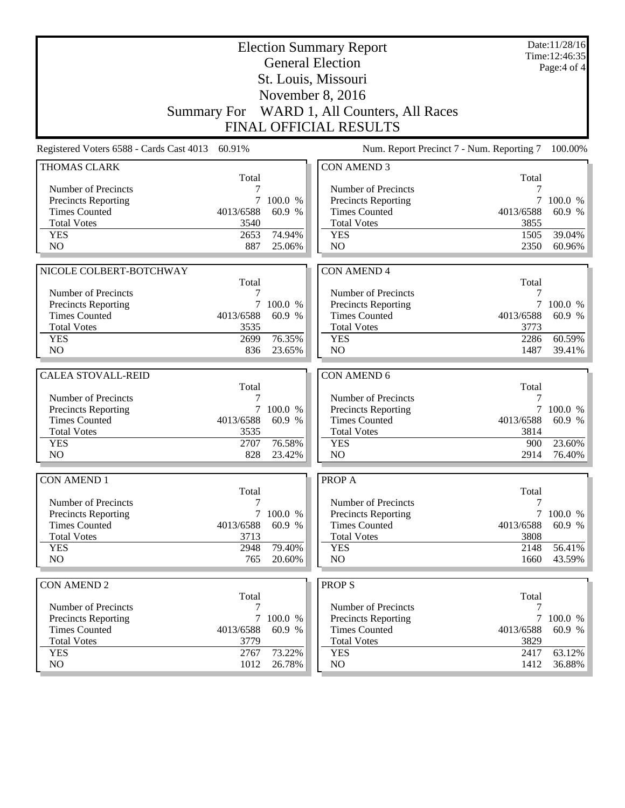|                                          |                    | Date:11/28/16<br>Time:12:46:35 |                                           |              |                  |  |  |
|------------------------------------------|--------------------|--------------------------------|-------------------------------------------|--------------|------------------|--|--|
|                                          |                    |                                | <b>General Election</b>                   |              | Page: 4 of 4     |  |  |
|                                          |                    |                                | St. Louis, Missouri                       |              |                  |  |  |
|                                          |                    |                                | November 8, 2016                          |              |                  |  |  |
|                                          | <b>Summary For</b> |                                | WARD 1, All Counters, All Races           |              |                  |  |  |
| <b>FINAL OFFICIAL RESULTS</b>            |                    |                                |                                           |              |                  |  |  |
| Registered Voters 6588 - Cards Cast 4013 | 60.91%             |                                | Num. Report Precinct 7 - Num. Reporting 7 |              | 100.00%          |  |  |
| <b>THOMAS CLARK</b>                      |                    |                                | <b>CON AMEND 3</b>                        |              |                  |  |  |
| Number of Precincts                      | Total              |                                | Number of Precincts                       | Total        |                  |  |  |
| Precincts Reporting                      | 7                  | 100.0 %                        | <b>Precincts Reporting</b>                |              | 100.0 %          |  |  |
| <b>Times Counted</b>                     | 4013/6588          | 60.9 %                         | <b>Times Counted</b>                      | 4013/6588    | 60.9 %           |  |  |
| <b>Total Votes</b>                       | 3540               |                                | <b>Total Votes</b>                        | 3855         |                  |  |  |
| <b>YES</b>                               | 2653               | 74.94%                         | <b>YES</b>                                | 1505         | 39.04%           |  |  |
| N <sub>O</sub>                           | 887                | 25.06%                         | N <sub>O</sub>                            | 2350         | 60.96%           |  |  |
|                                          |                    |                                |                                           |              |                  |  |  |
| NICOLE COLBERT-BOTCHWAY                  |                    |                                | <b>CON AMEND 4</b>                        |              |                  |  |  |
| Number of Precincts                      | Total<br>7         |                                | Number of Precincts                       | Total<br>7   |                  |  |  |
| Precincts Reporting                      |                    | 7 100.0 %                      | Precincts Reporting                       |              | 7 100.0 %        |  |  |
| <b>Times Counted</b>                     | 4013/6588          | 60.9 %                         | <b>Times Counted</b>                      | 4013/6588    | 60.9 %           |  |  |
| <b>Total Votes</b>                       | 3535               |                                | <b>Total Votes</b>                        | 3773         |                  |  |  |
| <b>YES</b>                               | 2699               | 76.35%                         | <b>YES</b>                                | 2286         | 60.59%           |  |  |
| N <sub>O</sub>                           | 836                | 23.65%                         | N <sub>O</sub>                            | 1487         | 39.41%           |  |  |
|                                          |                    |                                |                                           |              |                  |  |  |
| <b>CALEA STOVALL-REID</b>                | Total              |                                | CON AMEND 6                               | Total        |                  |  |  |
| Number of Precincts                      | 7                  |                                | Number of Precincts                       | 7            |                  |  |  |
| Precincts Reporting                      | 7                  | 100.0 %                        | <b>Precincts Reporting</b>                | 7            | 100.0 %          |  |  |
| <b>Times Counted</b>                     | 4013/6588          | 60.9 %                         | <b>Times Counted</b>                      | 4013/6588    | 60.9 %           |  |  |
| <b>Total Votes</b>                       | 3535               |                                | <b>Total Votes</b>                        | 3814         |                  |  |  |
| <b>YES</b>                               | 2707               | 76.58%                         | <b>YES</b>                                | 900          | 23.60%           |  |  |
| N <sub>O</sub>                           | 828                | 23.42%                         | NO                                        | 2914         | 76.40%           |  |  |
| <b>CON AMEND 1</b>                       |                    |                                | <b>PROPA</b>                              |              |                  |  |  |
|                                          | Total              |                                |                                           | Total        |                  |  |  |
| Number of Precincts                      | 7                  |                                | Number of Precincts                       | 7            |                  |  |  |
| Precincts Reporting                      |                    | 7 100.0 %                      | <b>Precincts Reporting</b>                |              | 7 100.0 %        |  |  |
| <b>Times Counted</b>                     | 4013/6588          | 60.9 %                         | <b>Times Counted</b>                      | 4013/6588    | 60.9 %           |  |  |
| <b>Total Votes</b>                       | 3713               |                                | <b>Total Votes</b>                        | 3808         |                  |  |  |
| <b>YES</b>                               | 2948               | 79.40%                         | <b>YES</b>                                | 2148         | 56.41%           |  |  |
| NO                                       | 765                | 20.60%                         | NO                                        | 1660         | 43.59%           |  |  |
| <b>CON AMEND 2</b>                       |                    |                                | <b>PROPS</b>                              |              |                  |  |  |
|                                          | Total              |                                |                                           | Total        |                  |  |  |
| Number of Precincts                      | 7                  |                                | Number of Precincts                       | 7            |                  |  |  |
| <b>Precincts Reporting</b>               | $7\overline{ }$    | 100.0 %                        | Precincts Reporting                       | 7            | 100.0 %          |  |  |
| <b>Times Counted</b>                     | 4013/6588          | 60.9 %                         | <b>Times Counted</b>                      | 4013/6588    | 60.9 %           |  |  |
| <b>Total Votes</b>                       | 3779               |                                | <b>Total Votes</b>                        | 3829         |                  |  |  |
| <b>YES</b><br>NO                         | 2767<br>1012       | 73.22%<br>26.78%               | <b>YES</b><br>NO                          | 2417<br>1412 | 63.12%<br>36.88% |  |  |
|                                          |                    |                                |                                           |              |                  |  |  |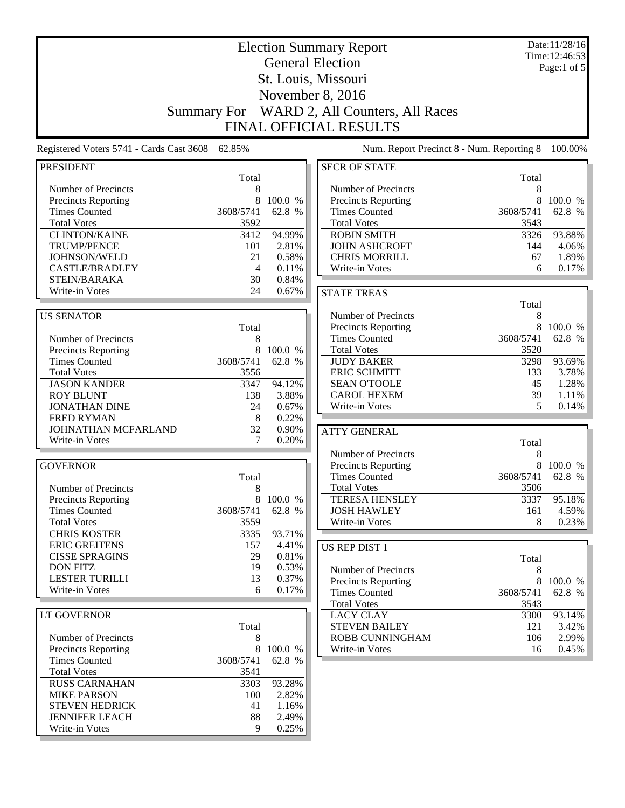|                                          |                |             | <b>Election Summary Report</b><br><b>General Election</b> |           | Date:11/28/16<br>Time: 12:46:53 |
|------------------------------------------|----------------|-------------|-----------------------------------------------------------|-----------|---------------------------------|
|                                          |                | Page:1 of 5 |                                                           |           |                                 |
|                                          |                |             | St. Louis, Missouri                                       |           |                                 |
|                                          |                |             | November 8, 2016                                          |           |                                 |
|                                          |                |             |                                                           |           |                                 |
| <b>Summary For</b>                       |                |             | WARD 2, All Counters, All Races                           |           |                                 |
|                                          |                |             | <b>FINAL OFFICIAL RESULTS</b>                             |           |                                 |
| Registered Voters 5741 - Cards Cast 3608 | 62.85%         |             | Num. Report Precinct 8 - Num. Reporting 8                 |           | 100.00%                         |
| <b>PRESIDENT</b>                         |                |             | <b>SECR OF STATE</b>                                      |           |                                 |
|                                          | Total          |             |                                                           | Total     |                                 |
| Number of Precincts                      | 8              |             | Number of Precincts                                       | 8         |                                 |
| Precincts Reporting                      | 8              | 100.0 %     | Precincts Reporting                                       | 8         | 100.0 %                         |
| <b>Times Counted</b>                     | 3608/5741      | 62.8 %      | <b>Times Counted</b>                                      | 3608/5741 | 62.8 %                          |
| <b>Total Votes</b>                       | 3592           |             | <b>Total Votes</b>                                        | 3543      |                                 |
| <b>CLINTON/KAINE</b>                     | 3412           | 94.99%      | <b>ROBIN SMITH</b>                                        | 3326      | 93.88%                          |
| <b>TRUMP/PENCE</b>                       | 101            | 2.81%       | <b>JOHN ASHCROFT</b>                                      | 144       | 4.06%                           |
| JOHNSON/WELD                             | 21             | 0.58%       | <b>CHRIS MORRILL</b>                                      | 67        | 1.89%                           |
| <b>CASTLE/BRADLEY</b>                    | $\overline{4}$ | 0.11%       | Write-in Votes                                            | 6         | 0.17%                           |
| STEIN/BARAKA                             | 30             | 0.84%       |                                                           |           |                                 |
| Write-in Votes                           | 24             | 0.67%       | <b>STATE TREAS</b>                                        |           |                                 |
|                                          |                |             |                                                           | Total     |                                 |
| <b>US SENATOR</b>                        |                |             | Number of Precincts                                       | 8         |                                 |
|                                          | Total          |             | <b>Precincts Reporting</b>                                | 8         | 100.0 %                         |
| Number of Precincts                      | 8              |             | <b>Times Counted</b>                                      | 3608/5741 | 62.8 %                          |
| Precincts Reporting                      | 8              | 100.0 %     | <b>Total Votes</b>                                        | 3520      |                                 |
| <b>Times Counted</b>                     | 3608/5741      | 62.8 %      | <b>JUDY BAKER</b>                                         | 3298      | 93.69%                          |
| <b>Total Votes</b>                       | 3556           |             | <b>ERIC SCHMITT</b>                                       | 133       | 3.78%                           |
| <b>JASON KANDER</b>                      | 3347           | 94.12%      | <b>SEAN O'TOOLE</b>                                       | 45        | 1.28%                           |
| <b>ROY BLUNT</b>                         | 138            | 3.88%       | <b>CAROL HEXEM</b>                                        | 39        | 1.11%                           |
| <b>JONATHAN DINE</b>                     | 24             | 0.67%       | Write-in Votes                                            | 5         | 0.14%                           |
| <b>FRED RYMAN</b>                        | 8              | 0.22%       |                                                           |           |                                 |
| JOHNATHAN MCFARLAND                      | 32             | 0.90%       | <b>ATTY GENERAL</b>                                       |           |                                 |
| Write-in Votes                           | 7              | 0.20%       |                                                           | Total     |                                 |
|                                          |                |             | Number of Precincts                                       | 8         |                                 |
| <b>GOVERNOR</b>                          |                |             | Precincts Reporting                                       | 8         | 100.0 %                         |
|                                          | Total          |             | <b>Times Counted</b>                                      | 3608/5741 | 62.8 %                          |
| Number of Precincts                      | 8              |             | <b>Total Votes</b>                                        | 3506      |                                 |
| <b>Precincts Reporting</b>               | 8              | 100.0 %     | <b>TERESA HENSLEY</b>                                     | 3337      | 95.18%                          |
| <b>Times Counted</b>                     | 3608/5741      | 62.8 %      | <b>JOSH HAWLEY</b>                                        | 161       | 4.59%                           |
| <b>Total Votes</b>                       | 3559           |             | Write-in Votes                                            | 8         | 0.23%                           |
| <b>CHRIS KOSTER</b>                      | 3335           | 93.71%      |                                                           |           |                                 |
| <b>ERIC GREITENS</b>                     | 157            | 4.41%       | US REP DIST 1                                             |           |                                 |
| <b>CISSE SPRAGINS</b>                    | 29             | 0.81%       |                                                           | Total     |                                 |
| <b>DON FITZ</b>                          | 19             | 0.53%       | Number of Precincts                                       | 8         |                                 |
| <b>LESTER TURILLI</b>                    | 13             | 0.37%       | Precincts Reporting                                       | 8         | 100.0 %                         |
| Write-in Votes                           | 6              | 0.17%       | <b>Times Counted</b>                                      | 3608/5741 | 62.8 %                          |
|                                          |                |             | <b>Total Votes</b>                                        | 3543      |                                 |
| LT GOVERNOR                              |                |             | <b>LACY CLAY</b>                                          | 3300      | 93.14%                          |
|                                          | Total          |             | <b>STEVEN BAILEY</b>                                      | 121       | 3.42%                           |
| Number of Precincts                      | 8              |             | ROBB CUNNINGHAM                                           | 106       | 2.99%                           |
| <b>Precincts Reporting</b>               | 8              | 100.0 %     | Write-in Votes                                            | 16        | 0.45%                           |
| <b>Times Counted</b>                     | 3608/5741      | 62.8 %      |                                                           |           |                                 |
| <b>Total Votes</b>                       | 3541           |             |                                                           |           |                                 |
| <b>RUSS CARNAHAN</b>                     | 3303           | 93.28%      |                                                           |           |                                 |
| <b>MIKE PARSON</b>                       | 100            | 2.82%       |                                                           |           |                                 |
| <b>STEVEN HEDRICK</b>                    | 41             | 1.16%       |                                                           |           |                                 |
| <b>JENNIFER LEACH</b>                    | 88             | 2.49%       |                                                           |           |                                 |
| Write-in Votes                           | 9              | 0.25%       |                                                           |           |                                 |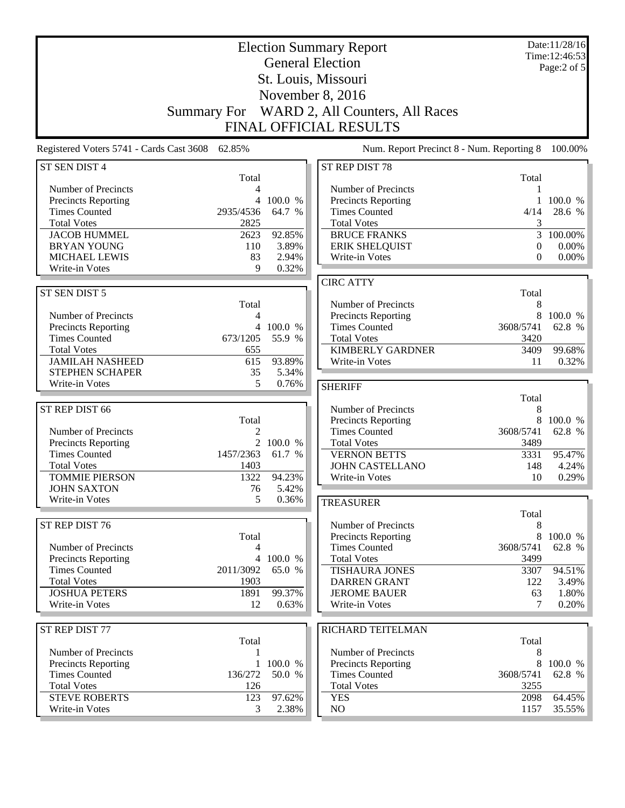|                                                                                                                                                      |                                                                 | Date:11/28/16<br>Time: 12:46:53<br>Page: $2$ of $5$ |                                                                                                                                                                                   |                                                                |                                                        |
|------------------------------------------------------------------------------------------------------------------------------------------------------|-----------------------------------------------------------------|-----------------------------------------------------|-----------------------------------------------------------------------------------------------------------------------------------------------------------------------------------|----------------------------------------------------------------|--------------------------------------------------------|
| Registered Voters 5741 - Cards Cast 3608 62.85%                                                                                                      |                                                                 |                                                     | <b>FINAL OFFICIAL RESULTS</b><br>Num. Report Precinct 8 - Num. Reporting 8                                                                                                        |                                                                | 100.00%                                                |
| ST SEN DIST 4                                                                                                                                        |                                                                 |                                                     | ST REP DIST 78                                                                                                                                                                    |                                                                |                                                        |
| Number of Precincts<br><b>Precincts Reporting</b><br><b>Times Counted</b><br><b>Total Votes</b><br><b>JACOB HUMMEL</b><br><b>BRYAN YOUNG</b>         | Total<br>4<br>4<br>2935/4536<br>2825<br>2623<br>110             | 100.0 %<br>64.7 %<br>92.85%<br>3.89%                | Number of Precincts<br><b>Precincts Reporting</b><br><b>Times Counted</b><br><b>Total Votes</b><br><b>BRUCE FRANKS</b><br><b>ERIK SHELQUIST</b>                                   | Total<br>1<br>1<br>4/14<br>3<br>3<br>$\mathbf{0}$              | 100.0 %<br>28.6 %<br>100.00%<br>$0.00\%$               |
| <b>MICHAEL LEWIS</b><br>Write-in Votes                                                                                                               | 83<br>9                                                         | 2.94%<br>0.32%                                      | Write-in Votes                                                                                                                                                                    | $\Omega$                                                       | $0.00\%$                                               |
|                                                                                                                                                      |                                                                 |                                                     | <b>CIRC ATTY</b>                                                                                                                                                                  |                                                                |                                                        |
| ST SEN DIST 5<br>Number of Precincts<br>Precincts Reporting<br><b>Times Counted</b>                                                                  | Total<br>4<br>673/1205                                          | 4 100.0 %<br>55.9 %                                 | Number of Precincts<br>Precincts Reporting<br><b>Times Counted</b><br><b>Total Votes</b>                                                                                          | Total<br>8<br>8<br>3608/5741<br>3420                           | 100.0 %<br>62.8 %                                      |
| <b>Total Votes</b><br><b>JAMILAH NASHEED</b>                                                                                                         | 655<br>615                                                      | 93.89%                                              | <b>KIMBERLY GARDNER</b><br>Write-in Votes                                                                                                                                         | 3409<br>11                                                     | 99.68%<br>0.32%                                        |
| <b>STEPHEN SCHAPER</b>                                                                                                                               | 35                                                              | 5.34%                                               |                                                                                                                                                                                   |                                                                |                                                        |
| Write-in Votes                                                                                                                                       | 5                                                               | 0.76%                                               | <b>SHERIFF</b>                                                                                                                                                                    |                                                                |                                                        |
| ST REP DIST 66<br>Number of Precincts<br>Precincts Reporting                                                                                         | Total<br>2                                                      | 2 100.0 %                                           | Number of Precincts<br>Precincts Reporting<br><b>Times Counted</b><br><b>Total Votes</b>                                                                                          | Total<br>8<br>8<br>3608/5741<br>3489                           | 100.0 %<br>62.8 %                                      |
| <b>Times Counted</b><br><b>Total Votes</b>                                                                                                           | 1457/2363<br>1403                                               | 61.7 %                                              | <b>VERNON BETTS</b><br><b>JOHN CASTELLANO</b>                                                                                                                                     | 3331<br>148                                                    | 95.47%<br>4.24%                                        |
| <b>TOMMIE PIERSON</b><br><b>JOHN SAXTON</b>                                                                                                          | 1322<br>76                                                      | 94.23%<br>5.42%                                     | Write-in Votes                                                                                                                                                                    | 10                                                             | 0.29%                                                  |
| Write-in Votes                                                                                                                                       | 5                                                               | 0.36%                                               | <b>TREASURER</b>                                                                                                                                                                  |                                                                |                                                        |
| ST REP DIST 76<br>Number of Precincts<br>Precincts Reporting<br><b>Times Counted</b><br><b>Total Votes</b><br><b>JOSHUA PETERS</b><br>Write-in Votes | Total<br>4<br>$\overline{4}$<br>2011/3092<br>1903<br>1891<br>12 | 100.0 %<br>65.0 %<br>99.37%<br>0.63%                | Number of Precincts<br><b>Precincts Reporting</b><br><b>Times Counted</b><br><b>Total Votes</b><br>TISHAURA JONES<br><b>DARREN GRANT</b><br><b>JEROME BAUER</b><br>Write-in Votes | Total<br>8<br>8<br>3608/5741<br>3499<br>3307<br>122<br>63<br>7 | 100.0 %<br>62.8 %<br>94.51%<br>3.49%<br>1.80%<br>0.20% |
| ST REP DIST 77                                                                                                                                       |                                                                 |                                                     | RICHARD TEITELMAN                                                                                                                                                                 |                                                                |                                                        |
| Number of Precincts<br>Precincts Reporting<br><b>Times Counted</b><br><b>Total Votes</b><br><b>STEVE ROBERTS</b><br>Write-in Votes                   | Total<br>1<br>$\mathbf{1}$<br>136/272<br>126<br>123<br>3        | 100.0 %<br>50.0 %<br>97.62%<br>2.38%                | Number of Precincts<br>Precincts Reporting<br><b>Times Counted</b><br><b>Total Votes</b><br><b>YES</b><br>NO                                                                      | Total<br>8<br>$8\,$<br>3608/5741<br>3255<br>2098<br>1157       | 100.0 %<br>62.8 %<br>64.45%<br>35.55%                  |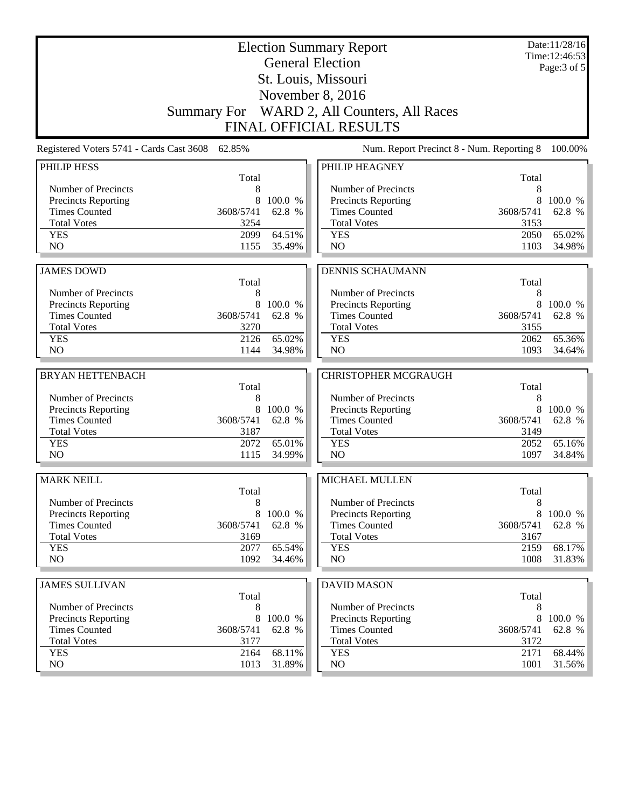|                                                    |                    | Date:11/28/16<br>Time: 12:46:53 |                                                    |              |                   |
|----------------------------------------------------|--------------------|---------------------------------|----------------------------------------------------|--------------|-------------------|
|                                                    |                    | Page: 3 of 5                    |                                                    |              |                   |
|                                                    |                    |                                 | St. Louis, Missouri                                |              |                   |
|                                                    |                    |                                 | November 8, 2016                                   |              |                   |
|                                                    | <b>Summary For</b> |                                 | WARD 2, All Counters, All Races                    |              |                   |
|                                                    |                    |                                 | <b>FINAL OFFICIAL RESULTS</b>                      |              |                   |
| Registered Voters 5741 - Cards Cast 3608           | 62.85%             |                                 | Num. Report Precinct 8 - Num. Reporting 8          |              | 100.00%           |
| PHILIP HESS                                        |                    |                                 | PHILIP HEAGNEY                                     |              |                   |
| Number of Precincts                                | Total<br>8         |                                 | Number of Precincts                                | Total<br>8   |                   |
| Precincts Reporting                                | 8                  | 100.0 %                         | <b>Precincts Reporting</b>                         | 8            | 100.0 %           |
| <b>Times Counted</b>                               | 3608/5741          | 62.8 %                          | <b>Times Counted</b>                               | 3608/5741    | 62.8 %            |
| <b>Total Votes</b>                                 | 3254               |                                 | <b>Total Votes</b>                                 | 3153         |                   |
| <b>YES</b>                                         | 2099               | 64.51%                          | <b>YES</b>                                         | 2050         | 65.02%            |
| N <sub>O</sub>                                     | 1155               | 35.49%                          | NO                                                 | 1103         | 34.98%            |
| <b>JAMES DOWD</b>                                  |                    |                                 | <b>DENNIS SCHAUMANN</b>                            |              |                   |
|                                                    | Total              |                                 |                                                    | Total        |                   |
| Number of Precincts                                | 8                  |                                 | Number of Precincts                                | 8            |                   |
| Precincts Reporting                                | 8                  | 100.0 %                         | Precincts Reporting                                | 8            | 100.0 %           |
| <b>Times Counted</b>                               | 3608/5741          | 62.8 %                          | <b>Times Counted</b>                               | 3608/5741    | 62.8 %            |
| <b>Total Votes</b>                                 | 3270               |                                 | <b>Total Votes</b>                                 | 3155         |                   |
| <b>YES</b>                                         | 2126               | 65.02%                          | <b>YES</b>                                         | 2062         | 65.36%            |
| NO                                                 | 1144               | 34.98%                          | NO                                                 | 1093         | 34.64%            |
| <b>BRYAN HETTENBACH</b>                            |                    |                                 | <b>CHRISTOPHER MCGRAUGH</b>                        |              |                   |
|                                                    |                    |                                 |                                                    |              |                   |
|                                                    | Total              |                                 |                                                    | Total        |                   |
| Number of Precincts                                | 8                  |                                 | Number of Precincts                                | 8            |                   |
| Precincts Reporting                                | 8                  | 100.0 %                         | Precincts Reporting                                | 8            | 100.0 %           |
| <b>Times Counted</b>                               | 3608/5741          | 62.8 %                          | <b>Times Counted</b>                               | 3608/5741    | 62.8 %            |
| <b>Total Votes</b>                                 | 3187               |                                 | <b>Total Votes</b>                                 | 3149         |                   |
| <b>YES</b>                                         | 2072               | 65.01%                          | <b>YES</b>                                         | 2052         | 65.16%            |
| N <sub>O</sub>                                     | 1115               | 34.99%                          | NO                                                 | 1097         |                   |
| <b>MARK NEILL</b>                                  |                    |                                 | <b>MICHAEL MULLEN</b>                              |              |                   |
|                                                    | Total              |                                 |                                                    | Total        | 34.84%            |
| Number of Precincts                                | 8                  |                                 | Number of Precincts                                | 8            |                   |
| <b>Precincts Reporting</b>                         | 8                  | 100.0 %                         | Precincts Reporting                                | 8            | 100.0 %           |
| <b>Times Counted</b>                               | 3608/5741          | 62.8 %                          | <b>Times Counted</b>                               | 3608/5741    | 62.8 %            |
| <b>Total Votes</b>                                 | 3169               |                                 | <b>Total Votes</b>                                 | 3167         |                   |
| <b>YES</b><br>NO                                   | 2077<br>1092       | 65.54%<br>34.46%                | <b>YES</b><br>NO                                   | 2159<br>1008 | 68.17%            |
|                                                    |                    |                                 |                                                    |              |                   |
| <b>JAMES SULLIVAN</b>                              |                    |                                 | <b>DAVID MASON</b>                                 |              |                   |
|                                                    | Total              |                                 |                                                    | Total        |                   |
| Number of Precincts                                | 8<br>8             |                                 | Number of Precincts                                | 8<br>8       |                   |
| <b>Precincts Reporting</b><br><b>Times Counted</b> | 3608/5741          | 100.0 %<br>62.8 %               | <b>Precincts Reporting</b><br><b>Times Counted</b> | 3608/5741    | 62.8 %            |
| <b>Total Votes</b>                                 | 3177               |                                 | <b>Total Votes</b>                                 | 3172         | 31.83%<br>100.0 % |
| <b>YES</b><br>NO                                   | 2164<br>1013       | 68.11%<br>31.89%                | <b>YES</b><br>NO.                                  | 2171<br>1001 | 68.44%<br>31.56%  |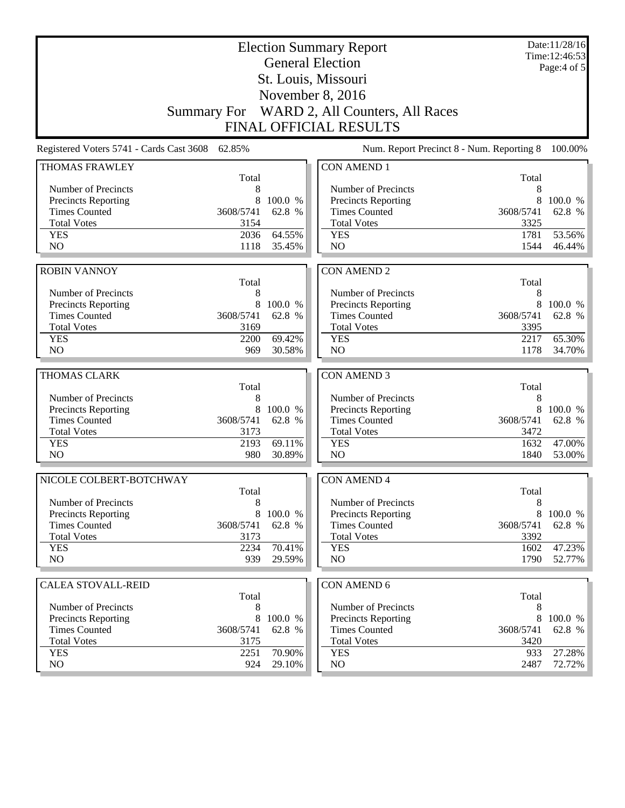| <b>Election Summary Report</b><br><b>General Election</b> |            |             |                                             |            | Date:11/28/16<br>Time: 12:46:53 |  |
|-----------------------------------------------------------|------------|-------------|---------------------------------------------|------------|---------------------------------|--|
|                                                           |            | Page:4 of 5 |                                             |            |                                 |  |
|                                                           |            |             | St. Louis, Missouri<br>November 8, 2016     |            |                                 |  |
| <b>Summary For</b>                                        |            |             | WARD 2, All Counters, All Races             |            |                                 |  |
|                                                           |            |             | <b>FINAL OFFICIAL RESULTS</b>               |            |                                 |  |
|                                                           |            |             |                                             |            |                                 |  |
| Registered Voters 5741 - Cards Cast 3608                  | 62.85%     |             | Num. Report Precinct 8 - Num. Reporting 8   |            | 100.00%                         |  |
| <b>THOMAS FRAWLEY</b>                                     | Total      |             | <b>CON AMEND 1</b>                          | Total      |                                 |  |
| Number of Precincts                                       | 8          |             | Number of Precincts                         | 8          |                                 |  |
| <b>Precincts Reporting</b>                                | 8          | 100.0 %     | <b>Precincts Reporting</b>                  | 8          | 100.0 %                         |  |
| <b>Times Counted</b>                                      | 3608/5741  | 62.8 %      | <b>Times Counted</b>                        | 3608/5741  | 62.8 %                          |  |
| <b>Total Votes</b>                                        | 3154       |             | <b>Total Votes</b>                          | 3325       |                                 |  |
| <b>YES</b>                                                | 2036       | 64.55%      | <b>YES</b>                                  | 1781       | 53.56%                          |  |
| N <sub>O</sub>                                            | 1118       | 35.45%      | N <sub>O</sub>                              | 1544       | 46.44%                          |  |
|                                                           |            |             |                                             |            |                                 |  |
| <b>ROBIN VANNOY</b>                                       |            |             | <b>CON AMEND 2</b>                          |            |                                 |  |
| Number of Precincts                                       | Total<br>8 |             | Number of Precincts                         | Total<br>8 |                                 |  |
| <b>Precincts Reporting</b>                                | 8          | 100.0 %     | <b>Precincts Reporting</b>                  | 8          | 100.0 %                         |  |
| <b>Times Counted</b>                                      | 3608/5741  | 62.8 %      | <b>Times Counted</b>                        | 3608/5741  | 62.8 %                          |  |
| <b>Total Votes</b>                                        | 3169       |             | <b>Total Votes</b>                          | 3395       |                                 |  |
| <b>YES</b>                                                | 2200       | 69.42%      | <b>YES</b>                                  | 2217       | 65.30%                          |  |
| NO                                                        | 969        | 30.58%      | NO                                          | 1178       | 34.70%                          |  |
|                                                           |            |             |                                             |            |                                 |  |
| THOMAS CLARK                                              |            |             | <b>CON AMEND 3</b>                          |            |                                 |  |
|                                                           | Total      |             |                                             | Total      |                                 |  |
| Number of Precincts                                       | 8<br>8     | 100.0 %     | Number of Precincts                         | 8<br>8     |                                 |  |
| <b>Precincts Reporting</b><br><b>Times Counted</b>        | 3608/5741  | 62.8 %      | Precincts Reporting<br><b>Times Counted</b> | 3608/5741  | 100.0 %<br>62.8 %               |  |
| <b>Total Votes</b>                                        | 3173       |             | <b>Total Votes</b>                          | 3472       |                                 |  |
| <b>YES</b>                                                | 2193       | 69.11%      | <b>YES</b>                                  | 1632       | 47.00%                          |  |
| N <sub>O</sub>                                            | 980        | 30.89%      | NO                                          | 1840       | 53.00%                          |  |
|                                                           |            |             |                                             |            |                                 |  |
| NICOLE COLBERT-BOTCHWAY                                   |            |             | <b>CON AMEND 4</b>                          |            |                                 |  |
| Number of Precincts                                       | Total<br>8 |             | Number of Precincts                         | Total<br>8 |                                 |  |
| <b>Precincts Reporting</b>                                | 8          | 100.0 %     | <b>Precincts Reporting</b>                  | 8          | 100.0 %                         |  |
| <b>Times Counted</b>                                      | 3608/5741  | 62.8 %      | <b>Times Counted</b>                        | 3608/5741  | 62.8 %                          |  |
| <b>Total Votes</b>                                        | 3173       |             | <b>Total Votes</b>                          | 3392       |                                 |  |
| <b>YES</b>                                                | 2234       | 70.41%      | <b>YES</b>                                  | 1602       | 47.23%                          |  |
| NO                                                        | 939        | 29.59%      | NO                                          | 1790       | 52.77%                          |  |
|                                                           |            |             |                                             |            |                                 |  |
| <b>CALEA STOVALL-REID</b>                                 | Total      |             | <b>CON AMEND 6</b>                          | Total      |                                 |  |
| Number of Precincts                                       | 8          |             | Number of Precincts                         | 8          |                                 |  |
| <b>Precincts Reporting</b>                                | 8          | 100.0 %     | <b>Precincts Reporting</b>                  | 8          | 100.0 %                         |  |
| <b>Times Counted</b>                                      | 3608/5741  | 62.8 %      | <b>Times Counted</b>                        | 3608/5741  | 62.8 %                          |  |
| <b>Total Votes</b>                                        | 3175       |             | <b>Total Votes</b>                          | 3420       |                                 |  |
| <b>YES</b>                                                | 2251       | 70.90%      | <b>YES</b>                                  | 933        | 27.28%                          |  |
| NO                                                        | 924        | 29.10%      | NO                                          | 2487       | 72.72%                          |  |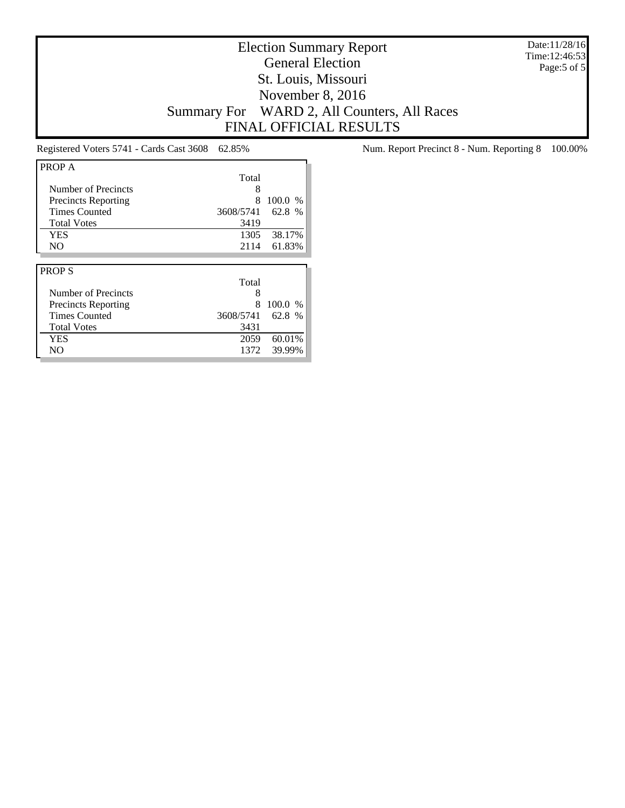Date:11/28/16 Time:12:46:53 Page:5 of 5

## Election Summary Report General Election St. Louis, Missouri November 8, 2016 Summary For WARD 2, All Counters, All Races FINAL OFFICIAL RESULTS

| PROP A                     |           |         |
|----------------------------|-----------|---------|
|                            | Total     |         |
| Number of Precincts        | 8         |         |
| <b>Precincts Reporting</b> | 8         | 100.0 % |
| <b>Times Counted</b>       | 3608/5741 | 62.8 %  |
| <b>Total Votes</b>         | 3419      |         |
| <b>YES</b>                 | 1305      | 38.17%  |
| N <sub>O</sub>             | 2114      | 61.83%  |
|                            |           |         |
|                            |           |         |
| <b>PROPS</b>               |           |         |
|                            | Total     |         |
| Number of Precincts        | 8         |         |
| <b>Precincts Reporting</b> | 8         | 100.0 % |
| <b>Times Counted</b>       | 3608/5741 | 62.8 %  |
| <b>Total Votes</b>         | 3431      |         |
| <b>YES</b>                 | 2059      | 60.01%  |

Registered Voters 5741 - Cards Cast 3608 62.85% Num. Report Precinct 8 - Num. Reporting 8 100.00%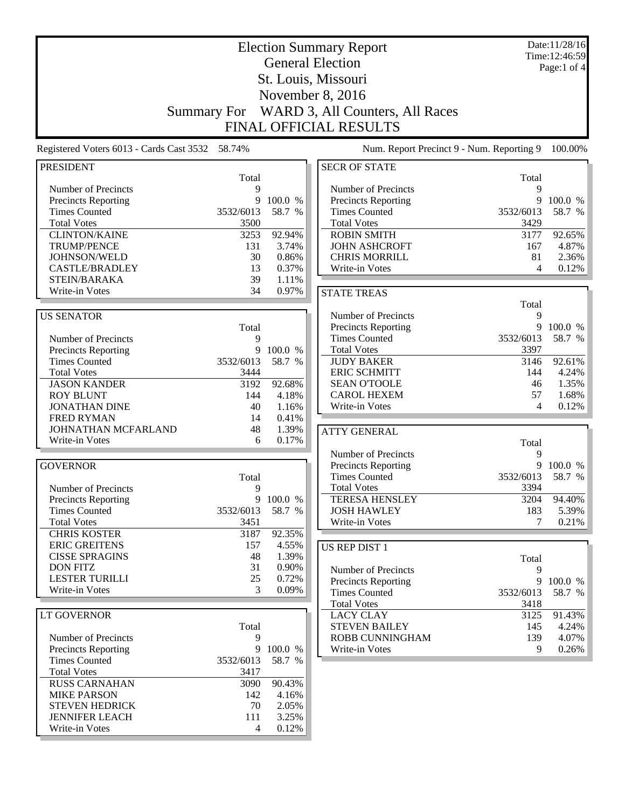| <b>General Election</b><br>Page:1 of $4$<br>St. Louis, Missouri<br>November 8, 2016<br>WARD 3, All Counters, All Races<br><b>Summary For</b><br><b>FINAL OFFICIAL RESULTS</b><br>Registered Voters 6013 - Cards Cast 3532 58.74%<br>Num. Report Precinct 9 - Num. Reporting 9<br><b>SECR OF STATE</b><br><b>PRESIDENT</b><br>Total<br>Total<br>Number of Precincts<br>Number of Precincts<br>9<br>9<br>9<br>100.0 %<br>9<br><b>Precincts Reporting</b><br><b>Precincts Reporting</b><br><b>Times Counted</b><br>3532/6013<br>58.7 %<br><b>Times Counted</b><br>3532/6013<br>58.7 %<br><b>Total Votes</b><br>3500<br><b>Total Votes</b><br>3429<br><b>CLINTON/KAINE</b><br>92.94%<br><b>ROBIN SMITH</b><br>3253<br>3177<br>92.65%<br><b>TRUMP/PENCE</b><br>131<br>3.74%<br><b>JOHN ASHCROFT</b><br>167<br>4.87%<br>30<br>JOHNSON/WELD<br>0.86%<br><b>CHRIS MORRILL</b><br>81<br><b>CASTLE/BRADLEY</b><br>13<br>0.37%<br>Write-in Votes<br>4<br>39<br>STEIN/BARAKA<br>1.11%<br>34<br>0.97%<br>Write-in Votes<br><b>STATE TREAS</b><br>Total<br>9<br>Number of Precincts<br><b>US SENATOR</b><br>Precincts Reporting<br>9<br>100.0 %<br>Total<br>3532/6013<br>58.7 %<br><b>Times Counted</b><br>Number of Precincts<br>9<br>9<br><b>Total Votes</b><br>3397<br><b>Precincts Reporting</b><br>100.0 %<br>58.7 %<br><b>Times Counted</b><br>3532/6013<br><b>JUDY BAKER</b><br>3146<br>92.61%<br><b>Total Votes</b><br>3444<br><b>ERIC SCHMITT</b><br>144<br>92.68%<br><b>SEAN O'TOOLE</b><br><b>JASON KANDER</b><br>3192<br>46<br><b>CAROL HEXEM</b><br>57<br><b>ROY BLUNT</b><br>144<br>4.18%<br><b>JONATHAN DINE</b><br>40<br>Write-in Votes<br>4<br>1.16%<br><b>FRED RYMAN</b><br>14<br>0.41%<br>JOHNATHAN MCFARLAND<br>48<br>1.39%<br><b>ATTY GENERAL</b><br>0.17%<br>Write-in Votes<br>6<br>Total<br>Number of Precincts<br>9<br><b>Precincts Reporting</b><br>9<br><b>GOVERNOR</b><br>100.0 %<br><b>Times Counted</b><br>58.7 %<br>3532/6013<br>Total<br>3394<br><b>Total Votes</b><br>Number of Precincts<br>9<br>9 100.0 %<br><b>TERESA HENSLEY</b><br><b>Precincts Reporting</b><br>3204<br>58.7 %<br><b>Times Counted</b><br><b>JOSH HAWLEY</b><br>183<br>3532/6013<br><b>Total Votes</b><br>3451<br>Write-in Votes<br>7<br><b>CHRIS KOSTER</b><br>3187<br>92.35%<br><b>ERIC GREITENS</b><br>157<br>4.55%<br>US REP DIST 1<br><b>CISSE SPRAGINS</b><br>48<br>1.39%<br>Total<br><b>DON FITZ</b><br>31<br>0.90%<br>Number of Precincts<br>9<br><b>LESTER TURILLI</b><br>25<br>0.72%<br>Precincts Reporting<br>0.09%<br>Write-in Votes<br>3<br><b>Times Counted</b><br>3532/6013<br><b>Total Votes</b><br>3418<br>LT GOVERNOR<br><b>LACY CLAY</b><br>3125<br>91.43%<br>Total<br><b>STEVEN BAILEY</b><br>145<br>Number of Precincts<br>ROBB CUNNINGHAM<br>139<br>9<br><b>Precincts Reporting</b><br>9<br>100.0 %<br>Write-in Votes<br>9<br><b>Times Counted</b><br>3532/6013<br>58.7 %<br><b>Total Votes</b><br>3417<br>90.43%<br><b>RUSS CARNAHAN</b><br>3090<br><b>MIKE PARSON</b><br>142<br>4.16%<br><b>STEVEN HEDRICK</b><br>70<br>2.05%<br><b>JENNIFER LEACH</b><br>3.25%<br>111<br>Write-in Votes<br>4<br>0.12% | <b>Election Summary Report</b> |  |  |  |  | Date:11/28/16<br>Time: 12:46:59 |  |
|------------------------------------------------------------------------------------------------------------------------------------------------------------------------------------------------------------------------------------------------------------------------------------------------------------------------------------------------------------------------------------------------------------------------------------------------------------------------------------------------------------------------------------------------------------------------------------------------------------------------------------------------------------------------------------------------------------------------------------------------------------------------------------------------------------------------------------------------------------------------------------------------------------------------------------------------------------------------------------------------------------------------------------------------------------------------------------------------------------------------------------------------------------------------------------------------------------------------------------------------------------------------------------------------------------------------------------------------------------------------------------------------------------------------------------------------------------------------------------------------------------------------------------------------------------------------------------------------------------------------------------------------------------------------------------------------------------------------------------------------------------------------------------------------------------------------------------------------------------------------------------------------------------------------------------------------------------------------------------------------------------------------------------------------------------------------------------------------------------------------------------------------------------------------------------------------------------------------------------------------------------------------------------------------------------------------------------------------------------------------------------------------------------------------------------------------------------------------------------------------------------------------------------------------------------------------------------------------------------------------------------------------------------------------------------------------------------------------------------------------------------------------------------------------------------------------------------------------------------------------------------------------------------------------------------------------------------------------------------------------------------------------------------------------------------------------------------------------------------------------|--------------------------------|--|--|--|--|---------------------------------|--|
|                                                                                                                                                                                                                                                                                                                                                                                                                                                                                                                                                                                                                                                                                                                                                                                                                                                                                                                                                                                                                                                                                                                                                                                                                                                                                                                                                                                                                                                                                                                                                                                                                                                                                                                                                                                                                                                                                                                                                                                                                                                                                                                                                                                                                                                                                                                                                                                                                                                                                                                                                                                                                                                                                                                                                                                                                                                                                                                                                                                                                                                                                                                        |                                |  |  |  |  |                                 |  |
|                                                                                                                                                                                                                                                                                                                                                                                                                                                                                                                                                                                                                                                                                                                                                                                                                                                                                                                                                                                                                                                                                                                                                                                                                                                                                                                                                                                                                                                                                                                                                                                                                                                                                                                                                                                                                                                                                                                                                                                                                                                                                                                                                                                                                                                                                                                                                                                                                                                                                                                                                                                                                                                                                                                                                                                                                                                                                                                                                                                                                                                                                                                        |                                |  |  |  |  |                                 |  |
|                                                                                                                                                                                                                                                                                                                                                                                                                                                                                                                                                                                                                                                                                                                                                                                                                                                                                                                                                                                                                                                                                                                                                                                                                                                                                                                                                                                                                                                                                                                                                                                                                                                                                                                                                                                                                                                                                                                                                                                                                                                                                                                                                                                                                                                                                                                                                                                                                                                                                                                                                                                                                                                                                                                                                                                                                                                                                                                                                                                                                                                                                                                        |                                |  |  |  |  |                                 |  |
| 100.00%<br>100.0 %<br>2.36%<br>0.12%<br>4.24%<br>1.68%                                                                                                                                                                                                                                                                                                                                                                                                                                                                                                                                                                                                                                                                                                                                                                                                                                                                                                                                                                                                                                                                                                                                                                                                                                                                                                                                                                                                                                                                                                                                                                                                                                                                                                                                                                                                                                                                                                                                                                                                                                                                                                                                                                                                                                                                                                                                                                                                                                                                                                                                                                                                                                                                                                                                                                                                                                                                                                                                                                                                                                                                 |                                |  |  |  |  |                                 |  |
|                                                                                                                                                                                                                                                                                                                                                                                                                                                                                                                                                                                                                                                                                                                                                                                                                                                                                                                                                                                                                                                                                                                                                                                                                                                                                                                                                                                                                                                                                                                                                                                                                                                                                                                                                                                                                                                                                                                                                                                                                                                                                                                                                                                                                                                                                                                                                                                                                                                                                                                                                                                                                                                                                                                                                                                                                                                                                                                                                                                                                                                                                                                        |                                |  |  |  |  |                                 |  |
|                                                                                                                                                                                                                                                                                                                                                                                                                                                                                                                                                                                                                                                                                                                                                                                                                                                                                                                                                                                                                                                                                                                                                                                                                                                                                                                                                                                                                                                                                                                                                                                                                                                                                                                                                                                                                                                                                                                                                                                                                                                                                                                                                                                                                                                                                                                                                                                                                                                                                                                                                                                                                                                                                                                                                                                                                                                                                                                                                                                                                                                                                                                        |                                |  |  |  |  |                                 |  |
|                                                                                                                                                                                                                                                                                                                                                                                                                                                                                                                                                                                                                                                                                                                                                                                                                                                                                                                                                                                                                                                                                                                                                                                                                                                                                                                                                                                                                                                                                                                                                                                                                                                                                                                                                                                                                                                                                                                                                                                                                                                                                                                                                                                                                                                                                                                                                                                                                                                                                                                                                                                                                                                                                                                                                                                                                                                                                                                                                                                                                                                                                                                        |                                |  |  |  |  |                                 |  |
|                                                                                                                                                                                                                                                                                                                                                                                                                                                                                                                                                                                                                                                                                                                                                                                                                                                                                                                                                                                                                                                                                                                                                                                                                                                                                                                                                                                                                                                                                                                                                                                                                                                                                                                                                                                                                                                                                                                                                                                                                                                                                                                                                                                                                                                                                                                                                                                                                                                                                                                                                                                                                                                                                                                                                                                                                                                                                                                                                                                                                                                                                                                        |                                |  |  |  |  |                                 |  |
|                                                                                                                                                                                                                                                                                                                                                                                                                                                                                                                                                                                                                                                                                                                                                                                                                                                                                                                                                                                                                                                                                                                                                                                                                                                                                                                                                                                                                                                                                                                                                                                                                                                                                                                                                                                                                                                                                                                                                                                                                                                                                                                                                                                                                                                                                                                                                                                                                                                                                                                                                                                                                                                                                                                                                                                                                                                                                                                                                                                                                                                                                                                        |                                |  |  |  |  |                                 |  |
|                                                                                                                                                                                                                                                                                                                                                                                                                                                                                                                                                                                                                                                                                                                                                                                                                                                                                                                                                                                                                                                                                                                                                                                                                                                                                                                                                                                                                                                                                                                                                                                                                                                                                                                                                                                                                                                                                                                                                                                                                                                                                                                                                                                                                                                                                                                                                                                                                                                                                                                                                                                                                                                                                                                                                                                                                                                                                                                                                                                                                                                                                                                        |                                |  |  |  |  |                                 |  |
|                                                                                                                                                                                                                                                                                                                                                                                                                                                                                                                                                                                                                                                                                                                                                                                                                                                                                                                                                                                                                                                                                                                                                                                                                                                                                                                                                                                                                                                                                                                                                                                                                                                                                                                                                                                                                                                                                                                                                                                                                                                                                                                                                                                                                                                                                                                                                                                                                                                                                                                                                                                                                                                                                                                                                                                                                                                                                                                                                                                                                                                                                                                        |                                |  |  |  |  |                                 |  |
|                                                                                                                                                                                                                                                                                                                                                                                                                                                                                                                                                                                                                                                                                                                                                                                                                                                                                                                                                                                                                                                                                                                                                                                                                                                                                                                                                                                                                                                                                                                                                                                                                                                                                                                                                                                                                                                                                                                                                                                                                                                                                                                                                                                                                                                                                                                                                                                                                                                                                                                                                                                                                                                                                                                                                                                                                                                                                                                                                                                                                                                                                                                        |                                |  |  |  |  |                                 |  |
|                                                                                                                                                                                                                                                                                                                                                                                                                                                                                                                                                                                                                                                                                                                                                                                                                                                                                                                                                                                                                                                                                                                                                                                                                                                                                                                                                                                                                                                                                                                                                                                                                                                                                                                                                                                                                                                                                                                                                                                                                                                                                                                                                                                                                                                                                                                                                                                                                                                                                                                                                                                                                                                                                                                                                                                                                                                                                                                                                                                                                                                                                                                        |                                |  |  |  |  |                                 |  |
|                                                                                                                                                                                                                                                                                                                                                                                                                                                                                                                                                                                                                                                                                                                                                                                                                                                                                                                                                                                                                                                                                                                                                                                                                                                                                                                                                                                                                                                                                                                                                                                                                                                                                                                                                                                                                                                                                                                                                                                                                                                                                                                                                                                                                                                                                                                                                                                                                                                                                                                                                                                                                                                                                                                                                                                                                                                                                                                                                                                                                                                                                                                        |                                |  |  |  |  |                                 |  |
|                                                                                                                                                                                                                                                                                                                                                                                                                                                                                                                                                                                                                                                                                                                                                                                                                                                                                                                                                                                                                                                                                                                                                                                                                                                                                                                                                                                                                                                                                                                                                                                                                                                                                                                                                                                                                                                                                                                                                                                                                                                                                                                                                                                                                                                                                                                                                                                                                                                                                                                                                                                                                                                                                                                                                                                                                                                                                                                                                                                                                                                                                                                        |                                |  |  |  |  |                                 |  |
|                                                                                                                                                                                                                                                                                                                                                                                                                                                                                                                                                                                                                                                                                                                                                                                                                                                                                                                                                                                                                                                                                                                                                                                                                                                                                                                                                                                                                                                                                                                                                                                                                                                                                                                                                                                                                                                                                                                                                                                                                                                                                                                                                                                                                                                                                                                                                                                                                                                                                                                                                                                                                                                                                                                                                                                                                                                                                                                                                                                                                                                                                                                        |                                |  |  |  |  |                                 |  |
|                                                                                                                                                                                                                                                                                                                                                                                                                                                                                                                                                                                                                                                                                                                                                                                                                                                                                                                                                                                                                                                                                                                                                                                                                                                                                                                                                                                                                                                                                                                                                                                                                                                                                                                                                                                                                                                                                                                                                                                                                                                                                                                                                                                                                                                                                                                                                                                                                                                                                                                                                                                                                                                                                                                                                                                                                                                                                                                                                                                                                                                                                                                        |                                |  |  |  |  |                                 |  |
|                                                                                                                                                                                                                                                                                                                                                                                                                                                                                                                                                                                                                                                                                                                                                                                                                                                                                                                                                                                                                                                                                                                                                                                                                                                                                                                                                                                                                                                                                                                                                                                                                                                                                                                                                                                                                                                                                                                                                                                                                                                                                                                                                                                                                                                                                                                                                                                                                                                                                                                                                                                                                                                                                                                                                                                                                                                                                                                                                                                                                                                                                                                        |                                |  |  |  |  |                                 |  |
| 1.35%<br>0.12%<br>94.40%<br>5.39%<br>0.21%<br>9 100.0 %<br>58.7 %<br>4.24%<br>4.07%<br>$0.26\%$                                                                                                                                                                                                                                                                                                                                                                                                                                                                                                                                                                                                                                                                                                                                                                                                                                                                                                                                                                                                                                                                                                                                                                                                                                                                                                                                                                                                                                                                                                                                                                                                                                                                                                                                                                                                                                                                                                                                                                                                                                                                                                                                                                                                                                                                                                                                                                                                                                                                                                                                                                                                                                                                                                                                                                                                                                                                                                                                                                                                                        |                                |  |  |  |  |                                 |  |
|                                                                                                                                                                                                                                                                                                                                                                                                                                                                                                                                                                                                                                                                                                                                                                                                                                                                                                                                                                                                                                                                                                                                                                                                                                                                                                                                                                                                                                                                                                                                                                                                                                                                                                                                                                                                                                                                                                                                                                                                                                                                                                                                                                                                                                                                                                                                                                                                                                                                                                                                                                                                                                                                                                                                                                                                                                                                                                                                                                                                                                                                                                                        |                                |  |  |  |  |                                 |  |
|                                                                                                                                                                                                                                                                                                                                                                                                                                                                                                                                                                                                                                                                                                                                                                                                                                                                                                                                                                                                                                                                                                                                                                                                                                                                                                                                                                                                                                                                                                                                                                                                                                                                                                                                                                                                                                                                                                                                                                                                                                                                                                                                                                                                                                                                                                                                                                                                                                                                                                                                                                                                                                                                                                                                                                                                                                                                                                                                                                                                                                                                                                                        |                                |  |  |  |  |                                 |  |
|                                                                                                                                                                                                                                                                                                                                                                                                                                                                                                                                                                                                                                                                                                                                                                                                                                                                                                                                                                                                                                                                                                                                                                                                                                                                                                                                                                                                                                                                                                                                                                                                                                                                                                                                                                                                                                                                                                                                                                                                                                                                                                                                                                                                                                                                                                                                                                                                                                                                                                                                                                                                                                                                                                                                                                                                                                                                                                                                                                                                                                                                                                                        |                                |  |  |  |  |                                 |  |
|                                                                                                                                                                                                                                                                                                                                                                                                                                                                                                                                                                                                                                                                                                                                                                                                                                                                                                                                                                                                                                                                                                                                                                                                                                                                                                                                                                                                                                                                                                                                                                                                                                                                                                                                                                                                                                                                                                                                                                                                                                                                                                                                                                                                                                                                                                                                                                                                                                                                                                                                                                                                                                                                                                                                                                                                                                                                                                                                                                                                                                                                                                                        |                                |  |  |  |  |                                 |  |
|                                                                                                                                                                                                                                                                                                                                                                                                                                                                                                                                                                                                                                                                                                                                                                                                                                                                                                                                                                                                                                                                                                                                                                                                                                                                                                                                                                                                                                                                                                                                                                                                                                                                                                                                                                                                                                                                                                                                                                                                                                                                                                                                                                                                                                                                                                                                                                                                                                                                                                                                                                                                                                                                                                                                                                                                                                                                                                                                                                                                                                                                                                                        |                                |  |  |  |  |                                 |  |
|                                                                                                                                                                                                                                                                                                                                                                                                                                                                                                                                                                                                                                                                                                                                                                                                                                                                                                                                                                                                                                                                                                                                                                                                                                                                                                                                                                                                                                                                                                                                                                                                                                                                                                                                                                                                                                                                                                                                                                                                                                                                                                                                                                                                                                                                                                                                                                                                                                                                                                                                                                                                                                                                                                                                                                                                                                                                                                                                                                                                                                                                                                                        |                                |  |  |  |  |                                 |  |
|                                                                                                                                                                                                                                                                                                                                                                                                                                                                                                                                                                                                                                                                                                                                                                                                                                                                                                                                                                                                                                                                                                                                                                                                                                                                                                                                                                                                                                                                                                                                                                                                                                                                                                                                                                                                                                                                                                                                                                                                                                                                                                                                                                                                                                                                                                                                                                                                                                                                                                                                                                                                                                                                                                                                                                                                                                                                                                                                                                                                                                                                                                                        |                                |  |  |  |  |                                 |  |
|                                                                                                                                                                                                                                                                                                                                                                                                                                                                                                                                                                                                                                                                                                                                                                                                                                                                                                                                                                                                                                                                                                                                                                                                                                                                                                                                                                                                                                                                                                                                                                                                                                                                                                                                                                                                                                                                                                                                                                                                                                                                                                                                                                                                                                                                                                                                                                                                                                                                                                                                                                                                                                                                                                                                                                                                                                                                                                                                                                                                                                                                                                                        |                                |  |  |  |  |                                 |  |
|                                                                                                                                                                                                                                                                                                                                                                                                                                                                                                                                                                                                                                                                                                                                                                                                                                                                                                                                                                                                                                                                                                                                                                                                                                                                                                                                                                                                                                                                                                                                                                                                                                                                                                                                                                                                                                                                                                                                                                                                                                                                                                                                                                                                                                                                                                                                                                                                                                                                                                                                                                                                                                                                                                                                                                                                                                                                                                                                                                                                                                                                                                                        |                                |  |  |  |  |                                 |  |
|                                                                                                                                                                                                                                                                                                                                                                                                                                                                                                                                                                                                                                                                                                                                                                                                                                                                                                                                                                                                                                                                                                                                                                                                                                                                                                                                                                                                                                                                                                                                                                                                                                                                                                                                                                                                                                                                                                                                                                                                                                                                                                                                                                                                                                                                                                                                                                                                                                                                                                                                                                                                                                                                                                                                                                                                                                                                                                                                                                                                                                                                                                                        |                                |  |  |  |  |                                 |  |
|                                                                                                                                                                                                                                                                                                                                                                                                                                                                                                                                                                                                                                                                                                                                                                                                                                                                                                                                                                                                                                                                                                                                                                                                                                                                                                                                                                                                                                                                                                                                                                                                                                                                                                                                                                                                                                                                                                                                                                                                                                                                                                                                                                                                                                                                                                                                                                                                                                                                                                                                                                                                                                                                                                                                                                                                                                                                                                                                                                                                                                                                                                                        |                                |  |  |  |  |                                 |  |
|                                                                                                                                                                                                                                                                                                                                                                                                                                                                                                                                                                                                                                                                                                                                                                                                                                                                                                                                                                                                                                                                                                                                                                                                                                                                                                                                                                                                                                                                                                                                                                                                                                                                                                                                                                                                                                                                                                                                                                                                                                                                                                                                                                                                                                                                                                                                                                                                                                                                                                                                                                                                                                                                                                                                                                                                                                                                                                                                                                                                                                                                                                                        |                                |  |  |  |  |                                 |  |
|                                                                                                                                                                                                                                                                                                                                                                                                                                                                                                                                                                                                                                                                                                                                                                                                                                                                                                                                                                                                                                                                                                                                                                                                                                                                                                                                                                                                                                                                                                                                                                                                                                                                                                                                                                                                                                                                                                                                                                                                                                                                                                                                                                                                                                                                                                                                                                                                                                                                                                                                                                                                                                                                                                                                                                                                                                                                                                                                                                                                                                                                                                                        |                                |  |  |  |  |                                 |  |
|                                                                                                                                                                                                                                                                                                                                                                                                                                                                                                                                                                                                                                                                                                                                                                                                                                                                                                                                                                                                                                                                                                                                                                                                                                                                                                                                                                                                                                                                                                                                                                                                                                                                                                                                                                                                                                                                                                                                                                                                                                                                                                                                                                                                                                                                                                                                                                                                                                                                                                                                                                                                                                                                                                                                                                                                                                                                                                                                                                                                                                                                                                                        |                                |  |  |  |  |                                 |  |
|                                                                                                                                                                                                                                                                                                                                                                                                                                                                                                                                                                                                                                                                                                                                                                                                                                                                                                                                                                                                                                                                                                                                                                                                                                                                                                                                                                                                                                                                                                                                                                                                                                                                                                                                                                                                                                                                                                                                                                                                                                                                                                                                                                                                                                                                                                                                                                                                                                                                                                                                                                                                                                                                                                                                                                                                                                                                                                                                                                                                                                                                                                                        |                                |  |  |  |  |                                 |  |
|                                                                                                                                                                                                                                                                                                                                                                                                                                                                                                                                                                                                                                                                                                                                                                                                                                                                                                                                                                                                                                                                                                                                                                                                                                                                                                                                                                                                                                                                                                                                                                                                                                                                                                                                                                                                                                                                                                                                                                                                                                                                                                                                                                                                                                                                                                                                                                                                                                                                                                                                                                                                                                                                                                                                                                                                                                                                                                                                                                                                                                                                                                                        |                                |  |  |  |  |                                 |  |
|                                                                                                                                                                                                                                                                                                                                                                                                                                                                                                                                                                                                                                                                                                                                                                                                                                                                                                                                                                                                                                                                                                                                                                                                                                                                                                                                                                                                                                                                                                                                                                                                                                                                                                                                                                                                                                                                                                                                                                                                                                                                                                                                                                                                                                                                                                                                                                                                                                                                                                                                                                                                                                                                                                                                                                                                                                                                                                                                                                                                                                                                                                                        |                                |  |  |  |  |                                 |  |
|                                                                                                                                                                                                                                                                                                                                                                                                                                                                                                                                                                                                                                                                                                                                                                                                                                                                                                                                                                                                                                                                                                                                                                                                                                                                                                                                                                                                                                                                                                                                                                                                                                                                                                                                                                                                                                                                                                                                                                                                                                                                                                                                                                                                                                                                                                                                                                                                                                                                                                                                                                                                                                                                                                                                                                                                                                                                                                                                                                                                                                                                                                                        |                                |  |  |  |  |                                 |  |
|                                                                                                                                                                                                                                                                                                                                                                                                                                                                                                                                                                                                                                                                                                                                                                                                                                                                                                                                                                                                                                                                                                                                                                                                                                                                                                                                                                                                                                                                                                                                                                                                                                                                                                                                                                                                                                                                                                                                                                                                                                                                                                                                                                                                                                                                                                                                                                                                                                                                                                                                                                                                                                                                                                                                                                                                                                                                                                                                                                                                                                                                                                                        |                                |  |  |  |  |                                 |  |
|                                                                                                                                                                                                                                                                                                                                                                                                                                                                                                                                                                                                                                                                                                                                                                                                                                                                                                                                                                                                                                                                                                                                                                                                                                                                                                                                                                                                                                                                                                                                                                                                                                                                                                                                                                                                                                                                                                                                                                                                                                                                                                                                                                                                                                                                                                                                                                                                                                                                                                                                                                                                                                                                                                                                                                                                                                                                                                                                                                                                                                                                                                                        |                                |  |  |  |  |                                 |  |
|                                                                                                                                                                                                                                                                                                                                                                                                                                                                                                                                                                                                                                                                                                                                                                                                                                                                                                                                                                                                                                                                                                                                                                                                                                                                                                                                                                                                                                                                                                                                                                                                                                                                                                                                                                                                                                                                                                                                                                                                                                                                                                                                                                                                                                                                                                                                                                                                                                                                                                                                                                                                                                                                                                                                                                                                                                                                                                                                                                                                                                                                                                                        |                                |  |  |  |  |                                 |  |
|                                                                                                                                                                                                                                                                                                                                                                                                                                                                                                                                                                                                                                                                                                                                                                                                                                                                                                                                                                                                                                                                                                                                                                                                                                                                                                                                                                                                                                                                                                                                                                                                                                                                                                                                                                                                                                                                                                                                                                                                                                                                                                                                                                                                                                                                                                                                                                                                                                                                                                                                                                                                                                                                                                                                                                                                                                                                                                                                                                                                                                                                                                                        |                                |  |  |  |  |                                 |  |
|                                                                                                                                                                                                                                                                                                                                                                                                                                                                                                                                                                                                                                                                                                                                                                                                                                                                                                                                                                                                                                                                                                                                                                                                                                                                                                                                                                                                                                                                                                                                                                                                                                                                                                                                                                                                                                                                                                                                                                                                                                                                                                                                                                                                                                                                                                                                                                                                                                                                                                                                                                                                                                                                                                                                                                                                                                                                                                                                                                                                                                                                                                                        |                                |  |  |  |  |                                 |  |
|                                                                                                                                                                                                                                                                                                                                                                                                                                                                                                                                                                                                                                                                                                                                                                                                                                                                                                                                                                                                                                                                                                                                                                                                                                                                                                                                                                                                                                                                                                                                                                                                                                                                                                                                                                                                                                                                                                                                                                                                                                                                                                                                                                                                                                                                                                                                                                                                                                                                                                                                                                                                                                                                                                                                                                                                                                                                                                                                                                                                                                                                                                                        |                                |  |  |  |  |                                 |  |
|                                                                                                                                                                                                                                                                                                                                                                                                                                                                                                                                                                                                                                                                                                                                                                                                                                                                                                                                                                                                                                                                                                                                                                                                                                                                                                                                                                                                                                                                                                                                                                                                                                                                                                                                                                                                                                                                                                                                                                                                                                                                                                                                                                                                                                                                                                                                                                                                                                                                                                                                                                                                                                                                                                                                                                                                                                                                                                                                                                                                                                                                                                                        |                                |  |  |  |  |                                 |  |
|                                                                                                                                                                                                                                                                                                                                                                                                                                                                                                                                                                                                                                                                                                                                                                                                                                                                                                                                                                                                                                                                                                                                                                                                                                                                                                                                                                                                                                                                                                                                                                                                                                                                                                                                                                                                                                                                                                                                                                                                                                                                                                                                                                                                                                                                                                                                                                                                                                                                                                                                                                                                                                                                                                                                                                                                                                                                                                                                                                                                                                                                                                                        |                                |  |  |  |  |                                 |  |
|                                                                                                                                                                                                                                                                                                                                                                                                                                                                                                                                                                                                                                                                                                                                                                                                                                                                                                                                                                                                                                                                                                                                                                                                                                                                                                                                                                                                                                                                                                                                                                                                                                                                                                                                                                                                                                                                                                                                                                                                                                                                                                                                                                                                                                                                                                                                                                                                                                                                                                                                                                                                                                                                                                                                                                                                                                                                                                                                                                                                                                                                                                                        |                                |  |  |  |  |                                 |  |
|                                                                                                                                                                                                                                                                                                                                                                                                                                                                                                                                                                                                                                                                                                                                                                                                                                                                                                                                                                                                                                                                                                                                                                                                                                                                                                                                                                                                                                                                                                                                                                                                                                                                                                                                                                                                                                                                                                                                                                                                                                                                                                                                                                                                                                                                                                                                                                                                                                                                                                                                                                                                                                                                                                                                                                                                                                                                                                                                                                                                                                                                                                                        |                                |  |  |  |  |                                 |  |
|                                                                                                                                                                                                                                                                                                                                                                                                                                                                                                                                                                                                                                                                                                                                                                                                                                                                                                                                                                                                                                                                                                                                                                                                                                                                                                                                                                                                                                                                                                                                                                                                                                                                                                                                                                                                                                                                                                                                                                                                                                                                                                                                                                                                                                                                                                                                                                                                                                                                                                                                                                                                                                                                                                                                                                                                                                                                                                                                                                                                                                                                                                                        |                                |  |  |  |  |                                 |  |
|                                                                                                                                                                                                                                                                                                                                                                                                                                                                                                                                                                                                                                                                                                                                                                                                                                                                                                                                                                                                                                                                                                                                                                                                                                                                                                                                                                                                                                                                                                                                                                                                                                                                                                                                                                                                                                                                                                                                                                                                                                                                                                                                                                                                                                                                                                                                                                                                                                                                                                                                                                                                                                                                                                                                                                                                                                                                                                                                                                                                                                                                                                                        |                                |  |  |  |  |                                 |  |
|                                                                                                                                                                                                                                                                                                                                                                                                                                                                                                                                                                                                                                                                                                                                                                                                                                                                                                                                                                                                                                                                                                                                                                                                                                                                                                                                                                                                                                                                                                                                                                                                                                                                                                                                                                                                                                                                                                                                                                                                                                                                                                                                                                                                                                                                                                                                                                                                                                                                                                                                                                                                                                                                                                                                                                                                                                                                                                                                                                                                                                                                                                                        |                                |  |  |  |  |                                 |  |
|                                                                                                                                                                                                                                                                                                                                                                                                                                                                                                                                                                                                                                                                                                                                                                                                                                                                                                                                                                                                                                                                                                                                                                                                                                                                                                                                                                                                                                                                                                                                                                                                                                                                                                                                                                                                                                                                                                                                                                                                                                                                                                                                                                                                                                                                                                                                                                                                                                                                                                                                                                                                                                                                                                                                                                                                                                                                                                                                                                                                                                                                                                                        |                                |  |  |  |  |                                 |  |
|                                                                                                                                                                                                                                                                                                                                                                                                                                                                                                                                                                                                                                                                                                                                                                                                                                                                                                                                                                                                                                                                                                                                                                                                                                                                                                                                                                                                                                                                                                                                                                                                                                                                                                                                                                                                                                                                                                                                                                                                                                                                                                                                                                                                                                                                                                                                                                                                                                                                                                                                                                                                                                                                                                                                                                                                                                                                                                                                                                                                                                                                                                                        |                                |  |  |  |  |                                 |  |
|                                                                                                                                                                                                                                                                                                                                                                                                                                                                                                                                                                                                                                                                                                                                                                                                                                                                                                                                                                                                                                                                                                                                                                                                                                                                                                                                                                                                                                                                                                                                                                                                                                                                                                                                                                                                                                                                                                                                                                                                                                                                                                                                                                                                                                                                                                                                                                                                                                                                                                                                                                                                                                                                                                                                                                                                                                                                                                                                                                                                                                                                                                                        |                                |  |  |  |  |                                 |  |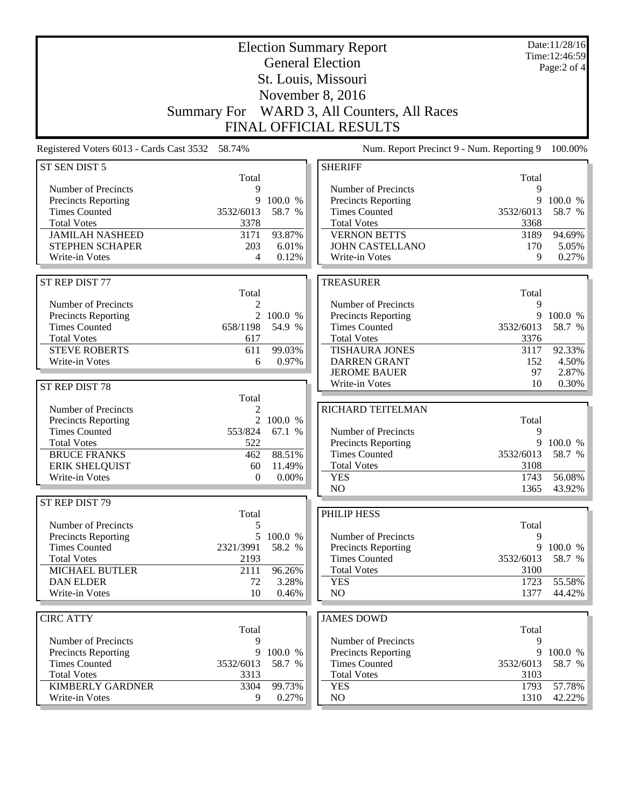| <b>Election Summary Report</b><br><b>General Election</b> |                    |              |                                           |           | Date:11/28/16<br>Time: 12:46:59 |
|-----------------------------------------------------------|--------------------|--------------|-------------------------------------------|-----------|---------------------------------|
|                                                           |                    | Page: 2 of 4 |                                           |           |                                 |
|                                                           |                    |              |                                           |           |                                 |
| November 8, 2016                                          |                    |              |                                           |           |                                 |
|                                                           | <b>Summary For</b> |              | WARD 3, All Counters, All Races           |           |                                 |
|                                                           |                    |              | <b>FINAL OFFICIAL RESULTS</b>             |           |                                 |
| Registered Voters 6013 - Cards Cast 3532 58.74%           |                    |              | Num. Report Precinct 9 - Num. Reporting 9 |           | 100.00%                         |
| ST SEN DIST 5                                             | Total              |              | <b>SHERIFF</b>                            | Total     |                                 |
| Number of Precincts                                       | 9                  |              | Number of Precincts                       | 9         |                                 |
| <b>Precincts Reporting</b>                                | 9                  | 100.0 %      | Precincts Reporting                       | 9         | 100.0 %                         |
| <b>Times Counted</b>                                      | 3532/6013          | 58.7 %       | <b>Times Counted</b>                      | 3532/6013 | 58.7 %                          |
| <b>Total Votes</b>                                        | 3378               |              | <b>Total Votes</b>                        | 3368      |                                 |
| <b>JAMILAH NASHEED</b>                                    | 3171               | 93.87%       | <b>VERNON BETTS</b>                       | 3189      | 94.69%                          |
| STEPHEN SCHAPER                                           | 203                | 6.01%        | <b>JOHN CASTELLANO</b>                    | 170       | 5.05%                           |
| Write-in Votes                                            | 4                  | 0.12%        | Write-in Votes                            | 9         | 0.27%                           |
| ST REP DIST 77                                            |                    |              | <b>TREASURER</b>                          |           |                                 |
|                                                           | Total              |              |                                           | Total     |                                 |
| Number of Precincts                                       | 2                  |              | Number of Precincts                       | 9         |                                 |
| <b>Precincts Reporting</b>                                |                    | 2 100.0 %    | Precincts Reporting                       | 9         | 100.0 %                         |
| <b>Times Counted</b>                                      | 658/1198           | 54.9 %       | <b>Times Counted</b>                      | 3532/6013 | 58.7 %                          |
| <b>Total Votes</b>                                        | 617                |              | <b>Total Votes</b>                        | 3376      |                                 |
| <b>STEVE ROBERTS</b>                                      | 611                | 99.03%       | <b>TISHAURA JONES</b>                     | 3117      | 92.33%                          |
| Write-in Votes                                            | 6                  | 0.97%        | <b>DARREN GRANT</b>                       | 152       | 4.50%                           |
|                                                           |                    |              | <b>JEROME BAUER</b>                       | 97        | 2.87%                           |
| ST REP DIST 78                                            | Total              |              | Write-in Votes                            | 10        | 0.30%                           |
| Number of Precincts                                       | 2                  |              | RICHARD TEITELMAN                         |           |                                 |
| <b>Precincts Reporting</b>                                | $\overline{2}$     | 100.0 %      |                                           | Total     |                                 |
| <b>Times Counted</b>                                      | 553/824            | 67.1 %       | Number of Precincts                       | 9         |                                 |
| <b>Total Votes</b>                                        | 522                |              | <b>Precincts Reporting</b>                | 9         | 100.0 %                         |
| <b>BRUCE FRANKS</b>                                       | 462                | 88.51%       | <b>Times Counted</b>                      | 3532/6013 | 58.7 %                          |
| <b>ERIK SHELQUIST</b>                                     | 60                 | 11.49%       | <b>Total Votes</b>                        | 3108      |                                 |
| Write-in Votes                                            | 0                  | 0.00%        | <b>YES</b>                                | 1743      | 56.08%                          |
|                                                           |                    |              | NO                                        | 1365      | 43.92%                          |
| ST REP DIST 79                                            | Total              |              | PHILIP HESS                               |           |                                 |
| Number of Precincts                                       | 5                  |              |                                           | Total     |                                 |
| Precincts Reporting                                       | 5                  | 100.0 %      | Number of Precincts                       | 9         |                                 |
| <b>Times Counted</b>                                      | 2321/3991          | 58.2 %       | <b>Precincts Reporting</b>                | 9         | 100.0 %                         |
| <b>Total Votes</b>                                        | 2193               |              | <b>Times Counted</b>                      | 3532/6013 | 58.7 %                          |
| <b>MICHAEL BUTLER</b>                                     | 2111               | 96.26%       | <b>Total Votes</b>                        | 3100      |                                 |
| <b>DAN ELDER</b>                                          | 72                 | 3.28%        | <b>YES</b>                                | 1723      | 55.58%                          |
| Write-in Votes                                            | 10                 | 0.46%        | NO                                        | 1377      | 44.42%                          |
| <b>CIRC ATTY</b>                                          |                    |              | <b>JAMES DOWD</b>                         |           |                                 |
|                                                           | Total              |              |                                           | Total     |                                 |
| Number of Precincts                                       | 9                  |              | Number of Precincts                       | 9         |                                 |
| Precincts Reporting                                       | 9                  | 100.0 %      | <b>Precincts Reporting</b>                | 9         | 100.0 %                         |
| <b>Times Counted</b>                                      | 3532/6013          | 58.7 %       | <b>Times Counted</b>                      | 3532/6013 | 58.7 %                          |
| <b>Total Votes</b>                                        | 3313               |              | <b>Total Votes</b>                        | 3103      |                                 |
| <b>KIMBERLY GARDNER</b>                                   | 3304               | 99.73%       | <b>YES</b>                                | 1793      | 57.78%                          |
| Write-in Votes                                            | 9                  | 0.27%        | NO                                        | 1310      | 42.22%                          |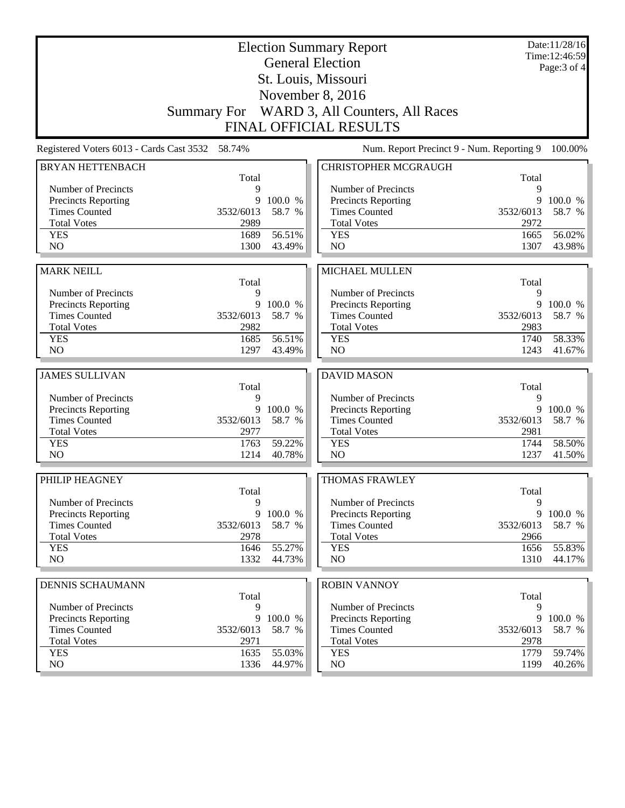|                                                 |           | Date:11/28/16<br>Time: 12:46:59 |                                             |           |              |
|-------------------------------------------------|-----------|---------------------------------|---------------------------------------------|-----------|--------------|
|                                                 |           |                                 | <b>General Election</b>                     |           | Page: 3 of 4 |
|                                                 |           |                                 | St. Louis, Missouri                         |           |              |
|                                                 |           |                                 | November 8, 2016                            |           |              |
|                                                 |           |                                 | Summary For WARD 3, All Counters, All Races |           |              |
|                                                 |           |                                 | <b>FINAL OFFICIAL RESULTS</b>               |           |              |
| Registered Voters 6013 - Cards Cast 3532 58.74% |           |                                 | Num. Report Precinct 9 - Num. Reporting 9   |           | 100.00%      |
| <b>BRYAN HETTENBACH</b>                         |           |                                 | <b>CHRISTOPHER MCGRAUGH</b>                 |           |              |
|                                                 | Total     |                                 |                                             | Total     |              |
| Number of Precincts                             | 9         |                                 | Number of Precincts                         | 9         |              |
| Precincts Reporting                             | 9         | 100.0 %                         | <b>Precincts Reporting</b>                  | 9         | 100.0 %      |
| <b>Times Counted</b>                            | 3532/6013 | 58.7 %                          | <b>Times Counted</b>                        | 3532/6013 | 58.7 %       |
| <b>Total Votes</b>                              | 2989      |                                 | <b>Total Votes</b>                          | 2972      |              |
| <b>YES</b><br>NO                                | 1689      | 56.51%                          | <b>YES</b><br>NO                            | 1665      | 56.02%       |
|                                                 | 1300      | 43.49%                          |                                             | 1307      | 43.98%       |
| <b>MARK NEILL</b>                               |           |                                 | MICHAEL MULLEN                              |           |              |
|                                                 | Total     |                                 |                                             | Total     |              |
| Number of Precincts                             | 9         |                                 | Number of Precincts                         | 9         |              |
| Precincts Reporting                             | 9         | 100.0 %                         | Precincts Reporting                         | 9         | 100.0 %      |
| <b>Times Counted</b>                            | 3532/6013 | 58.7 %                          | <b>Times Counted</b>                        | 3532/6013 | 58.7 %       |
| <b>Total Votes</b>                              | 2982      |                                 | <b>Total Votes</b>                          | 2983      |              |
| <b>YES</b>                                      | 1685      | 56.51%                          | <b>YES</b>                                  | 1740      | 58.33%       |
| NO                                              | 1297      | 43.49%                          | NO                                          | 1243      | 41.67%       |
|                                                 |           |                                 |                                             |           |              |
| <b>JAMES SULLIVAN</b>                           |           |                                 | <b>DAVID MASON</b>                          |           |              |
|                                                 | Total     |                                 |                                             | Total     |              |
| Number of Precincts                             | 9         |                                 | Number of Precincts                         | 9         |              |
| Precincts Reporting                             | 9         | 100.0 %                         | <b>Precincts Reporting</b>                  | 9         | 100.0 %      |
| <b>Times Counted</b>                            | 3532/6013 | 58.7 %                          | <b>Times Counted</b>                        | 3532/6013 | 58.7 %       |
| <b>Total Votes</b>                              | 2977      |                                 | <b>Total Votes</b>                          | 2981      |              |
| <b>YES</b>                                      | 1763      | 59.22%                          | <b>YES</b>                                  | 1744      | 58.50%       |
| N <sub>O</sub>                                  | 1214      | 40.78%                          | NO                                          | 1237      | 41.50%       |
| PHILIP HEAGNEY                                  |           |                                 | <b>THOMAS FRAWLEY</b>                       |           |              |
|                                                 | Total     |                                 |                                             | Total     |              |
| Number of Precincts                             | 9         |                                 | Number of Precincts                         | 9         |              |
| <b>Precincts Reporting</b>                      | 9         | 100.0 %                         | <b>Precincts Reporting</b>                  | 9         | 100.0 %      |
| <b>Times Counted</b>                            | 3532/6013 | 58.7 %                          | <b>Times Counted</b>                        | 3532/6013 | 58.7 %       |
| <b>Total Votes</b>                              | 2978      |                                 | <b>Total Votes</b>                          | 2966      |              |
| <b>YES</b>                                      | 1646      | 55.27%                          | <b>YES</b>                                  | 1656      | 55.83%       |
| NO.                                             | 1332      | 44.73%                          | NO                                          | 1310      | 44.17%       |
|                                                 |           |                                 |                                             |           |              |
| <b>DENNIS SCHAUMANN</b>                         | Total     |                                 | <b>ROBIN VANNOY</b>                         | Total     |              |
| Number of Precincts                             | 9         |                                 | Number of Precincts                         | 9         |              |
| Precincts Reporting                             | 9         | 100.0 %                         | <b>Precincts Reporting</b>                  | 9         | 100.0 %      |
| <b>Times Counted</b>                            | 3532/6013 | 58.7 %                          | <b>Times Counted</b>                        | 3532/6013 | 58.7 %       |
| <b>Total Votes</b>                              | 2971      |                                 | <b>Total Votes</b>                          | 2978      |              |
| <b>YES</b>                                      | 1635      | 55.03%                          | <b>YES</b>                                  | 1779      | 59.74%       |
| NO.                                             | 1336      | 44.97%                          | NO                                          | 1199      | 40.26%       |
|                                                 |           |                                 |                                             |           |              |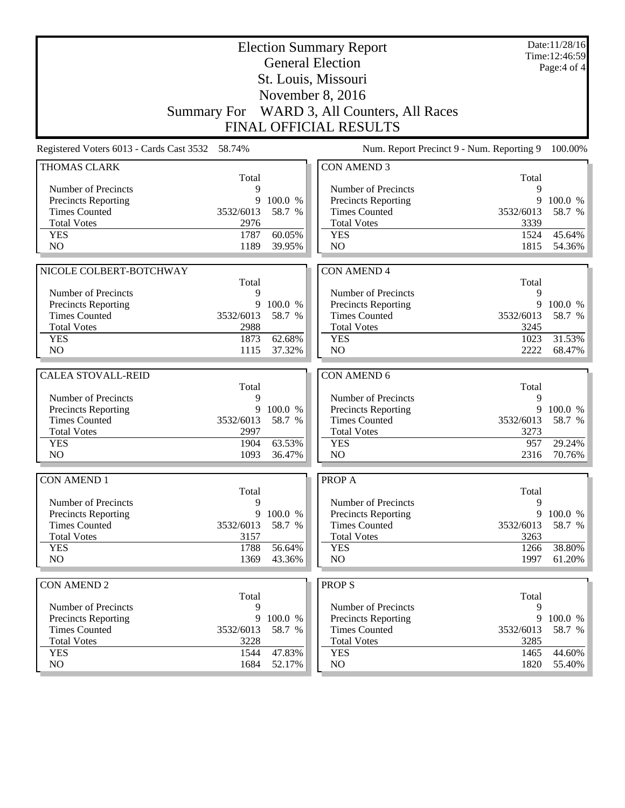|                                             | <b>Election Summary Report</b><br><b>General Election</b> |                                |                                                                 |              |                  |
|---------------------------------------------|-----------------------------------------------------------|--------------------------------|-----------------------------------------------------------------|--------------|------------------|
|                                             |                                                           | Time: 12:46:59<br>Page: 4 of 4 |                                                                 |              |                  |
|                                             |                                                           |                                |                                                                 |              |                  |
|                                             |                                                           |                                |                                                                 |              |                  |
|                                             |                                                           |                                | November 8, 2016<br>Summary For WARD 3, All Counters, All Races |              |                  |
|                                             |                                                           |                                | <b>FINAL OFFICIAL RESULTS</b>                                   |              |                  |
|                                             | Registered Voters 6013 - Cards Cast 3532 58.74%           |                                | Num. Report Precinct 9 - Num. Reporting 9                       |              | 100.00%          |
| <b>THOMAS CLARK</b>                         |                                                           |                                | <b>CON AMEND 3</b>                                              |              |                  |
|                                             | Total                                                     |                                |                                                                 | Total        |                  |
| Number of Precincts                         | 9                                                         |                                | Number of Precincts                                             | 9            |                  |
| <b>Precincts Reporting</b>                  | 9                                                         | 100.0 %                        | <b>Precincts Reporting</b>                                      | 9            | 100.0 %          |
| <b>Times Counted</b>                        | 3532/6013                                                 | 58.7 %                         | <b>Times Counted</b>                                            | 3532/6013    | 58.7 %           |
| <b>Total Votes</b>                          | 2976                                                      |                                | <b>Total Votes</b>                                              | 3339         |                  |
| <b>YES</b>                                  | 1787                                                      | 60.05%                         | <b>YES</b>                                                      | 1524         | 45.64%           |
| N <sub>O</sub>                              | 1189                                                      | 39.95%                         | N <sub>O</sub>                                                  | 1815         | 54.36%           |
|                                             |                                                           |                                |                                                                 |              |                  |
| NICOLE COLBERT-BOTCHWAY                     |                                                           |                                | <b>CON AMEND 4</b>                                              |              |                  |
|                                             | Total                                                     |                                |                                                                 | Total        |                  |
| Number of Precincts                         | 9<br>9                                                    | 100.0 %                        | Number of Precincts                                             | 9<br>9       | 100.0 %          |
| Precincts Reporting<br><b>Times Counted</b> | 3532/6013                                                 | 58.7 %                         | Precincts Reporting<br><b>Times Counted</b>                     | 3532/6013    | 58.7 %           |
| <b>Total Votes</b>                          | 2988                                                      |                                | <b>Total Votes</b>                                              | 3245         |                  |
| <b>YES</b>                                  | 1873                                                      | 62.68%                         | <b>YES</b>                                                      | 1023         | 31.53%           |
| N <sub>O</sub>                              | 1115                                                      | 37.32%                         | N <sub>O</sub>                                                  | 2222         | 68.47%           |
|                                             |                                                           |                                |                                                                 |              |                  |
|                                             |                                                           |                                |                                                                 |              |                  |
| <b>CALEA STOVALL-REID</b>                   |                                                           |                                | CON AMEND 6                                                     |              |                  |
|                                             | Total                                                     |                                |                                                                 | Total        |                  |
| Number of Precincts                         | 9                                                         |                                | Number of Precincts                                             | 9            |                  |
| Precincts Reporting                         | 9                                                         | 100.0 %                        | Precincts Reporting                                             | 9            | 100.0 %          |
| <b>Times Counted</b>                        | 3532/6013                                                 | 58.7 %                         | <b>Times Counted</b>                                            | 3532/6013    | 58.7 %           |
| <b>Total Votes</b>                          | 2997                                                      |                                | <b>Total Votes</b>                                              | 3273         |                  |
| <b>YES</b>                                  | 1904                                                      | 63.53%                         | <b>YES</b>                                                      | 957          | 29.24%           |
| N <sub>O</sub>                              | 1093                                                      | 36.47%                         | NO                                                              | 2316         | 70.76%           |
| <b>CON AMEND 1</b>                          |                                                           |                                | <b>PROPA</b>                                                    |              |                  |
|                                             | Total                                                     |                                |                                                                 | Total        |                  |
| Number of Precincts                         | 9                                                         |                                | Number of Precincts                                             | 9            |                  |
| <b>Precincts Reporting</b>                  | 9                                                         | 100.0 %                        | Precincts Reporting                                             | 9            | 100.0 %          |
| <b>Times Counted</b>                        | 3532/6013                                                 | 58.7 %                         | <b>Times Counted</b>                                            | 3532/6013    | 58.7 %           |
| <b>Total Votes</b>                          | 3157                                                      |                                | <b>Total Votes</b>                                              | 3263         |                  |
| <b>YES</b>                                  | 1788                                                      | 56.64%                         | <b>YES</b>                                                      | 1266         | 38.80%           |
| NO                                          | 1369                                                      | 43.36%                         | N <sub>O</sub>                                                  | 1997         | 61.20%           |
| <b>CON AMEND 2</b>                          |                                                           |                                | <b>PROPS</b>                                                    |              |                  |
|                                             | Total                                                     |                                |                                                                 | Total        |                  |
| Number of Precincts                         | 9                                                         |                                | Number of Precincts                                             | 9            |                  |
| Precincts Reporting                         | 9                                                         | 100.0 %                        | Precincts Reporting                                             | 9            | 100.0 %          |
| <b>Times Counted</b>                        | 3532/6013                                                 | 58.7 %                         | <b>Times Counted</b>                                            | 3532/6013    | 58.7 %           |
| <b>Total Votes</b>                          | 3228                                                      |                                | <b>Total Votes</b>                                              | 3285         |                  |
| <b>YES</b><br>NO                            | 1544<br>1684                                              | 47.83%<br>52.17%               | <b>YES</b><br>NO                                                | 1465<br>1820 | 44.60%<br>55.40% |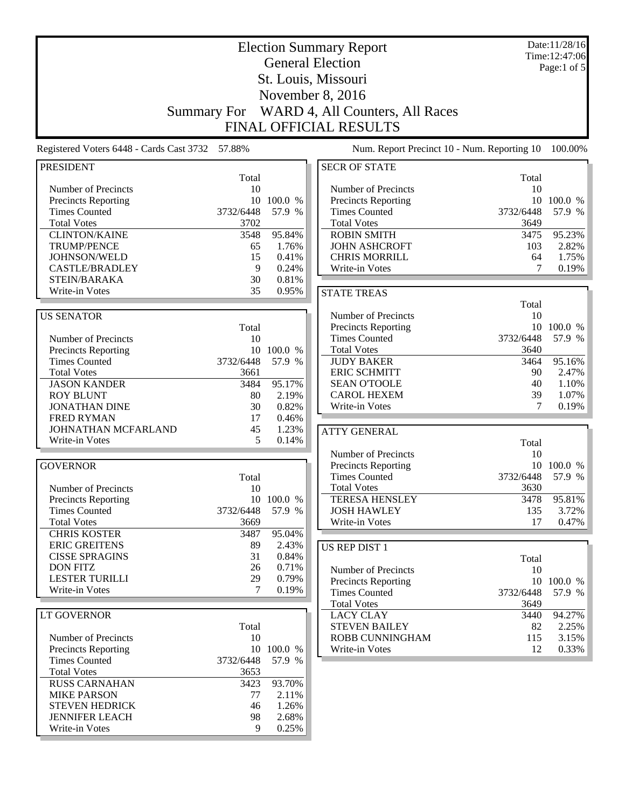|                                                 |             | Date:11/28/16<br>Time:12:47:06 |                                             |             |            |
|-------------------------------------------------|-------------|--------------------------------|---------------------------------------------|-------------|------------|
|                                                 |             | Page:1 of 5                    |                                             |             |            |
| St. Louis, Missouri                             |             |                                |                                             |             |            |
| November 8, 2016                                |             |                                |                                             |             |            |
| <b>Summary For</b>                              |             |                                | WARD 4, All Counters, All Races             |             |            |
|                                                 |             |                                | <b>FINAL OFFICIAL RESULTS</b>               |             |            |
| Registered Voters 6448 - Cards Cast 3732 57.88% |             |                                | Num. Report Precinct 10 - Num. Reporting 10 |             |            |
|                                                 |             |                                |                                             |             | 100.00%    |
| <b>PRESIDENT</b>                                |             |                                | <b>SECR OF STATE</b>                        |             |            |
| Number of Precincts                             | Total<br>10 |                                | Number of Precincts                         | Total<br>10 |            |
| <b>Precincts Reporting</b>                      |             | 10 100.0 %                     | <b>Precincts Reporting</b>                  | 10          | 100.0 %    |
| <b>Times Counted</b>                            | 3732/6448   | 57.9 %                         | <b>Times Counted</b>                        | 3732/6448   | 57.9 %     |
| <b>Total Votes</b>                              | 3702        |                                | <b>Total Votes</b>                          | 3649        |            |
| <b>CLINTON/KAINE</b>                            | 3548        | 95.84%                         | <b>ROBIN SMITH</b>                          | 3475        | 95.23%     |
| <b>TRUMP/PENCE</b>                              | 65          | 1.76%                          | <b>JOHN ASHCROFT</b>                        | 103         | 2.82%      |
| JOHNSON/WELD                                    | 15          | 0.41%                          | <b>CHRIS MORRILL</b>                        | 64          | 1.75%      |
| <b>CASTLE/BRADLEY</b>                           | 9           | 0.24%                          | Write-in Votes                              | 7           | 0.19%      |
| STEIN/BARAKA                                    | 30          | 0.81%                          |                                             |             |            |
| Write-in Votes                                  | 35          | 0.95%                          | <b>STATE TREAS</b>                          |             |            |
|                                                 |             |                                |                                             | Total       |            |
| <b>US SENATOR</b>                               |             |                                | Number of Precincts                         | 10          |            |
|                                                 | Total       |                                | Precincts Reporting                         |             | 10 100.0 % |
| Number of Precincts                             | 10          |                                | <b>Times Counted</b>                        | 3732/6448   | 57.9 %     |
| Precincts Reporting                             |             | 10 100.0 %                     | <b>Total Votes</b>                          | 3640        |            |
| <b>Times Counted</b>                            | 3732/6448   | 57.9 %                         | <b>JUDY BAKER</b>                           | 3464        | 95.16%     |
| <b>Total Votes</b>                              | 3661        |                                | <b>ERIC SCHMITT</b>                         | 90          | 2.47%      |
| <b>JASON KANDER</b>                             | 3484        | 95.17%                         | <b>SEAN O'TOOLE</b>                         | 40          | 1.10%      |
| <b>ROY BLUNT</b>                                | 80          | 2.19%                          | <b>CAROL HEXEM</b>                          | 39          | 1.07%      |
| <b>JONATHAN DINE</b>                            | 30          | 0.82%                          | Write-in Votes                              | 7           | 0.19%      |
| <b>FRED RYMAN</b><br>JOHNATHAN MCFARLAND        | 17<br>45    | 0.46%<br>1.23%                 |                                             |             |            |
| Write-in Votes                                  | 5           | 0.14%                          | <b>ATTY GENERAL</b>                         |             |            |
|                                                 |             |                                |                                             | Total       |            |
|                                                 |             |                                | Number of Precincts<br>Precincts Reporting  | 10          | 10 100.0 % |
| <b>GOVERNOR</b>                                 | Total       |                                | <b>Times Counted</b>                        | 3732/6448   | 57.9 %     |
| Number of Precincts                             | 10          |                                | <b>Total Votes</b>                          | 3630        |            |
| <b>Precincts Reporting</b>                      |             | 10 100.0 %                     | <b>TERESA HENSLEY</b>                       | 3478        | $95.81\%$  |
| <b>Times Counted</b>                            | 3732/6448   | 57.9 %                         | <b>JOSH HAWLEY</b>                          | 135         | $3.72\%$   |
| <b>Total Votes</b>                              | 3669        |                                | Write-in Votes                              | 17          | $0.47\%$   |
| <b>CHRIS KOSTER</b>                             | 3487        | 95.04%                         |                                             |             |            |
| <b>ERIC GREITENS</b>                            | 89          | 2.43%                          | US REP DIST 1                               |             |            |
| <b>CISSE SPRAGINS</b>                           | 31          | 0.84%                          |                                             | Total       |            |
| <b>DON FITZ</b>                                 | 26          | 0.71%                          | Number of Precincts                         | 10          |            |
| <b>LESTER TURILLI</b>                           | 29          | 0.79%                          | Precincts Reporting                         |             | 10 100.0 % |
| Write-in Votes                                  | 7           | 0.19%                          | <b>Times Counted</b>                        | 3732/6448   | 57.9 %     |
|                                                 |             |                                | <b>Total Votes</b>                          | 3649        |            |
| LT GOVERNOR                                     |             |                                | <b>LACY CLAY</b>                            | 3440        | 94.27%     |
|                                                 | Total       |                                | <b>STEVEN BAILEY</b>                        | 82          | 2.25%      |
| Number of Precincts                             | 10          |                                | ROBB CUNNINGHAM                             | 115         | 3.15%      |
| <b>Precincts Reporting</b>                      |             | 10 100.0 %                     | Write-in Votes                              | 12          | 0.33%      |
| <b>Times Counted</b>                            | 3732/6448   | 57.9 %                         |                                             |             |            |
| <b>Total Votes</b>                              | 3653        |                                |                                             |             |            |
| <b>RUSS CARNAHAN</b>                            | 3423        | 93.70%                         |                                             |             |            |
| <b>MIKE PARSON</b>                              | 77          | 2.11%                          |                                             |             |            |
| <b>STEVEN HEDRICK</b>                           | 46          | 1.26%                          |                                             |             |            |
| <b>JENNIFER LEACH</b>                           | 98          | 2.68%                          |                                             |             |            |
| Write-in Votes                                  | 9           | 0.25%                          |                                             |             |            |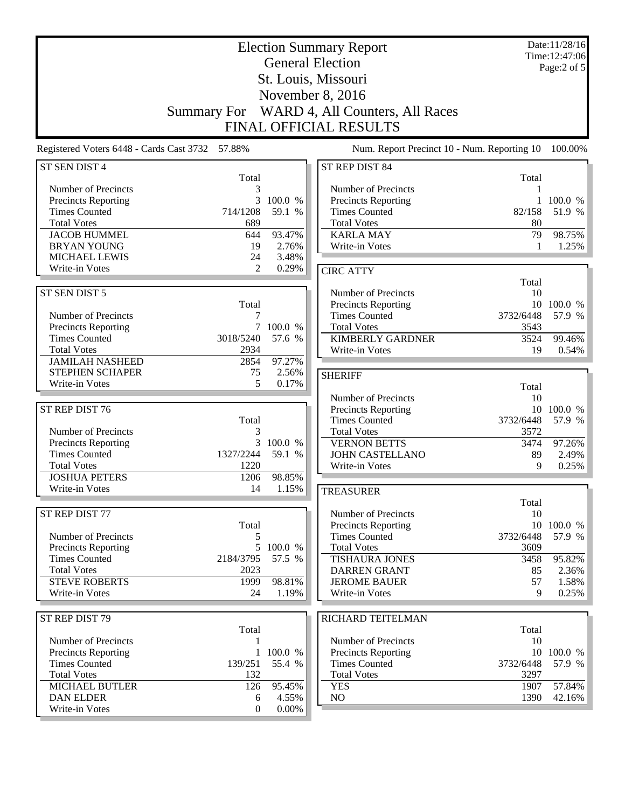| <b>Election Summary Report</b>                  |                    |                |                                              |            | Date:11/28/16<br>Time:12:47:06 |
|-------------------------------------------------|--------------------|----------------|----------------------------------------------|------------|--------------------------------|
|                                                 |                    |                | <b>General Election</b>                      |            | Page: $2$ of $5$               |
|                                                 |                    |                | St. Louis, Missouri                          |            |                                |
|                                                 |                    |                | November 8, 2016                             |            |                                |
|                                                 | <b>Summary For</b> |                | WARD 4, All Counters, All Races              |            |                                |
|                                                 |                    |                |                                              |            |                                |
|                                                 |                    |                | <b>FINAL OFFICIAL RESULTS</b>                |            |                                |
| Registered Voters 6448 - Cards Cast 3732 57.88% |                    |                | Num. Report Precinct 10 - Num. Reporting 10  |            | 100.00%                        |
| ST SEN DIST 4                                   | Total              |                | ST REP DIST 84                               | Total      |                                |
| Number of Precincts                             | 3                  |                | Number of Precincts                          |            |                                |
| <b>Precincts Reporting</b>                      | 3                  | 100.0 %        | <b>Precincts Reporting</b>                   |            | 100.0 %                        |
| <b>Times Counted</b>                            | 714/1208           | 59.1 %         | <b>Times Counted</b>                         | 82/158     | 51.9 %                         |
| <b>Total Votes</b>                              | 689                |                | <b>Total Votes</b>                           | 80         |                                |
| <b>JACOB HUMMEL</b>                             | 644                | 93.47%         | <b>KARLA MAY</b>                             | 79         | 98.75%                         |
| <b>BRYAN YOUNG</b><br><b>MICHAEL LEWIS</b>      | 19<br>24           | 2.76%<br>3.48% | Write-in Votes                               | 1          | 1.25%                          |
| Write-in Votes                                  | $\mathfrak{D}$     | 0.29%          | <b>CIRC ATTY</b>                             |            |                                |
|                                                 |                    |                |                                              | Total      |                                |
| ST SEN DIST 5                                   |                    |                | Number of Precincts                          | 10         |                                |
|                                                 | Total              |                | <b>Precincts Reporting</b>                   |            | 10 100.0 %                     |
| Number of Precincts                             | 7                  |                | <b>Times Counted</b>                         | 3732/6448  | 57.9 %                         |
| Precincts Reporting                             |                    | 7 100.0 %      | <b>Total Votes</b>                           | 3543       |                                |
| <b>Times Counted</b><br><b>Total Votes</b>      | 3018/5240          | 57.6 %         | <b>KIMBERLY GARDNER</b>                      | 3524       | 99.46%                         |
| <b>JAMILAH NASHEED</b>                          | 2934<br>2854       | 97.27%         | Write-in Votes                               | 19         | 0.54%                          |
| STEPHEN SCHAPER                                 | 75                 | 2.56%          | <b>SHERIFF</b>                               |            |                                |
| Write-in Votes                                  | 5                  | 0.17%          |                                              | Total      |                                |
|                                                 |                    |                | Number of Precincts                          | 10         |                                |
| ST REP DIST 76                                  |                    |                | <b>Precincts Reporting</b>                   |            | 10 100.0 %                     |
|                                                 | Total              |                | <b>Times Counted</b>                         | 3732/6448  | 57.9 %                         |
| Number of Precincts                             | 3                  |                | <b>Total Votes</b>                           | 3572       |                                |
| <b>Precincts Reporting</b>                      | 3                  | 100.0 %        | <b>VERNON BETTS</b>                          | 3474       | 97.26%                         |
| <b>Times Counted</b><br><b>Total Votes</b>      | 1327/2244<br>1220  | 59.1 %         | <b>JOHN CASTELLANO</b><br>Write-in Votes     | 89<br>9    | 2.49%<br>0.25%                 |
| <b>JOSHUA PETERS</b>                            | 1206               | 98.85%         |                                              |            |                                |
| Write-in Votes                                  | 14                 | 1.15%          | <b>TREASURER</b>                             |            |                                |
|                                                 |                    |                |                                              | Total      |                                |
| ST REP DIST 77                                  |                    |                | Number of Precincts                          | 10         |                                |
|                                                 | Total              |                | Precincts Reporting                          |            | 10 100.0 %                     |
| Number of Precincts                             | 5                  |                | <b>Times Counted</b>                         | 3732/6448  | 57.9 %                         |
| Precincts Reporting                             |                    | 5 100.0 %      | <b>Total Votes</b>                           | 3609       |                                |
| <b>Times Counted</b><br><b>Total Votes</b>      | 2184/3795<br>2023  | 57.5 %         | <b>TISHAURA JONES</b><br><b>DARREN GRANT</b> | 3458<br>85 | 95.82%<br>2.36%                |
| <b>STEVE ROBERTS</b>                            | 1999               | 98.81%         | <b>JEROME BAUER</b>                          | 57         | 1.58%                          |
| Write-in Votes                                  | 24                 | 1.19%          | Write-in Votes                               | 9          | 0.25%                          |
|                                                 |                    |                |                                              |            |                                |
| ST REP DIST 79                                  | Total              |                | RICHARD TEITELMAN                            | Total      |                                |
| Number of Precincts                             | 1                  |                | Number of Precincts                          | 10         |                                |
| <b>Precincts Reporting</b>                      | $\mathbf{1}$       | 100.0 %        | <b>Precincts Reporting</b>                   |            | 10 100.0 %                     |
| <b>Times Counted</b>                            | 139/251            | 55.4 %         | <b>Times Counted</b>                         | 3732/6448  | 57.9 %                         |
| <b>Total Votes</b>                              | 132                |                | <b>Total Votes</b>                           | 3297       |                                |
| <b>MICHAEL BUTLER</b>                           | 126                | 95.45%         | <b>YES</b>                                   | 1907       | 57.84%                         |
| <b>DAN ELDER</b>                                | 6                  | 4.55%          | N <sub>O</sub>                               | 1390       | 42.16%                         |
| Write-in Votes                                  | $\theta$           | $0.00\%$       |                                              |            |                                |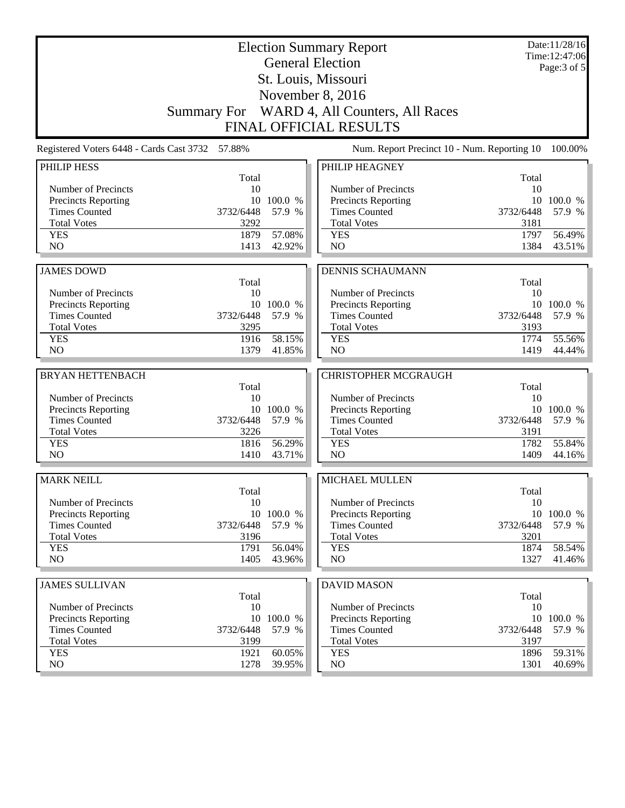| <b>Election Summary Report</b><br><b>General Election</b> |                    |                      |                                                    |              | Date:11/28/16<br>Time: 12:47:06                                            |
|-----------------------------------------------------------|--------------------|----------------------|----------------------------------------------------|--------------|----------------------------------------------------------------------------|
|                                                           |                    |                      | St. Louis, Missouri                                |              | Page: 3 of 5                                                               |
|                                                           |                    |                      | November 8, 2016                                   |              |                                                                            |
|                                                           | <b>Summary For</b> |                      | WARD 4, All Counters, All Races                    |              |                                                                            |
|                                                           |                    |                      | <b>FINAL OFFICIAL RESULTS</b>                      |              |                                                                            |
|                                                           |                    |                      |                                                    |              |                                                                            |
| Registered Voters 6448 - Cards Cast 3732 57.88%           |                    |                      | Num. Report Precinct 10 - Num. Reporting 10        |              | 100.00%                                                                    |
| PHILIP HESS                                               | Total              |                      | PHILIP HEAGNEY                                     | Total        |                                                                            |
| Number of Precincts                                       | 10                 |                      | Number of Precincts                                | 10           |                                                                            |
| <b>Precincts Reporting</b>                                |                    | 10 100.0 %           | <b>Precincts Reporting</b>                         |              | 10 100.0 %                                                                 |
| <b>Times Counted</b>                                      | 3732/6448          | 57.9 %               | <b>Times Counted</b>                               | 3732/6448    | 57.9 %                                                                     |
| <b>Total Votes</b>                                        | 3292               |                      | <b>Total Votes</b>                                 | 3181         |                                                                            |
| <b>YES</b>                                                | 1879               | 57.08%               | <b>YES</b>                                         | 1797         | 56.49%                                                                     |
| NO                                                        | 1413               | 42.92%               | NO                                                 | 1384         | 43.51%                                                                     |
| <b>JAMES DOWD</b>                                         |                    |                      |                                                    |              |                                                                            |
|                                                           | Total              |                      | <b>DENNIS SCHAUMANN</b>                            | Total        |                                                                            |
| Number of Precincts                                       | 10                 |                      | Number of Precincts                                | 10           |                                                                            |
| Precincts Reporting                                       |                    | 10 100.0 %           | Precincts Reporting                                |              | 10 100.0 %                                                                 |
| <b>Times Counted</b>                                      | 3732/6448          | 57.9 %               | <b>Times Counted</b>                               | 3732/6448    | 57.9 %                                                                     |
| <b>Total Votes</b>                                        | 3295               |                      | <b>Total Votes</b>                                 | 3193         |                                                                            |
| <b>YES</b>                                                | 1916               | 58.15%               | <b>YES</b>                                         | 1774         | 55.56%                                                                     |
| NO                                                        | 1379               | 41.85%               | NO                                                 | 1419         | 44.44%                                                                     |
|                                                           |                    |                      |                                                    |              |                                                                            |
| <b>BRYAN HETTENBACH</b>                                   | Total              |                      | <b>CHRISTOPHER MCGRAUGH</b>                        | Total        |                                                                            |
| Number of Precincts                                       | 10                 |                      | Number of Precincts                                | 10           |                                                                            |
| Precincts Reporting                                       |                    |                      |                                                    |              |                                                                            |
|                                                           |                    |                      |                                                    |              |                                                                            |
| <b>Times Counted</b>                                      | 3732/6448          | 10 100.0 %<br>57.9 % | Precincts Reporting<br><b>Times Counted</b>        | 3732/6448    | 10 100.0 %                                                                 |
| <b>Total Votes</b>                                        | 3226               |                      | <b>Total Votes</b>                                 | 3191         | 57.9 %                                                                     |
| <b>YES</b>                                                | 1816               | 56.29%               | <b>YES</b>                                         | 1782         | 55.84%                                                                     |
| NO                                                        | 1410               | 43.71%               | NO                                                 | 1409         |                                                                            |
|                                                           |                    |                      |                                                    |              |                                                                            |
| <b>MARK NEILL</b>                                         |                    |                      | MICHAEL MULLEN                                     |              |                                                                            |
|                                                           | Total              |                      |                                                    | Total        |                                                                            |
| Number of Precincts                                       | 10                 | 10 100.0 %           | Number of Precincts                                | 10           |                                                                            |
| <b>Precincts Reporting</b><br><b>Times Counted</b>        | 3732/6448          | 57.9 %               | <b>Precincts Reporting</b><br><b>Times Counted</b> | 3732/6448    |                                                                            |
| <b>Total Votes</b>                                        | 3196               |                      | <b>Total Votes</b>                                 | 3201         |                                                                            |
| <b>YES</b>                                                | 1791               | 56.04%               | <b>YES</b>                                         | 1874         | 58.54%                                                                     |
| NO                                                        | 1405               | 43.96%               | NO                                                 | 1327         |                                                                            |
|                                                           |                    |                      |                                                    |              |                                                                            |
| <b>JAMES SULLIVAN</b>                                     | Total              |                      | <b>DAVID MASON</b>                                 | Total        |                                                                            |
| Number of Precincts                                       | 10                 |                      | Number of Precincts                                | 10           |                                                                            |
| <b>Precincts Reporting</b>                                |                    | 10 100.0 %           | <b>Precincts Reporting</b>                         |              |                                                                            |
| <b>Times Counted</b>                                      | 3732/6448          | 57.9 %               | <b>Times Counted</b>                               | 3732/6448    | 57.9 %                                                                     |
| <b>Total Votes</b>                                        | 3199               |                      | <b>Total Votes</b>                                 | 3197         |                                                                            |
| <b>YES</b><br>NO                                          | 1921<br>1278       | 60.05%<br>39.95%     | <b>YES</b><br>NO                                   | 1896<br>1301 | 44.16%<br>10 100.0 %<br>57.9 %<br>41.46%<br>10 100.0 %<br>59.31%<br>40.69% |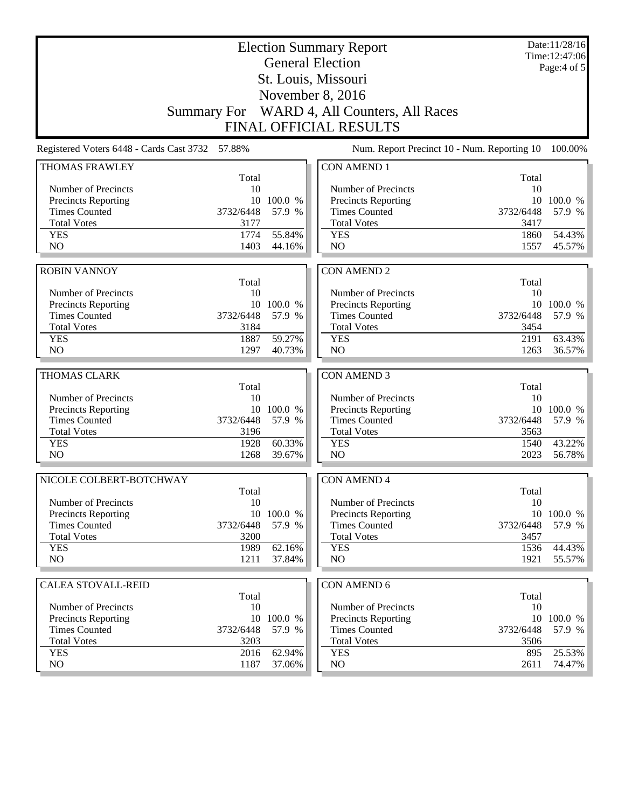| <b>Election Summary Report</b><br><b>General Election</b> |             |            |                                             |             | Date:11/28/16<br>Time: 12:47:06<br>Page:4 of 5 |
|-----------------------------------------------------------|-------------|------------|---------------------------------------------|-------------|------------------------------------------------|
| St. Louis, Missouri<br>November 8, 2016                   |             |            |                                             |             |                                                |
| <b>Summary For</b>                                        |             |            | WARD 4, All Counters, All Races             |             |                                                |
|                                                           |             |            | <b>FINAL OFFICIAL RESULTS</b>               |             |                                                |
|                                                           |             |            |                                             |             |                                                |
| Registered Voters 6448 - Cards Cast 3732 57.88%           |             |            | Num. Report Precinct 10 - Num. Reporting 10 |             | 100.00%                                        |
| <b>THOMAS FRAWLEY</b>                                     |             |            | <b>CON AMEND 1</b>                          |             |                                                |
| Number of Precincts                                       | Total<br>10 |            | Number of Precincts                         | Total<br>10 |                                                |
| <b>Precincts Reporting</b>                                |             | 10 100.0 % | <b>Precincts Reporting</b>                  |             | 10 100.0 %                                     |
| <b>Times Counted</b>                                      | 3732/6448   | 57.9 %     | <b>Times Counted</b>                        | 3732/6448   | 57.9 %                                         |
| <b>Total Votes</b>                                        | 3177        |            | <b>Total Votes</b>                          | 3417        |                                                |
| <b>YES</b>                                                | 1774        | 55.84%     | <b>YES</b>                                  | 1860        | 54.43%                                         |
| NO                                                        | 1403        | 44.16%     | NO                                          | 1557        | 45.57%                                         |
|                                                           |             |            |                                             |             |                                                |
| <b>ROBIN VANNOY</b>                                       |             |            | <b>CON AMEND 2</b>                          |             |                                                |
| Number of Precincts                                       | Total<br>10 |            | Number of Precincts                         | Total<br>10 |                                                |
| <b>Precincts Reporting</b>                                |             | 10 100.0 % | Precincts Reporting                         | 10          | 100.0 %                                        |
| <b>Times Counted</b>                                      | 3732/6448   | 57.9 %     | <b>Times Counted</b>                        | 3732/6448   | 57.9 %                                         |
| <b>Total Votes</b>                                        | 3184        |            | <b>Total Votes</b>                          | 3454        |                                                |
| <b>YES</b>                                                | 1887        | 59.27%     | <b>YES</b>                                  | 2191        | 63.43%                                         |
| NO                                                        | 1297        | 40.73%     | NO                                          | 1263        | 36.57%                                         |
|                                                           |             |            |                                             |             |                                                |
| THOMAS CLARK                                              |             |            | <b>CON AMEND 3</b>                          |             |                                                |
| Number of Precincts                                       | Total<br>10 |            | Number of Precincts                         | Total<br>10 |                                                |
| <b>Precincts Reporting</b>                                |             | 10 100.0 % | Precincts Reporting                         |             | 10 100.0 %                                     |
| <b>Times Counted</b>                                      | 3732/6448   | 57.9 %     | <b>Times Counted</b>                        | 3732/6448   | 57.9 %                                         |
| <b>Total Votes</b>                                        | 3196        |            | <b>Total Votes</b>                          | 3563        |                                                |
| <b>YES</b>                                                | 1928        | 60.33%     | <b>YES</b>                                  | 1540        | 43.22%                                         |
| N <sub>O</sub>                                            | 1268        | 39.67%     | NO                                          | 2023        | 56.78%                                         |
|                                                           |             |            | <b>CON AMEND 4</b>                          |             |                                                |
| NICOLE COLBERT-BOTCHWAY                                   | Total       |            |                                             | Total       |                                                |
| Number of Precincts                                       | 10          |            | Number of Precincts                         | 10          |                                                |
| <b>Precincts Reporting</b>                                |             | 10 100.0 % | <b>Precincts Reporting</b>                  |             | 10 100.0 %                                     |
| <b>Times Counted</b>                                      | 3732/6448   | 57.9 %     | <b>Times Counted</b>                        | 3732/6448   | 57.9 %                                         |
| <b>Total Votes</b>                                        | 3200        |            | <b>Total Votes</b>                          | 3457        |                                                |
| <b>YES</b>                                                | 1989        | 62.16%     | <b>YES</b>                                  | 1536        | 44.43%                                         |
| NO                                                        | 1211        | 37.84%     | NO                                          | 1921        | 55.57%                                         |
| <b>CALEA STOVALL-REID</b>                                 |             |            | CON AMEND 6                                 |             |                                                |
|                                                           | Total       |            |                                             | Total       |                                                |
| Number of Precincts                                       | 10          |            | Number of Precincts                         | 10          |                                                |
| <b>Precincts Reporting</b>                                |             | 10 100.0 % | <b>Precincts Reporting</b>                  |             | 10 100.0 %                                     |
| <b>Times Counted</b>                                      | 3732/6448   | 57.9 %     | <b>Times Counted</b>                        | 3732/6448   | 57.9 %                                         |
| <b>Total Votes</b>                                        | 3203        |            | <b>Total Votes</b>                          | 3506        |                                                |
| <b>YES</b>                                                | 2016        | 62.94%     | <b>YES</b>                                  | 895         | 25.53%                                         |
| NO                                                        | 1187        | 37.06%     | NO                                          | 2611        | 74.47%                                         |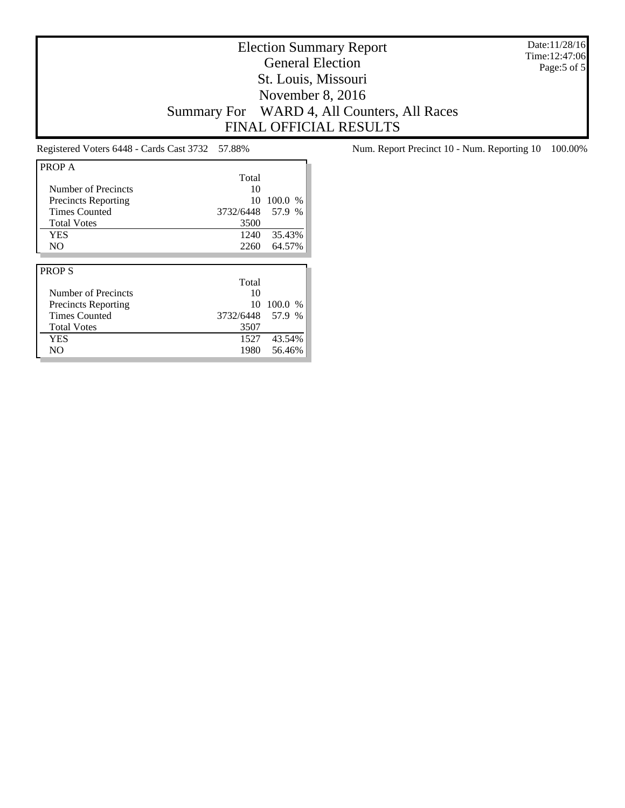Date:11/28/16 Time:12:47:06 Page:5 of 5

## Election Summary Report General Election St. Louis, Missouri November 8, 2016 Summary For WARD 4, All Counters, All Races FINAL OFFICIAL RESULTS

| PROP A                     |           |         |
|----------------------------|-----------|---------|
|                            | Total     |         |
| Number of Precincts        | 10        |         |
| <b>Precincts Reporting</b> | 10        | 100.0 % |
| <b>Times Counted</b>       | 3732/6448 | 57.9 %  |
| <b>Total Votes</b>         | 3500      |         |
| YES                        | 1240      | 35.43%  |
| N <sub>O</sub>             | 2260      | 64.57%  |
|                            |           |         |
|                            |           |         |
| PROP <sub>S</sub>          |           |         |
|                            | Total     |         |
| Number of Precincts        | 10        |         |
| <b>Precincts Reporting</b> | 10        | 100.0 % |
| <b>Times Counted</b>       | 3732/6448 | 57.9 %  |
| <b>Total Votes</b>         | 3507      |         |
| YES                        | 1527      | 43.54%  |

Registered Voters 6448 - Cards Cast 3732 57.88% Num. Report Precinct 10 - Num. Reporting 10 100.00%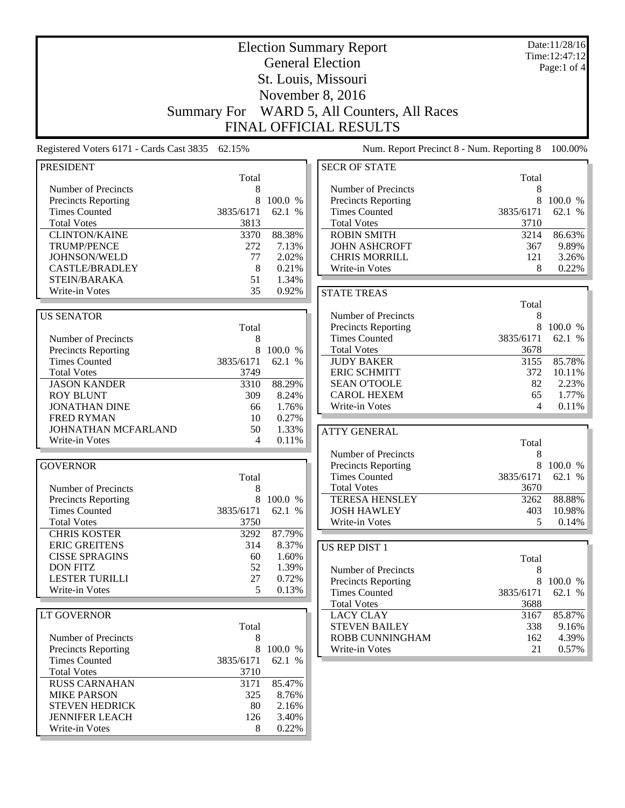| <b>Election Summary Report</b><br><b>General Election</b>                                               |                     |                 |                                            |           | Date:11/28/16<br>Time: 12:47:12 |  |
|---------------------------------------------------------------------------------------------------------|---------------------|-----------------|--------------------------------------------|-----------|---------------------------------|--|
|                                                                                                         |                     | Page:1 of 4     |                                            |           |                                 |  |
|                                                                                                         | St. Louis, Missouri |                 |                                            |           |                                 |  |
|                                                                                                         |                     |                 | November 8, 2016                           |           |                                 |  |
|                                                                                                         | <b>Summary For</b>  |                 | WARD 5, All Counters, All Races            |           |                                 |  |
|                                                                                                         |                     |                 | <b>FINAL OFFICIAL RESULTS</b>              |           |                                 |  |
| Registered Voters 6171 - Cards Cast 3835 62.15%<br>Num. Report Precinct 8 - Num. Reporting 8<br>100.00% |                     |                 |                                            |           |                                 |  |
|                                                                                                         |                     |                 |                                            |           |                                 |  |
| <b>PRESIDENT</b>                                                                                        | Total               |                 | <b>SECR OF STATE</b>                       | Total     |                                 |  |
| Number of Precincts                                                                                     | 8                   |                 | Number of Precincts                        | 8         |                                 |  |
| <b>Precincts Reporting</b>                                                                              | 8                   | 100.0 %         | <b>Precincts Reporting</b>                 | 8         | 100.0 %                         |  |
| <b>Times Counted</b>                                                                                    | 3835/6171           | 62.1 %          | <b>Times Counted</b>                       | 3835/6171 | 62.1 %                          |  |
| <b>Total Votes</b>                                                                                      | 3813                |                 | <b>Total Votes</b>                         | 3710      |                                 |  |
| <b>CLINTON/KAINE</b>                                                                                    | 3370                | 88.38%          | <b>ROBIN SMITH</b>                         | 3214      | 86.63%                          |  |
| <b>TRUMP/PENCE</b>                                                                                      | 272                 | 7.13%           | <b>JOHN ASHCROFT</b>                       | 367       | 9.89%                           |  |
| JOHNSON/WELD                                                                                            | 77                  | 2.02%           | <b>CHRIS MORRILL</b>                       | 121       | 3.26%                           |  |
| <b>CASTLE/BRADLEY</b>                                                                                   | 8                   | 0.21%           | Write-in Votes                             | 8         | 0.22%                           |  |
| STEIN/BARAKA                                                                                            | 51                  | 1.34%           |                                            |           |                                 |  |
| Write-in Votes                                                                                          | 35                  | 0.92%           | <b>STATE TREAS</b>                         |           |                                 |  |
|                                                                                                         |                     |                 |                                            | Total     |                                 |  |
| <b>US SENATOR</b>                                                                                       | Total               |                 | Number of Precincts<br>Precincts Reporting | 8<br>8    | 100.0 %                         |  |
| Number of Precincts                                                                                     | 8                   |                 | <b>Times Counted</b>                       | 3835/6171 | 62.1 %                          |  |
| Precincts Reporting                                                                                     | 8                   | 100.0 %         | <b>Total Votes</b>                         | 3678      |                                 |  |
| <b>Times Counted</b>                                                                                    | 3835/6171           | 62.1 %          | <b>JUDY BAKER</b>                          | 3155      | 85.78%                          |  |
| <b>Total Votes</b>                                                                                      | 3749                |                 | <b>ERIC SCHMITT</b>                        | 372       | 10.11%                          |  |
| <b>JASON KANDER</b>                                                                                     | 3310                | 88.29%          | <b>SEAN O'TOOLE</b>                        | 82        | 2.23%                           |  |
| <b>ROY BLUNT</b>                                                                                        | 309                 | 8.24%           | <b>CAROL HEXEM</b>                         | 65        | 1.77%                           |  |
| <b>JONATHAN DINE</b>                                                                                    | 66                  | 1.76%           | Write-in Votes                             | 4         | $0.11\%$                        |  |
| <b>FRED RYMAN</b>                                                                                       | 10                  | 0.27%           |                                            |           |                                 |  |
| JOHNATHAN MCFARLAND                                                                                     | 50                  | 1.33%           | <b>ATTY GENERAL</b>                        |           |                                 |  |
| Write-in Votes                                                                                          | 4                   | 0.11%           |                                            | Total     |                                 |  |
|                                                                                                         |                     |                 | Number of Precincts                        | 8         |                                 |  |
| <b>GOVERNOR</b>                                                                                         |                     |                 | Precincts Reporting                        | 8         | 100.0 %                         |  |
|                                                                                                         | Total               |                 | <b>Times Counted</b>                       | 3835/6171 | 62.1 %                          |  |
| Number of Precincts                                                                                     | 8                   |                 | <b>Total Votes</b>                         | 3670      |                                 |  |
| <b>Precincts Reporting</b>                                                                              |                     | 8 100.0 %       | <b>TERESA HENSLEY</b>                      | 3262      | 88.88%                          |  |
| <b>Times Counted</b><br><b>Total Votes</b>                                                              | 3835/6171<br>3750   | 62.1 %          | <b>JOSH HAWLEY</b><br>Write-in Votes       | 403<br>5. | 10.98%<br>0.14%                 |  |
| <b>CHRIS KOSTER</b>                                                                                     | 3292                | 87.79%          |                                            |           |                                 |  |
| <b>ERIC GREITENS</b>                                                                                    | 314                 | 8.37%           | US REP DIST 1                              |           |                                 |  |
| <b>CISSE SPRAGINS</b>                                                                                   | 60                  | 1.60%           |                                            | Total     |                                 |  |
| <b>DON FITZ</b>                                                                                         | 52                  | 1.39%           | Number of Precincts                        | 8         |                                 |  |
| <b>LESTER TURILLI</b>                                                                                   | 27                  | 0.72%           | Precincts Reporting                        | 8         | 100.0 %                         |  |
| Write-in Votes                                                                                          | 5                   | 0.13%           | <b>Times Counted</b>                       | 3835/6171 | 62.1 %                          |  |
|                                                                                                         |                     |                 | <b>Total Votes</b>                         | 3688      |                                 |  |
| <b>LT GOVERNOR</b>                                                                                      |                     |                 | <b>LACY CLAY</b>                           | 3167      | 85.87%                          |  |
|                                                                                                         | Total               |                 | <b>STEVEN BAILEY</b>                       | 338       | 9.16%                           |  |
| Number of Precincts                                                                                     | 8                   |                 | ROBB CUNNINGHAM                            | 162       | 4.39%                           |  |
| <b>Precincts Reporting</b>                                                                              | 8                   | 100.0 %         | Write-in Votes                             | 21        | 0.57%                           |  |
| <b>Times Counted</b>                                                                                    | 3835/6171           | 62.1 %          |                                            |           |                                 |  |
| <b>Total Votes</b>                                                                                      | 3710                |                 |                                            |           |                                 |  |
| <b>RUSS CARNAHAN</b><br><b>MIKE PARSON</b>                                                              | 3171<br>325         | 85.47%<br>8.76% |                                            |           |                                 |  |
| <b>STEVEN HEDRICK</b>                                                                                   | 80                  | 2.16%           |                                            |           |                                 |  |
| <b>JENNIFER LEACH</b>                                                                                   | 126                 | 3.40%           |                                            |           |                                 |  |
| Write-in Votes                                                                                          | 8                   | 0.22%           |                                            |           |                                 |  |
|                                                                                                         |                     |                 |                                            |           |                                 |  |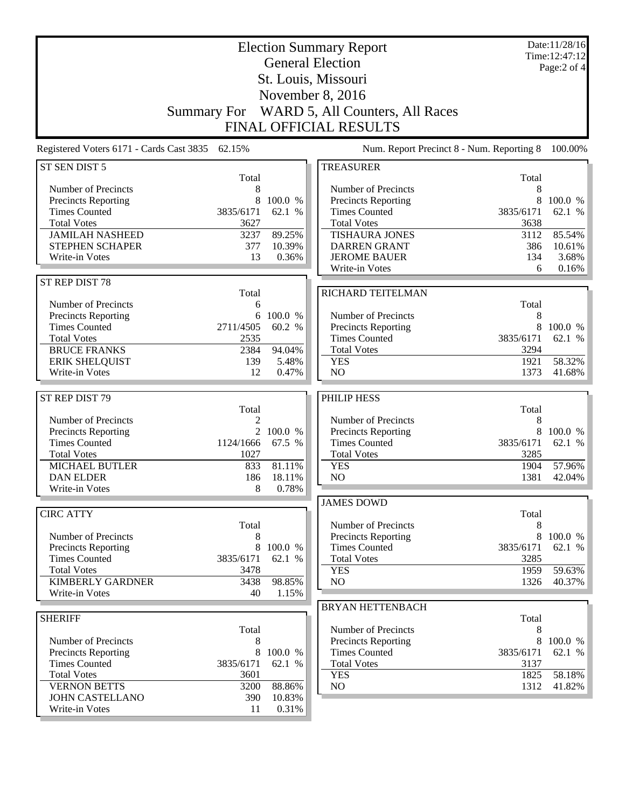| <b>Election Summary Report</b><br><b>General Election</b> |                    |                   |                                             | Date:11/28/16<br>Time: 12:47:12<br>Page:2 of 4 |                   |
|-----------------------------------------------------------|--------------------|-------------------|---------------------------------------------|------------------------------------------------|-------------------|
|                                                           |                    |                   | St. Louis, Missouri                         |                                                |                   |
|                                                           |                    |                   | November 8, 2016                            |                                                |                   |
|                                                           | <b>Summary For</b> |                   | WARD 5, All Counters, All Races             |                                                |                   |
|                                                           |                    |                   | FINAL OFFICIAL RESULTS                      |                                                |                   |
| Registered Voters 6171 - Cards Cast 3835 62.15%           |                    |                   | Num. Report Precinct 8 - Num. Reporting 8   |                                                | 100.00%           |
| ST SEN DIST 5                                             |                    |                   | <b>TREASURER</b>                            |                                                |                   |
|                                                           | Total              |                   |                                             | Total                                          |                   |
| Number of Precincts                                       | 8                  |                   | Number of Precincts                         | 8                                              |                   |
| <b>Precincts Reporting</b><br><b>Times Counted</b>        | 8<br>3835/6171     | 100.0 %<br>62.1 % | Precincts Reporting<br><b>Times Counted</b> | 8<br>3835/6171                                 | 100.0 %<br>62.1 % |
| <b>Total Votes</b>                                        | 3627               |                   | <b>Total Votes</b>                          | 3638                                           |                   |
| <b>JAMILAH NASHEED</b>                                    | 3237               | 89.25%            | <b>TISHAURA JONES</b>                       | 3112                                           | 85.54%            |
| <b>STEPHEN SCHAPER</b>                                    | 377                | 10.39%            | <b>DARREN GRANT</b>                         | 386                                            | 10.61%            |
| Write-in Votes                                            | 13                 | 0.36%             | <b>JEROME BAUER</b>                         | 134                                            | 3.68%             |
|                                                           |                    |                   | Write-in Votes                              | 6                                              | 0.16%             |
| ST REP DIST 78                                            |                    |                   |                                             |                                                |                   |
|                                                           | Total              |                   | RICHARD TEITELMAN                           |                                                |                   |
| Number of Precincts                                       | 6                  |                   |                                             | Total                                          |                   |
| Precincts Reporting                                       | 6                  | 100.0 %           | Number of Precincts                         | 8                                              |                   |
| <b>Times Counted</b>                                      | 2711/4505          | 60.2 %            | Precincts Reporting                         | 8                                              | 100.0 %           |
| <b>Total Votes</b>                                        | 2535<br>2384       | 94.04%            | <b>Times Counted</b><br><b>Total Votes</b>  | 3835/6171<br>3294                              | 62.1 %            |
| <b>BRUCE FRANKS</b><br><b>ERIK SHELQUIST</b>              | 139                | 5.48%             | <b>YES</b>                                  | 1921                                           | 58.32%            |
| Write-in Votes                                            | 12                 | 0.47%             | NO                                          | 1373                                           | 41.68%            |
|                                                           |                    |                   |                                             |                                                |                   |
| ST REP DIST 79                                            |                    |                   | PHILIP HESS                                 |                                                |                   |
|                                                           | Total              |                   |                                             | Total                                          |                   |
| Number of Precincts                                       | 2                  |                   | Number of Precincts                         | 8                                              |                   |
| <b>Precincts Reporting</b>                                | $\overline{2}$     | 100.0 %           | Precincts Reporting                         | 8                                              | 100.0 %           |
| <b>Times Counted</b>                                      | 1124/1666          | 67.5 %            | <b>Times Counted</b>                        | 3835/6171                                      | 62.1 %            |
| <b>Total Votes</b><br><b>MICHAEL BUTLER</b>               | 1027<br>833        |                   | <b>Total Votes</b>                          | 3285                                           |                   |
| <b>DAN ELDER</b>                                          | 186                | 81.11%<br>18.11%  | <b>YES</b><br>N <sub>O</sub>                | 1904<br>1381                                   | 57.96%<br>42.04%  |
| Write-in Votes                                            | 8                  | 0.78%             |                                             |                                                |                   |
|                                                           |                    |                   | <b>JAMES DOWD</b>                           |                                                |                   |
| <b>CIRC ATTY</b>                                          |                    |                   |                                             | Total                                          |                   |
|                                                           | Total              |                   | Number of Precincts                         | 8                                              |                   |
| Number of Precincts                                       | 8                  |                   | Precincts Reporting                         | 8                                              | 100.0 %           |
| <b>Precincts Reporting</b>                                | 8                  | 100.0 %           | <b>Times Counted</b>                        | 3835/6171                                      | 62.1 %            |
| <b>Times Counted</b>                                      | 3835/6171          | 62.1 %            | <b>Total Votes</b>                          | 3285                                           |                   |
| <b>Total Votes</b>                                        | 3478               |                   | <b>YES</b>                                  | 1959                                           | 59.63%            |
| <b>KIMBERLY GARDNER</b>                                   | 3438               | 98.85%            | N <sub>O</sub>                              | 1326                                           | 40.37%            |
| Write-in Votes                                            | 40                 | 1.15%             |                                             |                                                |                   |
|                                                           |                    |                   | <b>BRYAN HETTENBACH</b>                     |                                                |                   |
| <b>SHERIFF</b>                                            |                    |                   |                                             | Total                                          |                   |
| Number of Precincts                                       | Total<br>8         |                   | Number of Precincts<br>Precincts Reporting  | 8<br>8                                         | 100.0 %           |
| Precincts Reporting                                       | 8                  | 100.0 %           | <b>Times Counted</b>                        | 3835/6171                                      | 62.1 %            |
| <b>Times Counted</b>                                      | 3835/6171          | 62.1 %            | <b>Total Votes</b>                          | 3137                                           |                   |
| <b>Total Votes</b>                                        | 3601               |                   | <b>YES</b>                                  | 1825                                           | 58.18%            |
| <b>VERNON BETTS</b>                                       | 3200               | 88.86%            | N <sub>O</sub>                              | 1312                                           | 41.82%            |
| <b>JOHN CASTELLANO</b>                                    | 390                | 10.83%            |                                             |                                                |                   |
| Write-in Votes                                            | 11                 | 0.31%             |                                             |                                                |                   |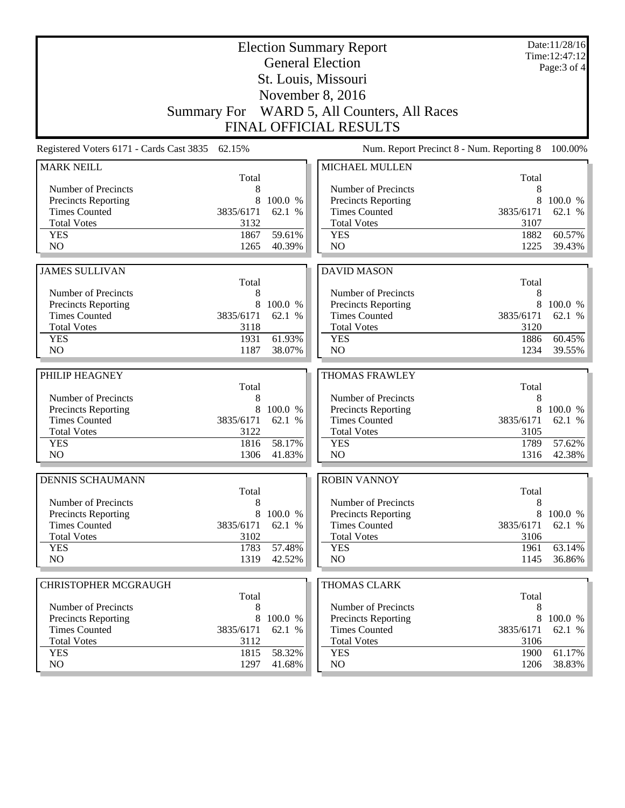|                                                 |                    | Date:11/28/16<br>Time: 12:47:12 |                                                     |              |                  |
|-------------------------------------------------|--------------------|---------------------------------|-----------------------------------------------------|--------------|------------------|
|                                                 |                    |                                 | <b>General Election</b><br>St. Louis, Missouri      |              | Page: 3 of 4     |
|                                                 |                    |                                 |                                                     |              |                  |
|                                                 | <b>Summary For</b> |                                 | November 8, 2016<br>WARD 5, All Counters, All Races |              |                  |
|                                                 |                    |                                 | <b>FINAL OFFICIAL RESULTS</b>                       |              |                  |
|                                                 |                    |                                 |                                                     |              |                  |
| Registered Voters 6171 - Cards Cast 3835 62.15% |                    |                                 | Num. Report Precinct 8 - Num. Reporting 8           |              | 100.00%          |
| <b>MARK NEILL</b>                               | Total              |                                 | <b>MICHAEL MULLEN</b>                               | Total        |                  |
| Number of Precincts                             | 8                  |                                 | Number of Precincts                                 | 8            |                  |
| Precincts Reporting                             | 8                  | 100.0 %                         | <b>Precincts Reporting</b>                          | 8            | 100.0 %          |
| <b>Times Counted</b>                            | 3835/6171          | 62.1 %                          | <b>Times Counted</b>                                | 3835/6171    | 62.1 %           |
| <b>Total Votes</b>                              | 3132               |                                 | <b>Total Votes</b>                                  | 3107         |                  |
| <b>YES</b>                                      | 1867               | 59.61%                          | <b>YES</b>                                          | 1882         | 60.57%           |
| NO                                              | 1265               | 40.39%                          | NO                                                  | 1225         | 39.43%           |
|                                                 |                    |                                 |                                                     |              |                  |
| <b>JAMES SULLIVAN</b>                           | Total              |                                 | <b>DAVID MASON</b>                                  | Total        |                  |
| Number of Precincts                             | 8                  |                                 | Number of Precincts                                 | 8            |                  |
| Precincts Reporting                             | 8                  | 100.0 %                         | Precincts Reporting                                 | 8            | 100.0 %          |
| <b>Times Counted</b>                            | 3835/6171          | 62.1 %                          | <b>Times Counted</b>                                | 3835/6171    | 62.1 %           |
| <b>Total Votes</b>                              | 3118               |                                 | <b>Total Votes</b>                                  | 3120         |                  |
| <b>YES</b>                                      | 1931               | 61.93%                          | <b>YES</b>                                          | 1886         | 60.45%           |
| NO                                              | 1187               | 38.07%                          | NO                                                  | 1234         | 39.55%           |
|                                                 |                    |                                 |                                                     |              |                  |
| PHILIP HEAGNEY                                  | Total              |                                 | <b>THOMAS FRAWLEY</b>                               | Total        |                  |
| Number of Precincts                             | 8                  |                                 | Number of Precincts                                 | 8            |                  |
| Precincts Reporting                             | 8                  | 100.0 %                         | <b>Precincts Reporting</b>                          | 8            | 100.0 %          |
| <b>Times Counted</b>                            | 3835/6171          | 62.1 %                          | <b>Times Counted</b>                                | 3835/6171    | 62.1 %           |
| <b>Total Votes</b>                              | 3122               |                                 | <b>Total Votes</b>                                  | 3105         |                  |
| <b>YES</b>                                      | 1816               | 58.17%                          | <b>YES</b>                                          | 1789         | 57.62%           |
| N <sub>O</sub>                                  | 1306               | 41.83%                          | NO                                                  | 1316         | 42.38%           |
| <b>DENNIS SCHAUMANN</b>                         |                    |                                 | <b>ROBIN VANNOY</b>                                 |              |                  |
|                                                 | Total              |                                 |                                                     | Total        |                  |
| Number of Precincts                             | 8                  |                                 | Number of Precincts                                 | 8            |                  |
| Precincts Reporting                             | 8                  | 100.0 %                         | <b>Precincts Reporting</b>                          | 8            | 100.0 %          |
| <b>Times Counted</b>                            | 3835/6171          | 62.1 %                          | <b>Times Counted</b>                                | 3835/6171    | 62.1 %           |
| <b>Total Votes</b><br><b>YES</b>                | 3102               | 57.48%                          | <b>Total Votes</b>                                  | 3106<br>1961 |                  |
| NO                                              |                    |                                 |                                                     |              | 63.14%           |
|                                                 | 1783               |                                 | <b>YES</b>                                          |              |                  |
|                                                 | 1319               | 42.52%                          | NO.                                                 | 1145         | 36.86%           |
| CHRISTOPHER MCGRAUGH                            |                    |                                 | <b>THOMAS CLARK</b>                                 |              |                  |
|                                                 | Total              |                                 |                                                     | Total        |                  |
| Number of Precincts                             | 8                  |                                 | Number of Precincts                                 | 8            |                  |
| <b>Precincts Reporting</b>                      | 8                  | 100.0 %                         | <b>Precincts Reporting</b>                          | 8            | 100.0 %          |
| <b>Times Counted</b>                            | 3835/6171          | 62.1 %                          | <b>Times Counted</b>                                | 3835/6171    | 62.1 %           |
| <b>Total Votes</b>                              | 3112               |                                 | <b>Total Votes</b>                                  | 3106         |                  |
| <b>YES</b><br>NO.                               | 1815<br>1297       | 58.32%<br>41.68%                | <b>YES</b><br>NO.                                   | 1900<br>1206 | 61.17%<br>38.83% |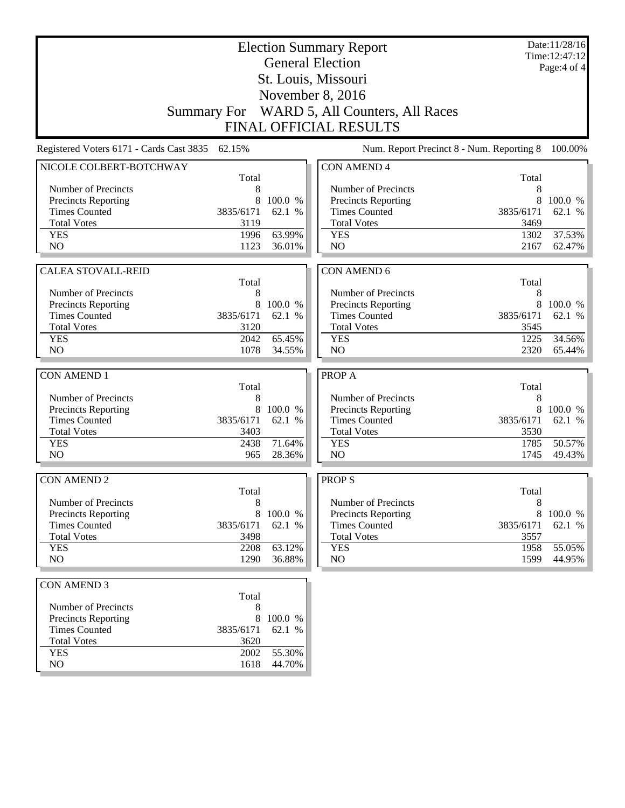|                                          |              |                  | <b>Election Summary Report</b><br><b>General Election</b> |            | Date:11/28/16<br>Time: 12:47:12<br>Page:4 of 4 |
|------------------------------------------|--------------|------------------|-----------------------------------------------------------|------------|------------------------------------------------|
|                                          |              |                  |                                                           |            |                                                |
|                                          |              |                  | November 8, 2016                                          |            |                                                |
| <b>Summary For</b>                       |              |                  | WARD 5, All Counters, All Races                           |            |                                                |
|                                          |              |                  | <b>FINAL OFFICIAL RESULTS</b>                             |            |                                                |
| Registered Voters 6171 - Cards Cast 3835 | 62.15%       |                  | Num. Report Precinct 8 - Num. Reporting 8                 |            | 100.00%                                        |
| NICOLE COLBERT-BOTCHWAY                  |              |                  | <b>CON AMEND 4</b>                                        |            |                                                |
| Number of Precincts                      | Total<br>8   |                  | Number of Precincts                                       | Total<br>8 |                                                |
| Precincts Reporting                      | 8            | 100.0 %          | Precincts Reporting                                       | 8          | 100.0 %                                        |
| <b>Times Counted</b>                     | 3835/6171    | 62.1 %           | <b>Times Counted</b>                                      | 3835/6171  | 62.1 %                                         |
| <b>Total Votes</b>                       | 3119         |                  | <b>Total Votes</b>                                        | 3469       |                                                |
| <b>YES</b>                               | 1996         | 63.99%           | <b>YES</b>                                                | 1302       | 37.53%                                         |
| N <sub>O</sub>                           | 1123         | 36.01%           | N <sub>O</sub>                                            | 2167       | 62.47%                                         |
|                                          |              |                  |                                                           |            |                                                |
| <b>CALEA STOVALL-REID</b>                |              |                  | <b>CON AMEND 6</b>                                        |            |                                                |
| Number of Precincts                      | Total        |                  | Number of Precincts                                       | Total<br>8 |                                                |
| <b>Precincts Reporting</b>               | 8<br>8       | 100.0 %          | Precincts Reporting                                       |            | 8 100.0 %                                      |
| <b>Times Counted</b>                     | 3835/6171    | 62.1 %           | <b>Times Counted</b>                                      | 3835/6171  | 62.1 %                                         |
| <b>Total Votes</b>                       | 3120         |                  | <b>Total Votes</b>                                        | 3545       |                                                |
| <b>YES</b>                               | 2042         | 65.45%           | <b>YES</b>                                                | 1225       | 34.56%                                         |
| N <sub>O</sub>                           | 1078         | 34.55%           | N <sub>O</sub>                                            | 2320       | 65.44%                                         |
|                                          |              |                  |                                                           |            |                                                |
| <b>CON AMEND 1</b>                       |              |                  | PROP A                                                    |            |                                                |
| Number of Precincts                      | Total<br>8   |                  | Number of Precincts                                       | Total<br>8 |                                                |
| Precincts Reporting                      | 8            | 100.0 %          | Precincts Reporting                                       | 8          | 100.0 %                                        |
| <b>Times Counted</b>                     | 3835/6171    | 62.1 %           | <b>Times Counted</b>                                      | 3835/6171  | 62.1 %                                         |
| <b>Total Votes</b>                       | 3403         |                  | <b>Total Votes</b>                                        | 3530       |                                                |
| <b>YES</b>                               | 2438         | 71.64%           | <b>YES</b>                                                | 1785       | 50.57%                                         |
| N <sub>O</sub>                           | 965          | 28.36%           | NO                                                        | 1745       | 49.43%                                         |
|                                          |              |                  |                                                           |            |                                                |
| <b>CON AMEND 2</b>                       | Total        |                  | <b>PROPS</b>                                              | Total      |                                                |
| Number of Precincts                      | 8            |                  | Number of Precincts                                       | 8          |                                                |
| Precincts Reporting                      | 8            | 100.0 %          | Precincts Reporting                                       | 8          | 100.0 %                                        |
| <b>Times Counted</b>                     | 3835/6171    | 62.1 %           | <b>Times Counted</b>                                      | 3835/6171  | 62.1 %                                         |
| <b>Total Votes</b>                       | 3498         |                  | <b>Total Votes</b>                                        | 3557       |                                                |
| <b>YES</b>                               | 2208         | 63.12%           | <b>YES</b>                                                | 1958       | 55.05%                                         |
| NO                                       | 1290         | 36.88%           | NO                                                        | 1599       | 44.95%                                         |
| <b>CON AMEND 3</b>                       |              |                  |                                                           |            |                                                |
|                                          | Total        |                  |                                                           |            |                                                |
| Number of Precincts                      | 8            |                  |                                                           |            |                                                |
| <b>Precincts Reporting</b>               | 8            | 100.0 %          |                                                           |            |                                                |
| <b>Times Counted</b>                     | 3835/6171    | 62.1 %           |                                                           |            |                                                |
| <b>Total Votes</b>                       | 3620         |                  |                                                           |            |                                                |
| <b>YES</b><br>NO                         | 2002<br>1618 | 55.30%<br>44.70% |                                                           |            |                                                |
|                                          |              |                  |                                                           |            |                                                |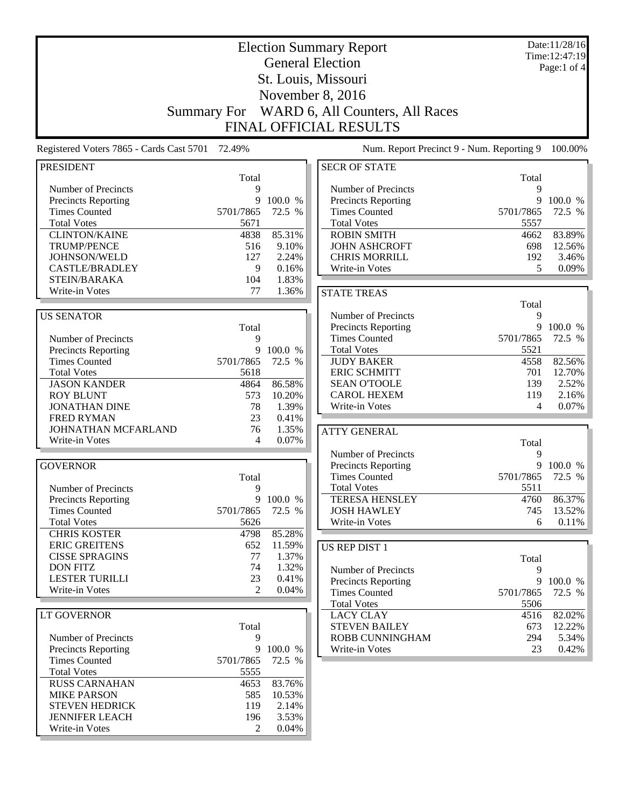| <b>Election Summary Report</b><br><b>General Election</b> |                    |                   |                                              |            | Date:11/28/16<br>Time: 12:47:19 |
|-----------------------------------------------------------|--------------------|-------------------|----------------------------------------------|------------|---------------------------------|
|                                                           |                    | Page:1 of 4       |                                              |            |                                 |
|                                                           |                    |                   |                                              |            |                                 |
|                                                           |                    |                   | November 8, 2016                             |            |                                 |
|                                                           | <b>Summary For</b> |                   | WARD 6, All Counters, All Races              |            |                                 |
|                                                           |                    |                   | <b>FINAL OFFICIAL RESULTS</b>                |            |                                 |
| Registered Voters 7865 - Cards Cast 5701 72.49%           |                    |                   | Num. Report Precinct 9 - Num. Reporting 9    |            | 100.00%                         |
| <b>PRESIDENT</b>                                          |                    |                   | <b>SECR OF STATE</b>                         |            |                                 |
|                                                           | Total              |                   |                                              | Total      |                                 |
| Number of Precincts                                       | 9                  |                   | Number of Precincts                          | 9          |                                 |
| Precincts Reporting                                       | 9                  | 100.0 %           | <b>Precincts Reporting</b>                   | 9          | 100.0 %                         |
| <b>Times Counted</b>                                      | 5701/7865          | 72.5 %            | <b>Times Counted</b>                         | 5701/7865  | 72.5 %                          |
| <b>Total Votes</b>                                        | 5671               |                   | <b>Total Votes</b>                           | 5557       |                                 |
| <b>CLINTON/KAINE</b>                                      | 4838               | 85.31%            | <b>ROBIN SMITH</b>                           | 4662       | 83.89%                          |
| <b>TRUMP/PENCE</b><br>JOHNSON/WELD                        | 516<br>127         | 9.10%<br>2.24%    | <b>JOHN ASHCROFT</b><br><b>CHRIS MORRILL</b> | 698<br>192 | 12.56%<br>3.46%                 |
| <b>CASTLE/BRADLEY</b>                                     | 9                  | 0.16%             | <b>Write-in Votes</b>                        | 5          | 0.09%                           |
| STEIN/BARAKA                                              | 104                | 1.83%             |                                              |            |                                 |
| Write-in Votes                                            | 77                 | 1.36%             | <b>STATE TREAS</b>                           |            |                                 |
|                                                           |                    |                   |                                              | Total      |                                 |
| <b>US SENATOR</b>                                         |                    |                   | Number of Precincts                          | 9          |                                 |
|                                                           | Total              |                   | Precincts Reporting                          | 9          | 100.0 %                         |
| Number of Precincts                                       | 9                  |                   | <b>Times Counted</b>                         | 5701/7865  | 72.5 %                          |
| <b>Precincts Reporting</b>                                | 9                  | 100.0 %           | <b>Total Votes</b>                           | 5521       |                                 |
| <b>Times Counted</b>                                      | 5701/7865          | 72.5 %            | <b>JUDY BAKER</b>                            | 4558       | 82.56%                          |
| <b>Total Votes</b>                                        | 5618               |                   | <b>ERIC SCHMITT</b>                          | 701        | 12.70%                          |
| <b>JASON KANDER</b>                                       | 4864               | 86.58%            | <b>SEAN O'TOOLE</b>                          | 139        | 2.52%                           |
| <b>ROY BLUNT</b>                                          | 573                | 10.20%            | <b>CAROL HEXEM</b>                           | 119        | 2.16%                           |
| <b>JONATHAN DINE</b>                                      | 78                 | 1.39%             | Write-in Votes                               | 4          | 0.07%                           |
| <b>FRED RYMAN</b>                                         | 23                 | 0.41%             |                                              |            |                                 |
| JOHNATHAN MCFARLAND                                       | 76<br>4            | 1.35%<br>0.07%    | <b>ATTY GENERAL</b>                          |            |                                 |
| Write-in Votes                                            |                    |                   |                                              | Total      |                                 |
|                                                           |                    |                   | Number of Precincts                          | 9          | 9 100.0 %                       |
| <b>GOVERNOR</b>                                           | Total              |                   | Precincts Reporting<br><b>Times Counted</b>  | 5701/7865  | 72.5 %                          |
| Number of Precincts                                       | 9                  |                   | <b>Total Votes</b>                           | 5511       |                                 |
| Precincts Reporting                                       |                    | 9 100.0 %         | <b>TERESA HENSLEY</b>                        | 4760       | 86.37%                          |
| <b>Times Counted</b>                                      | 5701/7865          | 72.5 %            | <b>JOSH HAWLEY</b>                           | 745        | 13.52%                          |
| <b>Total Votes</b>                                        | 5626               |                   | Write-in Votes                               | 6          | 0.11%                           |
| <b>CHRIS KOSTER</b>                                       | 4798               | 85.28%            |                                              |            |                                 |
| <b>ERIC GREITENS</b>                                      | 652                | 11.59%            | US REP DIST 1                                |            |                                 |
| <b>CISSE SPRAGINS</b>                                     | 77                 | 1.37%             |                                              | Total      |                                 |
| <b>DON FITZ</b>                                           | 74                 | 1.32%             | Number of Precincts                          | 9          |                                 |
| <b>LESTER TURILLI</b>                                     | 23                 | 0.41%             | Precincts Reporting                          |            | 9 100.0 %                       |
| Write-in Votes                                            | 2                  | 0.04%             | <b>Times Counted</b>                         | 5701/7865  | 72.5 %                          |
|                                                           |                    |                   | <b>Total Votes</b>                           | 5506       |                                 |
| LT GOVERNOR                                               |                    |                   | <b>LACY CLAY</b>                             | 4516       | 82.02%                          |
|                                                           | Total              |                   | <b>STEVEN BAILEY</b>                         | 673        | 12.22%                          |
| Number of Precincts                                       | 9                  |                   | ROBB CUNNINGHAM                              | 294        | 5.34%                           |
| <b>Precincts Reporting</b><br><b>Times Counted</b>        | 9<br>5701/7865     | 100.0 %<br>72.5 % | Write-in Votes                               | 23         | 0.42%                           |
| <b>Total Votes</b>                                        | 5555               |                   |                                              |            |                                 |
| <b>RUSS CARNAHAN</b>                                      | 4653               | 83.76%            |                                              |            |                                 |
| <b>MIKE PARSON</b>                                        | 585                | 10.53%            |                                              |            |                                 |
| <b>STEVEN HEDRICK</b>                                     | 119                | 2.14%             |                                              |            |                                 |
| <b>JENNIFER LEACH</b>                                     | 196                | 3.53%             |                                              |            |                                 |
| Write-in Votes                                            | 2                  | 0.04%             |                                              |            |                                 |
|                                                           |                    |                   |                                              |            |                                 |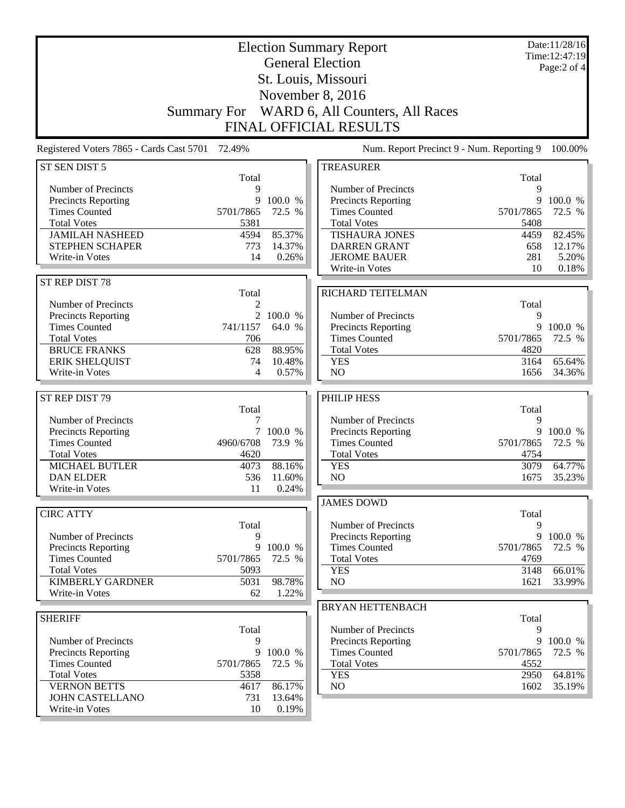|                                            | <b>Summary For</b> |           | <b>Election Summary Report</b><br><b>General Election</b><br>St. Louis, Missouri<br>November 8, 2016<br>WARD 6, All Counters, All Races<br><b>FINAL OFFICIAL RESULTS</b> |           | Date:11/28/16<br>Time: 12:47:19<br>Page:2 of 4 |
|--------------------------------------------|--------------------|-----------|--------------------------------------------------------------------------------------------------------------------------------------------------------------------------|-----------|------------------------------------------------|
| Registered Voters 7865 - Cards Cast 5701   | 72.49%             |           | Num. Report Precinct 9 - Num. Reporting 9                                                                                                                                |           | 100.00%                                        |
| ST SEN DIST 5                              |                    |           | <b>TREASURER</b>                                                                                                                                                         |           |                                                |
| Number of Precincts                        | Total              |           | Number of Precincts                                                                                                                                                      | Total     |                                                |
| <b>Precincts Reporting</b>                 | 9<br>9             | 100.0 %   | Precincts Reporting                                                                                                                                                      | 9<br>9    | 100.0 %                                        |
| <b>Times Counted</b>                       | 5701/7865          | 72.5 %    | <b>Times Counted</b>                                                                                                                                                     | 5701/7865 | 72.5 %                                         |
| <b>Total Votes</b>                         | 5381               |           | <b>Total Votes</b>                                                                                                                                                       | 5408      |                                                |
| <b>JAMILAH NASHEED</b>                     | 4594               | 85.37%    | <b>TISHAURA JONES</b>                                                                                                                                                    | 4459      | 82.45%                                         |
| STEPHEN SCHAPER                            | 773                | 14.37%    | <b>DARREN GRANT</b>                                                                                                                                                      | 658       | 12.17%                                         |
| Write-in Votes                             | 14                 | 0.26%     | <b>JEROME BAUER</b>                                                                                                                                                      | 281       | 5.20%                                          |
|                                            |                    |           | Write-in Votes                                                                                                                                                           | 10        | 0.18%                                          |
| ST REP DIST 78                             |                    |           |                                                                                                                                                                          |           |                                                |
| Number of Precincts                        | Total<br>2         |           | RICHARD TEITELMAN                                                                                                                                                        | Total     |                                                |
| <b>Precincts Reporting</b>                 |                    | 2 100.0 % | Number of Precincts                                                                                                                                                      | 9         |                                                |
| <b>Times Counted</b>                       | 741/1157           | 64.0 %    | Precincts Reporting                                                                                                                                                      | 9         | 100.0 %                                        |
| <b>Total Votes</b>                         | 706                |           | <b>Times Counted</b>                                                                                                                                                     | 5701/7865 | 72.5 %                                         |
| <b>BRUCE FRANKS</b>                        | 628                | 88.95%    | <b>Total Votes</b>                                                                                                                                                       | 4820      |                                                |
| <b>ERIK SHELQUIST</b>                      | 74                 | 10.48%    | <b>YES</b>                                                                                                                                                               | 3164      | 65.64%                                         |
| Write-in Votes                             | 4                  | 0.57%     | NO                                                                                                                                                                       | 1656      | 34.36%                                         |
|                                            |                    |           |                                                                                                                                                                          |           |                                                |
| ST REP DIST 79                             | Total              |           | PHILIP HESS                                                                                                                                                              | Total     |                                                |
| Number of Precincts                        |                    |           | Number of Precincts                                                                                                                                                      | 9         |                                                |
| <b>Precincts Reporting</b>                 |                    | 7 100.0 % | Precincts Reporting                                                                                                                                                      | 9         | 100.0 %                                        |
| <b>Times Counted</b>                       | 4960/6708          | 73.9 %    | <b>Times Counted</b>                                                                                                                                                     | 5701/7865 | 72.5 %                                         |
| <b>Total Votes</b>                         | 4620               |           | <b>Total Votes</b>                                                                                                                                                       | 4754      |                                                |
| <b>MICHAEL BUTLER</b>                      | 4073               | 88.16%    | <b>YES</b>                                                                                                                                                               | 3079      | 64.77%                                         |
| <b>DAN ELDER</b>                           | 536                | 11.60%    | NO                                                                                                                                                                       | 1675      | 35.23%                                         |
| Write-in Votes                             | 11                 | 0.24%     |                                                                                                                                                                          |           |                                                |
|                                            |                    |           | <b>JAMES DOWD</b>                                                                                                                                                        |           |                                                |
| <b>CIRC ATTY</b>                           |                    |           | Number of Precincts                                                                                                                                                      | Total     |                                                |
| Number of Precincts                        | Total<br>9         |           | Precincts Reporting                                                                                                                                                      | 9<br>9    | 100.0 %                                        |
| <b>Precincts Reporting</b>                 | 9                  | 100.0 %   | <b>Times Counted</b>                                                                                                                                                     | 5701/7865 | 72.5 %                                         |
| <b>Times Counted</b>                       | 5701/7865          | 72.5 %    | <b>Total Votes</b>                                                                                                                                                       | 4769      |                                                |
| <b>Total Votes</b>                         | 5093               |           | <b>YES</b>                                                                                                                                                               | 3148      | 66.01%                                         |
| <b>KIMBERLY GARDNER</b>                    | 5031               | 98.78%    | NO                                                                                                                                                                       | 1621      | 33.99%                                         |
| Write-in Votes                             | 62                 | 1.22%     |                                                                                                                                                                          |           |                                                |
|                                            |                    |           | <b>BRYAN HETTENBACH</b>                                                                                                                                                  |           |                                                |
| <b>SHERIFF</b>                             |                    |           |                                                                                                                                                                          | Total     |                                                |
|                                            | Total              |           | Number of Precincts                                                                                                                                                      | 9         |                                                |
| Number of Precincts<br>Precincts Reporting | 9<br>9             | 100.0 %   | Precincts Reporting<br><b>Times Counted</b>                                                                                                                              | 5701/7865 | 9 100.0 %<br>72.5 %                            |
| <b>Times Counted</b>                       | 5701/7865          | 72.5 %    | <b>Total Votes</b>                                                                                                                                                       | 4552      |                                                |
| <b>Total Votes</b>                         | 5358               |           | <b>YES</b>                                                                                                                                                               | 2950      | 64.81%                                         |
| <b>VERNON BETTS</b>                        | 4617               | 86.17%    | NO                                                                                                                                                                       | 1602      | 35.19%                                         |
| <b>JOHN CASTELLANO</b>                     | 731                | 13.64%    |                                                                                                                                                                          |           |                                                |
| Write-in Votes                             | 10                 | 0.19%     |                                                                                                                                                                          |           |                                                |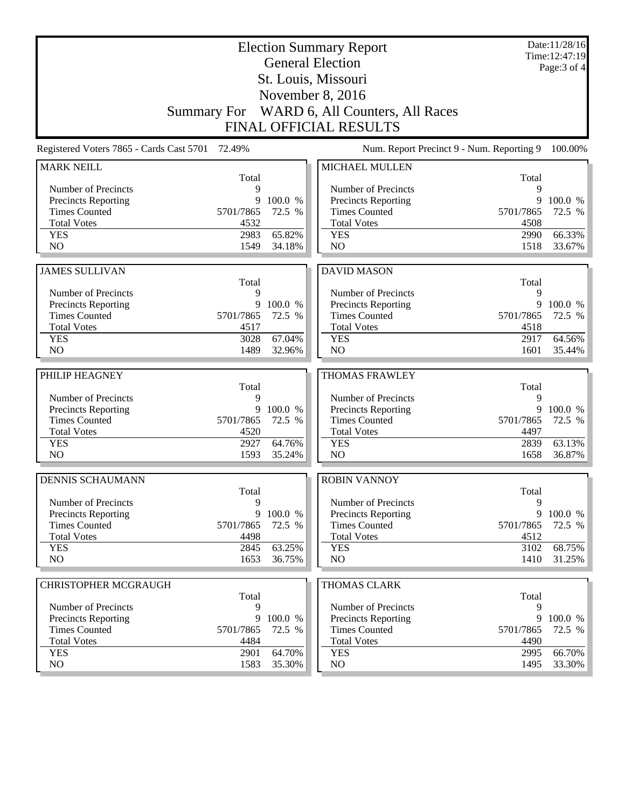|                                          |           | Date:11/28/16<br>Time: 12:47:19 |                                                     |           |           |
|------------------------------------------|-----------|---------------------------------|-----------------------------------------------------|-----------|-----------|
|                                          |           | Page: 3 of 4                    |                                                     |           |           |
|                                          |           |                                 |                                                     |           |           |
| <b>Summary For</b>                       |           |                                 | November 8, 2016<br>WARD 6, All Counters, All Races |           |           |
|                                          |           |                                 | <b>FINAL OFFICIAL RESULTS</b>                       |           |           |
|                                          |           |                                 |                                                     |           |           |
| Registered Voters 7865 - Cards Cast 5701 | 72.49%    |                                 | Num. Report Precinct 9 - Num. Reporting 9           |           | 100.00%   |
| <b>MARK NEILL</b>                        | Total     |                                 | <b>MICHAEL MULLEN</b>                               | Total     |           |
| Number of Precincts                      | 9         |                                 | Number of Precincts                                 | 9         |           |
| <b>Precincts Reporting</b>               | 9         | 100.0 %                         | <b>Precincts Reporting</b>                          | 9         | 100.0 %   |
| <b>Times Counted</b>                     | 5701/7865 | 72.5 %                          | <b>Times Counted</b>                                | 5701/7865 | 72.5 %    |
| <b>Total Votes</b>                       | 4532      |                                 | <b>Total Votes</b>                                  | 4508      |           |
| <b>YES</b>                               | 2983      | 65.82%                          | <b>YES</b>                                          | 2990      | 66.33%    |
| NO                                       | 1549      | 34.18%                          | NO                                                  | 1518      | 33.67%    |
| <b>JAMES SULLIVAN</b>                    |           |                                 | <b>DAVID MASON</b>                                  |           |           |
|                                          | Total     |                                 |                                                     | Total     |           |
| Number of Precincts                      | 9         |                                 | Number of Precincts                                 | 9         |           |
| Precincts Reporting                      | 9         | 100.0 %                         | Precincts Reporting                                 | 9         | 100.0 %   |
| <b>Times Counted</b>                     | 5701/7865 | 72.5 %                          | <b>Times Counted</b>                                | 5701/7865 | 72.5 %    |
| <b>Total Votes</b>                       | 4517      |                                 | <b>Total Votes</b>                                  | 4518      |           |
| <b>YES</b>                               | 3028      | 67.04%                          | <b>YES</b>                                          | 2917      | 64.56%    |
| NO                                       | 1489      | 32.96%                          | NO                                                  | 1601      | 35.44%    |
| PHILIP HEAGNEY                           |           |                                 | <b>THOMAS FRAWLEY</b>                               |           |           |
|                                          | Total     |                                 |                                                     | Total     |           |
| Number of Precincts                      | 9         |                                 | Number of Precincts                                 | 9         |           |
| Precincts Reporting                      | 9         | 100.0 %                         | <b>Precincts Reporting</b>                          | 9         | 100.0 %   |
| <b>Times Counted</b>                     | 5701/7865 | 72.5 %                          | <b>Times Counted</b>                                | 5701/7865 | 72.5 %    |
| <b>Total Votes</b>                       | 4520      |                                 | <b>Total Votes</b>                                  | 4497      |           |
| <b>YES</b>                               | 2927      | 64.76%                          | <b>YES</b>                                          | 2839      | 63.13%    |
| NO                                       | 1593      | 35.24%                          | NO                                                  | 1658      | 36.87%    |
| <b>DENNIS SCHAUMANN</b>                  |           |                                 | <b>ROBIN VANNOY</b>                                 |           |           |
|                                          | Total     |                                 |                                                     | Total     |           |
| Number of Precincts                      | 9         |                                 | Number of Precincts                                 | 9         |           |
| Precincts Reporting                      | 9         | 100.0 %                         | <b>Precincts Reporting</b>                          | 9         | 100.0 %   |
| <b>Times Counted</b>                     | 5701/7865 | 72.5 %                          | <b>Times Counted</b>                                | 5701/7865 | 72.5 %    |
| <b>Total Votes</b>                       | 4498      |                                 | <b>Total Votes</b>                                  | 4512      |           |
| <b>YES</b>                               | 2845      | 63.25%                          | <b>YES</b>                                          | 3102      | 68.75%    |
| NO                                       | 1653      | 36.75%                          | NO.                                                 | 1410      | $31.25\%$ |
| CHRISTOPHER MCGRAUGH                     |           |                                 | <b>THOMAS CLARK</b>                                 |           |           |
|                                          | Total     |                                 |                                                     | Total     |           |
| Number of Precincts                      | 9         |                                 | Number of Precincts                                 | 9         |           |
| <b>Precincts Reporting</b>               | 9         | 100.0 %                         | <b>Precincts Reporting</b>                          | 9         | 100.0 %   |
| <b>Times Counted</b>                     | 5701/7865 | 72.5 %                          | <b>Times Counted</b>                                | 5701/7865 | 72.5 %    |
| <b>Total Votes</b>                       | 4484      |                                 | <b>Total Votes</b>                                  | 4490      |           |
| <b>YES</b>                               | 2901      | 64.70%                          | <b>YES</b>                                          | 2995      | 66.70%    |
| NO                                       | 1583      | 35.30%                          | NO.                                                 | 1495      | 33.30%    |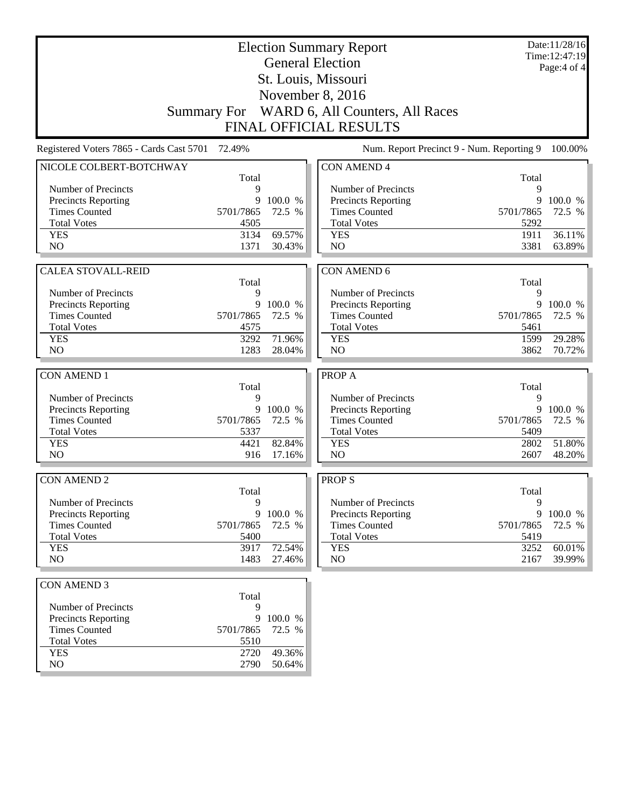|                                          |              | Date:11/28/16<br>Time: 12:47:19<br>Page: 4 of 4 |                                                                                      |              |                  |
|------------------------------------------|--------------|-------------------------------------------------|--------------------------------------------------------------------------------------|--------------|------------------|
| <b>Summary For</b>                       |              |                                                 | November 8, 2016<br>WARD 6, All Counters, All Races<br><b>FINAL OFFICIAL RESULTS</b> |              |                  |
| Registered Voters 7865 - Cards Cast 5701 | 72.49%       |                                                 | Num. Report Precinct 9 - Num. Reporting 9                                            |              | 100.00%          |
| NICOLE COLBERT-BOTCHWAY                  | Total        |                                                 | <b>CON AMEND 4</b>                                                                   | Total        |                  |
| Number of Precincts                      | 9            |                                                 | Number of Precincts                                                                  | 9            |                  |
| Precincts Reporting                      | 9            | 100.0 %                                         | Precincts Reporting                                                                  | 9            | 100.0 %          |
| <b>Times Counted</b>                     | 5701/7865    | 72.5 %                                          | <b>Times Counted</b>                                                                 | 5701/7865    | 72.5 %           |
| <b>Total Votes</b>                       | 4505         |                                                 | <b>Total Votes</b>                                                                   | 5292         |                  |
| <b>YES</b>                               | 3134         | 69.57%                                          | <b>YES</b>                                                                           | 1911         | 36.11%           |
| N <sub>O</sub>                           | 1371         | 30.43%                                          | NO                                                                                   | 3381         | 63.89%           |
|                                          |              |                                                 |                                                                                      |              |                  |
| <b>CALEA STOVALL-REID</b>                |              |                                                 | <b>CON AMEND 6</b>                                                                   |              |                  |
|                                          | Total        |                                                 |                                                                                      | Total        |                  |
| Number of Precincts                      | 9            |                                                 | Number of Precincts                                                                  | 9            |                  |
| <b>Precincts Reporting</b>               |              | 9 100.0 %                                       | Precincts Reporting                                                                  | 9            | 100.0 %          |
| <b>Times Counted</b>                     | 5701/7865    | 72.5 %                                          | <b>Times Counted</b>                                                                 | 5701/7865    | 72.5 %           |
| <b>Total Votes</b>                       | 4575         |                                                 | <b>Total Votes</b>                                                                   | 5461         |                  |
| <b>YES</b>                               | 3292         | 71.96%                                          | <b>YES</b>                                                                           | 1599         | 29.28%           |
| N <sub>O</sub>                           | 1283         | 28.04%                                          | NO                                                                                   | 3862         | 70.72%           |
|                                          |              |                                                 |                                                                                      |              |                  |
|                                          |              |                                                 |                                                                                      |              |                  |
| <b>CON AMEND 1</b>                       |              |                                                 | PROP A                                                                               |              |                  |
|                                          | Total        |                                                 |                                                                                      | Total        |                  |
| Number of Precincts                      | 9            |                                                 | Number of Precincts                                                                  | 9            |                  |
| Precincts Reporting                      | 9            | 100.0 %                                         | Precincts Reporting                                                                  | 9            | 100.0 %          |
| <b>Times Counted</b>                     | 5701/7865    | 72.5 %                                          | <b>Times Counted</b>                                                                 | 5701/7865    | 72.5 %           |
| <b>Total Votes</b>                       | 5337         |                                                 | <b>Total Votes</b>                                                                   | 5409         |                  |
| <b>YES</b>                               | 4421         | 82.84%                                          | <b>YES</b>                                                                           | 2802         | 51.80%           |
| N <sub>O</sub>                           | 916          | 17.16%                                          | NO                                                                                   | 2607         | 48.20%           |
|                                          |              |                                                 |                                                                                      |              |                  |
| <b>CON AMEND 2</b>                       |              |                                                 | <b>PROPS</b>                                                                         |              |                  |
|                                          | Total        |                                                 |                                                                                      | Total        |                  |
| Number of Precincts                      | 9            |                                                 | Number of Precincts                                                                  | 9<br>9       |                  |
| Precincts Reporting                      |              | 9 100.0 %                                       | Precincts Reporting                                                                  |              | 100.0 %          |
| <b>Times Counted</b>                     | 5701/7865    | 72.5 %                                          | <b>Times Counted</b>                                                                 | 5701/7865    | 72.5 %           |
| <b>Total Votes</b>                       | 5400         |                                                 | <b>Total Votes</b>                                                                   | 5419         |                  |
| <b>YES</b><br>NO                         | 3917<br>1483 | 72.54%<br>27.46%                                | <b>YES</b><br>NO                                                                     | 3252<br>2167 | 60.01%<br>39.99% |
|                                          |              |                                                 |                                                                                      |              |                  |
| <b>CON AMEND 3</b>                       |              |                                                 |                                                                                      |              |                  |
|                                          | Total        |                                                 |                                                                                      |              |                  |
| Number of Precincts                      | 9            |                                                 |                                                                                      |              |                  |
| Precincts Reporting                      | 9            | 100.0 %                                         |                                                                                      |              |                  |
| <b>Times Counted</b>                     | 5701/7865    | 72.5 %                                          |                                                                                      |              |                  |
| <b>Total Votes</b>                       | 5510         |                                                 |                                                                                      |              |                  |
| <b>YES</b><br>NO                         | 2720<br>2790 | 49.36%<br>50.64%                                |                                                                                      |              |                  |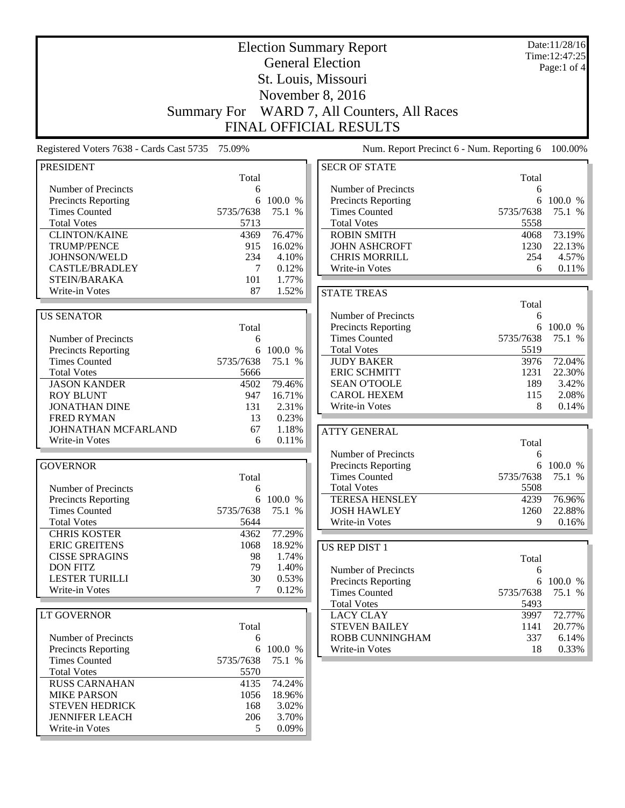|                                          |           | Date:11/28/16<br>Time: 12:47:25 |                                           |            |           |
|------------------------------------------|-----------|---------------------------------|-------------------------------------------|------------|-----------|
|                                          |           | Page:1 of 4                     |                                           |            |           |
|                                          |           |                                 |                                           |            |           |
|                                          |           |                                 | St. Louis, Missouri<br>November 8, 2016   |            |           |
|                                          |           |                                 |                                           |            |           |
| <b>Summary For</b>                       |           |                                 | WARD 7, All Counters, All Races           |            |           |
|                                          |           |                                 | <b>FINAL OFFICIAL RESULTS</b>             |            |           |
| Registered Voters 7638 - Cards Cast 5735 | 75.09%    |                                 | Num. Report Precinct 6 - Num. Reporting 6 |            | 100.00%   |
| <b>PRESIDENT</b>                         |           |                                 | <b>SECR OF STATE</b>                      |            |           |
| Number of Precincts                      | Total     |                                 | Number of Precincts                       | Total<br>6 |           |
| Precincts Reporting                      | 6<br>6    | 100.0 %                         | Precincts Reporting                       | 6          | 100.0 %   |
| <b>Times Counted</b>                     | 5735/7638 | 75.1 %                          | <b>Times Counted</b>                      | 5735/7638  | 75.1 %    |
| <b>Total Votes</b>                       | 5713      |                                 | <b>Total Votes</b>                        | 5558       |           |
| <b>CLINTON/KAINE</b>                     | 4369      | 76.47%                          | <b>ROBIN SMITH</b>                        | 4068       | 73.19%    |
| <b>TRUMP/PENCE</b>                       | 915       | 16.02%                          | <b>JOHN ASHCROFT</b>                      | 1230       | 22.13%    |
| JOHNSON/WELD                             | 234       | 4.10%                           | <b>CHRIS MORRILL</b>                      | 254        | 4.57%     |
| <b>CASTLE/BRADLEY</b>                    | 7         | 0.12%                           | Write-in Votes                            | 6          | 0.11%     |
| STEIN/BARAKA                             | 101       | 1.77%                           |                                           |            |           |
| Write-in Votes                           | 87        | 1.52%                           | <b>STATE TREAS</b>                        |            |           |
|                                          |           |                                 |                                           | Total      |           |
| <b>US SENATOR</b>                        |           |                                 | Number of Precincts                       | 6          |           |
|                                          | Total     |                                 | <b>Precincts Reporting</b>                | 6          | 100.0 %   |
| Number of Precincts                      | 6         |                                 | <b>Times Counted</b>                      | 5735/7638  | 75.1 %    |
| Precincts Reporting                      | 6         | 100.0 %                         | <b>Total Votes</b>                        | 5519       |           |
| <b>Times Counted</b>                     | 5735/7638 | 75.1 %                          | <b>JUDY BAKER</b>                         | 3976       | 72.04%    |
| <b>Total Votes</b>                       | 5666      |                                 | <b>ERIC SCHMITT</b>                       | 1231       | 22.30%    |
| <b>JASON KANDER</b>                      | 4502      | 79.46%                          | <b>SEAN O'TOOLE</b>                       | 189        | 3.42%     |
| <b>ROY BLUNT</b>                         | 947       | 16.71%                          | <b>CAROL HEXEM</b>                        | 115        | 2.08%     |
| <b>JONATHAN DINE</b>                     | 131       | 2.31%                           | Write-in Votes                            | 8          | 0.14%     |
| <b>FRED RYMAN</b>                        | 13        | 0.23%                           |                                           |            |           |
| JOHNATHAN MCFARLAND                      | 67        | 1.18%                           | <b>ATTY GENERAL</b>                       |            |           |
| Write-in Votes                           | 6         | 0.11%                           |                                           | Total      |           |
|                                          |           |                                 | Number of Precincts                       | 6          |           |
| <b>GOVERNOR</b>                          |           |                                 | Precincts Reporting                       |            | 6 100.0 % |
|                                          | Total     |                                 | <b>Times Counted</b>                      | 5735/7638  | 75.1 %    |
| Number of Precincts                      | 6         |                                 | <b>Total Votes</b>                        | 5508       |           |
| <b>Precincts Reporting</b>               |           | 6 100.0 %                       | <b>TERESA HENSLEY</b>                     | 4239       | 76.96%    |
| <b>Times Counted</b>                     | 5735/7638 | 75.1 %                          | <b>JOSH HAWLEY</b>                        | 1260       | 22.88%    |
| <b>Total Votes</b>                       | 5644      |                                 | Write-in Votes                            | 9          | 0.16%     |
| <b>CHRIS KOSTER</b>                      | 4362      | 77.29%                          |                                           |            |           |
| <b>ERIC GREITENS</b>                     | 1068      | 18.92%                          | US REP DIST 1                             |            |           |
| <b>CISSE SPRAGINS</b>                    | 98        | 1.74%                           |                                           | Total      |           |
| <b>DON FITZ</b>                          | 79        | 1.40%                           | Number of Precincts                       | 6          |           |
| <b>LESTER TURILLI</b>                    | 30        | 0.53%                           | Precincts Reporting                       |            | 6 100.0 % |
| Write-in Votes                           | 7         | 0.12%                           | <b>Times Counted</b>                      | 5735/7638  | 75.1 %    |
|                                          |           |                                 | <b>Total Votes</b>                        | 5493       |           |
| LT GOVERNOR                              |           |                                 | <b>LACY CLAY</b>                          | 3997       | 72.77%    |
|                                          | Total     |                                 | <b>STEVEN BAILEY</b>                      | 1141       | 20.77%    |
| Number of Precincts                      | 6         |                                 | ROBB CUNNINGHAM                           | 337        | 6.14%     |
| <b>Precincts Reporting</b>               | 6         | 100.0 %                         | Write-in Votes                            | 18         | 0.33%     |
| <b>Times Counted</b>                     | 5735/7638 | 75.1 %                          |                                           |            |           |
| <b>Total Votes</b>                       | 5570      |                                 |                                           |            |           |
| <b>RUSS CARNAHAN</b>                     | 4135      | 74.24%                          |                                           |            |           |
| <b>MIKE PARSON</b>                       | 1056      | 18.96%                          |                                           |            |           |
| <b>STEVEN HEDRICK</b>                    | 168       | 3.02%                           |                                           |            |           |
| <b>JENNIFER LEACH</b>                    | 206       | 3.70%                           |                                           |            |           |
| Write-in Votes                           | 5         | 0.09%                           |                                           |            |           |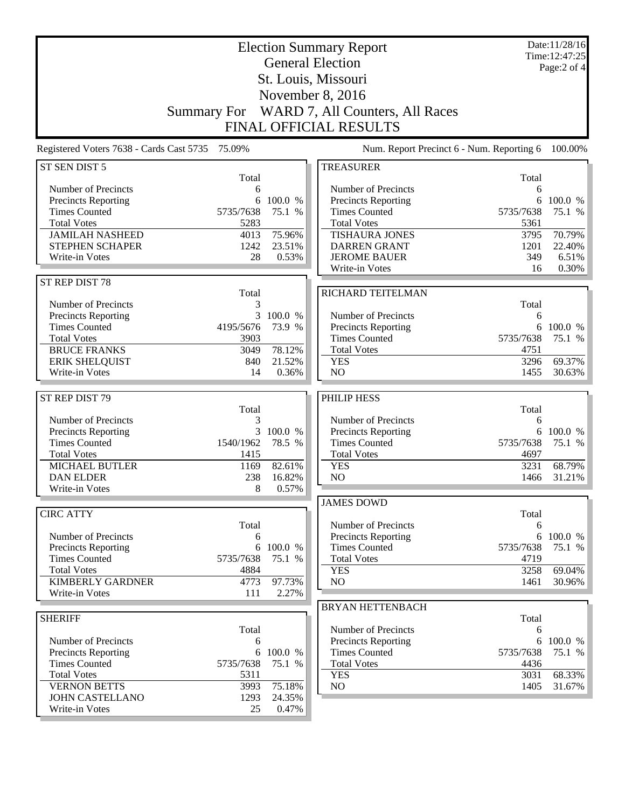| <b>Election Summary Report</b><br><b>General Election</b> |                    |                   |                                                                  | Date:11/28/16<br>Time: 12:47:25<br>Page:2 of 4 |                     |
|-----------------------------------------------------------|--------------------|-------------------|------------------------------------------------------------------|------------------------------------------------|---------------------|
|                                                           |                    |                   | St. Louis, Missouri                                              |                                                |                     |
|                                                           |                    |                   | November 8, 2016                                                 |                                                |                     |
|                                                           |                    |                   |                                                                  |                                                |                     |
|                                                           | <b>Summary For</b> |                   | WARD 7, All Counters, All Races<br><b>FINAL OFFICIAL RESULTS</b> |                                                |                     |
|                                                           |                    |                   |                                                                  |                                                |                     |
| Registered Voters 7638 - Cards Cast 5735 75.09%           |                    |                   | Num. Report Precinct 6 - Num. Reporting 6                        |                                                | 100.00%             |
| ST SEN DIST 5                                             | Total              |                   | <b>TREASURER</b>                                                 | Total                                          |                     |
| Number of Precincts                                       | 6                  |                   | Number of Precincts                                              | 6                                              |                     |
| Precincts Reporting<br><b>Times Counted</b>               | 6<br>5735/7638     | 100.0 %           | Precincts Reporting<br><b>Times Counted</b>                      | 6<br>5735/7638                                 | 100.0 %<br>75.1 %   |
| <b>Total Votes</b>                                        | 5283               | 75.1 %            | <b>Total Votes</b>                                               | 5361                                           |                     |
| <b>JAMILAH NASHEED</b>                                    | 4013               | 75.96%            | <b>TISHAURA JONES</b>                                            | 3795                                           | 70.79%              |
| STEPHEN SCHAPER                                           | 1242               | 23.51%            | <b>DARREN GRANT</b>                                              | 1201                                           | 22.40%              |
| Write-in Votes                                            | 28                 | 0.53%             | <b>JEROME BAUER</b>                                              | 349                                            | 6.51%               |
|                                                           |                    |                   | Write-in Votes                                                   | 16                                             | 0.30%               |
| ST REP DIST 78                                            |                    |                   |                                                                  |                                                |                     |
|                                                           | Total              |                   | RICHARD TEITELMAN                                                |                                                |                     |
| Number of Precincts                                       | 3                  |                   |                                                                  | Total                                          |                     |
| Precincts Reporting<br><b>Times Counted</b>               | 3<br>4195/5676     | 100.0 %<br>73.9 % | Number of Precincts<br><b>Precincts Reporting</b>                | 6<br>6                                         | 100.0 %             |
| <b>Total Votes</b>                                        | 3903               |                   | <b>Times Counted</b>                                             | 5735/7638                                      | 75.1 %              |
| <b>BRUCE FRANKS</b>                                       | 3049               | 78.12%            | <b>Total Votes</b>                                               | 4751                                           |                     |
| <b>ERIK SHELQUIST</b>                                     | 840                | 21.52%            | <b>YES</b>                                                       | 3296                                           | 69.37%              |
| Write-in Votes                                            | 14                 | 0.36%             | NO                                                               | 1455                                           | 30.63%              |
|                                                           |                    |                   |                                                                  |                                                |                     |
| ST REP DIST 79                                            |                    |                   | PHILIP HESS                                                      |                                                |                     |
|                                                           | Total              |                   |                                                                  | Total                                          |                     |
| Number of Precincts                                       | 3<br>3             | 100.0 %           | Number of Precincts                                              | 6<br>6                                         | 100.0 %             |
| Precincts Reporting<br><b>Times Counted</b>               | 1540/1962          | 78.5 %            | Precincts Reporting<br><b>Times Counted</b>                      | 5735/7638                                      | 75.1 %              |
| <b>Total Votes</b>                                        | 1415               |                   | <b>Total Votes</b>                                               | 4697                                           |                     |
| <b>MICHAEL BUTLER</b>                                     | 1169               | 82.61%            | <b>YES</b>                                                       | 3231                                           | 68.79%              |
| <b>DAN ELDER</b>                                          | 238                | 16.82%            | NO                                                               | 1466                                           | 31.21%              |
| Write-in Votes                                            | 8                  | 0.57%             |                                                                  |                                                |                     |
|                                                           |                    |                   | <b>JAMES DOWD</b>                                                |                                                |                     |
| <b>CIRC ATTY</b>                                          |                    |                   |                                                                  | Total                                          |                     |
|                                                           | Total              |                   | Number of Precincts                                              | 6                                              |                     |
| Number of Precincts<br>Precincts Reporting                | 6<br>6             | 100.0 %           | Precincts Reporting<br><b>Times Counted</b>                      | 5735/7638                                      | 6 100.0 %<br>75.1 % |
| <b>Times Counted</b>                                      | 5735/7638          | 75.1 %            | <b>Total Votes</b>                                               | 4719                                           |                     |
| <b>Total Votes</b>                                        | 4884               |                   | <b>YES</b>                                                       | 3258                                           | 69.04%              |
| <b>KIMBERLY GARDNER</b>                                   | 4773               | 97.73%            | NO                                                               | 1461                                           | 30.96%              |
| Write-in Votes                                            | 111                | 2.27%             |                                                                  |                                                |                     |
|                                                           |                    |                   | <b>BRYAN HETTENBACH</b>                                          |                                                |                     |
| <b>SHERIFF</b>                                            |                    |                   |                                                                  | Total                                          |                     |
|                                                           | Total              |                   | Number of Precincts                                              | 6                                              |                     |
| Number of Precincts                                       | 6                  |                   | Precincts Reporting                                              |                                                | 6 100.0 %           |
| Precincts Reporting                                       |                    | 6 100.0 %         | <b>Times Counted</b>                                             | 5735/7638                                      | 75.1 %              |
| <b>Times Counted</b><br><b>Total Votes</b>                | 5735/7638<br>5311  | 75.1 %            | <b>Total Votes</b><br><b>YES</b>                                 | 4436<br>3031                                   | 68.33%              |
| <b>VERNON BETTS</b>                                       | 3993               | 75.18%            | NO                                                               | 1405                                           | 31.67%              |
| <b>JOHN CASTELLANO</b>                                    | 1293               | 24.35%            |                                                                  |                                                |                     |
| Write-in Votes                                            | 25                 | 0.47%             |                                                                  |                                                |                     |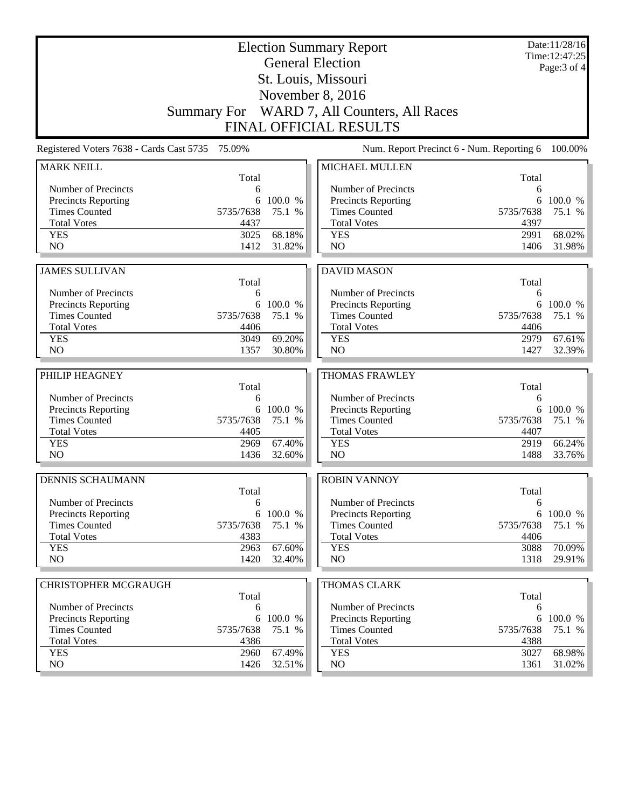|                                                    |                    | Date:11/28/16<br>Time: 12:47:25 |                                                    |                   |         |
|----------------------------------------------------|--------------------|---------------------------------|----------------------------------------------------|-------------------|---------|
|                                                    |                    | Page: 3 of 4                    |                                                    |                   |         |
|                                                    |                    |                                 | St. Louis, Missouri<br>November 8, 2016            |                   |         |
|                                                    | <b>Summary For</b> |                                 | WARD 7, All Counters, All Races                    |                   |         |
|                                                    |                    |                                 | <b>FINAL OFFICIAL RESULTS</b>                      |                   |         |
|                                                    |                    |                                 |                                                    |                   |         |
| Registered Voters 7638 - Cards Cast 5735           | 75.09%             |                                 | Num. Report Precinct 6 - Num. Reporting 6          |                   | 100.00% |
| <b>MARK NEILL</b>                                  | Total              |                                 | <b>MICHAEL MULLEN</b>                              | Total             |         |
| Number of Precincts                                | 6                  |                                 | Number of Precincts                                | 6                 |         |
| <b>Precincts Reporting</b>                         | 6                  | 100.0 %                         | <b>Precincts Reporting</b>                         | 6                 | 100.0 % |
| <b>Times Counted</b>                               | 5735/7638          | 75.1 %                          | <b>Times Counted</b>                               | 5735/7638         | 75.1 %  |
| <b>Total Votes</b>                                 | 4437               |                                 | <b>Total Votes</b>                                 | 4397              |         |
| <b>YES</b>                                         | 3025               | 68.18%                          | <b>YES</b>                                         | 2991              | 68.02%  |
| NO                                                 | 1412               | 31.82%                          | NO                                                 | 1406              | 31.98%  |
| <b>JAMES SULLIVAN</b>                              |                    |                                 | <b>DAVID MASON</b>                                 |                   |         |
|                                                    | Total              |                                 |                                                    | Total             |         |
| Number of Precincts                                | 6                  |                                 | Number of Precincts                                | 6                 |         |
| Precincts Reporting                                | 6                  | 100.0 %                         | Precincts Reporting                                | 6                 | 100.0 % |
| <b>Times Counted</b>                               | 5735/7638          | 75.1 %                          | <b>Times Counted</b>                               | 5735/7638         | 75.1 %  |
| <b>Total Votes</b>                                 | 4406               |                                 | <b>Total Votes</b>                                 | 4406              |         |
| <b>YES</b>                                         | 3049               | 69.20%                          | <b>YES</b>                                         | 2979              | 67.61%  |
| NO                                                 | 1357               | 30.80%                          | NO                                                 | 1427              | 32.39%  |
|                                                    |                    |                                 |                                                    |                   |         |
| PHILIP HEAGNEY                                     | Total              |                                 | <b>THOMAS FRAWLEY</b>                              | Total             |         |
| Number of Precincts                                | 6                  |                                 | Number of Precincts                                | 6                 |         |
| Precincts Reporting                                | 6                  | 100.0 %                         | <b>Precincts Reporting</b>                         | 6                 | 100.0 % |
| <b>Times Counted</b>                               | 5735/7638          | 75.1 %                          | <b>Times Counted</b>                               | 5735/7638         | 75.1 %  |
| <b>Total Votes</b>                                 | 4405               |                                 | <b>Total Votes</b>                                 | 4407              |         |
| <b>YES</b>                                         | 2969               | 67.40%                          | <b>YES</b>                                         | 2919              | 66.24%  |
| NO                                                 | 1436               | 32.60%                          | NO                                                 | 1488              | 33.76%  |
| <b>DENNIS SCHAUMANN</b>                            |                    |                                 | <b>ROBIN VANNOY</b>                                |                   |         |
|                                                    | Total              |                                 |                                                    | Total             |         |
| Number of Precincts                                | 6                  |                                 | Number of Precincts                                | 6                 |         |
| Precincts Reporting                                | 6                  | 100.0 %                         | <b>Precincts Reporting</b>                         | 6                 | 100.0 % |
| <b>Times Counted</b><br><b>Total Votes</b>         | 5735/7638<br>4383  | 75.1 %                          | <b>Times Counted</b><br><b>Total Votes</b>         | 5735/7638<br>4406 | 75.1 %  |
| <b>YES</b>                                         | 2963               | 67.60%                          | <b>YES</b>                                         | 3088              | 70.09%  |
| NO                                                 | 1420               | 32.40%                          | NO.                                                | 1318              | 29.91%  |
|                                                    |                    |                                 |                                                    |                   |         |
| CHRISTOPHER MCGRAUGH                               |                    |                                 | <b>THOMAS CLARK</b>                                |                   |         |
|                                                    | Total              |                                 |                                                    | Total             |         |
| Number of Precincts                                | 6                  |                                 | Number of Precincts                                | 6                 |         |
| <b>Precincts Reporting</b><br><b>Times Counted</b> | 6                  | 100.0 %                         | <b>Precincts Reporting</b><br><b>Times Counted</b> | 6                 | 100.0 % |
| <b>Total Votes</b>                                 | 5735/7638<br>4386  | 75.1 %                          | <b>Total Votes</b>                                 | 5735/7638<br>4388 | 75.1 %  |
| <b>YES</b>                                         | 2960               | 67.49%                          | <b>YES</b>                                         | 3027              | 68.98%  |
| NO                                                 | 1426               | 32.51%                          | NO.                                                | 1361              | 31.02%  |
|                                                    |                    |                                 |                                                    |                   |         |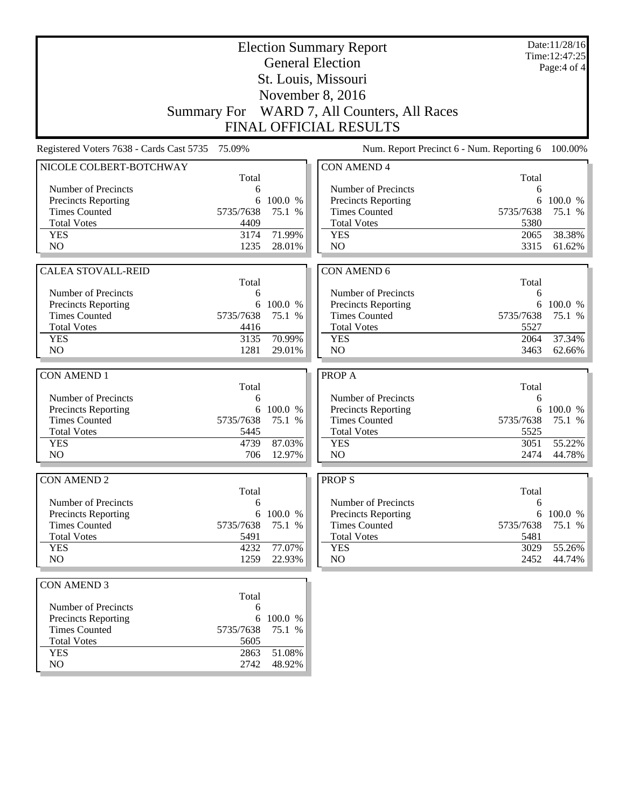|                                                   |           | Date:11/28/16<br>Time: 12:47:25<br>Page: 4 of 4 |                                             |           |                   |
|---------------------------------------------------|-----------|-------------------------------------------------|---------------------------------------------|-----------|-------------------|
|                                                   |           |                                                 |                                             |           |                   |
|                                                   |           |                                                 | November 8, 2016                            |           |                   |
| <b>Summary For</b>                                |           |                                                 | WARD 7, All Counters, All Races             |           |                   |
|                                                   |           |                                                 | <b>FINAL OFFICIAL RESULTS</b>               |           |                   |
| Registered Voters 7638 - Cards Cast 5735          | 75.09%    |                                                 | Num. Report Precinct 6 - Num. Reporting 6   |           | 100.00%           |
| NICOLE COLBERT-BOTCHWAY                           | Total     |                                                 | <b>CON AMEND 4</b>                          | Total     |                   |
| Number of Precincts                               | 6         |                                                 | Number of Precincts                         | 6         |                   |
| Precincts Reporting                               | 6         | 100.0 %                                         | Precincts Reporting                         | 6         | 100.0 %           |
| <b>Times Counted</b>                              | 5735/7638 | 75.1 %                                          | <b>Times Counted</b>                        | 5735/7638 | 75.1 %            |
| <b>Total Votes</b>                                | 4409      |                                                 | <b>Total Votes</b>                          | 5380      |                   |
| <b>YES</b>                                        | 3174      | 71.99%                                          | <b>YES</b>                                  | 2065      | 38.38%            |
| N <sub>O</sub>                                    | 1235      | 28.01%                                          | N <sub>O</sub>                              | 3315      | 61.62%            |
|                                                   |           |                                                 |                                             |           |                   |
| <b>CALEA STOVALL-REID</b>                         |           |                                                 | <b>CON AMEND 6</b>                          |           |                   |
|                                                   | Total     |                                                 |                                             | Total     |                   |
| Number of Precincts<br><b>Precincts Reporting</b> | 6         | 6 100.0 %                                       | Number of Precincts                         | 6         | 6 100.0 %         |
| <b>Times Counted</b>                              | 5735/7638 | 75.1 %                                          | Precincts Reporting<br><b>Times Counted</b> | 5735/7638 | 75.1 %            |
| <b>Total Votes</b>                                | 4416      |                                                 | <b>Total Votes</b>                          | 5527      |                   |
| <b>YES</b>                                        | 3135      | 70.99%                                          | <b>YES</b>                                  | 2064      | 37.34%            |
| N <sub>O</sub>                                    | 1281      | 29.01%                                          | NO                                          | 3463      | 62.66%            |
|                                                   |           |                                                 |                                             |           |                   |
| <b>CON AMEND 1</b>                                |           |                                                 | PROP A                                      |           |                   |
|                                                   | Total     |                                                 |                                             | Total     |                   |
| Number of Precincts                               | 6<br>6    | 100.0 %                                         | Number of Precincts                         | 6<br>6    |                   |
| Precincts Reporting<br><b>Times Counted</b>       | 5735/7638 | 75.1 %                                          | Precincts Reporting<br><b>Times Counted</b> | 5735/7638 | 100.0 %<br>75.1 % |
| <b>Total Votes</b>                                | 5445      |                                                 | <b>Total Votes</b>                          | 5525      |                   |
| <b>YES</b>                                        | 4739      | 87.03%                                          | <b>YES</b>                                  | 3051      | 55.22%            |
| N <sub>O</sub>                                    | 706       | 12.97%                                          | NO                                          | 2474      | 44.78%            |
|                                                   |           |                                                 |                                             |           |                   |
| <b>CON AMEND 2</b>                                | Total     |                                                 | <b>PROPS</b>                                | Total     |                   |
| Number of Precincts                               | 6         |                                                 | Number of Precincts                         | 6         |                   |
| Precincts Reporting                               |           | 6 100.0 %                                       | Precincts Reporting                         |           | 6 100.0 %         |
| <b>Times Counted</b>                              | 5735/7638 | 75.1 %                                          | <b>Times Counted</b>                        | 5735/7638 | 75.1 %            |
| <b>Total Votes</b>                                | 5491      |                                                 | <b>Total Votes</b>                          | 5481      |                   |
| <b>YES</b>                                        | 4232      | 77.07%                                          | <b>YES</b>                                  | 3029      | 55.26%            |
| NO                                                | 1259      | 22.93%                                          | NO                                          | 2452      | 44.74%            |
| <b>CON AMEND 3</b>                                |           |                                                 |                                             |           |                   |
|                                                   | Total     |                                                 |                                             |           |                   |
| Number of Precincts                               | 6         |                                                 |                                             |           |                   |
| <b>Precincts Reporting</b>                        |           | 6 100.0 %                                       |                                             |           |                   |
| <b>Times Counted</b>                              | 5735/7638 | 75.1 %                                          |                                             |           |                   |
| <b>Total Votes</b>                                | 5605      |                                                 |                                             |           |                   |
| <b>YES</b>                                        | 2863      | 51.08%                                          |                                             |           |                   |
| NO                                                | 2742      | 48.92%                                          |                                             |           |                   |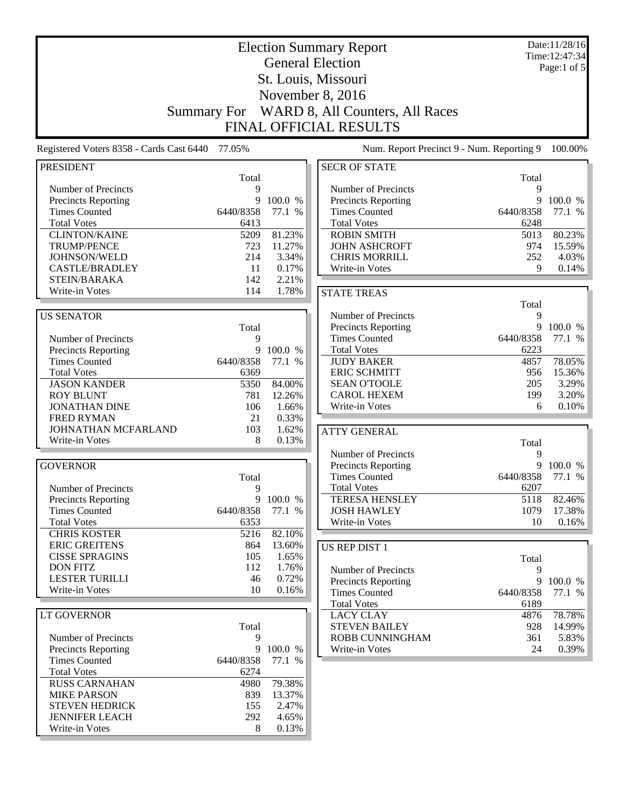| <b>Election Summary Report</b><br><b>General Election</b> |                    |                |                                             |            | Date:11/28/16<br>Time: 12:47:34 |
|-----------------------------------------------------------|--------------------|----------------|---------------------------------------------|------------|---------------------------------|
|                                                           |                    | Page:1 of 5    |                                             |            |                                 |
| St. Louis, Missouri                                       |                    |                |                                             |            |                                 |
|                                                           |                    |                | November 8, 2016                            |            |                                 |
|                                                           |                    |                | WARD 8, All Counters, All Races             |            |                                 |
|                                                           | <b>Summary For</b> |                | <b>FINAL OFFICIAL RESULTS</b>               |            |                                 |
|                                                           |                    |                |                                             |            |                                 |
| Registered Voters 8358 - Cards Cast 6440 77.05%           |                    |                | Num. Report Precinct 9 - Num. Reporting 9   |            | 100.00%                         |
| <b>PRESIDENT</b>                                          | Total              |                | <b>SECR OF STATE</b>                        | Total      |                                 |
| Number of Precincts                                       | 9                  |                | Number of Precincts                         | 9          |                                 |
| Precincts Reporting                                       | 9                  | 100.0 %        | <b>Precincts Reporting</b>                  | 9          | 100.0 %                         |
| <b>Times Counted</b>                                      | 6440/8358          | 77.1 %         | <b>Times Counted</b>                        | 6440/8358  | 77.1 %                          |
| <b>Total Votes</b>                                        | 6413               |                | <b>Total Votes</b>                          | 6248       |                                 |
| <b>CLINTON/KAINE</b>                                      | 5209               | 81.23%         | <b>ROBIN SMITH</b>                          | 5013       | 80.23%                          |
| <b>TRUMP/PENCE</b>                                        | 723                | 11.27%         | <b>JOHN ASHCROFT</b>                        | 974        | 15.59%                          |
| JOHNSON/WELD                                              | 214                | 3.34%          | <b>CHRIS MORRILL</b>                        | 252        | 4.03%                           |
| <b>CASTLE/BRADLEY</b>                                     | 11                 | 0.17%          | Write-in Votes                              | 9          | 0.14%                           |
| STEIN/BARAKA                                              | 142                | 2.21%          |                                             |            |                                 |
| Write-in Votes                                            | 114                | 1.78%          | <b>STATE TREAS</b>                          |            |                                 |
|                                                           |                    |                |                                             | Total      |                                 |
| <b>US SENATOR</b>                                         |                    |                | Number of Precincts                         | 9<br>9     | 100.0 %                         |
| Number of Precincts                                       | Total<br>9         |                | Precincts Reporting<br><b>Times Counted</b> | 6440/8358  | 77.1 %                          |
| Precincts Reporting                                       | 9                  | 100.0 %        | <b>Total Votes</b>                          | 6223       |                                 |
| <b>Times Counted</b>                                      | 6440/8358          | 77.1 %         | <b>JUDY BAKER</b>                           | 4857       | 78.05%                          |
| <b>Total Votes</b>                                        | 6369               |                | <b>ERIC SCHMITT</b>                         | 956        | 15.36%                          |
| <b>JASON KANDER</b>                                       | 5350               | 84.00%         | <b>SEAN O'TOOLE</b>                         | 205        | 3.29%                           |
| <b>ROY BLUNT</b>                                          | 781                | 12.26%         | <b>CAROL HEXEM</b>                          | 199        | 3.20%                           |
| <b>JONATHAN DINE</b>                                      | 106                | 1.66%          | Write-in Votes                              | 6          | 0.10%                           |
| <b>FRED RYMAN</b>                                         | 21                 | 0.33%          |                                             |            |                                 |
| JOHNATHAN MCFARLAND                                       | 103                | 1.62%          | <b>ATTY GENERAL</b>                         |            |                                 |
| Write-in Votes                                            | 8                  | 0.13%          |                                             | Total      |                                 |
|                                                           |                    |                | Number of Precincts                         | 9          |                                 |
| <b>GOVERNOR</b>                                           |                    |                | Precincts Reporting                         | 9          | 100.0 %                         |
|                                                           | Total              |                | <b>Times Counted</b>                        | 6440/8358  | 77.1 %                          |
| Number of Precincts                                       | 9                  |                | <b>Total Votes</b>                          | 6207       |                                 |
| Precincts Reporting                                       |                    | 9 100.0 %      | <b>TERESA HENSLEY</b>                       | 5118       | 82.46%                          |
| <b>Times Counted</b>                                      | 6440/8358          | 77.1 %         | <b>JOSH HAWLEY</b>                          | 1079       | 17.38%                          |
| <b>Total Votes</b><br><b>CHRIS KOSTER</b>                 | 6353<br>5216       | 82.10%         | Write-in Votes                              | 10         | 0.16%                           |
| <b>ERIC GREITENS</b>                                      | 864                | 13.60%         |                                             |            |                                 |
| <b>CISSE SPRAGINS</b>                                     | 105                | 1.65%          | <b>US REP DIST 1</b>                        |            |                                 |
| <b>DON FITZ</b>                                           | 112                | 1.76%          | Number of Precincts                         | Total<br>9 |                                 |
| <b>LESTER TURILLI</b>                                     | 46                 | 0.72%          | <b>Precincts Reporting</b>                  | 9          | 100.0 %                         |
| Write-in Votes                                            | 10                 | 0.16%          | <b>Times Counted</b>                        | 6440/8358  | 77.1 %                          |
|                                                           |                    |                | <b>Total Votes</b>                          | 6189       |                                 |
| LT GOVERNOR                                               |                    |                | <b>LACY CLAY</b>                            | 4876       | 78.78%                          |
|                                                           | Total              |                | <b>STEVEN BAILEY</b>                        | 928        | 14.99%                          |
| Number of Precincts                                       | 9                  |                | ROBB CUNNINGHAM                             | 361        | 5.83%                           |
| <b>Precincts Reporting</b>                                | 9                  | 100.0 %        | Write-in Votes                              | 24         | 0.39%                           |
| <b>Times Counted</b>                                      | 6440/8358          | 77.1 %         |                                             |            |                                 |
| <b>Total Votes</b>                                        | 6274               |                |                                             |            |                                 |
| <b>RUSS CARNAHAN</b>                                      | 4980               | 79.38%         |                                             |            |                                 |
| <b>MIKE PARSON</b>                                        | 839                | 13.37%         |                                             |            |                                 |
| <b>STEVEN HEDRICK</b>                                     | 155                | 2.47%          |                                             |            |                                 |
| <b>JENNIFER LEACH</b><br>Write-in Votes                   | 292<br>8           | 4.65%<br>0.13% |                                             |            |                                 |
|                                                           |                    |                |                                             |            |                                 |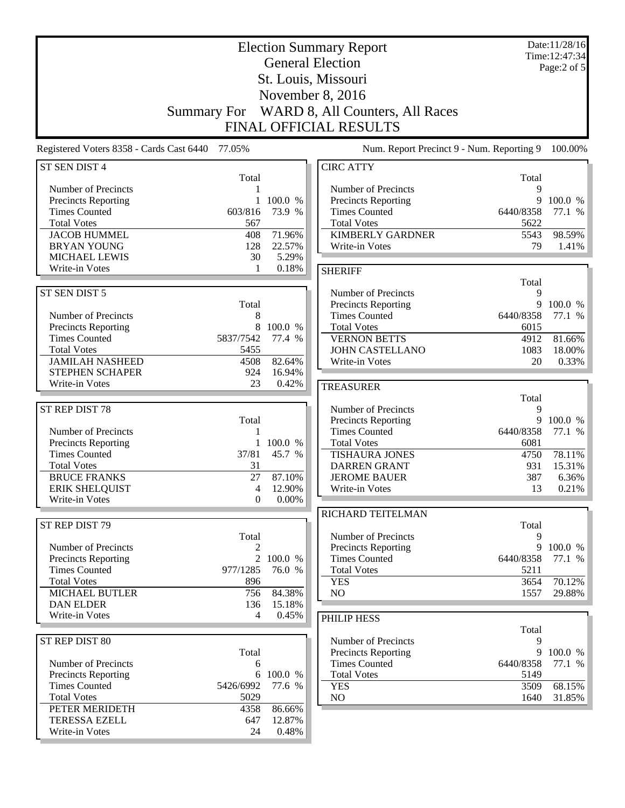|                                                 |                    | Date:11/28/16<br>Time: 12:47:34 |                                                    |            |                 |
|-------------------------------------------------|--------------------|---------------------------------|----------------------------------------------------|------------|-----------------|
|                                                 |                    |                                 | <b>General Election</b>                            |            | Page:2 of 5     |
|                                                 |                    |                                 | St. Louis, Missouri                                |            |                 |
|                                                 |                    |                                 | November 8, 2016                                   |            |                 |
|                                                 | <b>Summary For</b> |                                 | WARD 8, All Counters, All Races                    |            |                 |
|                                                 |                    |                                 | <b>FINAL OFFICIAL RESULTS</b>                      |            |                 |
| Registered Voters 8358 - Cards Cast 6440 77.05% |                    |                                 | Num. Report Precinct 9 - Num. Reporting 9          |            | 100.00%         |
| ST SEN DIST 4                                   |                    |                                 | <b>CIRC ATTY</b>                                   |            |                 |
| Number of Precincts                             | Total              |                                 | Number of Precincts                                | Total<br>9 |                 |
| Precincts Reporting                             | $\mathbf{1}$       | 100.0 %                         | Precincts Reporting                                | 9          | 100.0 %         |
| <b>Times Counted</b>                            | 603/816            | 73.9 %                          | <b>Times Counted</b>                               | 6440/8358  | 77.1 %          |
| <b>Total Votes</b>                              | 567                |                                 | <b>Total Votes</b>                                 | 5622       |                 |
| <b>JACOB HUMMEL</b>                             | 408                | 71.96%                          | <b>KIMBERLY GARDNER</b>                            | 5543       | 98.59%          |
| <b>BRYAN YOUNG</b>                              | 128                | 22.57%                          | Write-in Votes                                     | 79         | 1.41%           |
| <b>MICHAEL LEWIS</b>                            | 30                 | 5.29%                           |                                                    |            |                 |
| Write-in Votes                                  | 1                  | 0.18%                           | <b>SHERIFF</b>                                     |            |                 |
|                                                 |                    |                                 |                                                    | Total      |                 |
| ST SEN DIST 5                                   |                    |                                 | Number of Precincts                                | 9          |                 |
|                                                 | Total              |                                 | Precincts Reporting                                |            | 9 100.0 %       |
| Number of Precincts                             | 8                  |                                 | <b>Times Counted</b>                               | 6440/8358  | 77.1 %          |
| Precincts Reporting                             | 8                  | 100.0 %                         | <b>Total Votes</b>                                 | 6015       |                 |
| <b>Times Counted</b>                            | 5837/7542          | 77.4 %                          | <b>VERNON BETTS</b>                                | 4912       | 81.66%          |
| <b>Total Votes</b><br><b>JAMILAH NASHEED</b>    | 5455<br>4508       | 82.64%                          | <b>JOHN CASTELLANO</b><br>Write-in Votes           | 1083<br>20 | 18.00%<br>0.33% |
| STEPHEN SCHAPER                                 | 924                | 16.94%                          |                                                    |            |                 |
| Write-in Votes                                  | 23                 | 0.42%                           | <b>TREASURER</b>                                   |            |                 |
|                                                 |                    |                                 |                                                    | Total      |                 |
| ST REP DIST 78                                  |                    |                                 | Number of Precincts                                | 9          |                 |
|                                                 | Total              |                                 | Precincts Reporting                                | 9          | 100.0 %         |
| Number of Precincts                             | 1                  |                                 | <b>Times Counted</b>                               | 6440/8358  | 77.1 %          |
| Precincts Reporting                             |                    | 100.0 %                         | <b>Total Votes</b>                                 | 6081       |                 |
| <b>Times Counted</b>                            | 37/81              | 45.7 %                          | <b>TISHAURA JONES</b>                              | 4750       | 78.11%          |
| <b>Total Votes</b>                              | 31                 |                                 | <b>DARREN GRANT</b>                                | 931        | 15.31%          |
| <b>BRUCE FRANKS</b>                             | 27                 | 87.10%                          | <b>JEROME BAUER</b>                                | 387        | 6.36%           |
| ERIK SHELQUIST                                  | 4                  | 12.90%                          | Write-in Votes                                     | 13         | 0.21%           |
| Write-in Votes                                  | $\boldsymbol{0}$   | $0.00\%$                        |                                                    |            |                 |
|                                                 |                    |                                 | RICHARD TEITELMAN                                  |            |                 |
| ST REP DIST 79                                  |                    |                                 |                                                    | Total      |                 |
|                                                 | Total<br>2         |                                 | Number of Precincts                                | 9<br>9     | 100.0 %         |
| Number of Precincts<br>Precincts Reporting      | 2                  | 100.0 %                         | <b>Precincts Reporting</b><br><b>Times Counted</b> | 6440/8358  | 77.1 %          |
| <b>Times Counted</b>                            | 977/1285           | 76.0 %                          | <b>Total Votes</b>                                 | 5211       |                 |
| <b>Total Votes</b>                              | 896                |                                 | <b>YES</b>                                         | 3654       | 70.12%          |
| <b>MICHAEL BUTLER</b>                           | 756                | 84.38%                          | NO                                                 | 1557       | 29.88%          |
| <b>DAN ELDER</b>                                | 136                | 15.18%                          |                                                    |            |                 |
| Write-in Votes                                  | 4                  | 0.45%                           | PHILIP HESS                                        |            |                 |
|                                                 |                    |                                 |                                                    | Total      |                 |
| ST REP DIST 80                                  |                    |                                 | Number of Precincts                                | 9          |                 |
|                                                 | Total              |                                 | Precincts Reporting                                | 9          | 100.0 %         |
| Number of Precincts                             | 6                  |                                 | <b>Times Counted</b>                               | 6440/8358  | 77.1 %          |
| Precincts Reporting                             |                    | 6 100.0 %                       | <b>Total Votes</b>                                 | 5149       |                 |
| <b>Times Counted</b>                            | 5426/6992          | 77.6 %                          | <b>YES</b>                                         | 3509       | 68.15%          |
| <b>Total Votes</b>                              | 5029               |                                 | NO                                                 | 1640       | $31.85\%$       |
| PETER MERIDETH                                  | 4358               | 86.66%                          |                                                    |            |                 |
| <b>TERESSA EZELL</b>                            | 647                | 12.87%                          |                                                    |            |                 |
| Write-in Votes                                  | 24                 | 0.48%                           |                                                    |            |                 |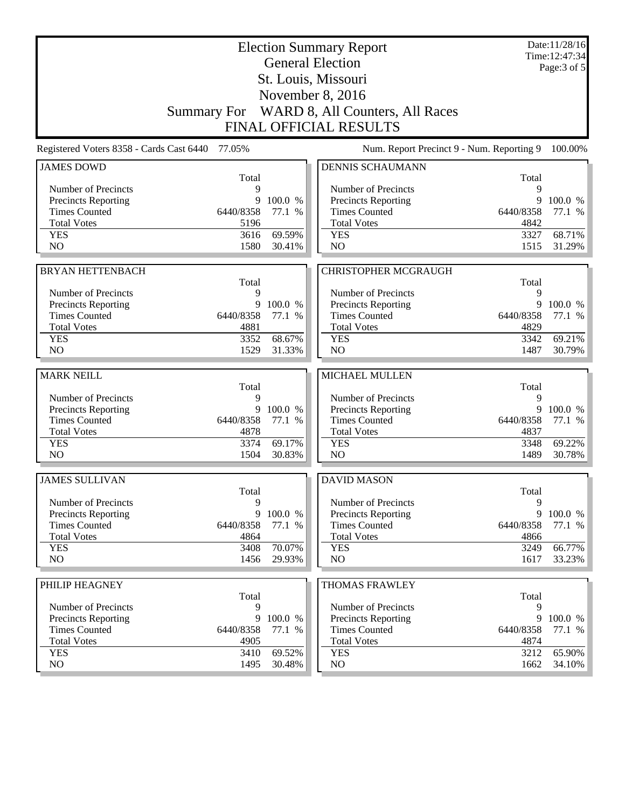|                                          |                                                | Date:11/28/16<br>Time: 12:47:34 |                                           |            |          |  |
|------------------------------------------|------------------------------------------------|---------------------------------|-------------------------------------------|------------|----------|--|
|                                          | <b>General Election</b><br>St. Louis, Missouri |                                 | Page: 3 of 5                              |            |          |  |
|                                          | November 8, 2016                               |                                 |                                           |            |          |  |
| Summary For                              |                                                |                                 | WARD 8, All Counters, All Races           |            |          |  |
|                                          |                                                |                                 |                                           |            |          |  |
| <b>FINAL OFFICIAL RESULTS</b>            |                                                |                                 |                                           |            |          |  |
| Registered Voters 8358 - Cards Cast 6440 | 77.05%                                         |                                 | Num. Report Precinct 9 - Num. Reporting 9 |            | 100.00%  |  |
| <b>JAMES DOWD</b>                        | Total                                          |                                 | <b>DENNIS SCHAUMANN</b>                   | Total      |          |  |
| Number of Precincts                      | 9                                              |                                 | Number of Precincts                       | 9          |          |  |
| Precincts Reporting                      | 9                                              | 100.0 %                         | Precincts Reporting                       | 9          | 100.0 %  |  |
| <b>Times Counted</b>                     | 6440/8358                                      | 77.1 %                          | <b>Times Counted</b>                      | 6440/8358  | 77.1 %   |  |
| <b>Total Votes</b>                       | 5196                                           |                                 | <b>Total Votes</b>                        | 4842       |          |  |
| <b>YES</b>                               | 3616                                           | 69.59%                          | <b>YES</b>                                | 3327       | 68.71%   |  |
| NO                                       | 1580                                           | 30.41%                          | NO                                        | 1515       | 31.29%   |  |
|                                          |                                                |                                 |                                           |            |          |  |
| <b>BRYAN HETTENBACH</b>                  |                                                |                                 | <b>CHRISTOPHER MCGRAUGH</b>               |            |          |  |
| Number of Precincts                      | Total<br>9                                     |                                 | Number of Precincts                       | Total<br>9 |          |  |
| Precincts Reporting                      | 9                                              | 100.0 %                         | <b>Precincts Reporting</b>                | 9          | 100.0 %  |  |
| <b>Times Counted</b>                     | 6440/8358                                      | 77.1 %                          | <b>Times Counted</b>                      | 6440/8358  | 77.1 %   |  |
| <b>Total Votes</b>                       | 4881                                           |                                 | <b>Total Votes</b>                        | 4829       |          |  |
| <b>YES</b>                               | 3352                                           | 68.67%                          | <b>YES</b>                                | 3342       | 69.21%   |  |
| NO                                       | 1529                                           | 31.33%                          | NO                                        | 1487       | 30.79%   |  |
|                                          |                                                |                                 |                                           |            |          |  |
| <b>MARK NEILL</b>                        | Total                                          |                                 | <b>MICHAEL MULLEN</b>                     | Total      |          |  |
| Number of Precincts                      | 9                                              |                                 | Number of Precincts                       | 9          |          |  |
| Precincts Reporting                      |                                                | 9 100.0 %                       | Precincts Reporting                       | 9          | 100.0 %  |  |
| <b>Times Counted</b>                     | 6440/8358                                      | 77.1 %                          | <b>Times Counted</b>                      | 6440/8358  | 77.1 %   |  |
| <b>Total Votes</b>                       | 4878                                           |                                 | <b>Total Votes</b>                        | 4837       |          |  |
| <b>YES</b>                               | 3374                                           | 69.17%                          | <b>YES</b>                                | 3348       | 69.22%   |  |
| N <sub>O</sub>                           | 1504                                           | 30.83%                          | NO                                        | 1489       | 30.78%   |  |
| <b>JAMES SULLIVAN</b>                    |                                                |                                 | <b>DAVID MASON</b>                        |            |          |  |
|                                          | Total                                          |                                 |                                           | Total      |          |  |
| Number of Precincts                      | 9                                              |                                 | Number of Precincts                       | 9          |          |  |
| <b>Precincts Reporting</b>               | 9                                              | 100.0 %                         | <b>Precincts Reporting</b>                | 9          | 100.0 %  |  |
| <b>Times Counted</b>                     | 6440/8358                                      | 77.1 %                          | <b>Times Counted</b>                      | 6440/8358  | 77.1 $%$ |  |
| <b>Total Votes</b>                       | 4864                                           |                                 | <b>Total Votes</b>                        | 4866       |          |  |
| <b>YES</b>                               | 3408                                           | 70.07%                          | <b>YES</b>                                | 3249       | 66.77%   |  |
| NO                                       | 1456                                           | 29.93%                          | NO                                        | 1617       | 33.23%   |  |
| PHILIP HEAGNEY                           |                                                |                                 | <b>THOMAS FRAWLEY</b>                     |            |          |  |
|                                          | Total                                          |                                 |                                           | Total      |          |  |
| Number of Precincts                      | 9                                              |                                 | Number of Precincts                       | 9          |          |  |
| <b>Precincts Reporting</b>               | 9                                              | 100.0 %                         | <b>Precincts Reporting</b>                | 9          | 100.0 %  |  |
| <b>Times Counted</b>                     | 6440/8358                                      | 77.1 %                          | <b>Times Counted</b>                      | 6440/8358  | 77.1 %   |  |
| <b>Total Votes</b>                       | 4905                                           |                                 | <b>Total Votes</b>                        | 4874       |          |  |
| <b>YES</b>                               | 3410                                           | 69.52%                          | <b>YES</b>                                | 3212       | 65.90%   |  |
| NO                                       | 1495                                           | 30.48%                          | NO                                        | 1662       | 34.10%   |  |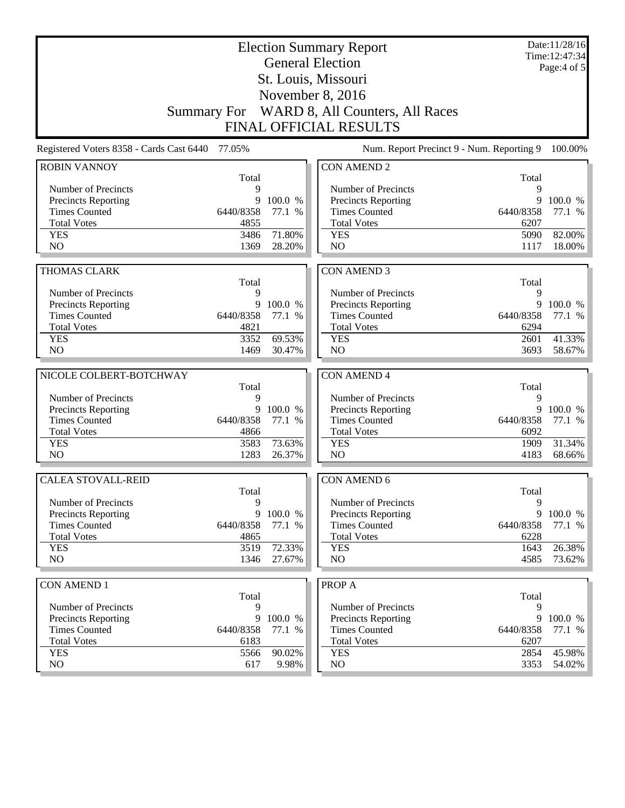| <b>Election Summary Report</b><br><b>General Election</b><br>St. Louis, Missouri |                    |                 |                                                   |              | Date:11/28/16<br>Time: 12:47:34<br>Page:4 of 5 |
|----------------------------------------------------------------------------------|--------------------|-----------------|---------------------------------------------------|--------------|------------------------------------------------|
|                                                                                  |                    |                 |                                                   |              |                                                |
|                                                                                  | <b>Summary For</b> |                 | WARD 8, All Counters, All Races                   |              |                                                |
|                                                                                  |                    |                 | <b>FINAL OFFICIAL RESULTS</b>                     |              |                                                |
| Registered Voters 8358 - Cards Cast 6440                                         | 77.05%             |                 | Num. Report Precinct 9 - Num. Reporting 9         |              | 100.00%                                        |
| <b>ROBIN VANNOY</b>                                                              |                    |                 | <b>CON AMEND 2</b>                                |              |                                                |
|                                                                                  | Total              |                 |                                                   | Total        |                                                |
| Number of Precincts<br>Precincts Reporting                                       | 9<br>9             | 100.0 %         | Number of Precincts<br><b>Precincts Reporting</b> | 9<br>9       | 100.0 %                                        |
| <b>Times Counted</b>                                                             | 6440/8358          | 77.1 %          | <b>Times Counted</b>                              | 6440/8358    | 77.1 %                                         |
| <b>Total Votes</b>                                                               | 4855               |                 | <b>Total Votes</b>                                | 6207         |                                                |
| <b>YES</b>                                                                       | 3486               | 71.80%          | <b>YES</b>                                        | 5090         | 82.00%                                         |
| N <sub>O</sub>                                                                   | 1369               | 28.20%          | N <sub>O</sub>                                    | 1117         | 18.00%                                         |
|                                                                                  |                    |                 |                                                   |              |                                                |
| <b>THOMAS CLARK</b>                                                              |                    |                 | <b>CON AMEND 3</b>                                |              |                                                |
|                                                                                  | Total              |                 |                                                   | Total        |                                                |
| Number of Precincts                                                              | 9                  |                 | Number of Precincts                               | 9            |                                                |
| Precincts Reporting                                                              | 9                  | 100.0 %         | Precincts Reporting                               | 9            | 100.0 %                                        |
| <b>Times Counted</b>                                                             | 6440/8358          | 77.1 %          | <b>Times Counted</b>                              | 6440/8358    | 77.1 %                                         |
| <b>Total Votes</b>                                                               | 4821               |                 | <b>Total Votes</b>                                | 6294         |                                                |
| <b>YES</b>                                                                       | 3352               | 69.53%          | <b>YES</b>                                        | 2601         | 41.33%                                         |
| NO                                                                               | 1469               | 30.47%          | N <sub>O</sub>                                    | 3693         | 58.67%                                         |
|                                                                                  |                    |                 |                                                   |              |                                                |
|                                                                                  |                    |                 |                                                   |              |                                                |
| NICOLE COLBERT-BOTCHWAY                                                          |                    |                 | <b>CON AMEND 4</b>                                |              |                                                |
|                                                                                  | Total              |                 |                                                   | Total        |                                                |
| Number of Precincts                                                              | 9                  |                 | Number of Precincts                               | 9            |                                                |
| Precincts Reporting                                                              | 9                  | 100.0 %         | <b>Precincts Reporting</b>                        | 9            | 100.0 %                                        |
| <b>Times Counted</b>                                                             | 6440/8358          | 77.1 %          | <b>Times Counted</b>                              | 6440/8358    | 77.1 %                                         |
| <b>Total Votes</b><br><b>YES</b>                                                 | 4866<br>3583       | 73.63%          | <b>Total Votes</b><br><b>YES</b>                  | 6092<br>1909 | 31.34%                                         |
| NO                                                                               | 1283               | 26.37%          | NO                                                | 4183         | 68.66%                                         |
|                                                                                  |                    |                 |                                                   |              |                                                |
| <b>CALEA STOVALL-REID</b>                                                        |                    |                 | <b>CON AMEND 6</b>                                |              |                                                |
|                                                                                  | Total              |                 |                                                   | Total        |                                                |
| Number of Precincts                                                              | 9                  |                 | Number of Precincts                               | 9            |                                                |
| Precincts Reporting                                                              |                    | 9 100.0 %       | <b>Precincts Reporting</b>                        | 9            | 100.0 %                                        |
| <b>Times Counted</b>                                                             | 6440/8358          | 77.1 %          | <b>Times Counted</b>                              | 6440/8358    | 77.1 %                                         |
| <b>Total Votes</b><br><b>YES</b>                                                 | 4865<br>3519       | 72.33%          | <b>Total Votes</b><br><b>YES</b>                  | 6228<br>1643 | 26.38%                                         |
| NO                                                                               | 1346               | 27.67%          | NO                                                | 4585         | 73.62%                                         |
|                                                                                  |                    |                 |                                                   |              |                                                |
| <b>CON AMEND 1</b>                                                               |                    |                 | PROP A                                            |              |                                                |
|                                                                                  | Total              |                 |                                                   | Total        |                                                |
| Number of Precincts                                                              | 9                  |                 | Number of Precincts                               | 9            |                                                |
| <b>Precincts Reporting</b>                                                       | 9                  | 100.0 %         | <b>Precincts Reporting</b>                        | 9            | 100.0 %                                        |
| <b>Times Counted</b>                                                             | 6440/8358          | 77.1 %          | <b>Times Counted</b>                              | 6440/8358    | 77.1 %                                         |
| <b>Total Votes</b>                                                               | 6183               |                 | <b>Total Votes</b>                                | 6207         |                                                |
| <b>YES</b><br>NO                                                                 | 5566<br>617        | 90.02%<br>9.98% | <b>YES</b><br>NO                                  | 2854<br>3353 | 45.98%<br>54.02%                               |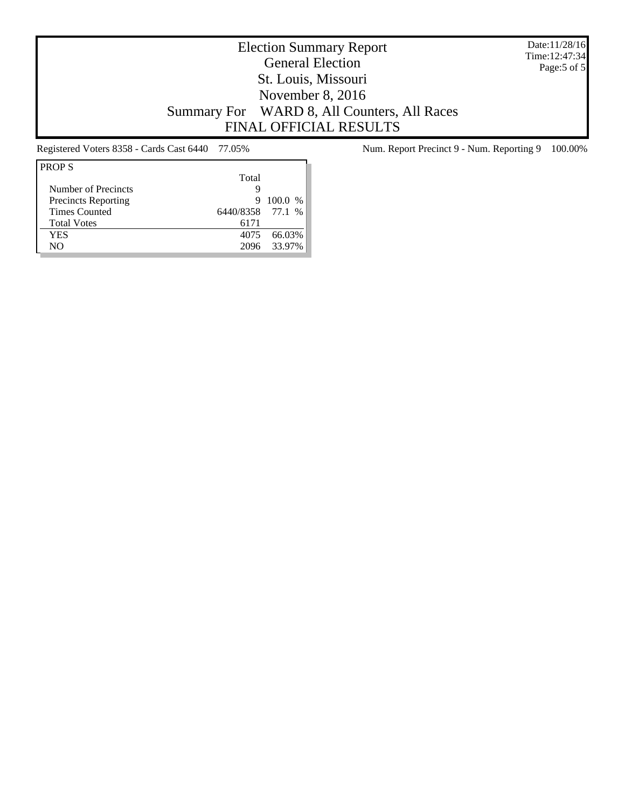Date:11/28/16 Time:12:47:34 Page:5 of 5

## Election Summary Report General Election St. Louis, Missouri November 8, 2016 Summary For WARD 8, All Counters, All Races FINAL OFFICIAL RESULTS

| <b>PROPS</b>               |                  |           |
|----------------------------|------------------|-----------|
|                            | Total            |           |
| Number of Precincts        | ч                |           |
| <b>Precincts Reporting</b> | 9                | $100.0\%$ |
| <b>Times Counted</b>       | 6440/8358 77.1 % |           |
| <b>Total Votes</b>         | 6171             |           |
| YES                        | 4075             | 66.03%    |
| NΟ                         | 2096             | 33.97%    |
|                            |                  |           |

Registered Voters 8358 - Cards Cast 6440 77.05% Num. Report Precinct 9 - Num. Reporting 9 100.00%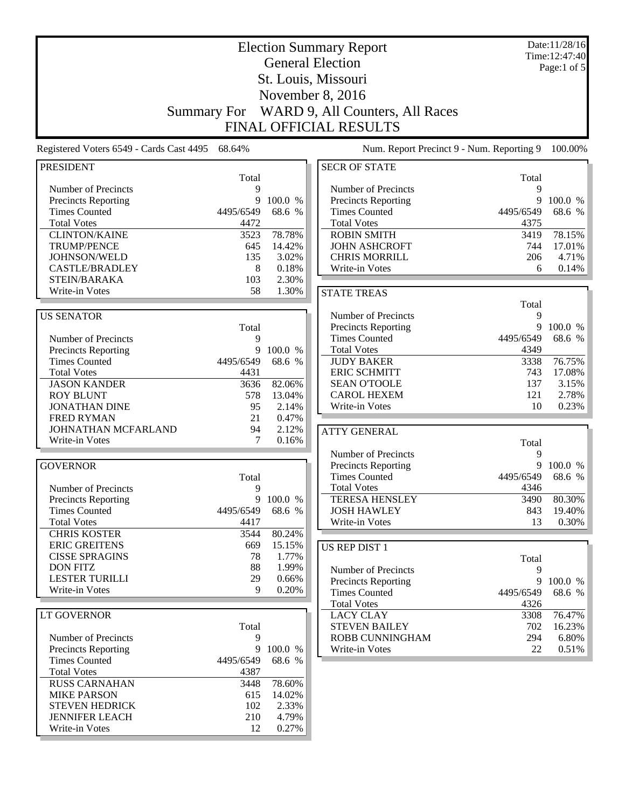| <b>Election Summary Report</b>                  |                    |           |                                             | Date:11/28/16<br>Time: 12:47:40 |             |
|-------------------------------------------------|--------------------|-----------|---------------------------------------------|---------------------------------|-------------|
|                                                 |                    |           | <b>General Election</b>                     |                                 | Page:1 of 5 |
|                                                 |                    |           | St. Louis, Missouri                         |                                 |             |
|                                                 |                    |           | November 8, 2016                            |                                 |             |
|                                                 | <b>Summary For</b> |           | WARD 9, All Counters, All Races             |                                 |             |
|                                                 |                    |           | FINAL OFFICIAL RESULTS                      |                                 |             |
|                                                 |                    |           |                                             |                                 |             |
| Registered Voters 6549 - Cards Cast 4495 68.64% |                    |           | Num. Report Precinct 9 - Num. Reporting 9   |                                 | 100.00%     |
| <b>PRESIDENT</b>                                |                    |           | <b>SECR OF STATE</b>                        |                                 |             |
|                                                 | Total              |           |                                             | Total                           |             |
| Number of Precincts                             | 9<br>9             | 100.0 %   | Number of Precincts                         | 9<br>9                          | 100.0 %     |
| Precincts Reporting<br><b>Times Counted</b>     | 4495/6549          | 68.6 %    | Precincts Reporting<br><b>Times Counted</b> | 4495/6549                       | 68.6 %      |
| <b>Total Votes</b>                              | 4472               |           | <b>Total Votes</b>                          | 4375                            |             |
| <b>CLINTON/KAINE</b>                            | 3523               | 78.78%    | <b>ROBIN SMITH</b>                          | 3419                            | 78.15%      |
| <b>TRUMP/PENCE</b>                              | 645                | 14.42%    | <b>JOHN ASHCROFT</b>                        | 744                             | 17.01%      |
| JOHNSON/WELD                                    | 135                | 3.02%     | <b>CHRIS MORRILL</b>                        | 206                             | 4.71%       |
| <b>CASTLE/BRADLEY</b>                           | 8                  | 0.18%     | Write-in Votes                              | 6                               | 0.14%       |
| <b>STEIN/BARAKA</b>                             | 103                | 2.30%     |                                             |                                 |             |
| Write-in Votes                                  | 58                 | 1.30%     | <b>STATE TREAS</b>                          |                                 |             |
|                                                 |                    |           |                                             | Total                           |             |
| <b>US SENATOR</b>                               |                    |           | Number of Precincts                         | 9                               |             |
|                                                 |                    |           | <b>Precincts Reporting</b>                  | 9                               | 100.0 %     |
| Number of Precincts                             | Total<br>9         |           | <b>Times Counted</b>                        | 4495/6549                       | 68.6 %      |
| Precincts Reporting                             | 9                  | 100.0 %   | <b>Total Votes</b>                          | 4349                            |             |
| <b>Times Counted</b>                            | 4495/6549          | 68.6 %    | <b>JUDY BAKER</b>                           | 3338                            | 76.75%      |
| <b>Total Votes</b>                              | 4431               |           | <b>ERIC SCHMITT</b>                         | 743                             | 17.08%      |
| <b>JASON KANDER</b>                             | 3636               | 82.06%    | <b>SEAN O'TOOLE</b>                         | 137                             | 3.15%       |
| <b>ROY BLUNT</b>                                | 578                | 13.04%    | <b>CAROL HEXEM</b>                          | 121                             | 2.78%       |
| <b>JONATHAN DINE</b>                            | 95                 | 2.14%     | Write-in Votes                              | 10                              | 0.23%       |
| <b>FRED RYMAN</b>                               | 21                 | 0.47%     |                                             |                                 |             |
| JOHNATHAN MCFARLAND                             | 94                 | 2.12%     |                                             |                                 |             |
| Write-in Votes                                  | 7                  | 0.16%     | <b>ATTY GENERAL</b>                         |                                 |             |
|                                                 |                    |           |                                             | Total                           |             |
|                                                 |                    |           | Number of Precincts                         | 9                               |             |
| <b>GOVERNOR</b>                                 |                    |           | Precincts Reporting                         | 9                               | 100.0 %     |
|                                                 | Total              |           | <b>Times Counted</b>                        | 4495/6549                       | 68.6 %      |
| Number of Precincts                             | 9                  |           | <b>Total Votes</b>                          | 4346                            |             |
| <b>Precincts Reporting</b>                      | 9                  | 100.0 %   | <b>TERESA HENSLEY</b>                       | 3490                            | 80.30%      |
| <b>Times Counted</b>                            | 4495/6549          | 68.6 %    | <b>JOSH HAWLEY</b>                          | 843                             | 19.40%      |
| <b>Total Votes</b><br><b>CHRIS KOSTER</b>       | 4417               |           | Write-in Votes                              | 13                              | 0.30%       |
|                                                 | 3544               | 80.24%    |                                             |                                 |             |
| <b>ERIC GREITENS</b><br><b>CISSE SPRAGINS</b>   | 669<br>78          | 15.15%    | US REP DIST 1                               |                                 |             |
|                                                 |                    | 1.77%     |                                             | Total                           |             |
| <b>DON FITZ</b>                                 | 88                 | 1.99%     | Number of Precincts                         | 9                               |             |
| <b>LESTER TURILLI</b>                           | 29                 | 0.66%     | Precincts Reporting                         | 9                               | 100.0 %     |
| Write-in Votes                                  | 9                  | 0.20%     | <b>Times Counted</b>                        | 4495/6549                       | 68.6 %      |
|                                                 |                    |           | <b>Total Votes</b>                          | 4326                            |             |
| LT GOVERNOR                                     |                    |           | <b>LACY CLAY</b>                            | 3308                            | 76.47%      |
|                                                 | Total              |           | <b>STEVEN BAILEY</b>                        | 702                             | 16.23%      |
| Number of Precincts                             | 9                  |           | ROBB CUNNINGHAM                             | 294                             | 6.80%       |
| <b>Precincts Reporting</b>                      |                    | 9 100.0 % | Write-in Votes                              | 22                              | 0.51%       |
| <b>Times Counted</b>                            | 4495/6549          | 68.6 %    |                                             |                                 |             |
| <b>Total Votes</b>                              | 4387               |           |                                             |                                 |             |
| <b>RUSS CARNAHAN</b>                            | 3448               | 78.60%    |                                             |                                 |             |
| <b>MIKE PARSON</b>                              | 615                | 14.02%    |                                             |                                 |             |
| <b>STEVEN HEDRICK</b>                           | 102                | 2.33%     |                                             |                                 |             |
| <b>JENNIFER LEACH</b>                           | 210                | 4.79%     |                                             |                                 |             |
| Write-in Votes                                  | 12                 | 0.27%     |                                             |                                 |             |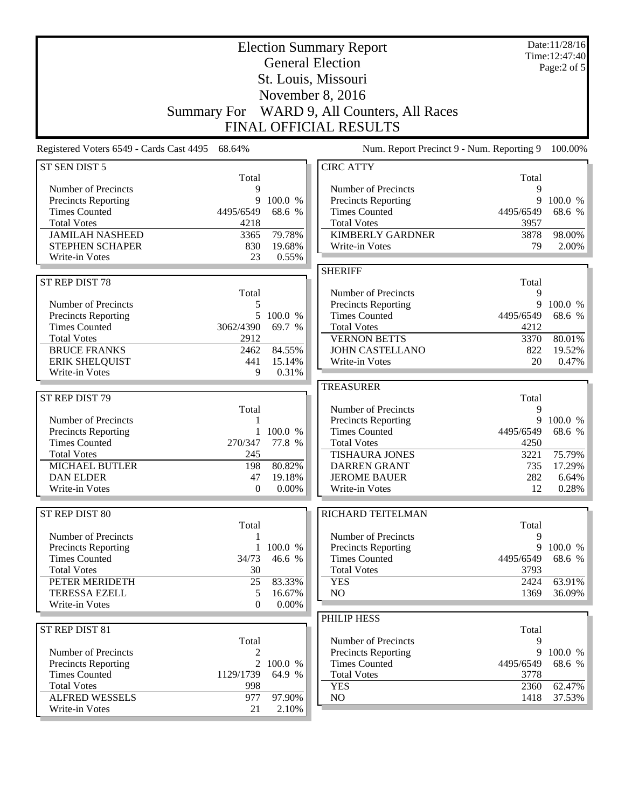|                                                                    |                     |                     | <b>Election Summary Report</b><br><b>General Election</b><br>St. Louis, Missouri     |                   | Date:11/28/16<br>Time: 12:47:40<br>Page:2 of 5 |
|--------------------------------------------------------------------|---------------------|---------------------|--------------------------------------------------------------------------------------|-------------------|------------------------------------------------|
|                                                                    | <b>Summary For</b>  |                     | November 8, 2016<br>WARD 9, All Counters, All Races<br><b>FINAL OFFICIAL RESULTS</b> |                   |                                                |
| Registered Voters 6549 - Cards Cast 4495                           | 68.64%              |                     | Num. Report Precinct 9 - Num. Reporting 9                                            |                   | 100.00%                                        |
| ST SEN DIST 5                                                      |                     |                     | <b>CIRC ATTY</b>                                                                     |                   |                                                |
| Number of Precincts<br>Precincts Reporting                         | Total<br>9<br>9     | 100.0 %             | Number of Precincts<br><b>Precincts Reporting</b>                                    | Total<br>9<br>9   | 100.0 %                                        |
| <b>Times Counted</b><br><b>Total Votes</b>                         | 4495/6549<br>4218   | 68.6 %              | <b>Times Counted</b><br><b>Total Votes</b>                                           | 4495/6549<br>3957 | 68.6 %                                         |
| <b>JAMILAH NASHEED</b><br>STEPHEN SCHAPER                          | 3365<br>830         | 79.78%<br>19.68%    | <b>KIMBERLY GARDNER</b><br>Write-in Votes                                            | 3878<br>79        | 98.00%<br>2.00%                                |
| Write-in Votes                                                     | 23                  | 0.55%               | <b>SHERIFF</b>                                                                       |                   |                                                |
| <b>ST REP DIST 78</b>                                              | Total               |                     | Number of Precincts                                                                  | Total<br>9        |                                                |
| Number of Precincts<br>Precincts Reporting<br><b>Times Counted</b> | 5<br>3062/4390      | 5 100.0 %<br>69.7 % | <b>Precincts Reporting</b><br><b>Times Counted</b><br><b>Total Votes</b>             | 4495/6549<br>4212 | 9 100.0 %<br>68.6 %                            |
| <b>Total Votes</b><br><b>BRUCE FRANKS</b>                          | 2912<br>2462        | 84.55%              | <b>VERNON BETTS</b><br><b>JOHN CASTELLANO</b>                                        | 3370<br>822       | 80.01%<br>19.52%                               |
| <b>ERIK SHELQUIST</b><br>Write-in Votes                            | 441<br>9            | 15.14%<br>0.31%     | Write-in Votes                                                                       | 20                | 0.47%                                          |
| ST REP DIST 79                                                     |                     |                     | <b>TREASURER</b>                                                                     | Total             |                                                |
|                                                                    | Total               |                     | Number of Precincts                                                                  | 9                 |                                                |
| Number of Precincts<br><b>Precincts Reporting</b>                  | 1<br>$\mathbf{1}$   | 100.0 %             | <b>Precincts Reporting</b><br><b>Times Counted</b>                                   | 9<br>4495/6549    | 100.0 %<br>68.6 %                              |
| <b>Times Counted</b>                                               | 270/347             | 77.8 %              | <b>Total Votes</b>                                                                   | 4250              |                                                |
| <b>Total Votes</b><br><b>MICHAEL BUTLER</b>                        | 245<br>198          | 80.82%              | <b>TISHAURA JONES</b><br><b>DARREN GRANT</b>                                         | 3221<br>735       | 75.79%<br>17.29%                               |
| <b>DAN ELDER</b>                                                   | 47                  | 19.18%              | <b>JEROME BAUER</b>                                                                  | 282               | 6.64%                                          |
| Write-in Votes                                                     | 0                   | 0.00%               | Write-in Votes                                                                       | 12                | 0.28%                                          |
| ST REP DIST 80                                                     |                     |                     | RICHARD TEITELMAN                                                                    |                   |                                                |
| Number of Precincts                                                | Total<br>1          |                     | Number of Precincts                                                                  | Total<br>9        |                                                |
| Precincts Reporting                                                | 1                   | 100.0 %             | Precincts Reporting                                                                  | 9                 | 100.0 %                                        |
| <b>Times Counted</b><br><b>Total Votes</b>                         | 34/73<br>30         | 46.6 %              | <b>Times Counted</b><br><b>Total Votes</b>                                           | 4495/6549<br>3793 | 68.6 %                                         |
| PETER MERIDETH                                                     | 25                  | 83.33%              | <b>YES</b>                                                                           | 2424              | 63.91%                                         |
| <b>TERESSA EZELL</b><br>Write-in Votes                             | 5<br>$\overline{0}$ | 16.67%<br>0.00%     | NO                                                                                   | 1369              | 36.09%                                         |
|                                                                    |                     |                     | PHILIP HESS                                                                          |                   |                                                |
| ST REP DIST 81                                                     | Total               |                     | Number of Precincts                                                                  | Total<br>9        |                                                |
| Number of Precincts                                                | 2                   |                     | Precincts Reporting                                                                  | 9                 | 100.0 %                                        |
| Precincts Reporting                                                | $\overline{2}$      | 100.0 %             | <b>Times Counted</b>                                                                 | 4495/6549         | 68.6 %                                         |
| <b>Times Counted</b><br><b>Total Votes</b>                         | 1129/1739<br>998    | 64.9 %              | <b>Total Votes</b><br><b>YES</b>                                                     | 3778<br>2360      | 62.47%                                         |
| <b>ALFRED WESSELS</b><br>Write-in Votes                            | 977<br>21           | 97.90%<br>2.10%     | NO                                                                                   | 1418              | 37.53%                                         |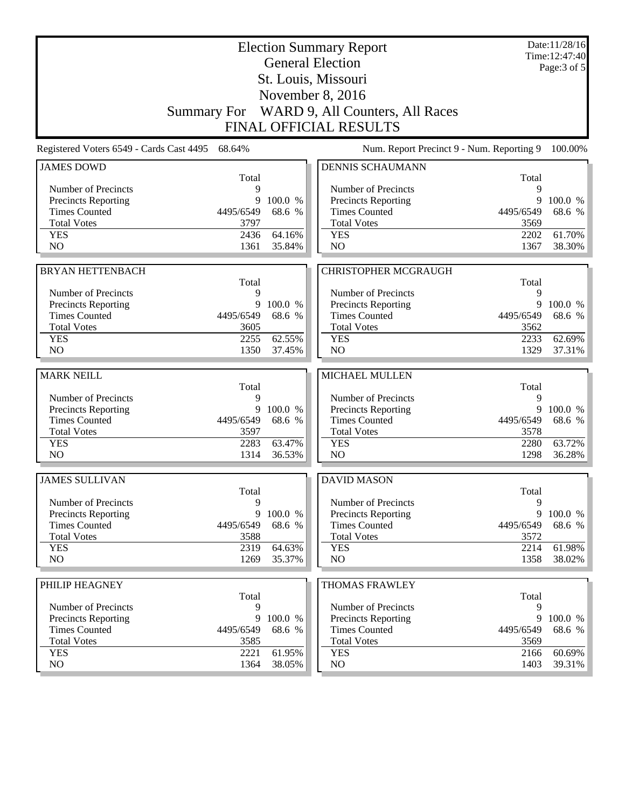|                                          |              |                  | <b>Election Summary Report</b><br><b>General Election</b> |              | Date:11/28/16<br>Time: 12:47:40 |
|------------------------------------------|--------------|------------------|-----------------------------------------------------------|--------------|---------------------------------|
|                                          |              |                  | St. Louis, Missouri                                       |              | Page: 3 of 5                    |
|                                          |              |                  | November 8, 2016                                          |              |                                 |
|                                          |              |                  |                                                           |              |                                 |
|                                          | Summary For  |                  | WARD 9, All Counters, All Races                           |              |                                 |
|                                          |              |                  | <b>FINAL OFFICIAL RESULTS</b>                             |              |                                 |
| Registered Voters 6549 - Cards Cast 4495 | 68.64%       |                  | Num. Report Precinct 9 - Num. Reporting 9                 |              | 100.00%                         |
| <b>JAMES DOWD</b>                        | Total        |                  | <b>DENNIS SCHAUMANN</b>                                   | Total        |                                 |
| Number of Precincts                      | 9            |                  | Number of Precincts                                       | 9            |                                 |
| Precincts Reporting                      | 9            | 100.0 %          | Precincts Reporting                                       | 9            | 100.0 %                         |
| <b>Times Counted</b>                     | 4495/6549    | 68.6 %           | <b>Times Counted</b>                                      | 4495/6549    | 68.6 %                          |
| <b>Total Votes</b>                       | 3797         |                  | <b>Total Votes</b>                                        | 3569         |                                 |
| <b>YES</b>                               | 2436         | 64.16%           | <b>YES</b>                                                | 2202         | 61.70%                          |
| NO                                       | 1361         | 35.84%           | NO                                                        | 1367         | 38.30%                          |
|                                          |              |                  |                                                           |              |                                 |
| <b>BRYAN HETTENBACH</b>                  | Total        |                  | <b>CHRISTOPHER MCGRAUGH</b>                               | Total        |                                 |
| Number of Precincts                      | 9            |                  | Number of Precincts                                       | 9            |                                 |
| Precincts Reporting                      | 9            | 100.0 %          | <b>Precincts Reporting</b>                                | 9            | 100.0 %                         |
| <b>Times Counted</b>                     | 4495/6549    | 68.6 %           | <b>Times Counted</b>                                      | 4495/6549    | 68.6 %                          |
| <b>Total Votes</b>                       | 3605         |                  | <b>Total Votes</b>                                        | 3562         |                                 |
| <b>YES</b>                               | 2255         | 62.55%           | <b>YES</b>                                                | 2233         | 62.69%                          |
| NO                                       | 1350         | 37.45%           | NO                                                        | 1329         | 37.31%                          |
|                                          |              |                  |                                                           |              |                                 |
| <b>MARK NEILL</b>                        | Total        |                  | <b>MICHAEL MULLEN</b>                                     | Total        |                                 |
| Number of Precincts                      | 9            |                  | Number of Precincts                                       | 9            |                                 |
| Precincts Reporting                      |              |                  |                                                           |              |                                 |
|                                          |              | 9 100.0 %        |                                                           | 9            | 100.0 %                         |
| <b>Times Counted</b>                     | 4495/6549    | 68.6 %           | Precincts Reporting<br><b>Times Counted</b>               | 4495/6549    | 68.6 %                          |
| <b>Total Votes</b>                       | 3597         |                  | <b>Total Votes</b>                                        | 3578         |                                 |
| <b>YES</b>                               | 2283         | 63.47%           | <b>YES</b>                                                | 2280         | 63.72%                          |
| N <sub>O</sub>                           | 1314         | 36.53%           | NO                                                        | 1298         | 36.28%                          |
| <b>JAMES SULLIVAN</b>                    |              |                  | <b>DAVID MASON</b>                                        |              |                                 |
|                                          | Total        |                  |                                                           | Total        |                                 |
| Number of Precincts                      | 9            |                  | Number of Precincts                                       | 9            |                                 |
| <b>Precincts Reporting</b>               | 9            | 100.0 %          | Precincts Reporting                                       | 9            | 100.0 %                         |
| <b>Times Counted</b>                     | 4495/6549    | 68.6 %           | <b>Times Counted</b>                                      | 4495/6549    | 68.6 %                          |
| <b>Total Votes</b><br><b>YES</b>         | 3588<br>2319 | 64.63%           | <b>Total Votes</b><br><b>YES</b>                          | 3572<br>2214 | 61.98%                          |
| NO                                       | 1269         | 35.37%           | NO                                                        | 1358         | 38.02%                          |
|                                          |              |                  |                                                           |              |                                 |
| PHILIP HEAGNEY                           |              |                  | <b>THOMAS FRAWLEY</b>                                     |              |                                 |
| Number of Precincts                      | Total<br>9   |                  | Number of Precincts                                       | Total<br>9   |                                 |
| Precincts Reporting                      | 9            | 100.0 %          | <b>Precincts Reporting</b>                                | 9            | 100.0 %                         |
| <b>Times Counted</b>                     | 4495/6549    | 68.6 %           | <b>Times Counted</b>                                      | 4495/6549    | 68.6 %                          |
| <b>Total Votes</b>                       | 3585         |                  | <b>Total Votes</b>                                        | 3569         |                                 |
| <b>YES</b><br>NO                         | 2221<br>1364 | 61.95%<br>38.05% | <b>YES</b><br>NO                                          | 2166<br>1403 | 60.69%<br>39.31%                |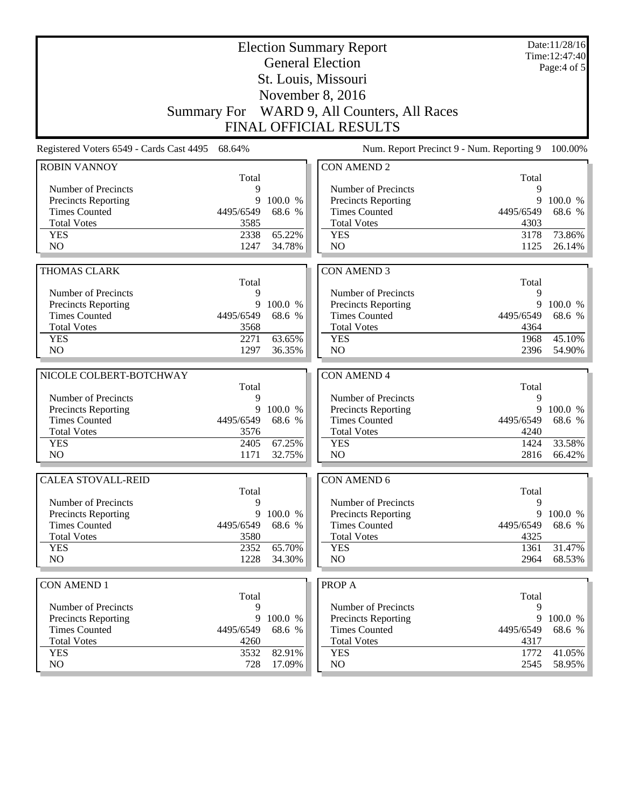|                                            |                    |                  | <b>Election Summary Report</b><br><b>General Election</b> |                   | Date:11/28/16<br>Time: 12:47:40 |
|--------------------------------------------|--------------------|------------------|-----------------------------------------------------------|-------------------|---------------------------------|
|                                            |                    |                  | St. Louis, Missouri                                       |                   | Page:4 of 5                     |
|                                            |                    |                  | November 8, 2016                                          |                   |                                 |
|                                            |                    |                  |                                                           |                   |                                 |
|                                            | <b>Summary For</b> |                  | WARD 9, All Counters, All Races                           |                   |                                 |
|                                            |                    |                  | <b>FINAL OFFICIAL RESULTS</b>                             |                   |                                 |
| Registered Voters 6549 - Cards Cast 4495   | 68.64%             |                  | Num. Report Precinct 9 - Num. Reporting 9                 |                   | 100.00%                         |
| <b>ROBIN VANNOY</b>                        | Total              |                  | <b>CON AMEND 2</b>                                        | Total             |                                 |
| Number of Precincts                        | 9                  |                  | Number of Precincts                                       | 9                 |                                 |
| Precincts Reporting                        | 9                  | 100.0 %          | <b>Precincts Reporting</b>                                | 9                 | 100.0 %                         |
| <b>Times Counted</b>                       | 4495/6549          | 68.6 %           | <b>Times Counted</b>                                      | 4495/6549         | 68.6 %                          |
| <b>Total Votes</b>                         | 3585               |                  | <b>Total Votes</b>                                        | 4303              |                                 |
| <b>YES</b>                                 | 2338               | 65.22%           | <b>YES</b>                                                | 3178              | 73.86%                          |
| N <sub>O</sub>                             | 1247               | 34.78%           | N <sub>O</sub>                                            | 1125              | 26.14%                          |
|                                            |                    |                  |                                                           |                   |                                 |
| <b>THOMAS CLARK</b>                        | Total              |                  | <b>CON AMEND 3</b>                                        | Total             |                                 |
| Number of Precincts                        | 9                  |                  | Number of Precincts                                       | 9                 |                                 |
| Precincts Reporting                        | 9                  | 100.0 %          | <b>Precincts Reporting</b>                                | 9                 | 100.0 %                         |
| <b>Times Counted</b>                       | 4495/6549          | 68.6 %           | <b>Times Counted</b>                                      | 4495/6549         | 68.6 %                          |
| <b>Total Votes</b>                         | 3568               |                  | <b>Total Votes</b>                                        | 4364              |                                 |
| <b>YES</b>                                 | 2271               | 63.65%           | <b>YES</b>                                                | 1968              | 45.10%                          |
| N <sub>O</sub>                             | 1297               | 36.35%           | N <sub>O</sub>                                            | 2396              | 54.90%                          |
| NICOLE COLBERT-BOTCHWAY                    |                    |                  | <b>CON AMEND 4</b>                                        |                   |                                 |
|                                            | Total              |                  |                                                           |                   |                                 |
| Number of Precincts                        |                    |                  |                                                           |                   |                                 |
|                                            | 9                  |                  | Number of Precincts                                       | Total<br>9        |                                 |
| Precincts Reporting                        | 9                  | 100.0 %          | <b>Precincts Reporting</b>                                | 9                 | 100.0 %                         |
| <b>Times Counted</b>                       | 4495/6549          | 68.6 %           | <b>Times Counted</b>                                      | 4495/6549         | 68.6 %                          |
| <b>Total Votes</b>                         | 3576               |                  | <b>Total Votes</b>                                        | 4240              |                                 |
| <b>YES</b>                                 | 2405               | 67.25%           | <b>YES</b>                                                | 1424              | 33.58%                          |
| N <sub>O</sub>                             | 1171               | 32.75%           | N <sub>O</sub>                                            | 2816              | 66.42%                          |
| <b>CALEA STOVALL-REID</b>                  |                    |                  | <b>CON AMEND 6</b>                                        |                   |                                 |
|                                            | Total              |                  |                                                           | Total             |                                 |
| Number of Precincts                        | 9                  |                  | Number of Precincts                                       | 9                 |                                 |
| Precincts Reporting                        | 9                  | 100.0 %          | <b>Precincts Reporting</b>                                | 9                 | 100.0 %                         |
| <b>Times Counted</b>                       | 4495/6549          | 68.6 %           | <b>Times Counted</b>                                      | 4495/6549         | 68.6 %                          |
| <b>Total Votes</b>                         | 3580               |                  | <b>Total Votes</b>                                        | 4325              |                                 |
| <b>YES</b><br>NO                           | 2352<br>1228       | 65.70%<br>34.30% | <b>YES</b><br>NO                                          | 1361<br>2964      | 31.47%<br>68.53%                |
|                                            |                    |                  |                                                           |                   |                                 |
| <b>CON AMEND 1</b>                         |                    |                  | <b>PROPA</b>                                              |                   |                                 |
|                                            | Total              |                  |                                                           | Total             |                                 |
| Number of Precincts                        | 9<br>9             |                  | Number of Precincts                                       | 9<br>9            |                                 |
| Precincts Reporting                        |                    | 100.0 %          | <b>Precincts Reporting</b>                                |                   | 100.0 %                         |
| <b>Times Counted</b><br><b>Total Votes</b> | 4495/6549<br>4260  | 68.6 %           | <b>Times Counted</b><br><b>Total Votes</b>                | 4495/6549<br>4317 | 68.6 %                          |
| <b>YES</b><br>NO                           | 3532<br>728        | 82.91%<br>17.09% | <b>YES</b><br>NO                                          | 1772<br>2545      | 41.05%<br>58.95%                |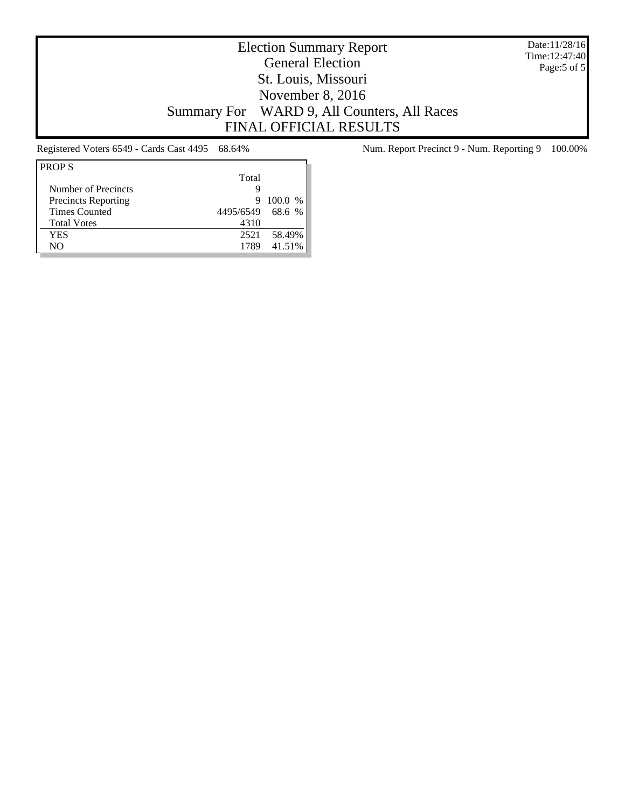Date:11/28/16 Time:12:47:40 Page:5 of 5

# Election Summary Report General Election St. Louis, Missouri November 8, 2016 Summary For WARD 9, All Counters, All Races FINAL OFFICIAL RESULTS

| <b>PROPS</b>               |                  |         |
|----------------------------|------------------|---------|
|                            | Total            |         |
| Number of Precincts        | q                |         |
| <b>Precincts Reporting</b> | 9                | 100.0 % |
| <b>Times Counted</b>       | 4495/6549 68.6 % |         |
| <b>Total Votes</b>         | 4310             |         |
| YES                        | 2521             | 58.49%  |
| NO                         | 1789             | 41.51%  |

Registered Voters 6549 - Cards Cast 4495 68.64% Num. Report Precinct 9 - Num. Reporting 9 100.00%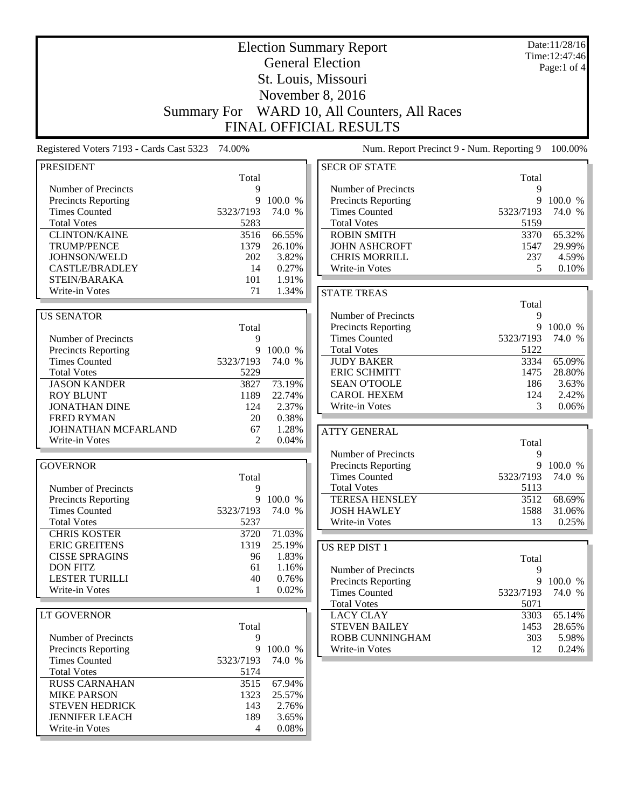|                                                    |                    |           | <b>Election Summary Report</b>                     |                | Date:11/28/16<br>Time: 12:47:46 |
|----------------------------------------------------|--------------------|-----------|----------------------------------------------------|----------------|---------------------------------|
|                                                    |                    |           | <b>General Election</b>                            |                | Page:1 of 4                     |
|                                                    |                    |           | St. Louis, Missouri                                |                |                                 |
|                                                    |                    |           | November 8, 2016                                   |                |                                 |
|                                                    |                    |           |                                                    |                |                                 |
|                                                    | <b>Summary For</b> |           | WARD 10, All Counters, All Races                   |                |                                 |
|                                                    |                    |           | <b>FINAL OFFICIAL RESULTS</b>                      |                |                                 |
| Registered Voters 7193 - Cards Cast 5323           | 74.00%             |           | Num. Report Precinct 9 - Num. Reporting 9          |                | 100.00%                         |
| <b>PRESIDENT</b>                                   | Total              |           | <b>SECR OF STATE</b>                               | Total          |                                 |
| Number of Precincts                                | 9                  |           | Number of Precincts                                | 9              |                                 |
| Precincts Reporting                                | 9                  | 100.0 %   | <b>Precincts Reporting</b>                         | 9              | 100.0 %                         |
| <b>Times Counted</b>                               | 5323/7193          | 74.0 %    | <b>Times Counted</b>                               | 5323/7193      | 74.0 %                          |
| <b>Total Votes</b>                                 | 5283               |           | <b>Total Votes</b>                                 | 5159           |                                 |
| <b>CLINTON/KAINE</b>                               | 3516               | 66.55%    | <b>ROBIN SMITH</b>                                 | 3370           | 65.32%                          |
| <b>TRUMP/PENCE</b>                                 | 1379               | 26.10%    | <b>JOHN ASHCROFT</b>                               | 1547           | 29.99%                          |
| JOHNSON/WELD                                       | 202                | 3.82%     | <b>CHRIS MORRILL</b>                               | 237            | 4.59%                           |
| <b>CASTLE/BRADLEY</b>                              | 14                 | 0.27%     | Write-in Votes                                     | 5              | 0.10%                           |
| STEIN/BARAKA                                       | 101                | 1.91%     |                                                    |                |                                 |
| Write-in Votes                                     | 71                 | 1.34%     | <b>STATE TREAS</b>                                 |                |                                 |
|                                                    |                    |           |                                                    | Total          |                                 |
| <b>US SENATOR</b>                                  |                    |           | Number of Precincts                                | 9              |                                 |
|                                                    | Total              |           | <b>Precincts Reporting</b><br><b>Times Counted</b> | 9<br>5323/7193 | 100.0 %<br>74.0 %               |
| Number of Precincts                                | 9<br>9             | 100.0 %   | <b>Total Votes</b>                                 | 5122           |                                 |
| Precincts Reporting<br><b>Times Counted</b>        | 5323/7193          | 74.0 %    | <b>JUDY BAKER</b>                                  | 3334           | 65.09%                          |
| <b>Total Votes</b>                                 | 5229               |           | <b>ERIC SCHMITT</b>                                | 1475           | 28.80%                          |
| <b>JASON KANDER</b>                                | 3827               | 73.19%    | <b>SEAN O'TOOLE</b>                                | 186            | 3.63%                           |
| <b>ROY BLUNT</b>                                   | 1189               | 22.74%    | <b>CAROL HEXEM</b>                                 | 124            | 2.42%                           |
| <b>JONATHAN DINE</b>                               | 124                | 2.37%     | Write-in Votes                                     | 3              | 0.06%                           |
| <b>FRED RYMAN</b>                                  | 20                 | 0.38%     |                                                    |                |                                 |
| JOHNATHAN MCFARLAND                                | 67                 | 1.28%     | <b>ATTY GENERAL</b>                                |                |                                 |
| Write-in Votes                                     | 2                  | 0.04%     |                                                    | Total          |                                 |
|                                                    |                    |           | Number of Precincts                                | 9              |                                 |
| <b>GOVERNOR</b>                                    |                    |           | Precincts Reporting                                |                | 9 100.0 %                       |
|                                                    | Total              |           | <b>Times Counted</b>                               | 5323/7193      | 74.0 %                          |
| Number of Precincts                                | 9                  |           | <b>Total Votes</b>                                 | 5113           |                                 |
| <b>Precincts Reporting</b>                         |                    | 9 100.0 % | <b>TERESA HENSLEY</b>                              | 3512           | 68.69%                          |
| <b>Times Counted</b>                               | 5323/7193          | 74.0 %    | <b>JOSH HAWLEY</b>                                 | 1588           | 31.06%                          |
| <b>Total Votes</b>                                 | 5237               |           | Write-in Votes                                     | 13             | 0.25%                           |
| <b>CHRIS KOSTER</b>                                | 3720               | 71.03%    |                                                    |                |                                 |
| <b>ERIC GREITENS</b>                               | 1319               | 25.19%    | <b>US REP DIST 1</b>                               |                |                                 |
| <b>CISSE SPRAGINS</b>                              | 96                 | 1.83%     |                                                    | Total          |                                 |
| <b>DON FITZ</b>                                    | 61                 | 1.16%     | Number of Precincts                                | 9              |                                 |
| <b>LESTER TURILLI</b>                              | 40                 | 0.76%     | Precincts Reporting                                |                | 9 100.0 %                       |
| Write-in Votes                                     | 1                  | 0.02%     | <b>Times Counted</b>                               | 5323/7193      | 74.0 %                          |
|                                                    |                    |           | <b>Total Votes</b>                                 | 5071           |                                 |
| LT GOVERNOR                                        |                    |           | <b>LACY CLAY</b>                                   | 3303           | 65.14%                          |
|                                                    | Total              |           | <b>STEVEN BAILEY</b>                               | 1453           | 28.65%                          |
| Number of Precincts                                | 9                  |           | ROBB CUNNINGHAM                                    | 303            | 5.98%                           |
| <b>Precincts Reporting</b><br><b>Times Counted</b> | 5323/7193          | 9 100.0 % | Write-in Votes                                     | 12             | 0.24%                           |
| <b>Total Votes</b>                                 | 5174               | 74.0 %    |                                                    |                |                                 |
| <b>RUSS CARNAHAN</b>                               | 3515               | 67.94%    |                                                    |                |                                 |
| <b>MIKE PARSON</b>                                 | 1323               | 25.57%    |                                                    |                |                                 |
| <b>STEVEN HEDRICK</b>                              | 143                | 2.76%     |                                                    |                |                                 |
| <b>JENNIFER LEACH</b>                              | 189                | 3.65%     |                                                    |                |                                 |
| Write-in Votes                                     | $\overline{4}$     | 0.08%     |                                                    |                |                                 |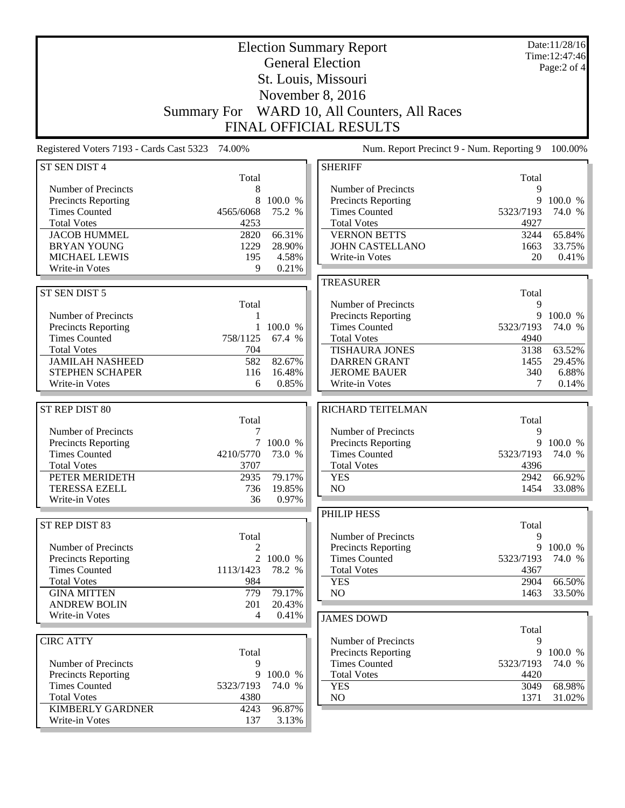## Election Summary Report General Election St. Louis, Missouri November 8, 2016 Summary For WARD 10, All Counters, All Races FINAL OFFICIAL RESULTS

Date:11/28/16 Time:12:47:46 Page:2 of 4

Registered Voters 7193 - Cards Cast 5323 74.00% Num. Report Precinct 9 - Num. Reporting 9 100.00%

| ST SEN DIST 4              |                |           | <b>SHERIFF</b>             |                   |                  |
|----------------------------|----------------|-----------|----------------------------|-------------------|------------------|
|                            | Total          |           |                            | Total             |                  |
| Number of Precincts        | 8              |           | Number of Precincts        | 9                 |                  |
| Precincts Reporting        | 8              | 100.0 %   | <b>Precincts Reporting</b> | 9                 | 100.0 %          |
| <b>Times Counted</b>       | 4565/6068      | 75.2 %    | <b>Times Counted</b>       | 5323/7193         | 74.0 %           |
| <b>Total Votes</b>         | 4253           |           | <b>Total Votes</b>         | 4927              |                  |
| <b>JACOB HUMMEL</b>        | 2820           | 66.31%    | <b>VERNON BETTS</b>        | 3244              | 65.84%           |
| <b>BRYAN YOUNG</b>         | 1229           | 28.90%    | <b>JOHN CASTELLANO</b>     | 1663              | 33.75%           |
| <b>MICHAEL LEWIS</b>       | 195            | 4.58%     | Write-in Votes             | 20                | 0.41%            |
| Write-in Votes             | 9              | 0.21%     |                            |                   |                  |
|                            |                |           | <b>TREASURER</b>           |                   |                  |
| ST SEN DIST 5              |                |           |                            | Total             |                  |
|                            | Total          |           | Number of Precincts        | 9                 |                  |
| Number of Precincts        | 1              |           | <b>Precincts Reporting</b> | 9                 | 100.0 %          |
| Precincts Reporting        | 1              | 100.0 %   | <b>Times Counted</b>       | 5323/7193         | 74.0 %           |
| <b>Times Counted</b>       | 758/1125       | 67.4 %    | <b>Total Votes</b>         | 4940              |                  |
| <b>Total Votes</b>         | 704            |           | <b>TISHAURA JONES</b>      | 3138              | 63.52%           |
| <b>JAMILAH NASHEED</b>     | 582            | 82.67%    | <b>DARREN GRANT</b>        | 1455              | 29.45%           |
| <b>STEPHEN SCHAPER</b>     | 116            | 16.48%    | <b>JEROME BAUER</b>        | 340               | 6.88%            |
| Write-in Votes             | 6              | 0.85%     | Write-in Votes             | 7                 | 0.14%            |
|                            |                |           |                            |                   |                  |
| ST REP DIST 80             |                |           | RICHARD TEITELMAN          |                   |                  |
|                            | Total          |           |                            | Total             |                  |
| Number of Precincts        | 7              |           | Number of Precincts        | 9                 |                  |
| <b>Precincts Reporting</b> | $\overline{7}$ | 100.0 %   | <b>Precincts Reporting</b> | 9                 | 100.0 %          |
| <b>Times Counted</b>       | 4210/5770      | 73.0 %    | <b>Times Counted</b>       | 5323/7193         | 74.0 %           |
| <b>Total Votes</b>         | 3707           |           | <b>Total Votes</b>         | 4396              |                  |
| PETER MERIDETH             | 2935           | 79.17%    | <b>YES</b>                 | 2942              | 66.92%           |
| <b>TERESSA EZELL</b>       | 736            | 19.85%    | NO                         | 1454              | 33.08%           |
| Write-in Votes             | 36             | 0.97%     |                            |                   |                  |
|                            |                |           | PHILIP HESS                |                   |                  |
| ST REP DIST 83             |                |           |                            | Total             |                  |
|                            | Total          |           | Number of Precincts        | 9                 |                  |
| Number of Precincts        | $\overline{c}$ |           | <b>Precincts Reporting</b> | 9                 | 100.0 %          |
| <b>Precincts Reporting</b> |                | 2 100.0 % | <b>Times Counted</b>       | 5323/7193         | 74.0 %           |
| <b>Times Counted</b>       | 1113/1423      | 78.2 %    | <b>Total Votes</b>         | 4367              |                  |
| <b>Total Votes</b>         | 984            |           | <b>YES</b>                 | 2904              | 66.50%           |
| <b>GINA MITTEN</b>         | 779            | 79.17%    | NO                         | 1463              | 33.50%           |
| <b>ANDREW BOLIN</b>        | 201            | 20.43%    |                            |                   |                  |
| Write-in Votes             |                | 4 0.41%   |                            |                   |                  |
|                            |                |           | <b>JAMES DOWD</b>          |                   |                  |
| <b>CIRC ATTY</b>           |                |           | Number of Precincts        | Total<br>9        |                  |
|                            | Total          |           | <b>Precincts Reporting</b> | $\overline{9}$    | 100.0 %          |
| Number of Precincts        | 9              |           | <b>Times Counted</b>       |                   | 74.0 %           |
| <b>Precincts Reporting</b> | 9              | 100.0 %   | <b>Total Votes</b>         | 5323/7193<br>4420 |                  |
| <b>Times Counted</b>       | 5323/7193      | 74.0 %    |                            |                   |                  |
| <b>Total Votes</b>         | 4380           |           | <b>YES</b><br>NO           | 3049<br>1371      | 68.98%<br>31.02% |
| <b>KIMBERLY GARDNER</b>    | 4243           | 96.87%    |                            |                   |                  |
| Write-in Votes             | 137            | 3.13%     |                            |                   |                  |
|                            |                |           |                            |                   |                  |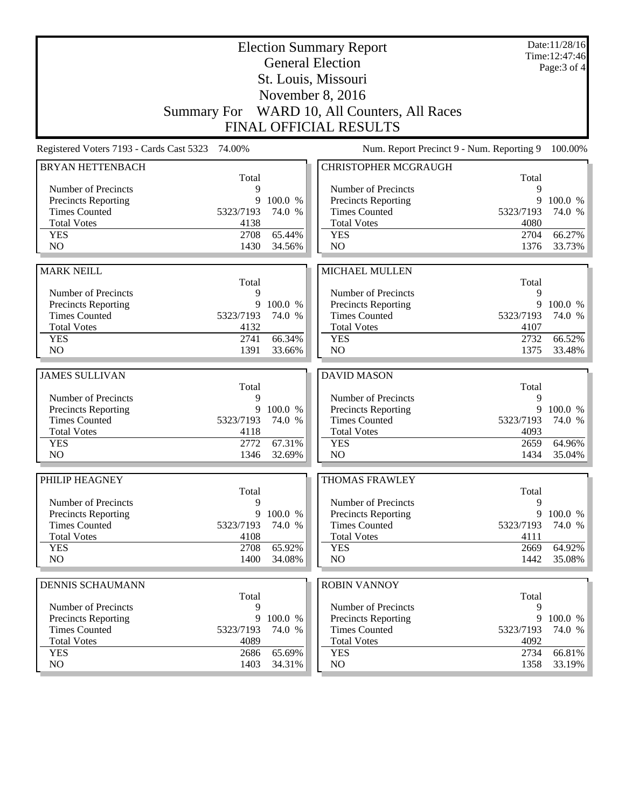| <b>General Election</b><br>Page: 3 of 4<br>St. Louis, Missouri<br>November 8, 2016<br>Summary For WARD 10, All Counters, All Races<br><b>FINAL OFFICIAL RESULTS</b><br>Num. Report Precinct 9 - Num. Reporting 9<br>Registered Voters 7193 - Cards Cast 5323<br>74.00%<br><b>BRYAN HETTENBACH</b><br><b>CHRISTOPHER MCGRAUGH</b><br>Total<br>Total<br>Number of Precincts<br>9<br>Number of Precincts<br>9<br>Precincts Reporting<br>9<br>100.0 %<br><b>Precincts Reporting</b><br>9<br><b>Times Counted</b><br><b>Times Counted</b><br>5323/7193<br>74.0 %<br>5323/7193<br><b>Total Votes</b><br>4138<br><b>Total Votes</b><br>4080<br>66.27%<br><b>YES</b><br>2708<br>65.44%<br><b>YES</b><br>2704<br>NO<br>N <sub>O</sub><br>1430<br>34.56%<br>1376<br><b>MARK NEILL</b><br><b>MICHAEL MULLEN</b><br>Total<br>Total<br>Number of Precincts<br>9<br>Number of Precincts<br>9<br>9<br>9<br><b>Precincts Reporting</b><br>100.0 %<br>Precincts Reporting<br><b>Times Counted</b><br><b>Times Counted</b><br>5323/7193<br>74.0 %<br>5323/7193<br>74.0 %<br><b>Total Votes</b><br>4132<br><b>Total Votes</b><br>4107<br>2741<br>66.34%<br><b>YES</b><br>2732<br>66.52%<br><b>YES</b><br>NO<br>NO<br>1391<br>33.66%<br>1375<br><b>JAMES SULLIVAN</b><br><b>DAVID MASON</b><br>Total<br>Total<br>Number of Precincts<br>9<br>Number of Precincts<br>9<br>Precincts Reporting<br>9<br>100.0 %<br><b>Precincts Reporting</b><br>9<br>100.0 %<br><b>Times Counted</b><br><b>Times Counted</b><br>5323/7193<br>74.0 %<br>5323/7193<br>74.0 %<br><b>Total Votes</b><br>4118<br><b>Total Votes</b><br>4093<br>67.31%<br><b>YES</b><br>2772<br><b>YES</b><br>2659<br>64.96%<br>NO<br>N <sub>O</sub><br>1346<br>32.69%<br>1434<br>PHILIP HEAGNEY<br><b>THOMAS FRAWLEY</b><br>Total<br>Total<br>Number of Precincts<br>9<br>Number of Precincts<br>9<br>Precincts Reporting<br>9<br>100.0 %<br><b>Precincts Reporting</b><br>9<br><b>Times Counted</b><br><b>Times Counted</b><br>5323/7193<br>74.0 %<br>5323/7193<br><b>Total Votes</b><br><b>Total Votes</b><br>4108<br>4111<br><b>YES</b><br>2708<br>65.92%<br><b>YES</b><br>2669<br>NO.<br>NO<br>1442<br>1400<br>34.08%<br><b>DENNIS SCHAUMANN</b><br><b>ROBIN VANNOY</b><br>Total<br>Total<br>Number of Precincts<br>9<br>Number of Precincts<br>9<br>9<br>100.0 %<br>9<br>Precincts Reporting<br>Precincts Reporting<br><b>Times Counted</b><br><b>Times Counted</b><br>5323/7193<br>74.0 %<br>5323/7193 |                    |      | <b>Election Summary Report</b> |      | Date:11/28/16<br>Time: 12:47:46 |
|---------------------------------------------------------------------------------------------------------------------------------------------------------------------------------------------------------------------------------------------------------------------------------------------------------------------------------------------------------------------------------------------------------------------------------------------------------------------------------------------------------------------------------------------------------------------------------------------------------------------------------------------------------------------------------------------------------------------------------------------------------------------------------------------------------------------------------------------------------------------------------------------------------------------------------------------------------------------------------------------------------------------------------------------------------------------------------------------------------------------------------------------------------------------------------------------------------------------------------------------------------------------------------------------------------------------------------------------------------------------------------------------------------------------------------------------------------------------------------------------------------------------------------------------------------------------------------------------------------------------------------------------------------------------------------------------------------------------------------------------------------------------------------------------------------------------------------------------------------------------------------------------------------------------------------------------------------------------------------------------------------------------------------------------------------------------------------------------------------------------------------------------------------------------------------------------------------------------------------------------------------------------------------------------------------------------------------------------------------------------------------------------------------------------------------------------------|--------------------|------|--------------------------------|------|---------------------------------|
|                                                                                                                                                                                                                                                                                                                                                                                                                                                                                                                                                                                                                                                                                                                                                                                                                                                                                                                                                                                                                                                                                                                                                                                                                                                                                                                                                                                                                                                                                                                                                                                                                                                                                                                                                                                                                                                                                                                                                                                                                                                                                                                                                                                                                                                                                                                                                                                                                                                   |                    |      |                                |      |                                 |
|                                                                                                                                                                                                                                                                                                                                                                                                                                                                                                                                                                                                                                                                                                                                                                                                                                                                                                                                                                                                                                                                                                                                                                                                                                                                                                                                                                                                                                                                                                                                                                                                                                                                                                                                                                                                                                                                                                                                                                                                                                                                                                                                                                                                                                                                                                                                                                                                                                                   |                    |      |                                |      |                                 |
|                                                                                                                                                                                                                                                                                                                                                                                                                                                                                                                                                                                                                                                                                                                                                                                                                                                                                                                                                                                                                                                                                                                                                                                                                                                                                                                                                                                                                                                                                                                                                                                                                                                                                                                                                                                                                                                                                                                                                                                                                                                                                                                                                                                                                                                                                                                                                                                                                                                   |                    |      |                                |      |                                 |
|                                                                                                                                                                                                                                                                                                                                                                                                                                                                                                                                                                                                                                                                                                                                                                                                                                                                                                                                                                                                                                                                                                                                                                                                                                                                                                                                                                                                                                                                                                                                                                                                                                                                                                                                                                                                                                                                                                                                                                                                                                                                                                                                                                                                                                                                                                                                                                                                                                                   |                    |      |                                |      |                                 |
|                                                                                                                                                                                                                                                                                                                                                                                                                                                                                                                                                                                                                                                                                                                                                                                                                                                                                                                                                                                                                                                                                                                                                                                                                                                                                                                                                                                                                                                                                                                                                                                                                                                                                                                                                                                                                                                                                                                                                                                                                                                                                                                                                                                                                                                                                                                                                                                                                                                   |                    |      |                                |      |                                 |
| 74.0 %<br>100.0 %<br>64.92%                                                                                                                                                                                                                                                                                                                                                                                                                                                                                                                                                                                                                                                                                                                                                                                                                                                                                                                                                                                                                                                                                                                                                                                                                                                                                                                                                                                                                                                                                                                                                                                                                                                                                                                                                                                                                                                                                                                                                                                                                                                                                                                                                                                                                                                                                                                                                                                                                       |                    |      |                                |      | 100.00%                         |
|                                                                                                                                                                                                                                                                                                                                                                                                                                                                                                                                                                                                                                                                                                                                                                                                                                                                                                                                                                                                                                                                                                                                                                                                                                                                                                                                                                                                                                                                                                                                                                                                                                                                                                                                                                                                                                                                                                                                                                                                                                                                                                                                                                                                                                                                                                                                                                                                                                                   |                    |      |                                |      |                                 |
| 100.0 %<br>33.73%<br>33.48%<br>35.04%                                                                                                                                                                                                                                                                                                                                                                                                                                                                                                                                                                                                                                                                                                                                                                                                                                                                                                                                                                                                                                                                                                                                                                                                                                                                                                                                                                                                                                                                                                                                                                                                                                                                                                                                                                                                                                                                                                                                                                                                                                                                                                                                                                                                                                                                                                                                                                                                             |                    |      |                                |      |                                 |
|                                                                                                                                                                                                                                                                                                                                                                                                                                                                                                                                                                                                                                                                                                                                                                                                                                                                                                                                                                                                                                                                                                                                                                                                                                                                                                                                                                                                                                                                                                                                                                                                                                                                                                                                                                                                                                                                                                                                                                                                                                                                                                                                                                                                                                                                                                                                                                                                                                                   |                    |      |                                |      |                                 |
|                                                                                                                                                                                                                                                                                                                                                                                                                                                                                                                                                                                                                                                                                                                                                                                                                                                                                                                                                                                                                                                                                                                                                                                                                                                                                                                                                                                                                                                                                                                                                                                                                                                                                                                                                                                                                                                                                                                                                                                                                                                                                                                                                                                                                                                                                                                                                                                                                                                   |                    |      |                                |      |                                 |
|                                                                                                                                                                                                                                                                                                                                                                                                                                                                                                                                                                                                                                                                                                                                                                                                                                                                                                                                                                                                                                                                                                                                                                                                                                                                                                                                                                                                                                                                                                                                                                                                                                                                                                                                                                                                                                                                                                                                                                                                                                                                                                                                                                                                                                                                                                                                                                                                                                                   |                    |      |                                |      |                                 |
|                                                                                                                                                                                                                                                                                                                                                                                                                                                                                                                                                                                                                                                                                                                                                                                                                                                                                                                                                                                                                                                                                                                                                                                                                                                                                                                                                                                                                                                                                                                                                                                                                                                                                                                                                                                                                                                                                                                                                                                                                                                                                                                                                                                                                                                                                                                                                                                                                                                   |                    |      |                                |      |                                 |
|                                                                                                                                                                                                                                                                                                                                                                                                                                                                                                                                                                                                                                                                                                                                                                                                                                                                                                                                                                                                                                                                                                                                                                                                                                                                                                                                                                                                                                                                                                                                                                                                                                                                                                                                                                                                                                                                                                                                                                                                                                                                                                                                                                                                                                                                                                                                                                                                                                                   |                    |      |                                |      |                                 |
|                                                                                                                                                                                                                                                                                                                                                                                                                                                                                                                                                                                                                                                                                                                                                                                                                                                                                                                                                                                                                                                                                                                                                                                                                                                                                                                                                                                                                                                                                                                                                                                                                                                                                                                                                                                                                                                                                                                                                                                                                                                                                                                                                                                                                                                                                                                                                                                                                                                   |                    |      |                                |      |                                 |
|                                                                                                                                                                                                                                                                                                                                                                                                                                                                                                                                                                                                                                                                                                                                                                                                                                                                                                                                                                                                                                                                                                                                                                                                                                                                                                                                                                                                                                                                                                                                                                                                                                                                                                                                                                                                                                                                                                                                                                                                                                                                                                                                                                                                                                                                                                                                                                                                                                                   |                    |      |                                |      |                                 |
|                                                                                                                                                                                                                                                                                                                                                                                                                                                                                                                                                                                                                                                                                                                                                                                                                                                                                                                                                                                                                                                                                                                                                                                                                                                                                                                                                                                                                                                                                                                                                                                                                                                                                                                                                                                                                                                                                                                                                                                                                                                                                                                                                                                                                                                                                                                                                                                                                                                   |                    |      |                                |      |                                 |
|                                                                                                                                                                                                                                                                                                                                                                                                                                                                                                                                                                                                                                                                                                                                                                                                                                                                                                                                                                                                                                                                                                                                                                                                                                                                                                                                                                                                                                                                                                                                                                                                                                                                                                                                                                                                                                                                                                                                                                                                                                                                                                                                                                                                                                                                                                                                                                                                                                                   |                    |      |                                |      |                                 |
|                                                                                                                                                                                                                                                                                                                                                                                                                                                                                                                                                                                                                                                                                                                                                                                                                                                                                                                                                                                                                                                                                                                                                                                                                                                                                                                                                                                                                                                                                                                                                                                                                                                                                                                                                                                                                                                                                                                                                                                                                                                                                                                                                                                                                                                                                                                                                                                                                                                   |                    |      |                                |      |                                 |
|                                                                                                                                                                                                                                                                                                                                                                                                                                                                                                                                                                                                                                                                                                                                                                                                                                                                                                                                                                                                                                                                                                                                                                                                                                                                                                                                                                                                                                                                                                                                                                                                                                                                                                                                                                                                                                                                                                                                                                                                                                                                                                                                                                                                                                                                                                                                                                                                                                                   |                    |      |                                |      |                                 |
|                                                                                                                                                                                                                                                                                                                                                                                                                                                                                                                                                                                                                                                                                                                                                                                                                                                                                                                                                                                                                                                                                                                                                                                                                                                                                                                                                                                                                                                                                                                                                                                                                                                                                                                                                                                                                                                                                                                                                                                                                                                                                                                                                                                                                                                                                                                                                                                                                                                   |                    |      |                                |      |                                 |
|                                                                                                                                                                                                                                                                                                                                                                                                                                                                                                                                                                                                                                                                                                                                                                                                                                                                                                                                                                                                                                                                                                                                                                                                                                                                                                                                                                                                                                                                                                                                                                                                                                                                                                                                                                                                                                                                                                                                                                                                                                                                                                                                                                                                                                                                                                                                                                                                                                                   |                    |      |                                |      |                                 |
|                                                                                                                                                                                                                                                                                                                                                                                                                                                                                                                                                                                                                                                                                                                                                                                                                                                                                                                                                                                                                                                                                                                                                                                                                                                                                                                                                                                                                                                                                                                                                                                                                                                                                                                                                                                                                                                                                                                                                                                                                                                                                                                                                                                                                                                                                                                                                                                                                                                   |                    |      |                                |      |                                 |
|                                                                                                                                                                                                                                                                                                                                                                                                                                                                                                                                                                                                                                                                                                                                                                                                                                                                                                                                                                                                                                                                                                                                                                                                                                                                                                                                                                                                                                                                                                                                                                                                                                                                                                                                                                                                                                                                                                                                                                                                                                                                                                                                                                                                                                                                                                                                                                                                                                                   |                    |      |                                |      |                                 |
|                                                                                                                                                                                                                                                                                                                                                                                                                                                                                                                                                                                                                                                                                                                                                                                                                                                                                                                                                                                                                                                                                                                                                                                                                                                                                                                                                                                                                                                                                                                                                                                                                                                                                                                                                                                                                                                                                                                                                                                                                                                                                                                                                                                                                                                                                                                                                                                                                                                   |                    |      |                                |      |                                 |
|                                                                                                                                                                                                                                                                                                                                                                                                                                                                                                                                                                                                                                                                                                                                                                                                                                                                                                                                                                                                                                                                                                                                                                                                                                                                                                                                                                                                                                                                                                                                                                                                                                                                                                                                                                                                                                                                                                                                                                                                                                                                                                                                                                                                                                                                                                                                                                                                                                                   |                    |      |                                |      |                                 |
|                                                                                                                                                                                                                                                                                                                                                                                                                                                                                                                                                                                                                                                                                                                                                                                                                                                                                                                                                                                                                                                                                                                                                                                                                                                                                                                                                                                                                                                                                                                                                                                                                                                                                                                                                                                                                                                                                                                                                                                                                                                                                                                                                                                                                                                                                                                                                                                                                                                   |                    |      |                                |      |                                 |
|                                                                                                                                                                                                                                                                                                                                                                                                                                                                                                                                                                                                                                                                                                                                                                                                                                                                                                                                                                                                                                                                                                                                                                                                                                                                                                                                                                                                                                                                                                                                                                                                                                                                                                                                                                                                                                                                                                                                                                                                                                                                                                                                                                                                                                                                                                                                                                                                                                                   |                    |      |                                |      |                                 |
|                                                                                                                                                                                                                                                                                                                                                                                                                                                                                                                                                                                                                                                                                                                                                                                                                                                                                                                                                                                                                                                                                                                                                                                                                                                                                                                                                                                                                                                                                                                                                                                                                                                                                                                                                                                                                                                                                                                                                                                                                                                                                                                                                                                                                                                                                                                                                                                                                                                   |                    |      |                                |      |                                 |
|                                                                                                                                                                                                                                                                                                                                                                                                                                                                                                                                                                                                                                                                                                                                                                                                                                                                                                                                                                                                                                                                                                                                                                                                                                                                                                                                                                                                                                                                                                                                                                                                                                                                                                                                                                                                                                                                                                                                                                                                                                                                                                                                                                                                                                                                                                                                                                                                                                                   |                    |      |                                |      |                                 |
|                                                                                                                                                                                                                                                                                                                                                                                                                                                                                                                                                                                                                                                                                                                                                                                                                                                                                                                                                                                                                                                                                                                                                                                                                                                                                                                                                                                                                                                                                                                                                                                                                                                                                                                                                                                                                                                                                                                                                                                                                                                                                                                                                                                                                                                                                                                                                                                                                                                   |                    |      |                                |      |                                 |
| 100.0 %<br>74.0 %<br>35.08%<br>100.0 %                                                                                                                                                                                                                                                                                                                                                                                                                                                                                                                                                                                                                                                                                                                                                                                                                                                                                                                                                                                                                                                                                                                                                                                                                                                                                                                                                                                                                                                                                                                                                                                                                                                                                                                                                                                                                                                                                                                                                                                                                                                                                                                                                                                                                                                                                                                                                                                                            |                    |      |                                |      |                                 |
|                                                                                                                                                                                                                                                                                                                                                                                                                                                                                                                                                                                                                                                                                                                                                                                                                                                                                                                                                                                                                                                                                                                                                                                                                                                                                                                                                                                                                                                                                                                                                                                                                                                                                                                                                                                                                                                                                                                                                                                                                                                                                                                                                                                                                                                                                                                                                                                                                                                   |                    |      |                                |      |                                 |
|                                                                                                                                                                                                                                                                                                                                                                                                                                                                                                                                                                                                                                                                                                                                                                                                                                                                                                                                                                                                                                                                                                                                                                                                                                                                                                                                                                                                                                                                                                                                                                                                                                                                                                                                                                                                                                                                                                                                                                                                                                                                                                                                                                                                                                                                                                                                                                                                                                                   |                    |      |                                |      |                                 |
|                                                                                                                                                                                                                                                                                                                                                                                                                                                                                                                                                                                                                                                                                                                                                                                                                                                                                                                                                                                                                                                                                                                                                                                                                                                                                                                                                                                                                                                                                                                                                                                                                                                                                                                                                                                                                                                                                                                                                                                                                                                                                                                                                                                                                                                                                                                                                                                                                                                   |                    |      |                                |      |                                 |
|                                                                                                                                                                                                                                                                                                                                                                                                                                                                                                                                                                                                                                                                                                                                                                                                                                                                                                                                                                                                                                                                                                                                                                                                                                                                                                                                                                                                                                                                                                                                                                                                                                                                                                                                                                                                                                                                                                                                                                                                                                                                                                                                                                                                                                                                                                                                                                                                                                                   |                    |      |                                |      |                                 |
|                                                                                                                                                                                                                                                                                                                                                                                                                                                                                                                                                                                                                                                                                                                                                                                                                                                                                                                                                                                                                                                                                                                                                                                                                                                                                                                                                                                                                                                                                                                                                                                                                                                                                                                                                                                                                                                                                                                                                                                                                                                                                                                                                                                                                                                                                                                                                                                                                                                   |                    |      |                                |      |                                 |
|                                                                                                                                                                                                                                                                                                                                                                                                                                                                                                                                                                                                                                                                                                                                                                                                                                                                                                                                                                                                                                                                                                                                                                                                                                                                                                                                                                                                                                                                                                                                                                                                                                                                                                                                                                                                                                                                                                                                                                                                                                                                                                                                                                                                                                                                                                                                                                                                                                                   |                    |      |                                |      |                                 |
|                                                                                                                                                                                                                                                                                                                                                                                                                                                                                                                                                                                                                                                                                                                                                                                                                                                                                                                                                                                                                                                                                                                                                                                                                                                                                                                                                                                                                                                                                                                                                                                                                                                                                                                                                                                                                                                                                                                                                                                                                                                                                                                                                                                                                                                                                                                                                                                                                                                   |                    |      |                                |      |                                 |
|                                                                                                                                                                                                                                                                                                                                                                                                                                                                                                                                                                                                                                                                                                                                                                                                                                                                                                                                                                                                                                                                                                                                                                                                                                                                                                                                                                                                                                                                                                                                                                                                                                                                                                                                                                                                                                                                                                                                                                                                                                                                                                                                                                                                                                                                                                                                                                                                                                                   |                    |      |                                |      |                                 |
|                                                                                                                                                                                                                                                                                                                                                                                                                                                                                                                                                                                                                                                                                                                                                                                                                                                                                                                                                                                                                                                                                                                                                                                                                                                                                                                                                                                                                                                                                                                                                                                                                                                                                                                                                                                                                                                                                                                                                                                                                                                                                                                                                                                                                                                                                                                                                                                                                                                   |                    |      |                                |      |                                 |
|                                                                                                                                                                                                                                                                                                                                                                                                                                                                                                                                                                                                                                                                                                                                                                                                                                                                                                                                                                                                                                                                                                                                                                                                                                                                                                                                                                                                                                                                                                                                                                                                                                                                                                                                                                                                                                                                                                                                                                                                                                                                                                                                                                                                                                                                                                                                                                                                                                                   |                    |      |                                |      |                                 |
|                                                                                                                                                                                                                                                                                                                                                                                                                                                                                                                                                                                                                                                                                                                                                                                                                                                                                                                                                                                                                                                                                                                                                                                                                                                                                                                                                                                                                                                                                                                                                                                                                                                                                                                                                                                                                                                                                                                                                                                                                                                                                                                                                                                                                                                                                                                                                                                                                                                   |                    |      |                                |      | 74.0 %                          |
|                                                                                                                                                                                                                                                                                                                                                                                                                                                                                                                                                                                                                                                                                                                                                                                                                                                                                                                                                                                                                                                                                                                                                                                                                                                                                                                                                                                                                                                                                                                                                                                                                                                                                                                                                                                                                                                                                                                                                                                                                                                                                                                                                                                                                                                                                                                                                                                                                                                   | <b>Total Votes</b> | 4089 | <b>Total Votes</b>             | 4092 |                                 |
| 65.69%<br>66.81%<br><b>YES</b><br>2686<br><b>YES</b><br>2734                                                                                                                                                                                                                                                                                                                                                                                                                                                                                                                                                                                                                                                                                                                                                                                                                                                                                                                                                                                                                                                                                                                                                                                                                                                                                                                                                                                                                                                                                                                                                                                                                                                                                                                                                                                                                                                                                                                                                                                                                                                                                                                                                                                                                                                                                                                                                                                      |                    |      |                                |      |                                 |
| NO.<br>1403<br>NO <sub>1</sub><br>1358<br>33.19%<br>34.31%                                                                                                                                                                                                                                                                                                                                                                                                                                                                                                                                                                                                                                                                                                                                                                                                                                                                                                                                                                                                                                                                                                                                                                                                                                                                                                                                                                                                                                                                                                                                                                                                                                                                                                                                                                                                                                                                                                                                                                                                                                                                                                                                                                                                                                                                                                                                                                                        |                    |      |                                |      |                                 |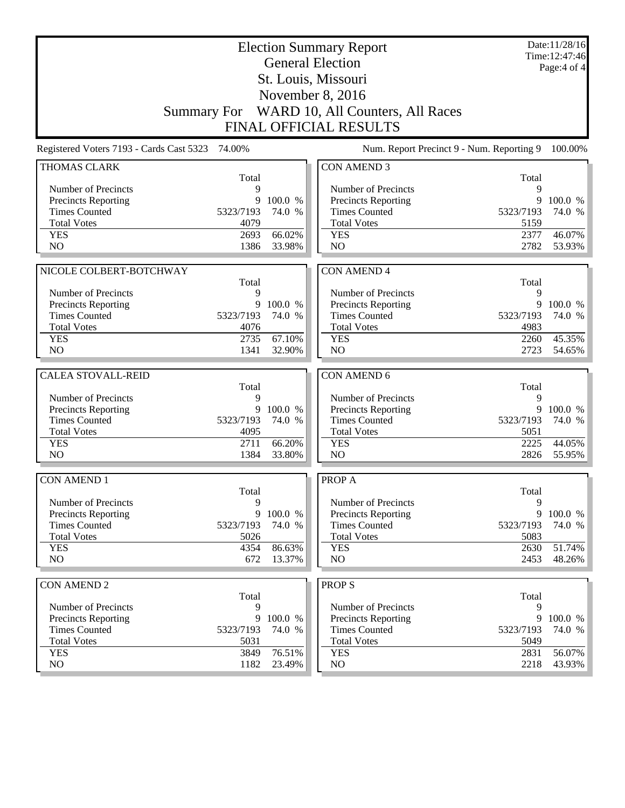|                                             |                    |                  | <b>Election Summary Report</b>                     |                | Date:11/28/16<br>Time: 12:47:46 |
|---------------------------------------------|--------------------|------------------|----------------------------------------------------|----------------|---------------------------------|
|                                             |                    |                  | <b>General Election</b>                            |                | Page:4 of 4                     |
|                                             |                    |                  | St. Louis, Missouri                                |                |                                 |
|                                             |                    |                  | November 8, 2016                                   |                |                                 |
|                                             |                    |                  | WARD 10, All Counters, All Races                   |                |                                 |
|                                             | <b>Summary For</b> |                  |                                                    |                |                                 |
|                                             |                    |                  | <b>FINAL OFFICIAL RESULTS</b>                      |                |                                 |
| Registered Voters 7193 - Cards Cast 5323    | 74.00%             |                  | Num. Report Precinct 9 - Num. Reporting 9          |                | 100.00%                         |
| <b>THOMAS CLARK</b>                         |                    |                  | <b>CON AMEND 3</b>                                 |                |                                 |
|                                             | Total              |                  |                                                    | Total          |                                 |
| Number of Precincts                         | 9                  | 100.0 %          | Number of Precincts                                | 9              |                                 |
| Precincts Reporting<br><b>Times Counted</b> | 9<br>5323/7193     | 74.0 %           | <b>Precincts Reporting</b><br><b>Times Counted</b> | 9<br>5323/7193 | 100.0 %                         |
| <b>Total Votes</b>                          | 4079               |                  | <b>Total Votes</b>                                 | 5159           | 74.0 %                          |
|                                             |                    | 66.02%           |                                                    |                |                                 |
| <b>YES</b><br>NO                            | 2693<br>1386       | 33.98%           | <b>YES</b><br>NO                                   | 2377<br>2782   | 46.07%<br>53.93%                |
|                                             |                    |                  |                                                    |                |                                 |
| NICOLE COLBERT-BOTCHWAY                     |                    |                  | <b>CON AMEND 4</b>                                 |                |                                 |
|                                             | Total              |                  |                                                    | Total          |                                 |
| Number of Precincts                         | 9                  |                  | Number of Precincts                                | 9              |                                 |
| <b>Precincts Reporting</b>                  | 9                  | 100.0 %          | <b>Precincts Reporting</b>                         | 9              | 100.0 %                         |
| <b>Times Counted</b>                        | 5323/7193          | 74.0 %           | <b>Times Counted</b>                               | 5323/7193      | 74.0 %                          |
| <b>Total Votes</b>                          | 4076               |                  | <b>Total Votes</b>                                 | 4983           |                                 |
| <b>YES</b>                                  | 2735               | 67.10%           | <b>YES</b>                                         | 2260           | 45.35%                          |
| NO                                          | 1341               | 32.90%           | N <sub>O</sub>                                     | 2723           | 54.65%                          |
|                                             |                    |                  |                                                    |                |                                 |
|                                             |                    |                  |                                                    |                |                                 |
| <b>CALEA STOVALL-REID</b>                   |                    |                  | CON AMEND 6                                        |                |                                 |
|                                             | Total              |                  |                                                    | Total          |                                 |
| Number of Precincts                         | 9                  |                  | Number of Precincts                                | 9              |                                 |
| Precincts Reporting                         | 9                  | 100.0 %          | Precincts Reporting                                | 9              | 100.0 %                         |
| <b>Times Counted</b>                        | 5323/7193          | 74.0 %           | <b>Times Counted</b>                               | 5323/7193      | 74.0 %                          |
| <b>Total Votes</b>                          | 4095               |                  | <b>Total Votes</b>                                 | 5051           |                                 |
| <b>YES</b>                                  | 2711               | 66.20%           | <b>YES</b>                                         | 2225           | 44.05%                          |
| N <sub>O</sub>                              | 1384               | 33.80%           | N <sub>O</sub>                                     | 2826           |                                 |
| <b>CON AMEND 1</b>                          |                    |                  | <b>PROPA</b>                                       |                | 55.95%                          |
|                                             | Total              |                  |                                                    | Total          |                                 |
| Number of Precincts                         | 9                  |                  | Number of Precincts                                | 9              |                                 |
| <b>Precincts Reporting</b>                  | 9                  | 100.0 %          | <b>Precincts Reporting</b>                         | 9              | 100.0 %                         |
| <b>Times Counted</b>                        | 5323/7193          | 74.0 %           | <b>Times Counted</b>                               | 5323/7193      | 74.0 %                          |
| <b>Total Votes</b>                          | 5026               |                  | <b>Total Votes</b>                                 | 5083           |                                 |
| <b>YES</b>                                  | 4354               | 86.63%           | <b>YES</b>                                         | 2630           | 51.74%                          |
| NO                                          | 672                | 13.37%           | N <sub>O</sub>                                     | 2453           |                                 |
|                                             |                    |                  |                                                    |                |                                 |
| <b>CON AMEND 2</b>                          |                    |                  | <b>PROPS</b>                                       |                |                                 |
|                                             | Total              |                  |                                                    | Total          |                                 |
| Number of Precincts                         | 9                  |                  | Number of Precincts                                | 9              | 48.26%                          |
| <b>Precincts Reporting</b>                  | 9                  | 100.0 %          | Precincts Reporting                                | 9              | 100.0 %                         |
| <b>Times Counted</b>                        | 5323/7193          | 74.0 %           | <b>Times Counted</b>                               | 5323/7193      | 74.0 %                          |
| <b>Total Votes</b>                          | 5031               |                  | <b>Total Votes</b>                                 | 5049           |                                 |
| <b>YES</b><br>NO                            | 3849<br>1182       | 76.51%<br>23.49% | <b>YES</b><br>NO                                   | 2831<br>2218   | 56.07%<br>43.93%                |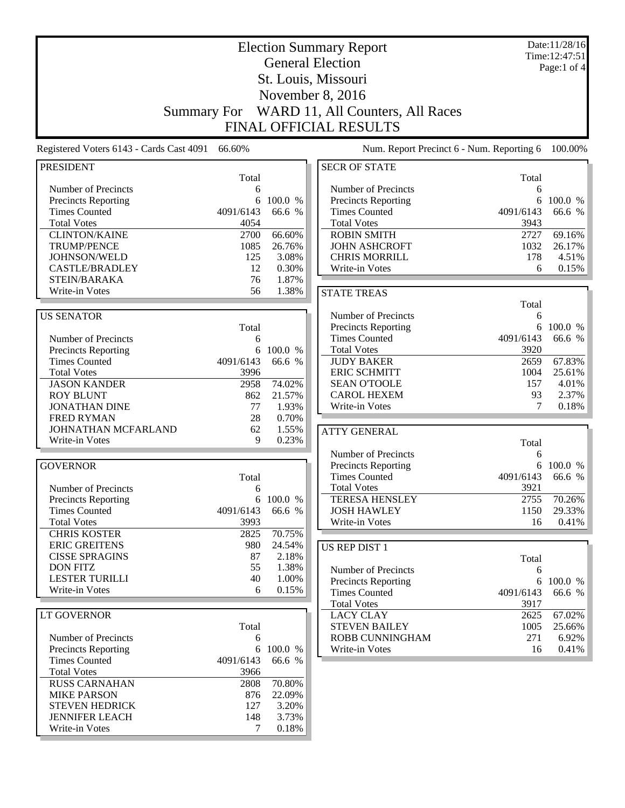|                                            |                   |                  | <b>Election Summary Report</b><br><b>General Election</b> |              | Date:11/28/16<br>Time: 12:47:51 |
|--------------------------------------------|-------------------|------------------|-----------------------------------------------------------|--------------|---------------------------------|
|                                            |                   |                  | St. Louis, Missouri                                       |              | Page:1 of 4                     |
|                                            |                   |                  |                                                           |              |                                 |
|                                            |                   |                  | November 8, 2016                                          |              |                                 |
| <b>Summary For</b>                         |                   |                  | WARD 11, All Counters, All Races                          |              |                                 |
|                                            |                   |                  | <b>FINAL OFFICIAL RESULTS</b>                             |              |                                 |
| Registered Voters 6143 - Cards Cast 4091   | 66.60%            |                  | Num. Report Precinct 6 - Num. Reporting 6                 |              | 100.00%                         |
| <b>PRESIDENT</b>                           |                   |                  | <b>SECR OF STATE</b>                                      |              |                                 |
|                                            | Total             |                  |                                                           | Total        |                                 |
| Number of Precincts                        | 6                 |                  | Number of Precincts                                       | 6            |                                 |
| <b>Precincts Reporting</b>                 | 6                 | 100.0 %          | Precincts Reporting                                       | 6            | 100.0 %                         |
| <b>Times Counted</b>                       | 4091/6143         | 66.6 %           | <b>Times Counted</b>                                      | 4091/6143    | 66.6 %                          |
| <b>Total Votes</b>                         | 4054              |                  | <b>Total Votes</b>                                        | 3943         |                                 |
| <b>CLINTON/KAINE</b><br><b>TRUMP/PENCE</b> | 2700<br>1085      | 66.60%<br>26.76% | <b>ROBIN SMITH</b><br><b>JOHN ASHCROFT</b>                | 2727<br>1032 | 69.16%<br>26.17%                |
| JOHNSON/WELD                               | 125               | 3.08%            | <b>CHRIS MORRILL</b>                                      | 178          | 4.51%                           |
| <b>CASTLE/BRADLEY</b>                      | 12                | 0.30%            | Write-in Votes                                            | 6            | 0.15%                           |
| <b>STEIN/BARAKA</b>                        | 76                | 1.87%            |                                                           |              |                                 |
| Write-in Votes                             | 56                | 1.38%            | <b>STATE TREAS</b>                                        |              |                                 |
|                                            |                   |                  |                                                           | Total        |                                 |
| <b>US SENATOR</b>                          |                   |                  | Number of Precincts                                       | 6            |                                 |
|                                            | Total             |                  | Precincts Reporting                                       | 6            | 100.0 %                         |
| Number of Precincts                        | 6                 |                  | <b>Times Counted</b>                                      | 4091/6143    | 66.6 %                          |
| <b>Precincts Reporting</b>                 | 6                 | 100.0 %          | <b>Total Votes</b>                                        | 3920         |                                 |
| <b>Times Counted</b>                       | 4091/6143         | 66.6 %           | <b>JUDY BAKER</b>                                         | 2659         | 67.83%                          |
| <b>Total Votes</b>                         | 3996              |                  | <b>ERIC SCHMITT</b>                                       | 1004         | 25.61%                          |
| <b>JASON KANDER</b>                        | 2958              | 74.02%           | <b>SEAN O'TOOLE</b>                                       | 157          | 4.01%                           |
| <b>ROY BLUNT</b>                           | 862               | 21.57%           | <b>CAROL HEXEM</b>                                        | 93           | 2.37%                           |
| <b>JONATHAN DINE</b>                       | 77                | 1.93%            | Write-in Votes                                            | 7            | 0.18%                           |
| <b>FRED RYMAN</b>                          | 28                | 0.70%            |                                                           |              |                                 |
| JOHNATHAN MCFARLAND                        | 62                | 1.55%            | <b>ATTY GENERAL</b>                                       |              |                                 |
| Write-in Votes                             | 9                 | 0.23%            |                                                           | Total        |                                 |
|                                            |                   |                  | Number of Precincts                                       | 6            |                                 |
| <b>GOVERNOR</b>                            |                   |                  | <b>Precincts Reporting</b>                                | 6            | 100.0 %                         |
|                                            | Total             |                  | <b>Times Counted</b>                                      | 4091/6143    | 66.6 %                          |
| Number of Precincts                        | 6                 |                  | <b>Total Votes</b>                                        | 3921         |                                 |
| <b>Precincts Reporting</b>                 |                   | 6 100.0 %        | <b>TERESA HENSLEY</b>                                     | 2755         | 70.26%                          |
| <b>Times Counted</b>                       | 4091/6143         | 66.6 %           | <b>JOSH HAWLEY</b>                                        | 1150         | 29.33%                          |
| <b>Total Votes</b>                         | 3993              |                  | Write-in Votes                                            | 16           | 0.41%                           |
| <b>CHRIS KOSTER</b>                        | 2825              | 70.75%           |                                                           |              |                                 |
| <b>ERIC GREITENS</b>                       | 980               | 24.54%           | <b>US REP DIST 1</b>                                      |              |                                 |
| <b>CISSE SPRAGINS</b>                      | 87                | 2.18%            |                                                           | Total        |                                 |
| <b>DON FITZ</b>                            | 55                | 1.38%            | Number of Precincts                                       | 6            |                                 |
| <b>LESTER TURILLI</b>                      | 40                | 1.00%            | Precincts Reporting                                       | 6            | 100.0 %                         |
| Write-in Votes                             | 6                 | 0.15%            | <b>Times Counted</b>                                      | 4091/6143    | 66.6 %                          |
|                                            |                   |                  | <b>Total Votes</b>                                        | 3917         |                                 |
| LT GOVERNOR                                |                   |                  | <b>LACY CLAY</b>                                          | 2625         | 67.02%                          |
|                                            | Total             |                  | <b>STEVEN BAILEY</b>                                      | 1005         | 25.66%                          |
| Number of Precincts                        | 6                 |                  | ROBB CUNNINGHAM                                           | 271          | 6.92%                           |
| <b>Precincts Reporting</b>                 |                   | 6 100.0 %        | Write-in Votes                                            | 16           | 0.41%                           |
| <b>Times Counted</b><br><b>Total Votes</b> | 4091/6143<br>3966 | 66.6 %           |                                                           |              |                                 |
| <b>RUSS CARNAHAN</b>                       |                   | 70.80%           |                                                           |              |                                 |
| <b>MIKE PARSON</b>                         | 2808<br>876       | 22.09%           |                                                           |              |                                 |
| <b>STEVEN HEDRICK</b>                      | 127               | 3.20%            |                                                           |              |                                 |
| <b>JENNIFER LEACH</b>                      | 148               | 3.73%            |                                                           |              |                                 |
| Write-in Votes                             | 7                 | 0.18%            |                                                           |              |                                 |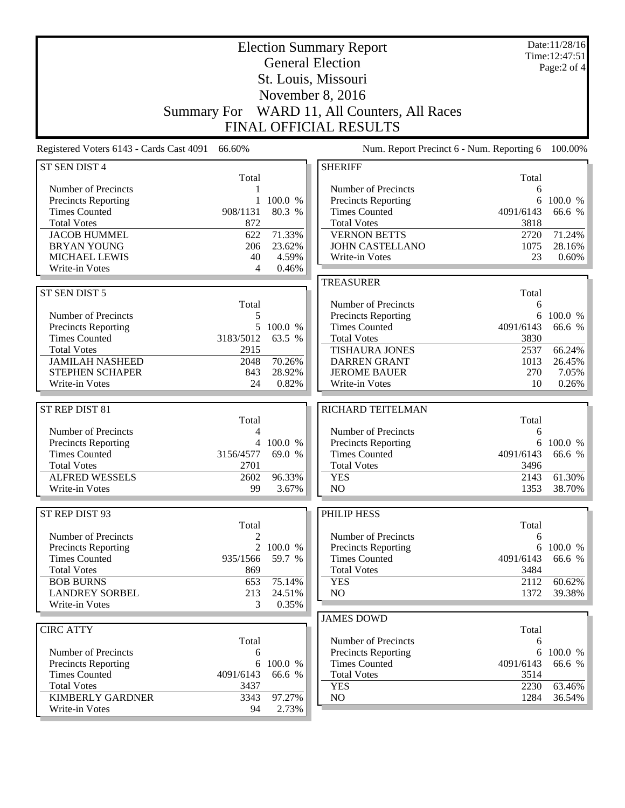## Election Summary Report General Election St. Louis, Missouri November 8, 2016 Summary For WARD 11, All Counters, All Races FINAL OFFICIAL RESULTS

Date:11/28/16 Time:12:47:51 Page:2 of 4

Registered Voters 6143 - Cards Cast 4091 66.60% Num. Report Precinct 6 - Num. Reporting 6 100.00%

| Total<br>Total<br>Number of Precincts<br>Number of Precincts<br>6<br><b>Precincts Reporting</b><br>$\mathbf{1}$<br>100.0 %<br>Precincts Reporting<br>6<br>100.0 %<br>80.3 %<br><b>Times Counted</b><br><b>Times Counted</b><br>908/1131<br>4091/6143<br>66.6 %<br>872<br><b>Total Votes</b><br><b>Total Votes</b><br>3818<br>71.33%<br><b>VERNON BETTS</b><br><b>JACOB HUMMEL</b><br>622<br>2720<br>71.24%<br><b>JOHN CASTELLANO</b><br><b>BRYAN YOUNG</b><br>206<br>23.62%<br>1075<br>28.16%<br>4.59%<br>23<br>0.60%<br><b>MICHAEL LEWIS</b><br>40<br>Write-in Votes<br>Write-in Votes<br>$\overline{4}$<br>0.46%<br><b>TREASURER</b><br>ST SEN DIST 5<br>Total<br>Total<br>Number of Precincts<br>6<br>Number of Precincts<br><b>Precincts Reporting</b><br>100.0 %<br>5<br>6<br>5<br>100.0 %<br><b>Times Counted</b><br><b>Precincts Reporting</b><br>4091/6143<br>66.6 %<br>3183/5012<br><b>Times Counted</b><br>63.5 %<br><b>Total Votes</b><br>3830<br><b>Total Votes</b><br>2915<br><b>TISHAURA JONES</b><br>66.24%<br>2537<br><b>JAMILAH NASHEED</b><br>70.26%<br>2048<br><b>DARREN GRANT</b><br>1013<br>26.45%<br><b>STEPHEN SCHAPER</b><br>843<br>28.92%<br><b>JEROME BAUER</b><br>270<br>7.05%<br>24<br>0.82%<br>Write-in Votes<br>Write-in Votes<br>10<br>0.26%<br>ST REP DIST 81<br><b>RICHARD TEITELMAN</b><br>Total<br>Total<br>Number of Precincts<br>4<br>Number of Precincts<br>6<br><b>Precincts Reporting</b><br>4 100.0 %<br>Precincts Reporting<br>6 100.0 %<br>3156/4577<br><b>Times Counted</b><br><b>Times Counted</b><br>69.0 %<br>4091/6143<br>66.6 %<br><b>Total Votes</b><br>2701<br><b>Total Votes</b><br>3496<br><b>ALFRED WESSELS</b><br>2602<br>96.33%<br><b>YES</b><br>2143<br>61.30%<br>NO<br>Write-in Votes<br>99<br>1353<br>38.70%<br>3.67%<br>ST REP DIST 93<br>PHILIP HESS<br>Total<br>Total<br>Number of Precincts<br>2<br>Number of Precincts<br>6<br>$\overline{2}$<br><b>Precincts Reporting</b><br>100.0 %<br>Precincts Reporting<br>6<br>100.0 %<br><b>Times Counted</b><br>4091/6143<br><b>Times Counted</b><br>935/1566<br>59.7 %<br>66.6 %<br><b>Total Votes</b><br>869<br><b>Total Votes</b><br>3484<br>75.14%<br>60.62%<br><b>BOB BURNS</b><br>653<br><b>YES</b><br>2112<br><b>LANDREY SORBEL</b><br>213<br>24.51%<br>N <sub>O</sub><br>1372<br>39.38%<br>3<br>Write-in Votes<br>0.35%<br><b>JAMES DOWD</b><br><b>CIRC ATTY</b><br>Total<br>Total<br>Number of Precincts<br>6<br>Number of Precincts<br><b>Precincts Reporting</b><br>6 100.0 %<br>6<br><b>Precincts Reporting</b><br>6<br>100.0 %<br><b>Times Counted</b><br>4091/6143<br>66.6 %<br>4091/6143<br><b>Total Votes</b><br><b>Times Counted</b><br>66.6 %<br>3514<br><b>Total Votes</b><br>3437<br><b>YES</b><br>2230<br>63.46%<br><b>KIMBERLY GARDNER</b><br>97.27%<br>NO<br>3343<br>1284<br>36.54%<br>Write-in Votes<br>94<br>2.73% | ST SEN DIST 4 |  | <b>SHERIFF</b> |  |
|------------------------------------------------------------------------------------------------------------------------------------------------------------------------------------------------------------------------------------------------------------------------------------------------------------------------------------------------------------------------------------------------------------------------------------------------------------------------------------------------------------------------------------------------------------------------------------------------------------------------------------------------------------------------------------------------------------------------------------------------------------------------------------------------------------------------------------------------------------------------------------------------------------------------------------------------------------------------------------------------------------------------------------------------------------------------------------------------------------------------------------------------------------------------------------------------------------------------------------------------------------------------------------------------------------------------------------------------------------------------------------------------------------------------------------------------------------------------------------------------------------------------------------------------------------------------------------------------------------------------------------------------------------------------------------------------------------------------------------------------------------------------------------------------------------------------------------------------------------------------------------------------------------------------------------------------------------------------------------------------------------------------------------------------------------------------------------------------------------------------------------------------------------------------------------------------------------------------------------------------------------------------------------------------------------------------------------------------------------------------------------------------------------------------------------------------------------------------------------------------------------------------------------------------------------------------------------------------------------------------------------------------------------------------------------------------------------------------------------------------------------------------------------------------------------------------------------------------------|---------------|--|----------------|--|
|                                                                                                                                                                                                                                                                                                                                                                                                                                                                                                                                                                                                                                                                                                                                                                                                                                                                                                                                                                                                                                                                                                                                                                                                                                                                                                                                                                                                                                                                                                                                                                                                                                                                                                                                                                                                                                                                                                                                                                                                                                                                                                                                                                                                                                                                                                                                                                                                                                                                                                                                                                                                                                                                                                                                                                                                                                                      |               |  |                |  |
|                                                                                                                                                                                                                                                                                                                                                                                                                                                                                                                                                                                                                                                                                                                                                                                                                                                                                                                                                                                                                                                                                                                                                                                                                                                                                                                                                                                                                                                                                                                                                                                                                                                                                                                                                                                                                                                                                                                                                                                                                                                                                                                                                                                                                                                                                                                                                                                                                                                                                                                                                                                                                                                                                                                                                                                                                                                      |               |  |                |  |
|                                                                                                                                                                                                                                                                                                                                                                                                                                                                                                                                                                                                                                                                                                                                                                                                                                                                                                                                                                                                                                                                                                                                                                                                                                                                                                                                                                                                                                                                                                                                                                                                                                                                                                                                                                                                                                                                                                                                                                                                                                                                                                                                                                                                                                                                                                                                                                                                                                                                                                                                                                                                                                                                                                                                                                                                                                                      |               |  |                |  |
|                                                                                                                                                                                                                                                                                                                                                                                                                                                                                                                                                                                                                                                                                                                                                                                                                                                                                                                                                                                                                                                                                                                                                                                                                                                                                                                                                                                                                                                                                                                                                                                                                                                                                                                                                                                                                                                                                                                                                                                                                                                                                                                                                                                                                                                                                                                                                                                                                                                                                                                                                                                                                                                                                                                                                                                                                                                      |               |  |                |  |
|                                                                                                                                                                                                                                                                                                                                                                                                                                                                                                                                                                                                                                                                                                                                                                                                                                                                                                                                                                                                                                                                                                                                                                                                                                                                                                                                                                                                                                                                                                                                                                                                                                                                                                                                                                                                                                                                                                                                                                                                                                                                                                                                                                                                                                                                                                                                                                                                                                                                                                                                                                                                                                                                                                                                                                                                                                                      |               |  |                |  |
|                                                                                                                                                                                                                                                                                                                                                                                                                                                                                                                                                                                                                                                                                                                                                                                                                                                                                                                                                                                                                                                                                                                                                                                                                                                                                                                                                                                                                                                                                                                                                                                                                                                                                                                                                                                                                                                                                                                                                                                                                                                                                                                                                                                                                                                                                                                                                                                                                                                                                                                                                                                                                                                                                                                                                                                                                                                      |               |  |                |  |
|                                                                                                                                                                                                                                                                                                                                                                                                                                                                                                                                                                                                                                                                                                                                                                                                                                                                                                                                                                                                                                                                                                                                                                                                                                                                                                                                                                                                                                                                                                                                                                                                                                                                                                                                                                                                                                                                                                                                                                                                                                                                                                                                                                                                                                                                                                                                                                                                                                                                                                                                                                                                                                                                                                                                                                                                                                                      |               |  |                |  |
|                                                                                                                                                                                                                                                                                                                                                                                                                                                                                                                                                                                                                                                                                                                                                                                                                                                                                                                                                                                                                                                                                                                                                                                                                                                                                                                                                                                                                                                                                                                                                                                                                                                                                                                                                                                                                                                                                                                                                                                                                                                                                                                                                                                                                                                                                                                                                                                                                                                                                                                                                                                                                                                                                                                                                                                                                                                      |               |  |                |  |
|                                                                                                                                                                                                                                                                                                                                                                                                                                                                                                                                                                                                                                                                                                                                                                                                                                                                                                                                                                                                                                                                                                                                                                                                                                                                                                                                                                                                                                                                                                                                                                                                                                                                                                                                                                                                                                                                                                                                                                                                                                                                                                                                                                                                                                                                                                                                                                                                                                                                                                                                                                                                                                                                                                                                                                                                                                                      |               |  |                |  |
|                                                                                                                                                                                                                                                                                                                                                                                                                                                                                                                                                                                                                                                                                                                                                                                                                                                                                                                                                                                                                                                                                                                                                                                                                                                                                                                                                                                                                                                                                                                                                                                                                                                                                                                                                                                                                                                                                                                                                                                                                                                                                                                                                                                                                                                                                                                                                                                                                                                                                                                                                                                                                                                                                                                                                                                                                                                      |               |  |                |  |
|                                                                                                                                                                                                                                                                                                                                                                                                                                                                                                                                                                                                                                                                                                                                                                                                                                                                                                                                                                                                                                                                                                                                                                                                                                                                                                                                                                                                                                                                                                                                                                                                                                                                                                                                                                                                                                                                                                                                                                                                                                                                                                                                                                                                                                                                                                                                                                                                                                                                                                                                                                                                                                                                                                                                                                                                                                                      |               |  |                |  |
|                                                                                                                                                                                                                                                                                                                                                                                                                                                                                                                                                                                                                                                                                                                                                                                                                                                                                                                                                                                                                                                                                                                                                                                                                                                                                                                                                                                                                                                                                                                                                                                                                                                                                                                                                                                                                                                                                                                                                                                                                                                                                                                                                                                                                                                                                                                                                                                                                                                                                                                                                                                                                                                                                                                                                                                                                                                      |               |  |                |  |
|                                                                                                                                                                                                                                                                                                                                                                                                                                                                                                                                                                                                                                                                                                                                                                                                                                                                                                                                                                                                                                                                                                                                                                                                                                                                                                                                                                                                                                                                                                                                                                                                                                                                                                                                                                                                                                                                                                                                                                                                                                                                                                                                                                                                                                                                                                                                                                                                                                                                                                                                                                                                                                                                                                                                                                                                                                                      |               |  |                |  |
|                                                                                                                                                                                                                                                                                                                                                                                                                                                                                                                                                                                                                                                                                                                                                                                                                                                                                                                                                                                                                                                                                                                                                                                                                                                                                                                                                                                                                                                                                                                                                                                                                                                                                                                                                                                                                                                                                                                                                                                                                                                                                                                                                                                                                                                                                                                                                                                                                                                                                                                                                                                                                                                                                                                                                                                                                                                      |               |  |                |  |
|                                                                                                                                                                                                                                                                                                                                                                                                                                                                                                                                                                                                                                                                                                                                                                                                                                                                                                                                                                                                                                                                                                                                                                                                                                                                                                                                                                                                                                                                                                                                                                                                                                                                                                                                                                                                                                                                                                                                                                                                                                                                                                                                                                                                                                                                                                                                                                                                                                                                                                                                                                                                                                                                                                                                                                                                                                                      |               |  |                |  |
|                                                                                                                                                                                                                                                                                                                                                                                                                                                                                                                                                                                                                                                                                                                                                                                                                                                                                                                                                                                                                                                                                                                                                                                                                                                                                                                                                                                                                                                                                                                                                                                                                                                                                                                                                                                                                                                                                                                                                                                                                                                                                                                                                                                                                                                                                                                                                                                                                                                                                                                                                                                                                                                                                                                                                                                                                                                      |               |  |                |  |
|                                                                                                                                                                                                                                                                                                                                                                                                                                                                                                                                                                                                                                                                                                                                                                                                                                                                                                                                                                                                                                                                                                                                                                                                                                                                                                                                                                                                                                                                                                                                                                                                                                                                                                                                                                                                                                                                                                                                                                                                                                                                                                                                                                                                                                                                                                                                                                                                                                                                                                                                                                                                                                                                                                                                                                                                                                                      |               |  |                |  |
|                                                                                                                                                                                                                                                                                                                                                                                                                                                                                                                                                                                                                                                                                                                                                                                                                                                                                                                                                                                                                                                                                                                                                                                                                                                                                                                                                                                                                                                                                                                                                                                                                                                                                                                                                                                                                                                                                                                                                                                                                                                                                                                                                                                                                                                                                                                                                                                                                                                                                                                                                                                                                                                                                                                                                                                                                                                      |               |  |                |  |
|                                                                                                                                                                                                                                                                                                                                                                                                                                                                                                                                                                                                                                                                                                                                                                                                                                                                                                                                                                                                                                                                                                                                                                                                                                                                                                                                                                                                                                                                                                                                                                                                                                                                                                                                                                                                                                                                                                                                                                                                                                                                                                                                                                                                                                                                                                                                                                                                                                                                                                                                                                                                                                                                                                                                                                                                                                                      |               |  |                |  |
|                                                                                                                                                                                                                                                                                                                                                                                                                                                                                                                                                                                                                                                                                                                                                                                                                                                                                                                                                                                                                                                                                                                                                                                                                                                                                                                                                                                                                                                                                                                                                                                                                                                                                                                                                                                                                                                                                                                                                                                                                                                                                                                                                                                                                                                                                                                                                                                                                                                                                                                                                                                                                                                                                                                                                                                                                                                      |               |  |                |  |
|                                                                                                                                                                                                                                                                                                                                                                                                                                                                                                                                                                                                                                                                                                                                                                                                                                                                                                                                                                                                                                                                                                                                                                                                                                                                                                                                                                                                                                                                                                                                                                                                                                                                                                                                                                                                                                                                                                                                                                                                                                                                                                                                                                                                                                                                                                                                                                                                                                                                                                                                                                                                                                                                                                                                                                                                                                                      |               |  |                |  |
|                                                                                                                                                                                                                                                                                                                                                                                                                                                                                                                                                                                                                                                                                                                                                                                                                                                                                                                                                                                                                                                                                                                                                                                                                                                                                                                                                                                                                                                                                                                                                                                                                                                                                                                                                                                                                                                                                                                                                                                                                                                                                                                                                                                                                                                                                                                                                                                                                                                                                                                                                                                                                                                                                                                                                                                                                                                      |               |  |                |  |
|                                                                                                                                                                                                                                                                                                                                                                                                                                                                                                                                                                                                                                                                                                                                                                                                                                                                                                                                                                                                                                                                                                                                                                                                                                                                                                                                                                                                                                                                                                                                                                                                                                                                                                                                                                                                                                                                                                                                                                                                                                                                                                                                                                                                                                                                                                                                                                                                                                                                                                                                                                                                                                                                                                                                                                                                                                                      |               |  |                |  |
|                                                                                                                                                                                                                                                                                                                                                                                                                                                                                                                                                                                                                                                                                                                                                                                                                                                                                                                                                                                                                                                                                                                                                                                                                                                                                                                                                                                                                                                                                                                                                                                                                                                                                                                                                                                                                                                                                                                                                                                                                                                                                                                                                                                                                                                                                                                                                                                                                                                                                                                                                                                                                                                                                                                                                                                                                                                      |               |  |                |  |
|                                                                                                                                                                                                                                                                                                                                                                                                                                                                                                                                                                                                                                                                                                                                                                                                                                                                                                                                                                                                                                                                                                                                                                                                                                                                                                                                                                                                                                                                                                                                                                                                                                                                                                                                                                                                                                                                                                                                                                                                                                                                                                                                                                                                                                                                                                                                                                                                                                                                                                                                                                                                                                                                                                                                                                                                                                                      |               |  |                |  |
|                                                                                                                                                                                                                                                                                                                                                                                                                                                                                                                                                                                                                                                                                                                                                                                                                                                                                                                                                                                                                                                                                                                                                                                                                                                                                                                                                                                                                                                                                                                                                                                                                                                                                                                                                                                                                                                                                                                                                                                                                                                                                                                                                                                                                                                                                                                                                                                                                                                                                                                                                                                                                                                                                                                                                                                                                                                      |               |  |                |  |
|                                                                                                                                                                                                                                                                                                                                                                                                                                                                                                                                                                                                                                                                                                                                                                                                                                                                                                                                                                                                                                                                                                                                                                                                                                                                                                                                                                                                                                                                                                                                                                                                                                                                                                                                                                                                                                                                                                                                                                                                                                                                                                                                                                                                                                                                                                                                                                                                                                                                                                                                                                                                                                                                                                                                                                                                                                                      |               |  |                |  |
|                                                                                                                                                                                                                                                                                                                                                                                                                                                                                                                                                                                                                                                                                                                                                                                                                                                                                                                                                                                                                                                                                                                                                                                                                                                                                                                                                                                                                                                                                                                                                                                                                                                                                                                                                                                                                                                                                                                                                                                                                                                                                                                                                                                                                                                                                                                                                                                                                                                                                                                                                                                                                                                                                                                                                                                                                                                      |               |  |                |  |
|                                                                                                                                                                                                                                                                                                                                                                                                                                                                                                                                                                                                                                                                                                                                                                                                                                                                                                                                                                                                                                                                                                                                                                                                                                                                                                                                                                                                                                                                                                                                                                                                                                                                                                                                                                                                                                                                                                                                                                                                                                                                                                                                                                                                                                                                                                                                                                                                                                                                                                                                                                                                                                                                                                                                                                                                                                                      |               |  |                |  |
|                                                                                                                                                                                                                                                                                                                                                                                                                                                                                                                                                                                                                                                                                                                                                                                                                                                                                                                                                                                                                                                                                                                                                                                                                                                                                                                                                                                                                                                                                                                                                                                                                                                                                                                                                                                                                                                                                                                                                                                                                                                                                                                                                                                                                                                                                                                                                                                                                                                                                                                                                                                                                                                                                                                                                                                                                                                      |               |  |                |  |
|                                                                                                                                                                                                                                                                                                                                                                                                                                                                                                                                                                                                                                                                                                                                                                                                                                                                                                                                                                                                                                                                                                                                                                                                                                                                                                                                                                                                                                                                                                                                                                                                                                                                                                                                                                                                                                                                                                                                                                                                                                                                                                                                                                                                                                                                                                                                                                                                                                                                                                                                                                                                                                                                                                                                                                                                                                                      |               |  |                |  |
|                                                                                                                                                                                                                                                                                                                                                                                                                                                                                                                                                                                                                                                                                                                                                                                                                                                                                                                                                                                                                                                                                                                                                                                                                                                                                                                                                                                                                                                                                                                                                                                                                                                                                                                                                                                                                                                                                                                                                                                                                                                                                                                                                                                                                                                                                                                                                                                                                                                                                                                                                                                                                                                                                                                                                                                                                                                      |               |  |                |  |
|                                                                                                                                                                                                                                                                                                                                                                                                                                                                                                                                                                                                                                                                                                                                                                                                                                                                                                                                                                                                                                                                                                                                                                                                                                                                                                                                                                                                                                                                                                                                                                                                                                                                                                                                                                                                                                                                                                                                                                                                                                                                                                                                                                                                                                                                                                                                                                                                                                                                                                                                                                                                                                                                                                                                                                                                                                                      |               |  |                |  |
|                                                                                                                                                                                                                                                                                                                                                                                                                                                                                                                                                                                                                                                                                                                                                                                                                                                                                                                                                                                                                                                                                                                                                                                                                                                                                                                                                                                                                                                                                                                                                                                                                                                                                                                                                                                                                                                                                                                                                                                                                                                                                                                                                                                                                                                                                                                                                                                                                                                                                                                                                                                                                                                                                                                                                                                                                                                      |               |  |                |  |
|                                                                                                                                                                                                                                                                                                                                                                                                                                                                                                                                                                                                                                                                                                                                                                                                                                                                                                                                                                                                                                                                                                                                                                                                                                                                                                                                                                                                                                                                                                                                                                                                                                                                                                                                                                                                                                                                                                                                                                                                                                                                                                                                                                                                                                                                                                                                                                                                                                                                                                                                                                                                                                                                                                                                                                                                                                                      |               |  |                |  |
|                                                                                                                                                                                                                                                                                                                                                                                                                                                                                                                                                                                                                                                                                                                                                                                                                                                                                                                                                                                                                                                                                                                                                                                                                                                                                                                                                                                                                                                                                                                                                                                                                                                                                                                                                                                                                                                                                                                                                                                                                                                                                                                                                                                                                                                                                                                                                                                                                                                                                                                                                                                                                                                                                                                                                                                                                                                      |               |  |                |  |
|                                                                                                                                                                                                                                                                                                                                                                                                                                                                                                                                                                                                                                                                                                                                                                                                                                                                                                                                                                                                                                                                                                                                                                                                                                                                                                                                                                                                                                                                                                                                                                                                                                                                                                                                                                                                                                                                                                                                                                                                                                                                                                                                                                                                                                                                                                                                                                                                                                                                                                                                                                                                                                                                                                                                                                                                                                                      |               |  |                |  |
|                                                                                                                                                                                                                                                                                                                                                                                                                                                                                                                                                                                                                                                                                                                                                                                                                                                                                                                                                                                                                                                                                                                                                                                                                                                                                                                                                                                                                                                                                                                                                                                                                                                                                                                                                                                                                                                                                                                                                                                                                                                                                                                                                                                                                                                                                                                                                                                                                                                                                                                                                                                                                                                                                                                                                                                                                                                      |               |  |                |  |
|                                                                                                                                                                                                                                                                                                                                                                                                                                                                                                                                                                                                                                                                                                                                                                                                                                                                                                                                                                                                                                                                                                                                                                                                                                                                                                                                                                                                                                                                                                                                                                                                                                                                                                                                                                                                                                                                                                                                                                                                                                                                                                                                                                                                                                                                                                                                                                                                                                                                                                                                                                                                                                                                                                                                                                                                                                                      |               |  |                |  |
|                                                                                                                                                                                                                                                                                                                                                                                                                                                                                                                                                                                                                                                                                                                                                                                                                                                                                                                                                                                                                                                                                                                                                                                                                                                                                                                                                                                                                                                                                                                                                                                                                                                                                                                                                                                                                                                                                                                                                                                                                                                                                                                                                                                                                                                                                                                                                                                                                                                                                                                                                                                                                                                                                                                                                                                                                                                      |               |  |                |  |
|                                                                                                                                                                                                                                                                                                                                                                                                                                                                                                                                                                                                                                                                                                                                                                                                                                                                                                                                                                                                                                                                                                                                                                                                                                                                                                                                                                                                                                                                                                                                                                                                                                                                                                                                                                                                                                                                                                                                                                                                                                                                                                                                                                                                                                                                                                                                                                                                                                                                                                                                                                                                                                                                                                                                                                                                                                                      |               |  |                |  |
|                                                                                                                                                                                                                                                                                                                                                                                                                                                                                                                                                                                                                                                                                                                                                                                                                                                                                                                                                                                                                                                                                                                                                                                                                                                                                                                                                                                                                                                                                                                                                                                                                                                                                                                                                                                                                                                                                                                                                                                                                                                                                                                                                                                                                                                                                                                                                                                                                                                                                                                                                                                                                                                                                                                                                                                                                                                      |               |  |                |  |
|                                                                                                                                                                                                                                                                                                                                                                                                                                                                                                                                                                                                                                                                                                                                                                                                                                                                                                                                                                                                                                                                                                                                                                                                                                                                                                                                                                                                                                                                                                                                                                                                                                                                                                                                                                                                                                                                                                                                                                                                                                                                                                                                                                                                                                                                                                                                                                                                                                                                                                                                                                                                                                                                                                                                                                                                                                                      |               |  |                |  |
|                                                                                                                                                                                                                                                                                                                                                                                                                                                                                                                                                                                                                                                                                                                                                                                                                                                                                                                                                                                                                                                                                                                                                                                                                                                                                                                                                                                                                                                                                                                                                                                                                                                                                                                                                                                                                                                                                                                                                                                                                                                                                                                                                                                                                                                                                                                                                                                                                                                                                                                                                                                                                                                                                                                                                                                                                                                      |               |  |                |  |
|                                                                                                                                                                                                                                                                                                                                                                                                                                                                                                                                                                                                                                                                                                                                                                                                                                                                                                                                                                                                                                                                                                                                                                                                                                                                                                                                                                                                                                                                                                                                                                                                                                                                                                                                                                                                                                                                                                                                                                                                                                                                                                                                                                                                                                                                                                                                                                                                                                                                                                                                                                                                                                                                                                                                                                                                                                                      |               |  |                |  |
|                                                                                                                                                                                                                                                                                                                                                                                                                                                                                                                                                                                                                                                                                                                                                                                                                                                                                                                                                                                                                                                                                                                                                                                                                                                                                                                                                                                                                                                                                                                                                                                                                                                                                                                                                                                                                                                                                                                                                                                                                                                                                                                                                                                                                                                                                                                                                                                                                                                                                                                                                                                                                                                                                                                                                                                                                                                      |               |  |                |  |
|                                                                                                                                                                                                                                                                                                                                                                                                                                                                                                                                                                                                                                                                                                                                                                                                                                                                                                                                                                                                                                                                                                                                                                                                                                                                                                                                                                                                                                                                                                                                                                                                                                                                                                                                                                                                                                                                                                                                                                                                                                                                                                                                                                                                                                                                                                                                                                                                                                                                                                                                                                                                                                                                                                                                                                                                                                                      |               |  |                |  |
|                                                                                                                                                                                                                                                                                                                                                                                                                                                                                                                                                                                                                                                                                                                                                                                                                                                                                                                                                                                                                                                                                                                                                                                                                                                                                                                                                                                                                                                                                                                                                                                                                                                                                                                                                                                                                                                                                                                                                                                                                                                                                                                                                                                                                                                                                                                                                                                                                                                                                                                                                                                                                                                                                                                                                                                                                                                      |               |  |                |  |
|                                                                                                                                                                                                                                                                                                                                                                                                                                                                                                                                                                                                                                                                                                                                                                                                                                                                                                                                                                                                                                                                                                                                                                                                                                                                                                                                                                                                                                                                                                                                                                                                                                                                                                                                                                                                                                                                                                                                                                                                                                                                                                                                                                                                                                                                                                                                                                                                                                                                                                                                                                                                                                                                                                                                                                                                                                                      |               |  |                |  |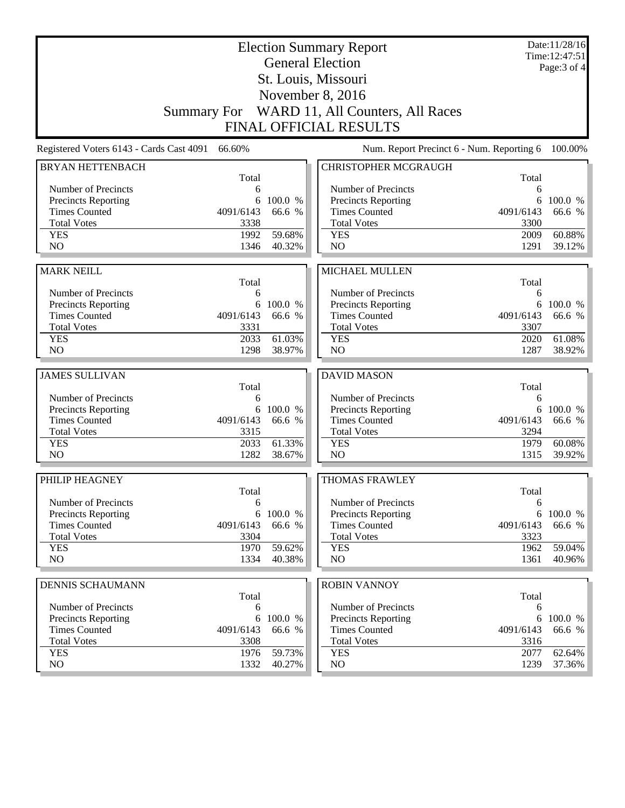| <b>General Election</b><br>Page: 3 of 4<br>St. Louis, Missouri<br>November 8, 2016<br>Summary For WARD 11, All Counters, All Races<br><b>FINAL OFFICIAL RESULTS</b><br>Num. Report Precinct 6 - Num. Reporting 6<br>Registered Voters 6143 - Cards Cast 4091<br>66.60%<br><b>BRYAN HETTENBACH</b><br><b>CHRISTOPHER MCGRAUGH</b><br>Total<br>Total<br>Number of Precincts<br>Number of Precincts<br>6<br>6<br>Precincts Reporting<br>100.0 %<br><b>Precincts Reporting</b><br>100.0 %<br>6<br>6<br><b>Times Counted</b><br><b>Times Counted</b><br>4091/6143<br>66.6 %<br>4091/6143<br>66.6 %<br><b>Total Votes</b><br>3338<br><b>Total Votes</b><br>3300<br>59.68%<br>60.88%<br><b>YES</b><br>1992<br><b>YES</b><br>2009<br>NO<br>NO<br>1346<br>40.32%<br>1291<br><b>MARK NEILL</b><br><b>MICHAEL MULLEN</b><br>Total<br>Total<br>Number of Precincts<br>Number of Precincts<br>6<br>6<br>Precincts Reporting<br>100.0 %<br><b>Precincts Reporting</b><br>6<br>100.0 %<br>6<br><b>Times Counted</b><br><b>Times Counted</b><br>4091/6143<br>66.6 %<br>4091/6143<br>66.6 %<br><b>Total Votes</b><br>3331<br><b>Total Votes</b><br>3307<br><b>YES</b><br>2033<br>61.03%<br><b>YES</b><br>61.08%<br>2020<br>NO<br>NO<br>1298<br>38.97%<br>1287<br><b>JAMES SULLIVAN</b><br><b>DAVID MASON</b><br>Total<br>Total<br>Number of Precincts<br>Number of Precincts<br>6<br>6<br>Precincts Reporting<br>6 100.0 %<br>Precincts Reporting<br>6<br>100.0 %<br><b>Times Counted</b><br>4091/6143<br>66.6 %<br><b>Times Counted</b><br>4091/6143<br>66.6 %<br><b>Total Votes</b><br>3315<br><b>Total Votes</b><br>3294<br>61.33%<br>60.08%<br><b>YES</b><br>2033<br><b>YES</b><br>1979<br>1282<br>NO<br>N <sub>O</sub><br>38.67%<br>1315<br>PHILIP HEAGNEY<br><b>THOMAS FRAWLEY</b><br>Total<br>Total<br>Number of Precincts<br>Number of Precincts<br>6<br>6<br>Precincts Reporting<br>100.0 %<br>Precincts Reporting<br>6<br>6<br><b>Times Counted</b><br>66.6 %<br><b>Times Counted</b><br>4091/6143<br>4091/6143<br><b>Total Votes</b><br><b>Total Votes</b><br>3304<br>3323<br>1970<br>59.62%<br><b>YES</b><br><b>YES</b><br>59.04%<br>1962<br>NO.<br>1334<br>NO<br>40.38%<br>1361<br><b>ROBIN VANNOY</b><br><b>DENNIS SCHAUMANN</b><br>Total<br>Total<br>Number of Precincts<br>Number of Precincts<br>6<br>6<br>Precincts Reporting<br>100.0 %<br><b>Precincts Reporting</b><br>6<br>6<br>100.0 %<br><b>Times Counted</b><br><b>Times Counted</b><br>4091/6143<br>66.6 %<br>4091/6143<br>66.6 %<br><b>Total Votes</b><br><b>Total Votes</b><br>3308<br>3316<br><b>YES</b><br>1976<br>59.73%<br><b>YES</b><br>2077<br>62.64%<br>NO<br>NO<br>1332<br>40.27%<br>1239 |  | <b>Election Summary Report</b> | Date:11/28/16<br>Time: 12:47:51 |
|--------------------------------------------------------------------------------------------------------------------------------------------------------------------------------------------------------------------------------------------------------------------------------------------------------------------------------------------------------------------------------------------------------------------------------------------------------------------------------------------------------------------------------------------------------------------------------------------------------------------------------------------------------------------------------------------------------------------------------------------------------------------------------------------------------------------------------------------------------------------------------------------------------------------------------------------------------------------------------------------------------------------------------------------------------------------------------------------------------------------------------------------------------------------------------------------------------------------------------------------------------------------------------------------------------------------------------------------------------------------------------------------------------------------------------------------------------------------------------------------------------------------------------------------------------------------------------------------------------------------------------------------------------------------------------------------------------------------------------------------------------------------------------------------------------------------------------------------------------------------------------------------------------------------------------------------------------------------------------------------------------------------------------------------------------------------------------------------------------------------------------------------------------------------------------------------------------------------------------------------------------------------------------------------------------------------------------------------------------------------------------------------------------------------------------------------------------------------------------------------------------------------------------------------------------------------------------------------------------------------------------------------------------------|--|--------------------------------|---------------------------------|
|                                                                                                                                                                                                                                                                                                                                                                                                                                                                                                                                                                                                                                                                                                                                                                                                                                                                                                                                                                                                                                                                                                                                                                                                                                                                                                                                                                                                                                                                                                                                                                                                                                                                                                                                                                                                                                                                                                                                                                                                                                                                                                                                                                                                                                                                                                                                                                                                                                                                                                                                                                                                                                                              |  |                                |                                 |
|                                                                                                                                                                                                                                                                                                                                                                                                                                                                                                                                                                                                                                                                                                                                                                                                                                                                                                                                                                                                                                                                                                                                                                                                                                                                                                                                                                                                                                                                                                                                                                                                                                                                                                                                                                                                                                                                                                                                                                                                                                                                                                                                                                                                                                                                                                                                                                                                                                                                                                                                                                                                                                                              |  |                                |                                 |
|                                                                                                                                                                                                                                                                                                                                                                                                                                                                                                                                                                                                                                                                                                                                                                                                                                                                                                                                                                                                                                                                                                                                                                                                                                                                                                                                                                                                                                                                                                                                                                                                                                                                                                                                                                                                                                                                                                                                                                                                                                                                                                                                                                                                                                                                                                                                                                                                                                                                                                                                                                                                                                                              |  |                                |                                 |
| 100.00%<br>39.12%<br>39.92%                                                                                                                                                                                                                                                                                                                                                                                                                                                                                                                                                                                                                                                                                                                                                                                                                                                                                                                                                                                                                                                                                                                                                                                                                                                                                                                                                                                                                                                                                                                                                                                                                                                                                                                                                                                                                                                                                                                                                                                                                                                                                                                                                                                                                                                                                                                                                                                                                                                                                                                                                                                                                                  |  |                                |                                 |
|                                                                                                                                                                                                                                                                                                                                                                                                                                                                                                                                                                                                                                                                                                                                                                                                                                                                                                                                                                                                                                                                                                                                                                                                                                                                                                                                                                                                                                                                                                                                                                                                                                                                                                                                                                                                                                                                                                                                                                                                                                                                                                                                                                                                                                                                                                                                                                                                                                                                                                                                                                                                                                                              |  |                                |                                 |
|                                                                                                                                                                                                                                                                                                                                                                                                                                                                                                                                                                                                                                                                                                                                                                                                                                                                                                                                                                                                                                                                                                                                                                                                                                                                                                                                                                                                                                                                                                                                                                                                                                                                                                                                                                                                                                                                                                                                                                                                                                                                                                                                                                                                                                                                                                                                                                                                                                                                                                                                                                                                                                                              |  |                                |                                 |
|                                                                                                                                                                                                                                                                                                                                                                                                                                                                                                                                                                                                                                                                                                                                                                                                                                                                                                                                                                                                                                                                                                                                                                                                                                                                                                                                                                                                                                                                                                                                                                                                                                                                                                                                                                                                                                                                                                                                                                                                                                                                                                                                                                                                                                                                                                                                                                                                                                                                                                                                                                                                                                                              |  |                                |                                 |
|                                                                                                                                                                                                                                                                                                                                                                                                                                                                                                                                                                                                                                                                                                                                                                                                                                                                                                                                                                                                                                                                                                                                                                                                                                                                                                                                                                                                                                                                                                                                                                                                                                                                                                                                                                                                                                                                                                                                                                                                                                                                                                                                                                                                                                                                                                                                                                                                                                                                                                                                                                                                                                                              |  |                                |                                 |
|                                                                                                                                                                                                                                                                                                                                                                                                                                                                                                                                                                                                                                                                                                                                                                                                                                                                                                                                                                                                                                                                                                                                                                                                                                                                                                                                                                                                                                                                                                                                                                                                                                                                                                                                                                                                                                                                                                                                                                                                                                                                                                                                                                                                                                                                                                                                                                                                                                                                                                                                                                                                                                                              |  |                                |                                 |
|                                                                                                                                                                                                                                                                                                                                                                                                                                                                                                                                                                                                                                                                                                                                                                                                                                                                                                                                                                                                                                                                                                                                                                                                                                                                                                                                                                                                                                                                                                                                                                                                                                                                                                                                                                                                                                                                                                                                                                                                                                                                                                                                                                                                                                                                                                                                                                                                                                                                                                                                                                                                                                                              |  |                                |                                 |
|                                                                                                                                                                                                                                                                                                                                                                                                                                                                                                                                                                                                                                                                                                                                                                                                                                                                                                                                                                                                                                                                                                                                                                                                                                                                                                                                                                                                                                                                                                                                                                                                                                                                                                                                                                                                                                                                                                                                                                                                                                                                                                                                                                                                                                                                                                                                                                                                                                                                                                                                                                                                                                                              |  |                                |                                 |
|                                                                                                                                                                                                                                                                                                                                                                                                                                                                                                                                                                                                                                                                                                                                                                                                                                                                                                                                                                                                                                                                                                                                                                                                                                                                                                                                                                                                                                                                                                                                                                                                                                                                                                                                                                                                                                                                                                                                                                                                                                                                                                                                                                                                                                                                                                                                                                                                                                                                                                                                                                                                                                                              |  |                                |                                 |
|                                                                                                                                                                                                                                                                                                                                                                                                                                                                                                                                                                                                                                                                                                                                                                                                                                                                                                                                                                                                                                                                                                                                                                                                                                                                                                                                                                                                                                                                                                                                                                                                                                                                                                                                                                                                                                                                                                                                                                                                                                                                                                                                                                                                                                                                                                                                                                                                                                                                                                                                                                                                                                                              |  |                                |                                 |
| 38.92%                                                                                                                                                                                                                                                                                                                                                                                                                                                                                                                                                                                                                                                                                                                                                                                                                                                                                                                                                                                                                                                                                                                                                                                                                                                                                                                                                                                                                                                                                                                                                                                                                                                                                                                                                                                                                                                                                                                                                                                                                                                                                                                                                                                                                                                                                                                                                                                                                                                                                                                                                                                                                                                       |  |                                |                                 |
|                                                                                                                                                                                                                                                                                                                                                                                                                                                                                                                                                                                                                                                                                                                                                                                                                                                                                                                                                                                                                                                                                                                                                                                                                                                                                                                                                                                                                                                                                                                                                                                                                                                                                                                                                                                                                                                                                                                                                                                                                                                                                                                                                                                                                                                                                                                                                                                                                                                                                                                                                                                                                                                              |  |                                |                                 |
|                                                                                                                                                                                                                                                                                                                                                                                                                                                                                                                                                                                                                                                                                                                                                                                                                                                                                                                                                                                                                                                                                                                                                                                                                                                                                                                                                                                                                                                                                                                                                                                                                                                                                                                                                                                                                                                                                                                                                                                                                                                                                                                                                                                                                                                                                                                                                                                                                                                                                                                                                                                                                                                              |  |                                |                                 |
|                                                                                                                                                                                                                                                                                                                                                                                                                                                                                                                                                                                                                                                                                                                                                                                                                                                                                                                                                                                                                                                                                                                                                                                                                                                                                                                                                                                                                                                                                                                                                                                                                                                                                                                                                                                                                                                                                                                                                                                                                                                                                                                                                                                                                                                                                                                                                                                                                                                                                                                                                                                                                                                              |  |                                |                                 |
|                                                                                                                                                                                                                                                                                                                                                                                                                                                                                                                                                                                                                                                                                                                                                                                                                                                                                                                                                                                                                                                                                                                                                                                                                                                                                                                                                                                                                                                                                                                                                                                                                                                                                                                                                                                                                                                                                                                                                                                                                                                                                                                                                                                                                                                                                                                                                                                                                                                                                                                                                                                                                                                              |  |                                |                                 |
|                                                                                                                                                                                                                                                                                                                                                                                                                                                                                                                                                                                                                                                                                                                                                                                                                                                                                                                                                                                                                                                                                                                                                                                                                                                                                                                                                                                                                                                                                                                                                                                                                                                                                                                                                                                                                                                                                                                                                                                                                                                                                                                                                                                                                                                                                                                                                                                                                                                                                                                                                                                                                                                              |  |                                |                                 |
|                                                                                                                                                                                                                                                                                                                                                                                                                                                                                                                                                                                                                                                                                                                                                                                                                                                                                                                                                                                                                                                                                                                                                                                                                                                                                                                                                                                                                                                                                                                                                                                                                                                                                                                                                                                                                                                                                                                                                                                                                                                                                                                                                                                                                                                                                                                                                                                                                                                                                                                                                                                                                                                              |  |                                |                                 |
|                                                                                                                                                                                                                                                                                                                                                                                                                                                                                                                                                                                                                                                                                                                                                                                                                                                                                                                                                                                                                                                                                                                                                                                                                                                                                                                                                                                                                                                                                                                                                                                                                                                                                                                                                                                                                                                                                                                                                                                                                                                                                                                                                                                                                                                                                                                                                                                                                                                                                                                                                                                                                                                              |  |                                |                                 |
|                                                                                                                                                                                                                                                                                                                                                                                                                                                                                                                                                                                                                                                                                                                                                                                                                                                                                                                                                                                                                                                                                                                                                                                                                                                                                                                                                                                                                                                                                                                                                                                                                                                                                                                                                                                                                                                                                                                                                                                                                                                                                                                                                                                                                                                                                                                                                                                                                                                                                                                                                                                                                                                              |  |                                |                                 |
| 100.0 %<br>66.6 %<br>40.96%<br>37.36%                                                                                                                                                                                                                                                                                                                                                                                                                                                                                                                                                                                                                                                                                                                                                                                                                                                                                                                                                                                                                                                                                                                                                                                                                                                                                                                                                                                                                                                                                                                                                                                                                                                                                                                                                                                                                                                                                                                                                                                                                                                                                                                                                                                                                                                                                                                                                                                                                                                                                                                                                                                                                        |  |                                |                                 |
|                                                                                                                                                                                                                                                                                                                                                                                                                                                                                                                                                                                                                                                                                                                                                                                                                                                                                                                                                                                                                                                                                                                                                                                                                                                                                                                                                                                                                                                                                                                                                                                                                                                                                                                                                                                                                                                                                                                                                                                                                                                                                                                                                                                                                                                                                                                                                                                                                                                                                                                                                                                                                                                              |  |                                |                                 |
|                                                                                                                                                                                                                                                                                                                                                                                                                                                                                                                                                                                                                                                                                                                                                                                                                                                                                                                                                                                                                                                                                                                                                                                                                                                                                                                                                                                                                                                                                                                                                                                                                                                                                                                                                                                                                                                                                                                                                                                                                                                                                                                                                                                                                                                                                                                                                                                                                                                                                                                                                                                                                                                              |  |                                |                                 |
|                                                                                                                                                                                                                                                                                                                                                                                                                                                                                                                                                                                                                                                                                                                                                                                                                                                                                                                                                                                                                                                                                                                                                                                                                                                                                                                                                                                                                                                                                                                                                                                                                                                                                                                                                                                                                                                                                                                                                                                                                                                                                                                                                                                                                                                                                                                                                                                                                                                                                                                                                                                                                                                              |  |                                |                                 |
|                                                                                                                                                                                                                                                                                                                                                                                                                                                                                                                                                                                                                                                                                                                                                                                                                                                                                                                                                                                                                                                                                                                                                                                                                                                                                                                                                                                                                                                                                                                                                                                                                                                                                                                                                                                                                                                                                                                                                                                                                                                                                                                                                                                                                                                                                                                                                                                                                                                                                                                                                                                                                                                              |  |                                |                                 |
|                                                                                                                                                                                                                                                                                                                                                                                                                                                                                                                                                                                                                                                                                                                                                                                                                                                                                                                                                                                                                                                                                                                                                                                                                                                                                                                                                                                                                                                                                                                                                                                                                                                                                                                                                                                                                                                                                                                                                                                                                                                                                                                                                                                                                                                                                                                                                                                                                                                                                                                                                                                                                                                              |  |                                |                                 |
|                                                                                                                                                                                                                                                                                                                                                                                                                                                                                                                                                                                                                                                                                                                                                                                                                                                                                                                                                                                                                                                                                                                                                                                                                                                                                                                                                                                                                                                                                                                                                                                                                                                                                                                                                                                                                                                                                                                                                                                                                                                                                                                                                                                                                                                                                                                                                                                                                                                                                                                                                                                                                                                              |  |                                |                                 |
|                                                                                                                                                                                                                                                                                                                                                                                                                                                                                                                                                                                                                                                                                                                                                                                                                                                                                                                                                                                                                                                                                                                                                                                                                                                                                                                                                                                                                                                                                                                                                                                                                                                                                                                                                                                                                                                                                                                                                                                                                                                                                                                                                                                                                                                                                                                                                                                                                                                                                                                                                                                                                                                              |  |                                |                                 |
|                                                                                                                                                                                                                                                                                                                                                                                                                                                                                                                                                                                                                                                                                                                                                                                                                                                                                                                                                                                                                                                                                                                                                                                                                                                                                                                                                                                                                                                                                                                                                                                                                                                                                                                                                                                                                                                                                                                                                                                                                                                                                                                                                                                                                                                                                                                                                                                                                                                                                                                                                                                                                                                              |  |                                |                                 |
|                                                                                                                                                                                                                                                                                                                                                                                                                                                                                                                                                                                                                                                                                                                                                                                                                                                                                                                                                                                                                                                                                                                                                                                                                                                                                                                                                                                                                                                                                                                                                                                                                                                                                                                                                                                                                                                                                                                                                                                                                                                                                                                                                                                                                                                                                                                                                                                                                                                                                                                                                                                                                                                              |  |                                |                                 |
|                                                                                                                                                                                                                                                                                                                                                                                                                                                                                                                                                                                                                                                                                                                                                                                                                                                                                                                                                                                                                                                                                                                                                                                                                                                                                                                                                                                                                                                                                                                                                                                                                                                                                                                                                                                                                                                                                                                                                                                                                                                                                                                                                                                                                                                                                                                                                                                                                                                                                                                                                                                                                                                              |  |                                |                                 |
|                                                                                                                                                                                                                                                                                                                                                                                                                                                                                                                                                                                                                                                                                                                                                                                                                                                                                                                                                                                                                                                                                                                                                                                                                                                                                                                                                                                                                                                                                                                                                                                                                                                                                                                                                                                                                                                                                                                                                                                                                                                                                                                                                                                                                                                                                                                                                                                                                                                                                                                                                                                                                                                              |  |                                |                                 |
|                                                                                                                                                                                                                                                                                                                                                                                                                                                                                                                                                                                                                                                                                                                                                                                                                                                                                                                                                                                                                                                                                                                                                                                                                                                                                                                                                                                                                                                                                                                                                                                                                                                                                                                                                                                                                                                                                                                                                                                                                                                                                                                                                                                                                                                                                                                                                                                                                                                                                                                                                                                                                                                              |  |                                |                                 |
|                                                                                                                                                                                                                                                                                                                                                                                                                                                                                                                                                                                                                                                                                                                                                                                                                                                                                                                                                                                                                                                                                                                                                                                                                                                                                                                                                                                                                                                                                                                                                                                                                                                                                                                                                                                                                                                                                                                                                                                                                                                                                                                                                                                                                                                                                                                                                                                                                                                                                                                                                                                                                                                              |  |                                |                                 |
|                                                                                                                                                                                                                                                                                                                                                                                                                                                                                                                                                                                                                                                                                                                                                                                                                                                                                                                                                                                                                                                                                                                                                                                                                                                                                                                                                                                                                                                                                                                                                                                                                                                                                                                                                                                                                                                                                                                                                                                                                                                                                                                                                                                                                                                                                                                                                                                                                                                                                                                                                                                                                                                              |  |                                |                                 |
|                                                                                                                                                                                                                                                                                                                                                                                                                                                                                                                                                                                                                                                                                                                                                                                                                                                                                                                                                                                                                                                                                                                                                                                                                                                                                                                                                                                                                                                                                                                                                                                                                                                                                                                                                                                                                                                                                                                                                                                                                                                                                                                                                                                                                                                                                                                                                                                                                                                                                                                                                                                                                                                              |  |                                |                                 |
|                                                                                                                                                                                                                                                                                                                                                                                                                                                                                                                                                                                                                                                                                                                                                                                                                                                                                                                                                                                                                                                                                                                                                                                                                                                                                                                                                                                                                                                                                                                                                                                                                                                                                                                                                                                                                                                                                                                                                                                                                                                                                                                                                                                                                                                                                                                                                                                                                                                                                                                                                                                                                                                              |  |                                |                                 |
|                                                                                                                                                                                                                                                                                                                                                                                                                                                                                                                                                                                                                                                                                                                                                                                                                                                                                                                                                                                                                                                                                                                                                                                                                                                                                                                                                                                                                                                                                                                                                                                                                                                                                                                                                                                                                                                                                                                                                                                                                                                                                                                                                                                                                                                                                                                                                                                                                                                                                                                                                                                                                                                              |  |                                |                                 |
|                                                                                                                                                                                                                                                                                                                                                                                                                                                                                                                                                                                                                                                                                                                                                                                                                                                                                                                                                                                                                                                                                                                                                                                                                                                                                                                                                                                                                                                                                                                                                                                                                                                                                                                                                                                                                                                                                                                                                                                                                                                                                                                                                                                                                                                                                                                                                                                                                                                                                                                                                                                                                                                              |  |                                |                                 |
|                                                                                                                                                                                                                                                                                                                                                                                                                                                                                                                                                                                                                                                                                                                                                                                                                                                                                                                                                                                                                                                                                                                                                                                                                                                                                                                                                                                                                                                                                                                                                                                                                                                                                                                                                                                                                                                                                                                                                                                                                                                                                                                                                                                                                                                                                                                                                                                                                                                                                                                                                                                                                                                              |  |                                |                                 |
|                                                                                                                                                                                                                                                                                                                                                                                                                                                                                                                                                                                                                                                                                                                                                                                                                                                                                                                                                                                                                                                                                                                                                                                                                                                                                                                                                                                                                                                                                                                                                                                                                                                                                                                                                                                                                                                                                                                                                                                                                                                                                                                                                                                                                                                                                                                                                                                                                                                                                                                                                                                                                                                              |  |                                |                                 |
|                                                                                                                                                                                                                                                                                                                                                                                                                                                                                                                                                                                                                                                                                                                                                                                                                                                                                                                                                                                                                                                                                                                                                                                                                                                                                                                                                                                                                                                                                                                                                                                                                                                                                                                                                                                                                                                                                                                                                                                                                                                                                                                                                                                                                                                                                                                                                                                                                                                                                                                                                                                                                                                              |  |                                |                                 |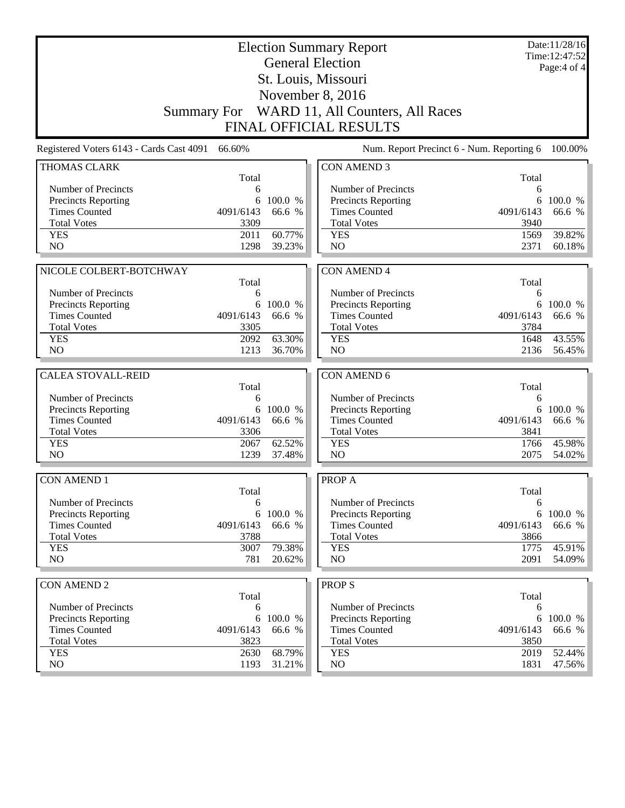|                                                   |              |                  | <b>Election Summary Report</b>              |              | Date:11/28/16<br>Time: 12:47:52 |
|---------------------------------------------------|--------------|------------------|---------------------------------------------|--------------|---------------------------------|
|                                                   |              |                  | <b>General Election</b>                     |              | Page:4 of 4                     |
|                                                   |              |                  | St. Louis, Missouri                         |              |                                 |
|                                                   |              |                  | November 8, 2016                            |              |                                 |
|                                                   |              |                  |                                             |              |                                 |
|                                                   | Summary For  |                  | WARD 11, All Counters, All Races            |              |                                 |
|                                                   |              |                  | <b>FINAL OFFICIAL RESULTS</b>               |              |                                 |
| Registered Voters 6143 - Cards Cast 4091          | 66.60%       |                  | Num. Report Precinct 6 - Num. Reporting 6   |              | 100.00%                         |
| <b>THOMAS CLARK</b>                               |              |                  | <b>CON AMEND 3</b>                          |              |                                 |
| Number of Precincts                               | Total        |                  | Number of Precincts                         | Total        |                                 |
| <b>Precincts Reporting</b>                        | 6<br>6       | 100.0 %          | <b>Precincts Reporting</b>                  | 6<br>6       | 100.0 %                         |
| <b>Times Counted</b>                              | 4091/6143    | 66.6 %           | <b>Times Counted</b>                        | 4091/6143    | 66.6 %                          |
| <b>Total Votes</b>                                | 3309         |                  | <b>Total Votes</b>                          | 3940         |                                 |
| <b>YES</b>                                        | 2011         | 60.77%           | <b>YES</b>                                  | 1569         | 39.82%                          |
| N <sub>O</sub>                                    | 1298         | 39.23%           | N <sub>O</sub>                              | 2371         | 60.18%                          |
|                                                   |              |                  |                                             |              |                                 |
| NICOLE COLBERT-BOTCHWAY                           |              |                  | <b>CON AMEND 4</b>                          |              |                                 |
|                                                   | Total        |                  |                                             | Total        |                                 |
| Number of Precincts                               | 6            | 6 100.0 %        | Number of Precincts                         | 6<br>6       | 100.0 %                         |
| Precincts Reporting<br><b>Times Counted</b>       | 4091/6143    | 66.6 %           | Precincts Reporting<br><b>Times Counted</b> | 4091/6143    | 66.6 %                          |
| <b>Total Votes</b>                                | 3305         |                  | <b>Total Votes</b>                          | 3784         |                                 |
| <b>YES</b>                                        | 2092         | 63.30%           | <b>YES</b>                                  | 1648         | 43.55%                          |
| N <sub>O</sub>                                    | 1213         | 36.70%           | N <sub>O</sub>                              | 2136         | 56.45%                          |
|                                                   |              |                  |                                             |              |                                 |
| <b>CALEA STOVALL-REID</b>                         |              |                  | CON AMEND 6                                 |              |                                 |
| Number of Precincts                               | Total<br>6   |                  | Number of Precincts                         | Total<br>6   |                                 |
| <b>Precincts Reporting</b>                        | 6            | 100.0 %          | Precincts Reporting                         | 6            | 100.0 %                         |
| <b>Times Counted</b>                              | 4091/6143    | 66.6 %           | <b>Times Counted</b>                        | 4091/6143    | 66.6 %                          |
| <b>Total Votes</b>                                | 3306         |                  | <b>Total Votes</b>                          | 3841         |                                 |
| <b>YES</b>                                        | 2067         | 62.52%           | <b>YES</b>                                  |              |                                 |
| N <sub>O</sub>                                    | 1239         |                  |                                             | 1766         | 45.98%                          |
|                                                   |              | 37.48%           | N <sub>O</sub>                              | 2075         | 54.02%                          |
|                                                   |              |                  |                                             |              |                                 |
| <b>CON AMEND 1</b>                                |              |                  | <b>PROPA</b>                                |              |                                 |
|                                                   | Total<br>6   |                  |                                             | Total<br>6   |                                 |
| Number of Precincts<br><b>Precincts Reporting</b> | 6            | 100.0 %          | Number of Precincts<br>Precincts Reporting  | 6            | 100.0 %                         |
| <b>Times Counted</b>                              | 4091/6143    | 66.6 %           | <b>Times Counted</b>                        | 4091/6143    | 66.6 %                          |
| <b>Total Votes</b>                                | 3788         |                  | <b>Total Votes</b>                          | 3866         |                                 |
| <b>YES</b>                                        | 3007         | 79.38%           | <b>YES</b>                                  | 1775         | 45.91%                          |
| NO                                                | 781          | 20.62%           | NO                                          | 2091         | 54.09%                          |
|                                                   |              |                  |                                             |              |                                 |
| <b>CON AMEND 2</b>                                | Total        |                  | <b>PROPS</b>                                | Total        |                                 |
| Number of Precincts                               | 6            |                  | Number of Precincts                         | 6            |                                 |
| Precincts Reporting                               | 6            | 100.0 %          | Precincts Reporting                         | 6            | 100.0 %                         |
| <b>Times Counted</b>                              | 4091/6143    | 66.6 %           | <b>Times Counted</b>                        | 4091/6143    | 66.6 %                          |
| <b>Total Votes</b>                                | 3823         |                  | <b>Total Votes</b>                          | 3850         |                                 |
| <b>YES</b><br>NO                                  | 2630<br>1193 | 68.79%<br>31.21% | <b>YES</b><br>NO                            | 2019<br>1831 | 52.44%<br>47.56%                |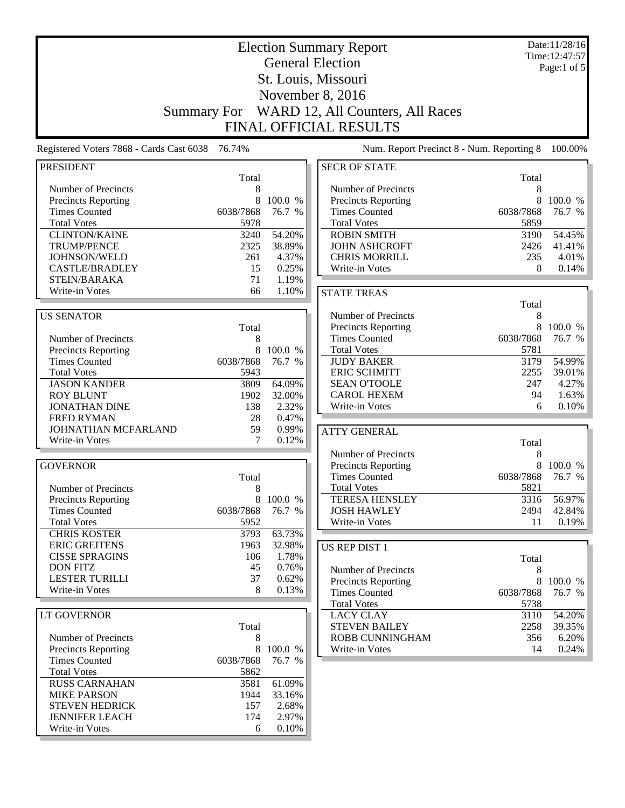|                                                 |                    |                 | <b>Election Summary Report</b>               |             | Date:11/28/16<br>Time: 12:47:57 |
|-------------------------------------------------|--------------------|-----------------|----------------------------------------------|-------------|---------------------------------|
|                                                 |                    |                 | <b>General Election</b>                      |             | Page:1 of $5$                   |
|                                                 |                    |                 | St. Louis, Missouri                          |             |                                 |
|                                                 |                    |                 | November 8, 2016                             |             |                                 |
|                                                 | <b>Summary For</b> |                 | WARD 12, All Counters, All Races             |             |                                 |
|                                                 |                    |                 | <b>FINAL OFFICIAL RESULTS</b>                |             |                                 |
| Registered Voters 7868 - Cards Cast 6038 76.74% |                    |                 | Num. Report Precinct 8 - Num. Reporting 8    |             | 100.00%                         |
| <b>PRESIDENT</b>                                |                    |                 | <b>SECR OF STATE</b>                         |             |                                 |
|                                                 | Total              |                 |                                              | Total       |                                 |
| Number of Precincts                             | 8                  |                 | Number of Precincts                          | 8           |                                 |
| Precincts Reporting                             | 8                  | 100.0 %         | <b>Precincts Reporting</b>                   | 8           | 100.0 %                         |
| <b>Times Counted</b>                            | 6038/7868          | 76.7 %          | <b>Times Counted</b>                         | 6038/7868   | 76.7 %                          |
| <b>Total Votes</b>                              | 5978               |                 | <b>Total Votes</b>                           | 5859        |                                 |
| <b>CLINTON/KAINE</b>                            | 3240               | 54.20%          | <b>ROBIN SMITH</b>                           | 3190        | 54.45%                          |
| <b>TRUMP/PENCE</b><br>JOHNSON/WELD              | 2325<br>261        | 38.89%<br>4.37% | <b>JOHN ASHCROFT</b><br><b>CHRIS MORRILL</b> | 2426<br>235 | 41.41%<br>4.01%                 |
| <b>CASTLE/BRADLEY</b>                           | 15                 | 0.25%           | Write-in Votes                               | 8           | 0.14%                           |
| STEIN/BARAKA                                    | 71                 | 1.19%           |                                              |             |                                 |
| Write-in Votes                                  | 66                 | 1.10%           |                                              |             |                                 |
|                                                 |                    |                 | <b>STATE TREAS</b>                           | Total       |                                 |
| <b>US SENATOR</b>                               |                    |                 | Number of Precincts                          | 8           |                                 |
|                                                 | Total              |                 | <b>Precincts Reporting</b>                   | 8           | 100.0 %                         |
| Number of Precincts                             | 8                  |                 | <b>Times Counted</b>                         | 6038/7868   | 76.7 %                          |
| Precincts Reporting                             | 8                  | 100.0 %         | <b>Total Votes</b>                           | 5781        |                                 |
| <b>Times Counted</b>                            | 6038/7868          | 76.7 %          | <b>JUDY BAKER</b>                            | 3179        | 54.99%                          |
| <b>Total Votes</b>                              | 5943               |                 | <b>ERIC SCHMITT</b>                          | 2255        | 39.01%                          |
| <b>JASON KANDER</b>                             | 3809               | 64.09%          | <b>SEAN O'TOOLE</b>                          | 247         | 4.27%                           |
| <b>ROY BLUNT</b>                                | 1902               | 32.00%          | <b>CAROL HEXEM</b>                           | 94          | 1.63%                           |
| <b>JONATHAN DINE</b>                            | 138                | 2.32%           | Write-in Votes                               | 6           | 0.10%                           |
| <b>FRED RYMAN</b>                               | 28                 | 0.47%           |                                              |             |                                 |
| JOHNATHAN MCFARLAND                             | 59                 | 0.99%           | <b>ATTY GENERAL</b>                          |             |                                 |
| Write-in Votes                                  | 7                  | 0.12%           |                                              | Total       |                                 |
|                                                 |                    |                 | Number of Precincts                          | 8           |                                 |
| <b>GOVERNOR</b>                                 |                    |                 | Precincts Reporting                          | 8           | 100.0 %                         |
|                                                 | Total              |                 | <b>Times Counted</b>                         | 6038/7868   | 76.7 %                          |
| Number of Precincts                             | 8                  |                 | <b>Total Votes</b>                           | 5821        |                                 |
| Precincts Reporting                             |                    | 8 100.0 %       | <b>TERESA HENSLEY</b>                        | 3316        | 56.97%                          |
| <b>Times Counted</b>                            | 6038/7868          | 76.7 %          | <b>JOSH HAWLEY</b>                           | 2494        | 42.84%                          |
| <b>Total Votes</b><br><b>CHRIS KOSTER</b>       | 5952<br>3793       | 63.73%          | Write-in Votes                               | 11          | 0.19%                           |
| <b>ERIC GREITENS</b>                            | 1963               | 32.98%          |                                              |             |                                 |
| <b>CISSE SPRAGINS</b>                           | 106                | 1.78%           | US REP DIST 1                                |             |                                 |
| <b>DON FITZ</b>                                 | 45                 | 0.76%           | Number of Precincts                          | Total<br>8  |                                 |
| <b>LESTER TURILLI</b>                           | 37                 | 0.62%           | Precincts Reporting                          | 8           | 100.0 %                         |
| Write-in Votes                                  | 8                  | 0.13%           | <b>Times Counted</b>                         | 6038/7868   | 76.7 %                          |
|                                                 |                    |                 | <b>Total Votes</b>                           | 5738        |                                 |
| LT GOVERNOR                                     |                    |                 | <b>LACY CLAY</b>                             | 3110        | 54.20%                          |
|                                                 | Total              |                 | <b>STEVEN BAILEY</b>                         | 2258        | 39.35%                          |
| Number of Precincts                             | 8                  |                 | ROBB CUNNINGHAM                              | 356         | 6.20%                           |
| <b>Precincts Reporting</b>                      | 8                  | 100.0 %         | Write-in Votes                               | 14          | 0.24%                           |
| <b>Times Counted</b>                            | 6038/7868          | 76.7 %          |                                              |             |                                 |
| <b>Total Votes</b>                              | 5862               |                 |                                              |             |                                 |
| <b>RUSS CARNAHAN</b>                            | 3581               | 61.09%          |                                              |             |                                 |
| <b>MIKE PARSON</b>                              | 1944               | 33.16%          |                                              |             |                                 |
| <b>STEVEN HEDRICK</b>                           | 157                | 2.68%           |                                              |             |                                 |
| <b>JENNIFER LEACH</b>                           | 174                | 2.97%           |                                              |             |                                 |
| Write-in Votes                                  | 6                  | 0.10%           |                                              |             |                                 |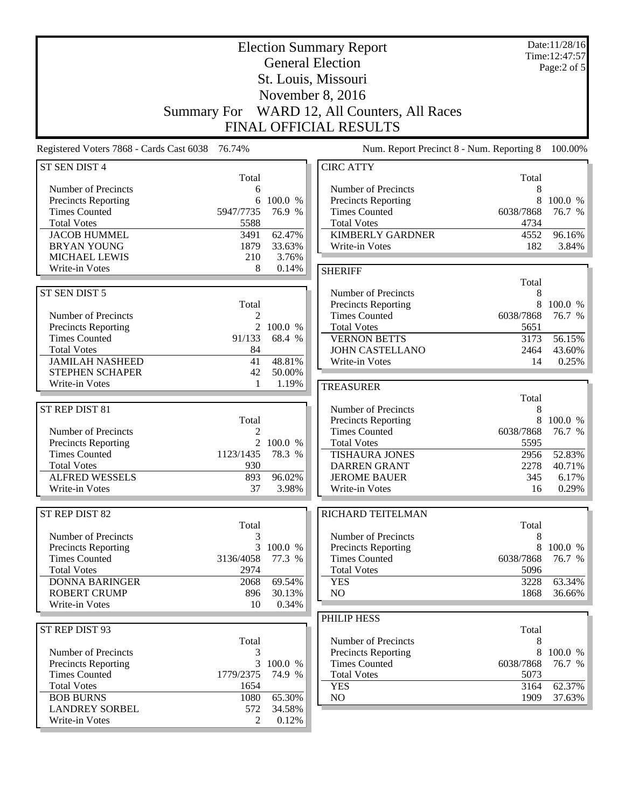| <b>General Election</b><br>Page:2 of 5<br>St. Louis, Missouri<br>November 8, 2016<br>WARD 12, All Counters, All Races<br><b>Summary For</b><br><b>FINAL OFFICIAL RESULTS</b><br>76.74%<br>Num. Report Precinct 8 - Num. Reporting 8<br>Registered Voters 7868 - Cards Cast 6038<br>100.00%<br><b>CIRC ATTY</b><br>ST SEN DIST 4<br>Total<br>Total<br>Number of Precincts<br>Number of Precincts<br>8<br>6<br>100.0 %<br>8<br>6<br>100.0 %<br><b>Precincts Reporting</b><br>Precincts Reporting<br>5947/7735<br>6038/7868<br><b>Times Counted</b><br>76.9 %<br><b>Times Counted</b><br>76.7 %<br><b>Total Votes</b><br>5588<br><b>Total Votes</b><br>4734<br>62.47%<br><b>KIMBERLY GARDNER</b><br><b>JACOB HUMMEL</b><br>3491<br>4552<br>96.16%<br>1879<br><b>BRYAN YOUNG</b><br>33.63%<br>182<br>3.84%<br>Write-in Votes<br><b>MICHAEL LEWIS</b><br>210<br>3.76%<br>8<br>Write-in Votes<br>0.14%<br><b>SHERIFF</b><br>Total<br>ST SEN DIST 5<br>Number of Precincts<br>8<br>8<br><b>Precincts Reporting</b><br>100.0 %<br>Total<br>Number of Precincts<br>2<br><b>Times Counted</b><br>6038/7868<br>76.7 %<br><b>Precincts Reporting</b><br>$\overline{2}$<br>100.0 %<br><b>Total Votes</b><br>5651<br>91/133<br>68.4 %<br><b>Times Counted</b><br><b>VERNON BETTS</b><br>3173<br>56.15%<br><b>Total Votes</b><br>84<br><b>JOHN CASTELLANO</b><br>2464<br>43.60%<br>41<br>48.81%<br><b>JAMILAH NASHEED</b><br>Write-in Votes<br>14<br>0.25%<br>STEPHEN SCHAPER<br>42<br>50.00%<br>Write-in Votes<br>1<br>1.19%<br><b>TREASURER</b><br>Total<br>ST REP DIST 81<br>Number of Precincts<br>8<br>8<br>100.0 %<br>Total<br><b>Precincts Reporting</b><br><b>Times Counted</b><br>Number of Precincts<br>2<br>6038/7868<br>76.7 %<br>2 100.0 %<br><b>Precincts Reporting</b><br><b>Total Votes</b><br>5595<br><b>Times Counted</b><br>1123/1435<br>78.3 %<br><b>TISHAURA JONES</b><br>2956<br>52.83%<br><b>Total Votes</b><br>930<br><b>DARREN GRANT</b><br>2278<br>40.71%<br><b>ALFRED WESSELS</b><br>893<br>96.02%<br><b>JEROME BAUER</b><br>345<br>6.17%<br>37<br>3.98%<br>0.29%<br>Write-in Votes<br>Write-in Votes<br>16<br>ST REP DIST 82<br>RICHARD TEITELMAN<br>Total<br>Total<br>Number of Precincts<br>Number of Precincts<br>8<br>3<br>3 100.0 %<br>8<br>Precincts Reporting<br>Precincts Reporting<br>100.0 %<br><b>Times Counted</b><br><b>Times Counted</b><br>3136/4058<br>77.3 %<br>6038/7868<br>76.7 %<br><b>Total Votes</b><br><b>Total Votes</b><br>2974<br>5096<br>69.54%<br><b>DONNA BARINGER</b><br>63.34%<br>2068<br><b>YES</b><br>3228<br>NO<br><b>ROBERT CRUMP</b><br>896<br>30.13%<br>1868<br>36.66%<br>Write-in Votes<br>10<br>0.34%<br>PHILIP HESS<br>ST REP DIST 93<br>Total<br>Number of Precincts<br>Total<br>8<br>8<br>Number of Precincts<br>100.0 %<br>3<br><b>Precincts Reporting</b><br>3<br><b>Times Counted</b><br><b>Precincts Reporting</b><br>100.0 %<br>6038/7868<br>76.7 %<br><b>Times Counted</b><br>1779/2375<br>74.9 %<br><b>Total Votes</b><br>5073<br><b>Total Votes</b><br>1654<br>62.37%<br><b>YES</b><br>3164<br>65.30%<br><b>BOB BURNS</b><br>1080<br>NO<br>1909<br>37.63%<br><b>LANDREY SORBEL</b><br>34.58%<br>572<br>Write-in Votes<br>2<br>0.12% |  |  | <b>Election Summary Report</b> |  | Date:11/28/16<br>Time: 12:47:57 |  |  |  |
|----------------------------------------------------------------------------------------------------------------------------------------------------------------------------------------------------------------------------------------------------------------------------------------------------------------------------------------------------------------------------------------------------------------------------------------------------------------------------------------------------------------------------------------------------------------------------------------------------------------------------------------------------------------------------------------------------------------------------------------------------------------------------------------------------------------------------------------------------------------------------------------------------------------------------------------------------------------------------------------------------------------------------------------------------------------------------------------------------------------------------------------------------------------------------------------------------------------------------------------------------------------------------------------------------------------------------------------------------------------------------------------------------------------------------------------------------------------------------------------------------------------------------------------------------------------------------------------------------------------------------------------------------------------------------------------------------------------------------------------------------------------------------------------------------------------------------------------------------------------------------------------------------------------------------------------------------------------------------------------------------------------------------------------------------------------------------------------------------------------------------------------------------------------------------------------------------------------------------------------------------------------------------------------------------------------------------------------------------------------------------------------------------------------------------------------------------------------------------------------------------------------------------------------------------------------------------------------------------------------------------------------------------------------------------------------------------------------------------------------------------------------------------------------------------------------------------------------------------------------------------------------------------------------------------------------------------------------------------------------------------------------------------------------------------------------------------------------------------------------------------------------------------------------------------------------------------|--|--|--------------------------------|--|---------------------------------|--|--|--|
|                                                                                                                                                                                                                                                                                                                                                                                                                                                                                                                                                                                                                                                                                                                                                                                                                                                                                                                                                                                                                                                                                                                                                                                                                                                                                                                                                                                                                                                                                                                                                                                                                                                                                                                                                                                                                                                                                                                                                                                                                                                                                                                                                                                                                                                                                                                                                                                                                                                                                                                                                                                                                                                                                                                                                                                                                                                                                                                                                                                                                                                                                                                                                                                                    |  |  |                                |  |                                 |  |  |  |
|                                                                                                                                                                                                                                                                                                                                                                                                                                                                                                                                                                                                                                                                                                                                                                                                                                                                                                                                                                                                                                                                                                                                                                                                                                                                                                                                                                                                                                                                                                                                                                                                                                                                                                                                                                                                                                                                                                                                                                                                                                                                                                                                                                                                                                                                                                                                                                                                                                                                                                                                                                                                                                                                                                                                                                                                                                                                                                                                                                                                                                                                                                                                                                                                    |  |  |                                |  |                                 |  |  |  |
|                                                                                                                                                                                                                                                                                                                                                                                                                                                                                                                                                                                                                                                                                                                                                                                                                                                                                                                                                                                                                                                                                                                                                                                                                                                                                                                                                                                                                                                                                                                                                                                                                                                                                                                                                                                                                                                                                                                                                                                                                                                                                                                                                                                                                                                                                                                                                                                                                                                                                                                                                                                                                                                                                                                                                                                                                                                                                                                                                                                                                                                                                                                                                                                                    |  |  |                                |  |                                 |  |  |  |
|                                                                                                                                                                                                                                                                                                                                                                                                                                                                                                                                                                                                                                                                                                                                                                                                                                                                                                                                                                                                                                                                                                                                                                                                                                                                                                                                                                                                                                                                                                                                                                                                                                                                                                                                                                                                                                                                                                                                                                                                                                                                                                                                                                                                                                                                                                                                                                                                                                                                                                                                                                                                                                                                                                                                                                                                                                                                                                                                                                                                                                                                                                                                                                                                    |  |  |                                |  |                                 |  |  |  |
|                                                                                                                                                                                                                                                                                                                                                                                                                                                                                                                                                                                                                                                                                                                                                                                                                                                                                                                                                                                                                                                                                                                                                                                                                                                                                                                                                                                                                                                                                                                                                                                                                                                                                                                                                                                                                                                                                                                                                                                                                                                                                                                                                                                                                                                                                                                                                                                                                                                                                                                                                                                                                                                                                                                                                                                                                                                                                                                                                                                                                                                                                                                                                                                                    |  |  |                                |  |                                 |  |  |  |
|                                                                                                                                                                                                                                                                                                                                                                                                                                                                                                                                                                                                                                                                                                                                                                                                                                                                                                                                                                                                                                                                                                                                                                                                                                                                                                                                                                                                                                                                                                                                                                                                                                                                                                                                                                                                                                                                                                                                                                                                                                                                                                                                                                                                                                                                                                                                                                                                                                                                                                                                                                                                                                                                                                                                                                                                                                                                                                                                                                                                                                                                                                                                                                                                    |  |  |                                |  |                                 |  |  |  |
|                                                                                                                                                                                                                                                                                                                                                                                                                                                                                                                                                                                                                                                                                                                                                                                                                                                                                                                                                                                                                                                                                                                                                                                                                                                                                                                                                                                                                                                                                                                                                                                                                                                                                                                                                                                                                                                                                                                                                                                                                                                                                                                                                                                                                                                                                                                                                                                                                                                                                                                                                                                                                                                                                                                                                                                                                                                                                                                                                                                                                                                                                                                                                                                                    |  |  |                                |  |                                 |  |  |  |
|                                                                                                                                                                                                                                                                                                                                                                                                                                                                                                                                                                                                                                                                                                                                                                                                                                                                                                                                                                                                                                                                                                                                                                                                                                                                                                                                                                                                                                                                                                                                                                                                                                                                                                                                                                                                                                                                                                                                                                                                                                                                                                                                                                                                                                                                                                                                                                                                                                                                                                                                                                                                                                                                                                                                                                                                                                                                                                                                                                                                                                                                                                                                                                                                    |  |  |                                |  |                                 |  |  |  |
|                                                                                                                                                                                                                                                                                                                                                                                                                                                                                                                                                                                                                                                                                                                                                                                                                                                                                                                                                                                                                                                                                                                                                                                                                                                                                                                                                                                                                                                                                                                                                                                                                                                                                                                                                                                                                                                                                                                                                                                                                                                                                                                                                                                                                                                                                                                                                                                                                                                                                                                                                                                                                                                                                                                                                                                                                                                                                                                                                                                                                                                                                                                                                                                                    |  |  |                                |  |                                 |  |  |  |
|                                                                                                                                                                                                                                                                                                                                                                                                                                                                                                                                                                                                                                                                                                                                                                                                                                                                                                                                                                                                                                                                                                                                                                                                                                                                                                                                                                                                                                                                                                                                                                                                                                                                                                                                                                                                                                                                                                                                                                                                                                                                                                                                                                                                                                                                                                                                                                                                                                                                                                                                                                                                                                                                                                                                                                                                                                                                                                                                                                                                                                                                                                                                                                                                    |  |  |                                |  |                                 |  |  |  |
|                                                                                                                                                                                                                                                                                                                                                                                                                                                                                                                                                                                                                                                                                                                                                                                                                                                                                                                                                                                                                                                                                                                                                                                                                                                                                                                                                                                                                                                                                                                                                                                                                                                                                                                                                                                                                                                                                                                                                                                                                                                                                                                                                                                                                                                                                                                                                                                                                                                                                                                                                                                                                                                                                                                                                                                                                                                                                                                                                                                                                                                                                                                                                                                                    |  |  |                                |  |                                 |  |  |  |
|                                                                                                                                                                                                                                                                                                                                                                                                                                                                                                                                                                                                                                                                                                                                                                                                                                                                                                                                                                                                                                                                                                                                                                                                                                                                                                                                                                                                                                                                                                                                                                                                                                                                                                                                                                                                                                                                                                                                                                                                                                                                                                                                                                                                                                                                                                                                                                                                                                                                                                                                                                                                                                                                                                                                                                                                                                                                                                                                                                                                                                                                                                                                                                                                    |  |  |                                |  |                                 |  |  |  |
|                                                                                                                                                                                                                                                                                                                                                                                                                                                                                                                                                                                                                                                                                                                                                                                                                                                                                                                                                                                                                                                                                                                                                                                                                                                                                                                                                                                                                                                                                                                                                                                                                                                                                                                                                                                                                                                                                                                                                                                                                                                                                                                                                                                                                                                                                                                                                                                                                                                                                                                                                                                                                                                                                                                                                                                                                                                                                                                                                                                                                                                                                                                                                                                                    |  |  |                                |  |                                 |  |  |  |
|                                                                                                                                                                                                                                                                                                                                                                                                                                                                                                                                                                                                                                                                                                                                                                                                                                                                                                                                                                                                                                                                                                                                                                                                                                                                                                                                                                                                                                                                                                                                                                                                                                                                                                                                                                                                                                                                                                                                                                                                                                                                                                                                                                                                                                                                                                                                                                                                                                                                                                                                                                                                                                                                                                                                                                                                                                                                                                                                                                                                                                                                                                                                                                                                    |  |  |                                |  |                                 |  |  |  |
|                                                                                                                                                                                                                                                                                                                                                                                                                                                                                                                                                                                                                                                                                                                                                                                                                                                                                                                                                                                                                                                                                                                                                                                                                                                                                                                                                                                                                                                                                                                                                                                                                                                                                                                                                                                                                                                                                                                                                                                                                                                                                                                                                                                                                                                                                                                                                                                                                                                                                                                                                                                                                                                                                                                                                                                                                                                                                                                                                                                                                                                                                                                                                                                                    |  |  |                                |  |                                 |  |  |  |
|                                                                                                                                                                                                                                                                                                                                                                                                                                                                                                                                                                                                                                                                                                                                                                                                                                                                                                                                                                                                                                                                                                                                                                                                                                                                                                                                                                                                                                                                                                                                                                                                                                                                                                                                                                                                                                                                                                                                                                                                                                                                                                                                                                                                                                                                                                                                                                                                                                                                                                                                                                                                                                                                                                                                                                                                                                                                                                                                                                                                                                                                                                                                                                                                    |  |  |                                |  |                                 |  |  |  |
|                                                                                                                                                                                                                                                                                                                                                                                                                                                                                                                                                                                                                                                                                                                                                                                                                                                                                                                                                                                                                                                                                                                                                                                                                                                                                                                                                                                                                                                                                                                                                                                                                                                                                                                                                                                                                                                                                                                                                                                                                                                                                                                                                                                                                                                                                                                                                                                                                                                                                                                                                                                                                                                                                                                                                                                                                                                                                                                                                                                                                                                                                                                                                                                                    |  |  |                                |  |                                 |  |  |  |
|                                                                                                                                                                                                                                                                                                                                                                                                                                                                                                                                                                                                                                                                                                                                                                                                                                                                                                                                                                                                                                                                                                                                                                                                                                                                                                                                                                                                                                                                                                                                                                                                                                                                                                                                                                                                                                                                                                                                                                                                                                                                                                                                                                                                                                                                                                                                                                                                                                                                                                                                                                                                                                                                                                                                                                                                                                                                                                                                                                                                                                                                                                                                                                                                    |  |  |                                |  |                                 |  |  |  |
|                                                                                                                                                                                                                                                                                                                                                                                                                                                                                                                                                                                                                                                                                                                                                                                                                                                                                                                                                                                                                                                                                                                                                                                                                                                                                                                                                                                                                                                                                                                                                                                                                                                                                                                                                                                                                                                                                                                                                                                                                                                                                                                                                                                                                                                                                                                                                                                                                                                                                                                                                                                                                                                                                                                                                                                                                                                                                                                                                                                                                                                                                                                                                                                                    |  |  |                                |  |                                 |  |  |  |
|                                                                                                                                                                                                                                                                                                                                                                                                                                                                                                                                                                                                                                                                                                                                                                                                                                                                                                                                                                                                                                                                                                                                                                                                                                                                                                                                                                                                                                                                                                                                                                                                                                                                                                                                                                                                                                                                                                                                                                                                                                                                                                                                                                                                                                                                                                                                                                                                                                                                                                                                                                                                                                                                                                                                                                                                                                                                                                                                                                                                                                                                                                                                                                                                    |  |  |                                |  |                                 |  |  |  |
|                                                                                                                                                                                                                                                                                                                                                                                                                                                                                                                                                                                                                                                                                                                                                                                                                                                                                                                                                                                                                                                                                                                                                                                                                                                                                                                                                                                                                                                                                                                                                                                                                                                                                                                                                                                                                                                                                                                                                                                                                                                                                                                                                                                                                                                                                                                                                                                                                                                                                                                                                                                                                                                                                                                                                                                                                                                                                                                                                                                                                                                                                                                                                                                                    |  |  |                                |  |                                 |  |  |  |
|                                                                                                                                                                                                                                                                                                                                                                                                                                                                                                                                                                                                                                                                                                                                                                                                                                                                                                                                                                                                                                                                                                                                                                                                                                                                                                                                                                                                                                                                                                                                                                                                                                                                                                                                                                                                                                                                                                                                                                                                                                                                                                                                                                                                                                                                                                                                                                                                                                                                                                                                                                                                                                                                                                                                                                                                                                                                                                                                                                                                                                                                                                                                                                                                    |  |  |                                |  |                                 |  |  |  |
|                                                                                                                                                                                                                                                                                                                                                                                                                                                                                                                                                                                                                                                                                                                                                                                                                                                                                                                                                                                                                                                                                                                                                                                                                                                                                                                                                                                                                                                                                                                                                                                                                                                                                                                                                                                                                                                                                                                                                                                                                                                                                                                                                                                                                                                                                                                                                                                                                                                                                                                                                                                                                                                                                                                                                                                                                                                                                                                                                                                                                                                                                                                                                                                                    |  |  |                                |  |                                 |  |  |  |
|                                                                                                                                                                                                                                                                                                                                                                                                                                                                                                                                                                                                                                                                                                                                                                                                                                                                                                                                                                                                                                                                                                                                                                                                                                                                                                                                                                                                                                                                                                                                                                                                                                                                                                                                                                                                                                                                                                                                                                                                                                                                                                                                                                                                                                                                                                                                                                                                                                                                                                                                                                                                                                                                                                                                                                                                                                                                                                                                                                                                                                                                                                                                                                                                    |  |  |                                |  |                                 |  |  |  |
|                                                                                                                                                                                                                                                                                                                                                                                                                                                                                                                                                                                                                                                                                                                                                                                                                                                                                                                                                                                                                                                                                                                                                                                                                                                                                                                                                                                                                                                                                                                                                                                                                                                                                                                                                                                                                                                                                                                                                                                                                                                                                                                                                                                                                                                                                                                                                                                                                                                                                                                                                                                                                                                                                                                                                                                                                                                                                                                                                                                                                                                                                                                                                                                                    |  |  |                                |  |                                 |  |  |  |
|                                                                                                                                                                                                                                                                                                                                                                                                                                                                                                                                                                                                                                                                                                                                                                                                                                                                                                                                                                                                                                                                                                                                                                                                                                                                                                                                                                                                                                                                                                                                                                                                                                                                                                                                                                                                                                                                                                                                                                                                                                                                                                                                                                                                                                                                                                                                                                                                                                                                                                                                                                                                                                                                                                                                                                                                                                                                                                                                                                                                                                                                                                                                                                                                    |  |  |                                |  |                                 |  |  |  |
|                                                                                                                                                                                                                                                                                                                                                                                                                                                                                                                                                                                                                                                                                                                                                                                                                                                                                                                                                                                                                                                                                                                                                                                                                                                                                                                                                                                                                                                                                                                                                                                                                                                                                                                                                                                                                                                                                                                                                                                                                                                                                                                                                                                                                                                                                                                                                                                                                                                                                                                                                                                                                                                                                                                                                                                                                                                                                                                                                                                                                                                                                                                                                                                                    |  |  |                                |  |                                 |  |  |  |
|                                                                                                                                                                                                                                                                                                                                                                                                                                                                                                                                                                                                                                                                                                                                                                                                                                                                                                                                                                                                                                                                                                                                                                                                                                                                                                                                                                                                                                                                                                                                                                                                                                                                                                                                                                                                                                                                                                                                                                                                                                                                                                                                                                                                                                                                                                                                                                                                                                                                                                                                                                                                                                                                                                                                                                                                                                                                                                                                                                                                                                                                                                                                                                                                    |  |  |                                |  |                                 |  |  |  |
|                                                                                                                                                                                                                                                                                                                                                                                                                                                                                                                                                                                                                                                                                                                                                                                                                                                                                                                                                                                                                                                                                                                                                                                                                                                                                                                                                                                                                                                                                                                                                                                                                                                                                                                                                                                                                                                                                                                                                                                                                                                                                                                                                                                                                                                                                                                                                                                                                                                                                                                                                                                                                                                                                                                                                                                                                                                                                                                                                                                                                                                                                                                                                                                                    |  |  |                                |  |                                 |  |  |  |
|                                                                                                                                                                                                                                                                                                                                                                                                                                                                                                                                                                                                                                                                                                                                                                                                                                                                                                                                                                                                                                                                                                                                                                                                                                                                                                                                                                                                                                                                                                                                                                                                                                                                                                                                                                                                                                                                                                                                                                                                                                                                                                                                                                                                                                                                                                                                                                                                                                                                                                                                                                                                                                                                                                                                                                                                                                                                                                                                                                                                                                                                                                                                                                                                    |  |  |                                |  |                                 |  |  |  |
|                                                                                                                                                                                                                                                                                                                                                                                                                                                                                                                                                                                                                                                                                                                                                                                                                                                                                                                                                                                                                                                                                                                                                                                                                                                                                                                                                                                                                                                                                                                                                                                                                                                                                                                                                                                                                                                                                                                                                                                                                                                                                                                                                                                                                                                                                                                                                                                                                                                                                                                                                                                                                                                                                                                                                                                                                                                                                                                                                                                                                                                                                                                                                                                                    |  |  |                                |  |                                 |  |  |  |
|                                                                                                                                                                                                                                                                                                                                                                                                                                                                                                                                                                                                                                                                                                                                                                                                                                                                                                                                                                                                                                                                                                                                                                                                                                                                                                                                                                                                                                                                                                                                                                                                                                                                                                                                                                                                                                                                                                                                                                                                                                                                                                                                                                                                                                                                                                                                                                                                                                                                                                                                                                                                                                                                                                                                                                                                                                                                                                                                                                                                                                                                                                                                                                                                    |  |  |                                |  |                                 |  |  |  |
|                                                                                                                                                                                                                                                                                                                                                                                                                                                                                                                                                                                                                                                                                                                                                                                                                                                                                                                                                                                                                                                                                                                                                                                                                                                                                                                                                                                                                                                                                                                                                                                                                                                                                                                                                                                                                                                                                                                                                                                                                                                                                                                                                                                                                                                                                                                                                                                                                                                                                                                                                                                                                                                                                                                                                                                                                                                                                                                                                                                                                                                                                                                                                                                                    |  |  |                                |  |                                 |  |  |  |
|                                                                                                                                                                                                                                                                                                                                                                                                                                                                                                                                                                                                                                                                                                                                                                                                                                                                                                                                                                                                                                                                                                                                                                                                                                                                                                                                                                                                                                                                                                                                                                                                                                                                                                                                                                                                                                                                                                                                                                                                                                                                                                                                                                                                                                                                                                                                                                                                                                                                                                                                                                                                                                                                                                                                                                                                                                                                                                                                                                                                                                                                                                                                                                                                    |  |  |                                |  |                                 |  |  |  |
|                                                                                                                                                                                                                                                                                                                                                                                                                                                                                                                                                                                                                                                                                                                                                                                                                                                                                                                                                                                                                                                                                                                                                                                                                                                                                                                                                                                                                                                                                                                                                                                                                                                                                                                                                                                                                                                                                                                                                                                                                                                                                                                                                                                                                                                                                                                                                                                                                                                                                                                                                                                                                                                                                                                                                                                                                                                                                                                                                                                                                                                                                                                                                                                                    |  |  |                                |  |                                 |  |  |  |
|                                                                                                                                                                                                                                                                                                                                                                                                                                                                                                                                                                                                                                                                                                                                                                                                                                                                                                                                                                                                                                                                                                                                                                                                                                                                                                                                                                                                                                                                                                                                                                                                                                                                                                                                                                                                                                                                                                                                                                                                                                                                                                                                                                                                                                                                                                                                                                                                                                                                                                                                                                                                                                                                                                                                                                                                                                                                                                                                                                                                                                                                                                                                                                                                    |  |  |                                |  |                                 |  |  |  |
|                                                                                                                                                                                                                                                                                                                                                                                                                                                                                                                                                                                                                                                                                                                                                                                                                                                                                                                                                                                                                                                                                                                                                                                                                                                                                                                                                                                                                                                                                                                                                                                                                                                                                                                                                                                                                                                                                                                                                                                                                                                                                                                                                                                                                                                                                                                                                                                                                                                                                                                                                                                                                                                                                                                                                                                                                                                                                                                                                                                                                                                                                                                                                                                                    |  |  |                                |  |                                 |  |  |  |
|                                                                                                                                                                                                                                                                                                                                                                                                                                                                                                                                                                                                                                                                                                                                                                                                                                                                                                                                                                                                                                                                                                                                                                                                                                                                                                                                                                                                                                                                                                                                                                                                                                                                                                                                                                                                                                                                                                                                                                                                                                                                                                                                                                                                                                                                                                                                                                                                                                                                                                                                                                                                                                                                                                                                                                                                                                                                                                                                                                                                                                                                                                                                                                                                    |  |  |                                |  |                                 |  |  |  |
|                                                                                                                                                                                                                                                                                                                                                                                                                                                                                                                                                                                                                                                                                                                                                                                                                                                                                                                                                                                                                                                                                                                                                                                                                                                                                                                                                                                                                                                                                                                                                                                                                                                                                                                                                                                                                                                                                                                                                                                                                                                                                                                                                                                                                                                                                                                                                                                                                                                                                                                                                                                                                                                                                                                                                                                                                                                                                                                                                                                                                                                                                                                                                                                                    |  |  |                                |  |                                 |  |  |  |
|                                                                                                                                                                                                                                                                                                                                                                                                                                                                                                                                                                                                                                                                                                                                                                                                                                                                                                                                                                                                                                                                                                                                                                                                                                                                                                                                                                                                                                                                                                                                                                                                                                                                                                                                                                                                                                                                                                                                                                                                                                                                                                                                                                                                                                                                                                                                                                                                                                                                                                                                                                                                                                                                                                                                                                                                                                                                                                                                                                                                                                                                                                                                                                                                    |  |  |                                |  |                                 |  |  |  |
|                                                                                                                                                                                                                                                                                                                                                                                                                                                                                                                                                                                                                                                                                                                                                                                                                                                                                                                                                                                                                                                                                                                                                                                                                                                                                                                                                                                                                                                                                                                                                                                                                                                                                                                                                                                                                                                                                                                                                                                                                                                                                                                                                                                                                                                                                                                                                                                                                                                                                                                                                                                                                                                                                                                                                                                                                                                                                                                                                                                                                                                                                                                                                                                                    |  |  |                                |  |                                 |  |  |  |
|                                                                                                                                                                                                                                                                                                                                                                                                                                                                                                                                                                                                                                                                                                                                                                                                                                                                                                                                                                                                                                                                                                                                                                                                                                                                                                                                                                                                                                                                                                                                                                                                                                                                                                                                                                                                                                                                                                                                                                                                                                                                                                                                                                                                                                                                                                                                                                                                                                                                                                                                                                                                                                                                                                                                                                                                                                                                                                                                                                                                                                                                                                                                                                                                    |  |  |                                |  |                                 |  |  |  |
|                                                                                                                                                                                                                                                                                                                                                                                                                                                                                                                                                                                                                                                                                                                                                                                                                                                                                                                                                                                                                                                                                                                                                                                                                                                                                                                                                                                                                                                                                                                                                                                                                                                                                                                                                                                                                                                                                                                                                                                                                                                                                                                                                                                                                                                                                                                                                                                                                                                                                                                                                                                                                                                                                                                                                                                                                                                                                                                                                                                                                                                                                                                                                                                                    |  |  |                                |  |                                 |  |  |  |
|                                                                                                                                                                                                                                                                                                                                                                                                                                                                                                                                                                                                                                                                                                                                                                                                                                                                                                                                                                                                                                                                                                                                                                                                                                                                                                                                                                                                                                                                                                                                                                                                                                                                                                                                                                                                                                                                                                                                                                                                                                                                                                                                                                                                                                                                                                                                                                                                                                                                                                                                                                                                                                                                                                                                                                                                                                                                                                                                                                                                                                                                                                                                                                                                    |  |  |                                |  |                                 |  |  |  |
|                                                                                                                                                                                                                                                                                                                                                                                                                                                                                                                                                                                                                                                                                                                                                                                                                                                                                                                                                                                                                                                                                                                                                                                                                                                                                                                                                                                                                                                                                                                                                                                                                                                                                                                                                                                                                                                                                                                                                                                                                                                                                                                                                                                                                                                                                                                                                                                                                                                                                                                                                                                                                                                                                                                                                                                                                                                                                                                                                                                                                                                                                                                                                                                                    |  |  |                                |  |                                 |  |  |  |
|                                                                                                                                                                                                                                                                                                                                                                                                                                                                                                                                                                                                                                                                                                                                                                                                                                                                                                                                                                                                                                                                                                                                                                                                                                                                                                                                                                                                                                                                                                                                                                                                                                                                                                                                                                                                                                                                                                                                                                                                                                                                                                                                                                                                                                                                                                                                                                                                                                                                                                                                                                                                                                                                                                                                                                                                                                                                                                                                                                                                                                                                                                                                                                                                    |  |  |                                |  |                                 |  |  |  |
|                                                                                                                                                                                                                                                                                                                                                                                                                                                                                                                                                                                                                                                                                                                                                                                                                                                                                                                                                                                                                                                                                                                                                                                                                                                                                                                                                                                                                                                                                                                                                                                                                                                                                                                                                                                                                                                                                                                                                                                                                                                                                                                                                                                                                                                                                                                                                                                                                                                                                                                                                                                                                                                                                                                                                                                                                                                                                                                                                                                                                                                                                                                                                                                                    |  |  |                                |  |                                 |  |  |  |
|                                                                                                                                                                                                                                                                                                                                                                                                                                                                                                                                                                                                                                                                                                                                                                                                                                                                                                                                                                                                                                                                                                                                                                                                                                                                                                                                                                                                                                                                                                                                                                                                                                                                                                                                                                                                                                                                                                                                                                                                                                                                                                                                                                                                                                                                                                                                                                                                                                                                                                                                                                                                                                                                                                                                                                                                                                                                                                                                                                                                                                                                                                                                                                                                    |  |  |                                |  |                                 |  |  |  |
|                                                                                                                                                                                                                                                                                                                                                                                                                                                                                                                                                                                                                                                                                                                                                                                                                                                                                                                                                                                                                                                                                                                                                                                                                                                                                                                                                                                                                                                                                                                                                                                                                                                                                                                                                                                                                                                                                                                                                                                                                                                                                                                                                                                                                                                                                                                                                                                                                                                                                                                                                                                                                                                                                                                                                                                                                                                                                                                                                                                                                                                                                                                                                                                                    |  |  |                                |  |                                 |  |  |  |
|                                                                                                                                                                                                                                                                                                                                                                                                                                                                                                                                                                                                                                                                                                                                                                                                                                                                                                                                                                                                                                                                                                                                                                                                                                                                                                                                                                                                                                                                                                                                                                                                                                                                                                                                                                                                                                                                                                                                                                                                                                                                                                                                                                                                                                                                                                                                                                                                                                                                                                                                                                                                                                                                                                                                                                                                                                                                                                                                                                                                                                                                                                                                                                                                    |  |  |                                |  |                                 |  |  |  |
|                                                                                                                                                                                                                                                                                                                                                                                                                                                                                                                                                                                                                                                                                                                                                                                                                                                                                                                                                                                                                                                                                                                                                                                                                                                                                                                                                                                                                                                                                                                                                                                                                                                                                                                                                                                                                                                                                                                                                                                                                                                                                                                                                                                                                                                                                                                                                                                                                                                                                                                                                                                                                                                                                                                                                                                                                                                                                                                                                                                                                                                                                                                                                                                                    |  |  |                                |  |                                 |  |  |  |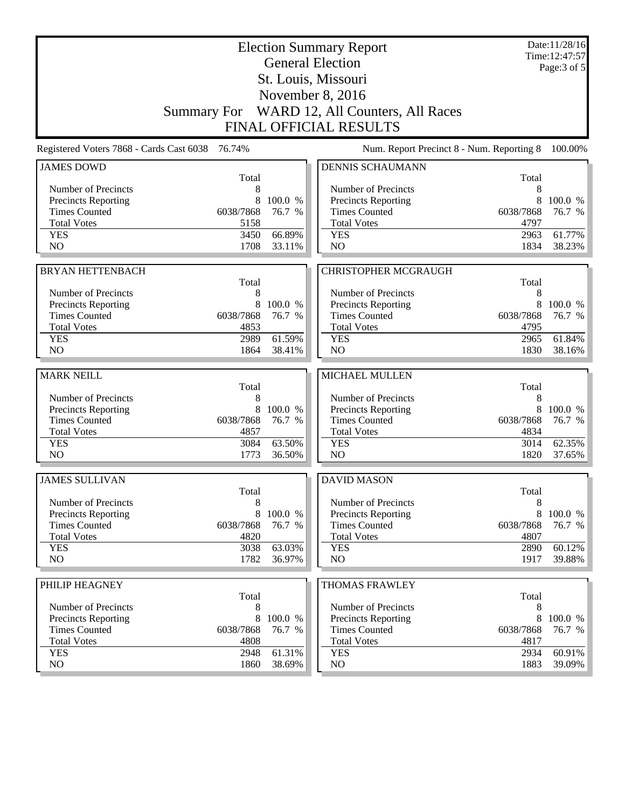| <b>Election Summary Report</b><br><b>General Election</b>                                                                                                    | Date:11/28/16<br>Time: 12:47:57 |
|--------------------------------------------------------------------------------------------------------------------------------------------------------------|---------------------------------|
| St. Louis, Missouri                                                                                                                                          | Page: 3 of 5                    |
| November 8, 2016                                                                                                                                             |                                 |
| Summary For WARD 12, All Counters, All Races                                                                                                                 |                                 |
| <b>FINAL OFFICIAL RESULTS</b>                                                                                                                                |                                 |
| Num. Report Precinct 8 - Num. Reporting 8<br>Registered Voters 7868 - Cards Cast 6038<br>76.74%                                                              | 100.00%                         |
| <b>JAMES DOWD</b><br><b>DENNIS SCHAUMANN</b>                                                                                                                 |                                 |
| Total<br>Total                                                                                                                                               |                                 |
| Number of Precincts<br>8<br>Number of Precincts                                                                                                              | 8                               |
| Precincts Reporting<br>8<br>100.0 %<br>Precincts Reporting<br><b>Times Counted</b><br><b>Times Counted</b><br>6038/7868<br>76.7 %<br>6038/7868               | 8<br>100.0 %<br>76.7 %          |
| <b>Total Votes</b><br><b>Total Votes</b><br>4797<br>5158                                                                                                     |                                 |
| <b>YES</b><br>3450<br>66.89%<br><b>YES</b><br>2963                                                                                                           | 61.77%                          |
| NO<br>NO<br>1708<br>33.11%<br>1834                                                                                                                           | 38.23%                          |
|                                                                                                                                                              |                                 |
| <b>BRYAN HETTENBACH</b><br><b>CHRISTOPHER MCGRAUGH</b><br>Total<br>Total                                                                                     |                                 |
| Number of Precincts<br>Number of Precincts<br>8                                                                                                              | 8                               |
| <b>Precincts Reporting</b><br>8<br>100.0 %<br><b>Precincts Reporting</b>                                                                                     | 8<br>100.0 %                    |
| <b>Times Counted</b><br><b>Times Counted</b><br>6038/7868<br>76.7 %<br>6038/7868                                                                             | 76.7 %                          |
| <b>Total Votes</b><br>4853<br><b>Total Votes</b><br>4795                                                                                                     |                                 |
| 61.59%<br><b>YES</b><br>2989<br>2965<br><b>YES</b>                                                                                                           | 61.84%                          |
| NO<br>NO<br>1864<br>38.41%<br>1830                                                                                                                           | 38.16%                          |
| <b>MARK NEILL</b><br><b>MICHAEL MULLEN</b>                                                                                                                   |                                 |
| Total<br>Total                                                                                                                                               |                                 |
| Number of Precincts<br>8<br>Number of Precincts                                                                                                              | 8                               |
| Precincts Reporting<br>8<br>100.0 %<br>Precincts Reporting                                                                                                   | 8<br>100.0 %                    |
| <b>Times Counted</b><br>6038/7868<br>76.7 %<br><b>Times Counted</b><br>6038/7868                                                                             | 76.7 %                          |
| <b>Total Votes</b><br>4857<br><b>Total Votes</b><br>4834                                                                                                     |                                 |
| 63.50%<br><b>YES</b><br>3084<br><b>YES</b><br>3014                                                                                                           | 62.35%                          |
| N <sub>O</sub><br>NO<br>1820<br>1773<br>36.50%                                                                                                               | 37.65%                          |
| <b>JAMES SULLIVAN</b><br><b>DAVID MASON</b>                                                                                                                  |                                 |
| Total<br>Total                                                                                                                                               |                                 |
| Number of Precincts<br>Number of Precincts<br>8                                                                                                              | 8                               |
| 8<br>100.0 %<br><b>Precincts Reporting</b><br><b>Precincts Reporting</b><br><b>Times Counted</b><br>6038/7868<br>6038/7868<br>76.7 %                         | 8<br>100.0 %                    |
| <b>Times Counted</b><br><b>Total Votes</b><br><b>Total Votes</b><br>4820<br>4807                                                                             | 76.7 %                          |
| <b>YES</b><br>3038<br>63.03%<br><b>YES</b><br>2890                                                                                                           | 60.12%                          |
| NO<br>1782<br>NO<br>1917<br>36.97%                                                                                                                           | 39.88%                          |
|                                                                                                                                                              |                                 |
| PHILIP HEAGNEY<br><b>THOMAS FRAWLEY</b>                                                                                                                      |                                 |
|                                                                                                                                                              |                                 |
| Total<br>Total                                                                                                                                               |                                 |
| Number of Precincts<br>Number of Precincts<br>8                                                                                                              | 8                               |
| 8<br>100.0 %<br><b>Precincts Reporting</b><br><b>Precincts Reporting</b><br><b>Times Counted</b><br><b>Times Counted</b><br>6038/7868<br>76.7 %<br>6038/7868 | 8<br>100.0 %                    |
| <b>Total Votes</b><br><b>Total Votes</b><br>4808<br>4817                                                                                                     | 76.7 %                          |
| 61.31%<br><b>YES</b><br>2948<br>2934<br><b>YES</b><br>NO<br>1860<br>38.69%<br>NO<br>1883                                                                     | 60.91%<br>39.09%                |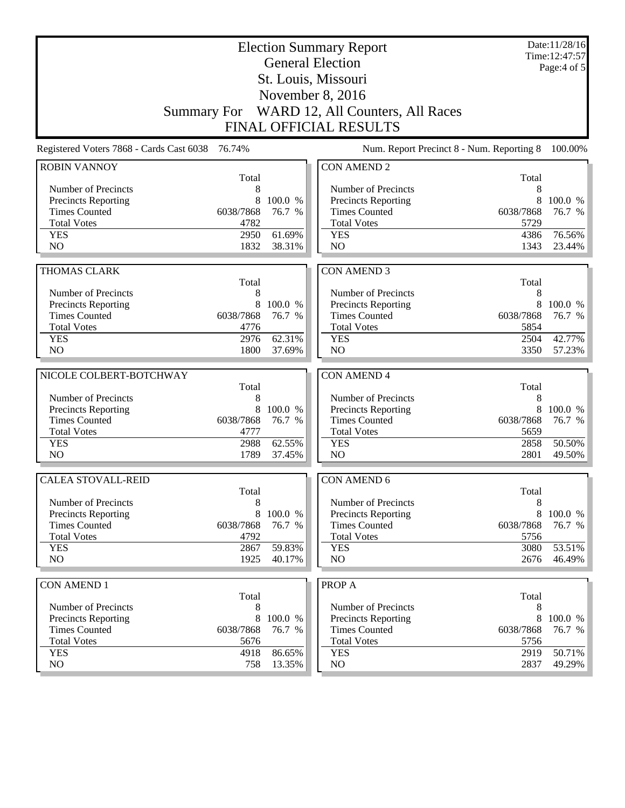| <b>Election Summary Report</b><br><b>General Election</b><br>St. Louis, Missouri<br>November 8, 2016 |                                                                               |                  |                                           |              | Date:11/28/16<br>Time: 12:47:57<br>Page:4 of 5 |  |  |
|------------------------------------------------------------------------------------------------------|-------------------------------------------------------------------------------|------------------|-------------------------------------------|--------------|------------------------------------------------|--|--|
|                                                                                                      | Summary For WARD 12, All Counters, All Races<br><b>FINAL OFFICIAL RESULTS</b> |                  |                                           |              |                                                |  |  |
| Registered Voters 7868 - Cards Cast 6038                                                             | 76.74%                                                                        |                  | Num. Report Precinct 8 - Num. Reporting 8 |              | 100.00%                                        |  |  |
| <b>ROBIN VANNOY</b>                                                                                  | Total                                                                         |                  | <b>CON AMEND 2</b>                        | Total        |                                                |  |  |
| Number of Precincts                                                                                  | 8                                                                             |                  | Number of Precincts                       | 8            |                                                |  |  |
| Precincts Reporting                                                                                  | 8                                                                             | 100.0 %          | Precincts Reporting                       | 8            | 100.0 %                                        |  |  |
| <b>Times Counted</b>                                                                                 | 6038/7868                                                                     | 76.7 %           | <b>Times Counted</b>                      | 6038/7868    | 76.7 %                                         |  |  |
| <b>Total Votes</b>                                                                                   | 4782                                                                          |                  | <b>Total Votes</b>                        | 5729         |                                                |  |  |
| <b>YES</b>                                                                                           | 2950                                                                          | 61.69%           | <b>YES</b>                                | 4386         | 76.56%                                         |  |  |
| N <sub>O</sub>                                                                                       | 1832                                                                          | 38.31%           | N <sub>O</sub>                            | 1343         | 23.44%                                         |  |  |
|                                                                                                      |                                                                               |                  |                                           |              |                                                |  |  |
| <b>THOMAS CLARK</b>                                                                                  |                                                                               |                  | <b>CON AMEND 3</b>                        |              |                                                |  |  |
|                                                                                                      | Total                                                                         |                  |                                           | Total        |                                                |  |  |
| Number of Precincts                                                                                  | 8                                                                             |                  | Number of Precincts                       | 8            |                                                |  |  |
| Precincts Reporting                                                                                  | 8                                                                             | 100.0 %          | Precincts Reporting                       | 8            | 100.0 %                                        |  |  |
| <b>Times Counted</b>                                                                                 | 6038/7868                                                                     | 76.7 %           | <b>Times Counted</b>                      | 6038/7868    | 76.7 %                                         |  |  |
| <b>Total Votes</b>                                                                                   | 4776                                                                          |                  | <b>Total Votes</b>                        | 5854         |                                                |  |  |
| <b>YES</b>                                                                                           | 2976                                                                          | 62.31%           | <b>YES</b>                                | 2504         | 42.77%                                         |  |  |
| N <sub>O</sub>                                                                                       | 1800                                                                          | 37.69%           | N <sub>O</sub>                            | 3350         | 57.23%                                         |  |  |
|                                                                                                      |                                                                               |                  |                                           |              |                                                |  |  |
|                                                                                                      |                                                                               |                  |                                           |              |                                                |  |  |
| NICOLE COLBERT-BOTCHWAY                                                                              |                                                                               |                  | <b>CON AMEND 4</b>                        |              |                                                |  |  |
|                                                                                                      | Total                                                                         |                  |                                           | Total        |                                                |  |  |
| Number of Precincts                                                                                  | 8                                                                             |                  | Number of Precincts                       | 8            |                                                |  |  |
| Precincts Reporting                                                                                  | 8                                                                             | 100.0 %          | Precincts Reporting                       | 8            | 100.0 %                                        |  |  |
| <b>Times Counted</b>                                                                                 | 6038/7868                                                                     | 76.7 %           | <b>Times Counted</b>                      | 6038/7868    | 76.7 %                                         |  |  |
| <b>Total Votes</b>                                                                                   | 4777                                                                          |                  | <b>Total Votes</b>                        | 5659         |                                                |  |  |
| <b>YES</b>                                                                                           | 2988                                                                          | 62.55%           | <b>YES</b>                                | 2858         | 50.50%                                         |  |  |
| NO                                                                                                   | 1789                                                                          | 37.45%           | NO                                        | 2801         | 49.50%                                         |  |  |
| <b>CALEA STOVALL-REID</b>                                                                            |                                                                               |                  | <b>CON AMEND 6</b>                        |              |                                                |  |  |
|                                                                                                      | Total                                                                         |                  |                                           | Total        |                                                |  |  |
| Number of Precincts                                                                                  | 8                                                                             |                  | Number of Precincts                       | 8            |                                                |  |  |
| <b>Precincts Reporting</b>                                                                           | 8                                                                             | 100.0 %          | Precincts Reporting                       | 8            | 100.0 %                                        |  |  |
| <b>Times Counted</b>                                                                                 | 6038/7868                                                                     | 76.7 %           | <b>Times Counted</b>                      | 6038/7868    | 76.7 %                                         |  |  |
| <b>Total Votes</b>                                                                                   | 4792                                                                          |                  | <b>Total Votes</b>                        | 5756         |                                                |  |  |
| <b>YES</b>                                                                                           | 2867                                                                          | 59.83%           | <b>YES</b>                                | 3080         | 53.51%                                         |  |  |
| NO                                                                                                   | 1925                                                                          | 40.17%           | NO                                        | 2676         | 46.49%                                         |  |  |
|                                                                                                      |                                                                               |                  |                                           |              |                                                |  |  |
| <b>CON AMEND 1</b>                                                                                   |                                                                               |                  | PROP A                                    |              |                                                |  |  |
|                                                                                                      | Total                                                                         |                  |                                           | Total        |                                                |  |  |
| Number of Precincts                                                                                  | 8                                                                             |                  | Number of Precincts                       | 8            |                                                |  |  |
| Precincts Reporting                                                                                  | 8                                                                             | 100.0 %          | <b>Precincts Reporting</b>                | 8            | 100.0 %                                        |  |  |
| <b>Times Counted</b>                                                                                 | 6038/7868                                                                     | 76.7 %           | <b>Times Counted</b>                      | 6038/7868    | 76.7 %                                         |  |  |
| <b>Total Votes</b>                                                                                   | 5676                                                                          |                  | <b>Total Votes</b>                        | 5756         |                                                |  |  |
| <b>YES</b><br>NO                                                                                     | 4918<br>758                                                                   | 86.65%<br>13.35% | <b>YES</b><br>NO                          | 2919<br>2837 | 50.71%<br>49.29%                               |  |  |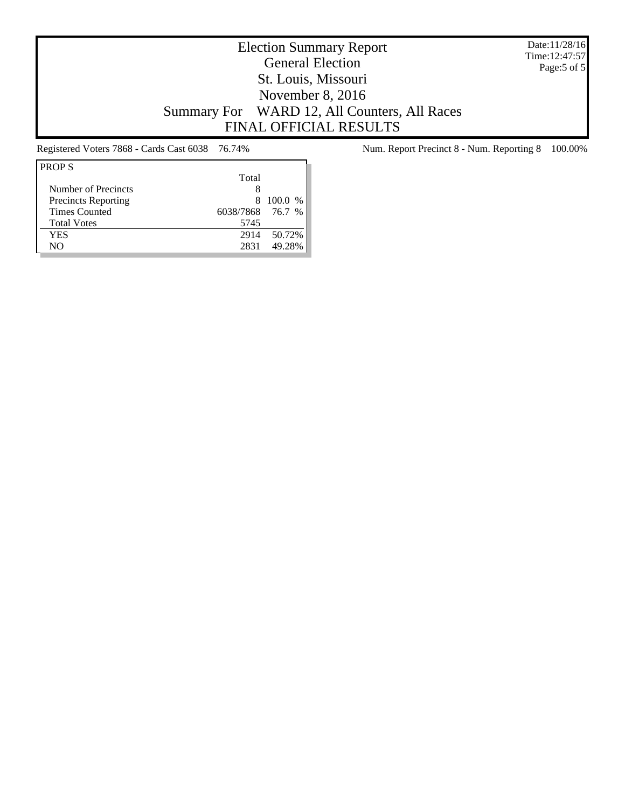Date:11/28/16 Time:12:47:57 Page:5 of 5

# Election Summary Report General Election St. Louis, Missouri November 8, 2016 Summary For WARD 12, All Counters, All Races FINAL OFFICIAL RESULTS

| Total            |           |
|------------------|-----------|
| x                |           |
| 8                | $100.0\%$ |
| 6038/7868 76.7 % |           |
| 5745             |           |
| 2914             | 50.72%    |
| 2831             | 49.28%    |
|                  |           |

Registered Voters 7868 - Cards Cast 6038 76.74% Num. Report Precinct 8 - Num. Reporting 8 100.00%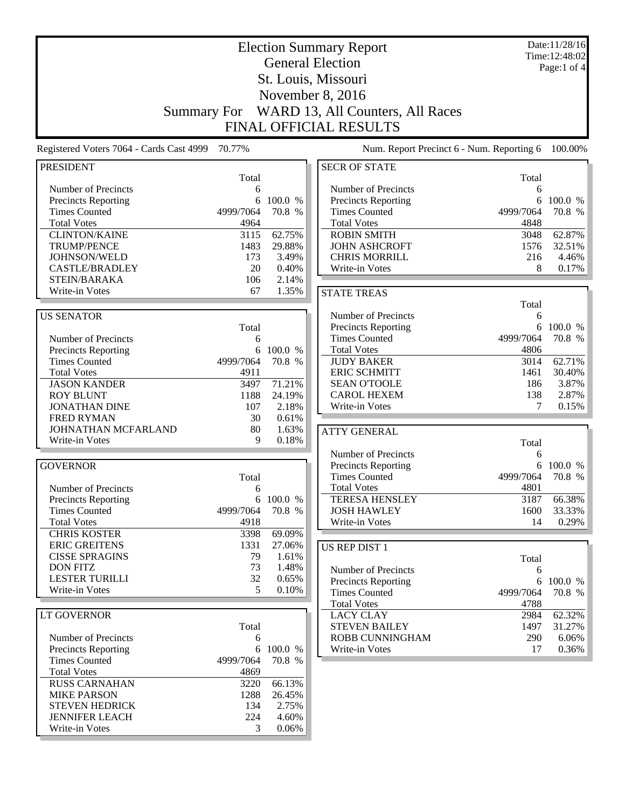| <b>General Election</b><br>St. Louis, Missouri<br>November 8, 2016<br>WARD 13, All Counters, All Races<br><b>Summary For</b><br><b>FINAL OFFICIAL RESULTS</b><br>Registered Voters 7064 - Cards Cast 4999<br>70.77%<br>Num. Report Precinct 6 - Num. Reporting 6<br><b>SECR OF STATE</b><br><b>PRESIDENT</b><br>Total<br>Total<br>Number of Precincts<br>Number of Precincts<br>6<br>6<br>100.0 %<br>6<br>Precincts Reporting<br>100.0 %<br><b>Precincts Reporting</b><br>6<br><b>Times Counted</b><br><b>Times Counted</b><br>4999/7064<br>70.8 %<br>4999/7064<br>70.8 %<br><b>Total Votes</b><br>4964<br><b>Total Votes</b><br>4848<br>62.75%<br><b>CLINTON/KAINE</b><br>3115<br><b>ROBIN SMITH</b><br>3048<br>62.87%<br>1576<br><b>TRUMP/PENCE</b><br>1483<br>29.88%<br><b>JOHN ASHCROFT</b><br>32.51%<br>JOHNSON/WELD<br>173<br>3.49%<br><b>CHRIS MORRILL</b><br>4.46%<br>216<br>8<br><b>CASTLE/BRADLEY</b><br>20<br>0.40%<br>Write-in Votes<br>0.17%<br>STEIN/BARAKA<br>106<br>2.14%<br>1.35%<br>Write-in Votes<br>67<br><b>STATE TREAS</b><br>Total<br><b>US SENATOR</b><br>Number of Precincts<br>6<br>Precincts Reporting<br>6<br>100.0 %<br>Total<br>70.8 %<br><b>Times Counted</b><br>4999/7064<br>Number of Precincts<br>6<br><b>Total Votes</b><br>4806<br>Precincts Reporting<br>6<br>100.0 %<br>62.71%<br>4999/7064<br><b>Times Counted</b><br>70.8 %<br><b>JUDY BAKER</b><br>3014<br><b>ERIC SCHMITT</b><br>1461<br>30.40%<br><b>Total Votes</b><br>4911<br>3.87%<br>71.21%<br><b>SEAN O'TOOLE</b><br><b>JASON KANDER</b><br>3497<br>186<br><b>CAROL HEXEM</b><br>138<br>2.87%<br><b>ROY BLUNT</b><br>1188<br>24.19%<br>7<br><b>JONATHAN DINE</b><br>Write-in Votes<br>0.15%<br>107<br>2.18%<br><b>FRED RYMAN</b><br>30<br>0.61%<br>80<br>JOHNATHAN MCFARLAND<br>1.63%<br><b>ATTY GENERAL</b><br>9<br>Write-in Votes<br>0.18%<br>Total<br>Number of Precincts<br>6<br>Precincts Reporting<br>6 100.0 %<br><b>GOVERNOR</b><br><b>Times Counted</b><br>4999/7064<br>70.8 %<br>Total<br><b>Total Votes</b><br>4801<br>Number of Precincts<br>6<br><b>Precincts Reporting</b><br>6 100.0 %<br><b>TERESA HENSLEY</b><br>3187<br>66.38%<br><b>Times Counted</b><br>4999/7064<br>70.8 %<br><b>JOSH HAWLEY</b><br>1600<br>33.33%<br>Write-in Votes<br>0.29%<br><b>Total Votes</b><br>4918<br>14<br>69.09%<br><b>CHRIS KOSTER</b><br>3398<br><b>ERIC GREITENS</b><br>1331<br>27.06%<br><b>US REP DIST 1</b><br><b>CISSE SPRAGINS</b><br>79<br>1.61%<br>Total<br><b>DON FITZ</b><br>73<br>1.48%<br>Number of Precincts<br>6<br><b>LESTER TURILLI</b><br>32<br>0.65%<br>Precincts Reporting<br>6 100.0 % |                |   |       | <b>Election Summary Report</b> |           | Date:11/28/16<br>Time: 12:48:02 |
|--------------------------------------------------------------------------------------------------------------------------------------------------------------------------------------------------------------------------------------------------------------------------------------------------------------------------------------------------------------------------------------------------------------------------------------------------------------------------------------------------------------------------------------------------------------------------------------------------------------------------------------------------------------------------------------------------------------------------------------------------------------------------------------------------------------------------------------------------------------------------------------------------------------------------------------------------------------------------------------------------------------------------------------------------------------------------------------------------------------------------------------------------------------------------------------------------------------------------------------------------------------------------------------------------------------------------------------------------------------------------------------------------------------------------------------------------------------------------------------------------------------------------------------------------------------------------------------------------------------------------------------------------------------------------------------------------------------------------------------------------------------------------------------------------------------------------------------------------------------------------------------------------------------------------------------------------------------------------------------------------------------------------------------------------------------------------------------------------------------------------------------------------------------------------------------------------------------------------------------------------------------------------------------------------------------------------------------------------------------------------------------------------------------------------------------------------------------------------------------------------------------------------------------------------------------------------------------------------------------|----------------|---|-------|--------------------------------|-----------|---------------------------------|
|                                                                                                                                                                                                                                                                                                                                                                                                                                                                                                                                                                                                                                                                                                                                                                                                                                                                                                                                                                                                                                                                                                                                                                                                                                                                                                                                                                                                                                                                                                                                                                                                                                                                                                                                                                                                                                                                                                                                                                                                                                                                                                                                                                                                                                                                                                                                                                                                                                                                                                                                                                                                              |                |   |       |                                |           | Page:1 of 4                     |
|                                                                                                                                                                                                                                                                                                                                                                                                                                                                                                                                                                                                                                                                                                                                                                                                                                                                                                                                                                                                                                                                                                                                                                                                                                                                                                                                                                                                                                                                                                                                                                                                                                                                                                                                                                                                                                                                                                                                                                                                                                                                                                                                                                                                                                                                                                                                                                                                                                                                                                                                                                                                              |                |   |       |                                |           |                                 |
|                                                                                                                                                                                                                                                                                                                                                                                                                                                                                                                                                                                                                                                                                                                                                                                                                                                                                                                                                                                                                                                                                                                                                                                                                                                                                                                                                                                                                                                                                                                                                                                                                                                                                                                                                                                                                                                                                                                                                                                                                                                                                                                                                                                                                                                                                                                                                                                                                                                                                                                                                                                                              |                |   |       |                                |           |                                 |
|                                                                                                                                                                                                                                                                                                                                                                                                                                                                                                                                                                                                                                                                                                                                                                                                                                                                                                                                                                                                                                                                                                                                                                                                                                                                                                                                                                                                                                                                                                                                                                                                                                                                                                                                                                                                                                                                                                                                                                                                                                                                                                                                                                                                                                                                                                                                                                                                                                                                                                                                                                                                              |                |   |       |                                |           |                                 |
|                                                                                                                                                                                                                                                                                                                                                                                                                                                                                                                                                                                                                                                                                                                                                                                                                                                                                                                                                                                                                                                                                                                                                                                                                                                                                                                                                                                                                                                                                                                                                                                                                                                                                                                                                                                                                                                                                                                                                                                                                                                                                                                                                                                                                                                                                                                                                                                                                                                                                                                                                                                                              |                |   |       |                                |           |                                 |
|                                                                                                                                                                                                                                                                                                                                                                                                                                                                                                                                                                                                                                                                                                                                                                                                                                                                                                                                                                                                                                                                                                                                                                                                                                                                                                                                                                                                                                                                                                                                                                                                                                                                                                                                                                                                                                                                                                                                                                                                                                                                                                                                                                                                                                                                                                                                                                                                                                                                                                                                                                                                              |                |   |       |                                |           | 100.00%                         |
|                                                                                                                                                                                                                                                                                                                                                                                                                                                                                                                                                                                                                                                                                                                                                                                                                                                                                                                                                                                                                                                                                                                                                                                                                                                                                                                                                                                                                                                                                                                                                                                                                                                                                                                                                                                                                                                                                                                                                                                                                                                                                                                                                                                                                                                                                                                                                                                                                                                                                                                                                                                                              |                |   |       |                                |           |                                 |
|                                                                                                                                                                                                                                                                                                                                                                                                                                                                                                                                                                                                                                                                                                                                                                                                                                                                                                                                                                                                                                                                                                                                                                                                                                                                                                                                                                                                                                                                                                                                                                                                                                                                                                                                                                                                                                                                                                                                                                                                                                                                                                                                                                                                                                                                                                                                                                                                                                                                                                                                                                                                              |                |   |       |                                |           |                                 |
|                                                                                                                                                                                                                                                                                                                                                                                                                                                                                                                                                                                                                                                                                                                                                                                                                                                                                                                                                                                                                                                                                                                                                                                                                                                                                                                                                                                                                                                                                                                                                                                                                                                                                                                                                                                                                                                                                                                                                                                                                                                                                                                                                                                                                                                                                                                                                                                                                                                                                                                                                                                                              |                |   |       |                                |           |                                 |
|                                                                                                                                                                                                                                                                                                                                                                                                                                                                                                                                                                                                                                                                                                                                                                                                                                                                                                                                                                                                                                                                                                                                                                                                                                                                                                                                                                                                                                                                                                                                                                                                                                                                                                                                                                                                                                                                                                                                                                                                                                                                                                                                                                                                                                                                                                                                                                                                                                                                                                                                                                                                              |                |   |       |                                |           |                                 |
|                                                                                                                                                                                                                                                                                                                                                                                                                                                                                                                                                                                                                                                                                                                                                                                                                                                                                                                                                                                                                                                                                                                                                                                                                                                                                                                                                                                                                                                                                                                                                                                                                                                                                                                                                                                                                                                                                                                                                                                                                                                                                                                                                                                                                                                                                                                                                                                                                                                                                                                                                                                                              |                |   |       |                                |           |                                 |
|                                                                                                                                                                                                                                                                                                                                                                                                                                                                                                                                                                                                                                                                                                                                                                                                                                                                                                                                                                                                                                                                                                                                                                                                                                                                                                                                                                                                                                                                                                                                                                                                                                                                                                                                                                                                                                                                                                                                                                                                                                                                                                                                                                                                                                                                                                                                                                                                                                                                                                                                                                                                              |                |   |       |                                |           |                                 |
|                                                                                                                                                                                                                                                                                                                                                                                                                                                                                                                                                                                                                                                                                                                                                                                                                                                                                                                                                                                                                                                                                                                                                                                                                                                                                                                                                                                                                                                                                                                                                                                                                                                                                                                                                                                                                                                                                                                                                                                                                                                                                                                                                                                                                                                                                                                                                                                                                                                                                                                                                                                                              |                |   |       |                                |           |                                 |
|                                                                                                                                                                                                                                                                                                                                                                                                                                                                                                                                                                                                                                                                                                                                                                                                                                                                                                                                                                                                                                                                                                                                                                                                                                                                                                                                                                                                                                                                                                                                                                                                                                                                                                                                                                                                                                                                                                                                                                                                                                                                                                                                                                                                                                                                                                                                                                                                                                                                                                                                                                                                              |                |   |       |                                |           |                                 |
|                                                                                                                                                                                                                                                                                                                                                                                                                                                                                                                                                                                                                                                                                                                                                                                                                                                                                                                                                                                                                                                                                                                                                                                                                                                                                                                                                                                                                                                                                                                                                                                                                                                                                                                                                                                                                                                                                                                                                                                                                                                                                                                                                                                                                                                                                                                                                                                                                                                                                                                                                                                                              |                |   |       |                                |           |                                 |
|                                                                                                                                                                                                                                                                                                                                                                                                                                                                                                                                                                                                                                                                                                                                                                                                                                                                                                                                                                                                                                                                                                                                                                                                                                                                                                                                                                                                                                                                                                                                                                                                                                                                                                                                                                                                                                                                                                                                                                                                                                                                                                                                                                                                                                                                                                                                                                                                                                                                                                                                                                                                              |                |   |       |                                |           |                                 |
|                                                                                                                                                                                                                                                                                                                                                                                                                                                                                                                                                                                                                                                                                                                                                                                                                                                                                                                                                                                                                                                                                                                                                                                                                                                                                                                                                                                                                                                                                                                                                                                                                                                                                                                                                                                                                                                                                                                                                                                                                                                                                                                                                                                                                                                                                                                                                                                                                                                                                                                                                                                                              |                |   |       |                                |           |                                 |
|                                                                                                                                                                                                                                                                                                                                                                                                                                                                                                                                                                                                                                                                                                                                                                                                                                                                                                                                                                                                                                                                                                                                                                                                                                                                                                                                                                                                                                                                                                                                                                                                                                                                                                                                                                                                                                                                                                                                                                                                                                                                                                                                                                                                                                                                                                                                                                                                                                                                                                                                                                                                              |                |   |       |                                |           |                                 |
|                                                                                                                                                                                                                                                                                                                                                                                                                                                                                                                                                                                                                                                                                                                                                                                                                                                                                                                                                                                                                                                                                                                                                                                                                                                                                                                                                                                                                                                                                                                                                                                                                                                                                                                                                                                                                                                                                                                                                                                                                                                                                                                                                                                                                                                                                                                                                                                                                                                                                                                                                                                                              |                |   |       |                                |           |                                 |
|                                                                                                                                                                                                                                                                                                                                                                                                                                                                                                                                                                                                                                                                                                                                                                                                                                                                                                                                                                                                                                                                                                                                                                                                                                                                                                                                                                                                                                                                                                                                                                                                                                                                                                                                                                                                                                                                                                                                                                                                                                                                                                                                                                                                                                                                                                                                                                                                                                                                                                                                                                                                              |                |   |       |                                |           |                                 |
|                                                                                                                                                                                                                                                                                                                                                                                                                                                                                                                                                                                                                                                                                                                                                                                                                                                                                                                                                                                                                                                                                                                                                                                                                                                                                                                                                                                                                                                                                                                                                                                                                                                                                                                                                                                                                                                                                                                                                                                                                                                                                                                                                                                                                                                                                                                                                                                                                                                                                                                                                                                                              |                |   |       |                                |           |                                 |
|                                                                                                                                                                                                                                                                                                                                                                                                                                                                                                                                                                                                                                                                                                                                                                                                                                                                                                                                                                                                                                                                                                                                                                                                                                                                                                                                                                                                                                                                                                                                                                                                                                                                                                                                                                                                                                                                                                                                                                                                                                                                                                                                                                                                                                                                                                                                                                                                                                                                                                                                                                                                              |                |   |       |                                |           |                                 |
|                                                                                                                                                                                                                                                                                                                                                                                                                                                                                                                                                                                                                                                                                                                                                                                                                                                                                                                                                                                                                                                                                                                                                                                                                                                                                                                                                                                                                                                                                                                                                                                                                                                                                                                                                                                                                                                                                                                                                                                                                                                                                                                                                                                                                                                                                                                                                                                                                                                                                                                                                                                                              |                |   |       |                                |           |                                 |
|                                                                                                                                                                                                                                                                                                                                                                                                                                                                                                                                                                                                                                                                                                                                                                                                                                                                                                                                                                                                                                                                                                                                                                                                                                                                                                                                                                                                                                                                                                                                                                                                                                                                                                                                                                                                                                                                                                                                                                                                                                                                                                                                                                                                                                                                                                                                                                                                                                                                                                                                                                                                              |                |   |       |                                |           |                                 |
|                                                                                                                                                                                                                                                                                                                                                                                                                                                                                                                                                                                                                                                                                                                                                                                                                                                                                                                                                                                                                                                                                                                                                                                                                                                                                                                                                                                                                                                                                                                                                                                                                                                                                                                                                                                                                                                                                                                                                                                                                                                                                                                                                                                                                                                                                                                                                                                                                                                                                                                                                                                                              |                |   |       |                                |           |                                 |
|                                                                                                                                                                                                                                                                                                                                                                                                                                                                                                                                                                                                                                                                                                                                                                                                                                                                                                                                                                                                                                                                                                                                                                                                                                                                                                                                                                                                                                                                                                                                                                                                                                                                                                                                                                                                                                                                                                                                                                                                                                                                                                                                                                                                                                                                                                                                                                                                                                                                                                                                                                                                              |                |   |       |                                |           |                                 |
|                                                                                                                                                                                                                                                                                                                                                                                                                                                                                                                                                                                                                                                                                                                                                                                                                                                                                                                                                                                                                                                                                                                                                                                                                                                                                                                                                                                                                                                                                                                                                                                                                                                                                                                                                                                                                                                                                                                                                                                                                                                                                                                                                                                                                                                                                                                                                                                                                                                                                                                                                                                                              |                |   |       |                                |           |                                 |
|                                                                                                                                                                                                                                                                                                                                                                                                                                                                                                                                                                                                                                                                                                                                                                                                                                                                                                                                                                                                                                                                                                                                                                                                                                                                                                                                                                                                                                                                                                                                                                                                                                                                                                                                                                                                                                                                                                                                                                                                                                                                                                                                                                                                                                                                                                                                                                                                                                                                                                                                                                                                              |                |   |       |                                |           |                                 |
|                                                                                                                                                                                                                                                                                                                                                                                                                                                                                                                                                                                                                                                                                                                                                                                                                                                                                                                                                                                                                                                                                                                                                                                                                                                                                                                                                                                                                                                                                                                                                                                                                                                                                                                                                                                                                                                                                                                                                                                                                                                                                                                                                                                                                                                                                                                                                                                                                                                                                                                                                                                                              |                |   |       |                                |           |                                 |
|                                                                                                                                                                                                                                                                                                                                                                                                                                                                                                                                                                                                                                                                                                                                                                                                                                                                                                                                                                                                                                                                                                                                                                                                                                                                                                                                                                                                                                                                                                                                                                                                                                                                                                                                                                                                                                                                                                                                                                                                                                                                                                                                                                                                                                                                                                                                                                                                                                                                                                                                                                                                              |                |   |       |                                |           |                                 |
|                                                                                                                                                                                                                                                                                                                                                                                                                                                                                                                                                                                                                                                                                                                                                                                                                                                                                                                                                                                                                                                                                                                                                                                                                                                                                                                                                                                                                                                                                                                                                                                                                                                                                                                                                                                                                                                                                                                                                                                                                                                                                                                                                                                                                                                                                                                                                                                                                                                                                                                                                                                                              |                |   |       |                                |           |                                 |
|                                                                                                                                                                                                                                                                                                                                                                                                                                                                                                                                                                                                                                                                                                                                                                                                                                                                                                                                                                                                                                                                                                                                                                                                                                                                                                                                                                                                                                                                                                                                                                                                                                                                                                                                                                                                                                                                                                                                                                                                                                                                                                                                                                                                                                                                                                                                                                                                                                                                                                                                                                                                              |                |   |       |                                |           |                                 |
|                                                                                                                                                                                                                                                                                                                                                                                                                                                                                                                                                                                                                                                                                                                                                                                                                                                                                                                                                                                                                                                                                                                                                                                                                                                                                                                                                                                                                                                                                                                                                                                                                                                                                                                                                                                                                                                                                                                                                                                                                                                                                                                                                                                                                                                                                                                                                                                                                                                                                                                                                                                                              |                |   |       |                                |           |                                 |
|                                                                                                                                                                                                                                                                                                                                                                                                                                                                                                                                                                                                                                                                                                                                                                                                                                                                                                                                                                                                                                                                                                                                                                                                                                                                                                                                                                                                                                                                                                                                                                                                                                                                                                                                                                                                                                                                                                                                                                                                                                                                                                                                                                                                                                                                                                                                                                                                                                                                                                                                                                                                              |                |   |       |                                |           |                                 |
|                                                                                                                                                                                                                                                                                                                                                                                                                                                                                                                                                                                                                                                                                                                                                                                                                                                                                                                                                                                                                                                                                                                                                                                                                                                                                                                                                                                                                                                                                                                                                                                                                                                                                                                                                                                                                                                                                                                                                                                                                                                                                                                                                                                                                                                                                                                                                                                                                                                                                                                                                                                                              |                |   |       |                                |           |                                 |
|                                                                                                                                                                                                                                                                                                                                                                                                                                                                                                                                                                                                                                                                                                                                                                                                                                                                                                                                                                                                                                                                                                                                                                                                                                                                                                                                                                                                                                                                                                                                                                                                                                                                                                                                                                                                                                                                                                                                                                                                                                                                                                                                                                                                                                                                                                                                                                                                                                                                                                                                                                                                              |                |   |       |                                |           |                                 |
|                                                                                                                                                                                                                                                                                                                                                                                                                                                                                                                                                                                                                                                                                                                                                                                                                                                                                                                                                                                                                                                                                                                                                                                                                                                                                                                                                                                                                                                                                                                                                                                                                                                                                                                                                                                                                                                                                                                                                                                                                                                                                                                                                                                                                                                                                                                                                                                                                                                                                                                                                                                                              |                |   |       |                                |           |                                 |
|                                                                                                                                                                                                                                                                                                                                                                                                                                                                                                                                                                                                                                                                                                                                                                                                                                                                                                                                                                                                                                                                                                                                                                                                                                                                                                                                                                                                                                                                                                                                                                                                                                                                                                                                                                                                                                                                                                                                                                                                                                                                                                                                                                                                                                                                                                                                                                                                                                                                                                                                                                                                              |                |   |       |                                |           |                                 |
|                                                                                                                                                                                                                                                                                                                                                                                                                                                                                                                                                                                                                                                                                                                                                                                                                                                                                                                                                                                                                                                                                                                                                                                                                                                                                                                                                                                                                                                                                                                                                                                                                                                                                                                                                                                                                                                                                                                                                                                                                                                                                                                                                                                                                                                                                                                                                                                                                                                                                                                                                                                                              |                |   |       |                                |           |                                 |
|                                                                                                                                                                                                                                                                                                                                                                                                                                                                                                                                                                                                                                                                                                                                                                                                                                                                                                                                                                                                                                                                                                                                                                                                                                                                                                                                                                                                                                                                                                                                                                                                                                                                                                                                                                                                                                                                                                                                                                                                                                                                                                                                                                                                                                                                                                                                                                                                                                                                                                                                                                                                              |                |   |       |                                |           |                                 |
|                                                                                                                                                                                                                                                                                                                                                                                                                                                                                                                                                                                                                                                                                                                                                                                                                                                                                                                                                                                                                                                                                                                                                                                                                                                                                                                                                                                                                                                                                                                                                                                                                                                                                                                                                                                                                                                                                                                                                                                                                                                                                                                                                                                                                                                                                                                                                                                                                                                                                                                                                                                                              |                |   |       |                                |           |                                 |
|                                                                                                                                                                                                                                                                                                                                                                                                                                                                                                                                                                                                                                                                                                                                                                                                                                                                                                                                                                                                                                                                                                                                                                                                                                                                                                                                                                                                                                                                                                                                                                                                                                                                                                                                                                                                                                                                                                                                                                                                                                                                                                                                                                                                                                                                                                                                                                                                                                                                                                                                                                                                              |                |   |       |                                |           |                                 |
|                                                                                                                                                                                                                                                                                                                                                                                                                                                                                                                                                                                                                                                                                                                                                                                                                                                                                                                                                                                                                                                                                                                                                                                                                                                                                                                                                                                                                                                                                                                                                                                                                                                                                                                                                                                                                                                                                                                                                                                                                                                                                                                                                                                                                                                                                                                                                                                                                                                                                                                                                                                                              | Write-in Votes | 5 | 0.10% | <b>Times Counted</b>           | 4999/7064 | 70.8 %                          |
| <b>Total Votes</b><br>4788                                                                                                                                                                                                                                                                                                                                                                                                                                                                                                                                                                                                                                                                                                                                                                                                                                                                                                                                                                                                                                                                                                                                                                                                                                                                                                                                                                                                                                                                                                                                                                                                                                                                                                                                                                                                                                                                                                                                                                                                                                                                                                                                                                                                                                                                                                                                                                                                                                                                                                                                                                                   |                |   |       |                                |           |                                 |
| LT GOVERNOR<br>2984<br><b>LACY CLAY</b>                                                                                                                                                                                                                                                                                                                                                                                                                                                                                                                                                                                                                                                                                                                                                                                                                                                                                                                                                                                                                                                                                                                                                                                                                                                                                                                                                                                                                                                                                                                                                                                                                                                                                                                                                                                                                                                                                                                                                                                                                                                                                                                                                                                                                                                                                                                                                                                                                                                                                                                                                                      |                |   |       |                                |           | 62.32%                          |
| Total<br><b>STEVEN BAILEY</b><br>1497                                                                                                                                                                                                                                                                                                                                                                                                                                                                                                                                                                                                                                                                                                                                                                                                                                                                                                                                                                                                                                                                                                                                                                                                                                                                                                                                                                                                                                                                                                                                                                                                                                                                                                                                                                                                                                                                                                                                                                                                                                                                                                                                                                                                                                                                                                                                                                                                                                                                                                                                                                        |                |   |       |                                |           | 31.27%                          |
| Number of Precincts<br>ROBB CUNNINGHAM<br>290<br>6                                                                                                                                                                                                                                                                                                                                                                                                                                                                                                                                                                                                                                                                                                                                                                                                                                                                                                                                                                                                                                                                                                                                                                                                                                                                                                                                                                                                                                                                                                                                                                                                                                                                                                                                                                                                                                                                                                                                                                                                                                                                                                                                                                                                                                                                                                                                                                                                                                                                                                                                                           |                |   |       |                                |           | 6.06%                           |
| <b>Precincts Reporting</b><br>6<br>100.0 %<br>Write-in Votes<br>17                                                                                                                                                                                                                                                                                                                                                                                                                                                                                                                                                                                                                                                                                                                                                                                                                                                                                                                                                                                                                                                                                                                                                                                                                                                                                                                                                                                                                                                                                                                                                                                                                                                                                                                                                                                                                                                                                                                                                                                                                                                                                                                                                                                                                                                                                                                                                                                                                                                                                                                                           |                |   |       |                                |           | 0.36%                           |
| <b>Times Counted</b><br>4999/7064<br>70.8 %                                                                                                                                                                                                                                                                                                                                                                                                                                                                                                                                                                                                                                                                                                                                                                                                                                                                                                                                                                                                                                                                                                                                                                                                                                                                                                                                                                                                                                                                                                                                                                                                                                                                                                                                                                                                                                                                                                                                                                                                                                                                                                                                                                                                                                                                                                                                                                                                                                                                                                                                                                  |                |   |       |                                |           |                                 |
| <b>Total Votes</b><br>4869                                                                                                                                                                                                                                                                                                                                                                                                                                                                                                                                                                                                                                                                                                                                                                                                                                                                                                                                                                                                                                                                                                                                                                                                                                                                                                                                                                                                                                                                                                                                                                                                                                                                                                                                                                                                                                                                                                                                                                                                                                                                                                                                                                                                                                                                                                                                                                                                                                                                                                                                                                                   |                |   |       |                                |           |                                 |
| <b>RUSS CARNAHAN</b><br>3220<br>66.13%                                                                                                                                                                                                                                                                                                                                                                                                                                                                                                                                                                                                                                                                                                                                                                                                                                                                                                                                                                                                                                                                                                                                                                                                                                                                                                                                                                                                                                                                                                                                                                                                                                                                                                                                                                                                                                                                                                                                                                                                                                                                                                                                                                                                                                                                                                                                                                                                                                                                                                                                                                       |                |   |       |                                |           |                                 |
| <b>MIKE PARSON</b><br>1288<br>26.45%                                                                                                                                                                                                                                                                                                                                                                                                                                                                                                                                                                                                                                                                                                                                                                                                                                                                                                                                                                                                                                                                                                                                                                                                                                                                                                                                                                                                                                                                                                                                                                                                                                                                                                                                                                                                                                                                                                                                                                                                                                                                                                                                                                                                                                                                                                                                                                                                                                                                                                                                                                         |                |   |       |                                |           |                                 |
| <b>STEVEN HEDRICK</b><br>2.75%<br>134                                                                                                                                                                                                                                                                                                                                                                                                                                                                                                                                                                                                                                                                                                                                                                                                                                                                                                                                                                                                                                                                                                                                                                                                                                                                                                                                                                                                                                                                                                                                                                                                                                                                                                                                                                                                                                                                                                                                                                                                                                                                                                                                                                                                                                                                                                                                                                                                                                                                                                                                                                        |                |   |       |                                |           |                                 |
| <b>JENNIFER LEACH</b><br>224<br>4.60%                                                                                                                                                                                                                                                                                                                                                                                                                                                                                                                                                                                                                                                                                                                                                                                                                                                                                                                                                                                                                                                                                                                                                                                                                                                                                                                                                                                                                                                                                                                                                                                                                                                                                                                                                                                                                                                                                                                                                                                                                                                                                                                                                                                                                                                                                                                                                                                                                                                                                                                                                                        |                |   |       |                                |           |                                 |
| Write-in Votes<br>3<br>0.06%                                                                                                                                                                                                                                                                                                                                                                                                                                                                                                                                                                                                                                                                                                                                                                                                                                                                                                                                                                                                                                                                                                                                                                                                                                                                                                                                                                                                                                                                                                                                                                                                                                                                                                                                                                                                                                                                                                                                                                                                                                                                                                                                                                                                                                                                                                                                                                                                                                                                                                                                                                                 |                |   |       |                                |           |                                 |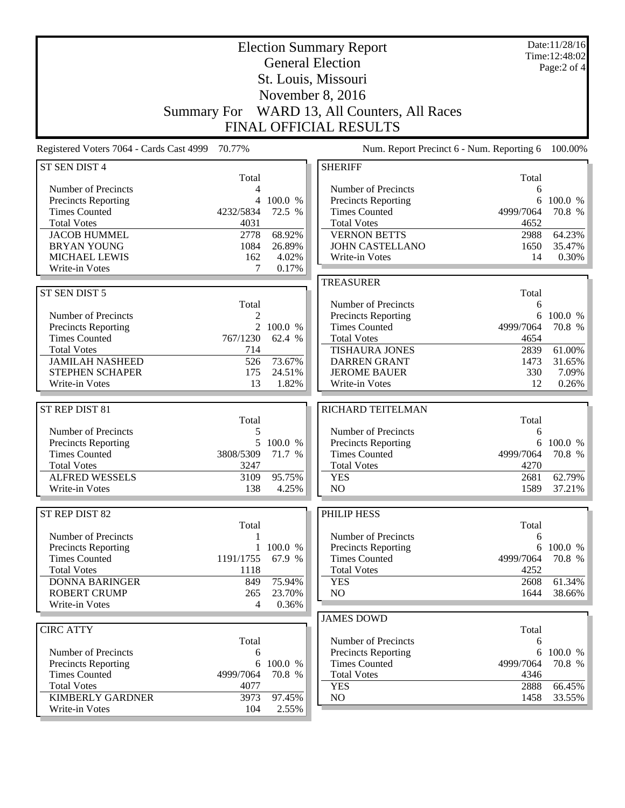| <b>Summary For</b>                              |                          |         | <b>Election Summary Report</b><br><b>General Election</b><br>St. Louis, Missouri<br>November 8, 2016<br>WARD 13, All Counters, All Races<br><b>FINAL OFFICIAL RESULTS</b> |           | Date:11/28/16<br>Time:12:48:02<br>Page:2 of 4 |
|-------------------------------------------------|--------------------------|---------|---------------------------------------------------------------------------------------------------------------------------------------------------------------------------|-----------|-----------------------------------------------|
| Registered Voters 7064 - Cards Cast 4999 70.77% |                          |         | Num. Report Precinct 6 - Num. Reporting 6                                                                                                                                 |           | 100.00%                                       |
| ST SEN DIST 4                                   |                          |         | <b>SHERIFF</b>                                                                                                                                                            |           |                                               |
|                                                 | Total                    |         |                                                                                                                                                                           | Total     |                                               |
| Number of Precincts                             | $\overline{\mathcal{L}}$ |         | Number of Precincts                                                                                                                                                       | 6         |                                               |
| Precincts Reporting                             | 4                        | 100.0 % | <b>Precincts Reporting</b>                                                                                                                                                | 6         | 100.0 %                                       |
| <b>Times Counted</b>                            | 4232/5834                | 72.5 %  | <b>Times Counted</b>                                                                                                                                                      | 4999/7064 | 70.8 %                                        |
| <b>Total Votes</b>                              | 4031                     |         | <b>Total Votes</b>                                                                                                                                                        | 4652      |                                               |
| <b>JACOB HUMMEL</b>                             | 2778                     | 68.92%  | <b>VERNON BETTS</b>                                                                                                                                                       | 2988      | 64.23%                                        |
| <b>BRYAN YOUNG</b>                              | 1084                     | 26.89%  | <b>JOHN CASTELLANO</b>                                                                                                                                                    | 1650      | 35.47%                                        |
| <b>MICHAEL LEWIS</b>                            | 162                      | 4.02%   | Write-in Votes                                                                                                                                                            | 14        | 0.30%                                         |
| Write-in Votes                                  | $\tau$                   | 0.17%   |                                                                                                                                                                           |           |                                               |
|                                                 |                          |         | <b>TREASURER</b>                                                                                                                                                          |           |                                               |
| ST SEN DIST 5                                   |                          |         |                                                                                                                                                                           | Total     |                                               |
|                                                 | Total                    |         | Number of Precincts                                                                                                                                                       | 6         |                                               |
| Number of Precincts                             | $\overline{2}$           |         | <b>Precincts Reporting</b>                                                                                                                                                | 6         | 100.0 %                                       |
| <b>Precincts Reporting</b>                      | $\mathfrak{D}$           | 100.0 % | <b>Times Counted</b>                                                                                                                                                      | 4999/7064 | 70.8 %                                        |
| <b>Times Counted</b>                            | 767/1230                 | 62.4 %  | <b>Total Votes</b>                                                                                                                                                        | 4654      |                                               |
| <b>Total Votes</b>                              | 714                      |         | <b>TISHAURA JONES</b>                                                                                                                                                     | 2839      | 61.00%                                        |
| <b>JAMILAH NASHEED</b>                          | 526                      | 73.67%  | <b>DARREN GRANT</b>                                                                                                                                                       | 1473      | 31.65%                                        |
| STEPHEN SCHAPER                                 | 175                      | 24.51%  | <b>JEROME BAUER</b>                                                                                                                                                       | 330       | 7.09%                                         |
| Write-in Votes                                  | 13                       | 1.82%   | Write-in Votes                                                                                                                                                            | 12        | 0.26%                                         |
|                                                 |                          |         |                                                                                                                                                                           |           |                                               |
| ST REP DIST 81                                  |                          |         | RICHARD TEITELMAN                                                                                                                                                         |           |                                               |
|                                                 | Total                    |         |                                                                                                                                                                           | Total     |                                               |
| Number of Precincts                             | 5                        |         | Number of Precincts                                                                                                                                                       | 6         |                                               |
| <b>Precincts Reporting</b>                      | 5                        | 100.0 % | <b>Precincts Reporting</b>                                                                                                                                                | 6         | 100.0 %                                       |
| <b>Times Counted</b>                            | 3808/5309                | 71.7 %  | <b>Times Counted</b>                                                                                                                                                      | 4999/7064 | 70.8 %                                        |
| <b>Total Votes</b>                              | 3247                     |         | <b>Total Votes</b>                                                                                                                                                        | 4270      |                                               |
| <b>ALFRED WESSELS</b>                           | 3109                     | 95.75%  | <b>YES</b>                                                                                                                                                                | 2681      | 62.79%                                        |
| Write-in Votes                                  | 138                      | 4.25%   | N <sub>O</sub>                                                                                                                                                            | 1589      | 37.21%                                        |
|                                                 |                          |         |                                                                                                                                                                           |           |                                               |
| ST REP DIST 82                                  |                          |         | PHILIP HESS                                                                                                                                                               |           |                                               |
|                                                 | Total                    |         |                                                                                                                                                                           | Total     |                                               |
| Number of Precincts                             | 1                        |         | Number of Precincts                                                                                                                                                       | 6         |                                               |
| Precincts Reporting                             |                          | 100.0%  | Precincts Reporting                                                                                                                                                       | 6         | 100.0 %                                       |

| <b>Precincts Reporting</b> |                  | $1\,100.0\%$ |
|----------------------------|------------------|--------------|
| <b>Times Counted</b>       | 1191/1755 67.9 % |              |
| <b>Total Votes</b>         | 1118             |              |
| DONNA BARINGER             |                  | 849 75.94%   |
| ROBERT CRUMP               |                  | 265 23.70%   |
| Write-in Votes             |                  | $0.36\%$     |
|                            |                  |              |

| <b>CIRC ATTY</b>           |                  |             |
|----------------------------|------------------|-------------|
|                            | Total            |             |
| Number of Precincts        |                  |             |
| <b>Precincts Reporting</b> |                  | 6 100.0 $%$ |
| <b>Times Counted</b>       | 4999/7064 70.8 % |             |
| <b>Total Votes</b>         | 4077             |             |
| KIMBERLY GARDNER           | 3973             | 97.45%      |
| Write-in Votes             | 104              | 2.55%       |

| Number of Precincts  |                  |             |
|----------------------|------------------|-------------|
| Precincts Reporting  |                  | 6 100.0 $%$ |
| <b>Times Counted</b> | 4999/7064 70.8 % |             |
| <b>Total Votes</b>   | 4252             |             |
| <b>YES</b>           | 2608             | 61.34%      |
| NO.                  | 1644             | 38.66%      |
|                      |                  |             |
| JAMES DOWD           |                  |             |

| JAMES DUWD                 |           |           |
|----------------------------|-----------|-----------|
|                            | Total     |           |
| Number of Precincts        |           |           |
| <b>Precincts Reporting</b> |           | 6 100.0 % |
| <b>Times Counted</b>       | 4999/7064 | 70.8 %    |
| <b>Total Votes</b>         | 4346      |           |
| YES                        | 2888      | 66.45%    |
| NΩ                         | 1458      | 33.55%    |
|                            |           |           |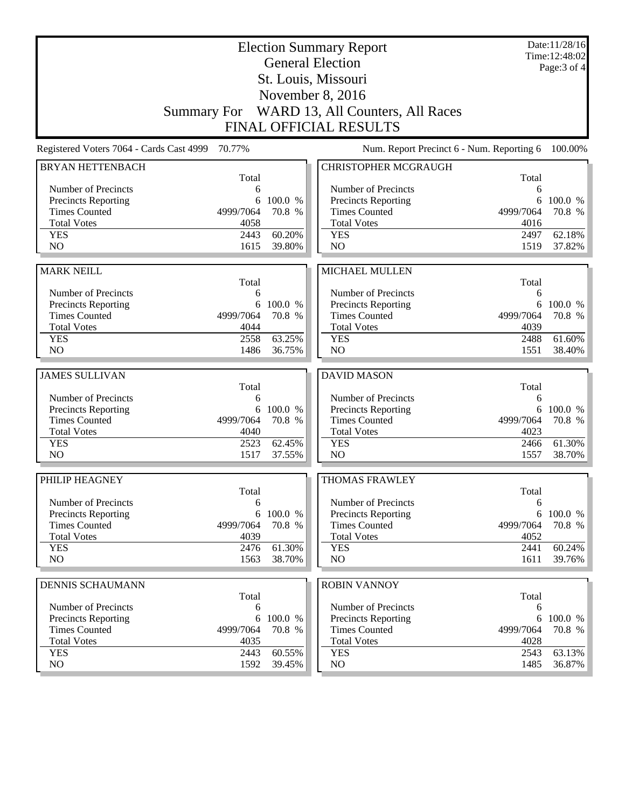|                                            |                   |                  | <b>Election Summary Report</b><br><b>General Election</b> |                   | Date:11/28/16<br>Time: 12:48:02 |
|--------------------------------------------|-------------------|------------------|-----------------------------------------------------------|-------------------|---------------------------------|
|                                            |                   |                  |                                                           |                   | Page: 3 of 4                    |
|                                            |                   |                  | St. Louis, Missouri                                       |                   |                                 |
|                                            |                   |                  | November 8, 2016                                          |                   |                                 |
|                                            |                   |                  | Summary For WARD 13, All Counters, All Races              |                   |                                 |
|                                            |                   |                  | <b>FINAL OFFICIAL RESULTS</b>                             |                   |                                 |
| Registered Voters 7064 - Cards Cast 4999   | 70.77%            |                  | Num. Report Precinct 6 - Num. Reporting 6                 |                   | 100.00%                         |
| <b>BRYAN HETTENBACH</b>                    | Total             |                  | <b>CHRISTOPHER MCGRAUGH</b>                               |                   |                                 |
| Number of Precincts                        | 6                 |                  | Number of Precincts                                       | Total<br>6        |                                 |
| Precincts Reporting                        | 6                 | 100.0 %          | <b>Precincts Reporting</b>                                | 6                 | 100.0 %                         |
| <b>Times Counted</b>                       | 4999/7064         | 70.8 %           | <b>Times Counted</b>                                      | 4999/7064         | 70.8 %                          |
| <b>Total Votes</b>                         | 4058              |                  | <b>Total Votes</b>                                        | 4016              |                                 |
| <b>YES</b>                                 | 2443              | 60.20%           | <b>YES</b>                                                | 2497              | 62.18%                          |
| N <sub>O</sub>                             | 1615              | 39.80%           | N <sub>O</sub>                                            | 1519              | 37.82%                          |
| <b>MARK NEILL</b>                          |                   |                  | <b>MICHAEL MULLEN</b>                                     |                   |                                 |
|                                            | Total             |                  |                                                           | Total             |                                 |
| Number of Precincts                        | 6                 |                  | Number of Precincts                                       | 6                 |                                 |
| <b>Precincts Reporting</b>                 | 6                 | 100.0 %          | <b>Precincts Reporting</b>                                | 6                 | 100.0 %                         |
| <b>Times Counted</b>                       | 4999/7064         | 70.8 %           | <b>Times Counted</b>                                      | 4999/7064         | 70.8 %                          |
| <b>Total Votes</b>                         | 4044              |                  | <b>Total Votes</b>                                        | 4039              |                                 |
| <b>YES</b>                                 | 2558              | 63.25%           | <b>YES</b>                                                | 2488              | 61.60%                          |
| N <sub>O</sub>                             | 1486              | 36.75%           | N <sub>O</sub>                                            | 1551              | 38.40%                          |
| <b>JAMES SULLIVAN</b>                      |                   |                  | <b>DAVID MASON</b>                                        |                   |                                 |
|                                            | Total             |                  |                                                           | Total             |                                 |
| Number of Precincts                        | 6                 |                  | Number of Precincts                                       | 6                 |                                 |
| Precincts Reporting                        | 6                 | 100.0 %          | Precincts Reporting                                       | 6                 | 100.0 %                         |
| <b>Times Counted</b>                       | 4999/7064         | 70.8 %           | <b>Times Counted</b>                                      | 4999/7064         | 70.8 %                          |
| <b>Total Votes</b>                         | 4040              |                  | <b>Total Votes</b>                                        | 4023              |                                 |
| <b>YES</b>                                 | 2523              | 62.45%           | <b>YES</b>                                                | 2466              | 61.30%                          |
| N <sub>O</sub>                             | 1517              | 37.55%           | N <sub>O</sub>                                            | 1557              | 38.70%                          |
| PHILIP HEAGNEY                             |                   |                  | <b>THOMAS FRAWLEY</b>                                     |                   |                                 |
|                                            | Total             |                  |                                                           | Total             |                                 |
| Number of Precincts                        | 6                 |                  | Number of Precincts                                       | 6                 |                                 |
| Precincts Reporting                        | 6                 | 100.0 %          | Precincts Reporting                                       | 6                 | 100.0 %                         |
| <b>Times Counted</b><br><b>Total Votes</b> | 4999/7064         | 70.8 %           | <b>Times Counted</b><br><b>Total Votes</b>                | 4999/7064         | 70.8 %                          |
| <b>YES</b>                                 | 4039<br>2476      | 61.30%           | <b>YES</b>                                                | 4052<br>2441      | 60.24%                          |
| N <sub>O</sub>                             | 1563              | 38.70%           | NO                                                        | 1611              | 39.76%                          |
|                                            |                   |                  |                                                           |                   |                                 |
| <b>DENNIS SCHAUMANN</b>                    |                   |                  | <b>ROBIN VANNOY</b>                                       |                   |                                 |
|                                            | Total             |                  |                                                           | Total             |                                 |
| Number of Precincts                        | 6                 |                  | Number of Precincts                                       | 6                 |                                 |
| Precincts Reporting                        | 6                 | 100.0 %          | Precincts Reporting                                       | 6                 | 100.0 %                         |
| <b>Times Counted</b><br><b>Total Votes</b> | 4999/7064<br>4035 | 70.8 %           | <b>Times Counted</b><br><b>Total Votes</b>                | 4999/7064<br>4028 | 70.8 %                          |
| <b>YES</b>                                 |                   |                  |                                                           |                   |                                 |
|                                            |                   |                  |                                                           |                   |                                 |
| NO.                                        | 2443<br>1592      | 60.55%<br>39.45% | <b>YES</b><br>NO                                          | 2543<br>1485      | 63.13%<br>36.87%                |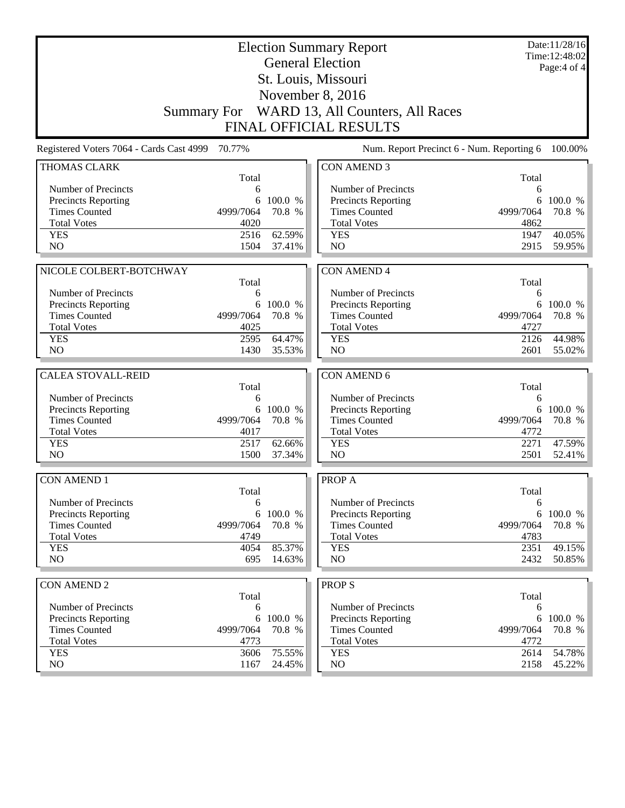|                                             |              | Date:11/28/16<br>Time: 12:48:02<br>Page:4 of 4 |                                                                               |              |         |
|---------------------------------------------|--------------|------------------------------------------------|-------------------------------------------------------------------------------|--------------|---------|
|                                             |              |                                                | Summary For WARD 13, All Counters, All Races<br><b>FINAL OFFICIAL RESULTS</b> |              |         |
| Registered Voters 7064 - Cards Cast 4999    | 70.77%       |                                                | Num. Report Precinct 6 - Num. Reporting 6                                     |              | 100.00% |
| THOMAS CLARK                                | Total        |                                                | <b>CON AMEND 3</b>                                                            | Total        |         |
| Number of Precincts                         | 6            |                                                | Number of Precincts                                                           | 6            |         |
| Precincts Reporting                         | 6            | 100.0 %                                        | <b>Precincts Reporting</b>                                                    | 6            | 100.0 % |
| <b>Times Counted</b>                        | 4999/7064    | 70.8 %                                         | <b>Times Counted</b>                                                          | 4999/7064    | 70.8 %  |
| <b>Total Votes</b>                          | 4020         |                                                | <b>Total Votes</b>                                                            | 4862         |         |
| <b>YES</b>                                  | 2516         | 62.59%                                         | <b>YES</b>                                                                    | 1947         | 40.05%  |
| N <sub>O</sub>                              | 1504         | 37.41%                                         | N <sub>O</sub>                                                                | 2915         | 59.95%  |
|                                             |              |                                                |                                                                               |              |         |
| NICOLE COLBERT-BOTCHWAY                     |              |                                                | <b>CON AMEND 4</b>                                                            |              |         |
|                                             | Total        |                                                |                                                                               | Total        |         |
| Number of Precincts                         | 6<br>6       | 100.0 %                                        | Number of Precincts                                                           | 6<br>6       | 100.0 % |
| Precincts Reporting<br><b>Times Counted</b> | 4999/7064    | 70.8 %                                         | Precincts Reporting<br><b>Times Counted</b>                                   | 4999/7064    | 70.8 %  |
| <b>Total Votes</b>                          | 4025         |                                                | <b>Total Votes</b>                                                            | 4727         |         |
| <b>YES</b>                                  | 2595         | 64.47%                                         | <b>YES</b>                                                                    | 2126         | 44.98%  |
| NO                                          | 1430         | 35.53%                                         | NO                                                                            | 2601         | 55.02%  |
|                                             |              |                                                |                                                                               |              |         |
| <b>CALEA STOVALL-REID</b>                   |              |                                                | CON AMEND 6                                                                   |              |         |
|                                             | Total        |                                                |                                                                               | Total        |         |
| Number of Precincts                         | 6            |                                                | Number of Precincts                                                           | 6            |         |
| Precincts Reporting                         | 6            | 100.0 %                                        | Precincts Reporting                                                           | 6            | 100.0 % |
| <b>Times Counted</b>                        | 4999/7064    | 70.8 %                                         | <b>Times Counted</b>                                                          | 4999/7064    | 70.8 %  |
| <b>Total Votes</b>                          | 4017         |                                                | <b>Total Votes</b>                                                            | 4772         |         |
| <b>YES</b>                                  | 2517         | 62.66%                                         | <b>YES</b>                                                                    | 2271         | 47.59%  |
| NO                                          | 1500         | 37.34%                                         | NO                                                                            | 2501         | 52.41%  |
|                                             |              |                                                |                                                                               |              |         |
| <b>CON AMEND 1</b>                          |              |                                                | PROP A                                                                        |              |         |
| Number of Precincts                         | Total<br>6   |                                                | Number of Precincts                                                           | Total<br>6   |         |
| <b>Precincts Reporting</b>                  | 6            | 100.0 %                                        | Precincts Reporting                                                           | 6            | 100.0 % |
| <b>Times Counted</b>                        | 4999/7064    | 70.8 %                                         | <b>Times Counted</b>                                                          | 4999/7064    | 70.8 %  |
| <b>Total Votes</b>                          | 4749         |                                                | <b>Total Votes</b>                                                            | 4783         |         |
| <b>YES</b>                                  | 4054         | 85.37%                                         | <b>YES</b>                                                                    | 2351         | 49.15%  |
| NO                                          | 695          | 14.63%                                         | NO                                                                            | 2432         | 50.85%  |
|                                             |              |                                                |                                                                               |              |         |
| <b>CON AMEND 2</b>                          |              |                                                | <b>PROPS</b>                                                                  |              |         |
|                                             | Total        |                                                |                                                                               | Total        |         |
| Number of Precincts                         | 6            |                                                | Number of Precincts                                                           | 6            |         |
| <b>Precincts Reporting</b>                  | 6            | 100.0 %                                        | <b>Precincts Reporting</b>                                                    | 6            | 100.0 % |
| <b>Times Counted</b>                        | 4999/7064    | 70.8 %                                         | <b>Times Counted</b>                                                          | 4999/7064    | 70.8 %  |
| <b>Total Votes</b>                          | 4773<br>3606 |                                                | <b>Total Votes</b>                                                            | 4772         | 54.78%  |
| <b>YES</b><br>NO                            | 1167         | 75.55%<br>24.45%                               | <b>YES</b><br>NO                                                              | 2614<br>2158 | 45.22%  |
|                                             |              |                                                |                                                                               |              |         |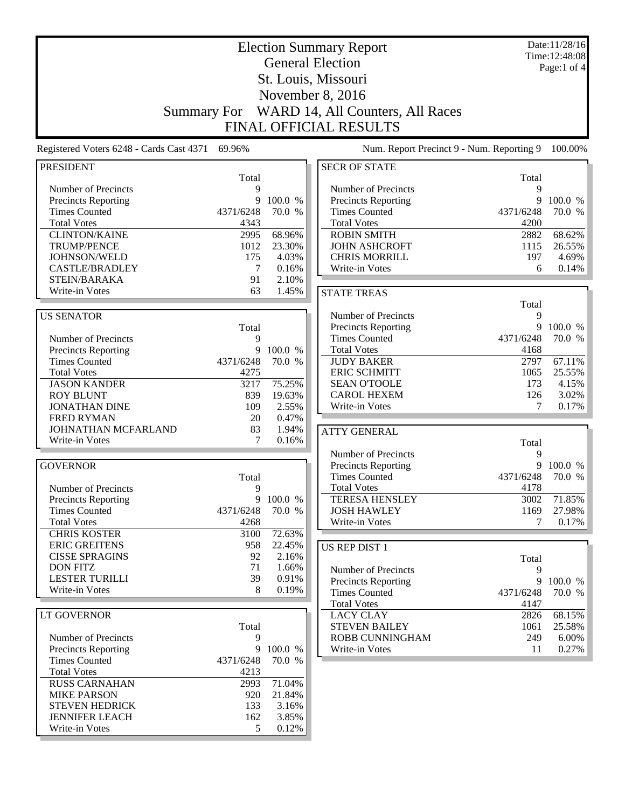|                                          | <b>Election Summary Report</b> |           |                                           |           |             |  |
|------------------------------------------|--------------------------------|-----------|-------------------------------------------|-----------|-------------|--|
|                                          | <b>General Election</b>        |           |                                           |           |             |  |
|                                          |                                |           | St. Louis, Missouri                       |           | Page:1 of 4 |  |
|                                          |                                |           | November 8, 2016                          |           |             |  |
|                                          | <b>Summary For</b>             |           | WARD 14, All Counters, All Races          |           |             |  |
|                                          |                                |           | <b>FINAL OFFICIAL RESULTS</b>             |           |             |  |
| Registered Voters 6248 - Cards Cast 4371 | 69.96%                         |           | Num. Report Precinct 9 - Num. Reporting 9 |           | 100.00%     |  |
|                                          |                                |           |                                           |           |             |  |
| <b>PRESIDENT</b>                         | Total                          |           | <b>SECR OF STATE</b>                      | Total     |             |  |
| Number of Precincts                      | 9                              |           | Number of Precincts                       | 9         |             |  |
| Precincts Reporting                      | 9                              | 100.0 %   | Precincts Reporting                       | 9         | 100.0 %     |  |
| <b>Times Counted</b>                     | 4371/6248                      | 70.0 %    | <b>Times Counted</b>                      | 4371/6248 | 70.0 %      |  |
| <b>Total Votes</b>                       | 4343                           |           | <b>Total Votes</b>                        | 4200      |             |  |
| <b>CLINTON/KAINE</b>                     | 2995                           | 68.96%    | <b>ROBIN SMITH</b>                        | 2882      | 68.62%      |  |
| <b>TRUMP/PENCE</b>                       | 1012                           | 23.30%    | <b>JOHN ASHCROFT</b>                      | 1115      | 26.55%      |  |
| JOHNSON/WELD                             | 175                            | 4.03%     | <b>CHRIS MORRILL</b>                      | 197       | 4.69%       |  |
| <b>CASTLE/BRADLEY</b>                    | 7                              | 0.16%     | Write-in Votes                            | 6         | 0.14%       |  |
| STEIN/BARAKA                             | 91                             | 2.10%     |                                           |           |             |  |
| Write-in Votes                           | 63                             | 1.45%     | <b>STATE TREAS</b>                        |           |             |  |
|                                          |                                |           |                                           | Total     |             |  |
| <b>US SENATOR</b>                        |                                |           | Number of Precincts                       | 9         |             |  |
|                                          | Total                          |           | <b>Precincts Reporting</b>                | 9         | 100.0 %     |  |
| Number of Precincts                      | 9                              |           | <b>Times Counted</b>                      | 4371/6248 | 70.0 %      |  |
| Precincts Reporting                      | 9                              | 100.0 %   | <b>Total Votes</b>                        | 4168      |             |  |
| <b>Times Counted</b>                     | 4371/6248                      | 70.0 %    | <b>JUDY BAKER</b>                         | 2797      | 67.11%      |  |
| <b>Total Votes</b>                       | 4275                           |           | <b>ERIC SCHMITT</b>                       | 1065      | 25.55%      |  |
| <b>JASON KANDER</b>                      | 3217                           | 75.25%    | <b>SEAN O'TOOLE</b>                       | 173       | 4.15%       |  |
| <b>ROY BLUNT</b>                         | 839                            | 19.63%    | <b>CAROL HEXEM</b>                        | 126       | 3.02%       |  |
| <b>JONATHAN DINE</b>                     | 109                            | 2.55%     | Write-in Votes                            | 7         | 0.17%       |  |
| <b>FRED RYMAN</b>                        | 20                             | 0.47%     |                                           |           |             |  |
| JOHNATHAN MCFARLAND                      | 83                             | 1.94%     | <b>ATTY GENERAL</b>                       |           |             |  |
| Write-in Votes                           | 7                              | 0.16%     |                                           | Total     |             |  |
|                                          |                                |           | Number of Precincts                       | 9         |             |  |
| <b>GOVERNOR</b>                          |                                |           | Precincts Reporting                       | 9         | 100.0 %     |  |
|                                          | Total                          |           | <b>Times Counted</b>                      | 4371/6248 | 70.0 %      |  |
| Number of Precincts                      | 9                              |           | <b>Total Votes</b>                        | 4178      |             |  |
| <b>Precincts Reporting</b>               |                                | 9 100.0 % | <b>TERESA HENSLEY</b>                     | 3002      | 71.85%      |  |
| <b>Times Counted</b>                     | 4371/6248                      | 70.0 %    | <b>JOSH HAWLEY</b>                        | 1169      | 27.98%      |  |
| <b>Total Votes</b>                       | 4268                           |           | Write-in Votes                            | 7         | 0.17%       |  |
| <b>CHRIS KOSTER</b>                      | 3100                           | 72.63%    |                                           |           |             |  |
| <b>ERIC GREITENS</b>                     | 958                            | 22.45%    | US REP DIST 1                             |           |             |  |
| <b>CISSE SPRAGINS</b>                    | 92                             | 2.16%     |                                           | Total     |             |  |
| <b>DON FITZ</b>                          | 71                             | 1.66%     | Number of Precincts                       | 9         |             |  |
| <b>LESTER TURILLI</b>                    | 39                             | 0.91%     | Precincts Reporting                       |           | 9 100.0 %   |  |
| Write-in Votes                           | 8                              | 0.19%     | <b>Times Counted</b>                      | 4371/6248 | 70.0 %      |  |
|                                          |                                |           | <b>Total Votes</b>                        | 4147      |             |  |
| LT GOVERNOR                              |                                |           | <b>LACY CLAY</b>                          | 2826      | 68.15%      |  |
|                                          | Total                          |           | <b>STEVEN BAILEY</b>                      | 1061      | 25.58%      |  |
| Number of Precincts                      | 9                              |           | ROBB CUNNINGHAM                           | 249       | 6.00%       |  |
| <b>Precincts Reporting</b>               | 9                              | 100.0 %   | Write-in Votes                            | 11        | 0.27%       |  |
| <b>Times Counted</b>                     | 4371/6248                      | 70.0 %    |                                           |           |             |  |
| <b>Total Votes</b>                       | 4213                           |           |                                           |           |             |  |
| <b>RUSS CARNAHAN</b>                     | 2993                           | 71.04%    |                                           |           |             |  |
| <b>MIKE PARSON</b>                       | 920                            | 21.84%    |                                           |           |             |  |
| <b>STEVEN HEDRICK</b>                    | 133                            | 3.16%     |                                           |           |             |  |
| <b>JENNIFER LEACH</b>                    | 162                            | 3.85%     |                                           |           |             |  |
| Write-in Votes                           | 5                              | 0.12%     |                                           |           |             |  |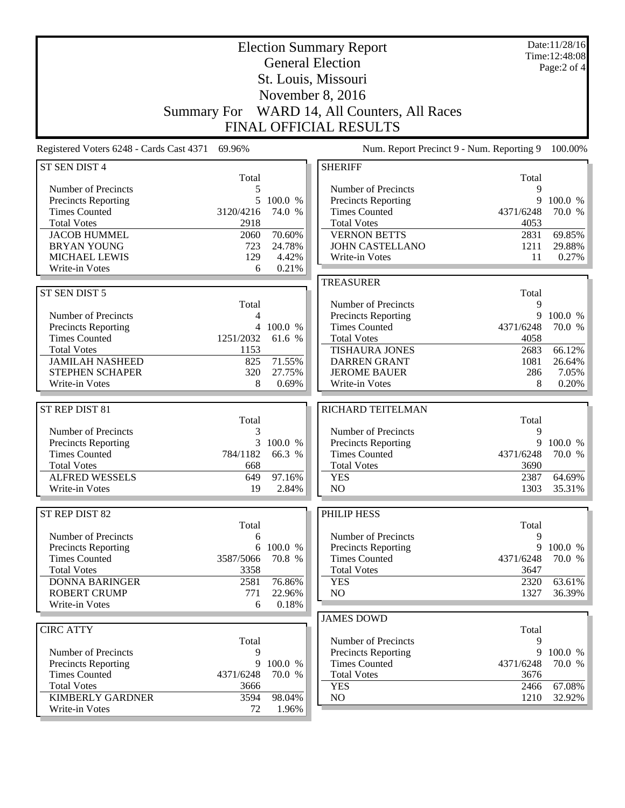## Election Summary Report General Election St. Louis, Missouri November 8, 2016 Summary For WARD 14, All Counters, All Races FINAL OFFICIAL RESULTS

Date:11/28/16 Time:12:48:08 Page:2 of 4

Registered Voters 6248 - Cards Cast 4371 69.96% Num. Report Precinct 9 - Num. Reporting 9 100.00%

| ST SEN DIST 4              |                |         | <b>SHERIFF</b>             |           |           |
|----------------------------|----------------|---------|----------------------------|-----------|-----------|
|                            | Total          |         |                            | Total     |           |
| Number of Precincts        | 5              |         | Number of Precincts        | 9         |           |
| Precincts Reporting        | 5 <sup>5</sup> | 100.0 % | Precincts Reporting        | 9         | 100.0 %   |
| <b>Times Counted</b>       | 3120/4216      | 74.0 %  | <b>Times Counted</b>       | 4371/6248 | 70.0 %    |
| <b>Total Votes</b>         | 2918           |         | <b>Total Votes</b>         | 4053      |           |
| <b>JACOB HUMMEL</b>        | 2060           | 70.60%  | <b>VERNON BETTS</b>        | 2831      | 69.85%    |
| <b>BRYAN YOUNG</b>         | 723            | 24.78%  | <b>JOHN CASTELLANO</b>     | 1211      | 29.88%    |
| <b>MICHAEL LEWIS</b>       | 129            | 4.42%   | Write-in Votes             | 11        | 0.27%     |
| Write-in Votes             | 6              | 0.21%   |                            |           |           |
|                            |                |         |                            |           |           |
|                            |                |         | <b>TREASURER</b>           |           |           |
| ST SEN DIST 5              |                |         |                            | Total     |           |
|                            | Total          |         | Number of Precincts        | 9         |           |
| Number of Precincts        | 4              |         | Precincts Reporting        | 9         | 100.0 %   |
| <b>Precincts Reporting</b> | 4              | 100.0 % | <b>Times Counted</b>       | 4371/6248 | 70.0 %    |
| <b>Times Counted</b>       | 1251/2032      | 61.6 %  | <b>Total Votes</b>         | 4058      |           |
| <b>Total Votes</b>         | 1153           |         | <b>TISHAURA JONES</b>      | 2683      | 66.12%    |
| <b>JAMILAH NASHEED</b>     | 825            | 71.55%  | <b>DARREN GRANT</b>        | 1081      | 26.64%    |
| <b>STEPHEN SCHAPER</b>     | 320            | 27.75%  | <b>JEROME BAUER</b>        | 286       | 7.05%     |
| Write-in Votes             | 8              | 0.69%   | Write-in Votes             | 8         | 0.20%     |
|                            |                |         |                            |           |           |
| ST REP DIST 81             |                |         | <b>RICHARD TEITELMAN</b>   |           |           |
|                            | Total          |         |                            | Total     |           |
| Number of Precincts        | 3              |         | Number of Precincts        | 9         |           |
| <b>Precincts Reporting</b> | 3              | 100.0 % | <b>Precincts Reporting</b> |           | 9 100.0 % |
| <b>Times Counted</b>       | 784/1182       | 66.3 %  | <b>Times Counted</b>       | 4371/6248 | 70.0 %    |
| <b>Total Votes</b>         | 668            |         | <b>Total Votes</b>         | 3690      |           |
| <b>ALFRED WESSELS</b>      | 649            | 97.16%  | <b>YES</b>                 | 2387      | 64.69%    |
|                            |                |         | NO                         |           |           |
| Write-in Votes             | 19             | 2.84%   |                            | 1303      | 35.31%    |
|                            |                |         |                            |           |           |
| ST REP DIST 82             |                |         | PHILIP HESS                |           |           |
|                            | Total          |         |                            | Total     |           |
| Number of Precincts        | 6              |         | Number of Precincts        | 9         |           |
| <b>Precincts Reporting</b> | 6              | 100.0 % | Precincts Reporting        | 9         | 100.0 %   |
| <b>Times Counted</b>       | 3587/5066      | 70.8 %  | <b>Times Counted</b>       | 4371/6248 | 70.0 %    |
| <b>Total Votes</b>         | 3358           |         | <b>Total Votes</b>         | 3647      |           |
| <b>DONNA BARINGER</b>      | 2581           | 76.86%  | <b>YES</b>                 | 2320      | 63.61%    |
| <b>ROBERT CRUMP</b>        | 771            | 22.96%  | NO                         | 1327      | 36.39%    |
| Write-in Votes             | 6              | 0.18%   |                            |           |           |
|                            |                |         | JAMES DOWD                 |           |           |
| <b>CIRC ATTY</b>           |                |         |                            | Total     |           |
|                            | Total          |         | Number of Precincts        | 9         |           |
| Number of Precincts        | 9              |         | <b>Precincts Reporting</b> |           | 9 100.0 % |
| <b>Precincts Reporting</b> | 9              | 100.0 % | <b>Times Counted</b>       |           | 70.0 %    |
|                            |                |         |                            | 4371/6248 |           |
| <b>Times Counted</b>       | 4371/6248      | 70.0 %  | <b>Total Votes</b>         | 3676      |           |
| <b>Total Votes</b>         | 3666           |         | <b>YES</b>                 | 2466      | 67.08%    |
| <b>KIMBERLY GARDNER</b>    | 3594           | 98.04%  | NO                         | 1210      | 32.92%    |
| Write-in Votes             | 72             | 1.96%   |                            |           |           |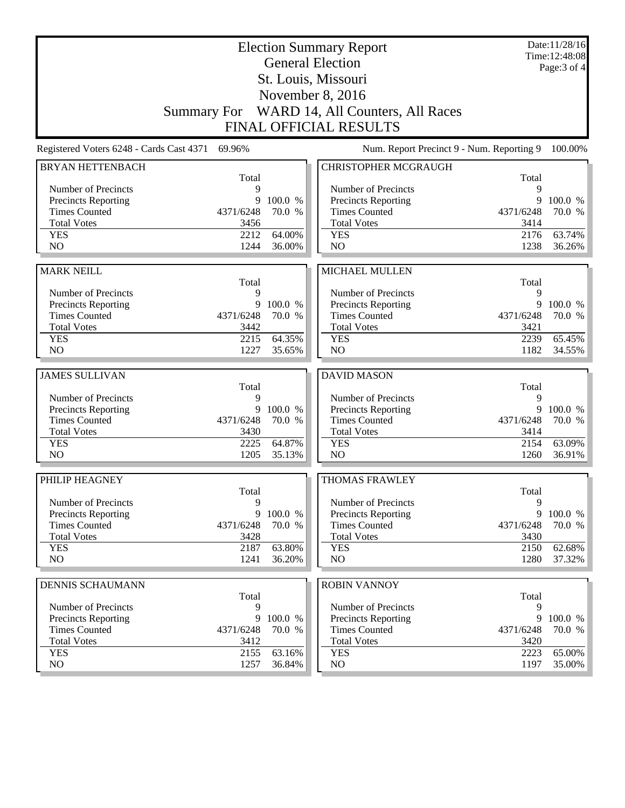|                                                    |                | Date:11/28/16<br>Time:12:48:08 |                                                    |                |                   |
|----------------------------------------------------|----------------|--------------------------------|----------------------------------------------------|----------------|-------------------|
|                                                    |                |                                | <b>General Election</b><br>St. Louis, Missouri     |                | Page: 3 of 4      |
|                                                    |                |                                |                                                    |                |                   |
|                                                    |                |                                | November 8, 2016                                   |                |                   |
|                                                    |                |                                | Summary For WARD 14, All Counters, All Races       |                |                   |
|                                                    |                |                                | <b>FINAL OFFICIAL RESULTS</b>                      |                |                   |
| Registered Voters 6248 - Cards Cast 4371           | 69.96%         |                                | Num. Report Precinct 9 - Num. Reporting 9          |                | 100.00%           |
| <b>BRYAN HETTENBACH</b>                            |                |                                | <b>CHRISTOPHER MCGRAUGH</b>                        |                |                   |
|                                                    | Total          |                                |                                                    | Total          |                   |
| Number of Precincts                                | 9              |                                | Number of Precincts                                | 9              |                   |
| <b>Precincts Reporting</b><br><b>Times Counted</b> | 9<br>4371/6248 | 100.0 %<br>70.0 %              | <b>Precincts Reporting</b><br><b>Times Counted</b> | 9<br>4371/6248 | 100.0 %<br>70.0 % |
| <b>Total Votes</b>                                 | 3456           |                                | <b>Total Votes</b>                                 | 3414           |                   |
| <b>YES</b>                                         | 2212           | 64.00%                         | <b>YES</b>                                         | 2176           | 63.74%            |
| NO                                                 | 1244           | 36.00%                         | NO                                                 | 1238           | 36.26%            |
|                                                    |                |                                |                                                    |                |                   |
| <b>MARK NEILL</b>                                  |                |                                | <b>MICHAEL MULLEN</b>                              |                |                   |
|                                                    | Total          |                                |                                                    | Total          |                   |
| Number of Precincts                                | 9              |                                | Number of Precincts                                | 9              |                   |
| Precincts Reporting                                | 9              | 100.0 %                        | Precincts Reporting                                | 9              | 100.0 %           |
| <b>Times Counted</b>                               | 4371/6248      | 70.0 %                         | <b>Times Counted</b>                               | 4371/6248      | 70.0 %            |
| <b>Total Votes</b>                                 | 3442           |                                | <b>Total Votes</b>                                 | 3421           |                   |
| <b>YES</b>                                         | 2215           | 64.35%                         | <b>YES</b>                                         | 2239           | 65.45%            |
| N <sub>O</sub>                                     | 1227           | 35.65%                         | NO                                                 | 1182           | 34.55%            |
|                                                    |                |                                | <b>DAVID MASON</b>                                 |                |                   |
| <b>JAMES SULLIVAN</b>                              | Total          |                                |                                                    | Total          |                   |
| Number of Precincts                                | 9              |                                | Number of Precincts                                | 9              |                   |
| Precincts Reporting                                | 9              | 100.0 %                        | Precincts Reporting                                | 9              | 100.0 %           |
| <b>Times Counted</b>                               | 4371/6248      | 70.0 %                         | <b>Times Counted</b>                               | 4371/6248      | 70.0 %            |
| <b>Total Votes</b>                                 | 3430           |                                | <b>Total Votes</b>                                 |                |                   |
| <b>YES</b>                                         |                |                                |                                                    | 3414           |                   |
|                                                    | 2225           | 64.87%                         | <b>YES</b>                                         | 2154           | 63.09%            |
| N <sub>O</sub>                                     | 1205           | 35.13%                         | NO                                                 | 1260           | 36.91%            |
| PHILIP HEAGNEY                                     |                |                                | <b>THOMAS FRAWLEY</b>                              |                |                   |
|                                                    | Total          |                                |                                                    | Total          |                   |
| Number of Precincts                                | 9              |                                | Number of Precincts                                | 9              |                   |
| Precincts Reporting                                | 9              | 100.0 %                        | <b>Precincts Reporting</b>                         | 9              | 100.0 %           |
| <b>Times Counted</b>                               | 4371/6248      | 70.0 %                         | <b>Times Counted</b>                               | 4371/6248      | 70.0 %            |
| <b>Total Votes</b>                                 | 3428           |                                | <b>Total Votes</b>                                 | 3430           |                   |
| <b>YES</b>                                         | 2187           | 63.80%                         | <b>YES</b>                                         | 2150           | 62.68%            |
| N <sub>O</sub>                                     | 1241           | 36.20%                         | NO                                                 | 1280           | 37.32%            |
|                                                    |                |                                |                                                    |                |                   |
| <b>DENNIS SCHAUMANN</b>                            |                |                                | <b>ROBIN VANNOY</b>                                |                |                   |
| Number of Precincts                                | Total<br>9     |                                | Number of Precincts                                | Total<br>9     |                   |
| Precincts Reporting                                | 9              | 100.0 %                        | Precincts Reporting                                | 9              |                   |
| <b>Times Counted</b>                               | 4371/6248      | 70.0 %                         | <b>Times Counted</b>                               | 4371/6248      | 100.0 %<br>70.0 % |
| <b>Total Votes</b>                                 | 3412           |                                | <b>Total Votes</b>                                 | 3420           |                   |
| <b>YES</b><br>NO.                                  | 2155<br>1257   | 63.16%<br>36.84%               | <b>YES</b><br>NO                                   | 2223<br>1197   | 65.00%<br>35.00%  |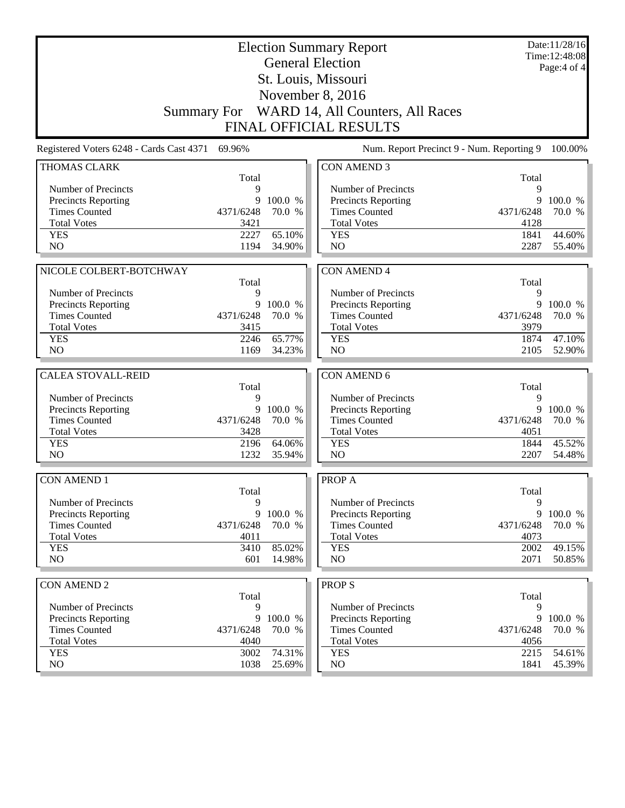|                                                    | <b>Election Summary Report</b><br><b>General Election</b> |                                    |                                             |                |                   |  |
|----------------------------------------------------|-----------------------------------------------------------|------------------------------------|---------------------------------------------|----------------|-------------------|--|
|                                                    |                                                           | Time: 12:48:08<br>Page: $4$ of $4$ |                                             |                |                   |  |
|                                                    |                                                           |                                    | St. Louis, Missouri                         |                |                   |  |
|                                                    |                                                           |                                    | November 8, 2016                            |                |                   |  |
|                                                    | <b>Summary For</b>                                        |                                    | WARD 14, All Counters, All Races            |                |                   |  |
|                                                    |                                                           |                                    |                                             |                |                   |  |
|                                                    |                                                           |                                    | <b>FINAL OFFICIAL RESULTS</b>               |                |                   |  |
| Registered Voters 6248 - Cards Cast 4371           | 69.96%                                                    |                                    | Num. Report Precinct 9 - Num. Reporting 9   |                | 100.00%           |  |
| <b>THOMAS CLARK</b>                                |                                                           |                                    | <b>CON AMEND 3</b>                          |                |                   |  |
|                                                    | Total                                                     |                                    |                                             | Total          |                   |  |
| Number of Precincts                                | 9                                                         | 100.0 %                            | Number of Precincts                         | 9              |                   |  |
| <b>Precincts Reporting</b><br><b>Times Counted</b> | 9<br>4371/6248                                            | 70.0 %                             | Precincts Reporting<br><b>Times Counted</b> | 9<br>4371/6248 | 100.0 %<br>70.0 % |  |
| <b>Total Votes</b>                                 | 3421                                                      |                                    | <b>Total Votes</b>                          | 4128           |                   |  |
| <b>YES</b>                                         | 2227                                                      | 65.10%                             | <b>YES</b>                                  | 1841           | 44.60%            |  |
| NO                                                 | 1194                                                      | 34.90%                             | NO                                          | 2287           | 55.40%            |  |
|                                                    |                                                           |                                    |                                             |                |                   |  |
| NICOLE COLBERT-BOTCHWAY                            |                                                           |                                    | <b>CON AMEND 4</b>                          |                |                   |  |
|                                                    | Total                                                     |                                    |                                             | Total          |                   |  |
| Number of Precincts                                | 9                                                         |                                    | Number of Precincts                         | 9              |                   |  |
| <b>Precincts Reporting</b><br><b>Times Counted</b> | 9<br>4371/6248                                            | 100.0 %<br>70.0 %                  | Precincts Reporting<br><b>Times Counted</b> | 9<br>4371/6248 | 100.0 %<br>70.0 % |  |
| <b>Total Votes</b>                                 | 3415                                                      |                                    | <b>Total Votes</b>                          | 3979           |                   |  |
| <b>YES</b>                                         | 2246                                                      | 65.77%                             | <b>YES</b>                                  | 1874           | 47.10%            |  |
| NO                                                 | 1169                                                      | 34.23%                             | NO                                          | 2105           | 52.90%            |  |
|                                                    |                                                           |                                    |                                             |                |                   |  |
|                                                    |                                                           |                                    |                                             |                |                   |  |
| <b>CALEA STOVALL-REID</b>                          |                                                           |                                    | CON AMEND 6                                 |                |                   |  |
|                                                    | Total<br>9                                                |                                    |                                             | Total<br>9     |                   |  |
| Number of Precincts                                | 9                                                         | 100.0 %                            | Number of Precincts                         | 9              | 100.0 %           |  |
| Precincts Reporting<br><b>Times Counted</b>        | 4371/6248                                                 | 70.0 %                             | Precincts Reporting<br><b>Times Counted</b> | 4371/6248      | 70.0 %            |  |
| <b>Total Votes</b>                                 | 3428                                                      |                                    | <b>Total Votes</b>                          | 4051           |                   |  |
| <b>YES</b>                                         | 2196                                                      | 64.06%                             | <b>YES</b>                                  | 1844           | 45.52%            |  |
| N <sub>O</sub>                                     | 1232                                                      | 35.94%                             | N <sub>O</sub>                              | 2207           | 54.48%            |  |
| <b>CON AMEND 1</b>                                 |                                                           |                                    |                                             |                |                   |  |
|                                                    | Total                                                     |                                    | PROP A                                      | Total          |                   |  |
| Number of Precincts                                | 9                                                         |                                    | Number of Precincts                         | 9              |                   |  |
| <b>Precincts Reporting</b>                         | 9                                                         | 100.0 %                            | Precincts Reporting                         | 9              | 100.0 %           |  |
| <b>Times Counted</b>                               | 4371/6248                                                 | 70.0 %                             | <b>Times Counted</b>                        | 4371/6248      | 70.0 %            |  |
| <b>Total Votes</b>                                 | 4011                                                      |                                    | <b>Total Votes</b>                          | 4073           |                   |  |
| <b>YES</b>                                         | 3410                                                      | 85.02%                             | <b>YES</b>                                  | 2002           | 49.15%            |  |
| NO                                                 | 601                                                       | 14.98%                             | N <sub>O</sub>                              | 2071           | 50.85%            |  |
| <b>CON AMEND 2</b>                                 |                                                           |                                    | <b>PROPS</b>                                |                |                   |  |
|                                                    | Total                                                     |                                    |                                             | Total          |                   |  |
| Number of Precincts                                | 9                                                         |                                    | Number of Precincts                         | 9              |                   |  |
| <b>Precincts Reporting</b>                         | 9                                                         | 100.0 %                            | Precincts Reporting                         | 9              | 100.0 %           |  |
| <b>Times Counted</b>                               | 4371/6248                                                 | 70.0 %                             | <b>Times Counted</b>                        | 4371/6248      | 70.0 %            |  |
| <b>Total Votes</b>                                 | 4040                                                      |                                    | <b>Total Votes</b>                          | 4056           |                   |  |
| <b>YES</b><br>NO                                   | 3002<br>1038                                              | 74.31%<br>25.69%                   | <b>YES</b><br>$\rm NO$                      | 2215<br>1841   | 54.61%<br>45.39%  |  |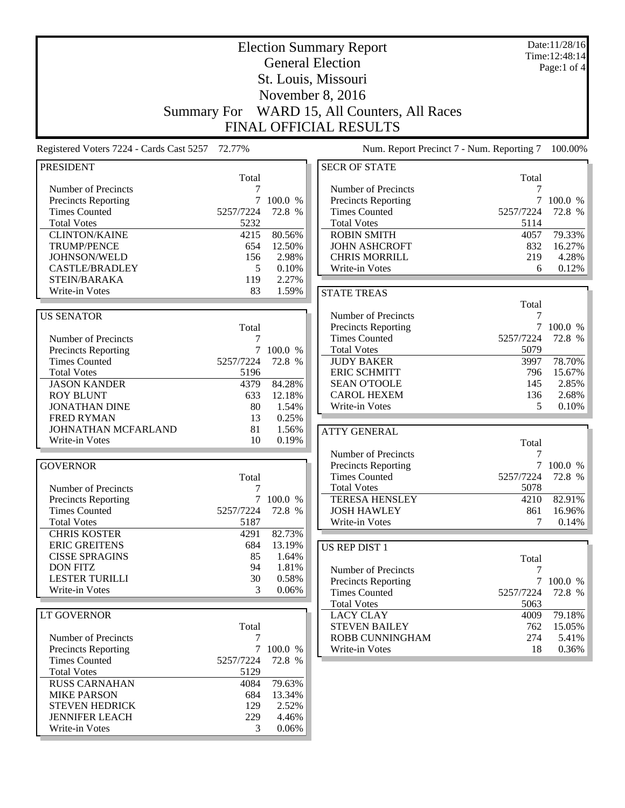|                                                 |                                         |                | <b>Election Summary Report</b><br><b>General Election</b> |                   | Date:11/28/16<br>Time: 12:48:14 |  |  |
|-------------------------------------------------|-----------------------------------------|----------------|-----------------------------------------------------------|-------------------|---------------------------------|--|--|
|                                                 |                                         | Page:1 of 4    |                                                           |                   |                                 |  |  |
|                                                 |                                         |                |                                                           |                   |                                 |  |  |
|                                                 | St. Louis, Missouri<br>November 8, 2016 |                |                                                           |                   |                                 |  |  |
|                                                 |                                         |                |                                                           |                   |                                 |  |  |
|                                                 | <b>Summary For</b>                      |                | WARD 15, All Counters, All Races                          |                   |                                 |  |  |
|                                                 |                                         |                | <b>FINAL OFFICIAL RESULTS</b>                             |                   |                                 |  |  |
| Registered Voters 7224 - Cards Cast 5257 72.77% |                                         |                | Num. Report Precinct 7 - Num. Reporting 7                 |                   | 100.00%                         |  |  |
| <b>PRESIDENT</b>                                |                                         |                | <b>SECR OF STATE</b>                                      |                   |                                 |  |  |
|                                                 | Total                                   |                |                                                           | Total             |                                 |  |  |
| Number of Precincts                             |                                         |                | Number of Precincts                                       |                   |                                 |  |  |
| <b>Precincts Reporting</b>                      | 7 <sup>1</sup>                          | 100.0 %        | Precincts Reporting                                       |                   | 7 100.0 %                       |  |  |
| <b>Times Counted</b><br><b>Total Votes</b>      | 5257/7224<br>5232                       | 72.8 %         | <b>Times Counted</b><br><b>Total Votes</b>                | 5257/7224<br>5114 | 72.8 %                          |  |  |
| <b>CLINTON/KAINE</b>                            | 4215                                    | 80.56%         | <b>ROBIN SMITH</b>                                        | 4057              | 79.33%                          |  |  |
| <b>TRUMP/PENCE</b>                              | 654                                     | 12.50%         | <b>JOHN ASHCROFT</b>                                      | 832               | 16.27%                          |  |  |
| JOHNSON/WELD                                    | 156                                     | 2.98%          | <b>CHRIS MORRILL</b>                                      | 219               | 4.28%                           |  |  |
| <b>CASTLE/BRADLEY</b>                           | 5                                       | 0.10%          | Write-in Votes                                            | 6                 | 0.12%                           |  |  |
| STEIN/BARAKA                                    | 119                                     | 2.27%          |                                                           |                   |                                 |  |  |
| Write-in Votes                                  | 83                                      | 1.59%          | <b>STATE TREAS</b>                                        |                   |                                 |  |  |
|                                                 |                                         |                |                                                           | Total             |                                 |  |  |
| <b>US SENATOR</b>                               |                                         |                | Number of Precincts                                       | 7                 |                                 |  |  |
|                                                 | Total                                   |                | Precincts Reporting                                       | 7                 | 100.0 %                         |  |  |
| Number of Precincts                             | 7                                       |                | <b>Times Counted</b>                                      | 5257/7224         | 72.8 %                          |  |  |
| <b>Precincts Reporting</b>                      |                                         | 7 100.0 %      | <b>Total Votes</b>                                        | 5079              |                                 |  |  |
| <b>Times Counted</b>                            | 5257/7224                               | 72.8 %         | <b>JUDY BAKER</b>                                         | 3997              | 78.70%                          |  |  |
| <b>Total Votes</b>                              | 5196                                    |                | <b>ERIC SCHMITT</b>                                       | 796               | 15.67%                          |  |  |
| <b>JASON KANDER</b>                             | 4379                                    | 84.28%         | <b>SEAN O'TOOLE</b>                                       | 145               | 2.85%                           |  |  |
| <b>ROY BLUNT</b><br><b>JONATHAN DINE</b>        | 633                                     | 12.18%         | <b>CAROL HEXEM</b>                                        | 136<br>5          | 2.68%<br>0.10%                  |  |  |
| <b>FRED RYMAN</b>                               | 80<br>13                                | 1.54%<br>0.25% | Write-in Votes                                            |                   |                                 |  |  |
| JOHNATHAN MCFARLAND                             | 81                                      | 1.56%          |                                                           |                   |                                 |  |  |
| Write-in Votes                                  | 10                                      | 0.19%          | <b>ATTY GENERAL</b>                                       | Total             |                                 |  |  |
|                                                 |                                         |                | Number of Precincts                                       | 7                 |                                 |  |  |
| <b>GOVERNOR</b>                                 |                                         |                | <b>Precincts Reporting</b>                                |                   | 100.0 %                         |  |  |
|                                                 | Total                                   |                | <b>Times Counted</b>                                      | 5257/7224         | 72.8 %                          |  |  |
| Number of Precincts                             | 7                                       |                | <b>Total Votes</b>                                        | 5078              |                                 |  |  |
| Precincts Reporting                             |                                         | 7 100.0 %      | <b>TERESA HENSLEY</b>                                     | 4210              | 82.91%                          |  |  |
| <b>Times Counted</b>                            | 5257/7224                               | 72.8 %         | <b>JOSH HAWLEY</b>                                        | 861               | 16.96%                          |  |  |
| <b>Total Votes</b>                              | 5187                                    |                | Write-in Votes                                            | 7                 | $0.14\%$                        |  |  |
| <b>CHRIS KOSTER</b>                             | 4291                                    | 82.73%         |                                                           |                   |                                 |  |  |
| <b>ERIC GREITENS</b>                            | 684                                     | 13.19%         | <b>US REP DIST 1</b>                                      |                   |                                 |  |  |
| <b>CISSE SPRAGINS</b>                           | 85                                      | 1.64%          |                                                           | Total             |                                 |  |  |
| <b>DON FITZ</b>                                 | 94                                      | 1.81%          | Number of Precincts                                       | 7                 |                                 |  |  |
| <b>LESTER TURILLI</b>                           | 30                                      | 0.58%          | <b>Precincts Reporting</b>                                |                   | 7 100.0 %                       |  |  |
| Write-in Votes                                  | 3                                       | 0.06%          | <b>Times Counted</b>                                      | 5257/7224         | 72.8 %                          |  |  |
|                                                 |                                         |                | <b>Total Votes</b>                                        | 5063              |                                 |  |  |
| <b>LT GOVERNOR</b>                              | Total                                   |                | <b>LACY CLAY</b><br><b>STEVEN BAILEY</b>                  | 4009              | 79.18%                          |  |  |
| Number of Precincts                             | 7                                       |                | ROBB CUNNINGHAM                                           | 762<br>274        | 15.05%<br>$5.41\%$              |  |  |
| <b>Precincts Reporting</b>                      | $7\overline{ }$                         | 100.0 %        | Write-in Votes                                            | 18                | $0.36\%$                        |  |  |
| <b>Times Counted</b>                            | 5257/7224                               | 72.8 %         |                                                           |                   |                                 |  |  |
| <b>Total Votes</b>                              | 5129                                    |                |                                                           |                   |                                 |  |  |
| <b>RUSS CARNAHAN</b>                            | 4084                                    | 79.63%         |                                                           |                   |                                 |  |  |
| <b>MIKE PARSON</b>                              | 684                                     | 13.34%         |                                                           |                   |                                 |  |  |
| <b>STEVEN HEDRICK</b>                           | 129                                     | 2.52%          |                                                           |                   |                                 |  |  |
| <b>JENNIFER LEACH</b>                           | 229                                     | 4.46%          |                                                           |                   |                                 |  |  |
| Write-in Votes                                  | 3                                       | 0.06%          |                                                           |                   |                                 |  |  |
|                                                 |                                         |                |                                                           |                   |                                 |  |  |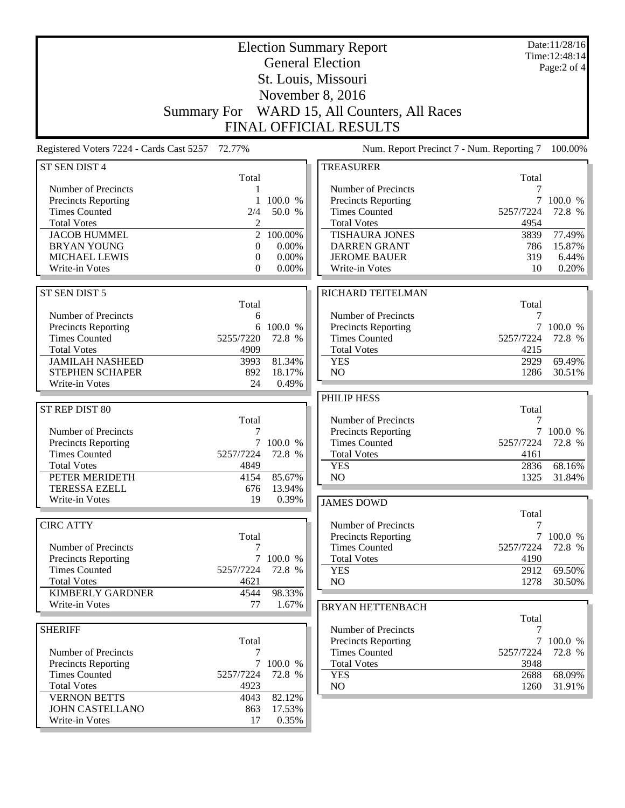|                                                    |                         |                   | <b>Election Summary Report</b>              |                   | Date:11/28/16<br>Time: 12:48:14<br>Page:2 of 4 |  |
|----------------------------------------------------|-------------------------|-------------------|---------------------------------------------|-------------------|------------------------------------------------|--|
|                                                    | <b>General Election</b> |                   |                                             |                   |                                                |  |
|                                                    |                         |                   | St. Louis, Missouri<br>November 8, 2016     |                   |                                                |  |
|                                                    |                         |                   |                                             |                   |                                                |  |
|                                                    | <b>Summary For</b>      |                   | WARD 15, All Counters, All Races            |                   |                                                |  |
|                                                    |                         |                   | <b>FINAL OFFICIAL RESULTS</b>               |                   |                                                |  |
| Registered Voters 7224 - Cards Cast 5257 72.77%    |                         |                   | Num. Report Precinct 7 - Num. Reporting 7   |                   | 100.00%                                        |  |
| ST SEN DIST 4                                      | Total                   |                   | <b>TREASURER</b>                            | Total             |                                                |  |
| Number of Precincts                                |                         |                   | Number of Precincts                         |                   |                                                |  |
| <b>Precincts Reporting</b><br><b>Times Counted</b> | 1<br>2/4                | 100.0 %<br>50.0 % | Precincts Reporting<br><b>Times Counted</b> | 5257/7224         | 7 100.0 %<br>72.8 %                            |  |
| <b>Total Votes</b>                                 | $\overline{c}$          |                   | <b>Total Votes</b>                          | 4954              |                                                |  |
| <b>JACOB HUMMEL</b>                                | $\overline{2}$          | 100.00%           | <b>TISHAURA JONES</b>                       | 3839              | 77.49%                                         |  |
| <b>BRYAN YOUNG</b>                                 | $\mathbf{0}$            | 0.00%             | <b>DARREN GRANT</b>                         | 786               | 15.87%                                         |  |
| <b>MICHAEL LEWIS</b><br>Write-in Votes             | $\theta$<br>$\Omega$    | 0.00%<br>$0.00\%$ | <b>JEROME BAUER</b><br>Write-in Votes       | 319<br>10         | 6.44%<br>0.20%                                 |  |
|                                                    |                         |                   |                                             |                   |                                                |  |
| ST SEN DIST 5                                      |                         |                   | RICHARD TEITELMAN                           |                   |                                                |  |
|                                                    | Total                   |                   |                                             | Total             |                                                |  |
| Number of Precincts                                | 6                       | 100.0 %           | Number of Precincts                         | 7                 |                                                |  |
| Precincts Reporting<br><b>Times Counted</b>        | 6<br>5255/7220          | 72.8 %            | Precincts Reporting<br><b>Times Counted</b> | 5257/7224         | 100.0 %<br>72.8 %                              |  |
| <b>Total Votes</b>                                 | 4909                    |                   | <b>Total Votes</b>                          | 4215              |                                                |  |
| <b>JAMILAH NASHEED</b>                             | 3993                    | 81.34%            | <b>YES</b>                                  | 2929              | 69.49%                                         |  |
| <b>STEPHEN SCHAPER</b>                             | 892                     | 18.17%            | N <sub>O</sub>                              | 1286              | 30.51%                                         |  |
| Write-in Votes                                     | 24                      | 0.49%             | PHILIP HESS                                 |                   |                                                |  |
| ST REP DIST 80                                     |                         |                   |                                             | Total             |                                                |  |
|                                                    | Total                   |                   | Number of Precincts                         | 7                 |                                                |  |
| Number of Precincts                                | 7                       |                   | Precincts Reporting                         |                   | 100.0 %                                        |  |
| <b>Precincts Reporting</b>                         |                         | 100.0 %           | <b>Times Counted</b>                        | 5257/7224         | 72.8 %                                         |  |
| <b>Times Counted</b><br><b>Total Votes</b>         | 5257/7224<br>4849       | 72.8 %            | <b>Total Votes</b><br><b>YES</b>            | 4161<br>2836      | 68.16%                                         |  |
| PETER MERIDETH                                     | 4154                    | 85.67%            | NO                                          | 1325              | 31.84%                                         |  |
| <b>TERESSA EZELL</b>                               | 676                     | 13.94%            |                                             |                   |                                                |  |
| Write-in Votes                                     | 19                      | 0.39%             | <b>JAMES DOWD</b>                           |                   |                                                |  |
| <b>CIRC ATTY</b>                                   |                         |                   |                                             | Total             |                                                |  |
|                                                    | Total                   |                   | Number of Precincts<br>Precincts Reporting  | 7<br>$\tau$       | 100.0 %                                        |  |
| Number of Precincts                                | 7                       |                   | <b>Times Counted</b>                        | 5257/7224         | 72.8 %                                         |  |
| Precincts Reporting                                |                         | 7 100.0 %         | <b>Total Votes</b>                          | 4190              |                                                |  |
| <b>Times Counted</b>                               | 5257/7224               | 72.8 %            | <b>YES</b>                                  | 2912              | 69.50%                                         |  |
| <b>Total Votes</b><br><b>KIMBERLY GARDNER</b>      | 4621<br>4544            | 98.33%            | NO                                          | 1278              | 30.50%                                         |  |
| Write-in Votes                                     | 77                      | 1.67%             | <b>BRYAN HETTENBACH</b>                     |                   |                                                |  |
|                                                    |                         |                   |                                             | Total             |                                                |  |
| <b>SHERIFF</b>                                     |                         |                   | Number of Precincts                         | 7                 |                                                |  |
|                                                    | Total                   |                   | Precincts Reporting                         |                   | 7 100.0 %                                      |  |
| Number of Precincts<br>Precincts Reporting         | 7<br>7                  | 100.0 %           | <b>Times Counted</b><br><b>Total Votes</b>  | 5257/7224<br>3948 | 72.8 %                                         |  |
| <b>Times Counted</b>                               | 5257/7224               | 72.8 %            | <b>YES</b>                                  | 2688              | 68.09%                                         |  |
| <b>Total Votes</b>                                 | 4923                    |                   | NO                                          | 1260              | $31.91\%$                                      |  |
| <b>VERNON BETTS</b>                                | 4043                    | 82.12%            |                                             |                   |                                                |  |
| <b>JOHN CASTELLANO</b>                             | 863                     | 17.53%            |                                             |                   |                                                |  |
| Write-in Votes                                     | 17                      | 0.35%             |                                             |                   |                                                |  |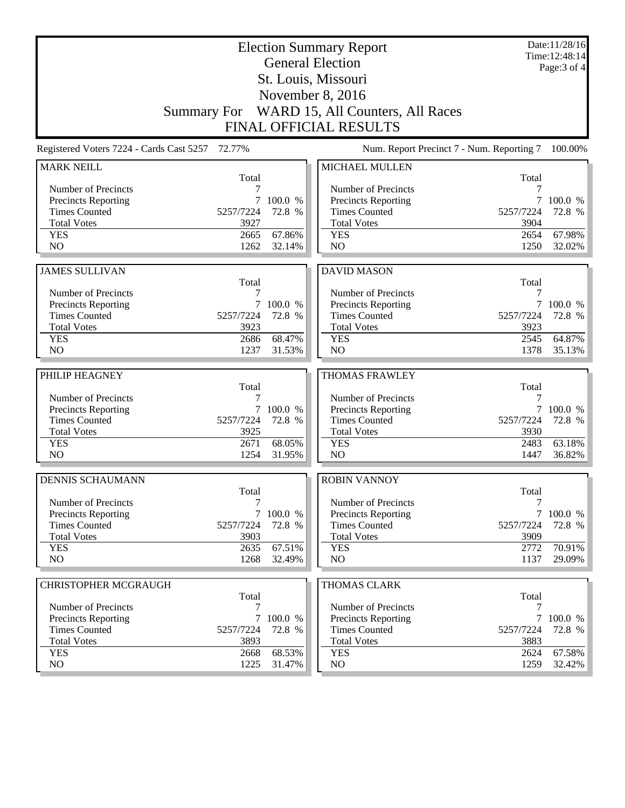|                                                    |                                         | Date:11/28/16<br>Time: 12:48:14 |                                                    |                   |                   |
|----------------------------------------------------|-----------------------------------------|---------------------------------|----------------------------------------------------|-------------------|-------------------|
|                                                    |                                         | Page: 3 of 4                    |                                                    |                   |                   |
|                                                    | St. Louis, Missouri<br>November 8, 2016 |                                 |                                                    |                   |                   |
|                                                    |                                         |                                 |                                                    |                   |                   |
|                                                    |                                         |                                 | Summary For WARD 15, All Counters, All Races       |                   |                   |
|                                                    |                                         |                                 | <b>FINAL OFFICIAL RESULTS</b>                      |                   |                   |
| Registered Voters 7224 - Cards Cast 5257 72.77%    |                                         |                                 | Num. Report Precinct 7 - Num. Reporting 7          |                   | 100.00%           |
| <b>MARK NEILL</b>                                  | Total                                   |                                 | MICHAEL MULLEN                                     | Total             |                   |
| Number of Precincts                                | 7                                       |                                 | Number of Precincts                                | 7                 |                   |
| <b>Precincts Reporting</b>                         | 7                                       | 100.0 %                         | <b>Precincts Reporting</b>                         | 7                 | 100.0 %           |
| <b>Times Counted</b>                               | 5257/7224                               | 72.8 %                          | <b>Times Counted</b>                               | 5257/7224         | 72.8 %            |
| <b>Total Votes</b>                                 | 3927                                    |                                 | <b>Total Votes</b>                                 | 3904              |                   |
| <b>YES</b>                                         | 2665                                    | 67.86%                          | <b>YES</b>                                         | 2654              | 67.98%            |
| NO                                                 | 1262                                    | 32.14%                          | NO                                                 | 1250              | 32.02%            |
|                                                    |                                         |                                 |                                                    |                   |                   |
| <b>JAMES SULLIVAN</b>                              | Total                                   |                                 | <b>DAVID MASON</b>                                 | Total             |                   |
| Number of Precincts                                | 7                                       |                                 | Number of Precincts                                | 7                 |                   |
| Precincts Reporting                                | 7                                       | 100.0 %                         | Precincts Reporting                                | 7                 | 100.0 %           |
| <b>Times Counted</b>                               | 5257/7224                               | 72.8 %                          | <b>Times Counted</b>                               | 5257/7224         | 72.8 %            |
| <b>Total Votes</b>                                 | 3923                                    |                                 | <b>Total Votes</b>                                 | 3923              |                   |
| <b>YES</b>                                         | 2686                                    | 68.47%                          | <b>YES</b>                                         | 2545              | 64.87%            |
| NO                                                 | 1237                                    | 31.53%                          | NO                                                 | 1378              | 35.13%            |
|                                                    |                                         |                                 |                                                    |                   |                   |
| PHILIP HEAGNEY                                     | Total                                   |                                 | <b>THOMAS FRAWLEY</b>                              | Total             |                   |
| Number of Precincts                                | 7                                       |                                 | Number of Precincts                                | 7                 |                   |
| <b>Precincts Reporting</b>                         |                                         | 7 100.0 %                       | Precincts Reporting                                |                   | 7 100.0 %         |
| <b>Times Counted</b>                               | 5257/7224                               | 72.8 %                          | <b>Times Counted</b>                               | 5257/7224         | 72.8 %            |
| <b>Total Votes</b>                                 | 3925                                    |                                 | <b>Total Votes</b>                                 | 3930              |                   |
| <b>YES</b>                                         | 2671                                    | 68.05%                          | <b>YES</b>                                         | 2483              | 63.18%            |
| N <sub>O</sub>                                     | 1254                                    | 31.95%                          | NO                                                 | 1447              | 36.82%            |
| <b>DENNIS SCHAUMANN</b>                            |                                         |                                 | <b>ROBIN VANNOY</b>                                |                   |                   |
|                                                    | Total                                   |                                 |                                                    | Total             |                   |
| Number of Precincts                                | 7                                       |                                 | Number of Precincts                                | 7                 |                   |
| <b>Precincts Reporting</b>                         |                                         | 7 100.0 %                       | Precincts Reporting                                |                   | 7 100.0 %         |
| <b>Times Counted</b><br><b>Total Votes</b>         | 5257/7224<br>3903                       | 72.8 %                          | <b>Times Counted</b><br><b>Total Votes</b>         | 5257/7224<br>3909 | 72.8 %            |
| <b>YES</b>                                         | 2635                                    | 67.51%                          | <b>YES</b>                                         | 2772              | 70.91%            |
| NO                                                 | 1268                                    | 32.49%                          | NO                                                 | 1137              | 29.09%            |
|                                                    |                                         |                                 |                                                    |                   |                   |
| CHRISTOPHER MCGRAUGH                               |                                         |                                 | <b>THOMAS CLARK</b>                                |                   |                   |
|                                                    | Total                                   |                                 |                                                    | Total             |                   |
| Number of Precincts                                | 7                                       |                                 | Number of Precincts                                | 7                 |                   |
| <b>Precincts Reporting</b><br><b>Times Counted</b> | 7<br>5257/7224                          | 100.0 %<br>72.8 %               | <b>Precincts Reporting</b><br><b>Times Counted</b> | 5257/7224         | 100.0 %<br>72.8 % |
| <b>Total Votes</b>                                 | 3893                                    |                                 | <b>Total Votes</b>                                 | 3883              |                   |
| <b>YES</b>                                         | 2668                                    | 68.53%                          | <b>YES</b>                                         | 2624              | 67.58%            |
| NO                                                 | 1225                                    | 31.47%                          | NO                                                 | 1259              | 32.42%            |
|                                                    |                                         |                                 |                                                    |                   |                   |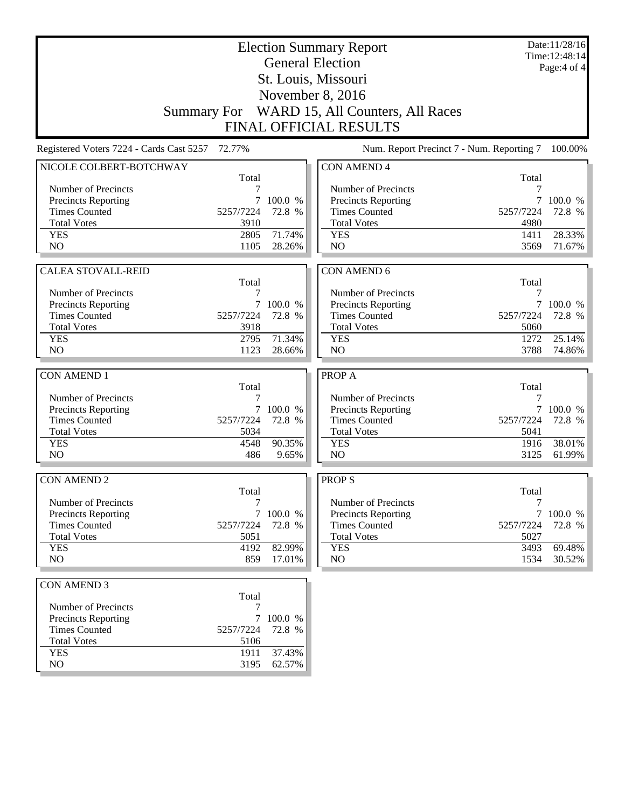|                                                 |              |                  | <b>Election Summary Report</b>               |              | Date:11/28/16<br>Time: 12:48:14 |  |
|-------------------------------------------------|--------------|------------------|----------------------------------------------|--------------|---------------------------------|--|
| <b>General Election</b>                         |              |                  |                                              |              |                                 |  |
|                                                 |              |                  | St. Louis, Missouri                          |              |                                 |  |
|                                                 |              |                  | November 8, 2016                             |              |                                 |  |
|                                                 |              |                  | Summary For WARD 15, All Counters, All Races |              |                                 |  |
|                                                 |              |                  | <b>FINAL OFFICIAL RESULTS</b>                |              |                                 |  |
|                                                 |              |                  |                                              |              |                                 |  |
| Registered Voters 7224 - Cards Cast 5257 72.77% |              |                  | Num. Report Precinct 7 - Num. Reporting 7    |              | 100.00%                         |  |
| NICOLE COLBERT-BOTCHWAY                         |              |                  | <b>CON AMEND 4</b>                           |              |                                 |  |
|                                                 | Total        |                  |                                              | Total        |                                 |  |
| Number of Precincts                             | 7<br>$\tau$  | 100.0 %          | Number of Precincts                          |              | 7 100.0 %                       |  |
| Precincts Reporting<br><b>Times Counted</b>     | 5257/7224    | 72.8 %           | Precincts Reporting<br><b>Times Counted</b>  | 5257/7224    | 72.8 %                          |  |
| <b>Total Votes</b>                              | 3910         |                  | <b>Total Votes</b>                           | 4980         |                                 |  |
| <b>YES</b>                                      | 2805         | 71.74%           | <b>YES</b>                                   | 1411         | 28.33%                          |  |
| N <sub>O</sub>                                  | 1105         | 28.26%           | N <sub>O</sub>                               | 3569         | 71.67%                          |  |
|                                                 |              |                  |                                              |              |                                 |  |
| <b>CALEA STOVALL-REID</b>                       |              |                  | <b>CON AMEND 6</b>                           |              |                                 |  |
|                                                 | Total        |                  |                                              | Total        |                                 |  |
| Number of Precincts                             | 7            |                  | Number of Precincts                          | 7            |                                 |  |
| Precincts Reporting                             |              | 7 100.0 %        | <b>Precincts Reporting</b>                   |              | 7 100.0 %                       |  |
| <b>Times Counted</b>                            | 5257/7224    | 72.8 %           | <b>Times Counted</b>                         | 5257/7224    | 72.8 %                          |  |
| <b>Total Votes</b>                              | 3918         |                  | <b>Total Votes</b>                           | 5060         |                                 |  |
| <b>YES</b>                                      | 2795         | 71.34%           | <b>YES</b>                                   | 1272         | 25.14%                          |  |
| NO                                              | 1123         | 28.66%           | N <sub>O</sub>                               | 3788         | 74.86%                          |  |
|                                                 |              |                  |                                              |              |                                 |  |
|                                                 |              |                  |                                              |              |                                 |  |
| <b>CON AMEND 1</b>                              |              |                  | PROP A                                       |              |                                 |  |
|                                                 | Total        |                  |                                              | Total        |                                 |  |
| Number of Precincts                             | 7            |                  | Number of Precincts                          | 7            |                                 |  |
| Precincts Reporting                             | $\tau$       | 100.0 %          | Precincts Reporting                          |              | 7 100.0 %                       |  |
| <b>Times Counted</b>                            | 5257/7224    | 72.8 %           | <b>Times Counted</b>                         | 5257/7224    | 72.8 %                          |  |
| <b>Total Votes</b>                              | 5034         |                  | <b>Total Votes</b>                           | 5041         |                                 |  |
| <b>YES</b><br>N <sub>O</sub>                    | 4548<br>486  | 90.35%<br>9.65%  | <b>YES</b><br>NO                             | 1916<br>3125 | 38.01%<br>61.99%                |  |
|                                                 |              |                  |                                              |              |                                 |  |
| <b>CON AMEND 2</b>                              |              |                  | <b>PROPS</b>                                 |              |                                 |  |
|                                                 | Total        |                  |                                              | Total        |                                 |  |
| Number of Precincts                             | 7            |                  | Number of Precincts                          | 7            |                                 |  |
| Precincts Reporting                             |              | 7 100.0 %        | <b>Precincts Reporting</b>                   |              | 7 100.0 %                       |  |
| <b>Times Counted</b>                            | 5257/7224    | 72.8 %           | <b>Times Counted</b>                         | 5257/7224    | 72.8 %                          |  |
| <b>Total Votes</b>                              | 5051         |                  | <b>Total Votes</b>                           | 5027         |                                 |  |
| <b>YES</b>                                      | 4192         | 82.99%           | <b>YES</b>                                   | 3493         | 69.48%                          |  |
| NO                                              | 859          | 17.01%           | NO                                           | 1534         | 30.52%                          |  |
|                                                 |              |                  |                                              |              |                                 |  |
| <b>CON AMEND 3</b>                              | Total        |                  |                                              |              |                                 |  |
| Number of Precincts                             | 7            |                  |                                              |              |                                 |  |
| Precincts Reporting                             |              | 7 100.0 %        |                                              |              |                                 |  |
| <b>Times Counted</b>                            | 5257/7224    | 72.8 %           |                                              |              |                                 |  |
| <b>Total Votes</b>                              | 5106         |                  |                                              |              |                                 |  |
| <b>YES</b><br>NO                                | 1911<br>3195 | 37.43%<br>62.57% |                                              |              |                                 |  |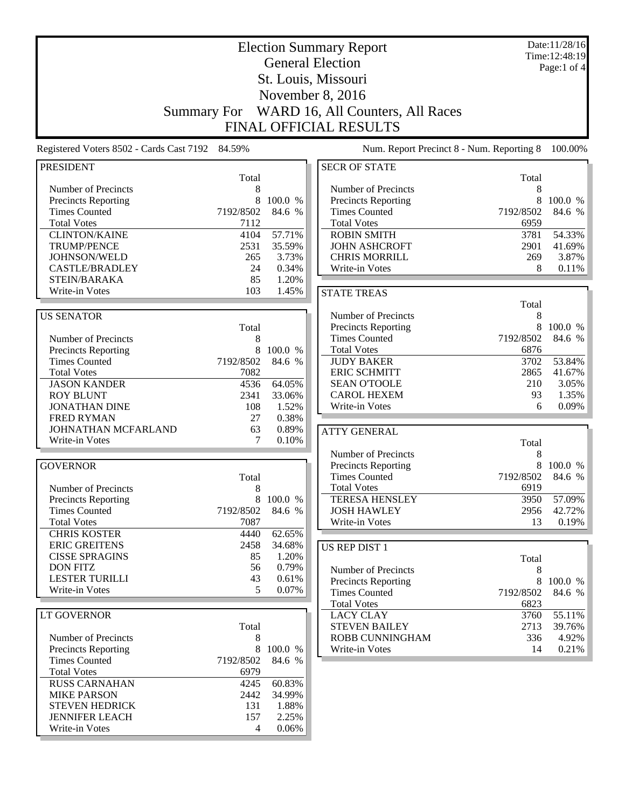|                                                    | <b>Election Summary Report</b> |                |                                                    |                | Date:11/28/16<br>Time: 12:48:19 |
|----------------------------------------------------|--------------------------------|----------------|----------------------------------------------------|----------------|---------------------------------|
|                                                    |                                |                | <b>General Election</b>                            |                | Page:1 of 4                     |
|                                                    |                                |                | St. Louis, Missouri                                |                |                                 |
|                                                    |                                |                | November 8, 2016                                   |                |                                 |
|                                                    |                                |                |                                                    |                |                                 |
|                                                    | <b>Summary For</b>             |                | WARD 16, All Counters, All Races                   |                |                                 |
|                                                    |                                |                | <b>FINAL OFFICIAL RESULTS</b>                      |                |                                 |
| Registered Voters 8502 - Cards Cast 7192 84.59%    |                                |                | Num. Report Precinct 8 - Num. Reporting 8          |                | 100.00%                         |
| <b>PRESIDENT</b>                                   | Total                          |                | <b>SECR OF STATE</b>                               | Total          |                                 |
| Number of Precincts                                | 8                              |                | Number of Precincts                                | 8              |                                 |
| <b>Precincts Reporting</b>                         | 8                              | 100.0 %        | Precincts Reporting                                | 8              | 100.0 %                         |
| <b>Times Counted</b>                               | 7192/8502                      | 84.6 %         | <b>Times Counted</b>                               | 7192/8502      | 84.6 %                          |
| <b>Total Votes</b>                                 | 7112                           |                | <b>Total Votes</b>                                 | 6959           |                                 |
| <b>CLINTON/KAINE</b>                               | 4104                           | 57.71%         | <b>ROBIN SMITH</b>                                 | 3781           | 54.33%                          |
| <b>TRUMP/PENCE</b>                                 | 2531                           | 35.59%         | <b>JOHN ASHCROFT</b>                               | 2901           | 41.69%                          |
| JOHNSON/WELD                                       | 265                            | 3.73%          | <b>CHRIS MORRILL</b>                               | 269            | 3.87%                           |
| <b>CASTLE/BRADLEY</b>                              | 24                             | 0.34%          | Write-in Votes                                     | 8              | 0.11%                           |
| STEIN/BARAKA                                       | 85                             | 1.20%<br>1.45% |                                                    |                |                                 |
| Write-in Votes                                     | 103                            |                | <b>STATE TREAS</b>                                 |                |                                 |
|                                                    |                                |                |                                                    | Total          |                                 |
| <b>US SENATOR</b>                                  |                                |                | Number of Precincts                                | 8              |                                 |
|                                                    | Total                          |                | <b>Precincts Reporting</b><br><b>Times Counted</b> | 8<br>7192/8502 | 100.0 %<br>84.6 %               |
| Number of Precincts                                | 8<br>8                         | 100.0 %        | <b>Total Votes</b>                                 | 6876           |                                 |
| <b>Precincts Reporting</b><br><b>Times Counted</b> | 7192/8502                      | 84.6 %         | <b>JUDY BAKER</b>                                  | 3702           | 53.84%                          |
| <b>Total Votes</b>                                 | 7082                           |                | <b>ERIC SCHMITT</b>                                | 2865           | 41.67%                          |
| <b>JASON KANDER</b>                                | 4536                           | 64.05%         | <b>SEAN O'TOOLE</b>                                | 210            | 3.05%                           |
| <b>ROY BLUNT</b>                                   | 2341                           | 33.06%         | <b>CAROL HEXEM</b>                                 | 93             | 1.35%                           |
| <b>JONATHAN DINE</b>                               | 108                            | 1.52%          | Write-in Votes                                     | 6              | 0.09%                           |
| <b>FRED RYMAN</b>                                  | 27                             | 0.38%          |                                                    |                |                                 |
| JOHNATHAN MCFARLAND                                | 63                             | 0.89%          | <b>ATTY GENERAL</b>                                |                |                                 |
| Write-in Votes                                     | 7                              | 0.10%          |                                                    | Total          |                                 |
|                                                    |                                |                | Number of Precincts                                | 8              |                                 |
| <b>GOVERNOR</b>                                    |                                |                | <b>Precincts Reporting</b>                         | 8              | 100.0 %                         |
|                                                    | Total                          |                | <b>Times Counted</b>                               | 7192/8502      | 84.6 %                          |
| Number of Precincts                                | 8                              |                | <b>Total Votes</b>                                 | 6919           |                                 |
| <b>Precincts Reporting</b>                         |                                | 8 100.0 %      | <b>TERESA HENSLEY</b>                              | 3950           | 57.09%                          |
| <b>Times Counted</b>                               | 7192/8502                      | 84.6 %         | <b>JOSH HAWLEY</b>                                 | 2956           | 42.72%                          |
| <b>Total Votes</b>                                 | 7087                           |                | Write-in Votes                                     | 13             | 0.19%                           |
| <b>CHRIS KOSTER</b>                                | 4440                           | 62.65%         |                                                    |                |                                 |
| <b>ERIC GREITENS</b>                               | 2458                           | 34.68%         | <b>US REP DIST 1</b>                               |                |                                 |
| <b>CISSE SPRAGINS</b>                              | 85                             | 1.20%          |                                                    | Total          |                                 |
| <b>DON FITZ</b>                                    | 56                             | 0.79%          | Number of Precincts                                | 8              |                                 |
| <b>LESTER TURILLI</b>                              | 43                             | 0.61%          | Precincts Reporting                                | 8              | 100.0 %                         |
| Write-in Votes                                     | 5                              | 0.07%          | <b>Times Counted</b>                               | 7192/8502      | 84.6 %                          |
|                                                    |                                |                | <b>Total Votes</b>                                 | 6823           |                                 |
| LT GOVERNOR                                        |                                |                | <b>LACY CLAY</b>                                   | 3760           | 55.11%                          |
|                                                    | Total                          |                | <b>STEVEN BAILEY</b>                               | 2713           | 39.76%                          |
| Number of Precincts                                | 8                              |                | ROBB CUNNINGHAM                                    | 336            | 4.92%                           |
| <b>Precincts Reporting</b>                         | 8                              | 100.0 %        | Write-in Votes                                     | 14             | 0.21%                           |
| <b>Times Counted</b><br><b>Total Votes</b>         | 7192/8502<br>6979              | 84.6 %         |                                                    |                |                                 |
| <b>RUSS CARNAHAN</b>                               | 4245                           | 60.83%         |                                                    |                |                                 |
| <b>MIKE PARSON</b>                                 | 2442                           | 34.99%         |                                                    |                |                                 |
| <b>STEVEN HEDRICK</b>                              | 131                            | 1.88%          |                                                    |                |                                 |
| <b>JENNIFER LEACH</b>                              | 157                            | 2.25%          |                                                    |                |                                 |
| Write-in Votes                                     | 4                              | 0.06%          |                                                    |                |                                 |
|                                                    |                                |                |                                                    |                |                                 |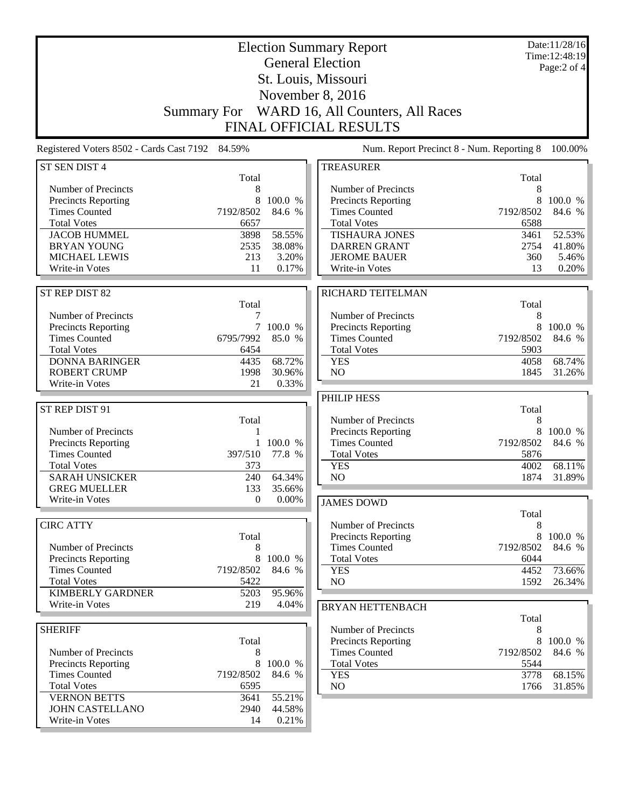|                                                 | <b>Election Summary Report</b><br><b>General Election</b> |          |                                                   |            | Date:11/28/16<br>Time: 12:48:19 |
|-------------------------------------------------|-----------------------------------------------------------|----------|---------------------------------------------------|------------|---------------------------------|
|                                                 |                                                           |          |                                                   |            | Page:2 of 4                     |
|                                                 |                                                           |          | St. Louis, Missouri                               |            |                                 |
|                                                 |                                                           |          | November 8, 2016                                  |            |                                 |
|                                                 | <b>Summary For</b>                                        |          | WARD 16, All Counters, All Races                  |            |                                 |
|                                                 |                                                           |          | <b>FINAL OFFICIAL RESULTS</b>                     |            |                                 |
| Registered Voters 8502 - Cards Cast 7192 84.59% |                                                           |          | Num. Report Precinct 8 - Num. Reporting 8         |            | 100.00%                         |
| ST SEN DIST 4                                   |                                                           |          | <b>TREASURER</b>                                  |            |                                 |
| Number of Precincts                             | Total<br>8                                                |          | Number of Precincts                               | Total<br>8 |                                 |
| Precincts Reporting                             | 8                                                         | 100.0 %  | <b>Precincts Reporting</b>                        | 8          | 100.0 %                         |
| <b>Times Counted</b>                            | 7192/8502                                                 | 84.6 %   | <b>Times Counted</b>                              | 7192/8502  | 84.6 %                          |
| <b>Total Votes</b>                              | 6657                                                      |          | <b>Total Votes</b>                                | 6588       |                                 |
| <b>JACOB HUMMEL</b>                             | 3898                                                      | 58.55%   | <b>TISHAURA JONES</b>                             | 3461       | 52.53%                          |
| <b>BRYAN YOUNG</b>                              | 2535                                                      | 38.08%   | <b>DARREN GRANT</b>                               | 2754       | 41.80%                          |
| <b>MICHAEL LEWIS</b>                            | 213                                                       | 3.20%    | <b>JEROME BAUER</b>                               | 360        | 5.46%                           |
| Write-in Votes                                  | 11                                                        | 0.17%    | Write-in Votes                                    | 13         | 0.20%                           |
| ST REP DIST 82                                  |                                                           |          | RICHARD TEITELMAN                                 |            |                                 |
|                                                 | Total                                                     |          |                                                   | Total      |                                 |
| Number of Precincts                             | 7                                                         |          | Number of Precincts                               | 8          |                                 |
| Precincts Reporting                             | 7                                                         | 100.0 %  | <b>Precincts Reporting</b>                        | 8          | 100.0 %                         |
| <b>Times Counted</b>                            | 6795/7992                                                 | 85.0 %   | <b>Times Counted</b>                              | 7192/8502  | 84.6 %                          |
| <b>Total Votes</b>                              | 6454                                                      |          | <b>Total Votes</b>                                | 5903       |                                 |
| <b>DONNA BARINGER</b>                           | 4435                                                      | 68.72%   | <b>YES</b>                                        | 4058       | 68.74%                          |
| <b>ROBERT CRUMP</b>                             | 1998                                                      | 30.96%   | N <sub>O</sub>                                    | 1845       | 31.26%                          |
| Write-in Votes                                  | 21                                                        | 0.33%    | PHILIP HESS                                       |            |                                 |
| ST REP DIST 91                                  |                                                           |          |                                                   | Total      |                                 |
|                                                 | Total                                                     |          | Number of Precincts                               | 8          |                                 |
| Number of Precincts                             |                                                           |          | <b>Precincts Reporting</b>                        | 8          | 100.0 %                         |
| <b>Precincts Reporting</b>                      |                                                           | 100.0 %  | <b>Times Counted</b>                              | 7192/8502  | 84.6 %                          |
| <b>Times Counted</b>                            | 397/510                                                   | 77.8 %   | <b>Total Votes</b>                                | 5876       |                                 |
| <b>Total Votes</b>                              | 373                                                       |          | <b>YES</b>                                        | 4002       | 68.11%                          |
| <b>SARAH UNSICKER</b>                           | 240                                                       | 64.34%   | N <sub>O</sub>                                    | 1874       | 31.89%                          |
| <b>GREG MUELLER</b>                             | 133                                                       | 35.66%   |                                                   |            |                                 |
| Write-in Votes                                  | $\boldsymbol{0}$                                          | $0.00\%$ | <b>JAMES DOWD</b>                                 |            |                                 |
| <b>CIRC ATTY</b>                                |                                                           |          | Number of Precincts                               | Total<br>8 |                                 |
|                                                 | Total                                                     |          | <b>Precincts Reporting</b>                        | 8          | 100.0 %                         |
| Number of Precincts                             | 8                                                         |          | <b>Times Counted</b>                              | 7192/8502  | 84.6 %                          |
| <b>Precincts Reporting</b>                      | 8                                                         | 100.0 %  | <b>Total Votes</b>                                | 6044       |                                 |
| <b>Times Counted</b>                            | 7192/8502                                                 | 84.6 %   | <b>YES</b>                                        | 4452       | 73.66%                          |
| <b>Total Votes</b>                              | 5422                                                      |          | NO.                                               | 1592       | 26.34%                          |
| <b>KIMBERLY GARDNER</b>                         | 5203                                                      | 95.96%   |                                                   |            |                                 |
| Write-in Votes                                  | 219                                                       | 4.04%    | <b>BRYAN HETTENBACH</b>                           |            |                                 |
|                                                 |                                                           |          |                                                   | Total      |                                 |
| <b>SHERIFF</b>                                  | Total                                                     |          | Number of Precincts<br><b>Precincts Reporting</b> | 8<br>8     | 100.0 %                         |
| Number of Precincts                             | 8                                                         |          | <b>Times Counted</b>                              | 7192/8502  | 84.6 %                          |
| <b>Precincts Reporting</b>                      | 8                                                         | 100.0 %  | <b>Total Votes</b>                                | 5544       |                                 |
| <b>Times Counted</b>                            | 7192/8502                                                 | 84.6 %   | <b>YES</b>                                        | 3778       | 68.15%                          |
| <b>Total Votes</b>                              | 6595                                                      |          | NO                                                | 1766       | 31.85%                          |
| <b>VERNON BETTS</b>                             | 3641                                                      | 55.21%   |                                                   |            |                                 |
| <b>JOHN CASTELLANO</b>                          | 2940                                                      | 44.58%   |                                                   |            |                                 |
| Write-in Votes                                  |                                                           | 0.21%    |                                                   |            |                                 |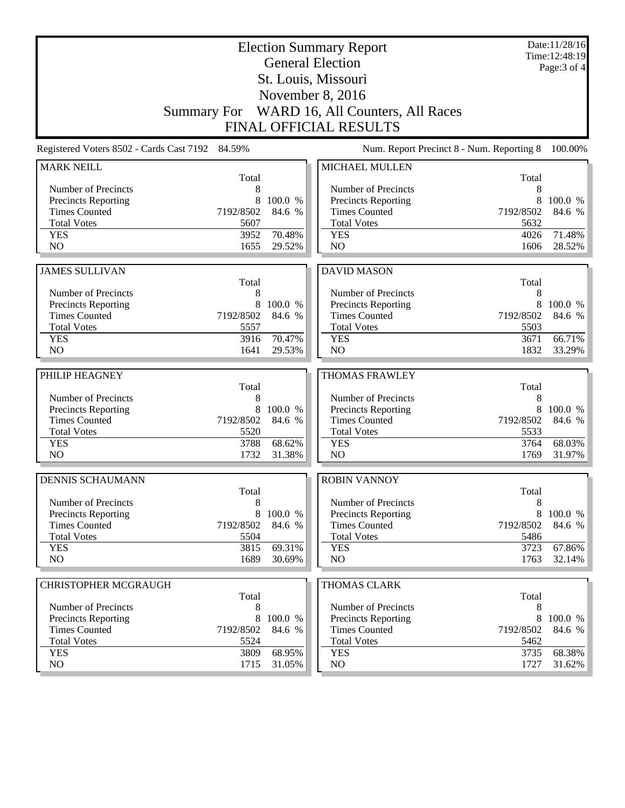|                                                 |              | Date:11/28/16<br>Time: 12:48:19<br>Page: 3 of 4 |                                                    |              |                   |
|-------------------------------------------------|--------------|-------------------------------------------------|----------------------------------------------------|--------------|-------------------|
|                                                 |              |                                                 |                                                    |              |                   |
|                                                 |              |                                                 | St. Louis, Missouri<br>November 8, 2016            |              |                   |
|                                                 |              |                                                 | Summary For WARD 16, All Counters, All Races       |              |                   |
|                                                 |              |                                                 | <b>FINAL OFFICIAL RESULTS</b>                      |              |                   |
| Registered Voters 8502 - Cards Cast 7192 84.59% |              |                                                 | Num. Report Precinct 8 - Num. Reporting 8          |              | 100.00%           |
| <b>MARK NEILL</b>                               |              |                                                 | MICHAEL MULLEN                                     |              |                   |
|                                                 | Total        |                                                 |                                                    | Total        |                   |
| Number of Precincts                             | 8<br>8       | 100.0 %                                         | Number of Precincts                                | 8<br>8       |                   |
| Precincts Reporting<br><b>Times Counted</b>     | 7192/8502    | 84.6 %                                          | <b>Precincts Reporting</b><br><b>Times Counted</b> | 7192/8502    | 100.0 %<br>84.6 % |
| <b>Total Votes</b>                              | 5607         |                                                 | <b>Total Votes</b>                                 | 5632         |                   |
| <b>YES</b>                                      | 3952         | 70.48%                                          | <b>YES</b>                                         | 4026         | 71.48%            |
| N <sub>O</sub>                                  | 1655         | 29.52%                                          | NO                                                 | 1606         | 28.52%            |
|                                                 |              |                                                 |                                                    |              |                   |
| <b>JAMES SULLIVAN</b>                           | Total        |                                                 | <b>DAVID MASON</b>                                 | Total        |                   |
| Number of Precincts                             | 8            |                                                 | Number of Precincts                                | 8            |                   |
| Precincts Reporting                             | 8            | 100.0 %                                         | Precincts Reporting                                | 8            | 100.0 %           |
| <b>Times Counted</b>                            | 7192/8502    | 84.6 %                                          | <b>Times Counted</b>                               | 7192/8502    | 84.6 %            |
| <b>Total Votes</b>                              | 5557         |                                                 | <b>Total Votes</b>                                 | 5503         |                   |
| <b>YES</b>                                      | 3916         | 70.47%                                          | <b>YES</b>                                         | 3671         | 66.71%            |
| NO                                              | 1641         | 29.53%                                          | N <sub>O</sub>                                     | 1832         | 33.29%            |
| PHILIP HEAGNEY                                  |              |                                                 | <b>THOMAS FRAWLEY</b>                              |              |                   |
|                                                 | Total        |                                                 |                                                    | Total        |                   |
| Number of Precincts                             | 8            |                                                 | Number of Precincts                                | 8            |                   |
| Precincts Reporting                             | 8            | 100.0 %                                         | <b>Precincts Reporting</b>                         | 8            | 100.0 %           |
| <b>Times Counted</b>                            | 7192/8502    | 84.6 %                                          | <b>Times Counted</b>                               | 7192/8502    | 84.6 %            |
| <b>Total Votes</b><br><b>YES</b>                | 5520<br>3788 | 68.62%                                          | <b>Total Votes</b><br><b>YES</b>                   | 5533<br>3764 | 68.03%            |
| NO                                              | 1732         | 31.38%                                          | NO                                                 | 1769         | 31.97%            |
|                                                 |              |                                                 |                                                    |              |                   |
| <b>DENNIS SCHAUMANN</b>                         | Total        |                                                 | <b>ROBIN VANNOY</b>                                | Total        |                   |
| Number of Precincts                             | 8            |                                                 | Number of Precincts                                | 8            |                   |
| Precincts Reporting                             |              | 8 100.0 %                                       | Precincts Reporting                                | 8            | 100.0 %           |
| <b>Times Counted</b>                            | 7192/8502    | 84.6 %                                          | <b>Times Counted</b>                               | 7192/8502    | 84.6 %            |
| <b>Total Votes</b>                              | 5504         |                                                 | <b>Total Votes</b>                                 | 5486         |                   |
| <b>YES</b>                                      | 3815         | 69.31%                                          | <b>YES</b>                                         | 3723         | 67.86%            |
| NO                                              | 1689         | 30.69%                                          | NO                                                 | 1763         | $32.14\%$         |
| <b>CHRISTOPHER MCGRAUGH</b>                     |              |                                                 | THOMAS CLARK                                       |              |                   |
|                                                 | Total        |                                                 |                                                    | Total        |                   |
| Number of Precincts                             | 8            |                                                 | Number of Precincts                                | 8            |                   |
| <b>Precincts Reporting</b>                      | 8            | 100.0 %                                         | <b>Precincts Reporting</b>                         | 8            | 100.0 %           |
| <b>Times Counted</b>                            | 7192/8502    | 84.6 %                                          | <b>Times Counted</b>                               | 7192/8502    | 84.6 %            |
| <b>Total Votes</b><br><b>YES</b>                | 5524<br>3809 | 68.95%                                          | <b>Total Votes</b><br><b>YES</b>                   | 5462<br>3735 | 68.38%            |
|                                                 |              |                                                 |                                                    |              |                   |
| $\rm NO$                                        | 1715         | 31.05%                                          | NO.                                                | 1727         | $31.62\%$         |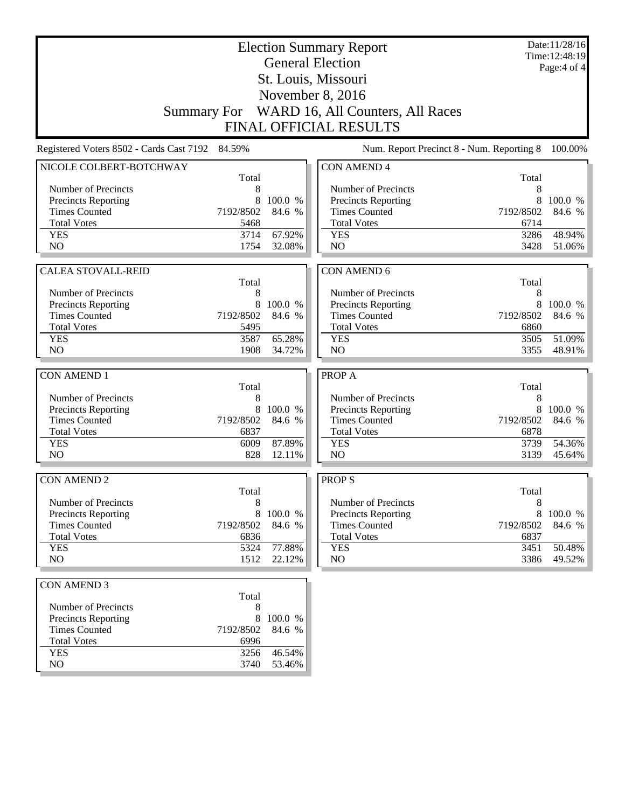| <b>Election Summary Report</b><br><b>General Election</b> |                                              |                  |                                                   |              | Date:11/28/16<br>Time: 12:48:19 |  |  |
|-----------------------------------------------------------|----------------------------------------------|------------------|---------------------------------------------------|--------------|---------------------------------|--|--|
|                                                           |                                              |                  |                                                   |              | Page:4 of 4                     |  |  |
|                                                           | St. Louis, Missouri                          |                  |                                                   |              |                                 |  |  |
|                                                           | November 8, 2016                             |                  |                                                   |              |                                 |  |  |
|                                                           | Summary For WARD 16, All Counters, All Races |                  |                                                   |              |                                 |  |  |
|                                                           |                                              |                  | FINAL OFFICIAL RESULTS                            |              |                                 |  |  |
| Registered Voters 8502 - Cards Cast 7192 84.59%           |                                              |                  | Num. Report Precinct 8 - Num. Reporting 8         |              | 100.00%                         |  |  |
| NICOLE COLBERT-BOTCHWAY                                   | Total                                        |                  | <b>CON AMEND 4</b>                                | Total        |                                 |  |  |
| Number of Precincts                                       | 8                                            |                  | Number of Precincts                               | 8            |                                 |  |  |
| Precincts Reporting                                       | 8                                            | 100.0 %          | Precincts Reporting                               | 8            | 100.0 %                         |  |  |
| <b>Times Counted</b>                                      | 7192/8502                                    | 84.6 %           | <b>Times Counted</b>                              | 7192/8502    | 84.6 %                          |  |  |
| <b>Total Votes</b>                                        | 5468                                         |                  | <b>Total Votes</b>                                | 6714         |                                 |  |  |
| <b>YES</b>                                                | 3714                                         | 67.92%           | <b>YES</b>                                        | 3286         | 48.94%                          |  |  |
| N <sub>O</sub>                                            | 1754                                         | 32.08%           | N <sub>O</sub>                                    | 3428         | 51.06%                          |  |  |
|                                                           |                                              |                  |                                                   |              |                                 |  |  |
| <b>CALEA STOVALL-REID</b>                                 |                                              |                  | <b>CON AMEND 6</b>                                |              |                                 |  |  |
|                                                           | Total                                        |                  |                                                   | Total        |                                 |  |  |
| Number of Precincts<br>Precincts Reporting                | 8<br>8                                       | 100.0 %          | Number of Precincts<br><b>Precincts Reporting</b> | 8            | 8 100.0 %                       |  |  |
| <b>Times Counted</b>                                      | 7192/8502                                    | 84.6 %           | <b>Times Counted</b>                              | 7192/8502    | 84.6 %                          |  |  |
| <b>Total Votes</b>                                        | 5495                                         |                  | <b>Total Votes</b>                                | 6860         |                                 |  |  |
| <b>YES</b>                                                | 3587                                         | 65.28%           | <b>YES</b>                                        | 3505         | 51.09%                          |  |  |
| NO                                                        | 1908                                         | 34.72%           | N <sub>O</sub>                                    | 3355         | 48.91%                          |  |  |
|                                                           |                                              |                  |                                                   |              |                                 |  |  |
| <b>CON AMEND 1</b>                                        | Total                                        |                  | PROP A                                            | Total        |                                 |  |  |
| Number of Precincts                                       | 8                                            |                  | Number of Precincts                               | 8            |                                 |  |  |
| Precincts Reporting                                       | 8                                            | 100.0 %          | Precincts Reporting                               | 8            | 100.0 %                         |  |  |
| <b>Times Counted</b>                                      | 7192/8502                                    | 84.6 %           | <b>Times Counted</b>                              | 7192/8502    | 84.6 %                          |  |  |
| <b>Total Votes</b>                                        | 6837                                         |                  | <b>Total Votes</b>                                | 6878         |                                 |  |  |
| <b>YES</b>                                                | 6009                                         | 87.89%           | <b>YES</b>                                        | 3739         | 54.36%                          |  |  |
| N <sub>O</sub>                                            | 828                                          | 12.11%           | N <sub>O</sub>                                    | 3139         | 45.64%                          |  |  |
| <b>CON AMEND 2</b>                                        |                                              |                  | <b>PROPS</b>                                      |              |                                 |  |  |
|                                                           | Total                                        |                  |                                                   | Total        |                                 |  |  |
| Number of Precincts                                       | 8                                            |                  | Number of Precincts                               | 8            |                                 |  |  |
| <b>Precincts Reporting</b>                                | 8                                            | 100.0 %          | <b>Precincts Reporting</b>                        | 8            | 100.0 %                         |  |  |
| <b>Times Counted</b>                                      | 7192/8502                                    | 84.6 %           | <b>Times Counted</b>                              | 7192/8502    | 84.6 %                          |  |  |
| <b>Total Votes</b>                                        | 6836                                         |                  | <b>Total Votes</b>                                | 6837         |                                 |  |  |
| <b>YES</b><br>NO                                          | 5324<br>1512                                 | 77.88%<br>22.12% | <b>YES</b><br>$\rm NO$                            | 3451<br>3386 | 50.48%<br>49.52%                |  |  |
|                                                           |                                              |                  |                                                   |              |                                 |  |  |
| <b>CON AMEND 3</b>                                        |                                              |                  |                                                   |              |                                 |  |  |
|                                                           | Total                                        |                  |                                                   |              |                                 |  |  |
| Number of Precincts                                       | 8                                            |                  |                                                   |              |                                 |  |  |
| Precincts Reporting                                       | 8                                            | 100.0 %          |                                                   |              |                                 |  |  |
| <b>Times Counted</b>                                      | 7192/8502                                    | 84.6 %           |                                                   |              |                                 |  |  |
| <b>Total Votes</b><br><b>YES</b>                          | 6996                                         |                  |                                                   |              |                                 |  |  |
|                                                           |                                              |                  |                                                   |              |                                 |  |  |
| NO                                                        | 3256<br>3740                                 | 46.54%<br>53.46% |                                                   |              |                                 |  |  |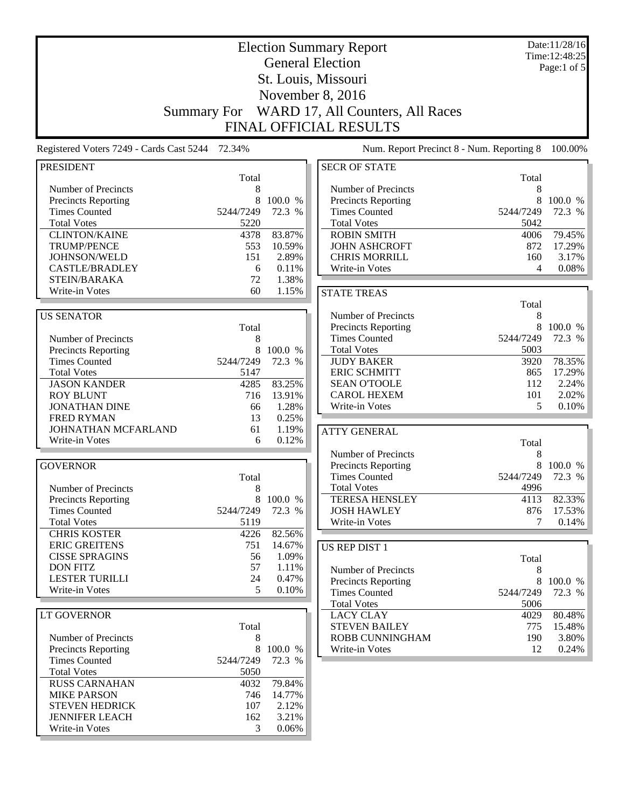| Page:1 of 5<br>St. Louis, Missouri<br>November 8, 2016<br>Summary For WARD 17, All Counters, All Races<br><b>FINAL OFFICIAL RESULTS</b><br>Num. Report Precinct 8 - Num. Reporting 8<br>Registered Voters 7249 - Cards Cast 5244 72.34%<br>100.00%<br><b>SECR OF STATE</b><br><b>PRESIDENT</b><br>Total<br>Total<br>Number of Precincts<br>Number of Precincts<br>8<br>8<br>8<br>100.0 %<br>8<br>100.0 %<br>Precincts Reporting<br>Precincts Reporting<br>72.3 %<br><b>Times Counted</b><br>5244/7249<br>72.3 %<br><b>Times Counted</b><br>5244/7249<br><b>Total Votes</b><br>5220<br><b>Total Votes</b><br>5042<br>83.87%<br><b>CLINTON/KAINE</b><br>4378<br><b>ROBIN SMITH</b><br>79.45%<br>4006<br><b>TRUMP/PENCE</b><br>553<br>10.59%<br><b>JOHN ASHCROFT</b><br>872<br>17.29%<br>JOHNSON/WELD<br>151<br>2.89%<br><b>CHRIS MORRILL</b><br>160<br>3.17%<br><b>CASTLE/BRADLEY</b><br>0.11%<br>Write-in Votes<br>4<br>0.08%<br>6<br>1.38%<br>STEIN/BARAKA<br>72<br>60<br>Write-in Votes<br>1.15%<br><b>STATE TREAS</b><br>Total<br>Number of Precincts<br>8<br><b>US SENATOR</b><br><b>Precincts Reporting</b><br>8<br>100.0 %<br>Total<br><b>Times Counted</b><br>5244/7249<br>72.3 %<br>Number of Precincts<br>8<br><b>Total Votes</b><br>5003<br>8<br>100.0 %<br>Precincts Reporting<br>78.35%<br><b>Times Counted</b><br>5244/7249<br>72.3 %<br><b>JUDY BAKER</b><br>3920<br>17.29%<br><b>Total Votes</b><br>5147<br><b>ERIC SCHMITT</b><br>865<br>2.24%<br>83.25%<br><b>SEAN O'TOOLE</b><br>112<br>4285<br><b>JASON KANDER</b><br>2.02%<br><b>CAROL HEXEM</b><br>101<br>13.91%<br><b>ROY BLUNT</b><br>716<br>5<br>0.10%<br><b>JONATHAN DINE</b><br>1.28%<br>Write-in Votes<br>66<br><b>FRED RYMAN</b><br>13<br>0.25%<br>JOHNATHAN MCFARLAND<br>1.19%<br>61<br><b>ATTY GENERAL</b><br>Write-in Votes<br>0.12%<br>6<br>Total<br>Number of Precincts<br>8<br>Precincts Reporting<br>8<br><b>GOVERNOR</b><br>100.0 %<br><b>Times Counted</b><br>5244/7249<br>72.3 %<br>Total<br>4996<br><b>Total Votes</b><br>Number of Precincts<br>8<br>8 100.0 %<br><b>TERESA HENSLEY</b><br>Precincts Reporting<br>82.33%<br>4113<br><b>Times Counted</b><br>72.3 %<br><b>JOSH HAWLEY</b><br>876<br>17.53%<br>5244/7249<br><b>Total Votes</b><br>5119<br>Write-in Votes<br>0.14%<br>7<br><b>CHRIS KOSTER</b><br>82.56%<br>4226<br><b>ERIC GREITENS</b><br>751<br>14.67%<br><b>US REP DIST 1</b><br><b>CISSE SPRAGINS</b><br>1.09%<br>56<br>Total<br><b>DON FITZ</b><br>57<br>1.11%<br>Number of Precincts<br>8<br><b>LESTER TURILLI</b><br>24<br>0.47%<br>Precincts Reporting<br>8 100.0 %<br>0.10%<br>Write-in Votes<br>5<br><b>Times Counted</b><br>5244/7249<br>72.3 %<br><b>Total Votes</b><br>5006<br>LT GOVERNOR<br>80.48%<br><b>LACY CLAY</b><br>4029<br>Total<br><b>STEVEN BAILEY</b><br>775<br>15.48%<br>3.80%<br>Number of Precincts<br>ROBB CUNNINGHAM<br>190<br>8<br><b>Precincts Reporting</b><br>8<br>100.0 %<br>Write-in Votes<br>12<br>0.24%<br><b>Times Counted</b><br>5244/7249<br>72.3 %<br><b>Total Votes</b><br>5050<br><b>RUSS CARNAHAN</b><br>79.84%<br>4032<br><b>MIKE PARSON</b><br>746<br>14.77%<br><b>STEVEN HEDRICK</b><br>2.12%<br>107<br><b>JENNIFER LEACH</b><br>162<br>3.21%<br>Write-in Votes<br>0.06%<br>3 | <b>Election Summary Report</b> |  |  |  |  | Date:11/28/16<br>Time: 12:48:25 |  |
|------------------------------------------------------------------------------------------------------------------------------------------------------------------------------------------------------------------------------------------------------------------------------------------------------------------------------------------------------------------------------------------------------------------------------------------------------------------------------------------------------------------------------------------------------------------------------------------------------------------------------------------------------------------------------------------------------------------------------------------------------------------------------------------------------------------------------------------------------------------------------------------------------------------------------------------------------------------------------------------------------------------------------------------------------------------------------------------------------------------------------------------------------------------------------------------------------------------------------------------------------------------------------------------------------------------------------------------------------------------------------------------------------------------------------------------------------------------------------------------------------------------------------------------------------------------------------------------------------------------------------------------------------------------------------------------------------------------------------------------------------------------------------------------------------------------------------------------------------------------------------------------------------------------------------------------------------------------------------------------------------------------------------------------------------------------------------------------------------------------------------------------------------------------------------------------------------------------------------------------------------------------------------------------------------------------------------------------------------------------------------------------------------------------------------------------------------------------------------------------------------------------------------------------------------------------------------------------------------------------------------------------------------------------------------------------------------------------------------------------------------------------------------------------------------------------------------------------------------------------------------------------------------------------------------------------------------------------------------------------------------------------------------------------------------------------------------------------------------------------------------------------------------------------------------------------------------------------------------------|--------------------------------|--|--|--|--|---------------------------------|--|
|                                                                                                                                                                                                                                                                                                                                                                                                                                                                                                                                                                                                                                                                                                                                                                                                                                                                                                                                                                                                                                                                                                                                                                                                                                                                                                                                                                                                                                                                                                                                                                                                                                                                                                                                                                                                                                                                                                                                                                                                                                                                                                                                                                                                                                                                                                                                                                                                                                                                                                                                                                                                                                                                                                                                                                                                                                                                                                                                                                                                                                                                                                                                                                                                                                    | <b>General Election</b>        |  |  |  |  |                                 |  |
|                                                                                                                                                                                                                                                                                                                                                                                                                                                                                                                                                                                                                                                                                                                                                                                                                                                                                                                                                                                                                                                                                                                                                                                                                                                                                                                                                                                                                                                                                                                                                                                                                                                                                                                                                                                                                                                                                                                                                                                                                                                                                                                                                                                                                                                                                                                                                                                                                                                                                                                                                                                                                                                                                                                                                                                                                                                                                                                                                                                                                                                                                                                                                                                                                                    |                                |  |  |  |  |                                 |  |
|                                                                                                                                                                                                                                                                                                                                                                                                                                                                                                                                                                                                                                                                                                                                                                                                                                                                                                                                                                                                                                                                                                                                                                                                                                                                                                                                                                                                                                                                                                                                                                                                                                                                                                                                                                                                                                                                                                                                                                                                                                                                                                                                                                                                                                                                                                                                                                                                                                                                                                                                                                                                                                                                                                                                                                                                                                                                                                                                                                                                                                                                                                                                                                                                                                    |                                |  |  |  |  |                                 |  |
|                                                                                                                                                                                                                                                                                                                                                                                                                                                                                                                                                                                                                                                                                                                                                                                                                                                                                                                                                                                                                                                                                                                                                                                                                                                                                                                                                                                                                                                                                                                                                                                                                                                                                                                                                                                                                                                                                                                                                                                                                                                                                                                                                                                                                                                                                                                                                                                                                                                                                                                                                                                                                                                                                                                                                                                                                                                                                                                                                                                                                                                                                                                                                                                                                                    |                                |  |  |  |  |                                 |  |
|                                                                                                                                                                                                                                                                                                                                                                                                                                                                                                                                                                                                                                                                                                                                                                                                                                                                                                                                                                                                                                                                                                                                                                                                                                                                                                                                                                                                                                                                                                                                                                                                                                                                                                                                                                                                                                                                                                                                                                                                                                                                                                                                                                                                                                                                                                                                                                                                                                                                                                                                                                                                                                                                                                                                                                                                                                                                                                                                                                                                                                                                                                                                                                                                                                    |                                |  |  |  |  |                                 |  |
|                                                                                                                                                                                                                                                                                                                                                                                                                                                                                                                                                                                                                                                                                                                                                                                                                                                                                                                                                                                                                                                                                                                                                                                                                                                                                                                                                                                                                                                                                                                                                                                                                                                                                                                                                                                                                                                                                                                                                                                                                                                                                                                                                                                                                                                                                                                                                                                                                                                                                                                                                                                                                                                                                                                                                                                                                                                                                                                                                                                                                                                                                                                                                                                                                                    |                                |  |  |  |  |                                 |  |
|                                                                                                                                                                                                                                                                                                                                                                                                                                                                                                                                                                                                                                                                                                                                                                                                                                                                                                                                                                                                                                                                                                                                                                                                                                                                                                                                                                                                                                                                                                                                                                                                                                                                                                                                                                                                                                                                                                                                                                                                                                                                                                                                                                                                                                                                                                                                                                                                                                                                                                                                                                                                                                                                                                                                                                                                                                                                                                                                                                                                                                                                                                                                                                                                                                    |                                |  |  |  |  |                                 |  |
|                                                                                                                                                                                                                                                                                                                                                                                                                                                                                                                                                                                                                                                                                                                                                                                                                                                                                                                                                                                                                                                                                                                                                                                                                                                                                                                                                                                                                                                                                                                                                                                                                                                                                                                                                                                                                                                                                                                                                                                                                                                                                                                                                                                                                                                                                                                                                                                                                                                                                                                                                                                                                                                                                                                                                                                                                                                                                                                                                                                                                                                                                                                                                                                                                                    |                                |  |  |  |  |                                 |  |
|                                                                                                                                                                                                                                                                                                                                                                                                                                                                                                                                                                                                                                                                                                                                                                                                                                                                                                                                                                                                                                                                                                                                                                                                                                                                                                                                                                                                                                                                                                                                                                                                                                                                                                                                                                                                                                                                                                                                                                                                                                                                                                                                                                                                                                                                                                                                                                                                                                                                                                                                                                                                                                                                                                                                                                                                                                                                                                                                                                                                                                                                                                                                                                                                                                    |                                |  |  |  |  |                                 |  |
|                                                                                                                                                                                                                                                                                                                                                                                                                                                                                                                                                                                                                                                                                                                                                                                                                                                                                                                                                                                                                                                                                                                                                                                                                                                                                                                                                                                                                                                                                                                                                                                                                                                                                                                                                                                                                                                                                                                                                                                                                                                                                                                                                                                                                                                                                                                                                                                                                                                                                                                                                                                                                                                                                                                                                                                                                                                                                                                                                                                                                                                                                                                                                                                                                                    |                                |  |  |  |  |                                 |  |
|                                                                                                                                                                                                                                                                                                                                                                                                                                                                                                                                                                                                                                                                                                                                                                                                                                                                                                                                                                                                                                                                                                                                                                                                                                                                                                                                                                                                                                                                                                                                                                                                                                                                                                                                                                                                                                                                                                                                                                                                                                                                                                                                                                                                                                                                                                                                                                                                                                                                                                                                                                                                                                                                                                                                                                                                                                                                                                                                                                                                                                                                                                                                                                                                                                    |                                |  |  |  |  |                                 |  |
|                                                                                                                                                                                                                                                                                                                                                                                                                                                                                                                                                                                                                                                                                                                                                                                                                                                                                                                                                                                                                                                                                                                                                                                                                                                                                                                                                                                                                                                                                                                                                                                                                                                                                                                                                                                                                                                                                                                                                                                                                                                                                                                                                                                                                                                                                                                                                                                                                                                                                                                                                                                                                                                                                                                                                                                                                                                                                                                                                                                                                                                                                                                                                                                                                                    |                                |  |  |  |  |                                 |  |
|                                                                                                                                                                                                                                                                                                                                                                                                                                                                                                                                                                                                                                                                                                                                                                                                                                                                                                                                                                                                                                                                                                                                                                                                                                                                                                                                                                                                                                                                                                                                                                                                                                                                                                                                                                                                                                                                                                                                                                                                                                                                                                                                                                                                                                                                                                                                                                                                                                                                                                                                                                                                                                                                                                                                                                                                                                                                                                                                                                                                                                                                                                                                                                                                                                    |                                |  |  |  |  |                                 |  |
|                                                                                                                                                                                                                                                                                                                                                                                                                                                                                                                                                                                                                                                                                                                                                                                                                                                                                                                                                                                                                                                                                                                                                                                                                                                                                                                                                                                                                                                                                                                                                                                                                                                                                                                                                                                                                                                                                                                                                                                                                                                                                                                                                                                                                                                                                                                                                                                                                                                                                                                                                                                                                                                                                                                                                                                                                                                                                                                                                                                                                                                                                                                                                                                                                                    |                                |  |  |  |  |                                 |  |
|                                                                                                                                                                                                                                                                                                                                                                                                                                                                                                                                                                                                                                                                                                                                                                                                                                                                                                                                                                                                                                                                                                                                                                                                                                                                                                                                                                                                                                                                                                                                                                                                                                                                                                                                                                                                                                                                                                                                                                                                                                                                                                                                                                                                                                                                                                                                                                                                                                                                                                                                                                                                                                                                                                                                                                                                                                                                                                                                                                                                                                                                                                                                                                                                                                    |                                |  |  |  |  |                                 |  |
|                                                                                                                                                                                                                                                                                                                                                                                                                                                                                                                                                                                                                                                                                                                                                                                                                                                                                                                                                                                                                                                                                                                                                                                                                                                                                                                                                                                                                                                                                                                                                                                                                                                                                                                                                                                                                                                                                                                                                                                                                                                                                                                                                                                                                                                                                                                                                                                                                                                                                                                                                                                                                                                                                                                                                                                                                                                                                                                                                                                                                                                                                                                                                                                                                                    |                                |  |  |  |  |                                 |  |
|                                                                                                                                                                                                                                                                                                                                                                                                                                                                                                                                                                                                                                                                                                                                                                                                                                                                                                                                                                                                                                                                                                                                                                                                                                                                                                                                                                                                                                                                                                                                                                                                                                                                                                                                                                                                                                                                                                                                                                                                                                                                                                                                                                                                                                                                                                                                                                                                                                                                                                                                                                                                                                                                                                                                                                                                                                                                                                                                                                                                                                                                                                                                                                                                                                    |                                |  |  |  |  |                                 |  |
|                                                                                                                                                                                                                                                                                                                                                                                                                                                                                                                                                                                                                                                                                                                                                                                                                                                                                                                                                                                                                                                                                                                                                                                                                                                                                                                                                                                                                                                                                                                                                                                                                                                                                                                                                                                                                                                                                                                                                                                                                                                                                                                                                                                                                                                                                                                                                                                                                                                                                                                                                                                                                                                                                                                                                                                                                                                                                                                                                                                                                                                                                                                                                                                                                                    |                                |  |  |  |  |                                 |  |
|                                                                                                                                                                                                                                                                                                                                                                                                                                                                                                                                                                                                                                                                                                                                                                                                                                                                                                                                                                                                                                                                                                                                                                                                                                                                                                                                                                                                                                                                                                                                                                                                                                                                                                                                                                                                                                                                                                                                                                                                                                                                                                                                                                                                                                                                                                                                                                                                                                                                                                                                                                                                                                                                                                                                                                                                                                                                                                                                                                                                                                                                                                                                                                                                                                    |                                |  |  |  |  |                                 |  |
|                                                                                                                                                                                                                                                                                                                                                                                                                                                                                                                                                                                                                                                                                                                                                                                                                                                                                                                                                                                                                                                                                                                                                                                                                                                                                                                                                                                                                                                                                                                                                                                                                                                                                                                                                                                                                                                                                                                                                                                                                                                                                                                                                                                                                                                                                                                                                                                                                                                                                                                                                                                                                                                                                                                                                                                                                                                                                                                                                                                                                                                                                                                                                                                                                                    |                                |  |  |  |  |                                 |  |
|                                                                                                                                                                                                                                                                                                                                                                                                                                                                                                                                                                                                                                                                                                                                                                                                                                                                                                                                                                                                                                                                                                                                                                                                                                                                                                                                                                                                                                                                                                                                                                                                                                                                                                                                                                                                                                                                                                                                                                                                                                                                                                                                                                                                                                                                                                                                                                                                                                                                                                                                                                                                                                                                                                                                                                                                                                                                                                                                                                                                                                                                                                                                                                                                                                    |                                |  |  |  |  |                                 |  |
|                                                                                                                                                                                                                                                                                                                                                                                                                                                                                                                                                                                                                                                                                                                                                                                                                                                                                                                                                                                                                                                                                                                                                                                                                                                                                                                                                                                                                                                                                                                                                                                                                                                                                                                                                                                                                                                                                                                                                                                                                                                                                                                                                                                                                                                                                                                                                                                                                                                                                                                                                                                                                                                                                                                                                                                                                                                                                                                                                                                                                                                                                                                                                                                                                                    |                                |  |  |  |  |                                 |  |
|                                                                                                                                                                                                                                                                                                                                                                                                                                                                                                                                                                                                                                                                                                                                                                                                                                                                                                                                                                                                                                                                                                                                                                                                                                                                                                                                                                                                                                                                                                                                                                                                                                                                                                                                                                                                                                                                                                                                                                                                                                                                                                                                                                                                                                                                                                                                                                                                                                                                                                                                                                                                                                                                                                                                                                                                                                                                                                                                                                                                                                                                                                                                                                                                                                    |                                |  |  |  |  |                                 |  |
|                                                                                                                                                                                                                                                                                                                                                                                                                                                                                                                                                                                                                                                                                                                                                                                                                                                                                                                                                                                                                                                                                                                                                                                                                                                                                                                                                                                                                                                                                                                                                                                                                                                                                                                                                                                                                                                                                                                                                                                                                                                                                                                                                                                                                                                                                                                                                                                                                                                                                                                                                                                                                                                                                                                                                                                                                                                                                                                                                                                                                                                                                                                                                                                                                                    |                                |  |  |  |  |                                 |  |
|                                                                                                                                                                                                                                                                                                                                                                                                                                                                                                                                                                                                                                                                                                                                                                                                                                                                                                                                                                                                                                                                                                                                                                                                                                                                                                                                                                                                                                                                                                                                                                                                                                                                                                                                                                                                                                                                                                                                                                                                                                                                                                                                                                                                                                                                                                                                                                                                                                                                                                                                                                                                                                                                                                                                                                                                                                                                                                                                                                                                                                                                                                                                                                                                                                    |                                |  |  |  |  |                                 |  |
|                                                                                                                                                                                                                                                                                                                                                                                                                                                                                                                                                                                                                                                                                                                                                                                                                                                                                                                                                                                                                                                                                                                                                                                                                                                                                                                                                                                                                                                                                                                                                                                                                                                                                                                                                                                                                                                                                                                                                                                                                                                                                                                                                                                                                                                                                                                                                                                                                                                                                                                                                                                                                                                                                                                                                                                                                                                                                                                                                                                                                                                                                                                                                                                                                                    |                                |  |  |  |  |                                 |  |
|                                                                                                                                                                                                                                                                                                                                                                                                                                                                                                                                                                                                                                                                                                                                                                                                                                                                                                                                                                                                                                                                                                                                                                                                                                                                                                                                                                                                                                                                                                                                                                                                                                                                                                                                                                                                                                                                                                                                                                                                                                                                                                                                                                                                                                                                                                                                                                                                                                                                                                                                                                                                                                                                                                                                                                                                                                                                                                                                                                                                                                                                                                                                                                                                                                    |                                |  |  |  |  |                                 |  |
|                                                                                                                                                                                                                                                                                                                                                                                                                                                                                                                                                                                                                                                                                                                                                                                                                                                                                                                                                                                                                                                                                                                                                                                                                                                                                                                                                                                                                                                                                                                                                                                                                                                                                                                                                                                                                                                                                                                                                                                                                                                                                                                                                                                                                                                                                                                                                                                                                                                                                                                                                                                                                                                                                                                                                                                                                                                                                                                                                                                                                                                                                                                                                                                                                                    |                                |  |  |  |  |                                 |  |
|                                                                                                                                                                                                                                                                                                                                                                                                                                                                                                                                                                                                                                                                                                                                                                                                                                                                                                                                                                                                                                                                                                                                                                                                                                                                                                                                                                                                                                                                                                                                                                                                                                                                                                                                                                                                                                                                                                                                                                                                                                                                                                                                                                                                                                                                                                                                                                                                                                                                                                                                                                                                                                                                                                                                                                                                                                                                                                                                                                                                                                                                                                                                                                                                                                    |                                |  |  |  |  |                                 |  |
|                                                                                                                                                                                                                                                                                                                                                                                                                                                                                                                                                                                                                                                                                                                                                                                                                                                                                                                                                                                                                                                                                                                                                                                                                                                                                                                                                                                                                                                                                                                                                                                                                                                                                                                                                                                                                                                                                                                                                                                                                                                                                                                                                                                                                                                                                                                                                                                                                                                                                                                                                                                                                                                                                                                                                                                                                                                                                                                                                                                                                                                                                                                                                                                                                                    |                                |  |  |  |  |                                 |  |
|                                                                                                                                                                                                                                                                                                                                                                                                                                                                                                                                                                                                                                                                                                                                                                                                                                                                                                                                                                                                                                                                                                                                                                                                                                                                                                                                                                                                                                                                                                                                                                                                                                                                                                                                                                                                                                                                                                                                                                                                                                                                                                                                                                                                                                                                                                                                                                                                                                                                                                                                                                                                                                                                                                                                                                                                                                                                                                                                                                                                                                                                                                                                                                                                                                    |                                |  |  |  |  |                                 |  |
|                                                                                                                                                                                                                                                                                                                                                                                                                                                                                                                                                                                                                                                                                                                                                                                                                                                                                                                                                                                                                                                                                                                                                                                                                                                                                                                                                                                                                                                                                                                                                                                                                                                                                                                                                                                                                                                                                                                                                                                                                                                                                                                                                                                                                                                                                                                                                                                                                                                                                                                                                                                                                                                                                                                                                                                                                                                                                                                                                                                                                                                                                                                                                                                                                                    |                                |  |  |  |  |                                 |  |
|                                                                                                                                                                                                                                                                                                                                                                                                                                                                                                                                                                                                                                                                                                                                                                                                                                                                                                                                                                                                                                                                                                                                                                                                                                                                                                                                                                                                                                                                                                                                                                                                                                                                                                                                                                                                                                                                                                                                                                                                                                                                                                                                                                                                                                                                                                                                                                                                                                                                                                                                                                                                                                                                                                                                                                                                                                                                                                                                                                                                                                                                                                                                                                                                                                    |                                |  |  |  |  |                                 |  |
|                                                                                                                                                                                                                                                                                                                                                                                                                                                                                                                                                                                                                                                                                                                                                                                                                                                                                                                                                                                                                                                                                                                                                                                                                                                                                                                                                                                                                                                                                                                                                                                                                                                                                                                                                                                                                                                                                                                                                                                                                                                                                                                                                                                                                                                                                                                                                                                                                                                                                                                                                                                                                                                                                                                                                                                                                                                                                                                                                                                                                                                                                                                                                                                                                                    |                                |  |  |  |  |                                 |  |
|                                                                                                                                                                                                                                                                                                                                                                                                                                                                                                                                                                                                                                                                                                                                                                                                                                                                                                                                                                                                                                                                                                                                                                                                                                                                                                                                                                                                                                                                                                                                                                                                                                                                                                                                                                                                                                                                                                                                                                                                                                                                                                                                                                                                                                                                                                                                                                                                                                                                                                                                                                                                                                                                                                                                                                                                                                                                                                                                                                                                                                                                                                                                                                                                                                    |                                |  |  |  |  |                                 |  |
|                                                                                                                                                                                                                                                                                                                                                                                                                                                                                                                                                                                                                                                                                                                                                                                                                                                                                                                                                                                                                                                                                                                                                                                                                                                                                                                                                                                                                                                                                                                                                                                                                                                                                                                                                                                                                                                                                                                                                                                                                                                                                                                                                                                                                                                                                                                                                                                                                                                                                                                                                                                                                                                                                                                                                                                                                                                                                                                                                                                                                                                                                                                                                                                                                                    |                                |  |  |  |  |                                 |  |
|                                                                                                                                                                                                                                                                                                                                                                                                                                                                                                                                                                                                                                                                                                                                                                                                                                                                                                                                                                                                                                                                                                                                                                                                                                                                                                                                                                                                                                                                                                                                                                                                                                                                                                                                                                                                                                                                                                                                                                                                                                                                                                                                                                                                                                                                                                                                                                                                                                                                                                                                                                                                                                                                                                                                                                                                                                                                                                                                                                                                                                                                                                                                                                                                                                    |                                |  |  |  |  |                                 |  |
|                                                                                                                                                                                                                                                                                                                                                                                                                                                                                                                                                                                                                                                                                                                                                                                                                                                                                                                                                                                                                                                                                                                                                                                                                                                                                                                                                                                                                                                                                                                                                                                                                                                                                                                                                                                                                                                                                                                                                                                                                                                                                                                                                                                                                                                                                                                                                                                                                                                                                                                                                                                                                                                                                                                                                                                                                                                                                                                                                                                                                                                                                                                                                                                                                                    |                                |  |  |  |  |                                 |  |
|                                                                                                                                                                                                                                                                                                                                                                                                                                                                                                                                                                                                                                                                                                                                                                                                                                                                                                                                                                                                                                                                                                                                                                                                                                                                                                                                                                                                                                                                                                                                                                                                                                                                                                                                                                                                                                                                                                                                                                                                                                                                                                                                                                                                                                                                                                                                                                                                                                                                                                                                                                                                                                                                                                                                                                                                                                                                                                                                                                                                                                                                                                                                                                                                                                    |                                |  |  |  |  |                                 |  |
|                                                                                                                                                                                                                                                                                                                                                                                                                                                                                                                                                                                                                                                                                                                                                                                                                                                                                                                                                                                                                                                                                                                                                                                                                                                                                                                                                                                                                                                                                                                                                                                                                                                                                                                                                                                                                                                                                                                                                                                                                                                                                                                                                                                                                                                                                                                                                                                                                                                                                                                                                                                                                                                                                                                                                                                                                                                                                                                                                                                                                                                                                                                                                                                                                                    |                                |  |  |  |  |                                 |  |
|                                                                                                                                                                                                                                                                                                                                                                                                                                                                                                                                                                                                                                                                                                                                                                                                                                                                                                                                                                                                                                                                                                                                                                                                                                                                                                                                                                                                                                                                                                                                                                                                                                                                                                                                                                                                                                                                                                                                                                                                                                                                                                                                                                                                                                                                                                                                                                                                                                                                                                                                                                                                                                                                                                                                                                                                                                                                                                                                                                                                                                                                                                                                                                                                                                    |                                |  |  |  |  |                                 |  |
|                                                                                                                                                                                                                                                                                                                                                                                                                                                                                                                                                                                                                                                                                                                                                                                                                                                                                                                                                                                                                                                                                                                                                                                                                                                                                                                                                                                                                                                                                                                                                                                                                                                                                                                                                                                                                                                                                                                                                                                                                                                                                                                                                                                                                                                                                                                                                                                                                                                                                                                                                                                                                                                                                                                                                                                                                                                                                                                                                                                                                                                                                                                                                                                                                                    |                                |  |  |  |  |                                 |  |
|                                                                                                                                                                                                                                                                                                                                                                                                                                                                                                                                                                                                                                                                                                                                                                                                                                                                                                                                                                                                                                                                                                                                                                                                                                                                                                                                                                                                                                                                                                                                                                                                                                                                                                                                                                                                                                                                                                                                                                                                                                                                                                                                                                                                                                                                                                                                                                                                                                                                                                                                                                                                                                                                                                                                                                                                                                                                                                                                                                                                                                                                                                                                                                                                                                    |                                |  |  |  |  |                                 |  |
|                                                                                                                                                                                                                                                                                                                                                                                                                                                                                                                                                                                                                                                                                                                                                                                                                                                                                                                                                                                                                                                                                                                                                                                                                                                                                                                                                                                                                                                                                                                                                                                                                                                                                                                                                                                                                                                                                                                                                                                                                                                                                                                                                                                                                                                                                                                                                                                                                                                                                                                                                                                                                                                                                                                                                                                                                                                                                                                                                                                                                                                                                                                                                                                                                                    |                                |  |  |  |  |                                 |  |
|                                                                                                                                                                                                                                                                                                                                                                                                                                                                                                                                                                                                                                                                                                                                                                                                                                                                                                                                                                                                                                                                                                                                                                                                                                                                                                                                                                                                                                                                                                                                                                                                                                                                                                                                                                                                                                                                                                                                                                                                                                                                                                                                                                                                                                                                                                                                                                                                                                                                                                                                                                                                                                                                                                                                                                                                                                                                                                                                                                                                                                                                                                                                                                                                                                    |                                |  |  |  |  |                                 |  |
|                                                                                                                                                                                                                                                                                                                                                                                                                                                                                                                                                                                                                                                                                                                                                                                                                                                                                                                                                                                                                                                                                                                                                                                                                                                                                                                                                                                                                                                                                                                                                                                                                                                                                                                                                                                                                                                                                                                                                                                                                                                                                                                                                                                                                                                                                                                                                                                                                                                                                                                                                                                                                                                                                                                                                                                                                                                                                                                                                                                                                                                                                                                                                                                                                                    |                                |  |  |  |  |                                 |  |
|                                                                                                                                                                                                                                                                                                                                                                                                                                                                                                                                                                                                                                                                                                                                                                                                                                                                                                                                                                                                                                                                                                                                                                                                                                                                                                                                                                                                                                                                                                                                                                                                                                                                                                                                                                                                                                                                                                                                                                                                                                                                                                                                                                                                                                                                                                                                                                                                                                                                                                                                                                                                                                                                                                                                                                                                                                                                                                                                                                                                                                                                                                                                                                                                                                    |                                |  |  |  |  |                                 |  |
|                                                                                                                                                                                                                                                                                                                                                                                                                                                                                                                                                                                                                                                                                                                                                                                                                                                                                                                                                                                                                                                                                                                                                                                                                                                                                                                                                                                                                                                                                                                                                                                                                                                                                                                                                                                                                                                                                                                                                                                                                                                                                                                                                                                                                                                                                                                                                                                                                                                                                                                                                                                                                                                                                                                                                                                                                                                                                                                                                                                                                                                                                                                                                                                                                                    |                                |  |  |  |  |                                 |  |
|                                                                                                                                                                                                                                                                                                                                                                                                                                                                                                                                                                                                                                                                                                                                                                                                                                                                                                                                                                                                                                                                                                                                                                                                                                                                                                                                                                                                                                                                                                                                                                                                                                                                                                                                                                                                                                                                                                                                                                                                                                                                                                                                                                                                                                                                                                                                                                                                                                                                                                                                                                                                                                                                                                                                                                                                                                                                                                                                                                                                                                                                                                                                                                                                                                    |                                |  |  |  |  |                                 |  |
|                                                                                                                                                                                                                                                                                                                                                                                                                                                                                                                                                                                                                                                                                                                                                                                                                                                                                                                                                                                                                                                                                                                                                                                                                                                                                                                                                                                                                                                                                                                                                                                                                                                                                                                                                                                                                                                                                                                                                                                                                                                                                                                                                                                                                                                                                                                                                                                                                                                                                                                                                                                                                                                                                                                                                                                                                                                                                                                                                                                                                                                                                                                                                                                                                                    |                                |  |  |  |  |                                 |  |
|                                                                                                                                                                                                                                                                                                                                                                                                                                                                                                                                                                                                                                                                                                                                                                                                                                                                                                                                                                                                                                                                                                                                                                                                                                                                                                                                                                                                                                                                                                                                                                                                                                                                                                                                                                                                                                                                                                                                                                                                                                                                                                                                                                                                                                                                                                                                                                                                                                                                                                                                                                                                                                                                                                                                                                                                                                                                                                                                                                                                                                                                                                                                                                                                                                    |                                |  |  |  |  |                                 |  |
|                                                                                                                                                                                                                                                                                                                                                                                                                                                                                                                                                                                                                                                                                                                                                                                                                                                                                                                                                                                                                                                                                                                                                                                                                                                                                                                                                                                                                                                                                                                                                                                                                                                                                                                                                                                                                                                                                                                                                                                                                                                                                                                                                                                                                                                                                                                                                                                                                                                                                                                                                                                                                                                                                                                                                                                                                                                                                                                                                                                                                                                                                                                                                                                                                                    |                                |  |  |  |  |                                 |  |
|                                                                                                                                                                                                                                                                                                                                                                                                                                                                                                                                                                                                                                                                                                                                                                                                                                                                                                                                                                                                                                                                                                                                                                                                                                                                                                                                                                                                                                                                                                                                                                                                                                                                                                                                                                                                                                                                                                                                                                                                                                                                                                                                                                                                                                                                                                                                                                                                                                                                                                                                                                                                                                                                                                                                                                                                                                                                                                                                                                                                                                                                                                                                                                                                                                    |                                |  |  |  |  |                                 |  |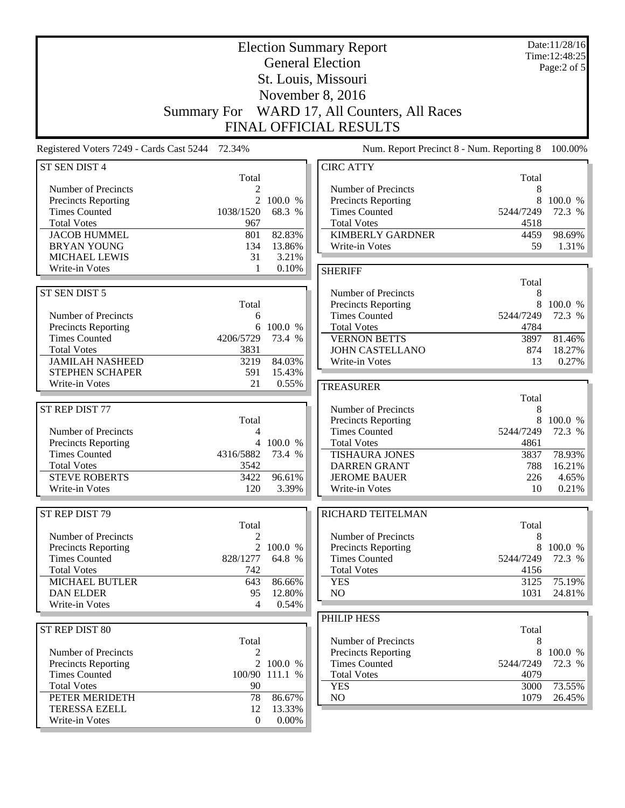|                                                    | <b>Election Summary Report</b><br><b>General Election</b> | Date:11/28/16<br>Time: 12:48:25 |                                              |              |                     |
|----------------------------------------------------|-----------------------------------------------------------|---------------------------------|----------------------------------------------|--------------|---------------------|
|                                                    |                                                           | Page: $2$ of $5$                |                                              |              |                     |
|                                                    |                                                           |                                 | St. Louis, Missouri                          |              |                     |
|                                                    |                                                           |                                 | November 8, 2016                             |              |                     |
|                                                    | <b>Summary For</b>                                        |                                 | WARD 17, All Counters, All Races             |              |                     |
|                                                    |                                                           |                                 | <b>FINAL OFFICIAL RESULTS</b>                |              |                     |
| Registered Voters 7249 - Cards Cast 5244 72.34%    |                                                           |                                 | Num. Report Precinct 8 - Num. Reporting 8    |              | 100.00%             |
| ST SEN DIST 4                                      | Total                                                     |                                 | <b>CIRC ATTY</b>                             |              |                     |
| Number of Precincts                                | 2                                                         |                                 | Number of Precincts                          | Total<br>8   |                     |
| <b>Precincts Reporting</b>                         | $\overline{2}$                                            | 100.0 %                         | Precincts Reporting                          | 8            | 100.0 %             |
| <b>Times Counted</b>                               | 1038/1520                                                 | 68.3 %                          | <b>Times Counted</b>                         | 5244/7249    | 72.3 %              |
| <b>Total Votes</b>                                 | 967                                                       |                                 | <b>Total Votes</b>                           | 4518         |                     |
| <b>JACOB HUMMEL</b>                                | 801                                                       | 82.83%                          | <b>KIMBERLY GARDNER</b>                      | 4459         | 98.69%              |
| <b>BRYAN YOUNG</b>                                 | 134                                                       | 13.86%                          | Write-in Votes                               | 59           | 1.31%               |
| <b>MICHAEL LEWIS</b>                               | 31                                                        | 3.21%                           |                                              |              |                     |
| Write-in Votes                                     | 1                                                         | 0.10%                           | <b>SHERIFF</b>                               |              |                     |
|                                                    |                                                           |                                 |                                              | Total        |                     |
| ST SEN DIST 5                                      |                                                           |                                 | Number of Precincts                          | 8<br>8       | 100.0 %             |
| Number of Precincts                                | Total<br>6                                                |                                 | Precincts Reporting<br><b>Times Counted</b>  | 5244/7249    | 72.3 %              |
| Precincts Reporting                                | 6                                                         | 100.0 %                         | <b>Total Votes</b>                           | 4784         |                     |
| <b>Times Counted</b>                               | 4206/5729                                                 | 73.4 %                          | <b>VERNON BETTS</b>                          | 3897         | 81.46%              |
| <b>Total Votes</b>                                 | 3831                                                      |                                 | <b>JOHN CASTELLANO</b>                       | 874          | 18.27%              |
| <b>JAMILAH NASHEED</b>                             | 3219                                                      | 84.03%                          | Write-in Votes                               | 13           | 0.27%               |
| STEPHEN SCHAPER                                    | 591                                                       | 15.43%                          |                                              |              |                     |
| Write-in Votes                                     | 21                                                        | 0.55%                           | <b>TREASURER</b>                             |              |                     |
|                                                    |                                                           |                                 |                                              | Total        |                     |
| ST REP DIST 77                                     |                                                           |                                 | Number of Precincts                          | 8            |                     |
|                                                    | Total                                                     |                                 | <b>Precincts Reporting</b>                   | 8            | 100.0 %             |
| Number of Precincts                                | 4                                                         |                                 | <b>Times Counted</b>                         | 5244/7249    | 72.3 %              |
| Precincts Reporting<br><b>Times Counted</b>        | 4                                                         | 100.0 %                         | <b>Total Votes</b>                           | 4861         |                     |
| <b>Total Votes</b>                                 | 4316/5882<br>3542                                         | 73.4 %                          | <b>TISHAURA JONES</b><br><b>DARREN GRANT</b> | 3837<br>788  | 78.93%<br>16.21%    |
| <b>STEVE ROBERTS</b>                               | 3422                                                      | 96.61%                          | <b>JEROME BAUER</b>                          | 226          | 4.65%               |
| Write-in Votes                                     | 120                                                       | 3.39%                           | Write-in Votes                               | 10           | 0.21%               |
|                                                    |                                                           |                                 |                                              |              |                     |
| ST REP DIST 79                                     |                                                           |                                 | RICHARD TEITELMAN                            |              |                     |
|                                                    | Total                                                     |                                 |                                              | Total        |                     |
| Number of Precincts                                | 2                                                         |                                 | Number of Precincts                          | 8            |                     |
| <b>Precincts Reporting</b><br><b>Times Counted</b> | 828/1277                                                  | 2 100.0 %<br>64.8 %             | Precincts Reporting<br><b>Times Counted</b>  | 5244/7249    | 8 100.0 %<br>72.3 % |
| <b>Total Votes</b>                                 | 742                                                       |                                 | <b>Total Votes</b>                           | 4156         |                     |
| <b>MICHAEL BUTLER</b>                              | 643                                                       | 86.66%                          | <b>YES</b>                                   | 3125         | 75.19%              |
| <b>DAN ELDER</b>                                   | 95                                                        | 12.80%                          | NO                                           | 1031         | 24.81%              |
| Write-in Votes                                     | 4                                                         | 0.54%                           |                                              |              |                     |
|                                                    |                                                           |                                 | PHILIP HESS                                  |              |                     |
| ST REP DIST 80                                     |                                                           |                                 |                                              | Total        |                     |
|                                                    | Total                                                     |                                 | Number of Precincts                          | 8            |                     |
| Number of Precincts                                | 2                                                         |                                 | <b>Precincts Reporting</b>                   | 8            | 100.0 %             |
| <b>Precincts Reporting</b>                         |                                                           | 2 100.0 %                       | <b>Times Counted</b>                         | 5244/7249    | 72.3 %              |
| <b>Times Counted</b>                               |                                                           | 100/90 111.1 %                  | <b>Total Votes</b>                           | 4079         |                     |
| <b>Total Votes</b><br>PETER MERIDETH               | 90<br>78                                                  | 86.67%                          | <b>YES</b><br>NO                             | 3000<br>1079 | 73.55%<br>26.45%    |
| <b>TERESSA EZELL</b>                               | 12                                                        | 13.33%                          |                                              |              |                     |
| Write-in Votes                                     | $\Omega$                                                  | 0.00%                           |                                              |              |                     |
|                                                    |                                                           |                                 |                                              |              |                     |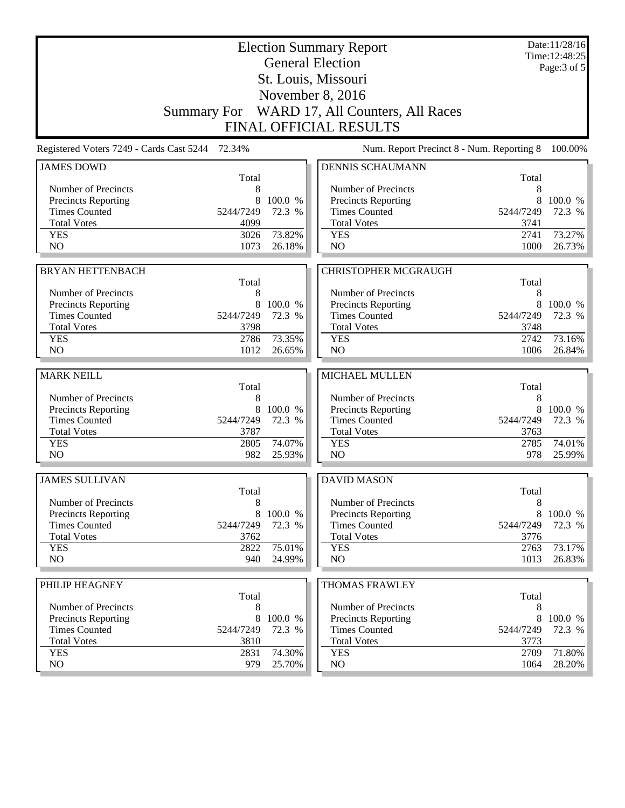| <b>Election Summary Report</b><br><b>General Election</b> |                   |         |                                              | Date:11/28/16<br>Time: 12:48:25 |                  |  |
|-----------------------------------------------------------|-------------------|---------|----------------------------------------------|---------------------------------|------------------|--|
| St. Louis, Missouri                                       |                   |         |                                              |                                 | Page: $3$ of $5$ |  |
| November 8, 2016                                          |                   |         |                                              |                                 |                  |  |
|                                                           |                   |         |                                              |                                 |                  |  |
|                                                           |                   |         | Summary For WARD 17, All Counters, All Races |                                 |                  |  |
|                                                           |                   |         | <b>FINAL OFFICIAL RESULTS</b>                |                                 |                  |  |
| Registered Voters 7249 - Cards Cast 5244 72.34%           |                   |         | Num. Report Precinct 8 - Num. Reporting 8    |                                 | 100.00%          |  |
| <b>JAMES DOWD</b>                                         | Total             |         | <b>DENNIS SCHAUMANN</b>                      | Total                           |                  |  |
| Number of Precincts                                       | 8                 |         | Number of Precincts                          | 8                               |                  |  |
| Precincts Reporting                                       | 8                 | 100.0 % | <b>Precincts Reporting</b>                   | 8                               | 100.0 %          |  |
| <b>Times Counted</b>                                      | 5244/7249         | 72.3 %  | <b>Times Counted</b>                         | 5244/7249                       | 72.3 %           |  |
| <b>Total Votes</b>                                        | 4099              |         | <b>Total Votes</b>                           | 3741                            |                  |  |
| <b>YES</b>                                                | 3026              | 73.82%  | <b>YES</b>                                   | 2741                            | 73.27%           |  |
| NO                                                        | 1073              | 26.18%  | NO                                           | 1000                            | 26.73%           |  |
| <b>BRYAN HETTENBACH</b>                                   |                   |         |                                              |                                 |                  |  |
|                                                           | Total             |         | <b>CHRISTOPHER MCGRAUGH</b>                  | Total                           |                  |  |
| Number of Precincts                                       | 8                 |         | Number of Precincts                          | 8                               |                  |  |
| Precincts Reporting                                       | 8                 | 100.0 % | Precincts Reporting                          | 8                               | 100.0 %          |  |
| <b>Times Counted</b>                                      | 5244/7249         | 72.3 %  | <b>Times Counted</b>                         | 5244/7249                       | 72.3 %           |  |
| <b>Total Votes</b>                                        | 3798              |         | <b>Total Votes</b>                           | 3748                            |                  |  |
| <b>YES</b>                                                | 2786              | 73.35%  | <b>YES</b>                                   | 2742                            | 73.16%           |  |
| NO                                                        | 1012              | 26.65%  | N <sub>O</sub>                               | 1006                            | 26.84%           |  |
| <b>MARK NEILL</b>                                         |                   |         | <b>MICHAEL MULLEN</b>                        |                                 |                  |  |
|                                                           | Total             |         |                                              | Total                           |                  |  |
| Number of Precincts                                       | 8                 |         | Number of Precincts                          | 8                               |                  |  |
| <b>Precincts Reporting</b>                                | 8                 | 100.0 % | Precincts Reporting                          | 8                               | 100.0 %          |  |
| <b>Times Counted</b>                                      | 5244/7249         | 72.3 %  | <b>Times Counted</b>                         | 5244/7249                       | 72.3 %           |  |
| <b>Total Votes</b>                                        | 3787              |         | <b>Total Votes</b>                           | 3763                            |                  |  |
| <b>YES</b>                                                | 2805              | 74.07%  | <b>YES</b>                                   | 2785                            | 74.01%           |  |
| N <sub>O</sub>                                            | 982               | 25.93%  | NO                                           | 978                             | 25.99%           |  |
| <b>JAMES SULLIVAN</b>                                     |                   |         | <b>DAVID MASON</b>                           |                                 |                  |  |
|                                                           | Total             |         |                                              | Total                           |                  |  |
| Number of Precincts                                       | 8                 |         | Number of Precincts                          | 8                               |                  |  |
| <b>Precincts Reporting</b>                                | 8                 | 100.0 % | Precincts Reporting                          | 8                               | 100.0 %          |  |
| <b>Times Counted</b><br><b>Total Votes</b>                | 5244/7249<br>3762 | 72.3 %  | <b>Times Counted</b><br><b>Total Votes</b>   | 5244/7249<br>3776               | 72.3 %           |  |
| <b>YES</b>                                                | 2822              | 75.01%  | <b>YES</b>                                   | 2763                            | 73.17%           |  |
| NO                                                        | 940               | 24.99%  | NO                                           | 1013                            | 26.83%           |  |
|                                                           |                   |         |                                              |                                 |                  |  |
| PHILIP HEAGNEY                                            |                   |         | <b>THOMAS FRAWLEY</b>                        |                                 |                  |  |
| Number of Precincts                                       | Total<br>8        |         | Number of Precincts                          | Total<br>8                      |                  |  |
| <b>Precincts Reporting</b>                                | 8                 | 100.0 % | <b>Precincts Reporting</b>                   | 8                               | 100.0 %          |  |
| <b>Times Counted</b>                                      | 5244/7249         | 72.3 %  | <b>Times Counted</b>                         | 5244/7249                       | 72.3 %           |  |
| <b>Total Votes</b>                                        | 3810              |         | <b>Total Votes</b>                           | 3773                            |                  |  |
| <b>YES</b>                                                | 2831              | 74.30%  | <b>YES</b>                                   | 2709                            | 71.80%           |  |
| NO                                                        |                   |         |                                              |                                 |                  |  |
|                                                           | 979               | 25.70%  | NO.                                          | 1064                            | 28.20%           |  |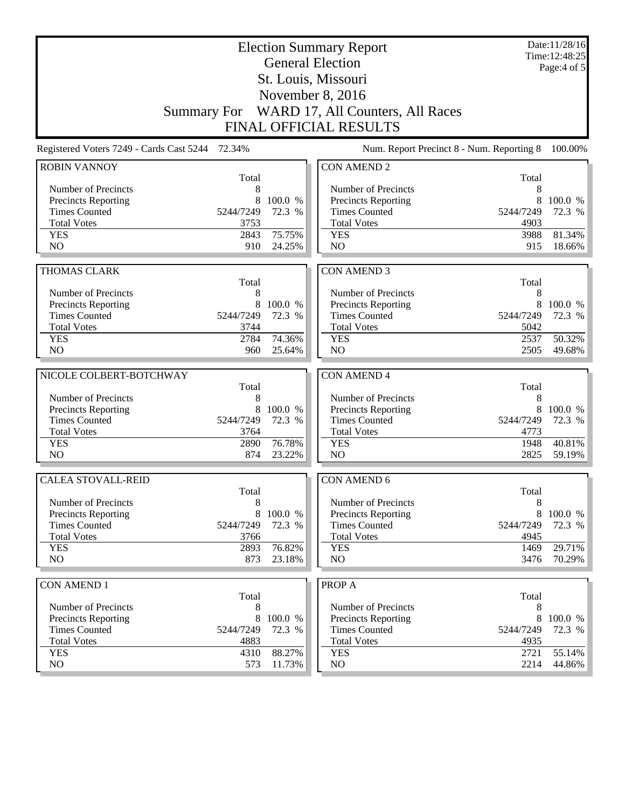| <b>Election Summary Report</b><br><b>General Election</b><br>St. Louis, Missouri |                  |         |                                           |            | Date:11/28/16<br>Time: 12:48:25<br>Page:4 of 5 |  |  |
|----------------------------------------------------------------------------------|------------------|---------|-------------------------------------------|------------|------------------------------------------------|--|--|
|                                                                                  | November 8, 2016 |         |                                           |            |                                                |  |  |
| Summary For WARD 17, All Counters, All Races                                     |                  |         |                                           |            |                                                |  |  |
|                                                                                  |                  |         | <b>FINAL OFFICIAL RESULTS</b>             |            |                                                |  |  |
|                                                                                  |                  |         |                                           |            |                                                |  |  |
| Registered Voters 7249 - Cards Cast 5244 72.34%                                  |                  |         | Num. Report Precinct 8 - Num. Reporting 8 |            | 100.00%                                        |  |  |
| <b>ROBIN VANNOY</b>                                                              |                  |         | <b>CON AMEND 2</b>                        |            |                                                |  |  |
| Number of Precincts                                                              | Total            |         | Number of Precincts                       | Total<br>8 |                                                |  |  |
| Precincts Reporting                                                              | 8<br>8           | 100.0 % | Precincts Reporting                       | 8          | 100.0 %                                        |  |  |
| <b>Times Counted</b>                                                             | 5244/7249        | 72.3 %  | <b>Times Counted</b>                      | 5244/7249  | 72.3 %                                         |  |  |
| <b>Total Votes</b>                                                               | 3753             |         | <b>Total Votes</b>                        | 4903       |                                                |  |  |
| <b>YES</b>                                                                       | 2843             | 75.75%  | <b>YES</b>                                | 3988       | 81.34%                                         |  |  |
| N <sub>O</sub>                                                                   | 910              | 24.25%  | N <sub>O</sub>                            | 915        | 18.66%                                         |  |  |
|                                                                                  |                  |         |                                           |            |                                                |  |  |
| <b>THOMAS CLARK</b>                                                              |                  |         | <b>CON AMEND 3</b>                        |            |                                                |  |  |
|                                                                                  | Total            |         |                                           | Total      |                                                |  |  |
| Number of Precincts                                                              | 8                |         | Number of Precincts                       | 8          |                                                |  |  |
| Precincts Reporting                                                              | 8                | 100.0 % | Precincts Reporting                       | 8          | 100.0 %                                        |  |  |
| <b>Times Counted</b>                                                             | 5244/7249        | 72.3 %  | <b>Times Counted</b>                      | 5244/7249  | 72.3 %                                         |  |  |
| <b>Total Votes</b>                                                               | 3744             |         | <b>Total Votes</b>                        | 5042       |                                                |  |  |
| <b>YES</b>                                                                       | 2784             | 74.36%  | <b>YES</b>                                | 2537       | 50.32%                                         |  |  |
| N <sub>O</sub>                                                                   | 960              | 25.64%  | N <sub>O</sub>                            | 2505       | 49.68%                                         |  |  |
| NICOLE COLBERT-BOTCHWAY                                                          |                  |         |                                           |            |                                                |  |  |
|                                                                                  | Total            |         | <b>CON AMEND 4</b>                        | Total      |                                                |  |  |
| Number of Precincts                                                              | 8                |         | Number of Precincts                       | 8          |                                                |  |  |
| Precincts Reporting                                                              | 8                | 100.0 % | Precincts Reporting                       | 8          | 100.0 %                                        |  |  |
| <b>Times Counted</b>                                                             | 5244/7249        | 72.3 %  | <b>Times Counted</b>                      | 5244/7249  | 72.3 %                                         |  |  |
| <b>Total Votes</b>                                                               | 3764             |         | <b>Total Votes</b>                        | 4773       |                                                |  |  |
| <b>YES</b>                                                                       | 2890             | 76.78%  | <b>YES</b>                                | 1948       | 40.81%                                         |  |  |
| NO                                                                               | 874              | 23.22%  | N <sub>O</sub>                            | 2825       | 59.19%                                         |  |  |
|                                                                                  |                  |         |                                           |            |                                                |  |  |
| <b>CALEA STOVALL-REID</b>                                                        | Total            |         | <b>CON AMEND 6</b>                        | Total      |                                                |  |  |
| Number of Precincts                                                              | 8                |         | Number of Precincts                       | 8          |                                                |  |  |
| <b>Precincts Reporting</b>                                                       | 8                | 100.0 % | Precincts Reporting                       | 8          | 100.0 %                                        |  |  |
| <b>Times Counted</b>                                                             | 5244/7249        | 72.3 %  | <b>Times Counted</b>                      | 5244/7249  | 72.3 %                                         |  |  |
| <b>Total Votes</b>                                                               | 3766             |         | <b>Total Votes</b>                        | 4945       |                                                |  |  |
| <b>YES</b>                                                                       | 2893             | 76.82%  | <b>YES</b>                                | 1469       | 29.71%                                         |  |  |
| NO                                                                               | 873              | 23.18%  | NO                                        | 3476       | 70.29%                                         |  |  |
|                                                                                  |                  |         |                                           |            |                                                |  |  |
| <b>CON AMEND 1</b>                                                               |                  |         | PROP A                                    |            |                                                |  |  |
| Number of Precincts                                                              | Total<br>8       |         | Number of Precincts                       | Total<br>8 |                                                |  |  |
| <b>Precincts Reporting</b>                                                       | 8                | 100.0 % | <b>Precincts Reporting</b>                | 8          | 100.0 %                                        |  |  |
| <b>Times Counted</b>                                                             | 5244/7249        | 72.3 %  | <b>Times Counted</b>                      | 5244/7249  | 72.3 %                                         |  |  |
| <b>Total Votes</b>                                                               | 4883             |         | <b>Total Votes</b>                        | 4935       |                                                |  |  |
| <b>YES</b>                                                                       | 4310             | 88.27%  | <b>YES</b>                                | 2721       | 55.14%                                         |  |  |
| NO                                                                               | 573              | 11.73%  | NO                                        | 2214       | 44.86%                                         |  |  |
|                                                                                  |                  |         |                                           |            |                                                |  |  |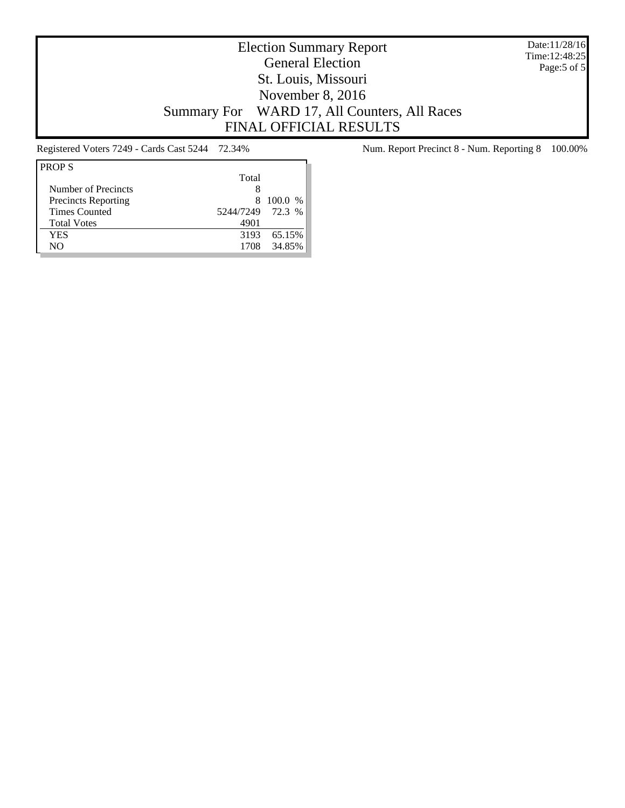Date:11/28/16 Time:12:48:25 Page:5 of 5

## Election Summary Report General Election St. Louis, Missouri November 8, 2016 Summary For WARD 17, All Counters, All Races FINAL OFFICIAL RESULTS

| Total<br>Number of Precincts<br>Precincts Reporting<br>100.0 %<br>8<br>5244/7249 72.3 %<br><b>Times Counted</b><br><b>Total Votes</b><br>4901<br>YES<br>65.15%<br>3193<br>34.85%<br>NO<br>1708 | <b>PROPS</b> |  |
|------------------------------------------------------------------------------------------------------------------------------------------------------------------------------------------------|--------------|--|
|                                                                                                                                                                                                |              |  |
|                                                                                                                                                                                                |              |  |
|                                                                                                                                                                                                |              |  |
|                                                                                                                                                                                                |              |  |
|                                                                                                                                                                                                |              |  |
|                                                                                                                                                                                                |              |  |
|                                                                                                                                                                                                |              |  |

Registered Voters 7249 - Cards Cast 5244 72.34% Num. Report Precinct 8 - Num. Reporting 8 100.00%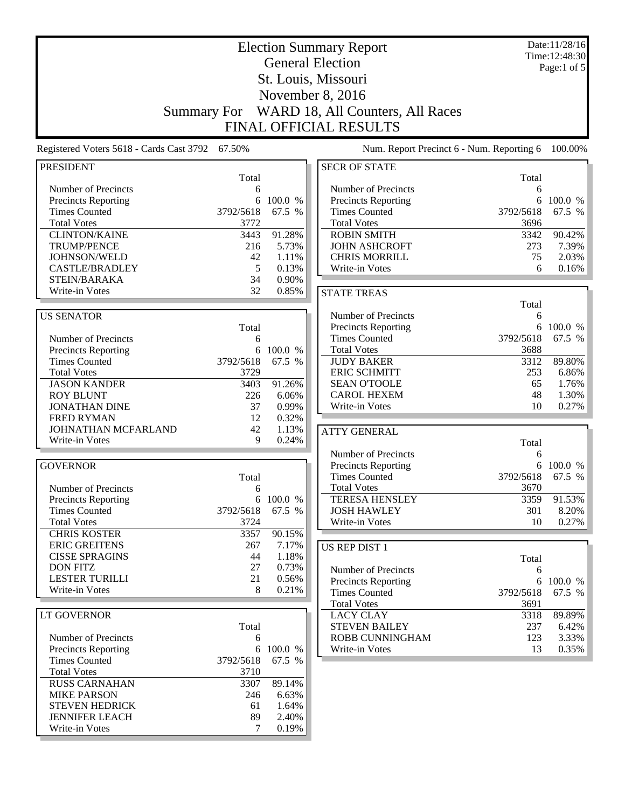| <b>Election Summary Report</b>                  |                    |           |                                           |           | Date:11/28/16<br>Time: 12:48:30 |
|-------------------------------------------------|--------------------|-----------|-------------------------------------------|-----------|---------------------------------|
|                                                 |                    |           | <b>General Election</b>                   |           | Page:1 of 5                     |
|                                                 |                    |           | St. Louis, Missouri                       |           |                                 |
|                                                 |                    |           | November 8, 2016                          |           |                                 |
|                                                 |                    |           |                                           |           |                                 |
|                                                 | <b>Summary For</b> |           | WARD 18, All Counters, All Races          |           |                                 |
|                                                 |                    |           | <b>FINAL OFFICIAL RESULTS</b>             |           |                                 |
| Registered Voters 5618 - Cards Cast 3792 67.50% |                    |           | Num. Report Precinct 6 - Num. Reporting 6 |           | 100.00%                         |
| <b>PRESIDENT</b>                                |                    |           | <b>SECR OF STATE</b>                      |           |                                 |
|                                                 | Total              |           |                                           | Total     |                                 |
| Number of Precincts                             | 6                  |           | Number of Precincts                       | 6         |                                 |
| <b>Precincts Reporting</b>                      | 6                  | 100.0 %   | Precincts Reporting                       | 6         | 100.0 %                         |
| <b>Times Counted</b>                            | 3792/5618          | 67.5 %    | <b>Times Counted</b>                      | 3792/5618 | 67.5 %                          |
| <b>Total Votes</b>                              | 3772               |           | <b>Total Votes</b>                        | 3696      |                                 |
| <b>CLINTON/KAINE</b>                            | 3443               | 91.28%    | <b>ROBIN SMITH</b>                        | 3342      | 90.42%                          |
| <b>TRUMP/PENCE</b>                              | 216                | 5.73%     | <b>JOHN ASHCROFT</b>                      | 273       | 7.39%                           |
| JOHNSON/WELD                                    | 42                 | 1.11%     | <b>CHRIS MORRILL</b>                      | 75        | 2.03%                           |
| <b>CASTLE/BRADLEY</b>                           | 5                  | 0.13%     | Write-in Votes                            | 6         | 0.16%                           |
| STEIN/BARAKA                                    | 34                 | 0.90%     |                                           |           |                                 |
| Write-in Votes                                  | 32                 | 0.85%     | <b>STATE TREAS</b>                        |           |                                 |
|                                                 |                    |           |                                           | Total     |                                 |
| <b>US SENATOR</b>                               |                    |           | Number of Precincts                       | 6         |                                 |
|                                                 | Total              |           | <b>Precincts Reporting</b>                | 6         | 100.0 %                         |
| Number of Precincts                             | 6                  |           | <b>Times Counted</b>                      | 3792/5618 | 67.5 %                          |
| Precincts Reporting                             | 6                  | 100.0 %   | <b>Total Votes</b>                        | 3688      |                                 |
| <b>Times Counted</b>                            | 3792/5618          | 67.5 %    | <b>JUDY BAKER</b>                         | 3312      | 89.80%                          |
| <b>Total Votes</b>                              | 3729               |           | <b>ERIC SCHMITT</b>                       | 253       | 6.86%                           |
| <b>JASON KANDER</b>                             | 3403               | 91.26%    | <b>SEAN O'TOOLE</b>                       | 65        | 1.76%                           |
| <b>ROY BLUNT</b>                                | 226                | 6.06%     | <b>CAROL HEXEM</b>                        | 48        | 1.30%                           |
| <b>JONATHAN DINE</b>                            | 37                 | 0.99%     | Write-in Votes                            | 10        | 0.27%                           |
| <b>FRED RYMAN</b>                               | 12                 | 0.32%     |                                           |           |                                 |
| JOHNATHAN MCFARLAND                             | 42                 | 1.13%     | <b>ATTY GENERAL</b>                       |           |                                 |
| Write-in Votes                                  | 9                  | 0.24%     |                                           | Total     |                                 |
|                                                 |                    |           | Number of Precincts                       | 6         |                                 |
| <b>GOVERNOR</b>                                 |                    |           | Precincts Reporting                       | 6         | 100.0 %                         |
|                                                 | Total              |           | <b>Times Counted</b>                      | 3792/5618 | 67.5 %                          |
| Number of Precincts                             | 6                  |           | <b>Total Votes</b>                        | 3670      |                                 |
| <b>Precincts Reporting</b>                      |                    | 6 100.0 % | <b>TERESA HENSLEY</b>                     | 3359      | 91.53%                          |
| <b>Times Counted</b>                            | 3792/5618          | 67.5 %    | <b>JOSH HAWLEY</b>                        | 301       | 8.20%                           |
| <b>Total Votes</b>                              | 3724               |           | Write-in Votes                            | 10        | 0.27%                           |
| <b>CHRIS KOSTER</b>                             | 3357               | 90.15%    |                                           |           |                                 |
| <b>ERIC GREITENS</b>                            | 267                | 7.17%     | US REP DIST 1                             |           |                                 |
| <b>CISSE SPRAGINS</b>                           | 44                 | 1.18%     |                                           | Total     |                                 |
| <b>DON FITZ</b>                                 | 27                 | 0.73%     | Number of Precincts                       | 6         |                                 |
| <b>LESTER TURILLI</b>                           | 21                 | 0.56%     | Precincts Reporting                       |           | 6 100.0 %                       |
| Write-in Votes                                  | 8                  | 0.21%     | <b>Times Counted</b>                      | 3792/5618 | 67.5 %                          |
|                                                 |                    |           | <b>Total Votes</b>                        | 3691      |                                 |
| LT GOVERNOR                                     |                    |           | <b>LACY CLAY</b>                          | 3318      | 89.89%                          |
|                                                 | Total              |           | <b>STEVEN BAILEY</b>                      | 237       | 6.42%                           |
| Number of Precincts                             | 6                  |           | ROBB CUNNINGHAM                           | 123       | 3.33%                           |
| <b>Precincts Reporting</b>                      | 6                  | 100.0 %   | Write-in Votes                            | 13        | 0.35%                           |
| <b>Times Counted</b>                            | 3792/5618          | 67.5 %    |                                           |           |                                 |
| <b>Total Votes</b>                              | 3710               |           |                                           |           |                                 |
| <b>RUSS CARNAHAN</b>                            | 3307               | 89.14%    |                                           |           |                                 |
| <b>MIKE PARSON</b>                              | 246                | 6.63%     |                                           |           |                                 |
| <b>STEVEN HEDRICK</b>                           | 61                 | 1.64%     |                                           |           |                                 |
| <b>JENNIFER LEACH</b>                           | 89                 | 2.40%     |                                           |           |                                 |
| Write-in Votes                                  | 7                  | 0.19%     |                                           |           |                                 |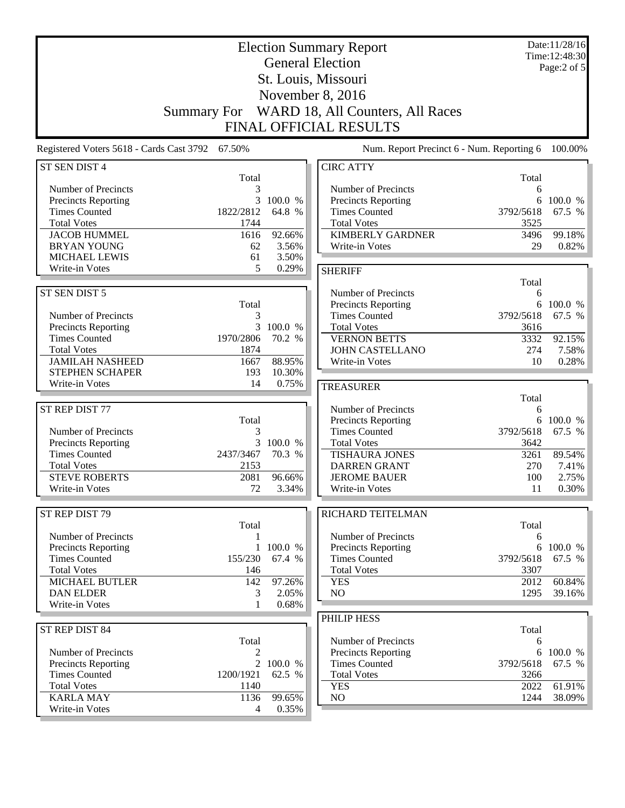|                                                        | <b>Election Summary Report</b><br><b>General Election</b> |                   |                                                   |                   | Date:11/28/16<br>Time: 12:48:30<br>Page:2 of 5 |  |
|--------------------------------------------------------|-----------------------------------------------------------|-------------------|---------------------------------------------------|-------------------|------------------------------------------------|--|
|                                                        |                                                           |                   |                                                   |                   |                                                |  |
| St. Louis, Missouri<br>November 8, 2016                |                                                           |                   |                                                   |                   |                                                |  |
| WARD 18, All Counters, All Races<br><b>Summary For</b> |                                                           |                   |                                                   |                   |                                                |  |
|                                                        |                                                           |                   | FINAL OFFICIAL RESULTS                            |                   |                                                |  |
| Registered Voters 5618 - Cards Cast 3792               | 67.50%                                                    |                   | Num. Report Precinct 6 - Num. Reporting 6         |                   | 100.00%                                        |  |
| ST SEN DIST 4                                          |                                                           |                   | <b>CIRC ATTY</b>                                  |                   |                                                |  |
|                                                        | Total                                                     |                   |                                                   | Total             |                                                |  |
| Number of Precincts                                    | 3                                                         |                   | Number of Precincts                               | 6                 |                                                |  |
| Precincts Reporting                                    | 3                                                         | 100.0 %           | Precincts Reporting                               | 6                 | 100.0 %                                        |  |
| <b>Times Counted</b><br><b>Total Votes</b>             | 1822/2812<br>1744                                         | 64.8 %            | <b>Times Counted</b><br><b>Total Votes</b>        | 3792/5618<br>3525 | 67.5 %                                         |  |
| <b>JACOB HUMMEL</b>                                    | 1616                                                      | 92.66%            | <b>KIMBERLY GARDNER</b>                           | 3496              | 99.18%                                         |  |
| <b>BRYAN YOUNG</b>                                     | 62                                                        | 3.56%             | Write-in Votes                                    | 29                | 0.82%                                          |  |
| <b>MICHAEL LEWIS</b>                                   | 61                                                        | 3.50%             |                                                   |                   |                                                |  |
| Write-in Votes                                         | 5                                                         | 0.29%             | <b>SHERIFF</b>                                    |                   |                                                |  |
|                                                        |                                                           |                   |                                                   | Total             |                                                |  |
| ST SEN DIST 5                                          |                                                           |                   | Number of Precincts                               | 6                 |                                                |  |
|                                                        | Total                                                     |                   | <b>Precincts Reporting</b>                        | 6                 | 100.0 %                                        |  |
| Number of Precincts                                    | 3<br>3                                                    | 100.0 %           | <b>Times Counted</b><br><b>Total Votes</b>        | 3792/5618         | 67.5 %                                         |  |
| Precincts Reporting<br><b>Times Counted</b>            | 1970/2806                                                 | 70.2 %            | <b>VERNON BETTS</b>                               | 3616<br>3332      | 92.15%                                         |  |
| <b>Total Votes</b>                                     | 1874                                                      |                   | <b>JOHN CASTELLANO</b>                            | 274               | 7.58%                                          |  |
| <b>JAMILAH NASHEED</b>                                 | 1667                                                      | 88.95%            | Write-in Votes                                    | 10                | 0.28%                                          |  |
| STEPHEN SCHAPER                                        | 193                                                       | 10.30%            |                                                   |                   |                                                |  |
| Write-in Votes                                         | 14                                                        | 0.75%             | <b>TREASURER</b>                                  |                   |                                                |  |
|                                                        |                                                           |                   |                                                   | Total             |                                                |  |
| ST REP DIST 77                                         |                                                           |                   | Number of Precincts                               | 6                 |                                                |  |
|                                                        | Total                                                     |                   | Precincts Reporting                               | 6                 | 100.0 %                                        |  |
| Number of Precincts                                    | 3                                                         |                   | <b>Times Counted</b>                              | 3792/5618         | 67.5 %                                         |  |
| <b>Precincts Reporting</b><br><b>Times Counted</b>     | 3<br>2437/3467                                            | 100.0 %<br>70.3 % | <b>Total Votes</b><br><b>TISHAURA JONES</b>       | 3642<br>3261      | 89.54%                                         |  |
| <b>Total Votes</b>                                     | 2153                                                      |                   | <b>DARREN GRANT</b>                               | 270               | 7.41%                                          |  |
| <b>STEVE ROBERTS</b>                                   | 2081                                                      | 96.66%            | <b>JEROME BAUER</b>                               | 100               | 2.75%                                          |  |
| Write-in Votes                                         | 72                                                        | 3.34%             | Write-in Votes                                    | 11                | 0.30%                                          |  |
|                                                        |                                                           |                   |                                                   |                   |                                                |  |
| ST REP DIST 79                                         |                                                           |                   | RICHARD TEITELMAN                                 |                   |                                                |  |
|                                                        | Total                                                     |                   |                                                   | Total             |                                                |  |
| Number of Precincts                                    | 1                                                         |                   | Number of Precincts                               | 6                 |                                                |  |
| <b>Precincts Reporting</b><br><b>Times Counted</b>     | $\mathbf{1}$<br>155/230                                   | 100.0 %<br>67.4 % | Precincts Reporting<br><b>Times Counted</b>       | 3792/5618         | 6 100.0 %<br>67.5 %                            |  |
| <b>Total Votes</b>                                     | 146                                                       |                   | <b>Total Votes</b>                                | 3307              |                                                |  |
| MICHAEL BUTLER                                         | 142                                                       | 97.26%            | <b>YES</b>                                        | 2012              | 60.84%                                         |  |
| <b>DAN ELDER</b>                                       | 3                                                         | 2.05%             | NO                                                | 1295              | 39.16%                                         |  |
| Write-in Votes                                         | 1                                                         | 0.68%             |                                                   |                   |                                                |  |
|                                                        |                                                           |                   | PHILIP HESS                                       |                   |                                                |  |
| ST REP DIST 84                                         |                                                           |                   |                                                   | Total             |                                                |  |
| Number of Precincts                                    | Total<br>2                                                |                   | Number of Precincts<br><b>Precincts Reporting</b> | 6<br>6            | 100.0 %                                        |  |
| <b>Precincts Reporting</b>                             | 2                                                         | 100.0 %           | <b>Times Counted</b>                              | 3792/5618         | 67.5 %                                         |  |
| <b>Times Counted</b>                                   | 1200/1921                                                 | 62.5 %            | <b>Total Votes</b>                                | 3266              |                                                |  |
| <b>Total Votes</b>                                     | 1140                                                      |                   | <b>YES</b>                                        | 2022              | 61.91%                                         |  |
| <b>KARLA MAY</b>                                       | 1136                                                      | 99.65%            | NO                                                | 1244              | 38.09%                                         |  |
| Write-in Votes                                         | $\overline{4}$                                            | 0.35%             |                                                   |                   |                                                |  |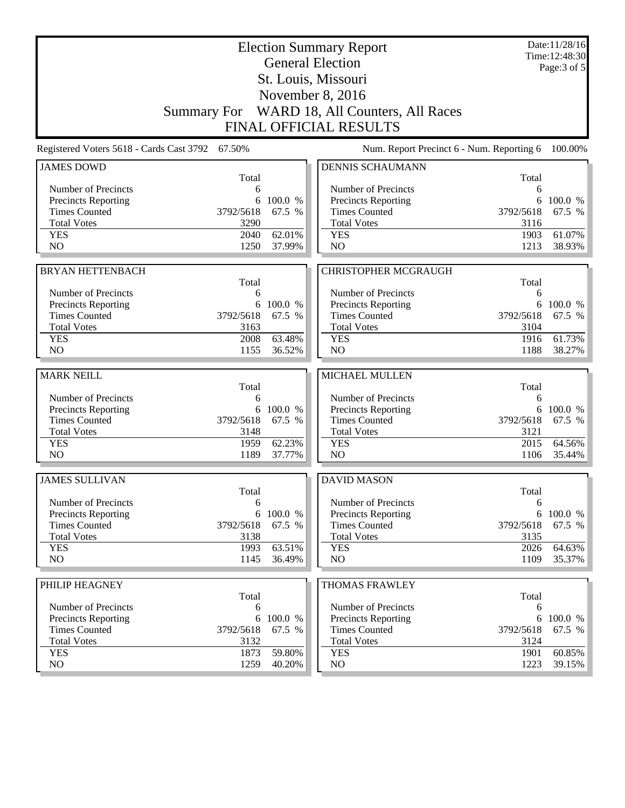| <b>Election Summary Report</b><br><b>General Election</b> |           |           |                                              |           | Date:11/28/16<br>Time: 12:48:30 |  |  |  |
|-----------------------------------------------------------|-----------|-----------|----------------------------------------------|-----------|---------------------------------|--|--|--|
|                                                           |           |           | St. Louis, Missouri                          |           | Page: 3 of 5                    |  |  |  |
|                                                           |           |           | November 8, 2016                             |           |                                 |  |  |  |
|                                                           |           |           | Summary For WARD 18, All Counters, All Races |           |                                 |  |  |  |
|                                                           |           |           |                                              |           |                                 |  |  |  |
| <b>FINAL OFFICIAL RESULTS</b>                             |           |           |                                              |           |                                 |  |  |  |
| Registered Voters 5618 - Cards Cast 3792 67.50%           |           |           | Num. Report Precinct 6 - Num. Reporting 6    |           | 100.00%                         |  |  |  |
| <b>JAMES DOWD</b>                                         | Total     |           | <b>DENNIS SCHAUMANN</b>                      | Total     |                                 |  |  |  |
| Number of Precincts                                       | 6         |           | Number of Precincts                          | 6         |                                 |  |  |  |
| Precincts Reporting                                       | 6         | 100.0 %   | Precincts Reporting                          | 6         | 100.0 %                         |  |  |  |
| <b>Times Counted</b>                                      | 3792/5618 | 67.5 %    | <b>Times Counted</b>                         | 3792/5618 | 67.5 %                          |  |  |  |
| <b>Total Votes</b>                                        | 3290      |           | <b>Total Votes</b>                           | 3116      |                                 |  |  |  |
| <b>YES</b>                                                | 2040      | 62.01%    | <b>YES</b>                                   | 1903      | 61.07%                          |  |  |  |
| N <sub>O</sub>                                            | 1250      | 37.99%    | NO                                           | 1213      | 38.93%                          |  |  |  |
|                                                           |           |           |                                              |           |                                 |  |  |  |
| <b>BRYAN HETTENBACH</b>                                   | Total     |           | <b>CHRISTOPHER MCGRAUGH</b>                  | Total     |                                 |  |  |  |
| Number of Precincts                                       | 6         |           | Number of Precincts                          | 6         |                                 |  |  |  |
| <b>Precincts Reporting</b>                                | 6         | 100.0 %   | Precincts Reporting                          | 6         | 100.0 %                         |  |  |  |
| <b>Times Counted</b>                                      | 3792/5618 | 67.5 %    | <b>Times Counted</b>                         | 3792/5618 | 67.5 %                          |  |  |  |
| <b>Total Votes</b>                                        | 3163      |           | <b>Total Votes</b>                           | 3104      |                                 |  |  |  |
| <b>YES</b>                                                | 2008      | 63.48%    | <b>YES</b>                                   | 1916      | 61.73%                          |  |  |  |
| NO                                                        | 1155      | 36.52%    | NO                                           | 1188      | 38.27%                          |  |  |  |
|                                                           |           |           |                                              |           |                                 |  |  |  |
| <b>MARK NEILL</b>                                         | Total     |           | <b>MICHAEL MULLEN</b>                        | Total     |                                 |  |  |  |
| Number of Precincts                                       | 6         |           | Number of Precincts                          | 6         |                                 |  |  |  |
| Precincts Reporting                                       | 6         | 100.0 %   | Precincts Reporting                          | 6         | 100.0 %                         |  |  |  |
| <b>Times Counted</b>                                      | 3792/5618 | 67.5 %    | <b>Times Counted</b>                         | 3792/5618 | 67.5 %                          |  |  |  |
| <b>Total Votes</b>                                        | 3148      |           | <b>Total Votes</b>                           | 3121      |                                 |  |  |  |
| <b>YES</b>                                                | 1959      | 62.23%    | <b>YES</b>                                   | 2015      | 64.56%                          |  |  |  |
| N <sub>O</sub>                                            | 1189      | 37.77%    | NO                                           | 1106      | 35.44%                          |  |  |  |
| <b>JAMES SULLIVAN</b>                                     |           |           | <b>DAVID MASON</b>                           |           |                                 |  |  |  |
|                                                           | Total     |           |                                              | Total     |                                 |  |  |  |
| Number of Precincts                                       | 6         |           | Number of Precincts                          | 6         |                                 |  |  |  |
| Precincts Reporting                                       |           | 6 100.0 % | <b>Precincts Reporting</b>                   |           | 6 100.0 %                       |  |  |  |
| <b>Times Counted</b>                                      | 3792/5618 | 67.5 %    | <b>Times Counted</b>                         | 3792/5618 | 67.5 %                          |  |  |  |
| <b>Total Votes</b>                                        | 3138      |           | <b>Total Votes</b>                           | 3135      |                                 |  |  |  |
| <b>YES</b>                                                | 1993      | 63.51%    | <b>YES</b>                                   | 2026      | 64.63%                          |  |  |  |
| NO                                                        | 1145      | 36.49%    | NO                                           | 1109      | 35.37%                          |  |  |  |
| PHILIP HEAGNEY                                            |           |           | <b>THOMAS FRAWLEY</b>                        |           |                                 |  |  |  |
|                                                           | Total     |           |                                              | Total     |                                 |  |  |  |
| Number of Precincts                                       | 6         |           | Number of Precincts                          | 6         |                                 |  |  |  |
| <b>Precincts Reporting</b>                                | 6         | 100.0 %   | <b>Precincts Reporting</b>                   | 6         | 100.0 %                         |  |  |  |
| <b>Times Counted</b>                                      | 3792/5618 | 67.5 %    | <b>Times Counted</b>                         | 3792/5618 | 67.5 %                          |  |  |  |
| <b>Total Votes</b>                                        | 3132      |           | <b>Total Votes</b>                           | 3124      |                                 |  |  |  |
| <b>YES</b>                                                | 1873      | 59.80%    | <b>YES</b>                                   | 1901      | 60.85%                          |  |  |  |
| NO                                                        | 1259      | 40.20%    | NO                                           | 1223      | 39.15%                          |  |  |  |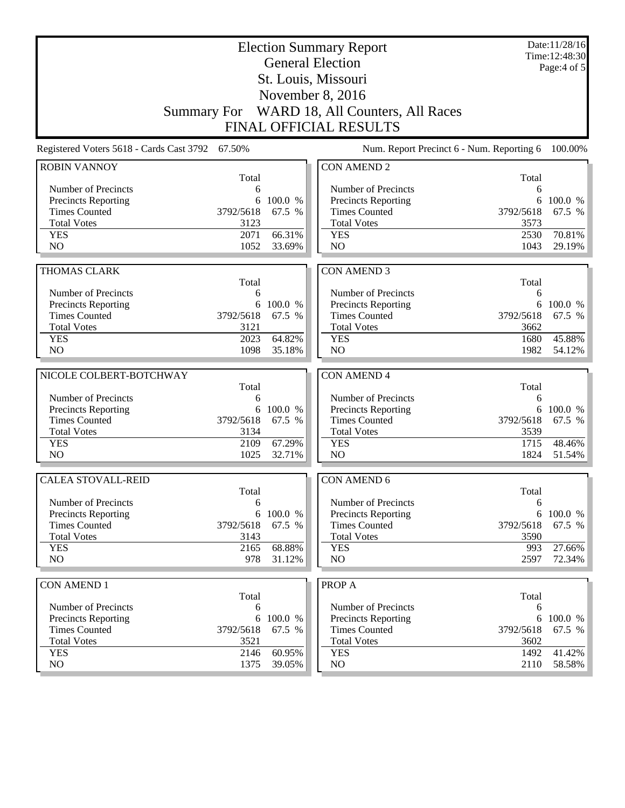| <b>Election Summary Report</b><br><b>General Election</b><br>St. Louis, Missouri |                |                   |                                             |                | Date:11/28/16<br>Time: 12:48:30<br>Page:4 of 5 |  |
|----------------------------------------------------------------------------------|----------------|-------------------|---------------------------------------------|----------------|------------------------------------------------|--|
| November 8, 2016<br>Summary For WARD 18, All Counters, All Races                 |                |                   |                                             |                |                                                |  |
| <b>FINAL OFFICIAL RESULTS</b>                                                    |                |                   |                                             |                |                                                |  |
| Registered Voters 5618 - Cards Cast 3792 67.50%                                  |                |                   | Num. Report Precinct 6 - Num. Reporting 6   |                | 100.00%                                        |  |
| <b>ROBIN VANNOY</b>                                                              |                |                   | <b>CON AMEND 2</b>                          |                |                                                |  |
|                                                                                  | Total          |                   |                                             | Total          |                                                |  |
| Number of Precincts                                                              | 6              |                   | Number of Precincts                         | 6              |                                                |  |
| Precincts Reporting<br><b>Times Counted</b>                                      | 6<br>3792/5618 | 100.0 %<br>67.5 % | Precincts Reporting<br><b>Times Counted</b> | 6<br>3792/5618 | 100.0 %                                        |  |
| <b>Total Votes</b>                                                               | 3123           |                   | <b>Total Votes</b>                          | 3573           | 67.5 %                                         |  |
| <b>YES</b>                                                                       | 2071           | 66.31%            | <b>YES</b>                                  | 2530           | 70.81%                                         |  |
| N <sub>O</sub>                                                                   | 1052           | 33.69%            | N <sub>O</sub>                              | 1043           | 29.19%                                         |  |
|                                                                                  |                |                   |                                             |                |                                                |  |
| <b>THOMAS CLARK</b>                                                              |                |                   | <b>CON AMEND 3</b>                          |                |                                                |  |
|                                                                                  | Total          |                   |                                             | Total          |                                                |  |
| Number of Precincts                                                              | 6              |                   | Number of Precincts                         | 6              |                                                |  |
| Precincts Reporting                                                              | 6              | 100.0 %           | Precincts Reporting                         | 6              | 100.0 %                                        |  |
| <b>Times Counted</b>                                                             | 3792/5618      | 67.5 %            | <b>Times Counted</b>                        | 3792/5618      | 67.5 %                                         |  |
| <b>Total Votes</b>                                                               | 3121           |                   | <b>Total Votes</b>                          | 3662           |                                                |  |
| <b>YES</b>                                                                       | 2023           | 64.82%            | <b>YES</b>                                  | 1680           | 45.88%                                         |  |
| N <sub>O</sub>                                                                   | 1098           | 35.18%            | N <sub>O</sub>                              | 1982           | 54.12%                                         |  |
|                                                                                  |                |                   |                                             |                |                                                |  |
| NICOLE COLBERT-BOTCHWAY                                                          |                |                   | <b>CON AMEND 4</b>                          |                |                                                |  |
|                                                                                  |                |                   |                                             |                |                                                |  |
|                                                                                  |                |                   |                                             |                |                                                |  |
|                                                                                  | Total          |                   |                                             | Total          |                                                |  |
| Number of Precincts                                                              | 6              |                   | Number of Precincts                         | 6              |                                                |  |
| Precincts Reporting                                                              | 6              | 100.0 %           | Precincts Reporting                         | 6              | 100.0 %                                        |  |
| <b>Times Counted</b>                                                             | 3792/5618      | 67.5 %            | <b>Times Counted</b>                        | 3792/5618      | 67.5 %                                         |  |
| <b>Total Votes</b>                                                               | 3134           |                   | <b>Total Votes</b>                          | 3539           |                                                |  |
| <b>YES</b><br>NO                                                                 | 2109<br>1025   | 67.29%            | <b>YES</b><br>N <sub>O</sub>                | 1715<br>1824   | 48.46%                                         |  |
|                                                                                  |                | 32.71%            |                                             |                | 51.54%                                         |  |
| <b>CALEA STOVALL-REID</b>                                                        |                |                   | <b>CON AMEND 6</b>                          |                |                                                |  |
|                                                                                  | Total          |                   |                                             | Total          |                                                |  |
| Number of Precincts                                                              | 6              |                   | Number of Precincts                         | 6              |                                                |  |
| <b>Precincts Reporting</b>                                                       |                | 6 100.0 %         | Precincts Reporting                         | 6              | 100.0 %                                        |  |
| <b>Times Counted</b>                                                             | 3792/5618      | 67.5 %            | <b>Times Counted</b>                        | 3792/5618      | 67.5 %                                         |  |
| <b>Total Votes</b>                                                               | 3143           |                   | <b>Total Votes</b>                          | 3590           |                                                |  |
| <b>YES</b>                                                                       | 2165           | 68.88%            | <b>YES</b>                                  | 993            | 27.66%                                         |  |
| NO                                                                               | 978            | 31.12%            | NO                                          | 2597           |                                                |  |
|                                                                                  |                |                   |                                             |                | 72.34%                                         |  |
| <b>CON AMEND 1</b>                                                               |                |                   | PROP A                                      |                |                                                |  |
|                                                                                  | Total          |                   |                                             | Total          |                                                |  |
| Number of Precincts                                                              | 6              |                   | Number of Precincts                         | 6              |                                                |  |
| <b>Precincts Reporting</b>                                                       | 6              | 100.0 %           | <b>Precincts Reporting</b>                  | 6              | 100.0 %                                        |  |
| <b>Times Counted</b>                                                             | 3792/5618      | 67.5 %            | <b>Times Counted</b>                        | 3792/5618      | 67.5 %                                         |  |
| <b>Total Votes</b>                                                               | 3521           |                   | <b>Total Votes</b>                          | 3602           |                                                |  |
| <b>YES</b><br>NO                                                                 | 2146<br>1375   | 60.95%<br>39.05%  | <b>YES</b><br>NO                            | 1492<br>2110   | 41.42%<br>58.58%                               |  |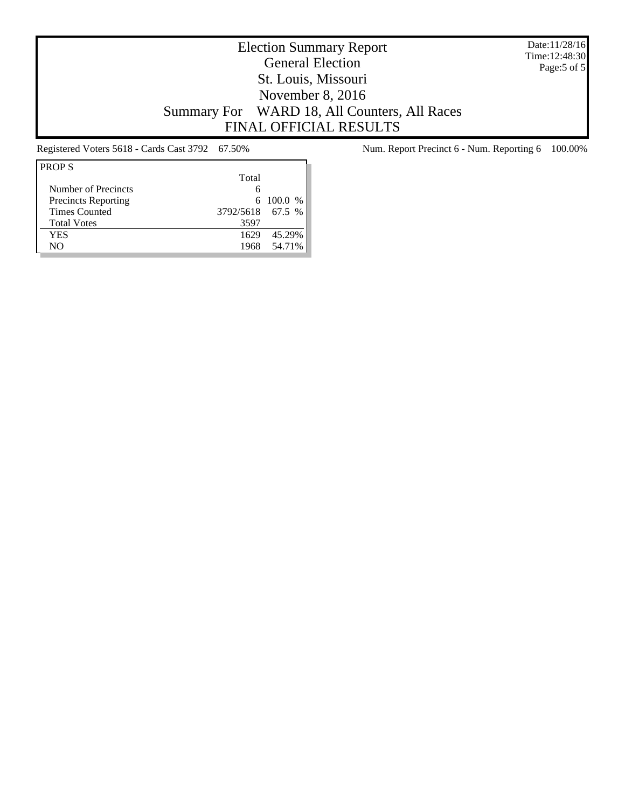Date:11/28/16 Time:12:48:30 Page:5 of 5

## Election Summary Report General Election St. Louis, Missouri November 8, 2016 Summary For WARD 18, All Counters, All Races FINAL OFFICIAL RESULTS

| <b>PROPS</b>               |                  |                 |
|----------------------------|------------------|-----------------|
|                            | Total            |                 |
| Number of Precincts        | 6                |                 |
| <b>Precincts Reporting</b> |                  | $6\quad100.0\%$ |
| <b>Times Counted</b>       | 3792/5618 67.5 % |                 |
| <b>Total Votes</b>         | 3597             |                 |
| <b>YES</b>                 | 1629             | 45.29%          |
| NΟ                         | 1968             | 54.71%          |
|                            |                  |                 |

Registered Voters 5618 - Cards Cast 3792 67.50% Num. Report Precinct 6 - Num. Reporting 6 100.00%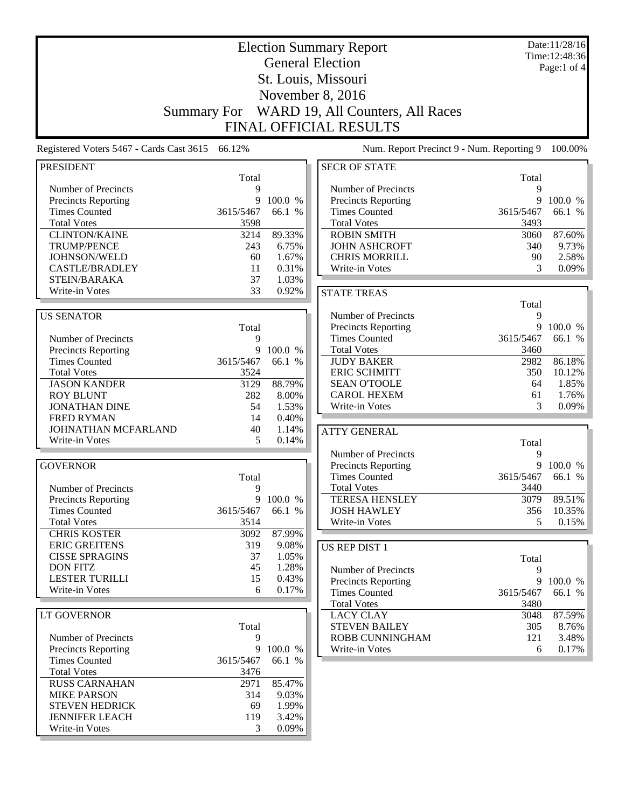| <b>Election Summary Report</b>                     |                         |                   |                                             |                | Date:11/28/16<br>Time: 12:48:36 |
|----------------------------------------------------|-------------------------|-------------------|---------------------------------------------|----------------|---------------------------------|
|                                                    | <b>General Election</b> |                   |                                             |                |                                 |
|                                                    |                         |                   | St. Louis, Missouri                         |                | Page:1 of 4                     |
|                                                    |                         |                   | November 8, 2016                            |                |                                 |
|                                                    |                         |                   |                                             |                |                                 |
|                                                    | <b>Summary For</b>      |                   | WARD 19, All Counters, All Races            |                |                                 |
|                                                    |                         |                   | <b>FINAL OFFICIAL RESULTS</b>               |                |                                 |
| Registered Voters 5467 - Cards Cast 3615 66.12%    |                         |                   | Num. Report Precinct 9 - Num. Reporting 9   |                | 100.00%                         |
| <b>PRESIDENT</b>                                   |                         |                   | <b>SECR OF STATE</b>                        |                |                                 |
|                                                    | Total                   |                   |                                             | Total          |                                 |
| Number of Precincts                                | 9                       |                   | Number of Precincts                         | 9              |                                 |
| <b>Precincts Reporting</b><br><b>Times Counted</b> | 9<br>3615/5467          | 100.0 %<br>66.1 % | Precincts Reporting<br><b>Times Counted</b> | 9<br>3615/5467 | 100.0 %<br>66.1 %               |
| <b>Total Votes</b>                                 | 3598                    |                   | <b>Total Votes</b>                          | 3493           |                                 |
| <b>CLINTON/KAINE</b>                               | 3214                    | 89.33%            | <b>ROBIN SMITH</b>                          | 3060           | 87.60%                          |
| <b>TRUMP/PENCE</b>                                 | 243                     | 6.75%             | <b>JOHN ASHCROFT</b>                        | 340            | 9.73%                           |
| JOHNSON/WELD                                       | 60                      | 1.67%             | <b>CHRIS MORRILL</b>                        | 90             | 2.58%                           |
| <b>CASTLE/BRADLEY</b>                              | 11                      | 0.31%             | Write-in Votes                              | 3              | 0.09%                           |
| STEIN/BARAKA                                       | 37                      | 1.03%             |                                             |                |                                 |
| Write-in Votes                                     | 33                      | 0.92%             | <b>STATE TREAS</b>                          |                |                                 |
|                                                    |                         |                   |                                             | Total          |                                 |
| <b>US SENATOR</b>                                  |                         |                   | Number of Precincts                         | 9              |                                 |
|                                                    | Total                   |                   | <b>Precincts Reporting</b>                  | 9              | 100.0 %                         |
| Number of Precincts                                | 9                       |                   | <b>Times Counted</b>                        | 3615/5467      | 66.1 %                          |
| <b>Precincts Reporting</b><br><b>Times Counted</b> | 9<br>3615/5467          | 100.0 %<br>66.1 % | <b>Total Votes</b><br><b>JUDY BAKER</b>     | 3460<br>2982   | 86.18%                          |
| <b>Total Votes</b>                                 | 3524                    |                   | <b>ERIC SCHMITT</b>                         | 350            | 10.12%                          |
| <b>JASON KANDER</b>                                | 3129                    | 88.79%            | <b>SEAN O'TOOLE</b>                         | 64             | 1.85%                           |
| <b>ROY BLUNT</b>                                   | 282                     | 8.00%             | <b>CAROL HEXEM</b>                          | 61             | 1.76%                           |
| <b>JONATHAN DINE</b>                               | 54                      | 1.53%             | Write-in Votes                              | 3              | 0.09%                           |
| <b>FRED RYMAN</b>                                  | 14                      | 0.40%             |                                             |                |                                 |
| JOHNATHAN MCFARLAND                                | 40                      | 1.14%             | <b>ATTY GENERAL</b>                         |                |                                 |
| Write-in Votes                                     | 5                       | 0.14%             |                                             | Total          |                                 |
|                                                    |                         |                   | Number of Precincts                         | 9              |                                 |
| <b>GOVERNOR</b>                                    |                         |                   | Precincts Reporting                         | 9              | 100.0 %                         |
|                                                    | Total                   |                   | <b>Times Counted</b>                        | 3615/5467      | 66.1 %                          |
| Number of Precincts                                | 9                       |                   | <b>Total Votes</b>                          | 3440           |                                 |
| <b>Precincts Reporting</b>                         |                         | 9 100.0 %         | <b>TERESA HENSLEY</b>                       | 3079           | 89.51%                          |
| <b>Times Counted</b>                               | 3615/5467               | 66.1 %            | <b>JOSH HAWLEY</b>                          | 356            | 10.35%                          |
| <b>Total Votes</b><br><b>CHRIS KOSTER</b>          | 3514<br>3092            | 87.99%            | Write-in Votes                              | 5              | 0.15%                           |
| <b>ERIC GREITENS</b>                               | 319                     | 9.08%             |                                             |                |                                 |
| <b>CISSE SPRAGINS</b>                              | 37                      | 1.05%             | <b>US REP DIST 1</b>                        |                |                                 |
| <b>DON FITZ</b>                                    | 45                      | 1.28%             | Number of Precincts                         | Total<br>9     |                                 |
| <b>LESTER TURILLI</b>                              | 15                      | 0.43%             | Precincts Reporting                         |                | 9 100.0 %                       |
| Write-in Votes                                     | 6                       | 0.17%             | <b>Times Counted</b>                        | 3615/5467      | 66.1 %                          |
|                                                    |                         |                   | <b>Total Votes</b>                          | 3480           |                                 |
| LT GOVERNOR                                        |                         |                   | <b>LACY CLAY</b>                            | 3048           | 87.59%                          |
|                                                    | Total                   |                   | <b>STEVEN BAILEY</b>                        | 305            | 8.76%                           |
| Number of Precincts                                | 9                       |                   | ROBB CUNNINGHAM                             | 121            | 3.48%                           |
| <b>Precincts Reporting</b>                         | 9                       | 100.0 %           | Write-in Votes                              | 6              | 0.17%                           |
| <b>Times Counted</b>                               | 3615/5467               | 66.1 %            |                                             |                |                                 |
| <b>Total Votes</b>                                 | 3476                    |                   |                                             |                |                                 |
| <b>RUSS CARNAHAN</b>                               | 2971                    | 85.47%            |                                             |                |                                 |
| <b>MIKE PARSON</b><br><b>STEVEN HEDRICK</b>        | 314<br>69               | 9.03%<br>1.99%    |                                             |                |                                 |
| <b>JENNIFER LEACH</b>                              | 119                     | 3.42%             |                                             |                |                                 |
| Write-in Votes                                     | 3                       | 0.09%             |                                             |                |                                 |
|                                                    |                         |                   |                                             |                |                                 |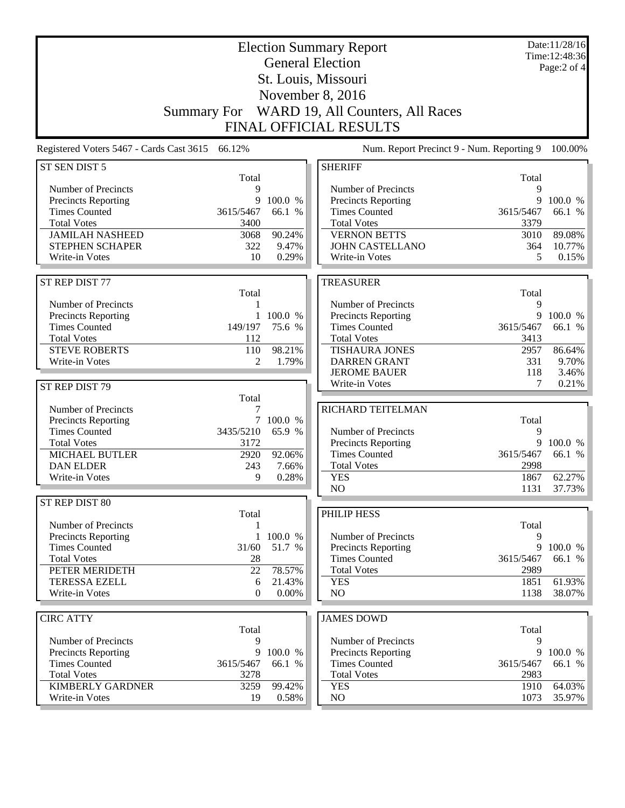| <b>Election Summary Report</b><br><b>General Election</b> |                     |                   |                                             |                   | Date:11/28/16<br>Time: 12:48:36 |  |  |
|-----------------------------------------------------------|---------------------|-------------------|---------------------------------------------|-------------------|---------------------------------|--|--|
|                                                           |                     |                   |                                             |                   | Page:2 of 4                     |  |  |
|                                                           |                     |                   | St. Louis, Missouri                         |                   |                                 |  |  |
| November 8, 2016                                          |                     |                   |                                             |                   |                                 |  |  |
|                                                           | <b>Summary For</b>  |                   | WARD 19, All Counters, All Races            |                   |                                 |  |  |
|                                                           |                     |                   | <b>FINAL OFFICIAL RESULTS</b>               |                   |                                 |  |  |
| Registered Voters 5467 - Cards Cast 3615 66.12%           |                     |                   | Num. Report Precinct 9 - Num. Reporting 9   |                   | 100.00%                         |  |  |
| ST SEN DIST 5                                             |                     |                   | <b>SHERIFF</b>                              |                   |                                 |  |  |
|                                                           | Total               |                   |                                             | Total             |                                 |  |  |
| Number of Precincts                                       | 9                   |                   | Number of Precincts                         | 9                 |                                 |  |  |
| Precincts Reporting                                       | 9                   | 100.0 %           | <b>Precincts Reporting</b>                  | 9                 | 100.0 %                         |  |  |
| <b>Times Counted</b><br><b>Total Votes</b>                | 3615/5467<br>3400   | 66.1 %            | <b>Times Counted</b><br><b>Total Votes</b>  | 3615/5467<br>3379 | 66.1 %                          |  |  |
| <b>JAMILAH NASHEED</b>                                    | 3068                | 90.24%            | <b>VERNON BETTS</b>                         | 3010              | 89.08%                          |  |  |
| <b>STEPHEN SCHAPER</b>                                    | 322                 | 9.47%             | <b>JOHN CASTELLANO</b>                      | 364               | 10.77%                          |  |  |
| Write-in Votes                                            | 10                  | 0.29%             | Write-in Votes                              | 5                 | 0.15%                           |  |  |
|                                                           |                     |                   |                                             |                   |                                 |  |  |
| ST REP DIST 77                                            |                     |                   | <b>TREASURER</b>                            |                   |                                 |  |  |
|                                                           | Total               |                   |                                             | Total             |                                 |  |  |
| Number of Precincts                                       | 1<br>$\mathbf{1}$   | 100.0 %           | Number of Precincts                         | 9<br>9            | 100.0 %                         |  |  |
| <b>Precincts Reporting</b><br><b>Times Counted</b>        | 149/197             | 75.6 %            | Precincts Reporting<br><b>Times Counted</b> | 3615/5467         | 66.1 %                          |  |  |
| <b>Total Votes</b>                                        | 112                 |                   | <b>Total Votes</b>                          | 3413              |                                 |  |  |
| <b>STEVE ROBERTS</b>                                      | 110                 | 98.21%            | <b>TISHAURA JONES</b>                       | 2957              | 86.64%                          |  |  |
| Write-in Votes                                            | 2                   | 1.79%             | <b>DARREN GRANT</b>                         | 331               | 9.70%                           |  |  |
|                                                           |                     |                   | <b>JEROME BAUER</b>                         | 118               | 3.46%                           |  |  |
| ST REP DIST 79                                            |                     |                   | Write-in Votes                              | 7                 | 0.21%                           |  |  |
|                                                           | Total               |                   |                                             |                   |                                 |  |  |
| Number of Precincts                                       | 7                   |                   | RICHARD TEITELMAN                           |                   |                                 |  |  |
| Precincts Reporting<br><b>Times Counted</b>               | $\tau$<br>3435/5210 | 100.0 %<br>65.9 % | Number of Precincts                         | Total<br>9        |                                 |  |  |
| <b>Total Votes</b>                                        | 3172                |                   | <b>Precincts Reporting</b>                  | 9                 | 100.0 %                         |  |  |
| MICHAEL BUTLER                                            | 2920                | 92.06%            | <b>Times Counted</b>                        | 3615/5467         | 66.1 %                          |  |  |
| <b>DAN ELDER</b>                                          | 243                 | 7.66%             | <b>Total Votes</b>                          | 2998              |                                 |  |  |
| Write-in Votes                                            | 9                   | 0.28%             | <b>YES</b>                                  | 1867              | 62.27%                          |  |  |
|                                                           |                     |                   | NO                                          | 1131              | 37.73%                          |  |  |
| ST REP DIST 80                                            |                     |                   | PHILIP HESS                                 |                   |                                 |  |  |
| Number of Precincts                                       | Total<br>1          |                   |                                             | Total             |                                 |  |  |
| Precincts Reporting                                       | $\mathbf{1}$        | 100.0 %           | Number of Precincts                         | 9                 |                                 |  |  |
| <b>Times Counted</b>                                      | 31/60               | 51.7 %            | Precincts Reporting                         | 9                 | 100.0 %                         |  |  |
| <b>Total Votes</b>                                        | 28                  |                   | <b>Times Counted</b>                        | 3615/5467         | 66.1 %                          |  |  |
| PETER MERIDETH                                            | 22                  | 78.57%            | <b>Total Votes</b>                          | 2989              |                                 |  |  |
| <b>TERESSA EZELL</b>                                      | 6                   | 21.43%            | <b>YES</b>                                  | 1851              | 61.93%                          |  |  |
| Write-in Votes                                            | $\overline{0}$      | 0.00%             | NO                                          | 1138              | 38.07%                          |  |  |
| <b>CIRC ATTY</b>                                          |                     |                   | <b>JAMES DOWD</b>                           |                   |                                 |  |  |
|                                                           | Total               |                   |                                             | Total             |                                 |  |  |
| Number of Precincts                                       | 9                   |                   | Number of Precincts                         | 9                 |                                 |  |  |
| Precincts Reporting                                       | 9                   | 100.0 %           | <b>Precincts Reporting</b>                  | 9                 | 100.0 %                         |  |  |
| <b>Times Counted</b>                                      | 3615/5467           | 66.1 %            | <b>Times Counted</b>                        | 3615/5467         | 66.1 %                          |  |  |
| <b>Total Votes</b>                                        | 3278                |                   | <b>Total Votes</b>                          | 2983              |                                 |  |  |
| <b>KIMBERLY GARDNER</b>                                   | 3259                | 99.42%            | <b>YES</b>                                  | 1910              | 64.03%                          |  |  |
| Write-in Votes                                            | 19                  | 0.58%             | NO                                          | 1073              | 35.97%                          |  |  |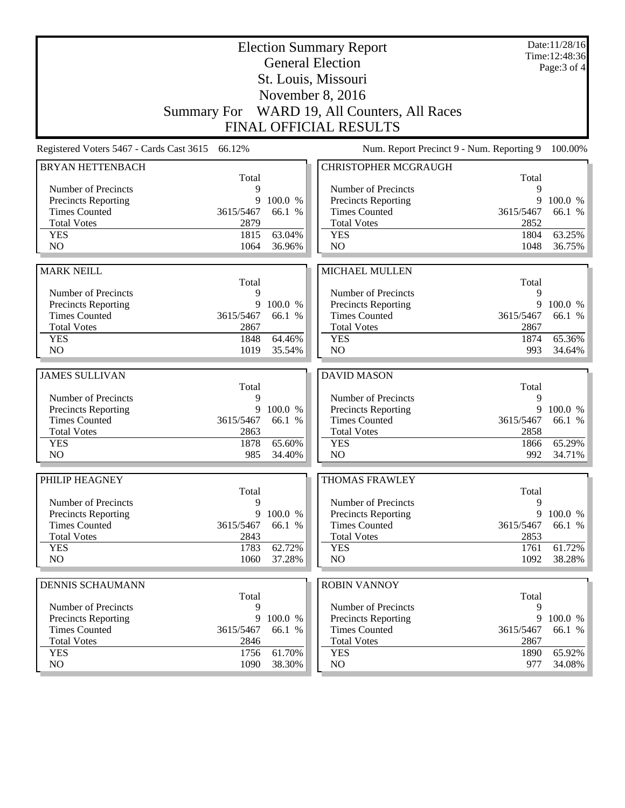|                                                                                                                                                       |             | Date:11/28/16<br>Time: 12:48:36 |  |  |  |  |
|-------------------------------------------------------------------------------------------------------------------------------------------------------|-------------|---------------------------------|--|--|--|--|
| <b>General Election</b>                                                                                                                               |             | Page: 3 of 4                    |  |  |  |  |
| St. Louis, Missouri                                                                                                                                   |             |                                 |  |  |  |  |
| November 8, 2016                                                                                                                                      |             |                                 |  |  |  |  |
| Summary For WARD 19, All Counters, All Races                                                                                                          |             |                                 |  |  |  |  |
| <b>FINAL OFFICIAL RESULTS</b>                                                                                                                         |             |                                 |  |  |  |  |
|                                                                                                                                                       |             |                                 |  |  |  |  |
| Num. Report Precinct 9 - Num. Reporting 9<br>Registered Voters 5467 - Cards Cast 3615 66.12%                                                          |             | 100.00%                         |  |  |  |  |
| <b>CHRISTOPHER MCGRAUGH</b><br><b>BRYAN HETTENBACH</b><br>Total                                                                                       |             |                                 |  |  |  |  |
| Number of Precincts<br>9<br>Number of Precincts                                                                                                       | Total<br>9  |                                 |  |  |  |  |
| 9<br>100.0 %<br>Precincts Reporting<br>Precincts Reporting                                                                                            | 9           | 100.0 %                         |  |  |  |  |
| <b>Times Counted</b><br><b>Times Counted</b><br>66.1 %<br>3615/5467                                                                                   | 3615/5467   | 66.1 %                          |  |  |  |  |
| <b>Total Votes</b><br>2879<br><b>Total Votes</b>                                                                                                      | 2852        |                                 |  |  |  |  |
| 63.04%<br><b>YES</b><br>1815<br><b>YES</b>                                                                                                            | 1804        | 63.25%                          |  |  |  |  |
| NO<br>NO<br>1064<br>36.96%                                                                                                                            | 1048        | 36.75%                          |  |  |  |  |
|                                                                                                                                                       |             |                                 |  |  |  |  |
| <b>MARK NEILL</b><br><b>MICHAEL MULLEN</b>                                                                                                            |             |                                 |  |  |  |  |
| Total                                                                                                                                                 | Total       |                                 |  |  |  |  |
| Number of Precincts<br>9<br>Number of Precincts<br>Precincts Reporting<br>9<br>100.0 %<br>Precincts Reporting                                         | 9<br>9      | 100.0 %                         |  |  |  |  |
| <b>Times Counted</b><br><b>Times Counted</b><br>66.1 %<br>3615/5467                                                                                   | 3615/5467   | 66.1 %                          |  |  |  |  |
| <b>Total Votes</b><br>2867<br><b>Total Votes</b>                                                                                                      | 2867        |                                 |  |  |  |  |
| <b>YES</b><br>1848<br>64.46%<br><b>YES</b>                                                                                                            | 1874        | 65.36%                          |  |  |  |  |
| NO<br>1019<br>NO<br>35.54%                                                                                                                            | 993         | 34.64%                          |  |  |  |  |
|                                                                                                                                                       |             |                                 |  |  |  |  |
| <b>JAMES SULLIVAN</b><br><b>DAVID MASON</b>                                                                                                           |             |                                 |  |  |  |  |
| Total<br>Number of Precincts<br>9<br>Number of Precincts                                                                                              | Total<br>9  |                                 |  |  |  |  |
| Precincts Reporting<br>9 100.0 %<br>Precincts Reporting                                                                                               | 9           | 100.0 %                         |  |  |  |  |
| <b>Times Counted</b><br><b>Times Counted</b><br>3615/5467<br>66.1 %                                                                                   | 3615/5467   | 66.1 %                          |  |  |  |  |
| <b>Total Votes</b><br><b>Total Votes</b><br>2863                                                                                                      | 2858        |                                 |  |  |  |  |
| 65.60%<br><b>YES</b><br>1878<br><b>YES</b>                                                                                                            | 1866        |                                 |  |  |  |  |
| N <sub>O</sub><br>985<br>N <sub>O</sub><br>34.40%                                                                                                     |             |                                 |  |  |  |  |
|                                                                                                                                                       | 992         | 65.29%<br>34.71%                |  |  |  |  |
|                                                                                                                                                       |             |                                 |  |  |  |  |
| PHILIP HEAGNEY<br><b>THOMAS FRAWLEY</b>                                                                                                               |             |                                 |  |  |  |  |
| Total                                                                                                                                                 | Total       |                                 |  |  |  |  |
| Number of Precincts<br>9<br>Number of Precincts                                                                                                       | 9           |                                 |  |  |  |  |
| Precincts Reporting<br>9<br>100.0 %<br><b>Precincts Reporting</b><br><b>Times Counted</b><br>3615/5467<br>66.1 %<br><b>Times Counted</b><br>3615/5467 | 9           | 100.0 %                         |  |  |  |  |
| <b>Total Votes</b><br><b>Total Votes</b><br>2843                                                                                                      | 2853        | 66.1 %                          |  |  |  |  |
| 1783<br><b>YES</b><br>62.72%<br><b>YES</b>                                                                                                            | 1761        | 61.72%                          |  |  |  |  |
| NO.<br>1060<br>NO<br>37.28%                                                                                                                           | 1092        | 38.28%                          |  |  |  |  |
|                                                                                                                                                       |             |                                 |  |  |  |  |
| <b>ROBIN VANNOY</b><br><b>DENNIS SCHAUMANN</b>                                                                                                        |             |                                 |  |  |  |  |
| Total<br>9                                                                                                                                            | Total<br>9  |                                 |  |  |  |  |
| Number of Precincts<br>Number of Precincts<br>9<br>100.0 %<br><b>Precincts Reporting</b>                                                              | 9           | 100.0 %                         |  |  |  |  |
| <b>Precincts Reporting</b><br><b>Times Counted</b><br><b>Times Counted</b><br>3615/5467<br>66.1 %<br>3615/5467                                        |             | 66.1 %                          |  |  |  |  |
| <b>Total Votes</b><br><b>Total Votes</b><br>2846                                                                                                      | 2867        |                                 |  |  |  |  |
| <b>YES</b><br>1756<br>61.70%<br><b>YES</b><br>NO<br>1090<br>38.30%<br>NO                                                                              | 1890<br>977 | 65.92%<br>34.08%                |  |  |  |  |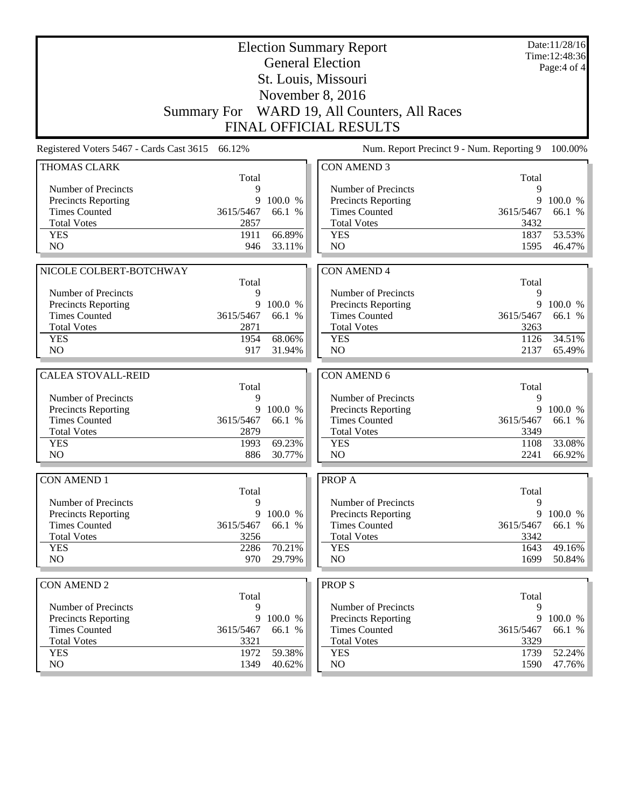| <b>Election Summary Report</b><br><b>General Election</b><br>St. Louis, Missouri |                   |                  |                                            |                   | Date:11/28/16<br>Time: 12:48:36<br>Page: 4 of 4 |
|----------------------------------------------------------------------------------|-------------------|------------------|--------------------------------------------|-------------------|-------------------------------------------------|
|                                                                                  |                   |                  | November 8, 2016                           |                   |                                                 |
| Summary For WARD 19, All Counters, All Races                                     |                   |                  |                                            |                   |                                                 |
| <b>FINAL OFFICIAL RESULTS</b>                                                    |                   |                  |                                            |                   |                                                 |
| Registered Voters 5467 - Cards Cast 3615                                         | 66.12%            |                  | Num. Report Precinct 9 - Num. Reporting 9  |                   | 100.00%                                         |
| THOMAS CLARK                                                                     | Total             |                  | <b>CON AMEND 3</b>                         | Total             |                                                 |
| Number of Precincts                                                              | 9                 |                  | Number of Precincts                        | 9                 |                                                 |
| <b>Precincts Reporting</b>                                                       | 9                 | 100.0 %          | Precincts Reporting                        | 9                 | 100.0 %                                         |
| <b>Times Counted</b>                                                             | 3615/5467         | 66.1 %           | <b>Times Counted</b>                       | 3615/5467         | 66.1 %                                          |
| <b>Total Votes</b>                                                               | 2857              |                  | <b>Total Votes</b>                         | 3432              |                                                 |
| <b>YES</b>                                                                       | 1911              | 66.89%           | <b>YES</b>                                 | 1837              | 53.53%                                          |
| N <sub>O</sub>                                                                   | 946               | 33.11%           | N <sub>O</sub>                             | 1595              | 46.47%                                          |
| NICOLE COLBERT-BOTCHWAY                                                          |                   |                  | <b>CON AMEND 4</b>                         |                   |                                                 |
|                                                                                  | Total             |                  |                                            | Total             |                                                 |
| Number of Precincts                                                              | 9                 |                  | Number of Precincts                        | 9                 |                                                 |
| <b>Precincts Reporting</b>                                                       | 9                 | 100.0 %          | Precincts Reporting                        | 9                 | 100.0 %                                         |
| <b>Times Counted</b>                                                             | 3615/5467         | 66.1 %           | <b>Times Counted</b>                       | 3615/5467         | 66.1 %                                          |
| <b>Total Votes</b>                                                               | 2871              |                  | <b>Total Votes</b>                         | 3263              |                                                 |
| <b>YES</b>                                                                       | 1954              | 68.06%           | <b>YES</b>                                 | 1126              | 34.51%                                          |
| N <sub>O</sub>                                                                   | 917               | 31.94%           | N <sub>O</sub>                             | 2137              | 65.49%                                          |
| <b>CALEA STOVALL-REID</b>                                                        |                   |                  | CON AMEND 6                                |                   |                                                 |
|                                                                                  | Total             |                  |                                            | Total             |                                                 |
| Number of Precincts                                                              | 9                 |                  | Number of Precincts                        | 9                 |                                                 |
| Precincts Reporting                                                              | 9                 | 100.0 %          | Precincts Reporting                        | 9                 | 100.0 %                                         |
| <b>Times Counted</b>                                                             | 3615/5467         | 66.1 %           | <b>Times Counted</b>                       |                   |                                                 |
|                                                                                  |                   |                  |                                            | 3615/5467         | 66.1 %                                          |
| <b>Total Votes</b>                                                               | 2879              |                  | <b>Total Votes</b>                         | 3349              |                                                 |
| <b>YES</b>                                                                       | 1993              | 69.23%           | <b>YES</b>                                 | 1108              | 33.08%                                          |
| NO                                                                               | 886               | 30.77%           | NO                                         | 2241              | 66.92%                                          |
| <b>CON AMEND 1</b>                                                               |                   |                  | PROP A                                     |                   |                                                 |
|                                                                                  | Total             |                  |                                            | Total             |                                                 |
| Number of Precincts                                                              | 9                 |                  | Number of Precincts                        | 9                 |                                                 |
| <b>Precincts Reporting</b>                                                       | 9                 | 100.0 %          | Precincts Reporting                        | 9                 | 100.0 %                                         |
| <b>Times Counted</b>                                                             | 3615/5467         | 66.1 %           | <b>Times Counted</b>                       | 3615/5467         | 66.1 %                                          |
| <b>Total Votes</b>                                                               | 3256              |                  | <b>Total Votes</b>                         | 3342              |                                                 |
| <b>YES</b><br>NO                                                                 | 2286<br>970       | 70.21%<br>29.79% | <b>YES</b><br>NO                           | 1643<br>1699      | 49.16%<br>$50.84\%$                             |
|                                                                                  |                   |                  |                                            |                   |                                                 |
| <b>CON AMEND 2</b>                                                               |                   |                  | <b>PROPS</b>                               |                   |                                                 |
|                                                                                  | Total             |                  |                                            | Total             |                                                 |
| Number of Precincts                                                              | 9                 |                  | Number of Precincts                        | 9                 |                                                 |
| <b>Precincts Reporting</b>                                                       | 9                 | 100.0 %          | <b>Precincts Reporting</b>                 | 9                 | 100.0 %                                         |
| <b>Times Counted</b><br><b>Total Votes</b>                                       | 3615/5467<br>3321 | 66.1 %           | <b>Times Counted</b><br><b>Total Votes</b> | 3615/5467<br>3329 | 66.1 %                                          |
| <b>YES</b><br>NO                                                                 | 1972<br>1349      | 59.38%           | <b>YES</b><br>NO                           | 1739<br>1590      | 52.24%                                          |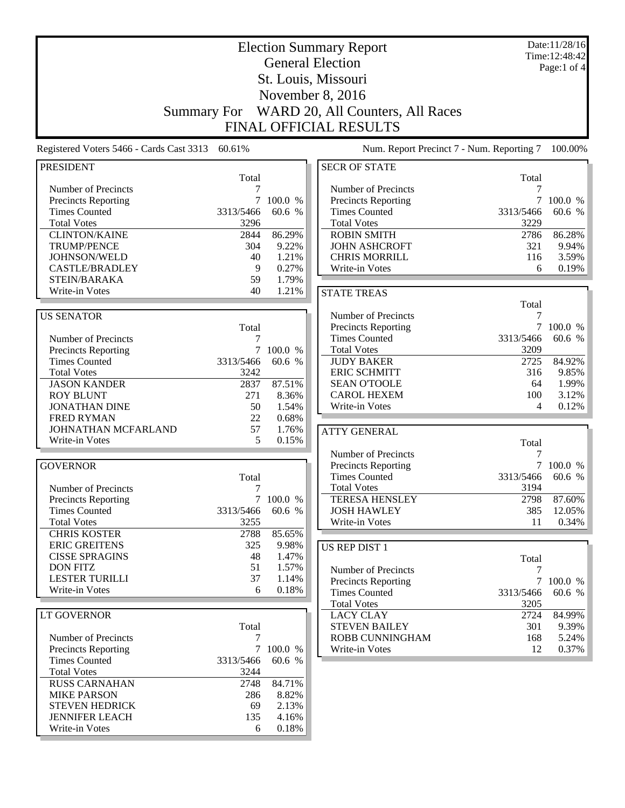| <b>Election Summary Report</b>                  |                    |           |                                                                   |                | Date:11/28/16<br>Time: 12:48:42 |
|-------------------------------------------------|--------------------|-----------|-------------------------------------------------------------------|----------------|---------------------------------|
|                                                 |                    |           | <b>General Election</b>                                           |                | Page:1 of 4                     |
|                                                 |                    |           | St. Louis, Missouri                                               |                |                                 |
|                                                 |                    |           | November 8, 2016                                                  |                |                                 |
|                                                 |                    |           |                                                                   |                |                                 |
|                                                 | <b>Summary For</b> |           | WARD 20, All Counters, All Races<br><b>FINAL OFFICIAL RESULTS</b> |                |                                 |
|                                                 |                    |           |                                                                   |                |                                 |
| Registered Voters 5466 - Cards Cast 3313 60.61% |                    |           | Num. Report Precinct 7 - Num. Reporting 7                         |                | 100.00%                         |
| <b>PRESIDENT</b>                                | Total              |           | <b>SECR OF STATE</b>                                              | Total          |                                 |
| Number of Precincts                             | 7                  |           | Number of Precincts                                               | 7              |                                 |
| Precincts Reporting                             | 7                  | 100.0 %   | <b>Precincts Reporting</b>                                        | $\overline{7}$ | 100.0 %                         |
| <b>Times Counted</b>                            | 3313/5466          | 60.6 %    | <b>Times Counted</b>                                              | 3313/5466      | 60.6 %                          |
| <b>Total Votes</b>                              | 3296               |           | <b>Total Votes</b>                                                | 3229           |                                 |
| <b>CLINTON/KAINE</b>                            | 2844               | 86.29%    | <b>ROBIN SMITH</b>                                                | 2786           | 86.28%                          |
| <b>TRUMP/PENCE</b>                              | 304                | 9.22%     | <b>JOHN ASHCROFT</b>                                              | 321            | 9.94%                           |
| JOHNSON/WELD                                    | 40                 | 1.21%     | <b>CHRIS MORRILL</b>                                              | 116            | 3.59%                           |
| <b>CASTLE/BRADLEY</b>                           | 9                  | 0.27%     | Write-in Votes                                                    | 6              | 0.19%                           |
| STEIN/BARAKA                                    | 59                 | 1.79%     |                                                                   |                |                                 |
| Write-in Votes                                  | 40                 | 1.21%     | <b>STATE TREAS</b>                                                |                |                                 |
|                                                 |                    |           |                                                                   | Total          |                                 |
| <b>US SENATOR</b>                               |                    |           | Number of Precincts                                               | 7              |                                 |
|                                                 | Total              |           | <b>Precincts Reporting</b>                                        | $\tau$         | 100.0%                          |
| Number of Precincts                             | 7                  |           | <b>Times Counted</b>                                              | 3313/5466      | 60.6 %                          |
| Precincts Reporting                             | $\tau$             | 100.0 %   | <b>Total Votes</b>                                                | 3209           |                                 |
| <b>Times Counted</b>                            | 3313/5466          | 60.6 %    | <b>JUDY BAKER</b>                                                 | 2725           | 84.92%                          |
| <b>Total Votes</b>                              | 3242               |           | <b>ERIC SCHMITT</b>                                               | 316            | 9.85%                           |
| <b>JASON KANDER</b>                             | 2837               | 87.51%    | <b>SEAN O'TOOLE</b>                                               | 64             | 1.99%                           |
| <b>ROY BLUNT</b>                                | 271                | 8.36%     | <b>CAROL HEXEM</b>                                                | 100            | 3.12%                           |
| <b>JONATHAN DINE</b>                            | 50                 | 1.54%     | Write-in Votes                                                    | 4              | 0.12%                           |
| <b>FRED RYMAN</b>                               | 22                 | 0.68%     |                                                                   |                |                                 |
| JOHNATHAN MCFARLAND                             | 57                 | 1.76%     | <b>ATTY GENERAL</b>                                               |                |                                 |
| Write-in Votes                                  | 5                  | 0.15%     |                                                                   | Total          |                                 |
|                                                 |                    |           | Number of Precincts                                               | 7              |                                 |
| <b>GOVERNOR</b>                                 |                    |           | Precincts Reporting                                               | $\tau$         | 100.0 %                         |
|                                                 | Total              |           | <b>Times Counted</b>                                              | 3313/5466      | 60.6 %                          |
| Number of Precincts                             | 7                  |           | <b>Total Votes</b>                                                | 3194           |                                 |
| Precincts Reporting                             |                    | 7 100.0 % | <b>TERESA HENSLEY</b>                                             | 2798           | 87.60%                          |
| <b>Times Counted</b>                            | 3313/5466          | 60.6 %    | <b>JOSH HAWLEY</b>                                                | 385            | 12.05%                          |
| <b>Total Votes</b>                              | 3255               |           | Write-in Votes                                                    | 11             | 0.34%                           |
| <b>CHRIS KOSTER</b>                             | 2788               | 85.65%    |                                                                   |                |                                 |
| <b>ERIC GREITENS</b>                            | 325                | 9.98%     | US REP DIST 1                                                     |                |                                 |
| <b>CISSE SPRAGINS</b>                           | 48                 | 1.47%     |                                                                   | Total          |                                 |
| <b>DON FITZ</b>                                 | 51                 | 1.57%     | Number of Precincts                                               | 7              |                                 |
| <b>LESTER TURILLI</b>                           | 37                 | 1.14%     | Precincts Reporting                                               |                | 7 100.0 %                       |
| Write-in Votes                                  | 6                  | 0.18%     | <b>Times Counted</b>                                              | 3313/5466      | 60.6 %                          |
|                                                 |                    |           | <b>Total Votes</b>                                                | 3205           |                                 |
| LT GOVERNOR                                     |                    |           | <b>LACY CLAY</b>                                                  | 2724           | 84.99%                          |
|                                                 | Total              |           | <b>STEVEN BAILEY</b>                                              | 301            | 9.39%                           |
| Number of Precincts                             | 7                  |           | ROBB CUNNINGHAM                                                   | 168            | 5.24%                           |
| <b>Precincts Reporting</b>                      | $\tau$             | 100.0 %   | Write-in Votes                                                    | 12             | 0.37%                           |
| <b>Times Counted</b>                            | 3313/5466          | 60.6 %    |                                                                   |                |                                 |
| <b>Total Votes</b>                              | 3244               |           |                                                                   |                |                                 |
| <b>RUSS CARNAHAN</b>                            | 2748               | 84.71%    |                                                                   |                |                                 |
| <b>MIKE PARSON</b>                              | 286                | 8.82%     |                                                                   |                |                                 |
| <b>STEVEN HEDRICK</b>                           | 69                 | 2.13%     |                                                                   |                |                                 |
| <b>JENNIFER LEACH</b>                           | 135                | 4.16%     |                                                                   |                |                                 |
| Write-in Votes                                  | 6                  | 0.18%     |                                                                   |                |                                 |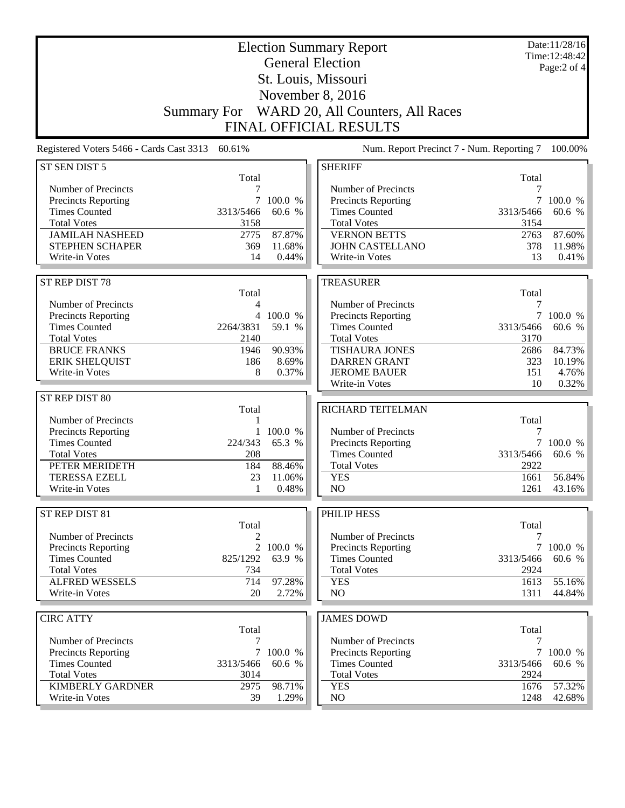| <b>Election Summary Report</b><br><b>General Election</b> |                    |         |                                           |           | Date:11/28/16<br>Time: 12:48:42<br>Page:2 of 4 |
|-----------------------------------------------------------|--------------------|---------|-------------------------------------------|-----------|------------------------------------------------|
|                                                           |                    |         | St. Louis, Missouri                       |           |                                                |
|                                                           |                    |         | November 8, 2016                          |           |                                                |
|                                                           | <b>Summary For</b> |         | WARD 20, All Counters, All Races          |           |                                                |
|                                                           |                    |         |                                           |           |                                                |
|                                                           |                    |         | <b>FINAL OFFICIAL RESULTS</b>             |           |                                                |
| Registered Voters 5466 - Cards Cast 3313                  | 60.61%             |         | Num. Report Precinct 7 - Num. Reporting 7 |           | 100.00%                                        |
| ST SEN DIST 5                                             | Total              |         | <b>SHERIFF</b>                            | Total     |                                                |
| Number of Precincts                                       | 7                  |         | Number of Precincts                       | 7         |                                                |
| Precincts Reporting                                       | $\tau$             | 100.0 % | Precincts Reporting                       | 7         | 100.0 %                                        |
| <b>Times Counted</b>                                      | 3313/5466          | 60.6 %  | <b>Times Counted</b>                      | 3313/5466 | 60.6 %                                         |
| <b>Total Votes</b>                                        | 3158               |         | <b>Total Votes</b>                        | 3154      |                                                |
| <b>JAMILAH NASHEED</b>                                    | 2775               | 87.87%  | <b>VERNON BETTS</b>                       | 2763      | 87.60%                                         |
| STEPHEN SCHAPER                                           | 369                | 11.68%  | <b>JOHN CASTELLANO</b>                    | 378       | 11.98%                                         |
| Write-in Votes                                            | 14                 | 0.44%   | Write-in Votes                            | 13        | 0.41%                                          |
| ST REP DIST 78                                            |                    |         | <b>TREASURER</b>                          |           |                                                |
|                                                           | Total              |         |                                           | Total     |                                                |
| Number of Precincts                                       | 4                  |         | Number of Precincts                       | 7         |                                                |
| Precincts Reporting                                       | $\overline{4}$     | 100.0 % | Precincts Reporting                       |           | 7 100.0 %                                      |
| <b>Times Counted</b>                                      | 2264/3831          | 59.1 %  | <b>Times Counted</b>                      | 3313/5466 | 60.6 %                                         |
| <b>Total Votes</b>                                        | 2140               |         | <b>Total Votes</b>                        | 3170      |                                                |
| <b>BRUCE FRANKS</b>                                       | 1946               | 90.93%  | <b>TISHAURA JONES</b>                     | 2686      | 84.73%                                         |
| <b>ERIK SHELQUIST</b>                                     | 186                | 8.69%   | <b>DARREN GRANT</b>                       | 323       | 10.19%                                         |
| Write-in Votes                                            | 8                  | 0.37%   | <b>JEROME BAUER</b>                       | 151       | 4.76%                                          |
|                                                           |                    |         | Write-in Votes                            | 10        | 0.32%                                          |
| ST REP DIST 80                                            | Total              |         | RICHARD TEITELMAN                         |           |                                                |
| Number of Precincts                                       | 1                  |         |                                           | Total     |                                                |
| <b>Precincts Reporting</b>                                | $\mathbf{1}$       | 100.0 % | Number of Precincts                       | 7         |                                                |
| <b>Times Counted</b>                                      | 224/343            | 65.3 %  | <b>Precincts Reporting</b>                |           | 100.0 %                                        |
| <b>Total Votes</b>                                        | 208                |         | <b>Times Counted</b>                      | 3313/5466 | 60.6 %                                         |
| PETER MERIDETH                                            | 184                | 88.46%  | <b>Total Votes</b>                        | 2922      |                                                |
| <b>TERESSA EZELL</b>                                      | 23                 | 11.06%  | <b>YES</b>                                | 1661      | 56.84%                                         |
| Write-in Votes                                            | 1                  | 0.48%   | NO                                        | 1261      | 43.16%                                         |
|                                                           |                    |         |                                           |           |                                                |
| ST REP DIST 81                                            | Total              |         | <b>PHILIP HESS</b>                        | Total     |                                                |
| Number of Precincts                                       | 2                  |         | Number of Precincts                       | 7         |                                                |
| Precincts Reporting                                       | 2                  | 100.0 % | Precincts Reporting                       | $\tau$    | 100.0 %                                        |
| <b>Times Counted</b>                                      | 825/1292           | 63.9 %  | <b>Times Counted</b>                      | 3313/5466 | 60.6 %                                         |
| <b>Total Votes</b>                                        | 734                |         | <b>Total Votes</b>                        | 2924      |                                                |
| <b>ALFRED WESSELS</b>                                     | 714                | 97.28%  | <b>YES</b>                                | 1613      | 55.16%                                         |
| Write-in Votes                                            | 20                 | 2.72%   | NO                                        | 1311      | 44.84%                                         |
|                                                           |                    |         |                                           |           |                                                |
| <b>CIRC ATTY</b>                                          | Total              |         | <b>JAMES DOWD</b>                         | Total     |                                                |
| Number of Precincts                                       | 7                  |         | Number of Precincts                       | 7         |                                                |
| Precincts Reporting                                       | $7\overline{ }$    | 100.0 % | Precincts Reporting                       |           | 7 100.0 %                                      |
| <b>Times Counted</b>                                      | 3313/5466          | 60.6 %  | <b>Times Counted</b>                      | 3313/5466 | 60.6 %                                         |
| <b>Total Votes</b>                                        | 3014               |         | <b>Total Votes</b>                        | 2924      |                                                |
| <b>KIMBERLY GARDNER</b>                                   | 2975               | 98.71%  | <b>YES</b>                                | 1676      | 57.32%                                         |
| Write-in Votes                                            | 39                 | 1.29%   | NO                                        | 1248      | 42.68%                                         |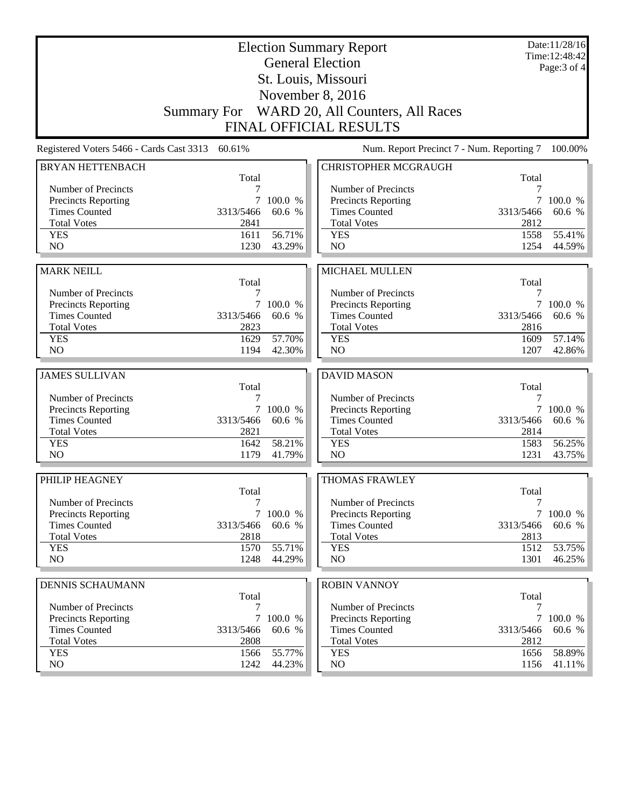|                                            |              | Date:11/28/16<br>Time: 12:48:42 |                                              |              |                  |
|--------------------------------------------|--------------|---------------------------------|----------------------------------------------|--------------|------------------|
|                                            |              |                                 | <b>General Election</b>                      |              | Page: $3$ of $4$ |
|                                            |              |                                 | St. Louis, Missouri                          |              |                  |
|                                            |              |                                 | November 8, 2016                             |              |                  |
|                                            |              |                                 | Summary For WARD 20, All Counters, All Races |              |                  |
|                                            |              |                                 | <b>FINAL OFFICIAL RESULTS</b>                |              |                  |
| Registered Voters 5466 - Cards Cast 3313   | 60.61%       |                                 | Num. Report Precinct 7 - Num. Reporting 7    |              | 100.00%          |
| <b>BRYAN HETTENBACH</b>                    |              |                                 | <b>CHRISTOPHER MCGRAUGH</b>                  |              |                  |
|                                            | Total<br>7   |                                 |                                              | Total        |                  |
| Number of Precincts<br>Precincts Reporting | 7            | 100.0 %                         | Number of Precincts<br>Precincts Reporting   | 7            | 7 100.0 %        |
| <b>Times Counted</b>                       | 3313/5466    | 60.6 %                          | <b>Times Counted</b>                         | 3313/5466    | 60.6 %           |
| <b>Total Votes</b>                         | 2841         |                                 | <b>Total Votes</b>                           | 2812         |                  |
| <b>YES</b>                                 | 1611         | 56.71%                          | <b>YES</b>                                   | 1558         | 55.41%           |
| N <sub>O</sub>                             | 1230         | 43.29%                          | NO                                           | 1254         | 44.59%           |
|                                            |              |                                 |                                              |              |                  |
| <b>MARK NEILL</b>                          |              |                                 | <b>MICHAEL MULLEN</b>                        |              |                  |
|                                            | Total        |                                 |                                              | Total        |                  |
| Number of Precincts                        | 7            |                                 | Number of Precincts                          | 7            |                  |
| Precincts Reporting                        | $\tau$       | 100.0 %                         | Precincts Reporting                          |              | 7 100.0 %        |
| <b>Times Counted</b>                       | 3313/5466    | 60.6 %                          | <b>Times Counted</b>                         | 3313/5466    | 60.6 %           |
| <b>Total Votes</b>                         | 2823         |                                 | <b>Total Votes</b>                           | 2816         |                  |
| <b>YES</b><br>N <sub>O</sub>               | 1629<br>1194 | 57.70%<br>42.30%                | <b>YES</b><br>NO                             | 1609<br>1207 | 57.14%<br>42.86% |
|                                            |              |                                 |                                              |              |                  |
| <b>JAMES SULLIVAN</b>                      |              |                                 | <b>DAVID MASON</b>                           |              |                  |
|                                            | Total        |                                 |                                              | Total        |                  |
| Number of Precincts                        | 7            |                                 | Number of Precincts                          | 7            |                  |
| Precincts Reporting                        |              | 7 100.0 %                       | <b>Precincts Reporting</b>                   |              | 7 100.0 %        |
| <b>Times Counted</b>                       | 3313/5466    | 60.6 %                          | <b>Times Counted</b>                         | 3313/5466    | 60.6 %           |
| <b>Total Votes</b>                         | 2821         |                                 | <b>Total Votes</b>                           | 2814         |                  |
| <b>YES</b>                                 | 1642         | 58.21%                          | <b>YES</b>                                   | 1583         | 56.25%           |
| N <sub>O</sub>                             | 1179         | 41.79%                          | N <sub>O</sub>                               | 1231         | 43.75%           |
| PHILIP HEAGNEY                             |              |                                 | <b>THOMAS FRAWLEY</b>                        |              |                  |
|                                            | Total        |                                 |                                              | Total        |                  |
| Number of Precincts                        | 7            |                                 | Number of Precincts                          | 7            |                  |
| Precincts Reporting                        |              | 7 100.0 %                       | Precincts Reporting                          |              | 7 100.0 %        |
| <b>Times Counted</b>                       | 3313/5466    | 60.6 %                          | <b>Times Counted</b>                         | 3313/5466    | 60.6 %           |
| <b>Total Votes</b>                         |              |                                 | <b>Total Votes</b>                           | 2813         |                  |
|                                            | 2818         |                                 |                                              |              |                  |
| <b>YES</b>                                 | 1570         | 55.71%                          | <b>YES</b>                                   | 1512         | 53.75%           |
| NO.                                        | 1248         | 44.29%                          | NO                                           | 1301         | 46.25%           |
|                                            |              |                                 | <b>ROBIN VANNOY</b>                          |              |                  |
| <b>DENNIS SCHAUMANN</b>                    | Total        |                                 |                                              | Total        |                  |
| Number of Precincts                        | 7            |                                 | Number of Precincts                          | 7            |                  |
| Precincts Reporting                        | 7            | 100.0 %                         | <b>Precincts Reporting</b>                   | 7            | 100.0 %          |
| <b>Times Counted</b>                       | 3313/5466    | 60.6 %                          | <b>Times Counted</b>                         | 3313/5466    | 60.6 %           |
| <b>Total Votes</b>                         | 2808         |                                 | <b>Total Votes</b>                           | 2812         |                  |
| <b>YES</b><br>NO.                          | 1566<br>1242 | 55.77%<br>44.23%                | <b>YES</b><br>NO                             | 1656<br>1156 | 58.89%<br>41.11% |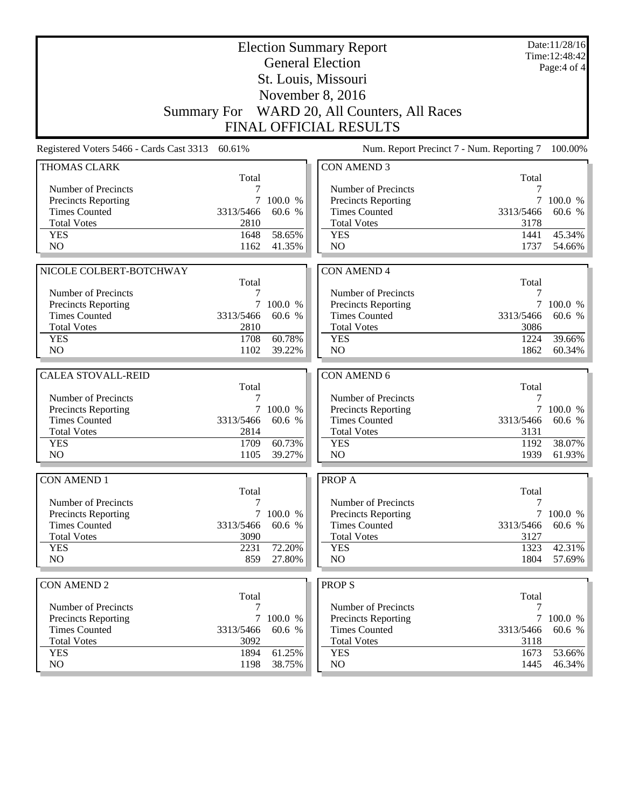|                                                 |                 |              | <b>Election Summary Report</b><br><b>General Election</b>        | Date:11/28/16<br>Time: 12:48:42 |           |  |  |
|-------------------------------------------------|-----------------|--------------|------------------------------------------------------------------|---------------------------------|-----------|--|--|
|                                                 |                 | Page: 4 of 4 |                                                                  |                                 |           |  |  |
|                                                 |                 |              | St. Louis, Missouri                                              |                                 |           |  |  |
|                                                 |                 |              |                                                                  |                                 |           |  |  |
|                                                 |                 |              | November 8, 2016<br>Summary For WARD 20, All Counters, All Races |                                 |           |  |  |
|                                                 |                 |              |                                                                  |                                 |           |  |  |
| <b>FINAL OFFICIAL RESULTS</b>                   |                 |              |                                                                  |                                 |           |  |  |
| Registered Voters 5466 - Cards Cast 3313 60.61% |                 |              | Num. Report Precinct 7 - Num. Reporting 7                        |                                 | 100.00%   |  |  |
| <b>THOMAS CLARK</b>                             |                 |              | <b>CON AMEND 3</b>                                               |                                 |           |  |  |
| Number of Precincts                             | Total           |              | Number of Precincts                                              | Total<br>7                      |           |  |  |
| <b>Precincts Reporting</b>                      | 7               | 100.0 %      | Precincts Reporting                                              | 7                               | 100.0 %   |  |  |
| <b>Times Counted</b>                            | 3313/5466       | 60.6 %       | <b>Times Counted</b>                                             | 3313/5466                       | 60.6 %    |  |  |
| <b>Total Votes</b>                              | 2810            |              | <b>Total Votes</b>                                               | 3178                            |           |  |  |
| <b>YES</b>                                      | 1648            | 58.65%       | <b>YES</b>                                                       | 1441                            | 45.34%    |  |  |
| N <sub>O</sub>                                  | 1162            | 41.35%       | N <sub>O</sub>                                                   | 1737                            | 54.66%    |  |  |
|                                                 |                 |              |                                                                  |                                 |           |  |  |
| NICOLE COLBERT-BOTCHWAY                         |                 |              | <b>CON AMEND 4</b>                                               |                                 |           |  |  |
|                                                 | Total           |              |                                                                  | Total                           |           |  |  |
| Number of Precincts<br>Precincts Reporting      | 7               | 7 100.0 %    | Number of Precincts<br>Precincts Reporting                       | 7                               | 7 100.0 % |  |  |
| <b>Times Counted</b>                            | 3313/5466       | 60.6 %       | <b>Times Counted</b>                                             | 3313/5466                       | 60.6 %    |  |  |
| <b>Total Votes</b>                              | 2810            |              | <b>Total Votes</b>                                               | 3086                            |           |  |  |
| <b>YES</b>                                      | 1708            | 60.78%       | <b>YES</b>                                                       | 1224                            | 39.66%    |  |  |
| N <sub>O</sub>                                  | 1102            | 39.22%       | N <sub>O</sub>                                                   | 1862                            | 60.34%    |  |  |
|                                                 |                 |              |                                                                  |                                 |           |  |  |
| <b>CALEA STOVALL-REID</b>                       | Total           |              | CON AMEND 6                                                      | Total                           |           |  |  |
| Number of Precincts                             | 7               |              | Number of Precincts                                              | 7                               |           |  |  |
| Precincts Reporting                             | 7               | 100.0 %      | Precincts Reporting                                              |                                 | 100.0 %   |  |  |
| <b>Times Counted</b>                            | 3313/5466       | 60.6 %       | <b>Times Counted</b>                                             | 3313/5466                       | 60.6 %    |  |  |
| <b>Total Votes</b>                              | 2814            |              | <b>Total Votes</b>                                               | 3131                            |           |  |  |
| <b>YES</b>                                      | 1709            | 60.73%       | <b>YES</b>                                                       | 1192                            | 38.07%    |  |  |
| N <sub>O</sub>                                  | 1105            | 39.27%       | NO                                                               | 1939                            | 61.93%    |  |  |
| <b>CON AMEND 1</b>                              |                 |              | <b>PROPA</b>                                                     |                                 |           |  |  |
|                                                 | Total           |              |                                                                  | Total                           |           |  |  |
| Number of Precincts                             | 7               |              | Number of Precincts                                              | 7                               |           |  |  |
| <b>Precincts Reporting</b>                      | $7\overline{ }$ | 100.0 %      | Precincts Reporting                                              |                                 | 7 100.0 % |  |  |
| <b>Times Counted</b>                            | 3313/5466       | 60.6 %       | <b>Times Counted</b>                                             | 3313/5466                       | 60.6 %    |  |  |
| <b>Total Votes</b>                              | 3090            |              | <b>Total Votes</b>                                               | 3127                            |           |  |  |
| <b>YES</b>                                      | 2231            | 72.20%       | <b>YES</b>                                                       | 1323                            | 42.31%    |  |  |
| NO                                              | 859             | 27.80%       | N <sub>O</sub>                                                   | 1804                            | 57.69%    |  |  |
| <b>CON AMEND 2</b>                              |                 |              | <b>PROPS</b>                                                     |                                 |           |  |  |
|                                                 | Total           |              |                                                                  | Total                           |           |  |  |
| Number of Precincts                             | 7               |              | Number of Precincts                                              | 7                               |           |  |  |
| <b>Precincts Reporting</b>                      | 7               | 100.0 %      | Precincts Reporting                                              | 7                               | 100.0 %   |  |  |
| <b>Times Counted</b>                            | 3313/5466       | 60.6 %       | <b>Times Counted</b>                                             | 3313/5466                       | 60.6 %    |  |  |
| <b>Total Votes</b>                              | 3092            |              | <b>Total Votes</b>                                               | 3118                            |           |  |  |
| <b>YES</b>                                      | 1894            | 61.25%       | <b>YES</b>                                                       | 1673                            | 53.66%    |  |  |
| NO                                              | 1198            | 38.75%       | NO                                                               | 1445                            | 46.34%    |  |  |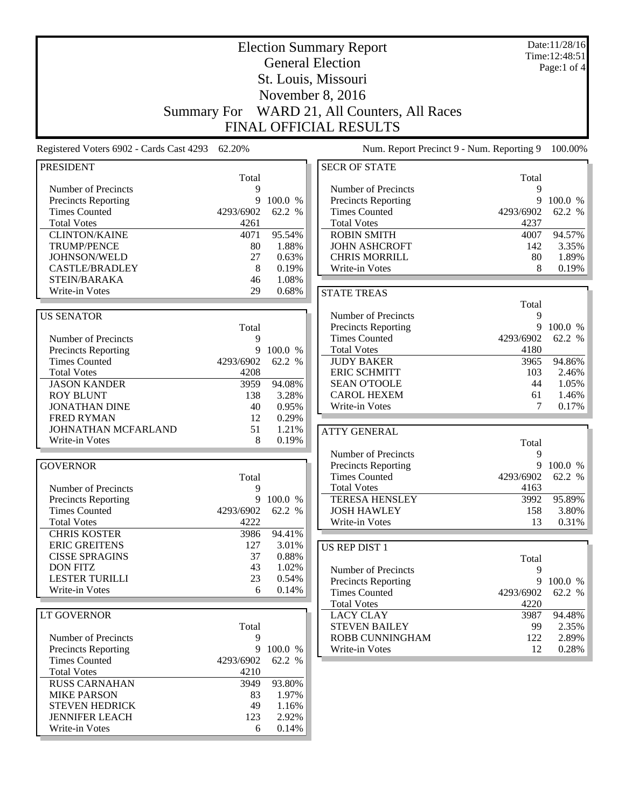|                                                 | <b>Election Summary Report</b> |                |                                             |            | Date:11/28/16<br>Time: 12:48:51 |
|-------------------------------------------------|--------------------------------|----------------|---------------------------------------------|------------|---------------------------------|
|                                                 |                                |                | <b>General Election</b>                     |            | Page:1 of 4                     |
|                                                 |                                |                | St. Louis, Missouri                         |            |                                 |
|                                                 |                                |                | November 8, 2016                            |            |                                 |
|                                                 |                                |                |                                             |            |                                 |
|                                                 | <b>Summary For</b>             |                | WARD 21, All Counters, All Races            |            |                                 |
|                                                 |                                |                | <b>FINAL OFFICIAL RESULTS</b>               |            |                                 |
| Registered Voters 6902 - Cards Cast 4293 62.20% |                                |                | Num. Report Precinct 9 - Num. Reporting 9   |            | 100.00%                         |
| <b>PRESIDENT</b>                                |                                |                | <b>SECR OF STATE</b>                        |            |                                 |
|                                                 | Total                          |                |                                             | Total      |                                 |
| Number of Precincts                             | 9                              |                | Number of Precincts                         | 9          |                                 |
| <b>Precincts Reporting</b>                      | 9                              | 100.0 %        | Precincts Reporting                         | 9          | 100.0 %                         |
| <b>Times Counted</b>                            | 4293/6902                      | 62.2 %         | <b>Times Counted</b>                        | 4293/6902  | 62.2 %                          |
| <b>Total Votes</b>                              | 4261                           |                | <b>Total Votes</b>                          | 4237       |                                 |
| <b>CLINTON/KAINE</b>                            | 4071                           | 95.54%         | <b>ROBIN SMITH</b>                          | 4007       | 94.57%                          |
| <b>TRUMP/PENCE</b>                              | 80                             | 1.88%          | <b>JOHN ASHCROFT</b>                        | 142        | 3.35%                           |
| JOHNSON/WELD                                    | 27                             | 0.63%          | <b>CHRIS MORRILL</b>                        | 80         | 1.89%                           |
| <b>CASTLE/BRADLEY</b><br>STEIN/BARAKA           | 8<br>46                        | 0.19%<br>1.08% | Write-in Votes                              | 8          | 0.19%                           |
| Write-in Votes                                  | 29                             | 0.68%          |                                             |            |                                 |
|                                                 |                                |                | <b>STATE TREAS</b>                          |            |                                 |
|                                                 |                                |                | Number of Precincts                         | Total<br>9 |                                 |
| <b>US SENATOR</b>                               |                                |                |                                             | 9          |                                 |
| Number of Precincts                             | Total                          |                | Precincts Reporting<br><b>Times Counted</b> | 4293/6902  | 100.0 %<br>62.2 %               |
| <b>Precincts Reporting</b>                      | 9<br>9                         | 100.0 %        | <b>Total Votes</b>                          | 4180       |                                 |
| <b>Times Counted</b>                            | 4293/6902                      | 62.2 %         | <b>JUDY BAKER</b>                           | 3965       | 94.86%                          |
| <b>Total Votes</b>                              | 4208                           |                | <b>ERIC SCHMITT</b>                         | 103        | 2.46%                           |
| <b>JASON KANDER</b>                             | 3959                           | 94.08%         | <b>SEAN O'TOOLE</b>                         | 44         | 1.05%                           |
| <b>ROY BLUNT</b>                                | 138                            | 3.28%          | <b>CAROL HEXEM</b>                          | 61         | 1.46%                           |
| <b>JONATHAN DINE</b>                            | 40                             | 0.95%          | Write-in Votes                              | 7          | 0.17%                           |
| <b>FRED RYMAN</b>                               | 12                             | 0.29%          |                                             |            |                                 |
| JOHNATHAN MCFARLAND                             | 51                             | 1.21%          | <b>ATTY GENERAL</b>                         |            |                                 |
| Write-in Votes                                  | 8                              | 0.19%          |                                             | Total      |                                 |
|                                                 |                                |                | Number of Precincts                         | 9          |                                 |
| <b>GOVERNOR</b>                                 |                                |                | Precincts Reporting                         |            | 9 100.0 %                       |
|                                                 | Total                          |                | <b>Times Counted</b>                        | 4293/6902  | 62.2 %                          |
| Number of Precincts                             | 9                              |                | <b>Total Votes</b>                          | 4163       |                                 |
| <b>Precincts Reporting</b>                      |                                | 9 100.0 %      | <b>TERESA HENSLEY</b>                       | 3992       | 95.89%                          |
| <b>Times Counted</b>                            | 4293/6902                      | 62.2 %         | <b>JOSH HAWLEY</b>                          | 158        | 3.80%                           |
| <b>Total Votes</b>                              | 4222                           |                | Write-in Votes                              | 13         | 0.31%                           |
| <b>CHRIS KOSTER</b>                             | 3986                           | 94.41%         |                                             |            |                                 |
| <b>ERIC GREITENS</b>                            | 127                            | 3.01%          | <b>US REP DIST 1</b>                        |            |                                 |
| <b>CISSE SPRAGINS</b>                           | 37                             | 0.88%          |                                             | Total      |                                 |
| <b>DON FITZ</b>                                 | 43                             | 1.02%          | Number of Precincts                         | 9          |                                 |
| <b>LESTER TURILLI</b>                           | 23                             | 0.54%          | Precincts Reporting                         |            | 9 100.0 %                       |
| Write-in Votes                                  | 6                              | 0.14%          | <b>Times Counted</b>                        | 4293/6902  | 62.2 %                          |
|                                                 |                                |                | <b>Total Votes</b>                          | 4220       |                                 |
| LT GOVERNOR                                     |                                |                | <b>LACY CLAY</b>                            | 3987       | 94.48%                          |
|                                                 | Total                          |                | <b>STEVEN BAILEY</b>                        | 99         | 2.35%                           |
| Number of Precincts                             | 9                              |                | ROBB CUNNINGHAM                             | 122        | 2.89%                           |
| <b>Precincts Reporting</b>                      |                                | 9 100.0 %      | Write-in Votes                              | 12         | 0.28%                           |
| <b>Times Counted</b>                            | 4293/6902                      | 62.2 %         |                                             |            |                                 |
| <b>Total Votes</b>                              | 4210                           |                |                                             |            |                                 |
| <b>RUSS CARNAHAN</b>                            | 3949                           | 93.80%         |                                             |            |                                 |
| <b>MIKE PARSON</b>                              | 83                             | 1.97%          |                                             |            |                                 |
| <b>STEVEN HEDRICK</b>                           | 49                             | 1.16%          |                                             |            |                                 |
| <b>JENNIFER LEACH</b>                           | 123                            | 2.92%          |                                             |            |                                 |
| Write-in Votes                                  | 6                              | 0.14%          |                                             |            |                                 |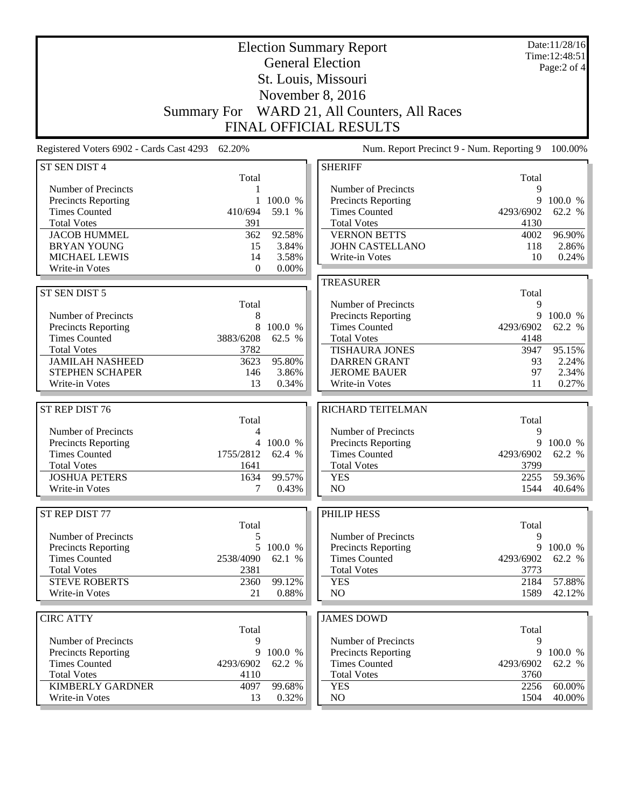## Election Summary Report General Election St. Louis, Missouri November 8, 2016 Summary For WARD 21, All Counters, All Races FINAL OFFICIAL RESULTS

Registered Voters 6902 - Cards Cast 4293 62.20% Num. Report Precinct 9 - Num. Reporting 9 100.00%

| ST SEN DIST 4              |           |           | <b>SHERIFF</b>             |           |           |
|----------------------------|-----------|-----------|----------------------------|-----------|-----------|
|                            | Total     |           |                            | Total     |           |
| Number of Precincts        |           |           | Number of Precincts        | 9         |           |
| Precincts Reporting        | 1         | 100.0 %   | Precincts Reporting        | 9         | 100.0 %   |
| <b>Times Counted</b>       | 410/694   | 59.1 %    | <b>Times Counted</b>       | 4293/6902 | 62.2 %    |
| <b>Total Votes</b>         | 391       |           | <b>Total Votes</b>         | 4130      |           |
| <b>JACOB HUMMEL</b>        | 362       | 92.58%    | <b>VERNON BETTS</b>        | 4002      | 96.90%    |
| <b>BRYAN YOUNG</b>         | 15        | 3.84%     | JOHN CASTELLANO            | 118       | 2.86%     |
| <b>MICHAEL LEWIS</b>       | 14        | 3.58%     | Write-in Votes             | 10        | 0.24%     |
| Write-in Votes             | $\theta$  | $0.00\%$  |                            |           |           |
|                            |           |           | <b>TREASURER</b>           |           |           |
| ST SEN DIST 5              |           |           |                            | Total     |           |
|                            | Total     |           | Number of Precincts        | 9         |           |
| Number of Precincts        | 8         |           | Precincts Reporting        | 9         | 100.0 %   |
| <b>Precincts Reporting</b> | 8         | 100.0 %   | <b>Times Counted</b>       | 4293/6902 | 62.2 %    |
| <b>Times Counted</b>       | 3883/6208 | 62.5 %    | <b>Total Votes</b>         | 4148      |           |
| <b>Total Votes</b>         | 3782      |           | <b>TISHAURA JONES</b>      | 3947      | 95.15%    |
| <b>JAMILAH NASHEED</b>     | 3623      | 95.80%    | <b>DARREN GRANT</b>        | 93        | 2.24%     |
| <b>STEPHEN SCHAPER</b>     | 146       | 3.86%     | <b>JEROME BAUER</b>        | 97        | 2.34%     |
| Write-in Votes             | 13        | 0.34%     | Write-in Votes             | 11        | 0.27%     |
|                            |           |           |                            |           |           |
|                            |           |           |                            |           |           |
| ST REP DIST 76             |           |           | RICHARD TEITELMAN          |           |           |
|                            | Total     |           |                            | Total     |           |
| Number of Precincts        | 4         |           | Number of Precincts        | 9         |           |
| <b>Precincts Reporting</b> |           | 4 100.0 % | Precincts Reporting        | 9         | 100.0 %   |
| <b>Times Counted</b>       | 1755/2812 | 62.4 %    | <b>Times Counted</b>       | 4293/6902 | 62.2 %    |
| <b>Total Votes</b>         | 1641      |           | <b>Total Votes</b>         | 3799      |           |
| <b>JOSHUA PETERS</b>       | 1634      | 99.57%    | <b>YES</b>                 | 2255      | 59.36%    |
| Write-in Votes             | 7         | 0.43%     | NO                         | 1544      | 40.64%    |
|                            |           |           |                            |           |           |
| ST REP DIST 77             |           |           | PHILIP HESS                |           |           |
|                            | Total     |           |                            | Total     |           |
| Number of Precincts        | 5         |           | Number of Precincts        | 9         |           |
| Precincts Reporting        |           | 5 100.0 % | Precincts Reporting        | 9         | 100.0 %   |
| <b>Times Counted</b>       | 2538/4090 | 62.1 %    | <b>Times Counted</b>       | 4293/6902 | 62.2 %    |
| <b>Total Votes</b>         | 2381      |           | <b>Total Votes</b>         | 3773      |           |
| <b>STEVE ROBERTS</b>       | 2360      | 99.12%    | <b>YES</b>                 | 2184      | 57.88%    |
| Write-in Votes             | 21        | 0.88%     | NO                         | 1589      | 42.12%    |
|                            |           |           |                            |           |           |
| <b>CIRC ATTY</b>           |           |           | <b>JAMES DOWD</b>          |           |           |
|                            | Total     |           |                            | Total     |           |
| Number of Precincts        | 9         |           | Number of Precincts        | 9         |           |
| <b>Precincts Reporting</b> | 9         | 100.0 %   | <b>Precincts Reporting</b> | 9         | 100.0 %   |
| <b>Times Counted</b>       | 4293/6902 | 62.2 %    | <b>Times Counted</b>       | 4293/6902 | 62.2 %    |
| <b>Total Votes</b>         | 4110      |           | <b>Total Votes</b>         | 3760      |           |
| <b>KIMBERLY GARDNER</b>    | 4097      | 99.68%    | <b>YES</b>                 | 2256      | 60.00%    |
| Write-in Votes             | 13        | 0.32%     | NO                         | 1504      | $40.00\%$ |
|                            |           |           |                            |           |           |

Date:11/28/16 Time:12:48:51 Page:2 of 4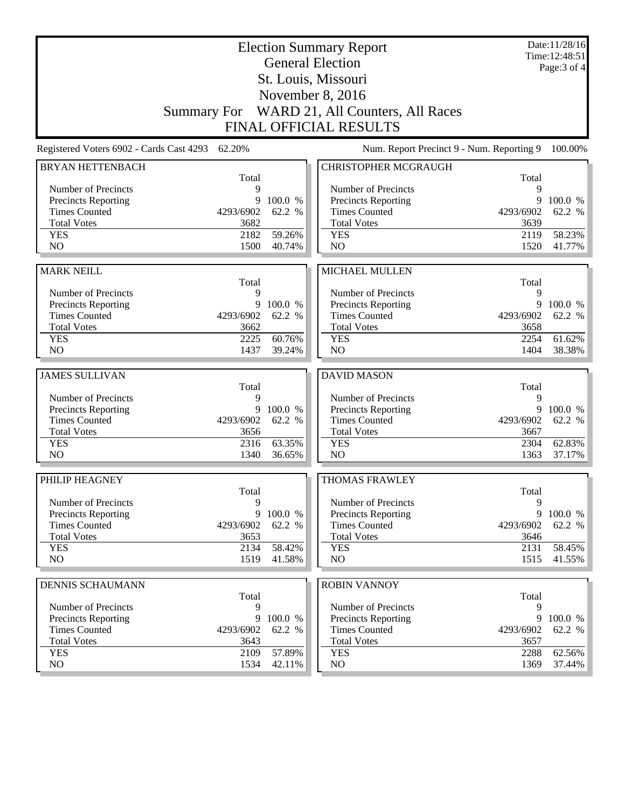|                                          | <b>Election Summary Report</b><br><b>General Election</b> |                  |                                              |              |                  |
|------------------------------------------|-----------------------------------------------------------|------------------|----------------------------------------------|--------------|------------------|
|                                          |                                                           |                  |                                              |              | Page: 3 of 4     |
|                                          |                                                           |                  | St. Louis, Missouri                          |              |                  |
|                                          |                                                           |                  | November 8, 2016                             |              |                  |
|                                          |                                                           |                  | Summary For WARD 21, All Counters, All Races |              |                  |
|                                          |                                                           |                  | <b>FINAL OFFICIAL RESULTS</b>                |              |                  |
| Registered Voters 6902 - Cards Cast 4293 | 62.20%                                                    |                  | Num. Report Precinct 9 - Num. Reporting 9    |              | 100.00%          |
| <b>BRYAN HETTENBACH</b>                  |                                                           |                  | <b>CHRISTOPHER MCGRAUGH</b>                  |              |                  |
| Number of Precincts                      | Total<br>9                                                |                  | Number of Precincts                          | Total<br>9   |                  |
| Precincts Reporting                      | 9                                                         | 100.0 %          | Precincts Reporting                          | 9            | 100.0 %          |
| <b>Times Counted</b>                     | 4293/6902                                                 | 62.2 %           | <b>Times Counted</b>                         | 4293/6902    | 62.2 %           |
| <b>Total Votes</b>                       | 3682                                                      |                  | <b>Total Votes</b>                           | 3639         |                  |
| <b>YES</b>                               | 2182                                                      | 59.26%           | <b>YES</b>                                   | 2119         | 58.23%           |
| NO                                       | 1500                                                      | 40.74%           | NO                                           | 1520         | 41.77%           |
|                                          |                                                           |                  |                                              |              |                  |
| <b>MARK NEILL</b>                        |                                                           |                  | <b>MICHAEL MULLEN</b>                        |              |                  |
| Number of Precincts                      | Total<br>9                                                |                  | Number of Precincts                          | Total<br>9   |                  |
| Precincts Reporting                      |                                                           | 9 100.0 %        | Precincts Reporting                          | 9            | 100.0 %          |
| <b>Times Counted</b>                     | 4293/6902                                                 | 62.2 %           | <b>Times Counted</b>                         | 4293/6902    | 62.2 %           |
| <b>Total Votes</b>                       | 3662                                                      |                  | <b>Total Votes</b>                           | 3658         |                  |
| <b>YES</b>                               | 2225                                                      | 60.76%           | <b>YES</b>                                   | 2254         | 61.62%           |
| NO                                       | 1437                                                      | 39.24%           | NO                                           | 1404         | 38.38%           |
|                                          |                                                           |                  |                                              |              |                  |
| <b>JAMES SULLIVAN</b>                    |                                                           |                  | <b>DAVID MASON</b>                           |              |                  |
| Number of Precincts                      | Total<br>9                                                |                  | Number of Precincts                          | Total<br>9   |                  |
| Precincts Reporting                      |                                                           | 9 100.0 %        | Precincts Reporting                          | 9            | 100.0 %          |
| <b>Times Counted</b>                     | 4293/6902                                                 | 62.2 %           | <b>Times Counted</b>                         |              |                  |
| <b>Total Votes</b>                       | 3656                                                      |                  |                                              |              |                  |
|                                          |                                                           |                  |                                              | 4293/6902    | 62.2 %           |
|                                          |                                                           |                  | <b>Total Votes</b>                           | 3667         |                  |
| <b>YES</b><br>N <sub>O</sub>             | 2316<br>1340                                              | 63.35%<br>36.65% | <b>YES</b><br>NO                             | 2304<br>1363 | 62.83%           |
|                                          |                                                           |                  |                                              |              |                  |
| PHILIP HEAGNEY                           |                                                           |                  | <b>THOMAS FRAWLEY</b>                        |              |                  |
| Number of Precincts                      | Total<br>9                                                |                  |                                              | Total<br>9   |                  |
| Precincts Reporting                      |                                                           | 9 100.0 %        | Number of Precincts<br>Precincts Reporting   | 9            | 100.0 %          |
| <b>Times Counted</b>                     | 4293/6902                                                 | 62.2 %           | <b>Times Counted</b>                         | 4293/6902    | 62.2 %           |
| <b>Total Votes</b>                       | 3653                                                      |                  | <b>Total Votes</b>                           | 3646         |                  |
| <b>YES</b>                               | 2134                                                      | 58.42%           | <b>YES</b>                                   | 2131         | 58.45%           |
| NO.                                      | 1519                                                      | 41.58%           | NO                                           | 1515         | 37.17%<br>41.55% |
|                                          |                                                           |                  |                                              |              |                  |
| <b>DENNIS SCHAUMANN</b>                  | Total                                                     |                  | <b>ROBIN VANNOY</b>                          | Total        |                  |
| Number of Precincts                      | 9                                                         |                  | Number of Precincts                          | 9            |                  |
| <b>Precincts Reporting</b>               | 9                                                         | 100.0 %          | <b>Precincts Reporting</b>                   | 9            | 100.0 %          |
| <b>Times Counted</b>                     | 4293/6902                                                 | 62.2 %           | <b>Times Counted</b>                         | 4293/6902    | 62.2 %           |
| <b>Total Votes</b>                       | 3643                                                      |                  | <b>Total Votes</b>                           | 3657         |                  |
| <b>YES</b><br>NO                         | 2109<br>1534                                              | 57.89%<br>42.11% | <b>YES</b><br>NO                             | 2288<br>1369 | 62.56%<br>37.44% |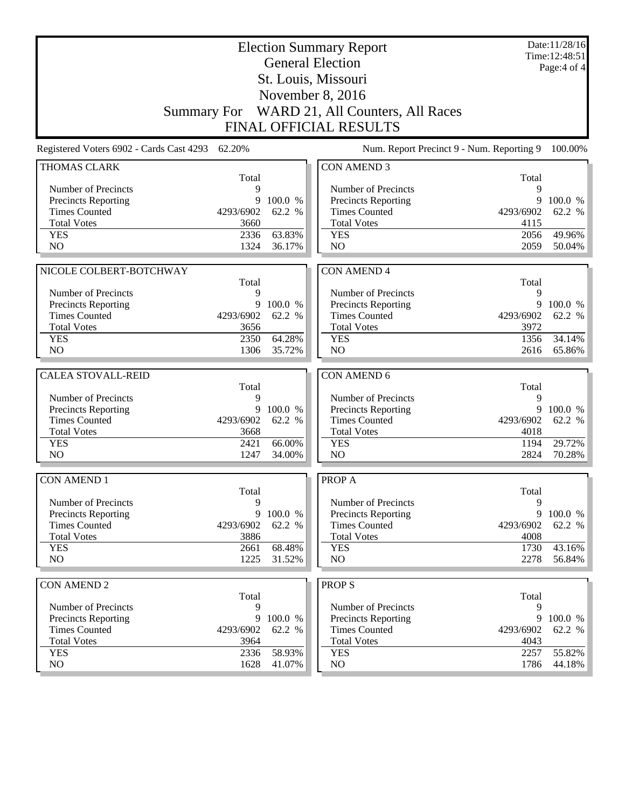|                                                 | <b>Election Summary Report</b> |                  |                                              |              |                                |  |
|-------------------------------------------------|--------------------------------|------------------|----------------------------------------------|--------------|--------------------------------|--|
|                                                 |                                |                  | <b>General Election</b>                      |              | Time: 12:48:51<br>Page: 4 of 4 |  |
|                                                 |                                |                  | St. Louis, Missouri                          |              |                                |  |
| November 8, 2016                                |                                |                  |                                              |              |                                |  |
|                                                 |                                |                  | Summary For WARD 21, All Counters, All Races |              |                                |  |
|                                                 |                                |                  | <b>FINAL OFFICIAL RESULTS</b>                |              |                                |  |
| Registered Voters 6902 - Cards Cast 4293 62.20% |                                |                  | Num. Report Precinct 9 - Num. Reporting 9    |              | 100.00%                        |  |
| THOMAS CLARK                                    |                                |                  | <b>CON AMEND 3</b>                           |              |                                |  |
|                                                 | Total                          |                  |                                              | Total        |                                |  |
| Number of Precincts                             | 9                              |                  | Number of Precincts                          | 9            |                                |  |
| Precincts Reporting                             | 9                              | 100.0 %          | <b>Precincts Reporting</b>                   | 9            | 100.0 %                        |  |
| <b>Times Counted</b>                            | 4293/6902                      | 62.2 %           | <b>Times Counted</b>                         | 4293/6902    | 62.2 %                         |  |
| <b>Total Votes</b>                              | 3660                           |                  | <b>Total Votes</b>                           | 4115         |                                |  |
| <b>YES</b>                                      | 2336                           | 63.83%           | <b>YES</b>                                   | 2056         | 49.96%                         |  |
| N <sub>O</sub>                                  | 1324                           | 36.17%           | N <sub>O</sub>                               | 2059         | 50.04%                         |  |
| NICOLE COLBERT-BOTCHWAY                         |                                |                  | <b>CON AMEND 4</b>                           |              |                                |  |
|                                                 | Total                          |                  |                                              | Total        |                                |  |
| Number of Precincts                             | 9                              |                  | Number of Precincts                          | 9            |                                |  |
| <b>Precincts Reporting</b>                      |                                | 9 100.0 %        | Precincts Reporting                          |              | 9 100.0 %                      |  |
| <b>Times Counted</b>                            | 4293/6902                      | 62.2 %           | <b>Times Counted</b>                         | 4293/6902    | 62.2 %                         |  |
| <b>Total Votes</b>                              | 3656                           |                  | <b>Total Votes</b>                           | 3972         |                                |  |
| <b>YES</b>                                      | 2350                           | 64.28%           | <b>YES</b>                                   | 1356         | 34.14%                         |  |
| N <sub>O</sub>                                  | 1306                           | 35.72%           | N <sub>O</sub>                               | 2616         | 65.86%                         |  |
|                                                 |                                |                  |                                              |              |                                |  |
|                                                 |                                |                  |                                              |              |                                |  |
| <b>CALEA STOVALL-REID</b>                       |                                |                  | CON AMEND 6                                  |              |                                |  |
|                                                 | Total                          |                  |                                              | Total        |                                |  |
| Number of Precincts                             | 9                              |                  | Number of Precincts                          | 9            |                                |  |
| Precincts Reporting                             | 9                              | 100.0 %          | Precincts Reporting                          | 9            | 100.0 %                        |  |
| <b>Times Counted</b>                            | 4293/6902                      | 62.2 %           | <b>Times Counted</b>                         | 4293/6902    | 62.2 %                         |  |
| <b>Total Votes</b><br><b>YES</b>                | 3668<br>2421                   | 66.00%           | <b>Total Votes</b><br><b>YES</b>             | 4018<br>1194 | 29.72%                         |  |
| N <sub>O</sub>                                  | 1247                           | 34.00%           | NO                                           | 2824         | 70.28%                         |  |
|                                                 |                                |                  |                                              |              |                                |  |
| <b>CON AMEND 1</b>                              |                                |                  | <b>PROPA</b>                                 |              |                                |  |
|                                                 | Total                          |                  |                                              | Total        |                                |  |
| Number of Precincts                             | 9                              |                  | Number of Precincts                          | 9            |                                |  |
| Precincts Reporting                             | 9                              | 100.0 %          | Precincts Reporting                          | 9            | 100.0 %                        |  |
| <b>Times Counted</b>                            | 4293/6902                      | 62.2 %           | <b>Times Counted</b>                         | 4293/6902    |                                |  |
| <b>Total Votes</b>                              | 3886                           |                  | <b>Total Votes</b>                           | 4008         | 62.2 %                         |  |
| <b>YES</b>                                      | 2661                           | 68.48%           | <b>YES</b>                                   | 1730         | 43.16%                         |  |
| NO                                              | 1225                           | 31.52%           | N <sub>O</sub>                               | 2278         | 56.84%                         |  |
|                                                 |                                |                  |                                              |              |                                |  |
| <b>CON AMEND 2</b>                              | Total                          |                  | <b>PROPS</b>                                 | Total        |                                |  |
| Number of Precincts                             | 9                              |                  | Number of Precincts                          | 9            |                                |  |
| Precincts Reporting                             | 9                              | 100.0 %          | Precincts Reporting                          | 9            | 100.0 %                        |  |
| <b>Times Counted</b>                            | 4293/6902                      | 62.2 %           | <b>Times Counted</b>                         | 4293/6902    | 62.2 %                         |  |
| <b>Total Votes</b>                              | 3964                           |                  | <b>Total Votes</b>                           | 4043         |                                |  |
| <b>YES</b><br>NO                                | 2336<br>1628                   | 58.93%<br>41.07% | <b>YES</b><br>NO                             | 2257<br>1786 | 55.82%<br>44.18%               |  |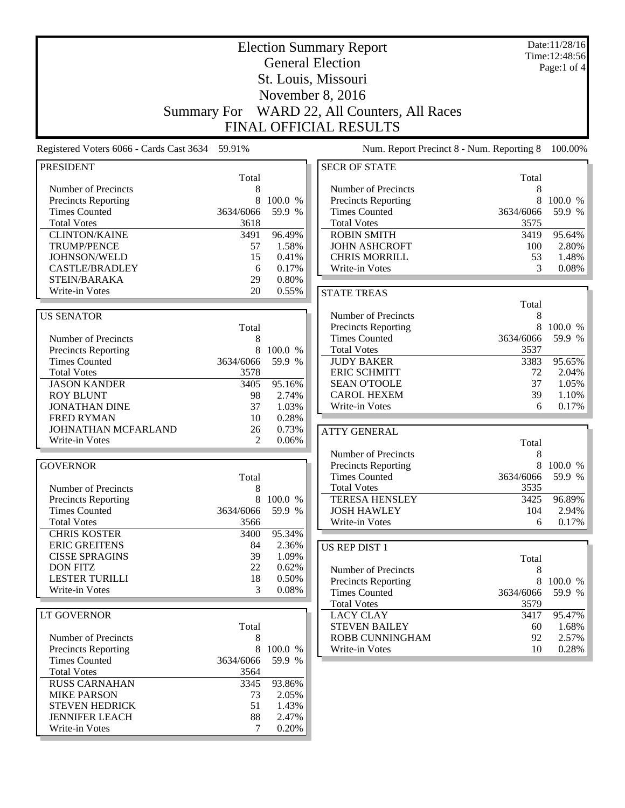| <b>Election Summary Report</b>                  |                    |                 |                                            |             | Date:11/28/16<br>Time: 12:48:56 |
|-------------------------------------------------|--------------------|-----------------|--------------------------------------------|-------------|---------------------------------|
|                                                 |                    |                 | <b>General Election</b>                    |             | Page:1 of 4                     |
|                                                 |                    |                 | St. Louis, Missouri                        |             |                                 |
|                                                 |                    |                 | November 8, 2016                           |             |                                 |
|                                                 |                    |                 |                                            |             |                                 |
|                                                 | <b>Summary For</b> |                 | WARD 22, All Counters, All Races           |             |                                 |
|                                                 |                    |                 | <b>FINAL OFFICIAL RESULTS</b>              |             |                                 |
| Registered Voters 6066 - Cards Cast 3634 59.91% |                    |                 | Num. Report Precinct 8 - Num. Reporting 8  |             | 100.00%                         |
| <b>PRESIDENT</b>                                |                    |                 | <b>SECR OF STATE</b>                       |             |                                 |
|                                                 | Total              |                 |                                            | Total       |                                 |
| Number of Precincts                             | 8                  |                 | Number of Precincts                        | 8           |                                 |
| <b>Precincts Reporting</b>                      | 8                  | 100.0 %         | <b>Precincts Reporting</b>                 | 8           | 100.0 %                         |
| <b>Times Counted</b>                            | 3634/6066          | 59.9 %          | <b>Times Counted</b>                       | 3634/6066   | 59.9 %                          |
| <b>Total Votes</b>                              | 3618               |                 | <b>Total Votes</b>                         | 3575        |                                 |
| <b>CLINTON/KAINE</b><br><b>TRUMP/PENCE</b>      | 3491<br>57         | 96.49%<br>1.58% | <b>ROBIN SMITH</b><br><b>JOHN ASHCROFT</b> | 3419<br>100 | 95.64%<br>2.80%                 |
| JOHNSON/WELD                                    | 15                 | 0.41%           | <b>CHRIS MORRILL</b>                       | 53          | 1.48%                           |
| <b>CASTLE/BRADLEY</b>                           | 6                  | 0.17%           | Write-in Votes                             | 3           | 0.08%                           |
| STEIN/BARAKA                                    | 29                 | 0.80%           |                                            |             |                                 |
| Write-in Votes                                  | 20                 | 0.55%           | <b>STATE TREAS</b>                         |             |                                 |
|                                                 |                    |                 |                                            | Total       |                                 |
| <b>US SENATOR</b>                               |                    |                 | Number of Precincts                        | 8           |                                 |
|                                                 | Total              |                 | Precincts Reporting                        | 8           | 100.0 %                         |
| Number of Precincts                             | 8                  |                 | <b>Times Counted</b>                       | 3634/6066   | 59.9 %                          |
| Precincts Reporting                             | 8                  | 100.0 %         | <b>Total Votes</b>                         | 3537        |                                 |
| <b>Times Counted</b>                            | 3634/6066          | 59.9 %          | <b>JUDY BAKER</b>                          | 3383        | 95.65%                          |
| <b>Total Votes</b>                              | 3578               |                 | <b>ERIC SCHMITT</b>                        | 72          | 2.04%                           |
| <b>JASON KANDER</b>                             | 3405               | 95.16%          | <b>SEAN O'TOOLE</b>                        | 37          | 1.05%                           |
| <b>ROY BLUNT</b>                                | 98                 | 2.74%           | <b>CAROL HEXEM</b>                         | 39          | 1.10%                           |
| <b>JONATHAN DINE</b>                            | 37                 | 1.03%           | Write-in Votes                             | 6           | 0.17%                           |
| <b>FRED RYMAN</b>                               | 10                 | 0.28%           |                                            |             |                                 |
| JOHNATHAN MCFARLAND                             | 26                 | 0.73%           | <b>ATTY GENERAL</b>                        |             |                                 |
| Write-in Votes                                  | 2                  | 0.06%           |                                            | Total       |                                 |
|                                                 |                    |                 | Number of Precincts                        | 8           |                                 |
| <b>GOVERNOR</b>                                 |                    |                 | <b>Precincts Reporting</b>                 | 8           | 100.0 %                         |
|                                                 | Total              |                 | <b>Times Counted</b>                       | 3634/6066   | 59.9 %                          |
| Number of Precincts                             | 8                  |                 | <b>Total Votes</b>                         | 3535        |                                 |
| <b>Precincts Reporting</b>                      |                    | 8 100.0 %       | <b>TERESA HENSLEY</b>                      | 3425        | 96.89%                          |
| <b>Times Counted</b>                            | 3634/6066          | 59.9 %          | <b>JOSH HAWLEY</b>                         | 104         | 2.94%                           |
| <b>Total Votes</b><br><b>CHRIS KOSTER</b>       | 3566<br>3400       | 95.34%          | Write-in Votes                             | 6           | 0.17%                           |
| <b>ERIC GREITENS</b>                            | 84                 | 2.36%           |                                            |             |                                 |
| <b>CISSE SPRAGINS</b>                           | 39                 | 1.09%           | US REP DIST 1                              | Total       |                                 |
| <b>DON FITZ</b>                                 | 22                 | 0.62%           | Number of Precincts                        | 8           |                                 |
| <b>LESTER TURILLI</b>                           | 18                 | 0.50%           | Precincts Reporting                        |             | 8 100.0 %                       |
| Write-in Votes                                  | 3                  | 0.08%           | <b>Times Counted</b>                       | 3634/6066   | 59.9 %                          |
|                                                 |                    |                 | <b>Total Votes</b>                         | 3579        |                                 |
| LT GOVERNOR                                     |                    |                 | <b>LACY CLAY</b>                           | 3417        | 95.47%                          |
|                                                 | Total              |                 | <b>STEVEN BAILEY</b>                       | 60          | 1.68%                           |
| Number of Precincts                             | 8                  |                 | ROBB CUNNINGHAM                            | 92          | 2.57%                           |
| <b>Precincts Reporting</b>                      | 8                  | 100.0 %         | Write-in Votes                             | 10          | 0.28%                           |
| <b>Times Counted</b>                            | 3634/6066          | 59.9 %          |                                            |             |                                 |
| <b>Total Votes</b>                              | 3564               |                 |                                            |             |                                 |
| <b>RUSS CARNAHAN</b>                            | 3345               | 93.86%          |                                            |             |                                 |
| <b>MIKE PARSON</b>                              | 73                 | 2.05%           |                                            |             |                                 |
| <b>STEVEN HEDRICK</b>                           | 51                 | 1.43%           |                                            |             |                                 |
| <b>JENNIFER LEACH</b>                           | 88                 | 2.47%           |                                            |             |                                 |
| Write-in Votes                                  | 7                  | 0.20%           |                                            |             |                                 |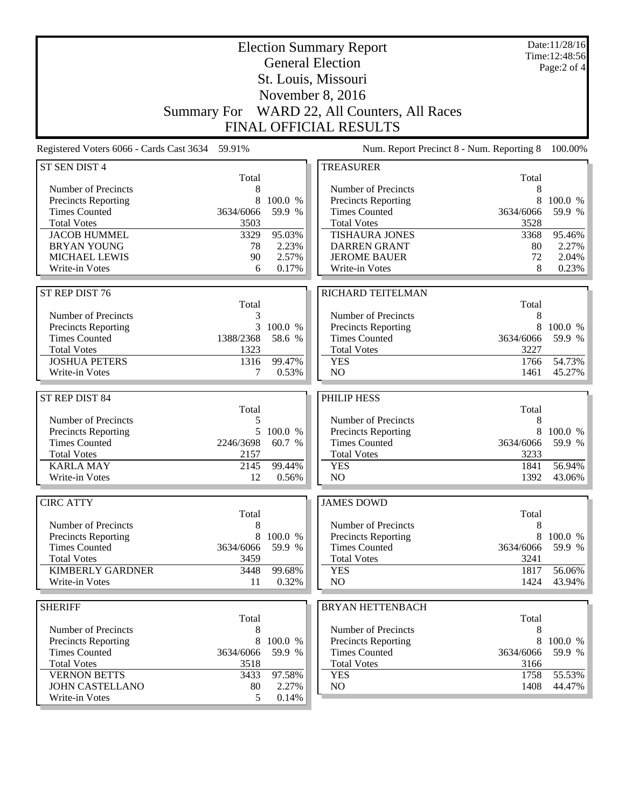| <b>Election Summary Report</b><br><b>General Election</b><br>St. Louis, Missouri<br>November 8, 2016 |                    |                   |                                                                   |                                           | Date:11/28/16<br>Time: 12:48:56<br>Page:2 of 4 |
|------------------------------------------------------------------------------------------------------|--------------------|-------------------|-------------------------------------------------------------------|-------------------------------------------|------------------------------------------------|
|                                                                                                      | <b>Summary For</b> |                   | WARD 22, All Counters, All Races<br><b>FINAL OFFICIAL RESULTS</b> |                                           |                                                |
| Registered Voters 6066 - Cards Cast 3634 59.91%                                                      |                    |                   |                                                                   | Num. Report Precinct 8 - Num. Reporting 8 | 100.00%                                        |
| ST SEN DIST 4                                                                                        |                    |                   | <b>TREASURER</b>                                                  |                                           |                                                |
| Number of Precincts                                                                                  | Total<br>8         |                   | Number of Precincts                                               | Total<br>8                                |                                                |
| <b>Precincts Reporting</b>                                                                           | 8                  | 100.0 %           | <b>Precincts Reporting</b>                                        | 8                                         | 100.0 %                                        |
| <b>Times Counted</b>                                                                                 | 3634/6066          | 59.9 %            | <b>Times Counted</b>                                              | 3634/6066                                 | 59.9 %                                         |
| <b>Total Votes</b>                                                                                   | 3503               |                   | <b>Total Votes</b>                                                | 3528                                      |                                                |
| <b>JACOB HUMMEL</b>                                                                                  | 3329               | 95.03%            | <b>TISHAURA JONES</b>                                             | 3368                                      | 95.46%                                         |
| <b>BRYAN YOUNG</b>                                                                                   | 78                 | 2.23%             | <b>DARREN GRANT</b>                                               | 80                                        | 2.27%                                          |
| <b>MICHAEL LEWIS</b>                                                                                 | 90                 | 2.57%             | <b>JEROME BAUER</b>                                               | 72                                        | 2.04%                                          |
| <b>Write-in Votes</b>                                                                                | 6                  | 0.17%             | Write-in Votes                                                    | 8                                         | 0.23%                                          |
| ST REP DIST 76                                                                                       |                    |                   | <b>RICHARD TEITELMAN</b>                                          |                                           |                                                |
|                                                                                                      | Total              |                   |                                                                   | Total                                     |                                                |
| Number of Precincts                                                                                  | 3                  |                   | Number of Precincts                                               | 8                                         |                                                |
| <b>Precincts Reporting</b>                                                                           | 3                  | 100.0 %           | Precincts Reporting                                               | 8                                         | 100.0 %                                        |
| <b>Times Counted</b>                                                                                 | 1388/2368          | 58.6 %            | <b>Times Counted</b>                                              | 3634/6066                                 | 59.9 %                                         |
| <b>Total Votes</b><br><b>JOSHUA PETERS</b>                                                           | 1323<br>1316       | 99.47%            | <b>Total Votes</b><br><b>YES</b>                                  | 3227<br>1766                              | 54.73%                                         |
| Write-in Votes                                                                                       | 7                  | 0.53%             | NO                                                                | 1461                                      | 45.27%                                         |
|                                                                                                      |                    |                   |                                                                   |                                           |                                                |
| ST REP DIST 84                                                                                       |                    |                   | PHILIP HESS                                                       |                                           |                                                |
|                                                                                                      | Total              |                   |                                                                   | Total                                     |                                                |
| Number of Precincts                                                                                  | 5                  |                   | Number of Precincts                                               | 8                                         |                                                |
| Precincts Reporting<br><b>Times Counted</b>                                                          | 5<br>2246/3698     | 100.0 %<br>60.7 % | Precincts Reporting<br><b>Times Counted</b>                       | 8<br>3634/6066                            | 100.0 %<br>59.9 %                              |
| <b>Total Votes</b>                                                                                   | 2157               |                   | <b>Total Votes</b>                                                | 3233                                      |                                                |
| <b>KARLA MAY</b>                                                                                     | 2145               | 99.44%            | <b>YES</b>                                                        | 1841                                      | 56.94%                                         |
| Write-in Votes                                                                                       | 12                 | 0.56%             | N <sub>O</sub>                                                    | 1392                                      | 43.06%                                         |
|                                                                                                      |                    |                   |                                                                   |                                           |                                                |
| <b>CIRC ATTY</b>                                                                                     |                    |                   | <b>JAMES DOWD</b>                                                 |                                           |                                                |
|                                                                                                      | Total              |                   |                                                                   | Total                                     |                                                |
| Number of Precincts<br><b>Precincts Reporting</b>                                                    | 8<br>8             | 100.0 %           | Number of Precincts<br>Precincts Reporting                        | 8<br>8                                    | 100.0 %                                        |
| <b>Times Counted</b>                                                                                 | 3634/6066          | 59.9 %            | <b>Times Counted</b>                                              | 3634/6066                                 | 59.9 %                                         |
| <b>Total Votes</b>                                                                                   | 3459               |                   | <b>Total Votes</b>                                                | 3241                                      |                                                |
| <b>KIMBERLY GARDNER</b>                                                                              | 3448               | 99.68%            | <b>YES</b>                                                        | 1817                                      | 56.06%                                         |
| <b>Write-in Votes</b>                                                                                | 11                 | 0.32%             | NO                                                                | 1424                                      | 43.94%                                         |
|                                                                                                      |                    |                   |                                                                   |                                           |                                                |
| <b>SHERIFF</b>                                                                                       | Total              |                   | <b>BRYAN HETTENBACH</b>                                           | Total                                     |                                                |
| Number of Precincts                                                                                  | 8                  |                   | Number of Precincts                                               | 8                                         |                                                |
| <b>Precincts Reporting</b>                                                                           | $\,8\,$            | 100.0 %           | Precincts Reporting                                               |                                           | 8 100.0 %                                      |
| <b>Times Counted</b>                                                                                 | 3634/6066          | 59.9 %            | <b>Times Counted</b>                                              | 3634/6066                                 | 59.9 %                                         |
| <b>Total Votes</b>                                                                                   | 3518               |                   | <b>Total Votes</b>                                                | 3166                                      |                                                |
| <b>VERNON BETTS</b>                                                                                  | 3433               | 97.58%            | <b>YES</b>                                                        | 1758                                      | 55.53%                                         |
| <b>JOHN CASTELLANO</b><br>Write-in Votes                                                             | 80<br>5            | 2.27%<br>0.14%    | NO.                                                               | 1408                                      | 44.47%                                         |
|                                                                                                      |                    |                   |                                                                   |                                           |                                                |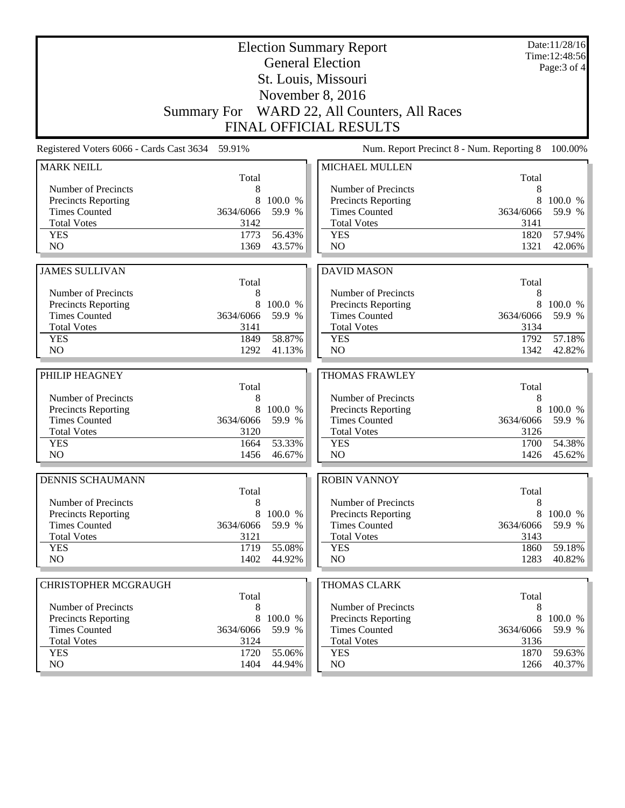| <b>Election Summary Report</b><br><b>General Election</b> |                |                   |                                                   |              | Date:11/28/16<br>Time:12:48:56<br>Page: 3 of 4 |
|-----------------------------------------------------------|----------------|-------------------|---------------------------------------------------|--------------|------------------------------------------------|
|                                                           |                |                   | St. Louis, Missouri                               |              |                                                |
|                                                           |                |                   | November 8, 2016                                  |              |                                                |
|                                                           |                |                   | Summary For WARD 22, All Counters, All Races      |              |                                                |
|                                                           |                |                   | <b>FINAL OFFICIAL RESULTS</b>                     |              |                                                |
| Registered Voters 6066 - Cards Cast 3634 59.91%           |                |                   | Num. Report Precinct 8 - Num. Reporting 8         |              | 100.00%                                        |
| <b>MARK NEILL</b>                                         |                |                   | <b>MICHAEL MULLEN</b>                             |              |                                                |
|                                                           | Total          |                   |                                                   | Total        |                                                |
| Number of Precincts<br>Precincts Reporting                | 8<br>8         | 100.0 %           | Number of Precincts<br>Precincts Reporting        | 8<br>8       | 100.0 %                                        |
| <b>Times Counted</b>                                      | 3634/6066      | 59.9 %            | <b>Times Counted</b>                              | 3634/6066    | 59.9 %                                         |
| <b>Total Votes</b>                                        | 3142           |                   | <b>Total Votes</b>                                | 3141         |                                                |
| <b>YES</b>                                                | 1773           | 56.43%            | <b>YES</b>                                        | 1820         | 57.94%                                         |
| NO                                                        | 1369           | 43.57%            | NO                                                | 1321         | 42.06%                                         |
|                                                           |                |                   |                                                   |              |                                                |
| <b>JAMES SULLIVAN</b>                                     | Total          |                   | <b>DAVID MASON</b>                                | Total        |                                                |
| Number of Precincts                                       | 8              |                   | Number of Precincts                               | 8            |                                                |
| <b>Precincts Reporting</b>                                | 8              | 100.0 %           | Precincts Reporting                               | 8            | 100.0 %                                        |
| <b>Times Counted</b>                                      | 3634/6066      | 59.9 %            | <b>Times Counted</b>                              | 3634/6066    | 59.9 %                                         |
| <b>Total Votes</b>                                        | 3141           |                   | <b>Total Votes</b>                                | 3134         |                                                |
| <b>YES</b>                                                | 1849           | 58.87%            | <b>YES</b>                                        | 1792         | 57.18%                                         |
| NO                                                        | 1292           | 41.13%            | NO                                                | 1342         | 42.82%                                         |
| PHILIP HEAGNEY                                            |                |                   | <b>THOMAS FRAWLEY</b>                             |              |                                                |
|                                                           | Total          |                   |                                                   | Total        |                                                |
| Number of Precincts                                       | 8              |                   | Number of Precincts                               | 8            |                                                |
| Precincts Reporting                                       | 8              | 100.0 %           | Precincts Reporting                               | 8            | 100.0 %                                        |
| <b>Times Counted</b>                                      | 3634/6066      | 59.9 %            | <b>Times Counted</b>                              | 3634/6066    | 59.9 %                                         |
| <b>Total Votes</b>                                        | 3120           |                   | <b>Total Votes</b>                                | 3126         |                                                |
| <b>YES</b>                                                | 1664           | 53.33%            | <b>YES</b>                                        | 1700         | 54.38%                                         |
| NO                                                        | 1456           | 46.67%            | NO                                                | 1426         | 45.62%                                         |
| <b>DENNIS SCHAUMANN</b>                                   |                |                   | <b>ROBIN VANNOY</b>                               |              |                                                |
|                                                           | Total          |                   |                                                   | Total        |                                                |
| Number of Precincts                                       | 8              |                   | Number of Precincts                               | 8            |                                                |
| <b>Precincts Reporting</b>                                | 8              | 100.0 %           | <b>Precincts Reporting</b>                        | 8            | 100.0 %                                        |
| <b>Times Counted</b>                                      | 3634/6066      | 59.9 %            | <b>Times Counted</b>                              | 3634/6066    | 59.9 %                                         |
| <b>Total Votes</b><br><b>YES</b>                          | 3121<br>1719   | 55.08%            | <b>Total Votes</b><br><b>YES</b>                  | 3143<br>1860 | 59.18%                                         |
| NO                                                        | 1402           | 44.92%            | NO                                                | 1283         | 40.82%                                         |
|                                                           |                |                   |                                                   |              |                                                |
| <b>CHRISTOPHER MCGRAUGH</b>                               |                |                   | THOMAS CLARK                                      |              |                                                |
|                                                           | Total          |                   |                                                   | Total        |                                                |
| Number of Precincts                                       | 8              |                   | Number of Precincts<br><b>Precincts Reporting</b> | 8<br>8       |                                                |
| <b>Precincts Reporting</b><br><b>Times Counted</b>        | 8<br>3634/6066 | 100.0 %<br>59.9 % | <b>Times Counted</b>                              | 3634/6066    | 100.0 %<br>59.9 %                              |
| <b>Total Votes</b>                                        | 3124           |                   | <b>Total Votes</b>                                | 3136         |                                                |
| <b>YES</b>                                                | 1720           | 55.06%            | <b>YES</b>                                        | 1870         | 59.63%                                         |
| NO                                                        | 1404           | 44.94%            | NO                                                | 1266         | 40.37%                                         |
|                                                           |                |                   |                                                   |              |                                                |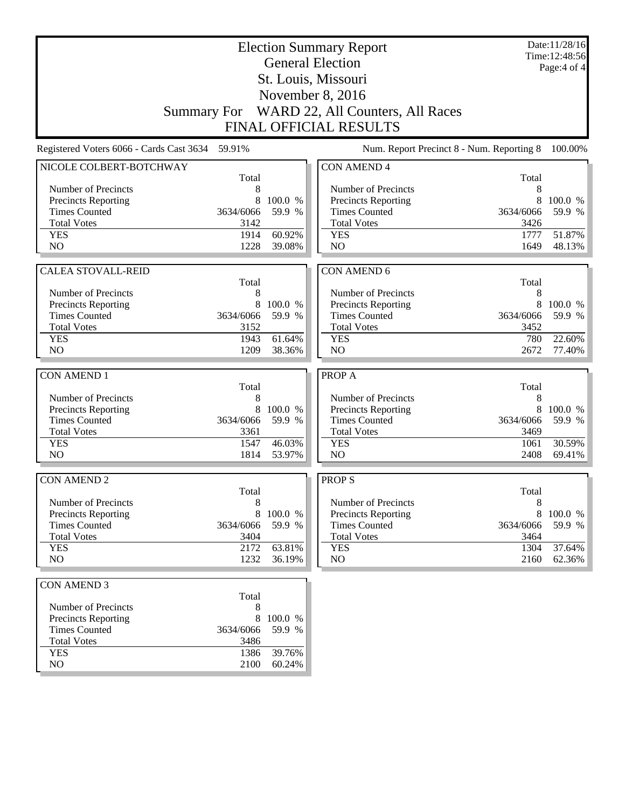|                                                    | Date:11/28/16<br>Time: 12:48:56<br>Page:4 of 4 |                   |                                                    |                   |                   |  |
|----------------------------------------------------|------------------------------------------------|-------------------|----------------------------------------------------|-------------------|-------------------|--|
|                                                    |                                                |                   | St. Louis, Missouri                                |                   |                   |  |
|                                                    | November 8, 2016                               |                   |                                                    |                   |                   |  |
| <b>Summary For</b>                                 |                                                |                   | WARD 22, All Counters, All Races                   |                   |                   |  |
| <b>FINAL OFFICIAL RESULTS</b>                      |                                                |                   |                                                    |                   |                   |  |
| Registered Voters 6066 - Cards Cast 3634 59.91%    |                                                |                   | Num. Report Precinct 8 - Num. Reporting 8          |                   | 100.00%           |  |
| NICOLE COLBERT-BOTCHWAY                            |                                                |                   | <b>CON AMEND 4</b>                                 |                   |                   |  |
| Number of Precincts                                | Total<br>8                                     |                   | Number of Precincts                                | Total<br>8        |                   |  |
| Precincts Reporting                                | 8                                              | 100.0 %           | <b>Precincts Reporting</b>                         | 8                 | 100.0 %           |  |
| <b>Times Counted</b>                               | 3634/6066                                      | 59.9 %            | <b>Times Counted</b>                               | 3634/6066         | 59.9 %            |  |
| <b>Total Votes</b>                                 | 3142                                           |                   | <b>Total Votes</b>                                 | 3426              |                   |  |
| <b>YES</b>                                         | 1914                                           | 60.92%            | <b>YES</b>                                         | 1777              | 51.87%            |  |
| N <sub>O</sub>                                     | 1228                                           | 39.08%            | N <sub>O</sub>                                     | 1649              | 48.13%            |  |
| <b>CALEA STOVALL-REID</b>                          |                                                |                   | <b>CON AMEND 6</b>                                 |                   |                   |  |
|                                                    | Total                                          |                   |                                                    | Total             |                   |  |
| Number of Precincts                                | 8                                              |                   | Number of Precincts                                | 8                 |                   |  |
| Precincts Reporting                                | 8                                              | 100.0 %           | Precincts Reporting                                | 8                 | 100.0 %           |  |
| <b>Times Counted</b>                               | 3634/6066                                      | 59.9 %            | <b>Times Counted</b>                               | 3634/6066         | 59.9 %            |  |
| <b>Total Votes</b>                                 | 3152                                           |                   | <b>Total Votes</b>                                 | 3452              |                   |  |
| <b>YES</b>                                         | 1943                                           | 61.64%            | <b>YES</b>                                         | 780               | 22.60%            |  |
| NO                                                 | 1209                                           | 38.36%            | NO                                                 | 2672              | 77.40%            |  |
|                                                    |                                                |                   |                                                    |                   |                   |  |
| <b>CON AMEND 1</b>                                 | Total                                          |                   | PROP A                                             | Total             |                   |  |
| Number of Precincts                                | 8                                              |                   | Number of Precincts                                | 8                 |                   |  |
| Precincts Reporting                                | 8                                              | 100.0 %           | Precincts Reporting                                | 8                 | 100.0 %           |  |
| <b>Times Counted</b>                               | 3634/6066                                      | 59.9 %            | <b>Times Counted</b>                               | 3634/6066         | 59.9 %            |  |
| <b>Total Votes</b>                                 | 3361                                           |                   | <b>Total Votes</b>                                 | 3469              |                   |  |
| <b>YES</b>                                         | 1547                                           | 46.03%            | <b>YES</b>                                         | 1061              | 30.59%            |  |
| NO                                                 | 1814                                           | 53.97%            | NO                                                 | 2408              | 69.41%            |  |
| <b>CON AMEND 2</b>                                 |                                                |                   | <b>PROPS</b>                                       |                   |                   |  |
|                                                    | Total                                          |                   |                                                    | Total             |                   |  |
| Number of Precincts                                | 8                                              |                   | Number of Precincts                                | 8                 |                   |  |
| <b>Precincts Reporting</b><br><b>Times Counted</b> | 8                                              | 100.0 %<br>59.9 % | <b>Precincts Reporting</b><br><b>Times Counted</b> | 8                 | 100.0 %<br>59.9 % |  |
| <b>Total Votes</b>                                 | 3634/6066<br>3404                              |                   | <b>Total Votes</b>                                 | 3634/6066<br>3464 |                   |  |
| <b>YES</b>                                         | 2172                                           | 63.81%            | <b>YES</b>                                         | 1304              | 37.64%            |  |
| NO                                                 | 1232                                           | 36.19%            | $\rm NO$                                           | 2160              | 62.36%            |  |
|                                                    |                                                |                   |                                                    |                   |                   |  |
| <b>CON AMEND 3</b>                                 | Total                                          |                   |                                                    |                   |                   |  |
| Number of Precincts                                | 8                                              |                   |                                                    |                   |                   |  |
| <b>Precincts Reporting</b>                         | 8                                              | 100.0 %           |                                                    |                   |                   |  |
| <b>Times Counted</b>                               | 3634/6066                                      | 59.9 %            |                                                    |                   |                   |  |
| <b>Total Votes</b>                                 | 3486                                           |                   |                                                    |                   |                   |  |
| <b>YES</b>                                         | 1386                                           | 39.76%            |                                                    |                   |                   |  |
| NO                                                 | 2100                                           | 60.24%            |                                                    |                   |                   |  |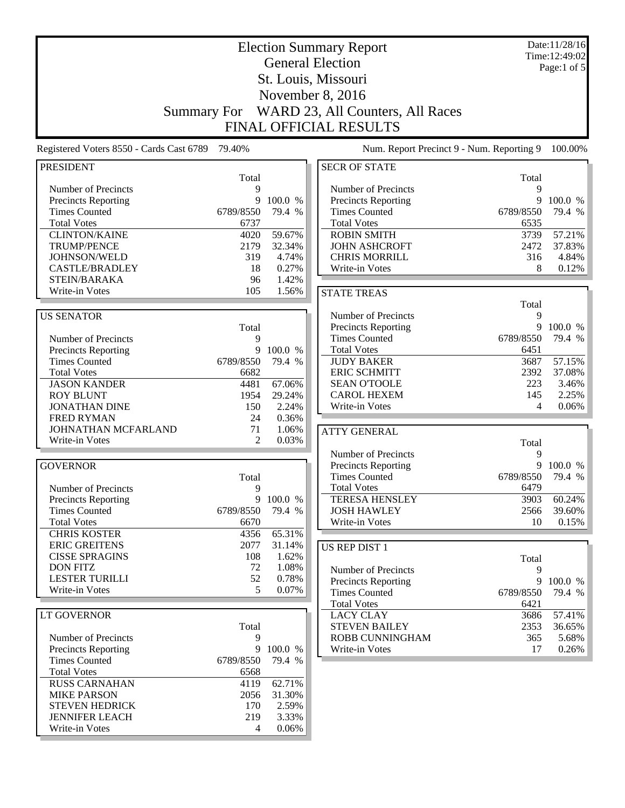| <b>Election Summary Report</b><br><b>General Election</b> |                    |         |                                           | Date:11/28/16<br>Time: 12:49:02 |             |
|-----------------------------------------------------------|--------------------|---------|-------------------------------------------|---------------------------------|-------------|
|                                                           |                    |         |                                           |                                 | Page:1 of 5 |
|                                                           |                    |         | St. Louis, Missouri                       |                                 |             |
|                                                           |                    |         | November 8, 2016                          |                                 |             |
|                                                           | <b>Summary For</b> |         | WARD 23, All Counters, All Races          |                                 |             |
|                                                           |                    |         | <b>FINAL OFFICIAL RESULTS</b>             |                                 |             |
| Registered Voters 8550 - Cards Cast 6789                  | 79.40%             |         | Num. Report Precinct 9 - Num. Reporting 9 |                                 | 100.00%     |
| <b>PRESIDENT</b>                                          |                    |         | <b>SECR OF STATE</b>                      |                                 |             |
|                                                           | Total              |         |                                           | Total                           |             |
| Number of Precincts                                       | 9                  |         | Number of Precincts                       | 9                               |             |
| Precincts Reporting                                       | 9                  | 100.0 % | <b>Precincts Reporting</b>                | 9                               | 100.0 %     |
| <b>Times Counted</b>                                      | 6789/8550          | 79.4 %  | <b>Times Counted</b>                      | 6789/8550                       | 79.4 %      |
| <b>Total Votes</b>                                        | 6737               |         | <b>Total Votes</b>                        | 6535                            |             |
| <b>CLINTON/KAINE</b>                                      | 4020               | 59.67%  | <b>ROBIN SMITH</b>                        | 3739                            | 57.21%      |
| <b>TRUMP/PENCE</b>                                        | 2179               | 32.34%  | <b>JOHN ASHCROFT</b>                      | 2472                            | 37.83%      |
| JOHNSON/WELD                                              | 319                | 4.74%   | <b>CHRIS MORRILL</b>                      | 316                             | 4.84%       |
| <b>CASTLE/BRADLEY</b>                                     | 18                 | 0.27%   | Write-in Votes                            | 8                               | 0.12%       |
| STEIN/BARAKA                                              | 96                 | 1.42%   |                                           |                                 |             |
| Write-in Votes                                            | 105                | 1.56%   | <b>STATE TREAS</b>                        |                                 |             |
|                                                           |                    |         |                                           | Total                           |             |
| <b>US SENATOR</b>                                         |                    |         | Number of Precincts                       | 9                               |             |
|                                                           | Total              |         | <b>Precincts Reporting</b>                | 9                               | 100.0 %     |
| Number of Precincts                                       | 9                  |         | <b>Times Counted</b>                      | 6789/8550                       | 79.4 %      |
| Precincts Reporting                                       | 9                  | 100.0 % | <b>Total Votes</b>                        | 6451                            |             |
| <b>Times Counted</b>                                      | 6789/8550          | 79.4 %  | <b>JUDY BAKER</b>                         | 3687                            | 57.15%      |
| <b>Total Votes</b>                                        | 6682               |         | <b>ERIC SCHMITT</b>                       | 2392                            | 37.08%      |
| <b>JASON KANDER</b>                                       | 4481               | 67.06%  | <b>SEAN O'TOOLE</b>                       | 223                             | 3.46%       |
| <b>ROY BLUNT</b>                                          | 1954               | 29.24%  | <b>CAROL HEXEM</b>                        | 145                             | 2.25%       |
| <b>JONATHAN DINE</b>                                      | 150                | 2.24%   | Write-in Votes                            | 4                               | 0.06%       |
| <b>FRED RYMAN</b>                                         | 24                 | 0.36%   |                                           |                                 |             |
| JOHNATHAN MCFARLAND                                       | 71                 | 1.06%   | <b>ATTY GENERAL</b>                       |                                 |             |
| Write-in Votes                                            | 2                  | 0.03%   |                                           | Total                           |             |
|                                                           |                    |         | Number of Precincts                       | 9                               |             |
| <b>GOVERNOR</b>                                           |                    |         | <b>Precincts Reporting</b>                | 9                               | 100.0 %     |
|                                                           | Total              |         | <b>Times Counted</b>                      | 6789/8550                       | 79.4 %      |
| Number of Precincts                                       | 9                  |         | <b>Total Votes</b>                        | 6479                            |             |
| <b>Precincts Reporting</b>                                | 9                  | 100.0 % | <b>TERESA HENSLEY</b>                     | 3903                            | 60.24%      |
| <b>Times Counted</b>                                      | 6789/8550          | 79.4 %  | <b>JOSH HAWLEY</b>                        | 2566                            | 39.60%      |
| <b>Total Votes</b>                                        | 6670               |         | Write-in Votes                            | 10                              | 0.15%       |
| <b>CHRIS KOSTER</b>                                       | 4356               | 65.31%  |                                           |                                 |             |
| <b>ERIC GREITENS</b>                                      | 2077               | 31.14%  | <b>US REP DIST 1</b>                      |                                 |             |
| <b>CISSE SPRAGINS</b>                                     | 108                | 1.62%   |                                           | Total                           |             |
| <b>DON FITZ</b>                                           | 72                 | 1.08%   | Number of Precincts                       | 9                               |             |
| <b>LESTER TURILLI</b>                                     | 52                 | 0.78%   | <b>Precincts Reporting</b>                |                                 | 9 100.0 %   |
| Write-in Votes                                            | 5                  | 0.07%   | <b>Times Counted</b>                      | 6789/8550                       | 79.4 %      |
|                                                           |                    |         | <b>Total Votes</b>                        | 6421                            |             |
| <b>LT GOVERNOR</b>                                        |                    |         | <b>LACY CLAY</b>                          | 3686                            | 57.41%      |
|                                                           | Total              |         | <b>STEVEN BAILEY</b>                      | 2353                            | 36.65%      |
| Number of Precincts                                       | 9                  |         | ROBB CUNNINGHAM                           | 365                             | 5.68%       |
| <b>Precincts Reporting</b>                                | 9                  | 100.0 % | Write-in Votes                            | 17                              | 0.26%       |
| <b>Times Counted</b>                                      | 6789/8550          | 79.4 %  |                                           |                                 |             |
| <b>Total Votes</b>                                        | 6568               |         |                                           |                                 |             |
| <b>RUSS CARNAHAN</b>                                      | 4119               | 62.71%  |                                           |                                 |             |
| <b>MIKE PARSON</b>                                        | 2056               | 31.30%  |                                           |                                 |             |
| <b>STEVEN HEDRICK</b>                                     | 170                | 2.59%   |                                           |                                 |             |
| <b>JENNIFER LEACH</b>                                     | 219                | 3.33%   |                                           |                                 |             |
| Write-in Votes                                            | $\overline{4}$     | 0.06%   |                                           |                                 |             |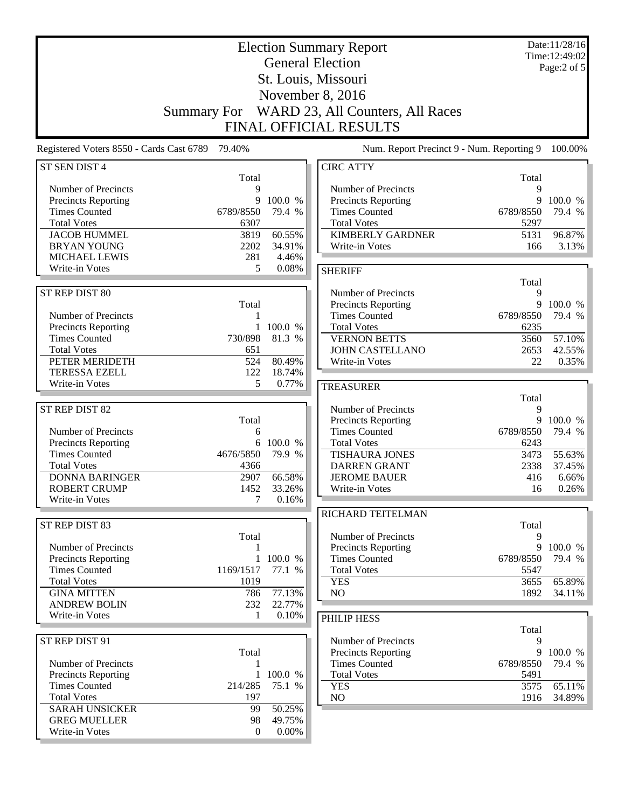|                                                 | <b>Election Summary Report</b><br><b>General Election</b> |                 |                                                    |                   |                               |
|-------------------------------------------------|-----------------------------------------------------------|-----------------|----------------------------------------------------|-------------------|-------------------------------|
|                                                 |                                                           |                 |                                                    |                   | Time: 12:49:02<br>Page:2 of 5 |
|                                                 |                                                           |                 | St. Louis, Missouri                                |                   |                               |
|                                                 |                                                           |                 | November 8, 2016                                   |                   |                               |
|                                                 | <b>Summary For</b>                                        |                 | WARD 23, All Counters, All Races                   |                   |                               |
|                                                 |                                                           |                 | <b>FINAL OFFICIAL RESULTS</b>                      |                   |                               |
| Registered Voters 8550 - Cards Cast 6789 79.40% |                                                           |                 | Num. Report Precinct 9 - Num. Reporting 9          |                   | 100.00%                       |
| ST SEN DIST 4                                   |                                                           |                 | <b>CIRC ATTY</b>                                   |                   |                               |
|                                                 | Total                                                     |                 |                                                    | Total             |                               |
| Number of Precincts                             | 9                                                         |                 | Number of Precincts                                | 9                 |                               |
| <b>Precincts Reporting</b>                      | 9                                                         | 100.0 %         | <b>Precincts Reporting</b>                         | 9                 | 100.0 %                       |
| <b>Times Counted</b><br><b>Total Votes</b>      | 6789/8550<br>6307                                         | 79.4 %          | <b>Times Counted</b><br><b>Total Votes</b>         | 6789/8550<br>5297 | 79.4 %                        |
| <b>JACOB HUMMEL</b>                             | 3819                                                      | 60.55%          | <b>KIMBERLY GARDNER</b>                            | 5131              | 96.87%                        |
| <b>BRYAN YOUNG</b>                              | 2202                                                      | 34.91%          | Write-in Votes                                     | 166               | 3.13%                         |
| <b>MICHAEL LEWIS</b>                            | 281                                                       | 4.46%           |                                                    |                   |                               |
| Write-in Votes                                  | 5                                                         | 0.08%           | <b>SHERIFF</b>                                     |                   |                               |
|                                                 |                                                           |                 |                                                    | Total             |                               |
| ST REP DIST 80                                  |                                                           |                 | Number of Precincts                                | 9                 |                               |
|                                                 | Total                                                     |                 | Precincts Reporting                                |                   | 9 100.0 %                     |
| Number of Precincts                             | 1                                                         |                 | <b>Times Counted</b>                               | 6789/8550         | 79.4 %                        |
| Precincts Reporting                             | 1                                                         | 100.0 %         | <b>Total Votes</b>                                 | 6235              |                               |
| <b>Times Counted</b>                            | 730/898                                                   | 81.3 %          | <b>VERNON BETTS</b>                                | 3560              | 57.10%                        |
| <b>Total Votes</b>                              | 651                                                       |                 | <b>JOHN CASTELLANO</b>                             | 2653              | 42.55%                        |
| PETER MERIDETH                                  | 524                                                       | 80.49%          | Write-in Votes                                     | 22                | 0.35%                         |
| <b>TERESSA EZELL</b>                            | 122                                                       | 18.74%          |                                                    |                   |                               |
| Write-in Votes                                  | 5                                                         | 0.77%           | <b>TREASURER</b>                                   |                   |                               |
|                                                 |                                                           |                 |                                                    | Total             |                               |
| ST REP DIST 82                                  |                                                           |                 | Number of Precincts                                | 9                 |                               |
| Number of Precincts                             | Total                                                     |                 | <b>Precincts Reporting</b><br><b>Times Counted</b> | 9<br>6789/8550    | 100.0 %<br>79.4 %             |
| <b>Precincts Reporting</b>                      | 6<br>6                                                    | 100.0 %         | <b>Total Votes</b>                                 | 6243              |                               |
| <b>Times Counted</b>                            | 4676/5850                                                 | 79.9 %          | <b>TISHAURA JONES</b>                              | 3473              | 55.63%                        |
| <b>Total Votes</b>                              | 4366                                                      |                 | <b>DARREN GRANT</b>                                | 2338              | 37.45%                        |
| <b>DONNA BARINGER</b>                           | 2907                                                      | 66.58%          | <b>JEROME BAUER</b>                                | 416               | 6.66%                         |
| <b>ROBERT CRUMP</b>                             | 1452                                                      | 33.26%          | Write-in Votes                                     | 16                | 0.26%                         |
| Write-in Votes                                  | 7                                                         | 0.16%           |                                                    |                   |                               |
|                                                 |                                                           |                 | RICHARD TEITELMAN                                  |                   |                               |
| ST REP DIST 83                                  |                                                           |                 |                                                    | Total             |                               |
|                                                 | Total                                                     |                 | Number of Precincts                                | 9                 |                               |
| <b>Number of Precincts</b>                      |                                                           |                 | Precincts Reporting                                | 9                 | 100.0 %                       |
| <b>Precincts Reporting</b>                      |                                                           | 1 100.0 %       | <b>Times Counted</b>                               | 6789/8550         | 79.4 %                        |
| <b>Times Counted</b>                            | 1169/1517                                                 | 77.1 %          | <b>Total Votes</b>                                 | 5547              |                               |
| <b>Total Votes</b>                              | 1019                                                      |                 | <b>YES</b>                                         | 3655              | 65.89%                        |
| <b>GINA MITTEN</b>                              | 786                                                       | 77.13%          | NO                                                 | 1892              | 34.11%                        |
| <b>ANDREW BOLIN</b><br>Write-in Votes           | 232<br>1                                                  | 22.77%<br>0.10% |                                                    |                   |                               |
|                                                 |                                                           |                 | PHILIP HESS                                        |                   |                               |
| ST REP DIST 91                                  |                                                           |                 | Number of Precincts                                | Total<br>9        |                               |
|                                                 | Total                                                     |                 | Precincts Reporting                                | 9                 | 100.0 %                       |
| Number of Precincts                             |                                                           |                 | <b>Times Counted</b>                               | 6789/8550         | 79.4 %                        |
| Precincts Reporting                             | 1                                                         | 100.0 %         | <b>Total Votes</b>                                 | 5491              |                               |
| <b>Times Counted</b>                            | 214/285                                                   | 75.1 %          | <b>YES</b>                                         | 3575              | 65.11%                        |
| <b>Total Votes</b>                              | 197                                                       |                 | NO                                                 | 1916              | 34.89%                        |
| <b>SARAH UNSICKER</b>                           | 99                                                        | 50.25%          |                                                    |                   |                               |
| <b>GREG MUELLER</b>                             | 98                                                        | 49.75%          |                                                    |                   |                               |
| Write-in Votes                                  | $\Omega$                                                  | $0.00\%$        |                                                    |                   |                               |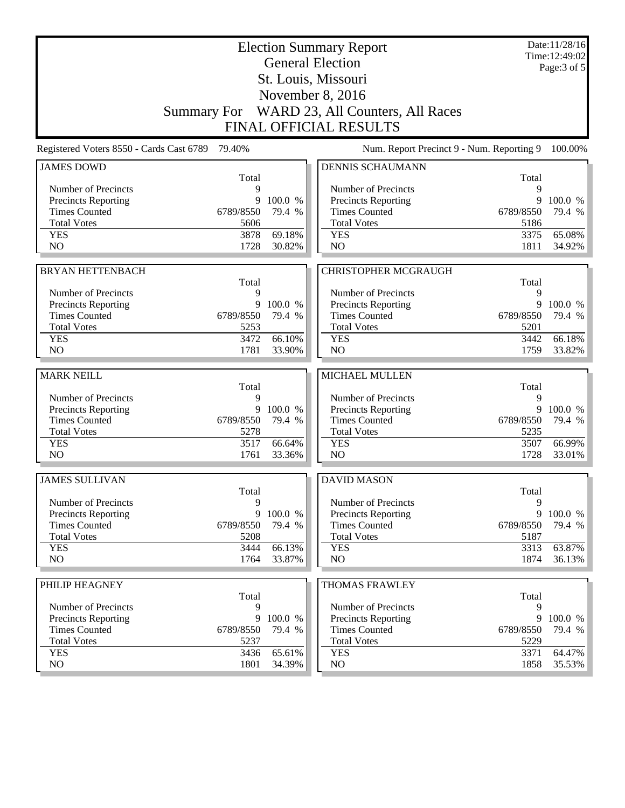|                                                    |                |                   | <b>Election Summary Report</b><br><b>General Election</b> |                | Date:11/28/16<br>Time: 12:49:02 |
|----------------------------------------------------|----------------|-------------------|-----------------------------------------------------------|----------------|---------------------------------|
|                                                    |                |                   | St. Louis, Missouri                                       |                | Page: 3 of 5                    |
|                                                    |                |                   |                                                           |                |                                 |
|                                                    |                |                   | November 8, 2016                                          |                |                                 |
|                                                    |                |                   | Summary For WARD 23, All Counters, All Races              |                |                                 |
|                                                    |                |                   | <b>FINAL OFFICIAL RESULTS</b>                             |                |                                 |
| Registered Voters 8550 - Cards Cast 6789           | 79.40%         |                   | Num. Report Precinct 9 - Num. Reporting 9                 |                | 100.00%                         |
| <b>JAMES DOWD</b>                                  |                |                   | <b>DENNIS SCHAUMANN</b>                                   |                |                                 |
|                                                    | Total          |                   |                                                           | Total          |                                 |
| Number of Precincts<br><b>Precincts Reporting</b>  | 9<br>9         | 100.0 %           | Number of Precincts<br><b>Precincts Reporting</b>         | 9<br>9         | 100.0 %                         |
| <b>Times Counted</b>                               | 6789/8550      | 79.4 %            | <b>Times Counted</b>                                      | 6789/8550      | 79.4 %                          |
| <b>Total Votes</b>                                 | 5606           |                   | <b>Total Votes</b>                                        | 5186           |                                 |
| <b>YES</b>                                         | 3878           | 69.18%            | <b>YES</b>                                                | 3375           | 65.08%                          |
| N <sub>O</sub>                                     | 1728           | 30.82%            | NO                                                        | 1811           | 34.92%                          |
|                                                    |                |                   |                                                           |                |                                 |
| <b>BRYAN HETTENBACH</b>                            |                |                   | <b>CHRISTOPHER MCGRAUGH</b>                               |                |                                 |
|                                                    | Total          |                   |                                                           | Total          |                                 |
| Number of Precincts                                | 9              |                   | Number of Precincts                                       | 9              |                                 |
| <b>Precincts Reporting</b><br><b>Times Counted</b> | 9<br>6789/8550 | 100.0 %<br>79.4 % | Precincts Reporting<br><b>Times Counted</b>               | 9<br>6789/8550 | 100.0 %<br>79.4 %               |
| <b>Total Votes</b>                                 | 5253           |                   | <b>Total Votes</b>                                        | 5201           |                                 |
| <b>YES</b>                                         | 3472           | 66.10%            | <b>YES</b>                                                | 3442           | 66.18%                          |
| NO                                                 | 1781           | 33.90%            | NO                                                        | 1759           | 33.82%                          |
|                                                    |                |                   |                                                           |                |                                 |
| <b>MARK NEILL</b>                                  |                |                   | MICHAEL MULLEN                                            |                |                                 |
|                                                    | Total          |                   |                                                           | Total          |                                 |
| Number of Precincts                                | 9              |                   | Number of Precincts                                       | 9              |                                 |
| Precincts Reporting<br><b>Times Counted</b>        | 9<br>6789/8550 | 100.0 %<br>79.4 % | Precincts Reporting<br><b>Times Counted</b>               | 9<br>6789/8550 | 100.0 %<br>79.4 %               |
| <b>Total Votes</b>                                 | 5278           |                   | <b>Total Votes</b>                                        | 5235           |                                 |
| <b>YES</b>                                         | 3517           | 66.64%            | <b>YES</b>                                                | 3507           | 66.99%                          |
| N <sub>O</sub>                                     | 1761           | 33.36%            | NO                                                        | 1728           | 33.01%                          |
|                                                    |                |                   |                                                           |                |                                 |
| <b>JAMES SULLIVAN</b>                              | Total          |                   | <b>DAVID MASON</b>                                        | Total          |                                 |
| Number of Precincts                                | 9              |                   | Number of Precincts                                       | 9              |                                 |
| Precincts Reporting                                | 9              | 100.0 %           | <b>Precincts Reporting</b>                                | 9              | 100.0 %                         |
| <b>Times Counted</b>                               | 6789/8550      | 79.4 %            | <b>Times Counted</b>                                      | 6789/8550      | 79.4 %                          |
| <b>Total Votes</b>                                 | 5208           |                   | <b>Total Votes</b>                                        | 5187           |                                 |
| <b>YES</b>                                         | 3444           | 66.13%            | <b>YES</b>                                                | 3313           | 63.87%                          |
| NO                                                 | 1764           | 33.87%            | NO                                                        | 1874           | 36.13%                          |
|                                                    |                |                   |                                                           |                |                                 |
| PHILIP HEAGNEY                                     | Total          |                   | <b>THOMAS FRAWLEY</b>                                     | Total          |                                 |
| Number of Precincts                                | 9              |                   | Number of Precincts                                       | 9              |                                 |
| <b>Precincts Reporting</b>                         | 9              | 100.0 %           | <b>Precincts Reporting</b>                                | 9              | 100.0 %                         |
| <b>Times Counted</b>                               | 6789/8550      | 79.4 %            | <b>Times Counted</b>                                      | 6789/8550      | 79.4 %                          |
| <b>Total Votes</b>                                 | 5237           |                   | <b>Total Votes</b>                                        | 5229           |                                 |
| <b>YES</b>                                         | 3436           | 65.61%            | <b>YES</b>                                                | 3371           | 64.47%                          |
| NO                                                 | 1801           | 34.39%            | NO                                                        | 1858           | 35.53%                          |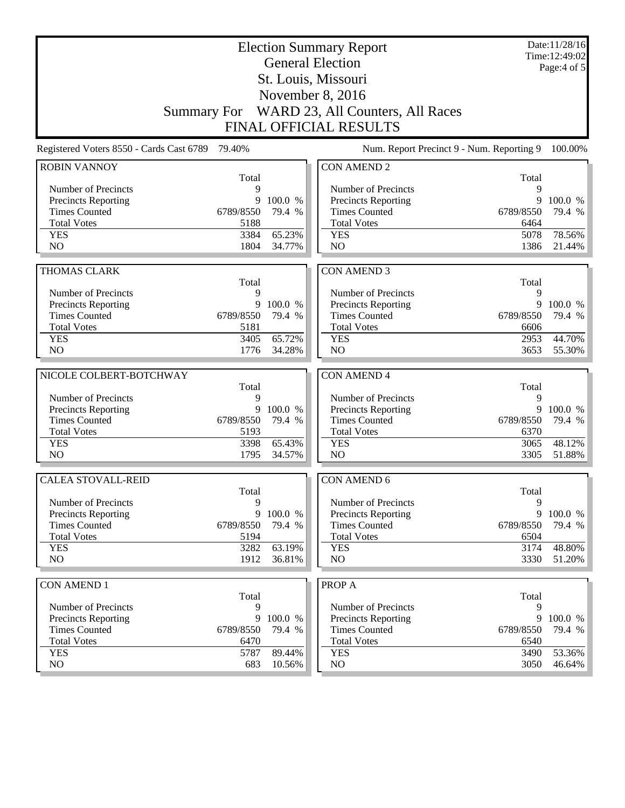|                                                 |             |                   | <b>Election Summary Report</b><br><b>General Election</b> |              | Date:11/28/16<br>Time:12:49:02<br>Page:4 of 5 |
|-------------------------------------------------|-------------|-------------------|-----------------------------------------------------------|--------------|-----------------------------------------------|
|                                                 |             |                   | St. Louis, Missouri<br>November 8, 2016                   |              |                                               |
|                                                 |             |                   |                                                           |              |                                               |
|                                                 |             |                   | Summary For WARD 23, All Counters, All Races              |              |                                               |
|                                                 |             |                   | <b>FINAL OFFICIAL RESULTS</b>                             |              |                                               |
| Registered Voters 8550 - Cards Cast 6789 79.40% |             |                   | Num. Report Precinct 9 - Num. Reporting 9                 |              | 100.00%                                       |
| <b>ROBIN VANNOY</b>                             | Total       |                   | <b>CON AMEND 2</b>                                        | Total        |                                               |
| Number of Precincts                             | 9           |                   | Number of Precincts                                       | 9            |                                               |
| <b>Precincts Reporting</b>                      | 9           | 100.0 %           | Precincts Reporting                                       | 9            | 100.0 %                                       |
| <b>Times Counted</b>                            | 6789/8550   | 79.4 %            | <b>Times Counted</b>                                      | 6789/8550    | 79.4 %                                        |
| <b>Total Votes</b>                              | 5188        |                   | <b>Total Votes</b>                                        | 6464         |                                               |
| <b>YES</b>                                      | 3384        | 65.23%            | <b>YES</b>                                                | 5078         | 78.56%                                        |
| N <sub>O</sub>                                  | 1804        | 34.77%            | N <sub>O</sub>                                            | 1386         | 21.44%                                        |
|                                                 |             |                   |                                                           |              |                                               |
| <b>THOMAS CLARK</b>                             |             |                   | <b>CON AMEND 3</b>                                        |              |                                               |
| Number of Precincts                             | Total<br>9  |                   | Number of Precincts                                       | Total<br>9   |                                               |
| Precincts Reporting                             | 9           | 100.0 %           | Precincts Reporting                                       | 9            | 100.0 %                                       |
| <b>Times Counted</b>                            | 6789/8550   | 79.4 %            | <b>Times Counted</b>                                      | 6789/8550    | 79.4 %                                        |
| <b>Total Votes</b>                              | 5181        |                   | <b>Total Votes</b>                                        | 6606         |                                               |
| <b>YES</b>                                      | 3405        | 65.72%            | <b>YES</b>                                                | 2953         | 44.70%                                        |
| N <sub>O</sub>                                  | 1776        | 34.28%            | N <sub>O</sub>                                            | 3653         | 55.30%                                        |
|                                                 |             |                   |                                                           |              |                                               |
|                                                 |             |                   |                                                           |              |                                               |
| NICOLE COLBERT-BOTCHWAY                         |             |                   | <b>CON AMEND 4</b>                                        |              |                                               |
|                                                 | Total       |                   |                                                           | Total        |                                               |
| Number of Precincts                             | 9<br>9      |                   | Number of Precincts                                       | 9<br>9       |                                               |
| Precincts Reporting<br><b>Times Counted</b>     | 6789/8550   | 100.0 %<br>79.4 % | Precincts Reporting<br><b>Times Counted</b>               | 6789/8550    | 100.0 %<br>79.4 %                             |
| <b>Total Votes</b>                              | 5193        |                   | <b>Total Votes</b>                                        | 6370         |                                               |
| <b>YES</b>                                      | 3398        | 65.43%            | <b>YES</b>                                                | 3065         | 48.12%                                        |
| NO                                              | 1795        | 34.57%            | NO                                                        | 3305         | 51.88%                                        |
| <b>CALEA STOVALL-REID</b>                       |             |                   | <b>CON AMEND 6</b>                                        |              |                                               |
|                                                 | Total       |                   |                                                           | Total        |                                               |
| Number of Precincts                             | 9           |                   | Number of Precincts                                       | 9            |                                               |
| Precincts Reporting                             | 9           | 100.0 %           | Precincts Reporting                                       | 9            | 100.0 %                                       |
| <b>Times Counted</b>                            | 6789/8550   | 79.4 %            | <b>Times Counted</b>                                      | 6789/8550    | 79.4 %                                        |
| <b>Total Votes</b>                              | 5194        |                   | <b>Total Votes</b>                                        | 6504         |                                               |
| <b>YES</b>                                      | 3282        | 63.19%            | <b>YES</b>                                                | 3174         | 48.80%                                        |
| NO                                              | 1912        | 36.81%            | NO                                                        | 3330         | 51.20%                                        |
| <b>CON AMEND 1</b>                              |             |                   | <b>PROPA</b>                                              |              |                                               |
|                                                 | Total       |                   |                                                           | Total        |                                               |
| Number of Precincts                             | 9           |                   | Number of Precincts                                       | 9            |                                               |
| <b>Precincts Reporting</b>                      | 9           | 100.0 %           | <b>Precincts Reporting</b>                                | 9            | 100.0 %                                       |
| <b>Times Counted</b>                            | 6789/8550   | 79.4 %            | <b>Times Counted</b>                                      | 6789/8550    | 79.4 %                                        |
| <b>Total Votes</b>                              | 6470        |                   | <b>Total Votes</b>                                        | 6540         |                                               |
| <b>YES</b><br>NO                                | 5787<br>683 | 89.44%<br>10.56%  | <b>YES</b><br>NO                                          | 3490<br>3050 | 53.36%<br>$46.64\%$                           |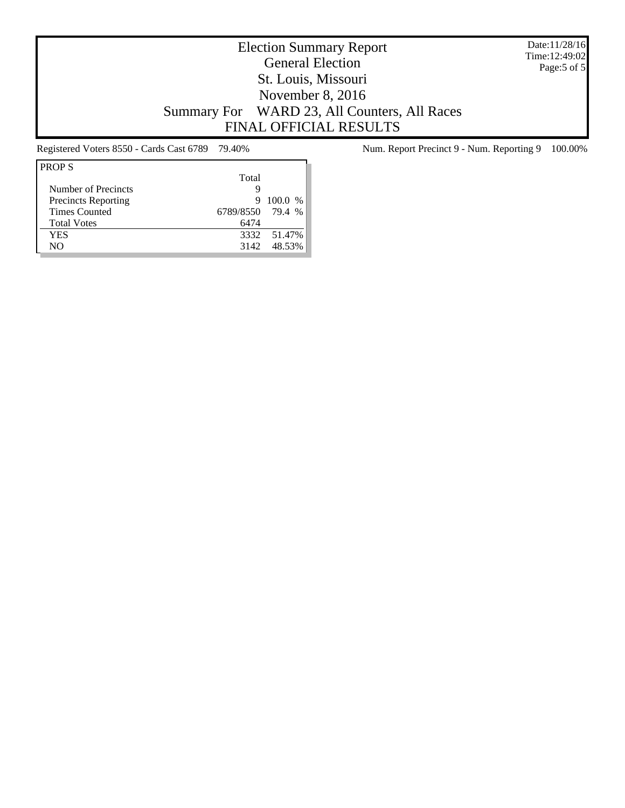Date:11/28/16 Time:12:49:02 Page:5 of 5

## Election Summary Report General Election St. Louis, Missouri November 8, 2016 Summary For WARD 23, All Counters, All Races FINAL OFFICIAL RESULTS

| <b>PROPS</b>               |                  |             |
|----------------------------|------------------|-------------|
|                            | Total            |             |
| Number of Precincts        | g                |             |
| <b>Precincts Reporting</b> | 9                | 100.0 %     |
| <b>Times Counted</b>       | 6789/8550 79.4 % |             |
| <b>Total Votes</b>         | 6474             |             |
| YES                        |                  | 3332 51.47% |
| NO.                        | 3142             | 48.53%      |

Registered Voters 8550 - Cards Cast 6789 79.40% Num. Report Precinct 9 - Num. Reporting 9 100.00%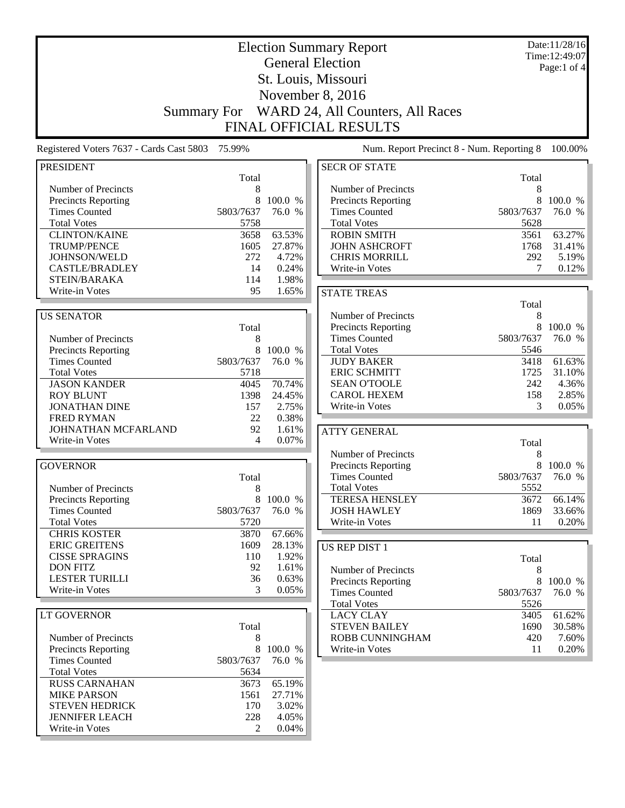|                                          |                    |           | <b>Election Summary Report</b>   |                                           | Date:11/28/16<br>Time: 12:49:07 |
|------------------------------------------|--------------------|-----------|----------------------------------|-------------------------------------------|---------------------------------|
|                                          |                    |           | <b>General Election</b>          |                                           | Page:1 of 4                     |
|                                          |                    |           | St. Louis, Missouri              |                                           |                                 |
|                                          |                    |           | November 8, 2016                 |                                           |                                 |
|                                          | <b>Summary For</b> |           | WARD 24, All Counters, All Races |                                           |                                 |
|                                          |                    |           | FINAL OFFICIAL RESULTS           |                                           |                                 |
| Registered Voters 7637 - Cards Cast 5803 | 75.99%             |           |                                  | Num. Report Precinct 8 - Num. Reporting 8 | 100.00%                         |
|                                          |                    |           |                                  |                                           |                                 |
| <b>PRESIDENT</b>                         | Total              |           | <b>SECR OF STATE</b>             | Total                                     |                                 |
| Number of Precincts                      | 8                  |           | Number of Precincts              | 8                                         |                                 |
| <b>Precincts Reporting</b>               | 8                  | 100.0 %   | Precincts Reporting              | 8                                         | 100.0 %                         |
| <b>Times Counted</b>                     | 5803/7637          | 76.0 %    | <b>Times Counted</b>             | 5803/7637                                 | 76.0 %                          |
| <b>Total Votes</b>                       | 5758               |           | <b>Total Votes</b>               | 5628                                      |                                 |
| <b>CLINTON/KAINE</b>                     | 3658               | 63.53%    | <b>ROBIN SMITH</b>               | 3561                                      | 63.27%                          |
| <b>TRUMP/PENCE</b>                       | 1605               | 27.87%    | <b>JOHN ASHCROFT</b>             | 1768                                      | 31.41%                          |
| JOHNSON/WELD                             | 272                | 4.72%     | <b>CHRIS MORRILL</b>             | 292                                       | 5.19%                           |
| <b>CASTLE/BRADLEY</b>                    | 14                 | 0.24%     | Write-in Votes                   | 7                                         | 0.12%                           |
| <b>STEIN/BARAKA</b>                      | 114                | 1.98%     |                                  |                                           |                                 |
| Write-in Votes                           | 95                 | 1.65%     | <b>STATE TREAS</b>               |                                           |                                 |
|                                          |                    |           |                                  | Total                                     |                                 |
| <b>US SENATOR</b>                        |                    |           | Number of Precincts              | 8                                         |                                 |
|                                          | Total              |           | Precincts Reporting              | 8                                         | 100.0 %                         |
| Number of Precincts                      | 8                  |           | <b>Times Counted</b>             | 5803/7637                                 | 76.0 %                          |
| <b>Precincts Reporting</b>               | 8                  | 100.0 %   | <b>Total Votes</b>               | 5546                                      |                                 |
| <b>Times Counted</b>                     | 5803/7637          | 76.0 %    | <b>JUDY BAKER</b>                | 3418                                      | 61.63%                          |
| <b>Total Votes</b>                       | 5718               |           | <b>ERIC SCHMITT</b>              | 1725                                      | 31.10%                          |
| <b>JASON KANDER</b>                      | 4045               | 70.74%    | <b>SEAN O'TOOLE</b>              | 242                                       | 4.36%                           |
| <b>ROY BLUNT</b>                         | 1398               | 24.45%    | <b>CAROL HEXEM</b>               | 158                                       | 2.85%                           |
| <b>JONATHAN DINE</b>                     | 157                | 2.75%     | Write-in Votes                   | 3                                         | 0.05%                           |
| <b>FRED RYMAN</b>                        | 22                 | 0.38%     |                                  |                                           |                                 |
| JOHNATHAN MCFARLAND                      | 92                 | 1.61%     | <b>ATTY GENERAL</b>              |                                           |                                 |
| Write-in Votes                           | 4                  | 0.07%     |                                  | Total                                     |                                 |
|                                          |                    |           | Number of Precincts              | 8                                         |                                 |
| <b>GOVERNOR</b>                          |                    |           | Precincts Reporting              | 8                                         | 100.0 %                         |
|                                          | Total              |           | <b>Times Counted</b>             | 5803/7637                                 | 76.0 %                          |
| Number of Precincts                      | 8                  |           | <b>Total Votes</b>               | 5552                                      |                                 |
| <b>Precincts Reporting</b>               |                    | 8 100.0 % | <b>TERESA HENSLEY</b>            | 3672                                      | 66.14%                          |
| <b>Times Counted</b>                     | 5803/7637          | 76.0 %    | <b>JOSH HAWLEY</b>               | 1869                                      | 33.66%                          |
| <b>Total Votes</b>                       | 5720               |           | Write-in Votes                   | 11                                        | 0.20%                           |
| <b>CHRIS KOSTER</b>                      | 3870               | 67.66%    |                                  |                                           |                                 |
| <b>ERIC GREITENS</b>                     | 1609               | 28.13%    | US REP DIST 1                    |                                           |                                 |
| <b>CISSE SPRAGINS</b>                    | 110                | 1.92%     |                                  | Total                                     |                                 |
| <b>DON FITZ</b>                          | 92                 | 1.61%     | Number of Precincts              | 8                                         |                                 |
| <b>LESTER TURILLI</b>                    | 36                 | 0.63%     | Precincts Reporting              | 8                                         | 100.0 %                         |
| Write-in Votes                           | 3                  | 0.05%     | <b>Times Counted</b>             | 5803/7637                                 | 76.0 %                          |
|                                          |                    |           | <b>Total Votes</b>               | 5526                                      |                                 |
| LT GOVERNOR                              |                    |           | <b>LACY CLAY</b>                 | 3405                                      | 61.62%                          |
|                                          | Total              |           | <b>STEVEN BAILEY</b>             | 1690                                      | 30.58%                          |
| Number of Precincts                      | 8                  |           | ROBB CUNNINGHAM                  | 420                                       | 7.60%                           |
| <b>Precincts Reporting</b>               | 8                  | 100.0 %   | Write-in Votes                   | 11                                        | 0.20%                           |
| <b>Times Counted</b>                     | 5803/7637          | 76.0 %    |                                  |                                           |                                 |
| <b>Total Votes</b>                       | 5634               |           |                                  |                                           |                                 |
| <b>RUSS CARNAHAN</b>                     | 3673               | 65.19%    |                                  |                                           |                                 |
| <b>MIKE PARSON</b>                       | 1561               | 27.71%    |                                  |                                           |                                 |
| STEVEN HEDRICK                           | 170                | 3.02%     |                                  |                                           |                                 |
| <b>JENNIFER LEACH</b>                    | 228                | 4.05%     |                                  |                                           |                                 |
| Write-in Votes                           | 2                  | 0.04%     |                                  |                                           |                                 |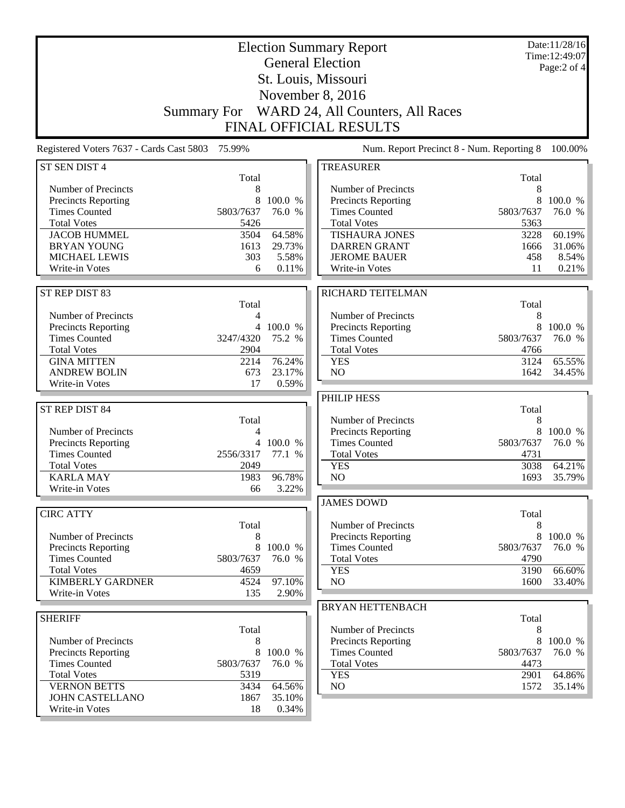|                                                                                                                                                                                 |                                                         |                                                         | <b>Election Summary Report</b><br><b>General Election</b><br>St. Louis, Missouri                                                                                                  |                                                          | Date:11/28/16<br>Time: 12:49:07<br>Page:2 of 4          |
|---------------------------------------------------------------------------------------------------------------------------------------------------------------------------------|---------------------------------------------------------|---------------------------------------------------------|-----------------------------------------------------------------------------------------------------------------------------------------------------------------------------------|----------------------------------------------------------|---------------------------------------------------------|
|                                                                                                                                                                                 | <b>Summary For</b>                                      |                                                         | November 8, 2016<br>WARD 24, All Counters, All Races<br><b>FINAL OFFICIAL RESULTS</b>                                                                                             |                                                          |                                                         |
| Registered Voters 7637 - Cards Cast 5803 75.99%                                                                                                                                 |                                                         |                                                         | Num. Report Precinct 8 - Num. Reporting 8                                                                                                                                         |                                                          | 100.00%                                                 |
| ST SEN DIST 4                                                                                                                                                                   | Total                                                   |                                                         | <b>TREASURER</b>                                                                                                                                                                  | Total                                                    |                                                         |
| Number of Precincts<br>Precincts Reporting<br><b>Times Counted</b><br><b>Total Votes</b><br><b>JACOB HUMMEL</b><br><b>BRYAN YOUNG</b><br><b>MICHAEL LEWIS</b><br>Write-in Votes | 8<br>8<br>5803/7637<br>5426<br>3504<br>1613<br>303<br>6 | 100.0 %<br>76.0 %<br>64.58%<br>29.73%<br>5.58%<br>0.11% | Number of Precincts<br>Precincts Reporting<br><b>Times Counted</b><br><b>Total Votes</b><br><b>TISHAURA JONES</b><br><b>DARREN GRANT</b><br><b>JEROME BAUER</b><br>Write-in Votes | 8<br>8<br>5803/7637<br>5363<br>3228<br>1666<br>458<br>11 | 100.0 %<br>76.0 %<br>60.19%<br>31.06%<br>8.54%<br>0.21% |
| ST REP DIST 83                                                                                                                                                                  | Total                                                   |                                                         | RICHARD TEITELMAN                                                                                                                                                                 | Total                                                    |                                                         |
| Number of Precincts<br><b>Precincts Reporting</b><br><b>Times Counted</b><br><b>Total Votes</b><br><b>GINA MITTEN</b><br><b>ANDREW BOLIN</b>                                    | 4<br>3247/4320<br>2904<br>2214<br>673                   | 4 100.0 %<br>75.2 %<br>76.24%<br>23.17%                 | Number of Precincts<br>Precincts Reporting<br><b>Times Counted</b><br><b>Total Votes</b><br><b>YES</b><br>N <sub>O</sub>                                                          | 8<br>8<br>5803/7637<br>4766<br>3124<br>1642              | 100.0 %<br>76.0 %<br>65.55%<br>34.45%                   |
| Write-in Votes                                                                                                                                                                  | 17                                                      | 0.59%                                                   | PHILIP HESS                                                                                                                                                                       |                                                          |                                                         |
| ST REP DIST 84<br>Number of Precincts<br><b>Precincts Reporting</b><br><b>Times Counted</b><br><b>Total Votes</b>                                                               | Total<br>4<br>2556/3317<br>2049                         | 4 100.0 %<br>77.1 %                                     | Number of Precincts<br>Precincts Reporting<br><b>Times Counted</b><br><b>Total Votes</b><br><b>YES</b>                                                                            | Total<br>8<br>8<br>5803/7637<br>4731<br>3038             | 100.0 %<br>76.0 %<br>64.21%                             |
| <b>KARLA MAY</b><br>Write-in Votes                                                                                                                                              | 1983<br>66                                              | 96.78%<br>3.22%                                         | N <sub>O</sub>                                                                                                                                                                    | 1693                                                     | 35.79%                                                  |
| <b>CIRC ATTY</b>                                                                                                                                                                | Total                                                   |                                                         | <b>JAMES DOWD</b><br>Number of Precincts                                                                                                                                          | Total<br>8                                               |                                                         |
| Number of Precincts<br><b>Precincts Reporting</b><br><b>Times Counted</b><br><b>Total Votes</b>                                                                                 | 8<br>8<br>5803/7637<br>4659                             | 100.0 %<br>76.0 %                                       | Precincts Reporting<br><b>Times Counted</b><br><b>Total Votes</b><br><b>YES</b>                                                                                                   | 8<br>5803/7637<br>4790<br>3190                           | 100.0 %<br>76.0 %<br>66.60%                             |
| <b>KIMBERLY GARDNER</b><br>Write-in Votes                                                                                                                                       | 4524<br>135                                             | 97.10%<br>2.90%                                         | NO                                                                                                                                                                                | 1600                                                     | 33.40%                                                  |
| <b>SHERIFF</b>                                                                                                                                                                  | Total                                                   |                                                         | <b>BRYAN HETTENBACH</b><br>Number of Precincts                                                                                                                                    | Total<br>8                                               |                                                         |
| Number of Precincts<br><b>Precincts Reporting</b><br><b>Times Counted</b><br><b>Total Votes</b>                                                                                 | 8<br>8<br>5803/7637<br>5319                             | 100.0 %<br>76.0 %                                       | Precincts Reporting<br><b>Times Counted</b><br><b>Total Votes</b><br><b>YES</b>                                                                                                   | 8<br>5803/7637<br>4473<br>2901                           | 100.0 %<br>76.0 %<br>64.86%                             |
| <b>VERNON BETTS</b><br><b>JOHN CASTELLANO</b><br>Write-in Votes                                                                                                                 | 3434<br>1867<br>18                                      | 64.56%<br>35.10%<br>0.34%                               | NO                                                                                                                                                                                | 1572                                                     | 35.14%                                                  |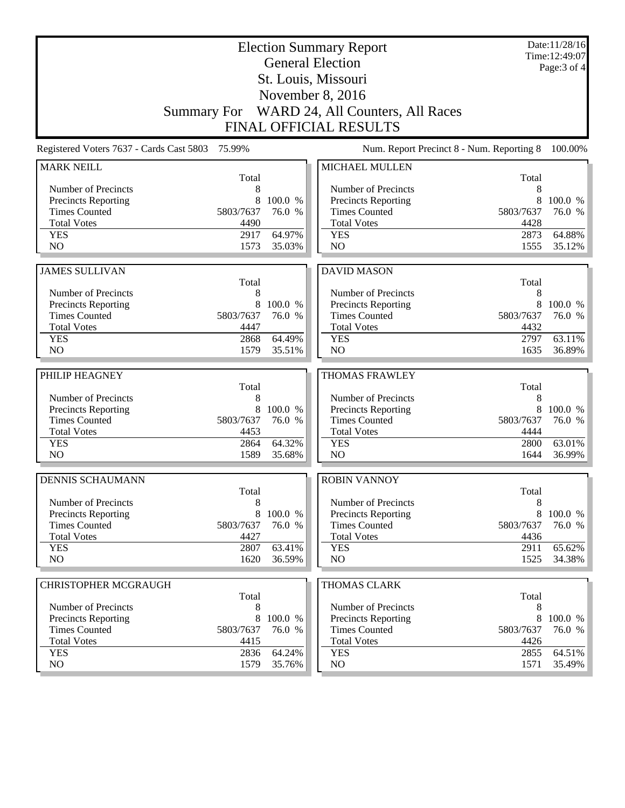| <b>Election Summary Report</b><br><b>General Election</b> |            |           |                                                   |            | Date:11/28/16<br>Time: 12:49:07<br>Page: 3 of 4 |
|-----------------------------------------------------------|------------|-----------|---------------------------------------------------|------------|-------------------------------------------------|
|                                                           |            |           | St. Louis, Missouri                               |            |                                                 |
|                                                           |            |           | November 8, 2016                                  |            |                                                 |
|                                                           |            |           | Summary For WARD 24, All Counters, All Races      |            |                                                 |
|                                                           |            |           | <b>FINAL OFFICIAL RESULTS</b>                     |            |                                                 |
| Registered Voters 7637 - Cards Cast 5803                  | 75.99%     |           | Num. Report Precinct 8 - Num. Reporting 8         |            | 100.00%                                         |
| <b>MARK NEILL</b>                                         |            |           | <b>MICHAEL MULLEN</b>                             |            |                                                 |
|                                                           | Total      |           |                                                   | Total      |                                                 |
| Number of Precincts                                       | 8          |           | Number of Precincts                               | 8          |                                                 |
| <b>Precincts Reporting</b>                                | 8          | 100.0 %   | <b>Precincts Reporting</b>                        | 8          | 100.0 %                                         |
| <b>Times Counted</b>                                      | 5803/7637  | 76.0 %    | <b>Times Counted</b>                              | 5803/7637  | 76.0 %                                          |
| <b>Total Votes</b>                                        | 4490       |           | <b>Total Votes</b>                                | 4428       |                                                 |
| <b>YES</b>                                                | 2917       | 64.97%    | <b>YES</b>                                        | 2873       | 64.88%                                          |
| NO                                                        | 1573       | 35.03%    | NO                                                | 1555       | 35.12%                                          |
|                                                           |            |           |                                                   |            |                                                 |
| <b>JAMES SULLIVAN</b>                                     | Total      |           | <b>DAVID MASON</b>                                | Total      |                                                 |
| Number of Precincts                                       | 8          |           | Number of Precincts                               | 8          |                                                 |
| <b>Precincts Reporting</b>                                | 8          | 100.0 %   | Precincts Reporting                               | 8          | 100.0 %                                         |
| <b>Times Counted</b>                                      | 5803/7637  | 76.0 %    | <b>Times Counted</b>                              | 5803/7637  | 76.0 %                                          |
| <b>Total Votes</b>                                        | 4447       |           | <b>Total Votes</b>                                | 4432       |                                                 |
| <b>YES</b>                                                | 2868       | 64.49%    | <b>YES</b>                                        | 2797       | 63.11%                                          |
| NO                                                        | 1579       | 35.51%    | NO                                                | 1635       | 36.89%                                          |
|                                                           |            |           |                                                   |            |                                                 |
| PHILIP HEAGNEY                                            |            |           | <b>THOMAS FRAWLEY</b>                             |            |                                                 |
| Number of Precincts                                       | Total<br>8 |           | Number of Precincts                               | Total<br>8 |                                                 |
| Precincts Reporting                                       | 8          | 100.0 %   | <b>Precincts Reporting</b>                        | 8          | 100.0 %                                         |
| <b>Times Counted</b>                                      | 5803/7637  | 76.0 %    | <b>Times Counted</b>                              | 5803/7637  | 76.0 %                                          |
| <b>Total Votes</b>                                        | 4453       |           | <b>Total Votes</b>                                | 4444       |                                                 |
| <b>YES</b>                                                | 2864       | 64.32%    | <b>YES</b>                                        | 2800       | 63.01%                                          |
| NO                                                        | 1589       | 35.68%    | N <sub>O</sub>                                    | 1644       | 36.99%                                          |
|                                                           |            |           |                                                   |            |                                                 |
| <b>DENNIS SCHAUMANN</b>                                   |            |           | <b>ROBIN VANNOY</b>                               |            |                                                 |
|                                                           | Total      |           |                                                   | Total      |                                                 |
| Number of Precincts<br><b>Precincts Reporting</b>         | 8          | 8 100.0 % | Number of Precincts<br><b>Precincts Reporting</b> | 8<br>8     | 100.0 %                                         |
| <b>Times Counted</b>                                      | 5803/7637  | 76.0 %    | <b>Times Counted</b>                              | 5803/7637  | 76.0 %                                          |
| <b>Total Votes</b>                                        | 4427       |           | <b>Total Votes</b>                                | 4436       |                                                 |
| <b>YES</b>                                                | 2807       | 63.41%    | <b>YES</b>                                        | 2911       | 65.62%                                          |
| NO                                                        | 1620       | 36.59%    | NO.                                               | 1525       | 34.38%                                          |
|                                                           |            |           |                                                   |            |                                                 |
| <b>CHRISTOPHER MCGRAUGH</b>                               | Total      |           | <b>THOMAS CLARK</b>                               | Total      |                                                 |
| Number of Precincts                                       | 8          |           | Number of Precincts                               | 8          |                                                 |
| <b>Precincts Reporting</b>                                | 8          | 100.0 %   | <b>Precincts Reporting</b>                        | 8          | 100.0 %                                         |
| <b>Times Counted</b>                                      | 5803/7637  | 76.0 %    | <b>Times Counted</b>                              | 5803/7637  | 76.0 %                                          |
| <b>Total Votes</b>                                        | 4415       |           | <b>Total Votes</b>                                | 4426       |                                                 |
| <b>YES</b>                                                | 2836       | 64.24%    | <b>YES</b>                                        | 2855       | 64.51%                                          |
| NO                                                        | 1579       | 35.76%    | NO.                                               | 1571       | 35.49%                                          |
|                                                           |            |           |                                                   |            |                                                 |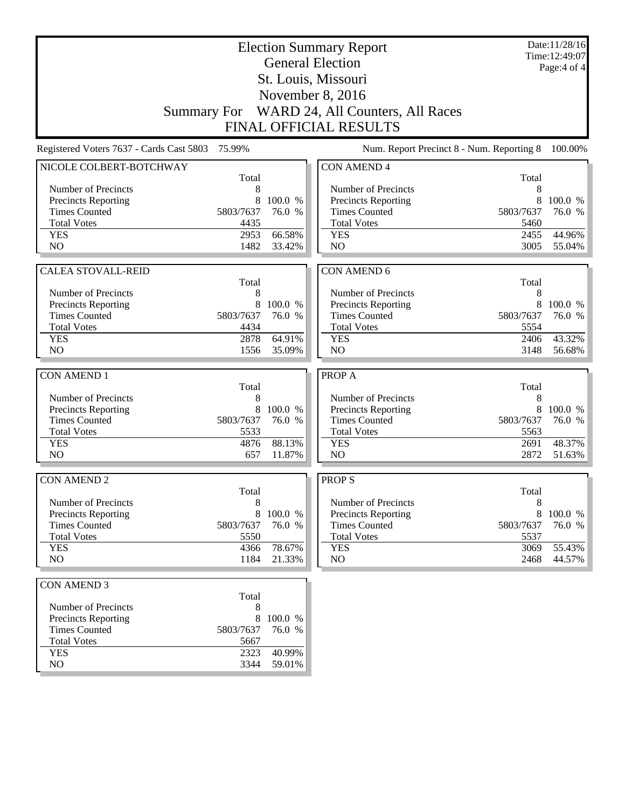|                                             |              |                  | <b>Election Summary Report</b><br><b>General Election</b> |              | Date:11/28/16<br>Time:12:49:07<br>Page:4 of 4 |
|---------------------------------------------|--------------|------------------|-----------------------------------------------------------|--------------|-----------------------------------------------|
|                                             |              |                  | St. Louis, Missouri                                       |              |                                               |
|                                             |              |                  | November 8, 2016                                          |              |                                               |
|                                             |              |                  | Summary For WARD 24, All Counters, All Races              |              |                                               |
|                                             |              |                  | <b>FINAL OFFICIAL RESULTS</b>                             |              |                                               |
| Registered Voters 7637 - Cards Cast 5803    | 75.99%       |                  | Num. Report Precinct 8 - Num. Reporting 8                 |              | 100.00%                                       |
| NICOLE COLBERT-BOTCHWAY                     |              |                  | <b>CON AMEND 4</b>                                        |              |                                               |
| Number of Precincts                         | Total<br>8   |                  | Number of Precincts                                       | Total<br>8   |                                               |
| Precincts Reporting                         | 8            | 100.0 %          | Precincts Reporting                                       | 8            | 100.0 %                                       |
| <b>Times Counted</b>                        | 5803/7637    | 76.0 %           | <b>Times Counted</b>                                      | 5803/7637    | 76.0 %                                        |
| <b>Total Votes</b>                          | 4435         |                  | <b>Total Votes</b>                                        | 5460         |                                               |
| <b>YES</b>                                  | 2953         | 66.58%           | <b>YES</b>                                                | 2455         | 44.96%                                        |
| N <sub>O</sub>                              | 1482         | 33.42%           | N <sub>O</sub>                                            | 3005         | 55.04%                                        |
|                                             |              |                  |                                                           |              |                                               |
| <b>CALEA STOVALL-REID</b>                   |              |                  | <b>CON AMEND 6</b>                                        |              |                                               |
|                                             | Total        |                  |                                                           | Total        |                                               |
| Number of Precincts                         | 8<br>8       | 100.0 %          | Number of Precincts<br><b>Precincts Reporting</b>         | 8            | 8 100.0 %                                     |
| Precincts Reporting<br><b>Times Counted</b> | 5803/7637    | 76.0 %           | <b>Times Counted</b>                                      | 5803/7637    | 76.0 %                                        |
| <b>Total Votes</b>                          | 4434         |                  | <b>Total Votes</b>                                        | 5554         |                                               |
| <b>YES</b>                                  | 2878         | 64.91%           | <b>YES</b>                                                | 2406         | 43.32%                                        |
| NO                                          | 1556         | 35.09%           | N <sub>O</sub>                                            | 3148         | 56.68%                                        |
|                                             |              |                  |                                                           |              |                                               |
| <b>CON AMEND 1</b>                          | Total        |                  | PROP A                                                    | Total        |                                               |
| Number of Precincts                         | 8            |                  | Number of Precincts                                       | 8            |                                               |
| Precincts Reporting                         | 8            | 100.0 %          | Precincts Reporting                                       | 8            | 100.0 %                                       |
| <b>Times Counted</b>                        | 5803/7637    | 76.0 %           | <b>Times Counted</b>                                      | 5803/7637    | 76.0 %                                        |
| <b>Total Votes</b>                          | 5533         |                  | <b>Total Votes</b>                                        | 5563         |                                               |
| <b>YES</b>                                  | 4876         | 88.13%           | <b>YES</b>                                                | 2691         | 48.37%                                        |
| N <sub>O</sub>                              | 657          | 11.87%           | N <sub>O</sub>                                            | 2872         | 51.63%                                        |
| <b>CON AMEND 2</b>                          |              |                  | <b>PROPS</b>                                              |              |                                               |
|                                             | Total        |                  |                                                           | Total        |                                               |
| Number of Precincts                         | 8            |                  | Number of Precincts                                       | 8            |                                               |
| <b>Precincts Reporting</b>                  | 8            | 100.0 %          | <b>Precincts Reporting</b>                                | 8            | 100.0 %                                       |
| <b>Times Counted</b>                        | 5803/7637    | 76.0 %           | <b>Times Counted</b>                                      | 5803/7637    | 76.0 %                                        |
| <b>Total Votes</b>                          | 5550         |                  | <b>Total Votes</b>                                        | 5537         |                                               |
| <b>YES</b><br>NO                            | 4366<br>1184 | 78.67%<br>21.33% | <b>YES</b><br>$\rm NO$                                    | 3069<br>2468 | 55.43%<br>44.57%                              |
|                                             |              |                  |                                                           |              |                                               |
| <b>CON AMEND 3</b>                          |              |                  |                                                           |              |                                               |
|                                             | Total        |                  |                                                           |              |                                               |
| Number of Precincts                         | 8            |                  |                                                           |              |                                               |
| <b>Precincts Reporting</b>                  | 8            | 100.0 %          |                                                           |              |                                               |
| <b>Times Counted</b>                        | 5803/7637    | 76.0 %           |                                                           |              |                                               |
| <b>Total Votes</b>                          | 5667         |                  |                                                           |              |                                               |
| <b>YES</b><br>NO                            | 2323<br>3344 | 40.99%<br>59.01% |                                                           |              |                                               |
|                                             |              |                  |                                                           |              |                                               |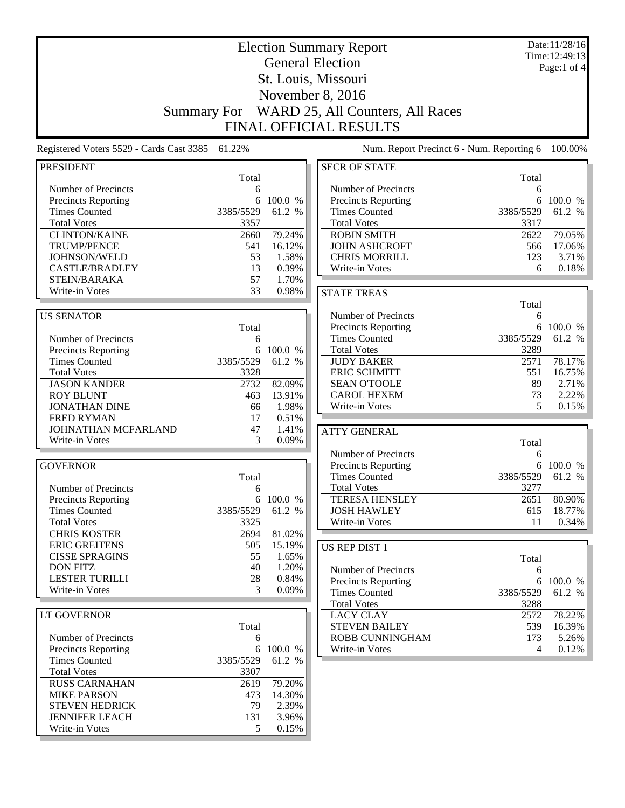|                                                 |                    |                     | <b>Election Summary Report</b>               |                | Date:11/28/16<br>Time: 12:49:13 |
|-------------------------------------------------|--------------------|---------------------|----------------------------------------------|----------------|---------------------------------|
|                                                 |                    |                     | <b>General Election</b>                      |                | Page:1 of 4                     |
|                                                 |                    |                     | St. Louis, Missouri                          |                |                                 |
|                                                 |                    |                     | November 8, 2016                             |                |                                 |
|                                                 |                    |                     |                                              |                |                                 |
|                                                 | <b>Summary For</b> |                     | WARD 25, All Counters, All Races             |                |                                 |
|                                                 |                    |                     | <b>FINAL OFFICIAL RESULTS</b>                |                |                                 |
| Registered Voters 5529 - Cards Cast 3385 61.22% |                    |                     | Num. Report Precinct 6 - Num. Reporting 6    |                | 100.00%                         |
| <b>PRESIDENT</b>                                |                    |                     | <b>SECR OF STATE</b>                         |                |                                 |
|                                                 | Total              |                     |                                              | Total          |                                 |
| Number of Precincts                             | 6                  |                     | Number of Precincts                          | 6              |                                 |
| <b>Precincts Reporting</b>                      | 6                  | 100.0 %             | <b>Precincts Reporting</b>                   |                | 6 100.0 %                       |
| <b>Times Counted</b>                            | 3385/5529          | 61.2 %              | <b>Times Counted</b>                         | 3385/5529      | 61.2 %                          |
| <b>Total Votes</b>                              | 3357               |                     | <b>Total Votes</b>                           | 3317           |                                 |
| <b>CLINTON/KAINE</b><br><b>TRUMP/PENCE</b>      | 2660               | 79.24%              | <b>ROBIN SMITH</b>                           | 2622           | 79.05%                          |
| JOHNSON/WELD                                    | 541<br>53          | 16.12%<br>1.58%     | <b>JOHN ASHCROFT</b><br><b>CHRIS MORRILL</b> | 566<br>123     | 17.06%<br>3.71%                 |
| <b>CASTLE/BRADLEY</b>                           | 13                 | 0.39%               | Write-in Votes                               | 6              | 0.18%                           |
| STEIN/BARAKA                                    | 57                 | 1.70%               |                                              |                |                                 |
| Write-in Votes                                  | 33                 | 0.98%               | <b>STATE TREAS</b>                           |                |                                 |
|                                                 |                    |                     |                                              | Total          |                                 |
| <b>US SENATOR</b>                               |                    |                     | Number of Precincts                          | 6              |                                 |
|                                                 | Total              |                     | Precincts Reporting                          | 6              | 100.0 %                         |
| Number of Precincts                             | 6                  |                     | <b>Times Counted</b>                         | 3385/5529      | 61.2 %                          |
| Precincts Reporting                             | 6                  | 100.0 %             | <b>Total Votes</b>                           | 3289           |                                 |
| <b>Times Counted</b>                            | 3385/5529          | 61.2 %              | <b>JUDY BAKER</b>                            | 2571           | 78.17%                          |
| <b>Total Votes</b>                              | 3328               |                     | <b>ERIC SCHMITT</b>                          | 551            | 16.75%                          |
| <b>JASON KANDER</b>                             | 2732               | 82.09%              | <b>SEAN O'TOOLE</b>                          | 89             | 2.71%                           |
| <b>ROY BLUNT</b>                                | 463                | 13.91%              | <b>CAROL HEXEM</b>                           | 73             | 2.22%                           |
| <b>JONATHAN DINE</b>                            | 66                 | 1.98%               | Write-in Votes                               | 5              | 0.15%                           |
| <b>FRED RYMAN</b>                               | 17                 | 0.51%               |                                              |                |                                 |
| JOHNATHAN MCFARLAND                             | 47                 | 1.41%               | <b>ATTY GENERAL</b>                          |                |                                 |
| Write-in Votes                                  | 3                  | 0.09%               |                                              | Total          |                                 |
|                                                 |                    |                     | Number of Precincts                          | 6              |                                 |
| <b>GOVERNOR</b>                                 |                    |                     | <b>Precincts Reporting</b>                   | 6              | 100.0 %                         |
|                                                 | Total              |                     | <b>Times Counted</b>                         | 3385/5529      | 61.2 %                          |
| Number of Precincts                             | 6                  |                     | <b>Total Votes</b><br><b>TERESA HENSLEY</b>  | 3277           |                                 |
| Precincts Reporting<br><b>Times Counted</b>     | 3385/5529          | 6 100.0 %<br>61.2 % | <b>JOSH HAWLEY</b>                           | 2651<br>615    | 80.90%<br>18.77%                |
| <b>Total Votes</b>                              | 3325               |                     | Write-in Votes                               | 11             | 0.34%                           |
| <b>CHRIS KOSTER</b>                             | 2694               | 81.02%              |                                              |                |                                 |
| <b>ERIC GREITENS</b>                            | 505                | 15.19%              | <b>US REP DIST 1</b>                         |                |                                 |
| <b>CISSE SPRAGINS</b>                           | 55                 | 1.65%               |                                              | Total          |                                 |
| <b>DON FITZ</b>                                 | 40                 | 1.20%               | Number of Precincts                          | 6              |                                 |
| <b>LESTER TURILLI</b>                           | 28                 | 0.84%               | Precincts Reporting                          |                | 6 100.0 %                       |
| Write-in Votes                                  | 3                  | 0.09%               | <b>Times Counted</b>                         | 3385/5529      | 61.2 %                          |
|                                                 |                    |                     | <b>Total Votes</b>                           | 3288           |                                 |
| LT GOVERNOR                                     |                    |                     | <b>LACY CLAY</b>                             | 2572           | 78.22%                          |
|                                                 | Total              |                     | <b>STEVEN BAILEY</b>                         | 539            | 16.39%                          |
| Number of Precincts                             | 6                  |                     | ROBB CUNNINGHAM                              | 173            | 5.26%                           |
| <b>Precincts Reporting</b>                      | 6                  | 100.0 %             | Write-in Votes                               | $\overline{4}$ | 0.12%                           |
| <b>Times Counted</b>                            | 3385/5529          | 61.2 %              |                                              |                |                                 |
| <b>Total Votes</b>                              | 3307               |                     |                                              |                |                                 |
| <b>RUSS CARNAHAN</b>                            | 2619               | 79.20%              |                                              |                |                                 |
| <b>MIKE PARSON</b>                              | 473                | 14.30%              |                                              |                |                                 |
| <b>STEVEN HEDRICK</b>                           | 79                 | 2.39%<br>3.96%      |                                              |                |                                 |
| <b>JENNIFER LEACH</b><br>Write-in Votes         | 131<br>5           | 0.15%               |                                              |                |                                 |
|                                                 |                    |                     |                                              |                |                                 |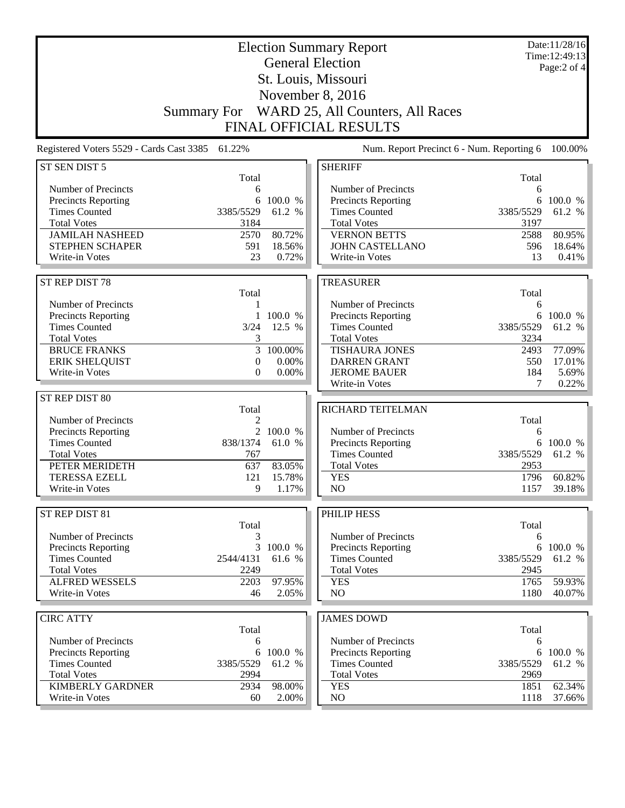| <b>Election Summary Report</b><br><b>General Election</b><br>St. Louis, Missouri |                    |                 |                                            |           | Date:11/28/16<br>Time:12:49:13<br>Page:2 of 4 |
|----------------------------------------------------------------------------------|--------------------|-----------------|--------------------------------------------|-----------|-----------------------------------------------|
|                                                                                  |                    |                 | November 8, 2016                           |           |                                               |
|                                                                                  | <b>Summary For</b> |                 | WARD 25, All Counters, All Races           |           |                                               |
|                                                                                  |                    |                 | <b>FINAL OFFICIAL RESULTS</b>              |           |                                               |
|                                                                                  |                    |                 |                                            |           |                                               |
| Registered Voters 5529 - Cards Cast 3385 61.22%                                  |                    |                 | Num. Report Precinct 6 - Num. Reporting 6  |           | 100.00%                                       |
| ST SEN DIST 5                                                                    | Total              |                 | <b>SHERIFF</b>                             | Total     |                                               |
| Number of Precincts                                                              | 6                  |                 | Number of Precincts                        | 6         |                                               |
| Precincts Reporting                                                              | 6                  | 100.0 %         | Precincts Reporting                        | 6         | 100.0 %                                       |
| <b>Times Counted</b>                                                             | 3385/5529          | 61.2 %          | <b>Times Counted</b>                       | 3385/5529 | 61.2 %                                        |
| <b>Total Votes</b>                                                               | 3184               |                 | <b>Total Votes</b>                         | 3197      |                                               |
| <b>JAMILAH NASHEED</b>                                                           | 2570               | 80.72%          | <b>VERNON BETTS</b>                        | 2588      | 80.95%                                        |
| STEPHEN SCHAPER<br>Write-in Votes                                                | 591<br>23          | 18.56%<br>0.72% | <b>JOHN CASTELLANO</b><br>Write-in Votes   | 596<br>13 | 18.64%<br>0.41%                               |
|                                                                                  |                    |                 |                                            |           |                                               |
| ST REP DIST 78                                                                   |                    |                 | <b>TREASURER</b>                           |           |                                               |
|                                                                                  | Total              |                 |                                            | Total     |                                               |
| Number of Precincts                                                              | 1                  |                 | Number of Precincts                        | 6         |                                               |
| Precincts Reporting                                                              |                    | 1 100.0 %       | Precincts Reporting                        | 6         | 100.0 %                                       |
| <b>Times Counted</b>                                                             | 3/24               | 12.5 %          | <b>Times Counted</b>                       | 3385/5529 | 61.2 %                                        |
| <b>Total Votes</b>                                                               | 3                  |                 | <b>Total Votes</b>                         | 3234      |                                               |
| <b>BRUCE FRANKS</b>                                                              | 3                  | 100.00%         | <b>TISHAURA JONES</b>                      | 2493      | 77.09%                                        |
| <b>ERIK SHELQUIST</b>                                                            | $\overline{0}$     | 0.00%           | <b>DARREN GRANT</b>                        | 550       | 17.01%                                        |
| Write-in Votes                                                                   | $\overline{0}$     | 0.00%           | <b>JEROME BAUER</b>                        | 184<br>7  | 5.69%                                         |
|                                                                                  |                    |                 | Write-in Votes                             |           | 0.22%                                         |
| ST REP DIST 80                                                                   | Total              |                 | RICHARD TEITELMAN                          |           |                                               |
| Number of Precincts                                                              | 2                  |                 |                                            | Total     |                                               |
| Precincts Reporting                                                              | $\overline{2}$     | 100.0 %         | Number of Precincts                        | 6         |                                               |
| <b>Times Counted</b>                                                             | 838/1374           | 61.0 %          | <b>Precincts Reporting</b>                 | 6         | 100.0 %                                       |
| <b>Total Votes</b>                                                               | 767                |                 | <b>Times Counted</b>                       | 3385/5529 | 61.2 %                                        |
| PETER MERIDETH                                                                   | 637                | 83.05%          | <b>Total Votes</b>                         | 2953      |                                               |
| <b>TERESSA EZELL</b>                                                             | 121                | 15.78%          | <b>YES</b>                                 | 1796      | 60.82%                                        |
| Write-in Votes                                                                   | 9                  | 1.17%           | NO                                         | 1157      | 39.18%                                        |
|                                                                                  |                    |                 |                                            |           |                                               |
| ST REP DIST 81                                                                   | Total              |                 | PHILIP HESS                                | Total     |                                               |
| Number of Precincts                                                              | 3                  |                 | Number of Precincts                        | 6         |                                               |
| Precincts Reporting                                                              | 3                  | 100.0 %         | Precincts Reporting                        | 6         | 100.0 %                                       |
| <b>Times Counted</b>                                                             | 2544/4131          | 61.6 %          | <b>Times Counted</b>                       | 3385/5529 | 61.2 %                                        |
| <b>Total Votes</b>                                                               | 2249               |                 | <b>Total Votes</b>                         | 2945      |                                               |
| <b>ALFRED WESSELS</b>                                                            | 2203               | 97.95%          | <b>YES</b>                                 | 1765      | 59.93%                                        |
| Write-in Votes                                                                   | 46                 | 2.05%           | NO                                         | 1180      | 40.07%                                        |
|                                                                                  |                    |                 |                                            |           |                                               |
| <b>CIRC ATTY</b>                                                                 |                    |                 | <b>JAMES DOWD</b>                          |           |                                               |
|                                                                                  | Total              |                 |                                            | Total     |                                               |
| Number of Precincts<br><b>Precincts Reporting</b>                                | 6                  | 6 100.0 %       | Number of Precincts<br>Precincts Reporting | 6         | 6 100.0 %                                     |
| <b>Times Counted</b>                                                             | 3385/5529          | 61.2 %          | <b>Times Counted</b>                       | 3385/5529 | 61.2 %                                        |
| <b>Total Votes</b>                                                               | 2994               |                 | <b>Total Votes</b>                         | 2969      |                                               |
| <b>KIMBERLY GARDNER</b>                                                          | 2934               | 98.00%          | <b>YES</b>                                 | 1851      | 62.34%                                        |
| Write-in Votes                                                                   | 60                 | 2.00%           | NO                                         | 1118      | 37.66%                                        |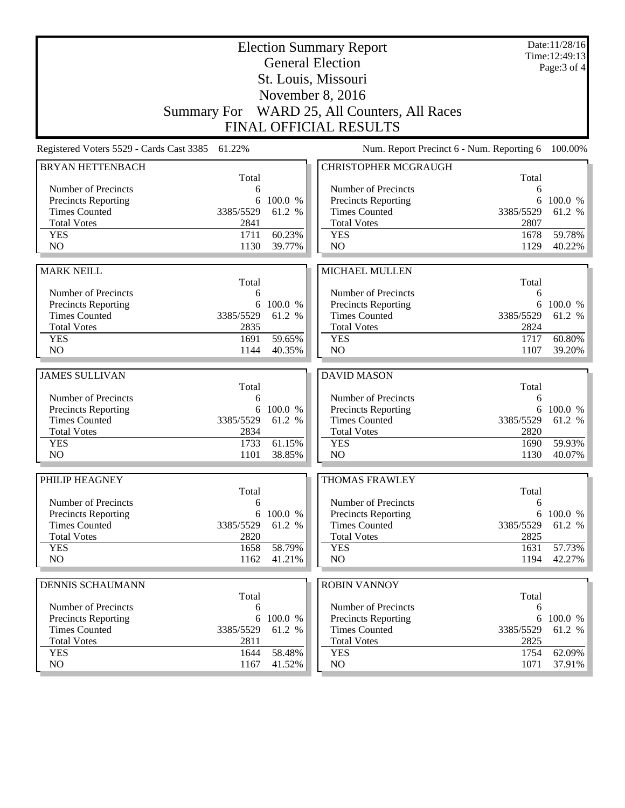|                                                   |              |                  | <b>Election Summary Report</b>               |              | Date:11/28/16<br>Time: 12:49:13 |
|---------------------------------------------------|--------------|------------------|----------------------------------------------|--------------|---------------------------------|
|                                                   |              |                  | <b>General Election</b>                      |              | Page: $3$ of $4$                |
|                                                   |              |                  | St. Louis, Missouri                          |              |                                 |
|                                                   |              |                  | November 8, 2016                             |              |                                 |
|                                                   |              |                  | Summary For WARD 25, All Counters, All Races |              |                                 |
|                                                   |              |                  | <b>FINAL OFFICIAL RESULTS</b>                |              |                                 |
| Registered Voters 5529 - Cards Cast 3385 61.22%   |              |                  | Num. Report Precinct 6 - Num. Reporting 6    |              | 100.00%                         |
| <b>BRYAN HETTENBACH</b>                           |              |                  | <b>CHRISTOPHER MCGRAUGH</b>                  |              |                                 |
|                                                   | Total        |                  |                                              | Total        |                                 |
| Number of Precincts                               | 6            |                  | Number of Precincts                          | 6            |                                 |
| Precincts Reporting                               |              | 6 100.0 %        | Precincts Reporting                          | 6            | 100.0 %                         |
| <b>Times Counted</b>                              | 3385/5529    | 61.2 %           | <b>Times Counted</b>                         | 3385/5529    | 61.2 %                          |
| <b>Total Votes</b>                                | 2841         |                  | <b>Total Votes</b>                           | 2807         |                                 |
| <b>YES</b>                                        | 1711         | 60.23%           | <b>YES</b>                                   | 1678         | 59.78%                          |
| NO                                                | 1130         | 39.77%           | NO                                           | 1129         | 40.22%                          |
|                                                   |              |                  |                                              |              |                                 |
| <b>MARK NEILL</b>                                 |              |                  | <b>MICHAEL MULLEN</b>                        |              |                                 |
|                                                   | Total        |                  |                                              | Total        |                                 |
| Number of Precincts<br><b>Precincts Reporting</b> | 6            | 6 100.0 %        | Number of Precincts<br>Precincts Reporting   | 6<br>6       | 100.0 %                         |
| <b>Times Counted</b>                              | 3385/5529    | 61.2 %           | <b>Times Counted</b>                         | 3385/5529    | 61.2 %                          |
| <b>Total Votes</b>                                | 2835         |                  | <b>Total Votes</b>                           | 2824         |                                 |
| <b>YES</b>                                        | 1691         | 59.65%           | <b>YES</b>                                   | 1717         | 60.80%                          |
| N <sub>O</sub>                                    | 1144         | 40.35%           | NO                                           | 1107         | 39.20%                          |
|                                                   |              |                  |                                              |              |                                 |
| <b>JAMES SULLIVAN</b>                             |              |                  | <b>DAVID MASON</b>                           |              |                                 |
|                                                   | Total        |                  |                                              | Total        |                                 |
| Number of Precincts                               | 6            |                  | Number of Precincts                          | 6            |                                 |
| Precincts Reporting                               |              | 6 100.0 %        | Precincts Reporting                          |              | 6 100.0 %                       |
| <b>Times Counted</b>                              | 3385/5529    | 61.2 %           | <b>Times Counted</b>                         | 3385/5529    | 61.2 %                          |
| <b>Total Votes</b>                                | 2834         |                  | <b>Total Votes</b>                           | 2820         |                                 |
| <b>YES</b><br>N <sub>O</sub>                      | 1733<br>1101 | 61.15%<br>38.85% | <b>YES</b><br>N <sub>O</sub>                 | 1690<br>1130 | 59.93%<br>40.07%                |
|                                                   |              |                  |                                              |              |                                 |
| PHILIP HEAGNEY                                    |              |                  | <b>THOMAS FRAWLEY</b>                        |              |                                 |
|                                                   | Total        |                  |                                              | Total        |                                 |
| Number of Precincts                               | 6            |                  | Number of Precincts                          | 6            |                                 |
| <b>Precincts Reporting</b>                        | 6            | 100.0 %          | Precincts Reporting                          | 6            | 100.0 %                         |
| <b>Times Counted</b>                              | 3385/5529    | 61.2 %           | <b>Times Counted</b>                         | 3385/5529    | 61.2 %                          |
| <b>Total Votes</b><br><b>YES</b>                  | 2820<br>1658 | 58.79%           | <b>Total Votes</b><br><b>YES</b>             | 2825<br>1631 | 57.73%                          |
| NO.                                               | 1162         | 41.21%           | NO                                           | 1194         | 42.27%                          |
|                                                   |              |                  |                                              |              |                                 |
| <b>DENNIS SCHAUMANN</b>                           |              |                  | <b>ROBIN VANNOY</b>                          |              |                                 |
|                                                   | Total        |                  |                                              | Total        |                                 |
| Number of Precincts                               | 6            |                  | Number of Precincts                          | 6            |                                 |
| Precincts Reporting                               | 6            | 100.0 %          | Precincts Reporting                          | 6            | 100.0 %                         |
| <b>Times Counted</b>                              | 3385/5529    | 61.2 %           | <b>Times Counted</b>                         | 3385/5529    | 61.2 %                          |
| <b>Total Votes</b>                                | 2811         |                  | <b>Total Votes</b>                           | 2825         |                                 |
| <b>YES</b>                                        | 1644         | 58.48%           | <b>YES</b>                                   | 1754         | 62.09%                          |
| NO                                                | 1167         | 41.52%           | NO                                           | 1071         | 37.91%                          |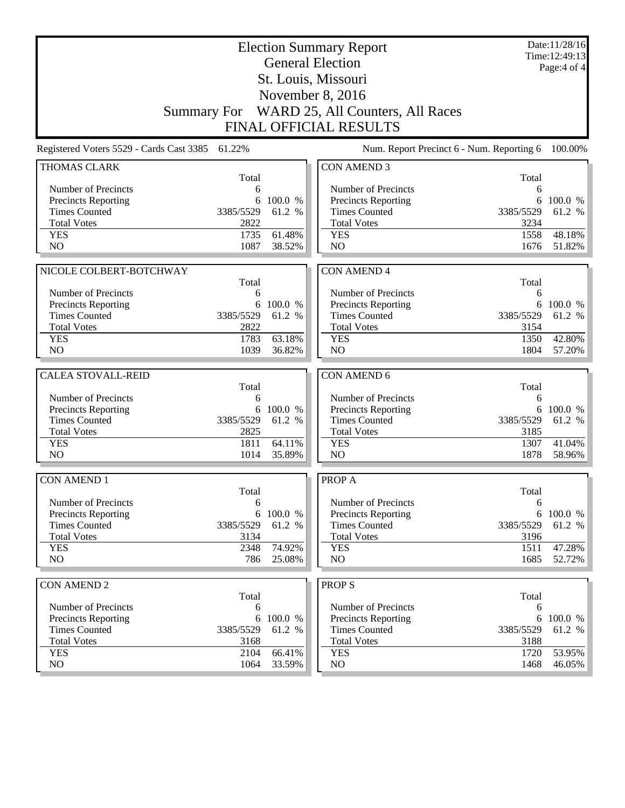|                                                   |                    |                  | <b>Election Summary Report</b><br><b>General Election</b> |              | Date:11/28/16<br>Time:12:49:13 |
|---------------------------------------------------|--------------------|------------------|-----------------------------------------------------------|--------------|--------------------------------|
|                                                   |                    |                  |                                                           |              | Page: 4 of 4                   |
|                                                   |                    |                  | St. Louis, Missouri                                       |              |                                |
|                                                   |                    |                  | November 8, 2016                                          |              |                                |
|                                                   | <b>Summary For</b> |                  | WARD 25, All Counters, All Races                          |              |                                |
|                                                   |                    |                  | <b>FINAL OFFICIAL RESULTS</b>                             |              |                                |
| Registered Voters 5529 - Cards Cast 3385 61.22%   |                    |                  | Num. Report Precinct 6 - Num. Reporting 6                 |              | 100.00%                        |
| <b>THOMAS CLARK</b>                               | Total              |                  | <b>CON AMEND 3</b>                                        | Total        |                                |
| Number of Precincts                               | 6                  |                  | Number of Precincts                                       | 6            |                                |
| Precincts Reporting                               | 6                  | 100.0 %          | Precincts Reporting                                       | 6            | 100.0 %                        |
| <b>Times Counted</b>                              | 3385/5529          | 61.2 %           | <b>Times Counted</b>                                      | 3385/5529    | 61.2 %                         |
| <b>Total Votes</b>                                | 2822               |                  | <b>Total Votes</b>                                        | 3234         |                                |
| <b>YES</b>                                        | 1735               | 61.48%           | <b>YES</b>                                                | 1558         | 48.18%                         |
| N <sub>O</sub>                                    | 1087               | 38.52%           | N <sub>O</sub>                                            | 1676         | 51.82%                         |
| NICOLE COLBERT-BOTCHWAY                           |                    |                  | <b>CON AMEND 4</b>                                        |              |                                |
|                                                   | Total              |                  |                                                           | Total        |                                |
| Number of Precincts                               | 6                  |                  | Number of Precincts                                       | 6            |                                |
| Precincts Reporting                               |                    | 6 100.0 %        | Precincts Reporting                                       |              | 6 100.0 %                      |
| <b>Times Counted</b>                              | 3385/5529          | 61.2 %           | <b>Times Counted</b>                                      | 3385/5529    | 61.2 %                         |
| <b>Total Votes</b>                                | 2822               |                  | <b>Total Votes</b>                                        | 3154         |                                |
| <b>YES</b>                                        | 1783               | 63.18%           | <b>YES</b>                                                | 1350         | 42.80%                         |
| N <sub>O</sub>                                    | 1039               | 36.82%           | N <sub>O</sub>                                            | 1804         | 57.20%                         |
|                                                   |                    |                  |                                                           |              |                                |
| <b>CALEA STOVALL-REID</b>                         |                    |                  | <b>CON AMEND 6</b>                                        |              |                                |
|                                                   | Total              |                  |                                                           | Total        |                                |
| Number of Precincts                               | 6                  |                  | Number of Precincts                                       | 6            |                                |
| Precincts Reporting                               | 6                  | 100.0 %          | Precincts Reporting                                       | 6            | 100.0 %                        |
| <b>Times Counted</b>                              | 3385/5529          | 61.2 %           | <b>Times Counted</b>                                      | 3385/5529    | 61.2 %                         |
| <b>Total Votes</b>                                | 2825               |                  | <b>Total Votes</b>                                        | 3185         |                                |
| <b>YES</b><br>N <sub>O</sub>                      | 1811<br>1014       | 64.11%<br>35.89% | <b>YES</b><br>NO                                          | 1307<br>1878 | 41.04%                         |
|                                                   |                    |                  |                                                           |              | 58.96%                         |
| <b>CON AMEND 1</b>                                |                    |                  | PROP A                                                    |              |                                |
|                                                   | Total              |                  |                                                           | Total        |                                |
| Number of Precincts                               | 6                  |                  | Number of Precincts                                       | 6            |                                |
| <b>Precincts Reporting</b>                        | 6                  | 100.0 %          | Precincts Reporting                                       | 6            |                                |
| <b>Times Counted</b><br><b>Total Votes</b>        | 3385/5529<br>3134  | 61.2 %           | <b>Times Counted</b>                                      | 3385/5529    |                                |
| <b>YES</b>                                        | 2348               | 74.92%           | <b>Total Votes</b><br><b>YES</b>                          | 3196<br>1511 | 100.0 %<br>61.2 %<br>47.28%    |
| NO                                                | 786                | 25.08%           | NO                                                        | 1685         | 52.72%                         |
|                                                   |                    |                  |                                                           |              |                                |
| <b>CON AMEND 2</b>                                |                    |                  | <b>PROPS</b>                                              |              |                                |
|                                                   | Total              |                  |                                                           | Total<br>6   |                                |
| Number of Precincts<br><b>Precincts Reporting</b> | 6<br>6             | 100.0 %          | Number of Precincts<br><b>Precincts Reporting</b>         | 6            | 100.0 %                        |
| <b>Times Counted</b>                              | 3385/5529          | 61.2 %           | <b>Times Counted</b>                                      | 3385/5529    | 61.2 %                         |
| <b>Total Votes</b>                                | 3168               |                  | <b>Total Votes</b>                                        | 3188         |                                |
| <b>YES</b><br>NO                                  | 2104<br>1064       | 66.41%<br>33.59% | <b>YES</b><br>NO                                          | 1720<br>1468 | 53.95%<br>$46.05\%$            |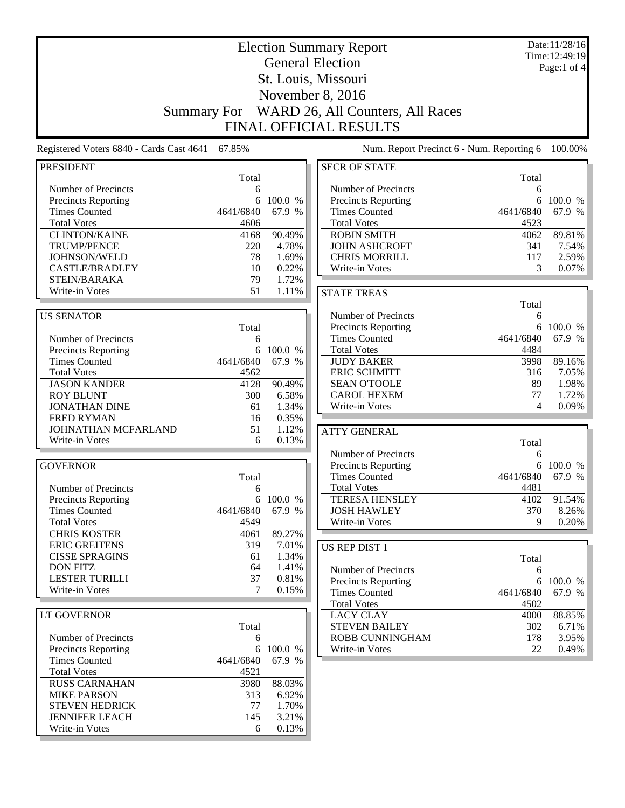|                                          | <b>Election Summary Report</b><br><b>General Election</b> |           |                                           |           |                               |
|------------------------------------------|-----------------------------------------------------------|-----------|-------------------------------------------|-----------|-------------------------------|
|                                          |                                                           |           |                                           |           | Time: 12:49:19<br>Page:1 of 4 |
|                                          |                                                           |           | St. Louis, Missouri                       |           |                               |
|                                          |                                                           |           | November 8, 2016                          |           |                               |
|                                          | <b>Summary For</b>                                        |           | WARD 26, All Counters, All Races          |           |                               |
|                                          |                                                           |           | <b>FINAL OFFICIAL RESULTS</b>             |           |                               |
| Registered Voters 6840 - Cards Cast 4641 | 67.85%                                                    |           | Num. Report Precinct 6 - Num. Reporting 6 |           | 100.00%                       |
| <b>PRESIDENT</b>                         |                                                           |           | <b>SECR OF STATE</b>                      |           |                               |
|                                          | Total                                                     |           |                                           | Total     |                               |
| Number of Precincts                      | 6                                                         |           | Number of Precincts                       | 6         |                               |
| <b>Precincts Reporting</b>               | 6                                                         | 100.0 %   | Precincts Reporting                       | 6         | 100.0 %                       |
| <b>Times Counted</b>                     | 4641/6840                                                 | 67.9 %    | <b>Times Counted</b>                      | 4641/6840 | 67.9 %                        |
| <b>Total Votes</b>                       | 4606                                                      |           | <b>Total Votes</b>                        | 4523      |                               |
| <b>CLINTON/KAINE</b>                     | 4168                                                      | 90.49%    | <b>ROBIN SMITH</b>                        | 4062      | 89.81%                        |
| TRUMP/PENCE                              | 220                                                       | 4.78%     | <b>JOHN ASHCROFT</b>                      | 341       | 7.54%                         |
| JOHNSON/WELD                             | 78                                                        | 1.69%     | <b>CHRIS MORRILL</b>                      | 117       | 2.59%                         |
| <b>CASTLE/BRADLEY</b>                    | 10                                                        | 0.22%     | Write-in Votes                            | 3         | 0.07%                         |
| STEIN/BARAKA                             | 79                                                        | 1.72%     |                                           |           |                               |
| Write-in Votes                           | 51                                                        | 1.11%     | <b>STATE TREAS</b>                        |           |                               |
|                                          |                                                           |           |                                           | Total     |                               |
| <b>US SENATOR</b>                        |                                                           |           | Number of Precincts                       | 6         |                               |
|                                          | Total                                                     |           | Precincts Reporting                       | 6         | 100.0 %                       |
| Number of Precincts                      | 6                                                         |           | <b>Times Counted</b>                      | 4641/6840 | 67.9 %                        |
| <b>Precincts Reporting</b>               | 6                                                         | 100.0 %   | <b>Total Votes</b>                        | 4484      |                               |
| <b>Times Counted</b>                     | 4641/6840                                                 | 67.9 %    | <b>JUDY BAKER</b>                         | 3998      | 89.16%                        |
| <b>Total Votes</b>                       | 4562                                                      |           | <b>ERIC SCHMITT</b>                       | 316       | 7.05%                         |
| <b>JASON KANDER</b>                      | 4128                                                      | 90.49%    | <b>SEAN O'TOOLE</b>                       | 89        | 1.98%                         |
| <b>ROY BLUNT</b>                         | 300                                                       | 6.58%     | <b>CAROL HEXEM</b>                        | 77        | 1.72%                         |
| <b>JONATHAN DINE</b>                     | 61                                                        | 1.34%     | Write-in Votes                            | 4         | 0.09%                         |
| <b>FRED RYMAN</b>                        | 16                                                        | 0.35%     |                                           |           |                               |
| JOHNATHAN MCFARLAND                      | 51                                                        | 1.12%     | <b>ATTY GENERAL</b>                       |           |                               |
| Write-in Votes                           | 6                                                         | 0.13%     |                                           | Total     |                               |
|                                          |                                                           |           | Number of Precincts                       | 6         |                               |
| <b>GOVERNOR</b>                          |                                                           |           | Precincts Reporting                       |           | 6 100.0 %                     |
|                                          | Total                                                     |           | <b>Times Counted</b>                      | 4641/6840 | 67.9 %                        |
| Number of Precincts                      | 6                                                         |           | <b>Total Votes</b>                        | 4481      |                               |
| <b>Precincts Reporting</b>               |                                                           | 6 100.0 % | <b>TERESA HENSLEY</b>                     | 4102      | 91.54%                        |
| <b>Times Counted</b>                     | 4641/6840                                                 | 67.9 %    | <b>JOSH HAWLEY</b>                        | 370       | 8.26%                         |
| <b>Total Votes</b>                       | 4549                                                      |           | Write-in Votes                            | 9         | 0.20%                         |
| <b>CHRIS KOSTER</b>                      | 4061                                                      | 89.27%    |                                           |           |                               |
| <b>ERIC GREITENS</b>                     | 319                                                       | 7.01%     | US REP DIST 1                             |           |                               |
| <b>CISSE SPRAGINS</b>                    | 61                                                        | 1.34%     |                                           | Total     |                               |
| <b>DON FITZ</b>                          | 64                                                        | 1.41%     | Number of Precincts                       | 6         |                               |
| <b>LESTER TURILLI</b>                    | 37                                                        | 0.81%     | <b>Precincts Reporting</b>                |           | 6 100.0 %                     |
| Write-in Votes                           | 7                                                         | 0.15%     | <b>Times Counted</b>                      | 4641/6840 | 67.9 %                        |
|                                          |                                                           |           | <b>Total Votes</b>                        | 4502      |                               |
| LT GOVERNOR                              |                                                           |           | <b>LACY CLAY</b>                          | 4000      | 88.85%                        |
|                                          | Total                                                     |           | <b>STEVEN BAILEY</b>                      | 302       | 6.71%                         |
| Number of Precincts                      | 6                                                         |           | ROBB CUNNINGHAM                           | 178       | 3.95%                         |
| <b>Precincts Reporting</b>               | 6                                                         | 100.0 %   | Write-in Votes                            | 22        | 0.49%                         |
| <b>Times Counted</b>                     | 4641/6840                                                 | 67.9 %    |                                           |           |                               |
| <b>Total Votes</b>                       | 4521                                                      |           |                                           |           |                               |
| <b>RUSS CARNAHAN</b>                     | 3980                                                      | 88.03%    |                                           |           |                               |
| <b>MIKE PARSON</b>                       | 313                                                       | 6.92%     |                                           |           |                               |
| STEVEN HEDRICK                           | 77                                                        | 1.70%     |                                           |           |                               |
| <b>JENNIFER LEACH</b>                    | 145                                                       | 3.21%     |                                           |           |                               |
| Write-in Votes                           | 6                                                         | 0.13%     |                                           |           |                               |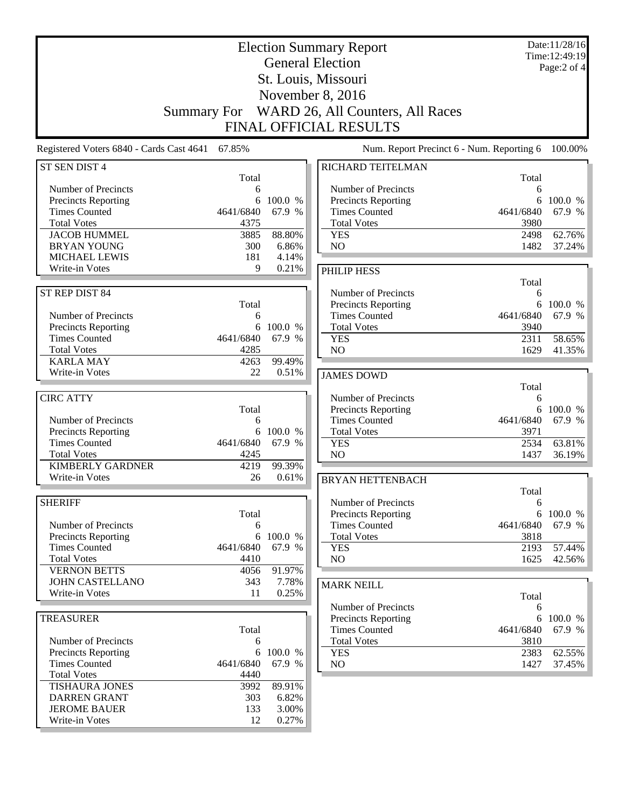|                                                                                                                                                               | <b>Election Summary Report</b><br><b>General Election</b><br>St. Louis, Missouri |                                               |                                                                                                                          |                                                 |                                         |  |
|---------------------------------------------------------------------------------------------------------------------------------------------------------------|----------------------------------------------------------------------------------|-----------------------------------------------|--------------------------------------------------------------------------------------------------------------------------|-------------------------------------------------|-----------------------------------------|--|
|                                                                                                                                                               | <b>Summary For</b>                                                               |                                               | November 8, 2016<br>WARD 26, All Counters, All Races<br><b>FINAL OFFICIAL RESULTS</b>                                    |                                                 |                                         |  |
| Registered Voters 6840 - Cards Cast 4641                                                                                                                      | 67.85%                                                                           |                                               | Num. Report Precinct 6 - Num. Reporting 6                                                                                |                                                 | 100.00%                                 |  |
| ST SEN DIST 4                                                                                                                                                 | Total                                                                            |                                               | RICHARD TEITELMAN                                                                                                        | Total                                           |                                         |  |
| Number of Precincts<br>Precincts Reporting<br><b>Times Counted</b><br><b>Total Votes</b><br><b>JACOB HUMMEL</b><br><b>BRYAN YOUNG</b><br><b>MICHAEL LEWIS</b> | 6<br>6<br>4641/6840<br>4375<br>3885<br>300<br>181                                | 100.0 %<br>67.9 %<br>88.80%<br>6.86%<br>4.14% | Number of Precincts<br>Precincts Reporting<br><b>Times Counted</b><br><b>Total Votes</b><br><b>YES</b><br>N <sub>O</sub> | 6<br>6<br>4641/6840<br>3980<br>2498<br>1482     | 100.0 %<br>67.9 %<br>62.76%<br>37.24%   |  |
| Write-in Votes                                                                                                                                                | 9                                                                                | 0.21%                                         | PHILIP HESS                                                                                                              |                                                 |                                         |  |
| ST REP DIST 84<br>Number of Precincts<br>Precincts Reporting<br><b>Times Counted</b><br><b>Total Votes</b>                                                    | Total<br>6<br>6<br>4641/6840<br>4285                                             | 100.0 %<br>67.9 %                             | Number of Precincts<br>Precincts Reporting<br><b>Times Counted</b><br><b>Total Votes</b><br><b>YES</b><br>NO             | Total<br>6<br>4641/6840<br>3940<br>2311<br>1629 | 6 100.0 %<br>67.9 %<br>58.65%<br>41.35% |  |
| <b>KARLA MAY</b><br>Write-in Votes                                                                                                                            | 4263<br>22                                                                       | 99.49%<br>0.51%                               |                                                                                                                          |                                                 |                                         |  |
| <b>CIRC ATTY</b>                                                                                                                                              |                                                                                  |                                               | <b>JAMES DOWD</b><br>Number of Precincts                                                                                 | Total<br>6                                      |                                         |  |
| Number of Precincts<br><b>Precincts Reporting</b><br><b>Times Counted</b><br><b>Total Votes</b><br><b>KIMBERLY GARDNER</b>                                    | Total<br>6<br>6<br>4641/6840<br>4245<br>4219                                     | 100.0 %<br>67.9 %<br>99.39%                   | Precincts Reporting<br><b>Times Counted</b><br><b>Total Votes</b><br><b>YES</b><br>N <sub>O</sub>                        | 6<br>4641/6840<br>3971<br>2534<br>1437          | 100.0 %<br>67.9 %<br>63.81%<br>36.19%   |  |
| Write-in Votes                                                                                                                                                | 26                                                                               | 0.61%                                         | <b>BRYAN HETTENBACH</b>                                                                                                  |                                                 |                                         |  |
| <b>SHERIFF</b><br>Number of Precincts<br><b>Precincts Reporting</b><br><b>Times Counted</b>                                                                   | Total<br>6<br>4641/6840                                                          | 6 100.0 %<br>67.9 %                           | Number of Precincts<br><b>Precincts Reporting</b><br><b>Times Counted</b><br><b>Total Votes</b><br><b>YES</b>            | Total<br>6<br>6<br>4641/6840<br>3818<br>2193    | 100.0 %<br>67.9 %<br>57.44%             |  |
| <b>Total Votes</b><br><b>VERNON BETTS</b>                                                                                                                     | 4410<br>4056                                                                     | 91.97%                                        | NO                                                                                                                       | 1625                                            | 42.56%                                  |  |
| <b>JOHN CASTELLANO</b><br>Write-in Votes                                                                                                                      | 343<br>11                                                                        | 7.78%<br>0.25%                                | <b>MARK NEILL</b><br>Number of Precincts                                                                                 | Total<br>6                                      |                                         |  |
| <b>TREASURER</b><br>Number of Precincts                                                                                                                       | Total                                                                            |                                               | <b>Precincts Reporting</b><br><b>Times Counted</b><br><b>Total Votes</b>                                                 | 6<br>4641/6840<br>3810                          | 100.0 %<br>67.9 %                       |  |
| Precincts Reporting<br><b>Times Counted</b><br><b>Total Votes</b>                                                                                             | 6<br>4641/6840<br>4440                                                           | 6 100.0 %<br>67.9 %                           | <b>YES</b><br>NO                                                                                                         | 2383<br>1427                                    | 62.55%<br>37.45%                        |  |
| <b>TISHAURA JONES</b><br><b>DARREN GRANT</b><br><b>JEROME BAUER</b><br>Write-in Votes                                                                         | 3992<br>303<br>133<br>12                                                         | 89.91%<br>6.82%<br>3.00%<br>0.27%             |                                                                                                                          |                                                 |                                         |  |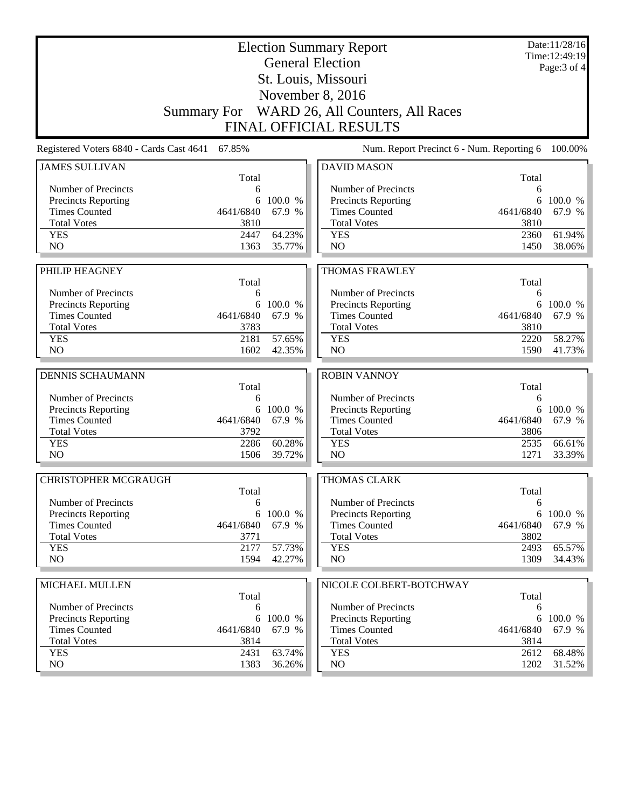|                                             |                   | Date:11/28/16<br>Time: 12:49:19<br>Page: 3 of 4 |                                              |                   |                   |
|---------------------------------------------|-------------------|-------------------------------------------------|----------------------------------------------|-------------------|-------------------|
|                                             |                   |                                                 | St. Louis, Missouri                          |                   |                   |
|                                             |                   |                                                 | November 8, 2016                             |                   |                   |
|                                             |                   |                                                 | Summary For WARD 26, All Counters, All Races |                   |                   |
|                                             |                   |                                                 | <b>FINAL OFFICIAL RESULTS</b>                |                   |                   |
| Registered Voters 6840 - Cards Cast 4641    | 67.85%            |                                                 | Num. Report Precinct 6 - Num. Reporting 6    |                   | 100.00%           |
| <b>JAMES SULLIVAN</b>                       |                   |                                                 | <b>DAVID MASON</b>                           |                   |                   |
| Number of Precincts                         | Total             |                                                 | Number of Precincts                          | Total<br>6        |                   |
| <b>Precincts Reporting</b>                  | 6<br>6            | 100.0 %                                         | <b>Precincts Reporting</b>                   | 6                 | 100.0 %           |
| <b>Times Counted</b>                        | 4641/6840         | 67.9 %                                          | <b>Times Counted</b>                         | 4641/6840         | 67.9 %            |
| <b>Total Votes</b>                          | 3810              |                                                 | <b>Total Votes</b>                           | 3810              |                   |
| <b>YES</b>                                  | 2447              | 64.23%                                          | <b>YES</b>                                   | 2360              | 61.94%            |
| N <sub>O</sub>                              | 1363              | 35.77%                                          | NO                                           | 1450              | 38.06%            |
|                                             |                   |                                                 |                                              |                   |                   |
| PHILIP HEAGNEY                              |                   |                                                 | <b>THOMAS FRAWLEY</b>                        |                   |                   |
|                                             | Total             |                                                 |                                              | Total             |                   |
| Number of Precincts                         | 6<br>6            | 100.0 %                                         | Number of Precincts                          | 6<br>6            |                   |
| Precincts Reporting<br><b>Times Counted</b> | 4641/6840         | 67.9 %                                          | Precincts Reporting<br><b>Times Counted</b>  | 4641/6840         | 100.0 %<br>67.9 % |
| <b>Total Votes</b>                          | 3783              |                                                 | <b>Total Votes</b>                           | 3810              |                   |
| <b>YES</b>                                  | 2181              | 57.65%                                          | <b>YES</b>                                   | 2220              | 58.27%            |
| NO                                          | 1602              | 42.35%                                          | N <sub>O</sub>                               | 1590              | 41.73%            |
|                                             |                   |                                                 |                                              |                   |                   |
| <b>DENNIS SCHAUMANN</b>                     | Total             |                                                 | <b>ROBIN VANNOY</b>                          |                   |                   |
| Number of Precincts                         | 6                 |                                                 | Number of Precincts                          | Total<br>6        |                   |
| <b>Precincts Reporting</b>                  | 6                 | 100.0 %                                         | Precincts Reporting                          | 6                 | 100.0 %           |
| <b>Times Counted</b>                        | 4641/6840         | 67.9 %                                          | <b>Times Counted</b>                         | 4641/6840         | 67.9 %            |
| <b>Total Votes</b>                          | 3792              |                                                 | <b>Total Votes</b>                           | 3806              |                   |
| <b>YES</b>                                  | 2286              | 60.28%                                          | <b>YES</b>                                   | 2535              | 66.61%            |
| N <sub>O</sub>                              | 1506              | 39.72%                                          | NO                                           | 1271              | 33.39%            |
| <b>CHRISTOPHER MCGRAUGH</b>                 |                   |                                                 | THOMAS CLARK                                 |                   |                   |
|                                             | Total             |                                                 |                                              | Total             |                   |
| Number of Precincts                         | 6                 |                                                 | Number of Precincts                          | 6                 |                   |
| <b>Precincts Reporting</b>                  |                   | 6 100.0 %                                       | Precincts Reporting                          | 6                 | 100.0 %           |
| <b>Times Counted</b><br><b>Total Votes</b>  | 4641/6840<br>3771 | 67.9 %                                          | <b>Times Counted</b><br><b>Total Votes</b>   | 4641/6840<br>3802 | 67.9 %            |
| <b>YES</b>                                  | 2177              | 57.73%                                          | <b>YES</b>                                   | 2493              | 65.57%            |
| NO                                          | 1594              | 42.27%                                          | NO                                           | 1309              | 34.43%            |
|                                             |                   |                                                 |                                              |                   |                   |
| MICHAEL MULLEN                              | Total             |                                                 | NICOLE COLBERT-BOTCHWAY                      | Total             |                   |
| Number of Precincts                         | 6                 |                                                 | Number of Precincts                          | 6                 |                   |
| <b>Precincts Reporting</b>                  | 6                 | 100.0 %                                         | <b>Precincts Reporting</b>                   | 6                 | 100.0 %           |
| <b>Times Counted</b>                        | 4641/6840         | 67.9 %                                          | <b>Times Counted</b>                         | 4641/6840         | 67.9 %            |
| <b>Total Votes</b>                          | 3814              |                                                 | <b>Total Votes</b>                           | 3814              |                   |
| <b>YES</b>                                  | 2431              | 63.74%                                          | <b>YES</b>                                   | 2612              | 68.48%            |
| NO                                          | 1383              | 36.26%                                          | NO                                           | 1202              | $31.52\%$         |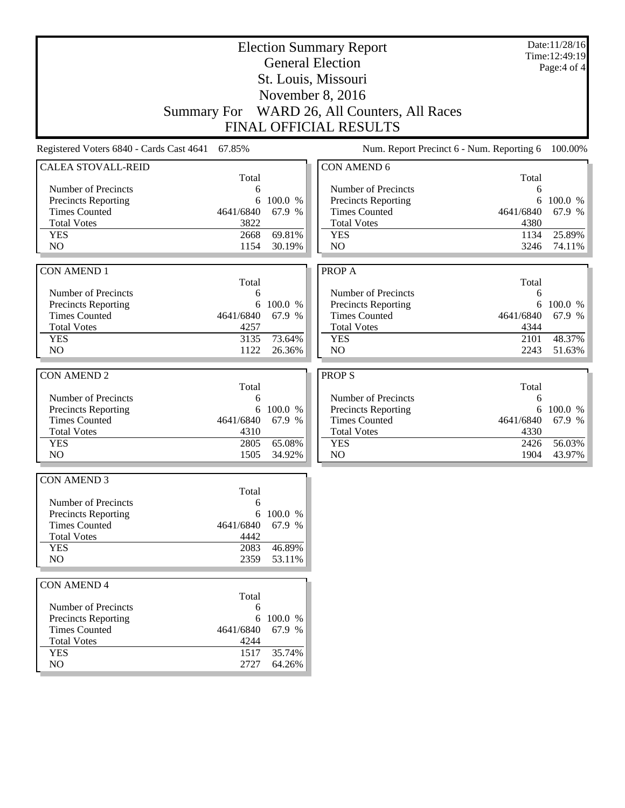|                                          |                         |                  | <b>Election Summary Report</b>            |              | Date:11/28/16<br>Time: 12:49:19 |
|------------------------------------------|-------------------------|------------------|-------------------------------------------|--------------|---------------------------------|
|                                          | <b>General Election</b> |                  | Page:4 of 4                               |              |                                 |
|                                          |                         |                  | St. Louis, Missouri                       |              |                                 |
|                                          |                         |                  | November 8, 2016                          |              |                                 |
|                                          | <b>Summary For</b>      |                  | WARD 26, All Counters, All Races          |              |                                 |
|                                          |                         |                  | <b>FINAL OFFICIAL RESULTS</b>             |              |                                 |
| Registered Voters 6840 - Cards Cast 4641 | 67.85%                  |                  | Num. Report Precinct 6 - Num. Reporting 6 |              | 100.00%                         |
| <b>CALEA STOVALL-REID</b>                |                         |                  | <b>CON AMEND 6</b>                        |              |                                 |
|                                          | Total                   |                  |                                           | Total        |                                 |
| Number of Precincts                      | 6                       |                  | Number of Precincts                       | 6            |                                 |
| Precincts Reporting                      | 6                       | 100.0 %          | Precincts Reporting                       |              | 6 100.0 %                       |
| <b>Times Counted</b>                     | 4641/6840               | 67.9 %           | <b>Times Counted</b>                      | 4641/6840    | 67.9 %                          |
| <b>Total Votes</b>                       | 3822                    |                  | <b>Total Votes</b>                        | 4380         |                                 |
| <b>YES</b>                               | 2668                    | 69.81%           | <b>YES</b>                                | 1134         | 25.89%                          |
| N <sub>O</sub>                           | 1154                    | 30.19%           | N <sub>O</sub>                            | 3246         | 74.11%                          |
|                                          |                         |                  |                                           |              |                                 |
| <b>CON AMEND 1</b>                       |                         |                  | PROP A                                    |              |                                 |
|                                          | Total                   |                  |                                           | Total        |                                 |
| Number of Precincts                      | 6                       |                  | Number of Precincts                       | 6            |                                 |
| Precincts Reporting                      |                         | 6 100.0 %        | Precincts Reporting                       |              | 6 100.0 %                       |
| <b>Times Counted</b>                     | 4641/6840               | 67.9 %           | <b>Times Counted</b>                      | 4641/6840    | 67.9 %                          |
| <b>Total Votes</b>                       | 4257                    |                  | <b>Total Votes</b>                        | 4344         |                                 |
| <b>YES</b><br>N <sub>O</sub>             | 3135<br>1122            | 73.64%<br>26.36% | <b>YES</b><br>N <sub>O</sub>              | 2101<br>2243 | 48.37%<br>51.63%                |
|                                          |                         |                  |                                           |              |                                 |
| <b>CON AMEND 2</b>                       |                         |                  | <b>PROPS</b>                              |              |                                 |
|                                          | Total                   |                  |                                           | Total        |                                 |
| Number of Precincts                      | 6                       |                  | Number of Precincts                       | 6            |                                 |
| Precincts Reporting                      | 6                       | 100.0 %          | Precincts Reporting                       | 6            | 100.0 %                         |
| <b>Times Counted</b>                     | 4641/6840               | 67.9 %           | <b>Times Counted</b>                      | 4641/6840    | 67.9 %                          |
| <b>Total Votes</b>                       | 4310                    |                  | <b>Total Votes</b>                        | 4330         |                                 |
| <b>YES</b>                               | 2805                    | 65.08%           | <b>YES</b>                                | 2426         | 56.03%                          |
| N <sub>O</sub>                           | 1505                    | 34.92%           | N <sub>O</sub>                            | 1904         | 43.97%                          |
|                                          |                         |                  |                                           |              |                                 |
| <b>CON AMEND 3</b>                       |                         |                  |                                           |              |                                 |
|                                          | Total                   |                  |                                           |              |                                 |
| Number of Precincts                      | 6                       |                  |                                           |              |                                 |
| Precincts Reporting                      |                         | 6 100.0 %        |                                           |              |                                 |
| <b>Times Counted</b>                     | 4641/6840               | 67.9 %           |                                           |              |                                 |
| <b>Total Votes</b>                       | 4442                    |                  |                                           |              |                                 |
| <b>YES</b><br>NO                         | 2083<br>2359            | 46.89%<br>53.11% |                                           |              |                                 |
|                                          |                         |                  |                                           |              |                                 |
| <b>CON AMEND 4</b>                       |                         |                  |                                           |              |                                 |
|                                          | Total                   |                  |                                           |              |                                 |
| Number of Precincts                      | 6                       |                  |                                           |              |                                 |
| Precincts Reporting                      | 6                       | 100.0 %          |                                           |              |                                 |
| <b>Times Counted</b>                     | 4641/6840               | 67.9 %           |                                           |              |                                 |
| <b>Total Votes</b>                       | 4244                    |                  |                                           |              |                                 |
| <b>YES</b><br>NO                         | 1517                    | 35.74%           |                                           |              |                                 |
|                                          | 2727                    | 64.26%           |                                           |              |                                 |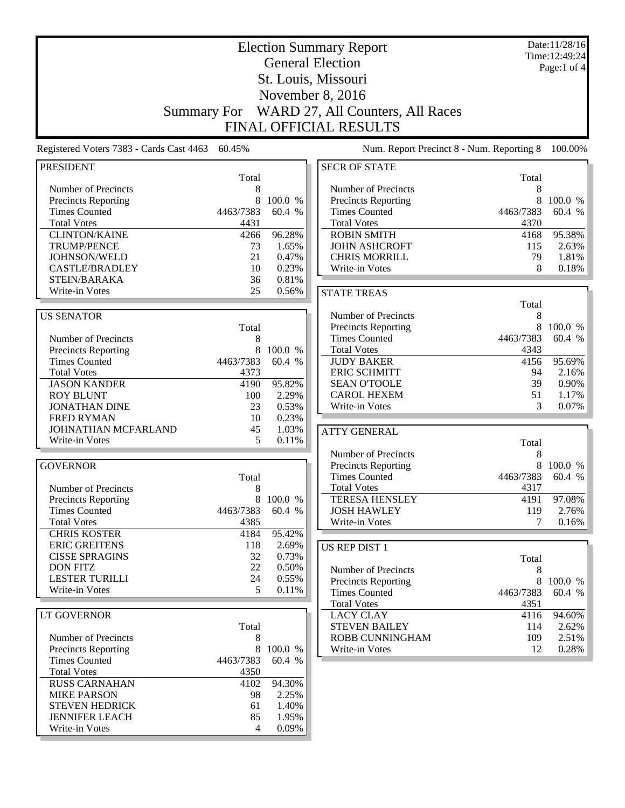|                                                 |                         |                | <b>Election Summary Report</b>                                    |           | Date:11/28/16<br>Time: 12:49:24 |  |  |
|-------------------------------------------------|-------------------------|----------------|-------------------------------------------------------------------|-----------|---------------------------------|--|--|
|                                                 | <b>General Election</b> |                |                                                                   |           |                                 |  |  |
|                                                 |                         |                | St. Louis, Missouri                                               |           | Page:1 of 4                     |  |  |
|                                                 |                         |                | November 8, 2016                                                  |           |                                 |  |  |
|                                                 |                         |                |                                                                   |           |                                 |  |  |
|                                                 | <b>Summary For</b>      |                | WARD 27, All Counters, All Races<br><b>FINAL OFFICIAL RESULTS</b> |           |                                 |  |  |
|                                                 |                         |                |                                                                   |           |                                 |  |  |
| Registered Voters 7383 - Cards Cast 4463 60.45% |                         |                | Num. Report Precinct 8 - Num. Reporting 8                         |           | 100.00%                         |  |  |
| <b>PRESIDENT</b>                                | Total                   |                | <b>SECR OF STATE</b>                                              | Total     |                                 |  |  |
| Number of Precincts                             | 8                       |                | Number of Precincts                                               | 8         |                                 |  |  |
| Precincts Reporting                             | 8                       | 100.0 %        | Precincts Reporting                                               | 8         | 100.0 %                         |  |  |
| <b>Times Counted</b>                            | 4463/7383               | 60.4 %         | <b>Times Counted</b>                                              | 4463/7383 | 60.4 %                          |  |  |
| <b>Total Votes</b>                              | 4431                    |                | <b>Total Votes</b>                                                | 4370      |                                 |  |  |
| <b>CLINTON/KAINE</b>                            | 4266                    | 96.28%         | <b>ROBIN SMITH</b>                                                | 4168      | 95.38%                          |  |  |
| TRUMP/PENCE                                     | 73                      | 1.65%          | <b>JOHN ASHCROFT</b>                                              | 115       | 2.63%                           |  |  |
| JOHNSON/WELD                                    | 21                      | 0.47%          | <b>CHRIS MORRILL</b>                                              | 79        | 1.81%                           |  |  |
| <b>CASTLE/BRADLEY</b>                           | 10                      | 0.23%          | Write-in Votes                                                    | 8         | 0.18%                           |  |  |
| STEIN/BARAKA                                    | 36                      | 0.81%          |                                                                   |           |                                 |  |  |
| Write-in Votes                                  | 25                      | 0.56%          | <b>STATE TREAS</b>                                                |           |                                 |  |  |
|                                                 |                         |                |                                                                   | Total     |                                 |  |  |
| <b>US SENATOR</b>                               |                         |                | Number of Precincts                                               | 8         |                                 |  |  |
|                                                 | Total                   |                | Precincts Reporting                                               | 8         | 100.0 %                         |  |  |
| Number of Precincts                             | 8                       |                | <b>Times Counted</b>                                              | 4463/7383 | 60.4 %                          |  |  |
| Precincts Reporting                             | 8                       | 100.0 %        | <b>Total Votes</b>                                                | 4343      |                                 |  |  |
| <b>Times Counted</b>                            | 4463/7383               | 60.4 %         | <b>JUDY BAKER</b>                                                 | 4156      | 95.69%                          |  |  |
| <b>Total Votes</b>                              | 4373                    |                | <b>ERIC SCHMITT</b>                                               | 94        | 2.16%                           |  |  |
| <b>JASON KANDER</b>                             | 4190                    | 95.82%         | <b>SEAN O'TOOLE</b>                                               | 39        | 0.90%                           |  |  |
| <b>ROY BLUNT</b>                                | 100                     | 2.29%          | <b>CAROL HEXEM</b><br>Write-in Votes                              | 51<br>3   | 1.17%<br>0.07%                  |  |  |
| <b>JONATHAN DINE</b>                            | 23                      | 0.53%<br>0.23% |                                                                   |           |                                 |  |  |
| <b>FRED RYMAN</b><br>JOHNATHAN MCFARLAND        | 10<br>45                | 1.03%          |                                                                   |           |                                 |  |  |
| Write-in Votes                                  | 5                       | 0.11%          | <b>ATTY GENERAL</b>                                               |           |                                 |  |  |
|                                                 |                         |                | Number of Precincts                                               | Total     |                                 |  |  |
| <b>GOVERNOR</b>                                 |                         |                | Precincts Reporting                                               | 8<br>8    | 100.0 %                         |  |  |
|                                                 | Total                   |                | <b>Times Counted</b>                                              | 4463/7383 | 60.4 %                          |  |  |
| Number of Precincts                             | 8                       |                | <b>Total Votes</b>                                                | 4317      |                                 |  |  |
| <b>Precincts Reporting</b>                      |                         | 8 100.0 %      | <b>TERESA HENSLEY</b>                                             | 4191      | 97.08%                          |  |  |
| <b>Times Counted</b>                            | 4463/7383               | 60.4 %         | <b>JOSH HAWLEY</b>                                                | 119       | 2.76%                           |  |  |
| <b>Total Votes</b>                              | 4385                    |                | Write-in Votes                                                    | 7         | 0.16%                           |  |  |
| <b>CHRIS KOSTER</b>                             | 4184                    | 95.42%         |                                                                   |           |                                 |  |  |
| <b>ERIC GREITENS</b>                            | 118                     | 2.69%          | <b>US REP DIST 1</b>                                              |           |                                 |  |  |
| <b>CISSE SPRAGINS</b>                           | 32                      | 0.73%          |                                                                   | Total     |                                 |  |  |
| <b>DON FITZ</b>                                 | 22                      | 0.50%          | Number of Precincts                                               | 8         |                                 |  |  |
| <b>LESTER TURILLI</b>                           | 24                      | 0.55%          | Precincts Reporting                                               |           | 8 100.0 %                       |  |  |
| Write-in Votes                                  | 5                       | 0.11%          | <b>Times Counted</b>                                              | 4463/7383 | 60.4 %                          |  |  |
|                                                 |                         |                | <b>Total Votes</b>                                                | 4351      |                                 |  |  |
| LT GOVERNOR                                     |                         |                | <b>LACY CLAY</b>                                                  | 4116      | 94.60%                          |  |  |
|                                                 | Total                   |                | <b>STEVEN BAILEY</b>                                              | 114       | 2.62%                           |  |  |
| Number of Precincts                             | 8                       |                | ROBB CUNNINGHAM                                                   | 109       | 2.51%                           |  |  |
| <b>Precincts Reporting</b>                      | 8                       | 100.0 %        | Write-in Votes                                                    | 12        | 0.28%                           |  |  |
| <b>Times Counted</b>                            | 4463/7383               | 60.4 %         |                                                                   |           |                                 |  |  |
| <b>Total Votes</b>                              | 4350                    |                |                                                                   |           |                                 |  |  |
| <b>RUSS CARNAHAN</b>                            | 4102                    | 94.30%         |                                                                   |           |                                 |  |  |
| <b>MIKE PARSON</b>                              | 98                      | 2.25%          |                                                                   |           |                                 |  |  |
| <b>STEVEN HEDRICK</b>                           | 61                      | 1.40%          |                                                                   |           |                                 |  |  |
| <b>JENNIFER LEACH</b>                           | 85                      | 1.95%          |                                                                   |           |                                 |  |  |
| Write-in Votes                                  | $\overline{4}$          | 0.09%          |                                                                   |           |                                 |  |  |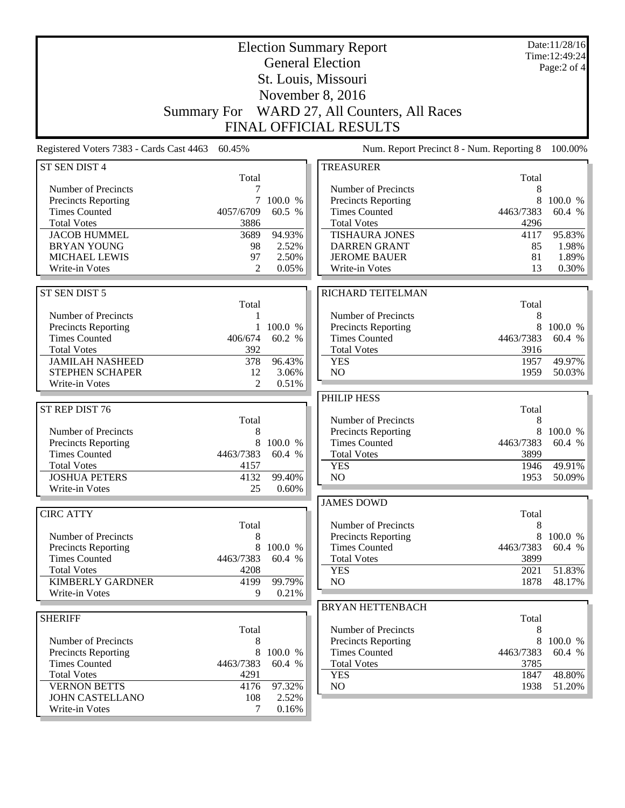|                                                                                                                                                                      | <b>Summary For</b>                                       |                                               | <b>Election Summary Report</b><br><b>General Election</b><br>St. Louis, Missouri<br>November 8, 2016<br>WARD 27, All Counters, All Races<br><b>FINAL OFFICIAL RESULTS</b> |                                                      | Date:11/28/16<br>Time: 12:49:24<br>Page:2 of 4 |
|----------------------------------------------------------------------------------------------------------------------------------------------------------------------|----------------------------------------------------------|-----------------------------------------------|---------------------------------------------------------------------------------------------------------------------------------------------------------------------------|------------------------------------------------------|------------------------------------------------|
| Registered Voters 7383 - Cards Cast 4463 60.45%                                                                                                                      |                                                          |                                               | Num. Report Precinct 8 - Num. Reporting 8                                                                                                                                 |                                                      | 100.00%                                        |
| ST SEN DIST 4                                                                                                                                                        | Total                                                    |                                               | <b>TREASURER</b>                                                                                                                                                          | Total                                                |                                                |
| Number of Precincts<br><b>Precincts Reporting</b><br><b>Times Counted</b><br><b>Total Votes</b><br><b>JACOB HUMMEL</b><br><b>BRYAN YOUNG</b><br><b>MICHAEL LEWIS</b> | 7<br>4057/6709<br>3886<br>3689<br>98<br>97               | 100.0 %<br>60.5 %<br>94.93%<br>2.52%<br>2.50% | Number of Precincts<br>Precincts Reporting<br><b>Times Counted</b><br><b>Total Votes</b><br><b>TISHAURA JONES</b><br><b>DARREN GRANT</b><br><b>JEROME BAUER</b>           | 8<br>8<br>4463/7383<br>4296<br>4117<br>85<br>81      | 100.0 %<br>60.4 %<br>95.83%<br>1.98%<br>1.89%  |
| Write-in Votes                                                                                                                                                       | $\overline{2}$                                           | 0.05%                                         | Write-in Votes                                                                                                                                                            | 13                                                   | 0.30%                                          |
| ST SEN DIST 5<br>Number of Precincts<br>Precincts Reporting<br><b>Times Counted</b><br><b>Total Votes</b><br><b>JAMILAH NASHEED</b><br>STEPHEN SCHAPER               | Total<br>1<br>406/674<br>392<br>378<br>12                | 100.0 %<br>60.2 %<br>96.43%<br>3.06%          | RICHARD TEITELMAN<br>Number of Precincts<br>Precincts Reporting<br><b>Times Counted</b><br><b>Total Votes</b><br><b>YES</b><br>N <sub>O</sub>                             | Total<br>8<br>8<br>4463/7383<br>3916<br>1957<br>1959 | 100.0 %<br>60.4 %<br>49.97%<br>50.03%          |
| Write-in Votes                                                                                                                                                       | $\overline{c}$                                           | 0.51%                                         | PHILIP HESS                                                                                                                                                               |                                                      |                                                |
| ST REP DIST 76<br>Number of Precincts<br><b>Precincts Reporting</b><br><b>Times Counted</b><br><b>Total Votes</b><br><b>JOSHUA PETERS</b><br>Write-in Votes          | Total<br>8<br>8<br>4463/7383<br>4157<br>4132<br>25       | 100.0 %<br>60.4 %<br>99.40%<br>0.60%          | Number of Precincts<br>Precincts Reporting<br><b>Times Counted</b><br><b>Total Votes</b><br><b>YES</b><br>NO                                                              | Total<br>8<br>8<br>4463/7383<br>3899<br>1946<br>1953 | 100.0 %<br>60.4 %<br>49.91%<br>50.09%          |
| <b>CIRC ATTY</b><br>Number of Precincts<br>Precincts Reporting<br><b>Times Counted</b><br><b>Total Votes</b><br><b>KIMBERLY GARDNER</b><br>Write-in Votes            | Total<br>8<br>8<br>4463/7383<br>4208<br>4199<br>9        | 100.0 %<br>60.4 %<br>99.79%<br>0.21%          | <b>JAMES DOWD</b><br>Number of Precincts<br>Precincts Reporting<br><b>Times Counted</b><br><b>Total Votes</b><br><b>YES</b><br>N <sub>O</sub>                             | Total<br>8<br>8<br>4463/7383<br>3899<br>2021<br>1878 | 100.0 %<br>60.4 %<br>51.83%<br>48.17%          |
| <b>SHERIFF</b>                                                                                                                                                       |                                                          |                                               | <b>BRYAN HETTENBACH</b>                                                                                                                                                   | Total                                                |                                                |
| Number of Precincts<br><b>Precincts Reporting</b><br><b>Times Counted</b><br><b>Total Votes</b><br><b>VERNON BETTS</b><br><b>JOHN CASTELLANO</b><br>Write-in Votes   | Total<br>8<br>8<br>4463/7383<br>4291<br>4176<br>108<br>7 | 100.0 %<br>60.4 %<br>97.32%<br>2.52%<br>0.16% | Number of Precincts<br>Precincts Reporting<br><b>Times Counted</b><br><b>Total Votes</b><br><b>YES</b><br>NO                                                              | 8<br>8<br>4463/7383<br>3785<br>1847<br>1938          | 100.0 %<br>60.4 %<br>48.80%<br>51.20%          |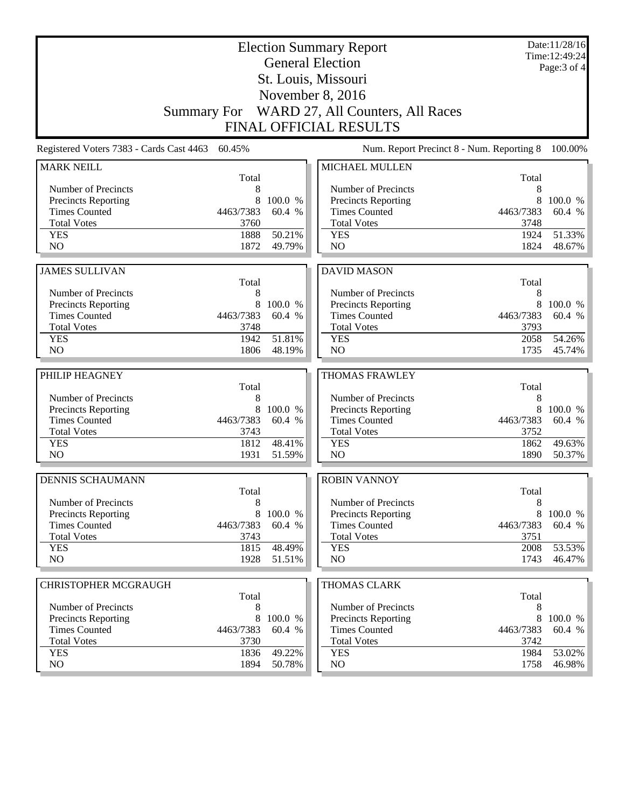|                                                    | <b>Election Summary Report</b><br><b>General Election</b> |                   | Date:11/28/16<br>Time: 12:49:24<br>Page: $3$ of $4$ |                   |                   |  |  |  |
|----------------------------------------------------|-----------------------------------------------------------|-------------------|-----------------------------------------------------|-------------------|-------------------|--|--|--|
|                                                    |                                                           |                   | St. Louis, Missouri                                 |                   |                   |  |  |  |
|                                                    | November 8, 2016                                          |                   |                                                     |                   |                   |  |  |  |
|                                                    |                                                           |                   | Summary For WARD 27, All Counters, All Races        |                   |                   |  |  |  |
|                                                    |                                                           |                   | <b>FINAL OFFICIAL RESULTS</b>                       |                   |                   |  |  |  |
|                                                    |                                                           |                   |                                                     |                   |                   |  |  |  |
| Registered Voters 7383 - Cards Cast 4463           | 60.45%                                                    |                   | Num. Report Precinct 8 - Num. Reporting 8           |                   | 100.00%           |  |  |  |
| <b>MARK NEILL</b>                                  | Total                                                     |                   | <b>MICHAEL MULLEN</b>                               | Total             |                   |  |  |  |
| Number of Precincts                                | 8                                                         |                   | Number of Precincts                                 | 8                 |                   |  |  |  |
| <b>Precincts Reporting</b>                         | 8                                                         | 100.0 %           | <b>Precincts Reporting</b>                          | 8                 | 100.0 %           |  |  |  |
| <b>Times Counted</b>                               | 4463/7383                                                 | 60.4 %            | <b>Times Counted</b>                                | 4463/7383         | 60.4 %            |  |  |  |
| <b>Total Votes</b>                                 | 3760                                                      |                   | <b>Total Votes</b>                                  | 3748              |                   |  |  |  |
| <b>YES</b>                                         | 1888                                                      | 50.21%            | <b>YES</b>                                          | 1924              | 51.33%            |  |  |  |
| NO                                                 | 1872                                                      | 49.79%            | NO                                                  | 1824              | 48.67%            |  |  |  |
| <b>JAMES SULLIVAN</b>                              |                                                           |                   |                                                     |                   |                   |  |  |  |
|                                                    | Total                                                     |                   | <b>DAVID MASON</b>                                  | Total             |                   |  |  |  |
| Number of Precincts                                | 8                                                         |                   | Number of Precincts                                 | 8                 |                   |  |  |  |
| <b>Precincts Reporting</b>                         | 8                                                         | 100.0 %           | Precincts Reporting                                 | 8                 | 100.0 %           |  |  |  |
| <b>Times Counted</b>                               | 4463/7383                                                 | 60.4 %            | <b>Times Counted</b>                                | 4463/7383         | 60.4 %            |  |  |  |
| <b>Total Votes</b>                                 | 3748                                                      |                   | <b>Total Votes</b>                                  | 3793              |                   |  |  |  |
| <b>YES</b>                                         | 1942                                                      | 51.81%            | <b>YES</b>                                          | 2058              | 54.26%            |  |  |  |
| NO                                                 | 1806                                                      | 48.19%            | NO                                                  | 1735              | 45.74%            |  |  |  |
|                                                    |                                                           |                   |                                                     |                   |                   |  |  |  |
| PHILIP HEAGNEY                                     | Total                                                     |                   | <b>THOMAS FRAWLEY</b>                               | Total             |                   |  |  |  |
| Number of Precincts                                | 8                                                         |                   | Number of Precincts                                 | 8                 |                   |  |  |  |
| Precincts Reporting                                | 8                                                         | 100.0 %           | Precincts Reporting                                 | 8                 | 100.0 %           |  |  |  |
| <b>Times Counted</b>                               | 4463/7383                                                 | 60.4 %            | <b>Times Counted</b>                                | 4463/7383         | 60.4 %            |  |  |  |
| <b>Total Votes</b>                                 | 3743                                                      |                   | <b>Total Votes</b>                                  | 3752              |                   |  |  |  |
| <b>YES</b>                                         | 1812                                                      | 48.41%            | <b>YES</b>                                          | 1862              | 49.63%            |  |  |  |
| N <sub>O</sub>                                     | 1931                                                      | 51.59%            | NO                                                  | 1890              | 50.37%            |  |  |  |
| <b>DENNIS SCHAUMANN</b>                            |                                                           |                   | <b>ROBIN VANNOY</b>                                 |                   |                   |  |  |  |
|                                                    | Total                                                     |                   |                                                     | Total             |                   |  |  |  |
| Number of Precincts                                | 8                                                         |                   | Number of Precincts                                 | 8                 |                   |  |  |  |
| Precincts Reporting                                | 8                                                         | 100.0 %           | Precincts Reporting                                 | 8                 | 100.0 %           |  |  |  |
| <b>Times Counted</b><br><b>Total Votes</b>         | 4463/7383<br>3743                                         | 60.4 %            | <b>Times Counted</b><br><b>Total Votes</b>          | 4463/7383<br>3751 | 60.4 %            |  |  |  |
| <b>YES</b>                                         | 1815                                                      | 48.49%            | <b>YES</b>                                          | 2008              | 53.53%            |  |  |  |
| NO                                                 | 1928                                                      | 51.51%            | NO                                                  | 1743              | 46.47%            |  |  |  |
|                                                    |                                                           |                   |                                                     |                   |                   |  |  |  |
| <b>CHRISTOPHER MCGRAUGH</b>                        |                                                           |                   | THOMAS CLARK                                        |                   |                   |  |  |  |
|                                                    | Total                                                     |                   |                                                     | Total             |                   |  |  |  |
| Number of Precincts                                | 8                                                         |                   | Number of Precincts                                 | 8                 |                   |  |  |  |
| <b>Precincts Reporting</b><br><b>Times Counted</b> | 8<br>4463/7383                                            | 100.0 %<br>60.4 % | <b>Precincts Reporting</b><br><b>Times Counted</b>  | 8<br>4463/7383    | 100.0 %<br>60.4 % |  |  |  |
| <b>Total Votes</b>                                 | 3730                                                      |                   | <b>Total Votes</b>                                  | 3742              |                   |  |  |  |
| <b>YES</b>                                         | 1836                                                      | 49.22%            | <b>YES</b>                                          | 1984              | 53.02%            |  |  |  |
| NO                                                 | 1894                                                      | 50.78%            | NO                                                  | 1758              | 46.98%            |  |  |  |
|                                                    |                                                           |                   |                                                     |                   |                   |  |  |  |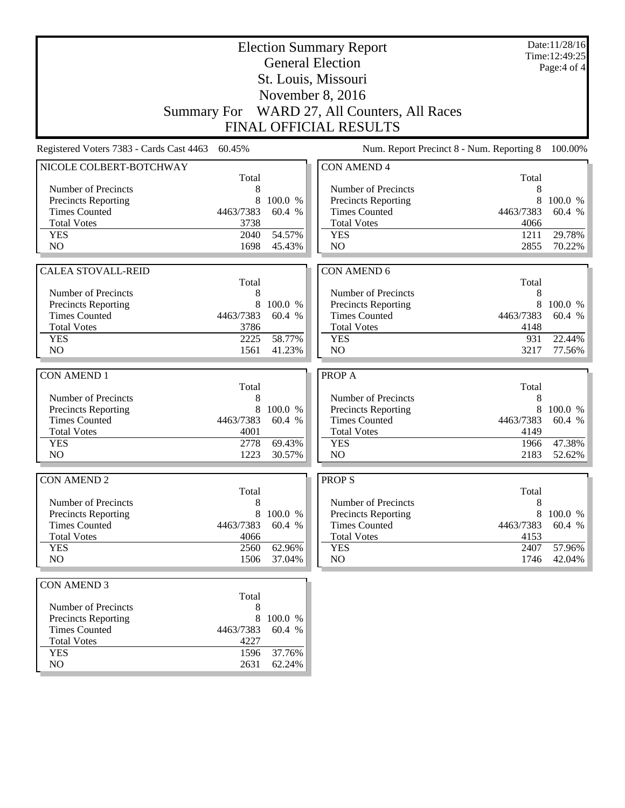|                                          |                  |                  | <b>Election Summary Report</b><br><b>General Election</b> |             | Date:11/28/16<br>Time:12:49:25 |  |  |  |
|------------------------------------------|------------------|------------------|-----------------------------------------------------------|-------------|--------------------------------|--|--|--|
|                                          |                  | Page:4 of 4      |                                                           |             |                                |  |  |  |
| St. Louis, Missouri                      |                  |                  |                                                           |             |                                |  |  |  |
|                                          | November 8, 2016 |                  |                                                           |             |                                |  |  |  |
|                                          |                  |                  | Summary For WARD 27, All Counters, All Races              |             |                                |  |  |  |
|                                          |                  |                  | <b>FINAL OFFICIAL RESULTS</b>                             |             |                                |  |  |  |
|                                          |                  |                  |                                                           |             |                                |  |  |  |
| Registered Voters 7383 - Cards Cast 4463 | 60.45%           |                  | Num. Report Precinct 8 - Num. Reporting 8                 |             | 100.00%                        |  |  |  |
| NICOLE COLBERT-BOTCHWAY                  |                  |                  | <b>CON AMEND 4</b>                                        |             |                                |  |  |  |
| Number of Precincts                      | Total<br>8       |                  | Number of Precincts                                       | Total<br>8  |                                |  |  |  |
| Precincts Reporting                      | 8                | 100.0 %          | Precincts Reporting                                       | 8           | 100.0 %                        |  |  |  |
| <b>Times Counted</b>                     | 4463/7383        | 60.4 %           | <b>Times Counted</b>                                      | 4463/7383   | 60.4 %                         |  |  |  |
| <b>Total Votes</b>                       | 3738             |                  | <b>Total Votes</b>                                        | 4066        |                                |  |  |  |
| <b>YES</b>                               | 2040             | 54.57%           | <b>YES</b>                                                | 1211        | 29.78%                         |  |  |  |
| N <sub>O</sub>                           | 1698             | 45.43%           | N <sub>O</sub>                                            | 2855        | 70.22%                         |  |  |  |
|                                          |                  |                  |                                                           |             |                                |  |  |  |
| <b>CALEA STOVALL-REID</b>                |                  |                  | <b>CON AMEND 6</b>                                        |             |                                |  |  |  |
|                                          | Total            |                  |                                                           | Total       |                                |  |  |  |
| Number of Precincts                      | 8                |                  | Number of Precincts                                       | $\,8$       |                                |  |  |  |
| Precincts Reporting                      | 8                | 100.0 %          | <b>Precincts Reporting</b>                                | 8           | 100.0 %                        |  |  |  |
| <b>Times Counted</b>                     | 4463/7383        | 60.4 %           | <b>Times Counted</b>                                      | 4463/7383   | 60.4 %                         |  |  |  |
| <b>Total Votes</b>                       | 3786             |                  | <b>Total Votes</b>                                        | 4148        |                                |  |  |  |
| <b>YES</b><br>NO                         | 2225<br>1561     | 58.77%<br>41.23% | <b>YES</b><br>N <sub>O</sub>                              | 931<br>3217 | 22.44%<br>77.56%               |  |  |  |
|                                          |                  |                  |                                                           |             |                                |  |  |  |
| <b>CON AMEND 1</b>                       |                  |                  | PROP A                                                    |             |                                |  |  |  |
|                                          | Total            |                  |                                                           | Total       |                                |  |  |  |
| Number of Precincts                      | 8                |                  | Number of Precincts                                       | 8           |                                |  |  |  |
| Precincts Reporting                      | 8                | 100.0 %          | Precincts Reporting                                       | 8           | 100.0 %                        |  |  |  |
| <b>Times Counted</b>                     | 4463/7383        | 60.4 %           | <b>Times Counted</b>                                      | 4463/7383   | 60.4 %                         |  |  |  |
| <b>Total Votes</b>                       | 4001             |                  | <b>Total Votes</b>                                        | 4149        |                                |  |  |  |
| <b>YES</b>                               | 2778             | 69.43%           | <b>YES</b>                                                | 1966        | 47.38%                         |  |  |  |
| N <sub>O</sub>                           | 1223             | 30.57%           | N <sub>O</sub>                                            | 2183        | 52.62%                         |  |  |  |
| <b>CON AMEND 2</b>                       |                  |                  | <b>PROPS</b>                                              |             |                                |  |  |  |
|                                          | Total            |                  |                                                           | Total       |                                |  |  |  |
| Number of Precincts                      | 8                |                  | Number of Precincts                                       | 8           |                                |  |  |  |
| <b>Precincts Reporting</b>               | 8                | 100.0 %          | <b>Precincts Reporting</b>                                | 8           | 100.0 %                        |  |  |  |
| <b>Times Counted</b>                     | 4463/7383        | 60.4 %           | <b>Times Counted</b>                                      | 4463/7383   | 60.4 %                         |  |  |  |
| <b>Total Votes</b>                       | 4066             |                  | <b>Total Votes</b>                                        | 4153        |                                |  |  |  |
| <b>YES</b><br>NO                         | 2560             | 62.96%           | <b>YES</b>                                                | 2407        | 57.96%                         |  |  |  |
|                                          | 1506             | 37.04%           | $\rm NO$                                                  | 1746        | 42.04%                         |  |  |  |
| <b>CON AMEND 3</b>                       |                  |                  |                                                           |             |                                |  |  |  |
|                                          | Total            |                  |                                                           |             |                                |  |  |  |
| Number of Precincts                      | 8                |                  |                                                           |             |                                |  |  |  |
| <b>Precincts Reporting</b>               | 8                | 100.0 %          |                                                           |             |                                |  |  |  |
| <b>Times Counted</b>                     | 4463/7383        | 60.4 %           |                                                           |             |                                |  |  |  |
| <b>Total Votes</b>                       | 4227             |                  |                                                           |             |                                |  |  |  |
| <b>YES</b>                               | 1596             | 37.76%           |                                                           |             |                                |  |  |  |
|                                          |                  |                  |                                                           |             |                                |  |  |  |
| NO                                       | 2631             | 62.24%           |                                                           |             |                                |  |  |  |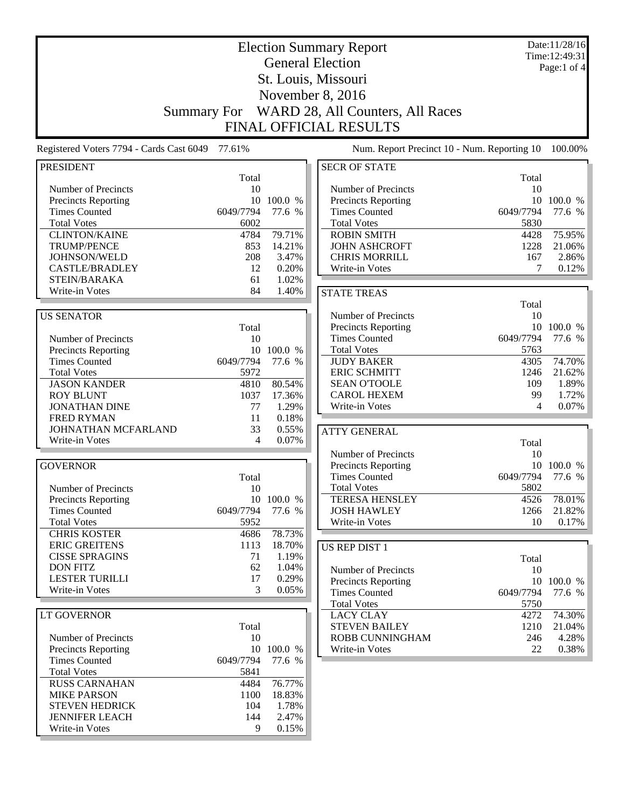|                                                    |                    |                   | <b>Election Summary Report</b><br><b>General Election</b> |                 | Date:11/28/16<br>Time:12:49:31 |
|----------------------------------------------------|--------------------|-------------------|-----------------------------------------------------------|-----------------|--------------------------------|
|                                                    |                    | Page:1 of $4$     |                                                           |                 |                                |
|                                                    |                    |                   | St. Louis, Missouri                                       |                 |                                |
|                                                    |                    |                   | November 8, 2016                                          |                 |                                |
|                                                    | <b>Summary For</b> |                   | WARD 28, All Counters, All Races                          |                 |                                |
|                                                    |                    |                   | <b>FINAL OFFICIAL RESULTS</b>                             |                 |                                |
| Registered Voters 7794 - Cards Cast 6049 77.61%    |                    |                   | Num. Report Precinct 10 - Num. Reporting 10               |                 | 100.00%                        |
| <b>PRESIDENT</b>                                   |                    |                   | <b>SECR OF STATE</b>                                      |                 |                                |
|                                                    | Total              |                   |                                                           | Total           |                                |
| Number of Precincts                                | 10                 |                   | Number of Precincts                                       | 10              |                                |
| <b>Precincts Reporting</b><br><b>Times Counted</b> | 10<br>6049/7794    | 100.0 %<br>77.6 % | <b>Precincts Reporting</b><br><b>Times Counted</b>        | 10<br>6049/7794 | 100.0 %<br>77.6 %              |
| <b>Total Votes</b>                                 | 6002               |                   | <b>Total Votes</b>                                        | 5830            |                                |
| <b>CLINTON/KAINE</b>                               | 4784               | 79.71%            | <b>ROBIN SMITH</b>                                        | 4428            | 75.95%                         |
| <b>TRUMP/PENCE</b>                                 | 853                | 14.21%            | <b>JOHN ASHCROFT</b>                                      | 1228            | 21.06%                         |
| JOHNSON/WELD                                       | 208                | 3.47%             | <b>CHRIS MORRILL</b>                                      | 167             | 2.86%                          |
| <b>CASTLE/BRADLEY</b>                              | 12                 | 0.20%             | Write-in Votes                                            | 7               | 0.12%                          |
| STEIN/BARAKA                                       | 61                 | 1.02%             |                                                           |                 |                                |
| Write-in Votes                                     | 84                 | 1.40%             | <b>STATE TREAS</b>                                        |                 |                                |
|                                                    |                    |                   |                                                           | Total           |                                |
| <b>US SENATOR</b>                                  |                    |                   | Number of Precincts                                       | 10              |                                |
|                                                    | Total              |                   | <b>Precincts Reporting</b>                                |                 | 10 100.0 %                     |
| Number of Precincts                                | 10                 |                   | <b>Times Counted</b>                                      | 6049/7794       | 77.6 %                         |
| <b>Precincts Reporting</b>                         |                    | 10 100.0 %        | <b>Total Votes</b>                                        | 5763            |                                |
| <b>Times Counted</b>                               | 6049/7794          | 77.6 %            | <b>JUDY BAKER</b>                                         | 4305            | 74.70%                         |
| <b>Total Votes</b>                                 | 5972               |                   | <b>ERIC SCHMITT</b>                                       | 1246            | 21.62%                         |
| <b>JASON KANDER</b>                                | 4810               | 80.54%            | <b>SEAN O'TOOLE</b>                                       | 109             | 1.89%                          |
| <b>ROY BLUNT</b>                                   | 1037               | 17.36%            | <b>CAROL HEXEM</b>                                        | 99              | 1.72%                          |
| <b>JONATHAN DINE</b>                               | 77                 | 1.29%             | Write-in Votes                                            | 4               | 0.07%                          |
| <b>FRED RYMAN</b><br>JOHNATHAN MCFARLAND           | 11<br>33           | 0.18%<br>0.55%    |                                                           |                 |                                |
| Write-in Votes                                     | $\overline{4}$     | 0.07%             | <b>ATTY GENERAL</b>                                       |                 |                                |
|                                                    |                    |                   | Number of Precincts                                       | Total           |                                |
| <b>GOVERNOR</b>                                    |                    |                   | Precincts Reporting                                       | 10              | 10 100.0 %                     |
|                                                    | Total              |                   | <b>Times Counted</b>                                      | 6049/7794       | 77.6 %                         |
| Number of Precincts                                | 10                 |                   | <b>Total Votes</b>                                        | 5802            |                                |
| <b>Precincts Reporting</b>                         |                    | 10 100.0 %        | <b>TERESA HENSLEY</b>                                     | 4526            | 78.01%                         |
| <b>Times Counted</b>                               | 6049/7794          | 77.6 %            | <b>JOSH HAWLEY</b>                                        | 1266            | 21.82%                         |
| <b>Total Votes</b>                                 | 5952               |                   | Write-in Votes                                            | 10              | 0.17%                          |
| <b>CHRIS KOSTER</b>                                | 4686               | 78.73%            |                                                           |                 |                                |
| <b>ERIC GREITENS</b>                               | 1113               | 18.70%            | <b>US REP DIST 1</b>                                      |                 |                                |
| <b>CISSE SPRAGINS</b>                              | 71                 | 1.19%             |                                                           | Total           |                                |
| <b>DON FITZ</b>                                    | 62                 | 1.04%             | Number of Precincts                                       | 10              |                                |
| <b>LESTER TURILLI</b>                              | 17                 | 0.29%             | Precincts Reporting                                       |                 | 10 100.0 %                     |
| Write-in Votes                                     | 3                  | 0.05%             | <b>Times Counted</b>                                      | 6049/7794       | 77.6 %                         |
|                                                    |                    |                   | <b>Total Votes</b>                                        | 5750            |                                |
| LT GOVERNOR                                        |                    |                   | <b>LACY CLAY</b>                                          | 4272            | 74.30%                         |
|                                                    | Total              |                   | <b>STEVEN BAILEY</b>                                      | 1210            | 21.04%                         |
| Number of Precincts                                | 10                 |                   | ROBB CUNNINGHAM                                           | 246             | 4.28%                          |
| <b>Precincts Reporting</b>                         |                    | 10 100.0 %        | Write-in Votes                                            | 22              | 0.38%                          |
| <b>Times Counted</b>                               | 6049/7794          | 77.6 %            |                                                           |                 |                                |
| <b>Total Votes</b>                                 | 5841               |                   |                                                           |                 |                                |
| <b>RUSS CARNAHAN</b><br><b>MIKE PARSON</b>         | 4484<br>1100       | 76.77%<br>18.83%  |                                                           |                 |                                |
| <b>STEVEN HEDRICK</b>                              | 104                | 1.78%             |                                                           |                 |                                |
| <b>JENNIFER LEACH</b>                              | 144                | 2.47%             |                                                           |                 |                                |
| Write-in Votes                                     | 9                  | 0.15%             |                                                           |                 |                                |
|                                                    |                    |                   |                                                           |                 |                                |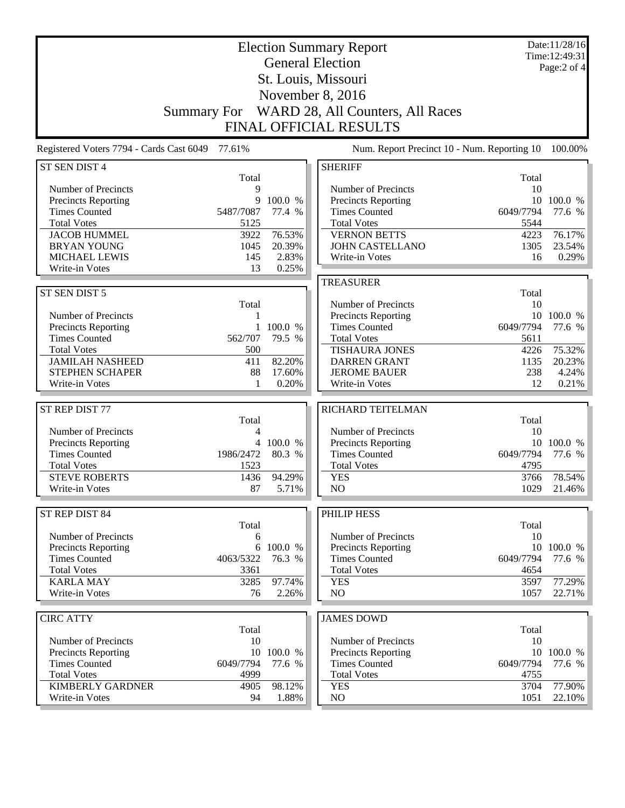| <b>Election Summary Report</b><br><b>General Election</b> |                    |              |                                              |              | Date:11/28/16<br>Time:12:49:31 |
|-----------------------------------------------------------|--------------------|--------------|----------------------------------------------|--------------|--------------------------------|
|                                                           |                    | Page: 2 of 4 |                                              |              |                                |
|                                                           |                    |              | St. Louis, Missouri                          |              |                                |
|                                                           |                    |              | November 8, 2016                             |              |                                |
|                                                           | <b>Summary For</b> |              | WARD 28, All Counters, All Races             |              |                                |
|                                                           |                    |              | <b>FINAL OFFICIAL RESULTS</b>                |              |                                |
|                                                           |                    |              |                                              |              |                                |
| Registered Voters 7794 - Cards Cast 6049                  | 77.61%             |              | Num. Report Precinct 10 - Num. Reporting 10  |              | 100.00%                        |
| ST SEN DIST 4                                             | Total              |              | <b>SHERIFF</b>                               | Total        |                                |
| Number of Precincts                                       | 9                  |              | Number of Precincts                          | 10           |                                |
| <b>Precincts Reporting</b>                                | 9                  | 100.0 %      | Precincts Reporting                          | 10           | 100.0 %                        |
| <b>Times Counted</b>                                      | 5487/7087          | 77.4 %       | <b>Times Counted</b>                         | 6049/7794    | 77.6 %                         |
| <b>Total Votes</b>                                        | 5125               |              | <b>Total Votes</b>                           | 5544         |                                |
| <b>JACOB HUMMEL</b>                                       | 3922               | 76.53%       | <b>VERNON BETTS</b>                          | 4223         | 76.17%                         |
| <b>BRYAN YOUNG</b>                                        | 1045               | 20.39%       | <b>JOHN CASTELLANO</b>                       | 1305         | 23.54%                         |
| <b>MICHAEL LEWIS</b>                                      | 145                | 2.83%        | Write-in Votes                               | 16           | 0.29%                          |
| Write-in Votes                                            | 13                 | 0.25%        |                                              |              |                                |
|                                                           |                    |              | <b>TREASURER</b>                             |              |                                |
| ST SEN DIST 5                                             |                    |              |                                              | Total        |                                |
|                                                           | Total              |              | Number of Precincts                          | 10           |                                |
| Number of Precincts                                       | 1                  |              | Precincts Reporting                          | 10           | 100.0 %                        |
| Precincts Reporting                                       | $\mathbf{1}$       | 100.0 %      | <b>Times Counted</b>                         | 6049/7794    | 77.6 %                         |
| <b>Times Counted</b><br><b>Total Votes</b>                | 562/707<br>500     | 79.5 %       | <b>Total Votes</b>                           | 5611         |                                |
| <b>JAMILAH NASHEED</b>                                    | 411                | 82.20%       | <b>TISHAURA JONES</b><br><b>DARREN GRANT</b> | 4226<br>1135 | 75.32%<br>20.23%               |
| STEPHEN SCHAPER                                           | 88                 | 17.60%       | <b>JEROME BAUER</b>                          | 238          | 4.24%                          |
| Write-in Votes                                            | 1                  | 0.20%        | Write-in Votes                               | 12           | 0.21%                          |
|                                                           |                    |              |                                              |              |                                |
| ST REP DIST 77                                            |                    |              | RICHARD TEITELMAN                            |              |                                |
|                                                           | Total              |              |                                              | Total        |                                |
| Number of Precincts                                       | 4                  |              | Number of Precincts                          | 10           |                                |
| <b>Precincts Reporting</b>                                |                    | 4 100.0 %    | <b>Precincts Reporting</b>                   |              | 10 100.0 %                     |
| <b>Times Counted</b>                                      | 1986/2472          | 80.3 %       | <b>Times Counted</b>                         | 6049/7794    | 77.6 %                         |
| <b>Total Votes</b><br><b>STEVE ROBERTS</b>                | 1523<br>1436       | 94.29%       | <b>Total Votes</b>                           | 4795         |                                |
| Write-in Votes                                            | 87                 | 5.71%        | <b>YES</b><br>NO                             | 3766<br>1029 | 78.54%<br>21.46%               |
|                                                           |                    |              |                                              |              |                                |
| ST REP DIST 84                                            |                    |              | PHILIP HESS                                  |              |                                |
|                                                           | Total              |              |                                              | Total        |                                |
| Number of Precincts                                       | 6                  |              | Number of Precincts                          | 10           |                                |
| Precincts Reporting                                       |                    | 6 100.0 %    | Precincts Reporting                          | 10           | 100.0 %                        |
| <b>Times Counted</b>                                      | 4063/5322          | 76.3 %       | <b>Times Counted</b>                         | 6049/7794    | 77.6 %                         |
| <b>Total Votes</b>                                        | 3361               |              | <b>Total Votes</b>                           | 4654         |                                |
| <b>KARLA MAY</b><br>Write-in Votes                        | 3285<br>76         | 97.74%       | <b>YES</b><br>NO                             | 3597<br>1057 | 77.29%<br>22.71%               |
|                                                           |                    | 2.26%        |                                              |              |                                |
| <b>CIRC ATTY</b>                                          |                    |              | <b>JAMES DOWD</b>                            |              |                                |
|                                                           | Total              |              |                                              | Total        |                                |
| Number of Precincts                                       | 10                 |              | Number of Precincts                          | 10           |                                |
| Precincts Reporting                                       | 10                 | 100.0 %      | <b>Precincts Reporting</b>                   | 10           | 100.0 %                        |
| <b>Times Counted</b>                                      | 6049/7794          | 77.6 %       | <b>Times Counted</b>                         | 6049/7794    | 77.6 %                         |
| <b>Total Votes</b>                                        | 4999               |              | <b>Total Votes</b>                           | 4755         |                                |
| <b>KIMBERLY GARDNER</b>                                   | 4905               | 98.12%       | <b>YES</b>                                   | 3704         | 77.90%                         |
| Write-in Votes                                            | 94                 | 1.88%        | NO                                           | 1051         | $22.10\%$                      |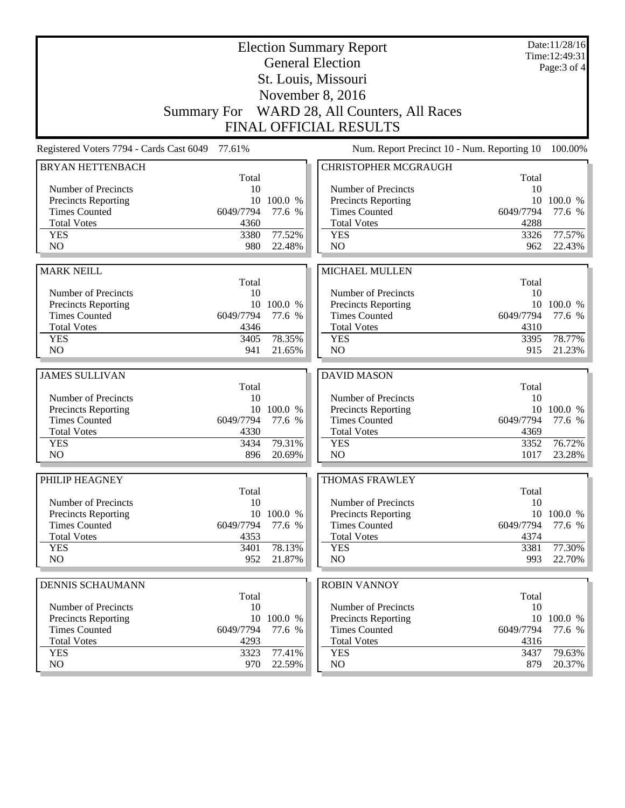|                                                    |                  |                      | <b>Election Summary Report</b>               |              | Date:11/28/16<br>Time: 12:49:31 |
|----------------------------------------------------|------------------|----------------------|----------------------------------------------|--------------|---------------------------------|
|                                                    |                  |                      | <b>General Election</b>                      |              | Page: $3$ of $4$                |
|                                                    |                  |                      | St. Louis, Missouri                          |              |                                 |
|                                                    | November 8, 2016 |                      |                                              |              |                                 |
|                                                    |                  |                      |                                              |              |                                 |
|                                                    |                  |                      | Summary For WARD 28, All Counters, All Races |              |                                 |
|                                                    |                  |                      | <b>FINAL OFFICIAL RESULTS</b>                |              |                                 |
| Registered Voters 7794 - Cards Cast 6049           | 77.61%           |                      | Num. Report Precinct 10 - Num. Reporting 10  |              | 100.00%                         |
| <b>BRYAN HETTENBACH</b>                            |                  |                      | <b>CHRISTOPHER MCGRAUGH</b>                  |              |                                 |
| Number of Precincts                                | Total<br>10      |                      | Number of Precincts                          | Total<br>10  |                                 |
| Precincts Reporting                                |                  | 10 100.0 %           | <b>Precincts Reporting</b>                   |              | 10 100.0 %                      |
| <b>Times Counted</b>                               | 6049/7794        | 77.6 %               | <b>Times Counted</b>                         | 6049/7794    | 77.6 %                          |
| <b>Total Votes</b>                                 | 4360             |                      | <b>Total Votes</b>                           | 4288         |                                 |
| <b>YES</b>                                         | 3380             | 77.52%               | <b>YES</b>                                   | 3326         | 77.57%                          |
| N <sub>O</sub>                                     | 980              | 22.48%               | NO                                           | 962          | 22.43%                          |
|                                                    |                  |                      |                                              |              |                                 |
| <b>MARK NEILL</b>                                  |                  |                      | <b>MICHAEL MULLEN</b>                        |              |                                 |
|                                                    | Total            |                      |                                              | Total        |                                 |
| Number of Precincts                                | 10               |                      | Number of Precincts                          | 10           |                                 |
| <b>Precincts Reporting</b>                         |                  | 10 100.0 %           | <b>Precincts Reporting</b>                   |              | 10 100.0 %                      |
| <b>Times Counted</b>                               | 6049/7794        | 77.6 %               | <b>Times Counted</b>                         | 6049/7794    | 77.6 %                          |
| <b>Total Votes</b><br><b>YES</b>                   | 4346<br>3405     | 78.35%               | <b>Total Votes</b><br><b>YES</b>             | 4310         | 78.77%                          |
| N <sub>O</sub>                                     | 941              | 21.65%               | NO                                           | 3395<br>915  | 21.23%                          |
|                                                    |                  |                      |                                              |              |                                 |
| <b>JAMES SULLIVAN</b>                              |                  |                      | <b>DAVID MASON</b>                           |              |                                 |
|                                                    | Total            |                      |                                              | Total        |                                 |
| Number of Precincts                                | 10               | 10 100.0 %           | Number of Precincts                          | 10           | 10 100.0 %                      |
| Precincts Reporting<br><b>Times Counted</b>        | 6049/7794        | 77.6 %               | Precincts Reporting                          |              | 77.6 %                          |
| <b>Total Votes</b>                                 |                  |                      |                                              |              |                                 |
|                                                    |                  |                      | <b>Times Counted</b>                         | 6049/7794    |                                 |
|                                                    | 4330             |                      | <b>Total Votes</b>                           | 4369         |                                 |
| <b>YES</b><br>N <sub>O</sub>                       | 3434<br>896      | 79.31%<br>20.69%     | <b>YES</b><br>N <sub>O</sub>                 | 3352<br>1017 | 76.72%<br>23.28%                |
|                                                    |                  |                      |                                              |              |                                 |
| PHILIP HEAGNEY                                     |                  |                      | <b>THOMAS FRAWLEY</b>                        |              |                                 |
|                                                    | Total            |                      |                                              | Total        |                                 |
| Number of Precincts                                | 10               |                      | Number of Precincts                          | 10           |                                 |
| <b>Precincts Reporting</b><br><b>Times Counted</b> | 6049/7794        | 10 100.0 %<br>77.6 % | Precincts Reporting<br><b>Times Counted</b>  | 6049/7794    | 10 100.0 %<br>77.6 %            |
| <b>Total Votes</b>                                 | 4353             |                      | <b>Total Votes</b>                           | 4374         |                                 |
| <b>YES</b>                                         | 3401             | 78.13%               | <b>YES</b>                                   | 3381         | 77.30%                          |
| N <sub>O</sub>                                     | 952              | 21.87%               | NO                                           | 993          | 22.70%                          |
|                                                    |                  |                      |                                              |              |                                 |
| <b>DENNIS SCHAUMANN</b>                            |                  |                      | <b>ROBIN VANNOY</b>                          |              |                                 |
| Number of Precincts                                | Total<br>10      |                      | Number of Precincts                          | Total<br>10  |                                 |
| Precincts Reporting                                | 10               | 100.0 %              | Precincts Reporting                          | 10           | 100.0 %                         |
| <b>Times Counted</b>                               | 6049/7794        | 77.6 %               | <b>Times Counted</b>                         | 6049/7794    | 77.6 %                          |
| <b>Total Votes</b>                                 | 4293             |                      | <b>Total Votes</b>                           | 4316         |                                 |
| <b>YES</b><br>NO                                   | 3323<br>970      | 77.41%<br>22.59%     | <b>YES</b><br>NO                             | 3437<br>879  | 79.63%<br>20.37%                |